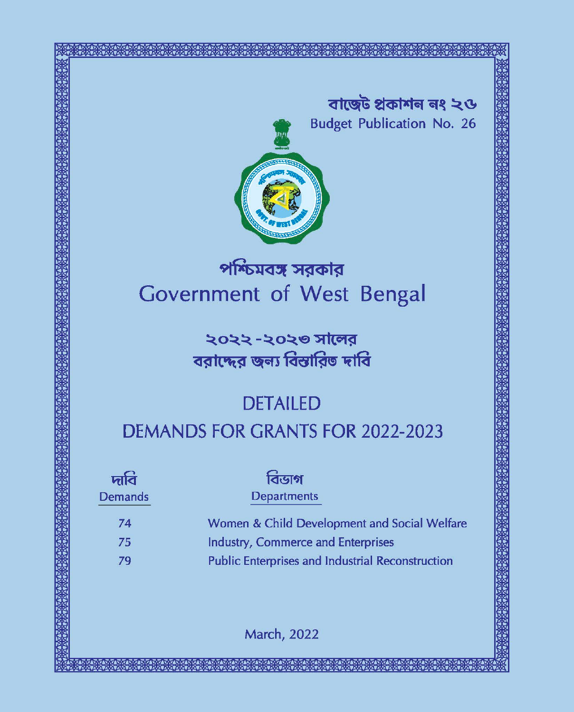বাজেট প্ৰকাশন নং ২ও **Budget Publication No. 26** 



পশ্চিমবঙ্গ সরকার **Government of West Bengal** 

> ২০২২ -২০২৩ সালের বরাদ্দের জন্য বিস্তারিত দাবি

# **DETAILED DEMANDS FOR GRANTS FOR 2022-2023**

বিডাগ দাবি **Demands Departments** Women & Child Development and Social Welfare 74 **Industry, Commerce and Enterprises** 75 **Public Enterprises and Industrial Reconstruction** 79

**March, 2022**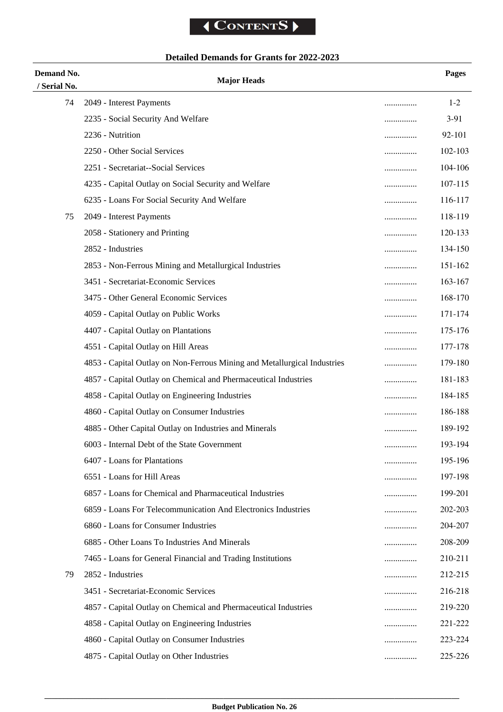# **Detailed Demands for Grants for 2022-2023**

| Demand No.         | <b>Major Heads</b>                                                       |        | Pages   |
|--------------------|--------------------------------------------------------------------------|--------|---------|
| / Serial No.<br>74 | 2049 - Interest Payments                                                 |        | $1 - 2$ |
|                    | 2235 - Social Security And Welfare                                       | .      | $3-91$  |
|                    | 2236 - Nutrition                                                         |        | 92-101  |
|                    | 2250 - Other Social Services                                             | .      | 102-103 |
|                    | 2251 - Secretariat--Social Services                                      | .<br>. | 104-106 |
|                    | 4235 - Capital Outlay on Social Security and Welfare                     |        | 107-115 |
|                    | 6235 - Loans For Social Security And Welfare                             |        | 116-117 |
| 75                 | 2049 - Interest Payments                                                 | .      | 118-119 |
|                    | 2058 - Stationery and Printing                                           | .      | 120-133 |
|                    | 2852 - Industries                                                        | .      | 134-150 |
|                    | 2853 - Non-Ferrous Mining and Metallurgical Industries                   | .      | 151-162 |
|                    | 3451 - Secretariat-Economic Services                                     | .      | 163-167 |
|                    | 3475 - Other General Economic Services                                   |        | 168-170 |
|                    | 4059 - Capital Outlay on Public Works                                    | .      | 171-174 |
|                    | 4407 - Capital Outlay on Plantations                                     | .      | 175-176 |
|                    | 4551 - Capital Outlay on Hill Areas                                      | .      | 177-178 |
|                    | 4853 - Capital Outlay on Non-Ferrous Mining and Metallurgical Industries | .      | 179-180 |
|                    | 4857 - Capital Outlay on Chemical and Phermaceutical Industries          |        | 181-183 |
|                    | 4858 - Capital Outlay on Engineering Industries                          | .      | 184-185 |
|                    | 4860 - Capital Outlay on Consumer Industries                             |        | 186-188 |
|                    | 4885 - Other Capital Outlay on Industries and Minerals                   | .      | 189-192 |
|                    | 6003 - Internal Debt of the State Government                             |        | 193-194 |
|                    | 6407 - Loans for Plantations                                             | .      | 195-196 |
|                    | 6551 - Loans for Hill Areas                                              | .      | 197-198 |
|                    | 6857 - Loans for Chemical and Pharmaceutical Industries                  | .      | 199-201 |
|                    | 6859 - Loans For Telecommunication And Electronics Industries            | .      | 202-203 |
|                    | 6860 - Loans for Consumer Industries                                     |        | 204-207 |
|                    | 6885 - Other Loans To Industries And Minerals                            | .      | 208-209 |
|                    | 7465 - Loans for General Financial and Trading Institutions              | .      | 210-211 |
| 79                 | 2852 - Industries                                                        | .      | 212-215 |
|                    | 3451 - Secretariat-Economic Services                                     | .      | 216-218 |
|                    | 4857 - Capital Outlay on Chemical and Phermaceutical Industries          |        | 219-220 |
|                    | 4858 - Capital Outlay on Engineering Industries                          | .      | 221-222 |
|                    | 4860 - Capital Outlay on Consumer Industries                             |        | 223-224 |
|                    | 4875 - Capital Outlay on Other Industries                                |        | 225-226 |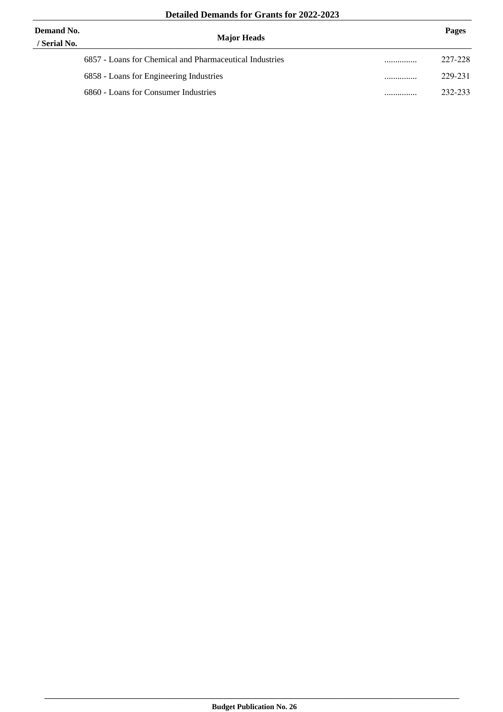| Demand No.<br>/ Serial No. | <b>Major Heads</b>                                      | Pages       |
|----------------------------|---------------------------------------------------------|-------------|
|                            | 6857 - Loans for Chemical and Pharmaceutical Industries | <br>227-228 |
|                            | 6858 - Loans for Engineering Industries                 | <br>229-231 |
|                            | 6860 - Loans for Consumer Industries                    | <br>232-233 |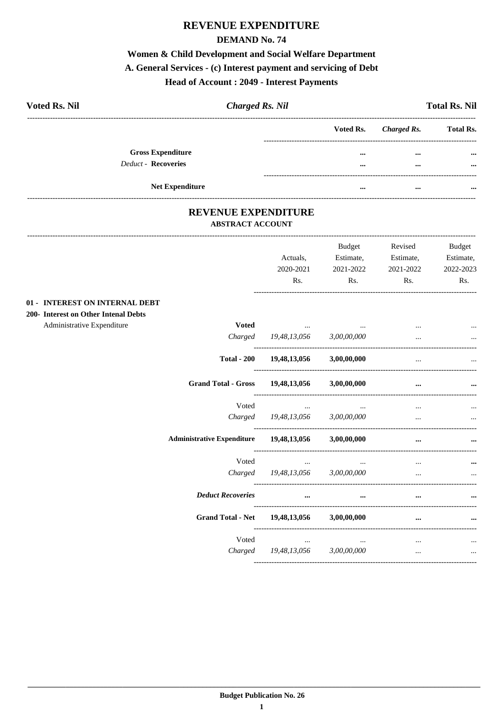# REVENUE EXPENDITURE

### **DEMAND No. 74**

# Women & Child Development and Social Welfare Department A. General Services - (c) Interest payment and servicing of Debt

### **Head of Account : 2049 - Interest Payments**

| <b>Voted Rs. Nil</b>     | <b>Charged Rs. Nil</b> |           |             | <b>Total Rs. Nil</b> |
|--------------------------|------------------------|-----------|-------------|----------------------|
|                          |                        | Voted Rs. | Charged Rs. | <b>Total Rs.</b>     |
| <b>Gross Expenditure</b> |                        | $\cdots$  | $\cdots$    | $\cdots$             |
| Deduct - Recoveries      |                        | $\cdots$  | $\cdots$    | $\cdots$             |
| <b>Net Expenditure</b>   |                        | $\cdots$  | $\cdots$    | $\cdots$             |

### REVENUE EXPENDITURE **ABSTRACT ACCOUNT**

|                                      |                                            | Actuals,<br>2020-2021<br>Rs.        | Budget<br>Estimate,<br>2021-2022<br>Rs. | Revised<br>Estimate,<br>2021-2022<br>Rs. | Budget<br>Estimate,<br>2022-2023<br>Rs. |
|--------------------------------------|--------------------------------------------|-------------------------------------|-----------------------------------------|------------------------------------------|-----------------------------------------|
| 01 - INTEREST ON INTERNAL DEBT       |                                            |                                     |                                         |                                          |                                         |
| 200- Interest on Other Intenal Debts |                                            |                                     |                                         |                                          |                                         |
| Administrative Expenditure           | <b>Voted</b>                               | the contract of the contract of the |                                         |                                          |                                         |
|                                      | Charged                                    | 19,48,13,056                        | 3,00,00,000                             |                                          |                                         |
|                                      | <b>Total - 200</b>                         | 19,48,13,056 3,00,00,000            |                                         |                                          |                                         |
|                                      | <b>Grand Total - Gross</b>                 | 19,48,13,056                        | 3,00,00,000                             | $\cdots$                                 |                                         |
|                                      | Voted                                      | $\cdots$                            | $\cdots$                                |                                          |                                         |
|                                      | Charged                                    | 19,48,13,056                        | 3,00,00,000                             | $\cdots$                                 | $\ddotsc$                               |
|                                      | <b>Administrative Expenditure</b>          | 19,48,13,056 3,00,00,000            |                                         |                                          |                                         |
|                                      | Voted                                      | $\cdots$                            |                                         |                                          |                                         |
|                                      |                                            | Charged 19,48,13,056 3,00,00,000    |                                         | $\ddotsc$                                |                                         |
|                                      | <b>Deduct Recoveries</b>                   | $\cdots$                            | $\cdots$                                | $\cdots$                                 |                                         |
|                                      | Grand Total - Net 19,48,13,056 3,00,00,000 |                                     |                                         |                                          |                                         |
|                                      | Voted                                      | $\cdots$                            | $\cdots$                                | $\cdots$                                 |                                         |
|                                      |                                            | Charged 19,48,13,056                | 3,00,00,000                             | $\cdots$                                 | $\cdots$                                |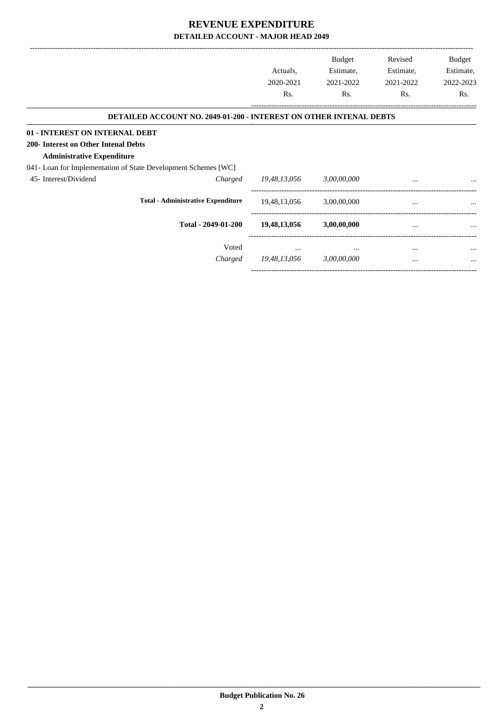|                                      |                                                                    | Actuals,<br>2020-2021<br>Rs. | <b>Budget</b><br>Estimate,<br>2021-2022<br>Rs. | Revised<br>Estimate,<br>2021-2022<br>Rs. | Budget<br>Estimate,<br>2022-2023<br>Rs. |
|--------------------------------------|--------------------------------------------------------------------|------------------------------|------------------------------------------------|------------------------------------------|-----------------------------------------|
|                                      | DETAILED ACCOUNT NO. 2049-01-200 - INTEREST ON OTHER INTENAL DEBTS |                              |                                                |                                          |                                         |
| 01 - INTEREST ON INTERNAL DEBT       |                                                                    |                              |                                                |                                          |                                         |
| 200- Interest on Other Intenal Debts |                                                                    |                              |                                                |                                          |                                         |
| <b>Administrative Expenditure</b>    |                                                                    |                              |                                                |                                          |                                         |
|                                      | 041- Loan for Implementation of State Development Schemes [WC]     |                              |                                                |                                          |                                         |
| 45- Interest/Dividend                | Charged                                                            | 19,48,13,056                 | 3,00,00,000                                    | $\cdots$                                 |                                         |
|                                      | <b>Total - Administrative Expenditure</b>                          | 19,48,13,056                 | 3,00,00,000                                    | $\cdots$                                 |                                         |
|                                      | Total - 2049-01-200                                                | 19,48,13,056                 | 3,00,00,000                                    | $\cdots$                                 |                                         |
|                                      | Voted                                                              | $\cdots$                     | $\cdots$                                       | $\cdots$                                 | $\cdots$                                |
|                                      | Charged                                                            | 19,48,13,056                 | 3,00,00,000                                    | $\cdots$                                 |                                         |
|                                      |                                                                    |                              |                                                |                                          |                                         |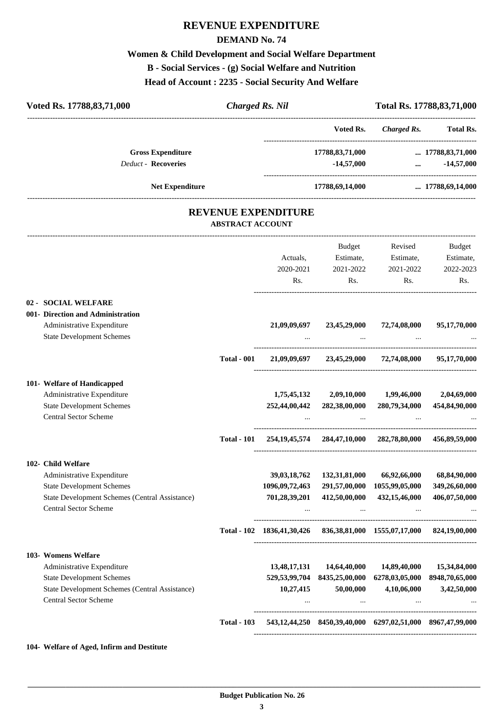# **REVENUE EXPENDITURE**

### **DEMAND No. 74**

# **Women & Child Development and Social Welfare Department B - Social Services - (g) Social Welfare and Nutrition Head of Account : 2235 - Social Security And Welfare**

| <b>REVENUE EXPENDITURE</b><br><b>ABSTRACT ACCOUNT</b><br>Actuals,<br>2020-2021<br>Rs. | Voted Rs.<br>17788,83,71,000<br>$-14,57,000$<br>17788,69,14,000<br>Budget<br>Estimate,<br>2021-2022<br>Rs. | <b>Charged Rs.</b><br>Revised<br>Estimate,                                                                    | -------------------------<br><b>Total Rs.</b><br>$\ldots$ 17788,83,71,000<br>$-14,57,000$<br>$\cdots$<br>17788,69,14,000<br>Budget                                                                                                                                                                                                                                                                                                            |
|---------------------------------------------------------------------------------------|------------------------------------------------------------------------------------------------------------|---------------------------------------------------------------------------------------------------------------|-----------------------------------------------------------------------------------------------------------------------------------------------------------------------------------------------------------------------------------------------------------------------------------------------------------------------------------------------------------------------------------------------------------------------------------------------|
|                                                                                       |                                                                                                            |                                                                                                               |                                                                                                                                                                                                                                                                                                                                                                                                                                               |
|                                                                                       |                                                                                                            |                                                                                                               |                                                                                                                                                                                                                                                                                                                                                                                                                                               |
|                                                                                       |                                                                                                            |                                                                                                               |                                                                                                                                                                                                                                                                                                                                                                                                                                               |
|                                                                                       |                                                                                                            |                                                                                                               |                                                                                                                                                                                                                                                                                                                                                                                                                                               |
|                                                                                       |                                                                                                            |                                                                                                               |                                                                                                                                                                                                                                                                                                                                                                                                                                               |
|                                                                                       |                                                                                                            |                                                                                                               |                                                                                                                                                                                                                                                                                                                                                                                                                                               |
|                                                                                       |                                                                                                            |                                                                                                               | Estimate,                                                                                                                                                                                                                                                                                                                                                                                                                                     |
|                                                                                       |                                                                                                            | 2021-2022                                                                                                     | 2022-2023                                                                                                                                                                                                                                                                                                                                                                                                                                     |
|                                                                                       |                                                                                                            | Rs.                                                                                                           | Rs.                                                                                                                                                                                                                                                                                                                                                                                                                                           |
|                                                                                       |                                                                                                            |                                                                                                               |                                                                                                                                                                                                                                                                                                                                                                                                                                               |
|                                                                                       |                                                                                                            |                                                                                                               |                                                                                                                                                                                                                                                                                                                                                                                                                                               |
|                                                                                       |                                                                                                            |                                                                                                               | 95,17,70,000                                                                                                                                                                                                                                                                                                                                                                                                                                  |
|                                                                                       | $\cdots$                                                                                                   |                                                                                                               |                                                                                                                                                                                                                                                                                                                                                                                                                                               |
|                                                                                       |                                                                                                            |                                                                                                               |                                                                                                                                                                                                                                                                                                                                                                                                                                               |
|                                                                                       |                                                                                                            |                                                                                                               |                                                                                                                                                                                                                                                                                                                                                                                                                                               |
| 1,75,45,132                                                                           | 2,09,10,000                                                                                                | 1,99,46,000                                                                                                   | 2,04,69,000                                                                                                                                                                                                                                                                                                                                                                                                                                   |
| 252,44,00,442                                                                         | 282,38,00,000                                                                                              | 280,79,34,000                                                                                                 | 454,84,90,000                                                                                                                                                                                                                                                                                                                                                                                                                                 |
|                                                                                       |                                                                                                            |                                                                                                               |                                                                                                                                                                                                                                                                                                                                                                                                                                               |
|                                                                                       |                                                                                                            |                                                                                                               | 456,89,59,000                                                                                                                                                                                                                                                                                                                                                                                                                                 |
|                                                                                       |                                                                                                            |                                                                                                               |                                                                                                                                                                                                                                                                                                                                                                                                                                               |
| 39,03,18,762                                                                          | 132,31,81,000                                                                                              | 66,92,66,000                                                                                                  | 68,84,90,000                                                                                                                                                                                                                                                                                                                                                                                                                                  |
|                                                                                       |                                                                                                            | 1055,99,05,000                                                                                                | 349,26,60,000                                                                                                                                                                                                                                                                                                                                                                                                                                 |
|                                                                                       |                                                                                                            | and the contract of the same                                                                                  | 406,07,50,000                                                                                                                                                                                                                                                                                                                                                                                                                                 |
|                                                                                       |                                                                                                            |                                                                                                               |                                                                                                                                                                                                                                                                                                                                                                                                                                               |
|                                                                                       |                                                                                                            |                                                                                                               |                                                                                                                                                                                                                                                                                                                                                                                                                                               |
|                                                                                       |                                                                                                            | 14,89,40,000                                                                                                  | 15,34,84,000                                                                                                                                                                                                                                                                                                                                                                                                                                  |
|                                                                                       |                                                                                                            |                                                                                                               | 6278,03,05,000 8948,70,65,000                                                                                                                                                                                                                                                                                                                                                                                                                 |
| 10,27,415                                                                             | 50,00,000                                                                                                  | 4,10,06,000                                                                                                   | 3,42,50,000                                                                                                                                                                                                                                                                                                                                                                                                                                   |
|                                                                                       |                                                                                                            |                                                                                                               |                                                                                                                                                                                                                                                                                                                                                                                                                                               |
|                                                                                       | 21,09,09,697<br>$\cdots$                                                                                   | 23,45,29,000<br>1096,09,72,463<br>701,28,39,201<br>543,12,44,250 8450,39,40,000 6297,02,51,000 8967,47,99,000 | 72,74,08,000<br>21,09,09,697 23,45,29,000 72,74,08,000 95,17,70,000<br>Total - 101 254, 19, 45, 574 284, 47, 10, 000 282, 78, 80, 000<br>291,57,00,000<br>412,50,00,000<br>432,15,46,000<br><b>Contract Contract</b><br>Total - 102 1836,41,30,426 836,38,81,000 1555,07,17,000 824,19,00,000<br>13,48,17,131 14,64,40,000<br>529,53,99,704 8435,25,00,000<br>the contract of the contract of the contract of the contract of the contract of |

### **104- Welfare of Aged, Infirm and Destitute**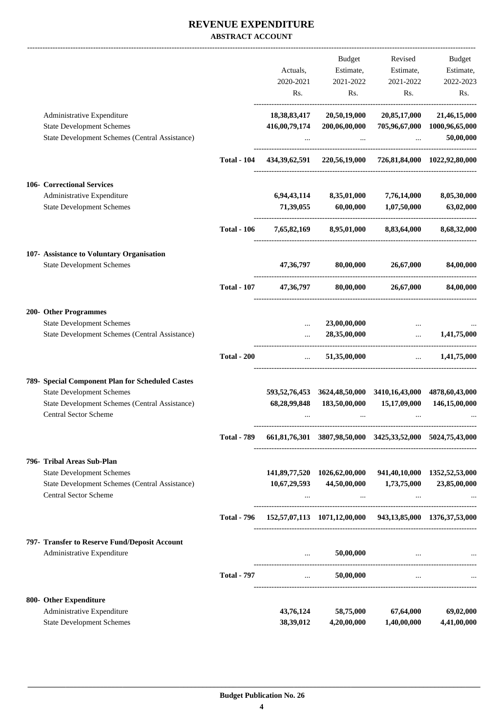### **REVENUE EXPENDITURE ABSTRACT ACCOUNT**

|                                                                                |                    |               | Budget                                                      | Revised                                                    | Budget                       |
|--------------------------------------------------------------------------------|--------------------|---------------|-------------------------------------------------------------|------------------------------------------------------------|------------------------------|
|                                                                                |                    | Actuals,      | Estimate,                                                   | Estimate,                                                  | Estimate,                    |
|                                                                                |                    | 2020-2021     | 2021-2022                                                   | 2021-2022                                                  | 2022-2023                    |
|                                                                                |                    | Rs.           | Rs.                                                         | Rs.                                                        | Rs.                          |
| Administrative Expenditure                                                     |                    | 18,38,83,417  | 20,50,19,000                                                | 20,85,17,000                                               | 21,46,15,000                 |
| <b>State Development Schemes</b>                                               |                    | 416,00,79,174 | 200,06,00,000                                               |                                                            | 705,96,67,000 1000,96,65,000 |
| <b>State Development Schemes (Central Assistance)</b>                          |                    |               |                                                             | $\ddots$                                                   | 50,00,000                    |
|                                                                                | <b>Total - 104</b> |               |                                                             | 434,39,62,591 220,56,19,000 726,81,84,000 1022,92,80,000   |                              |
| <b>106- Correctional Services</b>                                              |                    |               |                                                             |                                                            |                              |
| Administrative Expenditure                                                     |                    | 6,94,43,114   | 8,35,01,000                                                 | 7,76,14,000                                                | 8,05,30,000                  |
| <b>State Development Schemes</b>                                               |                    | 71,39,055     | 60,00,000                                                   | 1,07,50,000                                                | 63,02,000                    |
|                                                                                | <b>Total - 106</b> |               |                                                             | 7,65,82,169 8,95,01,000 8,83,64,000                        | 8,68,32,000                  |
| 107- Assistance to Voluntary Organisation                                      |                    |               |                                                             |                                                            |                              |
| <b>State Development Schemes</b>                                               |                    |               | 47,36,797 80,00,000 26,67,000                               |                                                            | 84,00,000                    |
|                                                                                | <b>Total - 107</b> | 47,36,797     | 80,00,000                                                   | 26,67,000                                                  | 84,00,000                    |
| 200- Other Programmes                                                          |                    |               |                                                             |                                                            |                              |
| <b>State Development Schemes</b>                                               |                    |               | 23,00,00,000                                                |                                                            |                              |
| State Development Schemes (Central Assistance)                                 |                    |               | 28,35,00,000                                                | $\ddotsc$<br>---------------------------                   | 1,41,75,000                  |
|                                                                                | <b>Total - 200</b> | $\ddots$      | 51,35,00,000                                                |                                                            | $\dots$ 1,41,75,000          |
| 789- Special Component Plan for Scheduled Castes                               |                    |               |                                                             |                                                            |                              |
| <b>State Development Schemes</b>                                               |                    |               |                                                             | 593,52,76,453 3624,48,50,000 3410,16,43,000                | 4878,60,43,000               |
| <b>State Development Schemes (Central Assistance)</b>                          |                    | 68,28,99,848  | 183,50,00,000                                               | 15,17,09,000                                               | 146,15,00,000                |
| <b>Central Sector Scheme</b>                                                   |                    |               |                                                             |                                                            |                              |
|                                                                                | <b>Total - 789</b> |               |                                                             | 661,81,76,301 3807,98,50,000 3425,33,52,000 5024,75,43,000 |                              |
| 796- Tribal Areas Sub-Plan                                                     |                    |               |                                                             |                                                            |                              |
| <b>State Development Schemes</b>                                               |                    |               |                                                             | 141,89,77,520 1026,62,00,000 941,40,10,000 1352,52,53,000  |                              |
| State Development Schemes (Central Assistance)<br><b>Central Sector Scheme</b> |                    | 10,67,29,593  | 44,50,00,000                                                | 1,73,75,000                                                | 23,85,00,000                 |
|                                                                                | <b>Total - 796</b> |               |                                                             | 152,57,07,113 1071,12,00,000 943,13,85,000 1376,37,53,000  |                              |
| 797- Transfer to Reserve Fund/Deposit Account                                  |                    |               |                                                             |                                                            |                              |
| Administrative Expenditure                                                     |                    |               | 50,00,000<br><b>ALCOHOL:</b>                                | and the contract of the contract of the contract of the    |                              |
|                                                                                | <b>Total - 797</b> |               | 50,00,000<br>$\mathbf{r}$ and $\mathbf{r}$ and $\mathbf{r}$ | $\cdots$                                                   |                              |
| 800- Other Expenditure                                                         |                    |               |                                                             |                                                            |                              |
| Administrative Expenditure                                                     |                    | 43,76,124     | 58,75,000                                                   | 67,64,000                                                  | 69,02,000                    |
| <b>State Development Schemes</b>                                               |                    | 38,39,012     | 4,20,00,000                                                 | 1,40,00,000                                                | 4,41,00,000                  |
|                                                                                |                    |               |                                                             |                                                            |                              |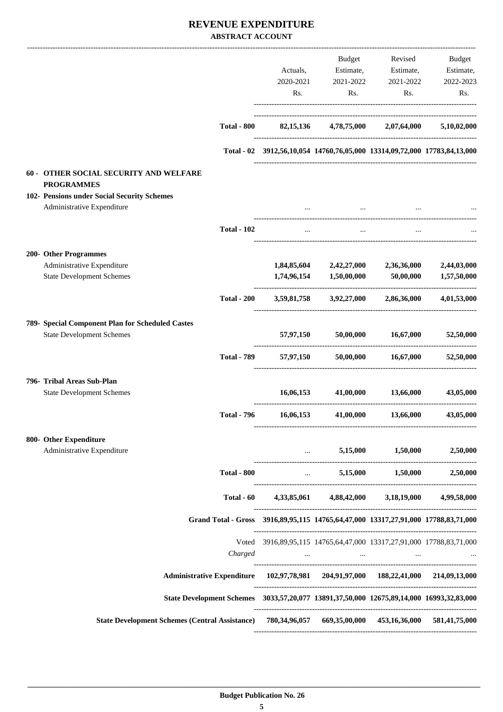### **REVENUE EXPENDITURE ABSTRACT ACCOUNT**

|                                                                                                        |                    |             | Budget                                         | Revised                                                                                                          | <b>Budget</b> |
|--------------------------------------------------------------------------------------------------------|--------------------|-------------|------------------------------------------------|------------------------------------------------------------------------------------------------------------------|---------------|
|                                                                                                        |                    | Actuals,    | Estimate,                                      | Estimate,                                                                                                        | Estimate,     |
|                                                                                                        |                    | 2020-2021   | 2021-2022                                      | 2021-2022                                                                                                        | 2022-2023     |
|                                                                                                        |                    | Rs.         | Rs.                                            | Rs.                                                                                                              | Rs.           |
|                                                                                                        | <b>Total - 800</b> | 82, 15, 136 |                                                | 4,78,75,000 2,07,64,000                                                                                          | 5,10,02,000   |
|                                                                                                        |                    |             |                                                |                                                                                                                  |               |
|                                                                                                        |                    |             |                                                | Total - 02 3912,56,10,054 14760,76,05,000 13314,09,72,000 17783,84,13,000                                        |               |
| <b>60 - OTHER SOCIAL SECURITY AND WELFARE</b><br><b>PROGRAMMES</b>                                     |                    |             |                                                |                                                                                                                  |               |
| 102- Pensions under Social Security Schemes                                                            |                    |             |                                                |                                                                                                                  |               |
| Administrative Expenditure                                                                             |                    |             |                                                |                                                                                                                  |               |
|                                                                                                        | <b>Total - 102</b> | $\cdots$    | $\cdots$                                       |                                                                                                                  |               |
| 200- Other Programmes                                                                                  |                    |             |                                                |                                                                                                                  |               |
| Administrative Expenditure                                                                             |                    |             |                                                | $1,84,85,604$ $2,42,27,000$ $2,36,36,000$                                                                        | 2,44,03,000   |
| <b>State Development Schemes</b>                                                                       |                    | 1,74,96,154 | $1,\!50,\!00,\!000$                            | 50,00,000                                                                                                        | 1,57,50,000   |
|                                                                                                        | <b>Total - 200</b> |             | 3,59,81,758 3,92,27,000                        | 2,86,36,000                                                                                                      | 4,01,53,000   |
| 789- Special Component Plan for Scheduled Castes                                                       |                    |             |                                                |                                                                                                                  |               |
| <b>State Development Schemes</b>                                                                       |                    | 57,97,150   | 50,00,000                                      | 16,67,000                                                                                                        | 52,50,000     |
|                                                                                                        | <b>Total - 789</b> | 57,97,150   |                                                | 50,00,000 16,67,000                                                                                              | 52,50,000     |
| 796- Tribal Areas Sub-Plan                                                                             |                    |             |                                                |                                                                                                                  |               |
| <b>State Development Schemes</b>                                                                       |                    | 16,06,153   | 41,00,000                                      | 13,66,000                                                                                                        | 43,05,000     |
|                                                                                                        | <b>Total - 796</b> | 16,06,153   | 41,00,000                                      | 13,66,000                                                                                                        | 43,05,000     |
| 800- Other Expenditure                                                                                 |                    |             |                                                |                                                                                                                  |               |
| Administrative Expenditure                                                                             |                    |             | $\mathbf{m}$ and $\mathbf{m}$ and $\mathbf{m}$ | 5,15,000 1,50,000                                                                                                | 2,50,000      |
|                                                                                                        | <b>Total - 800</b> |             |                                                | $\ldots$ 5,15,000 1,50,000 2,50,000                                                                              |               |
|                                                                                                        | Total - 60         |             |                                                | 4,33,85,061 4,88,42,000 3,18,19,000 4,99,58,000                                                                  |               |
|                                                                                                        |                    |             |                                                | Grand Total - Gross 3916, 89, 95, 115 14765, 64, 47, 000 13317, 27, 91, 000 17788, 83, 71, 000                   |               |
|                                                                                                        |                    |             |                                                | Voted 3916,89,95,115 14765,64,47,000 13317,27,91,000 17788,83,71,000                                             |               |
|                                                                                                        | Charged            |             |                                                | and the company of the company of the company of the company of the company of the company of the company of the |               |
| Administrative Expenditure 102,97,78,981 204,91,97,000 188,22,41,000 214,09,13,000                     |                    |             |                                                |                                                                                                                  |               |
| State Development Schemes 3033,57,20,077 13891,37,50,000 12675,89,14,000 16993,32,83,000               |                    |             |                                                |                                                                                                                  |               |
| State Development Schemes (Central Assistance) 780,34,96,057 669,35,00,000 453,16,36,000 581,41,75,000 |                    |             |                                                |                                                                                                                  |               |
|                                                                                                        |                    |             |                                                |                                                                                                                  |               |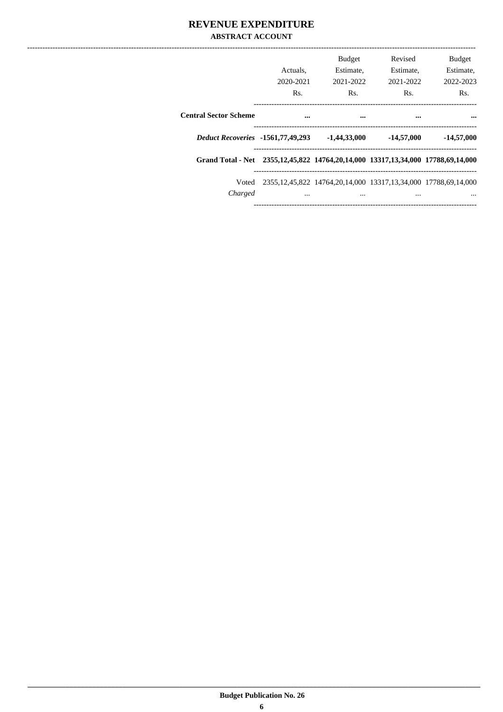### **REVENUE EXPENDITURE ABSTRACT ACCOUNT**

|                                                                                  | Actuals.<br>2020-2021<br>Rs. | <b>Budget</b><br>Estimate,<br>2021-2022<br>Rs.                                 | Revised<br>Estimate,<br>2021-2022<br>Rs. | <b>Budget</b><br>Estimate,<br>2022-2023<br>Rs. |
|----------------------------------------------------------------------------------|------------------------------|--------------------------------------------------------------------------------|------------------------------------------|------------------------------------------------|
| <b>Central Sector Scheme</b>                                                     |                              |                                                                                |                                          |                                                |
| <b>Deduct Recoveries</b> -1561,77,49,293                                         |                              | $-1,44,33,000$                                                                 | $-14,57,000$                             | $-14,57,000$                                   |
| Grand Total - Net 2355,12,45,822 14764,20,14,000 13317,13,34,000 17788,69,14,000 |                              |                                                                                |                                          |                                                |
| Voted<br>Charged                                                                 |                              | 2355, 12, 45, 822 14764, 20, 14, 000 13317, 13, 34, 000 17788, 69, 14, 000<br> |                                          |                                                |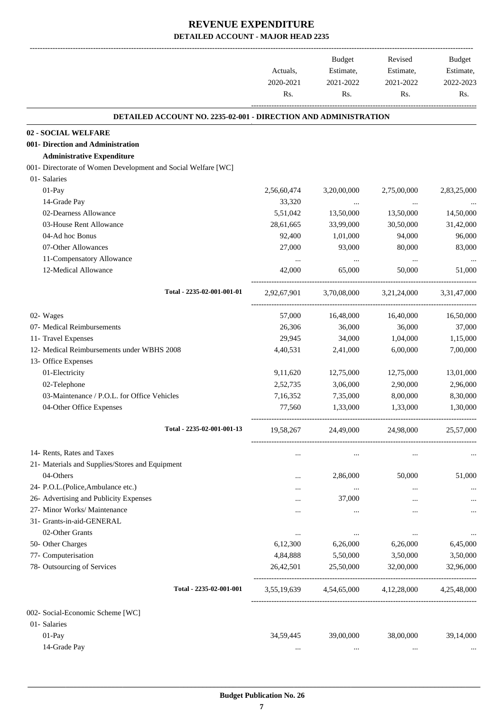-------------------------------------------------------------------------------------------------------------------------------------------------------------------------------

|                                                                 | Actuals,<br>2020-2021 | <b>Budget</b><br>Estimate,<br>2021-2022 | Revised<br>Estimate,<br>2021-2022 | <b>Budget</b><br>Estimate,<br>2022-2023 |
|-----------------------------------------------------------------|-----------------------|-----------------------------------------|-----------------------------------|-----------------------------------------|
|                                                                 | Rs.                   | Rs.                                     | Rs.                               | Rs.                                     |
| DETAILED ACCOUNT NO. 2235-02-001 - DIRECTION AND ADMINISTRATION |                       |                                         |                                   |                                         |
| 02 - SOCIAL WELFARE                                             |                       |                                         |                                   |                                         |
| 001- Direction and Administration                               |                       |                                         |                                   |                                         |
| <b>Administrative Expenditure</b>                               |                       |                                         |                                   |                                         |
| 001- Directorate of Women Development and Social Welfare [WC]   |                       |                                         |                                   |                                         |
| 01- Salaries                                                    |                       |                                         |                                   |                                         |
| $01-Pay$                                                        | 2,56,60,474           | 3,20,00,000                             | 2,75,00,000                       | 2,83,25,000                             |
| 14-Grade Pay                                                    | 33,320                | $\cdots$                                | $\cdots$                          |                                         |
| 02-Dearness Allowance                                           | 5,51,042              | 13,50,000                               | 13,50,000                         | 14,50,000                               |
| 03-House Rent Allowance                                         | 28,61,665             | 33,99,000                               | 30,50,000                         | 31,42,000                               |
| 04-Ad hoc Bonus                                                 | 92,400                | 1,01,000                                | 94,000                            | 96,000                                  |
| 07-Other Allowances                                             | 27,000                | 93,000                                  | 80,000                            | 83,000                                  |
| 11-Compensatory Allowance                                       | $\cdots$              | $\cdots$                                | $\ldots$                          |                                         |
| 12-Medical Allowance                                            | 42,000                | 65,000                                  | 50,000                            | 51,000                                  |
| Total - 2235-02-001-001-01                                      | 2,92,67,901           | 3,70,08,000                             | 3,21,24,000                       | 3,31,47,000                             |
| 02- Wages                                                       | 57,000                | 16,48,000                               | 16,40,000                         | 16,50,000                               |
| 07- Medical Reimbursements                                      | 26,306                | 36,000                                  | 36,000                            | 37,000                                  |
| 11- Travel Expenses                                             | 29,945                | 34,000                                  | 1,04,000                          | 1,15,000                                |
| 12- Medical Reimbursements under WBHS 2008                      | 4,40,531              | 2,41,000                                | 6,00,000                          | 7,00,000                                |
| 13- Office Expenses                                             |                       |                                         |                                   |                                         |
| 01-Electricity                                                  | 9,11,620              | 12,75,000                               | 12,75,000                         | 13,01,000                               |
| 02-Telephone                                                    | 2,52,735              | 3,06,000                                | 2,90,000                          | 2,96,000                                |
| 03-Maintenance / P.O.L. for Office Vehicles                     | 7,16,352              | 7,35,000                                | 8,00,000                          | 8,30,000                                |
| 04-Other Office Expenses                                        | 77,560                | 1,33,000                                | 1,33,000                          | 1,30,000                                |
| Total - 2235-02-001-001-13                                      | 19,58,267             | 24,49,000                               | 24,98,000                         | 25,57,000                               |
| 14- Rents, Rates and Taxes                                      |                       | $\cdots$                                |                                   |                                         |
| 21- Materials and Supplies/Stores and Equipment                 |                       |                                         |                                   |                                         |
| 04-Others                                                       |                       | 2,86,000                                | 50,000                            | 51,000                                  |
| 24- P.O.L.(Police, Ambulance etc.)                              |                       | $\ldots$                                |                                   |                                         |
| 26- Advertising and Publicity Expenses                          |                       | 37,000                                  |                                   |                                         |
| 27- Minor Works/ Maintenance                                    |                       |                                         |                                   |                                         |
| 31- Grants-in-aid-GENERAL                                       |                       |                                         |                                   |                                         |
| 02-Other Grants                                                 | $\cdots$              |                                         |                                   |                                         |
| 50- Other Charges                                               | 6,12,300              | 6,26,000                                | 6,26,000                          | 6,45,000                                |
| 77- Computerisation                                             | 4,84,888              | 5,50,000                                | 3,50,000                          | 3,50,000                                |
| 78- Outsourcing of Services                                     | 26,42,501             | 25,50,000                               | 32,00,000                         | 32,96,000                               |
| Total - 2235-02-001-001                                         | 3,55,19,639           | 4,54,65,000                             | 4,12,28,000                       | 4,25,48,000                             |
| 002- Social-Economic Scheme [WC]                                |                       |                                         |                                   |                                         |
| 01- Salaries                                                    |                       |                                         |                                   |                                         |
| 01-Pay                                                          | 34,59,445             | 39,00,000                               | 38,00,000                         | 39,14,000                               |
| 14-Grade Pay                                                    | $\cdots$              |                                         | $\cdots$                          |                                         |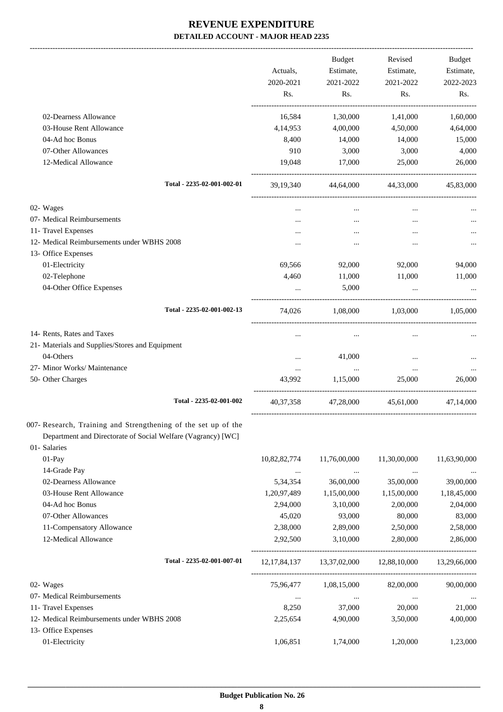|                                                                | Actuals,<br>2020-2021 | Budget<br>Estimate,<br>2021-2022 | Revised<br>Estimate,<br>2021-2022                   | Budget<br>Estimate,<br>2022-2023 |
|----------------------------------------------------------------|-----------------------|----------------------------------|-----------------------------------------------------|----------------------------------|
|                                                                | Rs.                   | Rs.                              | Rs.                                                 | Rs.                              |
| 02-Dearness Allowance                                          | 16,584                | 1,30,000                         | 1,41,000                                            | 1,60,000                         |
| 03-House Rent Allowance                                        | 4,14,953              | 4,00,000                         | 4,50,000                                            | 4,64,000                         |
| 04-Ad hoc Bonus                                                | 8,400                 | 14,000                           | 14,000                                              | 15,000                           |
| 07-Other Allowances                                            | 910                   | 3,000                            | 3,000                                               | 4,000                            |
| 12-Medical Allowance                                           | 19,048                | 17,000                           | 25,000                                              | 26,000                           |
| Total - 2235-02-001-002-01                                     |                       |                                  | 39,19,340 44,64,000 44,33,000                       | 45,83,000                        |
| 02- Wages                                                      | $\cdots$              | $\cdots$                         | $\cdots$                                            |                                  |
| 07- Medical Reimbursements                                     |                       |                                  |                                                     |                                  |
| 11- Travel Expenses                                            |                       | $\cdots$                         | $\cdots$                                            |                                  |
| 12- Medical Reimbursements under WBHS 2008                     |                       |                                  |                                                     |                                  |
| 13- Office Expenses                                            |                       |                                  |                                                     |                                  |
| 01-Electricity                                                 | 69,566                | 92,000                           | 92,000                                              | 94,000                           |
| 02-Telephone                                                   | 4,460                 | 11,000                           | 11,000                                              | 11,000                           |
| 04-Other Office Expenses                                       |                       | 5,000                            | $\cdots$                                            |                                  |
| Total - 2235-02-001-002-13                                     | 74,026                |                                  | $1,08,000$ $1,03,000$ $1,05,000$                    |                                  |
| 14- Rents, Rates and Taxes                                     |                       |                                  |                                                     |                                  |
| 21- Materials and Supplies/Stores and Equipment                |                       |                                  |                                                     |                                  |
| 04-Others                                                      |                       | 41,000                           |                                                     |                                  |
| 27- Minor Works/ Maintenance                                   | $\cdots$              | $\cdots$                         | $\cdots$                                            |                                  |
| 50- Other Charges                                              | 43,992                | 1,15,000                         | 25,000                                              | 26,000                           |
| Total - 2235-02-001-002                                        |                       |                                  | 40,37,358 47,28,000 45,61,000 47,14,000             |                                  |
| 007- Research, Training and Strengthening of the set up of the |                       |                                  |                                                     |                                  |
| Department and Directorate of Social Welfare (Vagrancy) [WC]   |                       |                                  |                                                     |                                  |
| 01- Salaries<br>01-Pay                                         | 10,82,82,774          | 11,76,00,000                     | 11,30,00,000                                        | 11,63,90,000                     |
| 14-Grade Pay                                                   |                       |                                  |                                                     |                                  |
| 02-Dearness Allowance                                          | $\cdots$<br>5,34,354  | $\ldots$<br>36,00,000            | $\cdots$<br>35,00,000                               | 39,00,000                        |
| 03-House Rent Allowance                                        | 1,20,97,489           | 1,15,00,000                      | 1,15,00,000                                         | 1,18,45,000                      |
| 04-Ad hoc Bonus                                                | 2,94,000              | 3,10,000                         | 2,00,000                                            | 2,04,000                         |
| 07-Other Allowances                                            | 45,020                | 93,000                           | 80,000                                              | 83,000                           |
| 11-Compensatory Allowance                                      | 2,38,000              | 2,89,000                         | 2,50,000                                            | 2,58,000                         |
| 12-Medical Allowance                                           | 2,92,500              | 3,10,000                         | 2,80,000                                            | 2,86,000                         |
| Total - 2235-02-001-007-01                                     |                       |                                  | 12,17,84,137 13,37,02,000 12,88,10,000 13,29,66,000 |                                  |
| 02- Wages                                                      |                       | 75,96,477 1,08,15,000            | 82,00,000                                           | 90,00,000                        |
| 07- Medical Reimbursements                                     | $\cdots$              | $\ldots$                         | $\cdots$                                            | $\cdots$                         |
| 11- Travel Expenses                                            | 8,250                 | 37,000                           | 20,000                                              | 21,000                           |
| 12- Medical Reimbursements under WBHS 2008                     | 2,25,654              | 4,90,000                         | 3,50,000                                            | 4,00,000                         |
| 13- Office Expenses                                            |                       |                                  |                                                     |                                  |
| 01-Electricity                                                 | 1,06,851              | 1,74,000                         | 1,20,000                                            | 1,23,000                         |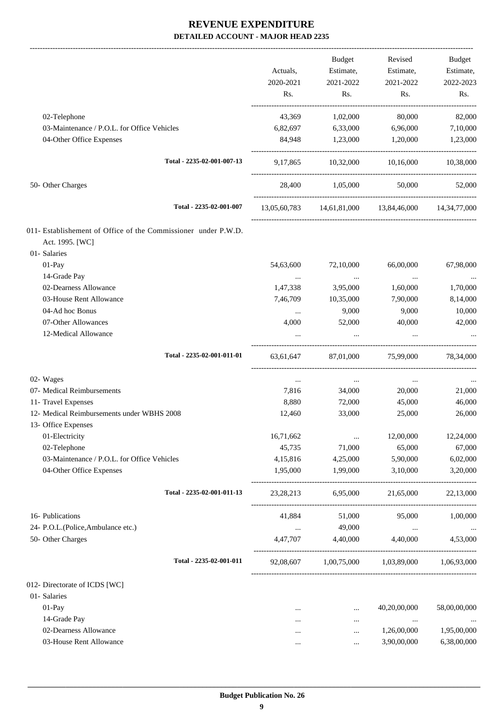-------------------------------------------------------------------------------------------------------------------------------------------------------------------------------

|                                                                                   | Actuals,<br>2020-2021<br>Rs. | <b>Budget</b><br>Estimate,<br>2021-2022<br>Rs. | Revised<br>Estimate,<br>2021-2022<br>Rs.            | <b>Budget</b><br>Estimate,<br>2022-2023<br>Rs. |
|-----------------------------------------------------------------------------------|------------------------------|------------------------------------------------|-----------------------------------------------------|------------------------------------------------|
| 02-Telephone                                                                      | 43,369                       | 1,02,000                                       | 80,000                                              | 82,000                                         |
| 03-Maintenance / P.O.L. for Office Vehicles                                       | 6,82,697                     | 6,33,000                                       | 6,96,000                                            | 7,10,000                                       |
| 04-Other Office Expenses                                                          | 84,948                       | 1,23,000                                       | 1,20,000                                            | 1,23,000                                       |
| Total - 2235-02-001-007-13                                                        | 9, 17, 865                   |                                                | 10,32,000 10,16,000                                 | 10,38,000                                      |
| 50- Other Charges                                                                 |                              | 28,400 1,05,000                                | 50,000                                              | 52,000                                         |
| Total - 2235-02-001-007                                                           |                              |                                                | 13,05,60,783 14,61,81,000 13,84,46,000 14,34,77,000 |                                                |
| 011- Establishement of Office of the Commissioner under P.W.D.<br>Act. 1995. [WC] |                              |                                                |                                                     |                                                |
| 01- Salaries                                                                      |                              |                                                |                                                     |                                                |
| 01-Pay<br>14-Grade Pay                                                            | 54,63,600                    | 72,10,000                                      | 66,00,000                                           | 67,98,000                                      |
| 02-Dearness Allowance                                                             | $\cdots$<br>1,47,338         | $\cdots$<br>3,95,000                           | $\cdots$<br>1,60,000                                | 1,70,000                                       |
| 03-House Rent Allowance                                                           | 7,46,709                     | 10,35,000                                      | 7,90,000                                            | 8,14,000                                       |
| 04-Ad hoc Bonus                                                                   | $\cdots$                     | 9,000                                          | 9,000                                               | 10,000                                         |
| 07-Other Allowances                                                               | 4,000                        | 52,000                                         | 40,000                                              | 42,000                                         |
| 12-Medical Allowance                                                              |                              | $\cdots$                                       | $\cdots$                                            |                                                |
| Total - 2235-02-001-011-01                                                        | 63,61,647                    | 87,01,000                                      | 75,99,000                                           | 78,34,000                                      |
| 02- Wages                                                                         | $\cdots$                     | $\ldots$                                       | $\cdots$                                            |                                                |
| 07- Medical Reimbursements                                                        | 7,816                        | 34,000                                         | 20,000                                              | 21,000                                         |
| 11- Travel Expenses                                                               | 8.880                        | 72,000                                         | 45,000                                              | 46,000                                         |
| 12- Medical Reimbursements under WBHS 2008                                        | 12,460                       | 33,000                                         | 25,000                                              | 26,000                                         |
| 13- Office Expenses                                                               |                              |                                                |                                                     |                                                |
| 01-Electricity                                                                    | 16,71,662                    | $\cdots$                                       | 12,00,000                                           | 12,24,000                                      |
| 02-Telephone                                                                      | 45,735                       | 71,000                                         | 65,000                                              | 67,000                                         |
| 03-Maintenance / P.O.L. for Office Vehicles                                       | 4,15,816                     | 4,25,000                                       | 5,90,000                                            | 6,02,000                                       |
| 04-Other Office Expenses                                                          | 1,95,000                     | 1,99,000                                       | 3,10,000                                            | 3,20,000                                       |
| Total - 2235-02-001-011-13                                                        | 23, 28, 213                  | 6,95,000                                       | 21,65,000                                           | 22,13,000                                      |
| 16- Publications                                                                  | 41.884                       | 51,000                                         | 95,000                                              | 1,00,000                                       |
| 24- P.O.L.(Police, Ambulance etc.)                                                | $\ldots$                     | 49,000                                         | $\cdots$                                            | $\ldots$                                       |
| 50- Other Charges                                                                 | 4,47,707                     | 4,40,000                                       | 4,40,000                                            | 4,53,000                                       |
| Total - 2235-02-001-011                                                           |                              |                                                | 92,08,607 1,00,75,000 1,03,89,000 1,06,93,000       |                                                |
| 012- Directorate of ICDS [WC]                                                     |                              |                                                |                                                     |                                                |
| 01- Salaries                                                                      |                              |                                                |                                                     |                                                |
| 01-Pay                                                                            | $\cdots$                     | $\cdots$                                       | 40,20,00,000                                        | 58,00,00,000                                   |
| 14-Grade Pay                                                                      | .                            | $\cdots$                                       | $\ldots$                                            |                                                |
| 02-Dearness Allowance                                                             |                              |                                                | 1,26,00,000                                         | 1,95,00,000                                    |
| 03-House Rent Allowance                                                           |                              | $\cdots$                                       | 3,90,00,000                                         | 6,38,00,000                                    |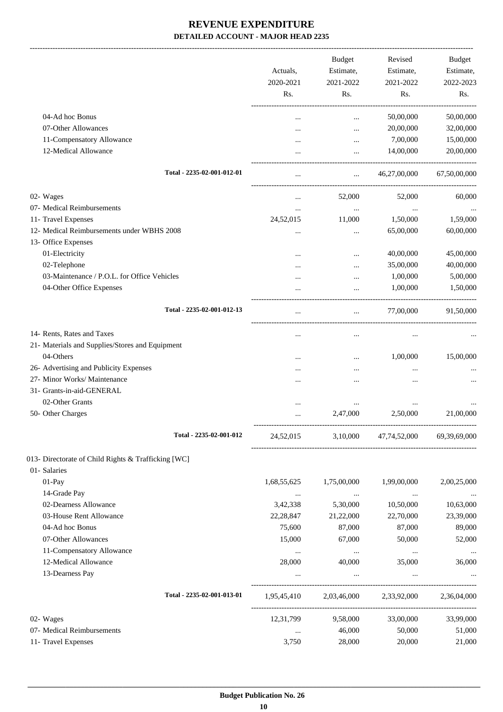-------------------------------------------------------------------------------------------------------------------------------------------------------------------------------

|                                                     | Actuals,<br>2020-2021<br>Rs. | <b>Budget</b><br>Estimate,<br>2021-2022<br>Rs. | Revised<br>Estimate,<br>2021-2022<br>Rs. | Budget<br>Estimate,<br>2022-2023<br>Rs. |
|-----------------------------------------------------|------------------------------|------------------------------------------------|------------------------------------------|-----------------------------------------|
| 04-Ad hoc Bonus                                     |                              |                                                |                                          |                                         |
| 07-Other Allowances                                 |                              | $\cdots$                                       | 50,00,000<br>20,00,000                   | 50,00,000<br>32,00,000                  |
| 11-Compensatory Allowance                           |                              | $\cdots$                                       | 7,00,000                                 | 15,00,000                               |
| 12-Medical Allowance                                |                              | $\cdots$<br>$\cdots$                           | 14,00,000                                | 20,00,000                               |
| Total - 2235-02-001-012-01                          | $\cdots$                     | $\cdots$                                       | 46,27,00,000                             | 67,50,00,000                            |
| 02- Wages                                           | $\cdots$                     | 52,000                                         | 52,000                                   | 60,000                                  |
| 07- Medical Reimbursements                          |                              | $\cdots$                                       | $\cdots$                                 |                                         |
| 11- Travel Expenses                                 | 24,52,015                    | 11,000                                         | 1,50,000                                 | 1,59,000                                |
| 12- Medical Reimbursements under WBHS 2008          |                              |                                                | 65,00,000                                | 60,00,000                               |
| 13- Office Expenses                                 |                              |                                                |                                          |                                         |
| 01-Electricity                                      |                              |                                                | 40,00,000                                | 45,00,000                               |
| 02-Telephone                                        |                              | $\cdots$                                       | 35,00,000                                | 40,00,000                               |
| 03-Maintenance / P.O.L. for Office Vehicles         |                              | $\cdots$                                       | 1,00,000                                 | 5,00,000                                |
| 04-Other Office Expenses                            |                              | $\ddotsc$                                      | 1,00,000                                 | 1,50,000                                |
| Total - 2235-02-001-012-13                          |                              |                                                | 77,00,000                                | 91,50,000                               |
| 14- Rents, Rates and Taxes                          |                              |                                                | $\cdots$                                 |                                         |
| 21- Materials and Supplies/Stores and Equipment     |                              |                                                |                                          |                                         |
| 04-Others                                           |                              | $\cdots$                                       | 1,00,000                                 | 15,00,000                               |
| 26- Advertising and Publicity Expenses              |                              |                                                | $\cdots$                                 |                                         |
| 27- Minor Works/ Maintenance                        |                              |                                                |                                          |                                         |
| 31- Grants-in-aid-GENERAL                           |                              |                                                |                                          |                                         |
| 02-Other Grants                                     |                              |                                                | $\cdots$                                 |                                         |
| 50- Other Charges                                   |                              | 2,47,000                                       | 2,50,000                                 | 21,00,000                               |
| Total - 2235-02-001-012                             | 24,52,015                    |                                                | 3,10,000 47,74,52,000 69,39,69,000       |                                         |
| 013- Directorate of Child Rights & Trafficking [WC] |                              |                                                |                                          |                                         |
| 01- Salaries                                        |                              |                                                |                                          |                                         |
| 01-Pay                                              | 1,68,55,625                  | 1,75,00,000                                    | 1,99,00,000                              | 2,00,25,000                             |
| 14-Grade Pay<br>02-Dearness Allowance               | $\cdots$                     | $\ldots$                                       | $\cdots$                                 |                                         |
| 03-House Rent Allowance                             | 3,42,338<br>22, 28, 847      | 5,30,000                                       | 10,50,000<br>22,70,000                   | 10,63,000<br>23,39,000                  |
| 04-Ad hoc Bonus                                     | 75,600                       | 21,22,000<br>87,000                            | 87,000                                   | 89,000                                  |
| 07-Other Allowances                                 | 15,000                       | 67,000                                         | 50,000                                   | 52,000                                  |
| 11-Compensatory Allowance                           |                              |                                                |                                          |                                         |
| 12-Medical Allowance                                | $\cdots$<br>28,000           | $\cdots$<br>40,000                             | $\ldots$<br>35,000                       | $\ldots$<br>36,000                      |
| 13-Dearness Pay                                     |                              | $\cdots$                                       | $\ldots$                                 |                                         |
| Total - 2235-02-001-013-01                          |                              |                                                | 1,95,45,410 2,03,46,000 2,33,92,000      | 2,36,04,000                             |
| 02- Wages                                           | 12,31,799                    | 9,58,000                                       | 33,00,000                                | 33,99,000                               |
| 07- Medical Reimbursements                          | $\cdots$                     | 46,000                                         | 50,000                                   | 51,000                                  |
| 11- Travel Expenses                                 | 3,750                        | 28,000                                         | 20,000                                   | 21,000                                  |
|                                                     |                              |                                                |                                          |                                         |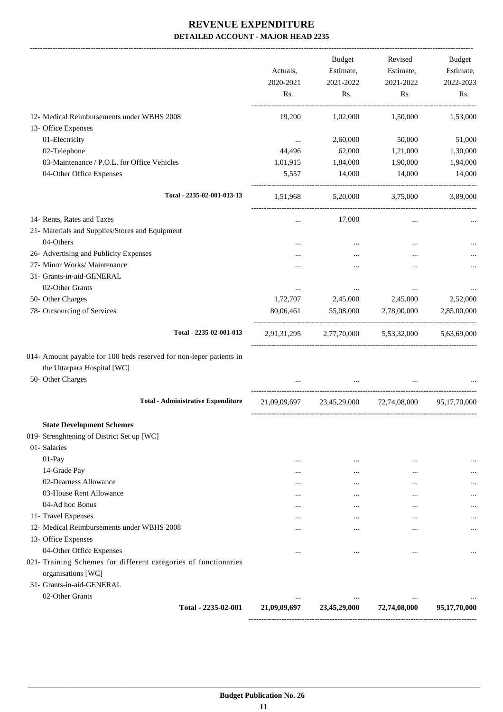-------------------------------------------------------------------------------------------------------------------------------------------------------------------------------

|                                                                     | Actuals,<br>2020-2021 | <b>Budget</b><br>Estimate,<br>2021-2022 | Revised<br>Estimate,<br>2021-2022 | <b>Budget</b><br>Estimate,<br>2022-2023 |
|---------------------------------------------------------------------|-----------------------|-----------------------------------------|-----------------------------------|-----------------------------------------|
|                                                                     | Rs.                   | Rs.                                     | Rs.                               | Rs.                                     |
| 12- Medical Reimbursements under WBHS 2008                          | 19,200                | 1,02,000                                | 1,50,000                          | 1,53,000                                |
| 13- Office Expenses                                                 |                       |                                         |                                   |                                         |
| 01-Electricity                                                      | $\cdots$              | 2,60,000                                | 50,000                            | 51,000                                  |
| 02-Telephone                                                        | 44,496                | 62,000                                  | 1,21,000                          | 1,30,000                                |
| 03-Maintenance / P.O.L. for Office Vehicles                         | 1,01,915              | 1,84,000                                | 1,90,000                          | 1,94,000                                |
| 04-Other Office Expenses                                            | 5,557                 | 14,000                                  | 14,000                            | 14,000                                  |
| Total - 2235-02-001-013-13                                          | 1,51,968              |                                         | 5,20,000 3,75,000                 | 3,89,000                                |
| 14- Rents, Rates and Taxes                                          | $\cdots$              | 17,000                                  | $\cdots$                          |                                         |
| 21- Materials and Supplies/Stores and Equipment                     |                       |                                         |                                   |                                         |
| 04-Others                                                           | $\cdots$              | $\cdots$                                | $\cdots$                          |                                         |
| 26- Advertising and Publicity Expenses                              |                       |                                         |                                   |                                         |
| 27- Minor Works/ Maintenance                                        |                       |                                         |                                   |                                         |
| 31- Grants-in-aid-GENERAL                                           |                       |                                         |                                   |                                         |
| 02-Other Grants                                                     | $\cdots$              | $\cdots$                                | $\cdots$                          |                                         |
| 50- Other Charges                                                   | 1,72,707              | 2,45,000                                | 2,45,000                          | 2,52,000                                |
| 78- Outsourcing of Services                                         | 80,06,461             | 55,08,000                               | 2,78,00,000                       | 2,85,00,000                             |
| Total - 2235-02-001-013                                             | 2,91,31,295           | 2,77,70,000                             | 5,53,32,000                       | 5,63,69,000                             |
| 014- Amount payable for 100 beds reserved for non-leper patients in |                       |                                         |                                   |                                         |
| the Uttarpara Hospital [WC]                                         |                       |                                         |                                   |                                         |
| 50- Other Charges                                                   |                       |                                         |                                   |                                         |
| <b>Total - Administrative Expenditure</b>                           | 21,09,09,697          |                                         | 23,45,29,000 72,74,08,000         | 95, 17, 70, 000                         |
| <b>State Development Schemes</b>                                    |                       |                                         |                                   |                                         |
| 019- Strenghtening of District Set up [WC]                          |                       |                                         |                                   |                                         |
| 01- Salaries                                                        |                       |                                         |                                   |                                         |
| $01-Pay$                                                            | $\cdots$              | $\cdots$                                | $\cdots$                          | $\cdots$                                |
| 14-Grade Pay                                                        | $\cdots$              | $\cdots$                                | $\cdots$                          |                                         |
| 02-Dearness Allowance                                               | $\cdots$              | $\cdots$                                | $\cdots$                          |                                         |
| 03-House Rent Allowance                                             | $\cdots$              | $\cdots$                                | $\cdots$                          |                                         |
| 04-Ad hoc Bonus                                                     | $\cdots$              | $\cdots$                                | $\cdots$                          |                                         |
| 11- Travel Expenses                                                 | $\cdots$              | $\cdots$                                | $\cdots$                          |                                         |
| 12- Medical Reimbursements under WBHS 2008                          | $\cdots$              | $\cdots$                                | $\cdots$                          |                                         |
| 13- Office Expenses                                                 |                       |                                         |                                   |                                         |
| 04-Other Office Expenses                                            | $\cdots$              | $\cdots$                                |                                   |                                         |
| 021- Training Schemes for different categories of functionaries     |                       |                                         |                                   |                                         |
| organisations [WC]<br>31- Grants-in-aid-GENERAL                     |                       |                                         |                                   |                                         |
| 02-Other Grants                                                     |                       |                                         |                                   |                                         |
| Total - 2235-02-001                                                 | 21,09,09,697          | 23,45,29,000                            | 72,74,08,000                      | 95,17,70,000                            |
|                                                                     |                       |                                         |                                   |                                         |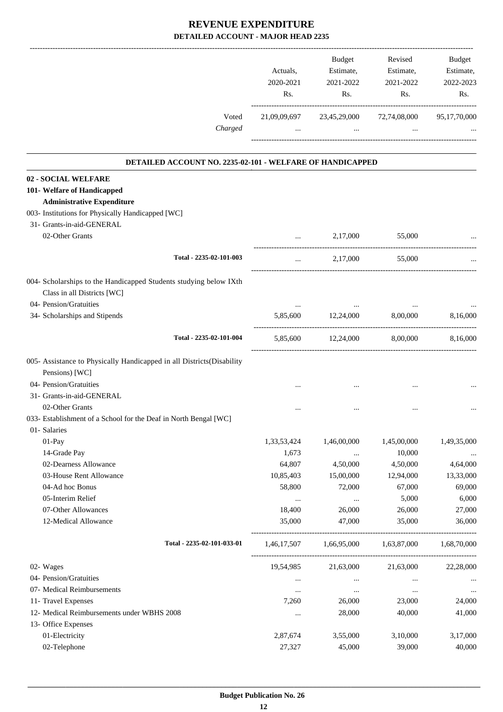|                                                                                        |                            | Actuals,<br>2020-2021<br>Rs. | Budget<br>Estimate,<br>2021-2022<br>Rs. | Revised<br>Estimate,<br>2021-2022<br>Rs. | Budget<br>Estimate,<br>2022-2023<br>Rs. |
|----------------------------------------------------------------------------------------|----------------------------|------------------------------|-----------------------------------------|------------------------------------------|-----------------------------------------|
|                                                                                        | Voted<br>Charged           | 21,09,09,697                 | 23,45,29,000<br>$\cdots$                | 72,74,08,000                             | 95,17,70,000                            |
|                                                                                        |                            |                              |                                         |                                          |                                         |
| DETAILED ACCOUNT NO. 2235-02-101 - WELFARE OF HANDICAPPED                              |                            |                              |                                         |                                          |                                         |
| 02 - SOCIAL WELFARE                                                                    |                            |                              |                                         |                                          |                                         |
| 101- Welfare of Handicapped                                                            |                            |                              |                                         |                                          |                                         |
| <b>Administrative Expenditure</b><br>003- Institutions for Physically Handicapped [WC] |                            |                              |                                         |                                          |                                         |
| 31- Grants-in-aid-GENERAL                                                              |                            |                              |                                         |                                          |                                         |
| 02-Other Grants                                                                        |                            |                              | 2,17,000                                | 55,000                                   |                                         |
|                                                                                        |                            | $\cdots$                     |                                         |                                          |                                         |
|                                                                                        | Total - 2235-02-101-003    | $\cdots$                     | 2,17,000                                | 55,000                                   |                                         |
| 004- Scholarships to the Handicapped Students studying below IXth                      |                            |                              |                                         |                                          |                                         |
| Class in all Districts [WC]                                                            |                            |                              |                                         |                                          |                                         |
| 04- Pension/Gratuities                                                                 |                            | $\cdots$                     | $\cdots$                                | $\cdots$                                 |                                         |
| 34- Scholarships and Stipends                                                          |                            | 5,85,600                     | 12,24,000                               | 8,00,000                                 | 8,16,000                                |
|                                                                                        | Total - 2235-02-101-004    |                              | 5,85,600 12,24,000                      | 8,00,000                                 | 8,16,000                                |
| 005- Assistance to Physically Handicapped in all Districts(Disability                  |                            |                              |                                         |                                          |                                         |
| Pensions) [WC]                                                                         |                            |                              |                                         |                                          |                                         |
| 04- Pension/Gratuities                                                                 |                            |                              |                                         |                                          |                                         |
| 31- Grants-in-aid-GENERAL                                                              |                            |                              |                                         |                                          |                                         |
| 02-Other Grants                                                                        |                            | $\cdots$                     |                                         | $\cdots$                                 |                                         |
| 033- Establishment of a School for the Deaf in North Bengal [WC]                       |                            |                              |                                         |                                          |                                         |
| 01- Salaries                                                                           |                            |                              |                                         |                                          |                                         |
| 01-Pay                                                                                 |                            | 1,33,53,424                  | 1,46,00,000                             | 1,45,00,000                              | 1,49,35,000                             |
| 14-Grade Pay                                                                           |                            | 1,673                        | $\cdots$                                | 10,000                                   |                                         |
| 02-Dearness Allowance                                                                  |                            | 64,807                       | 4,50,000                                | 4,50,000                                 | 4,64,000                                |
| 03-House Rent Allowance                                                                |                            | 10,85,403                    | 15,00,000                               | 12,94,000                                | 13,33,000                               |
| 04-Ad hoc Bonus                                                                        |                            | 58,800                       | 72,000                                  | 67,000                                   | 69,000                                  |
| 05-Interim Relief                                                                      |                            | $\ldots$                     | $\ldots$                                | 5,000                                    | 6,000                                   |
| 07-Other Allowances                                                                    |                            | 18,400                       | 26,000                                  | 26,000                                   | 27,000                                  |
| 12-Medical Allowance                                                                   |                            | 35,000                       | 47,000                                  | 35,000                                   | 36,000                                  |
|                                                                                        | Total - 2235-02-101-033-01 | 1,46,17,507                  | 1,66,95,000                             | 1,63,87,000                              | 1,68,70,000                             |
| 02- Wages                                                                              |                            | 19,54,985                    | 21,63,000                               | 21,63,000                                | 22,28,000                               |
| 04- Pension/Gratuities                                                                 |                            | $\ldots$                     | $\cdots$                                | $\ldots$                                 |                                         |
| 07- Medical Reimbursements                                                             |                            | $\ldots$                     | $\cdots$                                | $\cdots$                                 | $\ldots$                                |
| 11- Travel Expenses                                                                    |                            | 7,260                        | 26,000                                  | 23,000                                   | 24,000                                  |
| 12- Medical Reimbursements under WBHS 2008                                             |                            | $\ldots$                     | 28,000                                  | 40,000                                   | 41,000                                  |
| 13- Office Expenses                                                                    |                            |                              |                                         |                                          |                                         |
| 01-Electricity                                                                         |                            | 2,87,674                     | 3,55,000                                | 3,10,000                                 | 3,17,000                                |
| 02-Telephone                                                                           |                            | 27,327                       | 45,000                                  | 39,000                                   | 40,000                                  |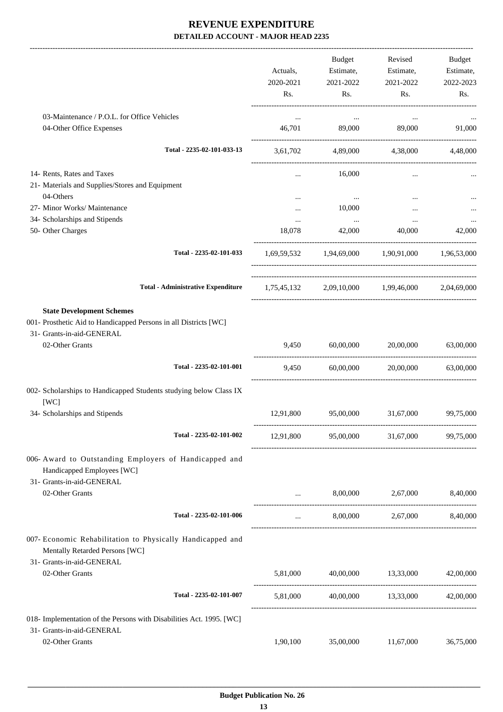|                                                                                                                                   | Actuals,<br>2020-2021 | Budget<br>Estimate,<br>2021-2022 | Revised<br>Estimate,<br>2021-2022               | Budget<br>Estimate,<br>2022-2023 |
|-----------------------------------------------------------------------------------------------------------------------------------|-----------------------|----------------------------------|-------------------------------------------------|----------------------------------|
|                                                                                                                                   | Rs.                   | Rs.                              | Rs.                                             | Rs.                              |
| 03-Maintenance / P.O.L. for Office Vehicles                                                                                       | $\cdots$              | $\cdots$                         | $\cdots$                                        |                                  |
| 04-Other Office Expenses                                                                                                          | 46,701                | 89,000                           | 89,000                                          | 91,000                           |
| Total - 2235-02-101-033-13                                                                                                        | 3,61,702              |                                  | 4,89,000 4,38,000                               | 4,48,000                         |
| 14- Rents, Rates and Taxes<br>21- Materials and Supplies/Stores and Equipment<br>04-Others                                        | $\cdots$              | 16,000<br>$\cdots$               | $\cdots$                                        |                                  |
| 27- Minor Works/ Maintenance                                                                                                      |                       | 10,000                           | $\cdots$                                        |                                  |
| 34- Scholarships and Stipends<br>50- Other Charges                                                                                | 18,078                | 42,000                           | $\cdots$<br>40,000                              | 42,000                           |
| Total - 2235-02-101-033                                                                                                           |                       |                                  | 1,69,59,532 1,94,69,000 1,90,91,000 1,96,53,000 |                                  |
| <b>Total - Administrative Expenditure</b>                                                                                         |                       |                                  | 1,75,45,132 2,09,10,000 1,99,46,000 2,04,69,000 |                                  |
| <b>State Development Schemes</b><br>001- Prosthetic Aid to Handicapped Persons in all Districts [WC]<br>31- Grants-in-aid-GENERAL |                       |                                  |                                                 |                                  |
| 02-Other Grants                                                                                                                   | 9,450                 | 60,00,000                        | 20,00,000                                       | 63,00,000                        |
| Total - 2235-02-101-001                                                                                                           | 9,450                 | 60,00,000                        | 20,00,000                                       | 63,00,000                        |
| 002- Scholarships to Handicapped Students studying below Class IX<br>[WC]                                                         |                       |                                  |                                                 |                                  |
| 34- Scholarships and Stipends                                                                                                     | 12,91,800             | 95,00,000                        | 31,67,000                                       | 99,75,000                        |
| Total - 2235-02-101-002                                                                                                           | 12,91,800             | 95,00,000                        | 31,67,000                                       | 99,75,000                        |
| 006- Award to Outstanding Employers of Handicapped and<br>Handicapped Employees [WC]                                              |                       |                                  |                                                 |                                  |
| 31- Grants-in-aid-GENERAL<br>02-Other Grants                                                                                      |                       |                                  | 8,00,000 2,67,000 8,40,000                      |                                  |
| Total - 2235-02-101-006                                                                                                           | $\cdots$              |                                  | 8,00,000 2,67,000 8,40,000                      |                                  |
| 007- Economic Rehabilitation to Physically Handicapped and<br>Mentally Retarded Persons [WC]                                      |                       |                                  |                                                 |                                  |
| 31- Grants-in-aid-GENERAL<br>02-Other Grants                                                                                      | 5,81,000              |                                  | 40,00,000 13,33,000                             | 42,00,000                        |
| Total - 2235-02-101-007                                                                                                           | 5,81,000              |                                  | 40,00,000 13,33,000                             | 42,00,000                        |
| 018- Implementation of the Persons with Disabilities Act. 1995. [WC]                                                              |                       |                                  |                                                 |                                  |
| 31- Grants-in-aid-GENERAL<br>02-Other Grants                                                                                      | 1,90,100              | 35,00,000                        | 11,67,000                                       | 36,75,000                        |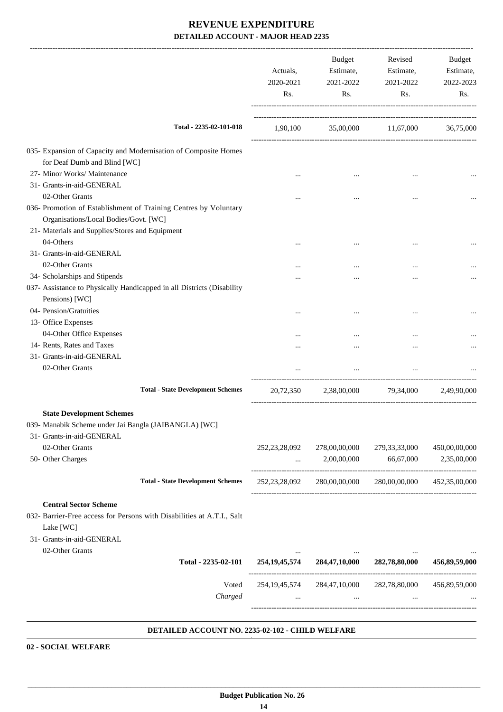|                                                                                           | Actuals,<br>2020-2021<br>Rs. | Budget<br>Estimate,<br>2021-2022<br>Rs. | Revised<br>Estimate,<br>2021-2022<br>Rs.                            | Budget<br>Estimate,<br>2022-2023<br>Rs. |
|-------------------------------------------------------------------------------------------|------------------------------|-----------------------------------------|---------------------------------------------------------------------|-----------------------------------------|
| Total - 2235-02-101-018                                                                   | 1,90,100                     |                                         | 35,00,000 11,67,000                                                 | 36,75,000                               |
| 035- Expansion of Capacity and Modernisation of Composite Homes                           |                              |                                         |                                                                     |                                         |
| for Deaf Dumb and Blind [WC]                                                              |                              |                                         |                                                                     |                                         |
| 27- Minor Works/ Maintenance                                                              |                              | $\cdots$                                | $\cdots$                                                            |                                         |
| 31- Grants-in-aid-GENERAL                                                                 |                              |                                         |                                                                     |                                         |
| 02-Other Grants                                                                           |                              |                                         | $\ddotsc$                                                           |                                         |
| 036- Promotion of Establishment of Training Centres by Voluntary                          |                              |                                         |                                                                     |                                         |
| Organisations/Local Bodies/Govt. [WC]                                                     |                              |                                         |                                                                     |                                         |
| 21- Materials and Supplies/Stores and Equipment                                           |                              |                                         |                                                                     |                                         |
| 04-Others                                                                                 |                              |                                         | $\ddotsc$                                                           |                                         |
| 31- Grants-in-aid-GENERAL                                                                 |                              |                                         |                                                                     |                                         |
| 02-Other Grants                                                                           |                              |                                         |                                                                     |                                         |
| 34- Scholarships and Stipends                                                             |                              |                                         |                                                                     |                                         |
| 037- Assistance to Physically Handicapped in all Districts (Disability                    |                              |                                         |                                                                     |                                         |
| Pensions) [WC]                                                                            |                              |                                         |                                                                     |                                         |
| 04- Pension/Gratuities                                                                    |                              |                                         | $\ddotsc$                                                           |                                         |
| 13- Office Expenses                                                                       |                              |                                         |                                                                     |                                         |
| 04-Other Office Expenses                                                                  |                              |                                         |                                                                     |                                         |
| 14- Rents, Rates and Taxes                                                                |                              |                                         |                                                                     |                                         |
| 31- Grants-in-aid-GENERAL                                                                 |                              |                                         |                                                                     |                                         |
| 02-Other Grants                                                                           |                              | $\cdots$                                | $\cdots$                                                            |                                         |
| <b>Total - State Development Schemes</b>                                                  |                              |                                         |                                                                     |                                         |
|                                                                                           | 20,72,350                    | 2,38,00,000                             | 79,34,000                                                           | 2,49,90,000                             |
| <b>State Development Schemes</b><br>039- Manabik Scheme under Jai Bangla (JAIBANGLA) [WC] |                              |                                         |                                                                     |                                         |
| 31- Grants-in-aid-GENERAL                                                                 |                              |                                         |                                                                     |                                         |
| 02-Other Grants                                                                           | 252, 23, 28, 092             | 278,00,00,000                           | 279, 33, 33, 000                                                    | 450,00,00,000                           |
| 50- Other Charges                                                                         | $\cdots$                     | 2,00,00,000                             | 66,67,000                                                           | 2,35,00,000                             |
| <b>Total - State Development Schemes</b>                                                  |                              |                                         | 252, 23, 28, 092 280, 00, 00, 000 280, 00, 00, 000 452, 35, 00, 000 |                                         |
| <b>Central Sector Scheme</b>                                                              |                              |                                         |                                                                     |                                         |
| 032- Barrier-Free access for Persons with Disabilities at A.T.I., Salt<br>Lake [WC]       |                              |                                         |                                                                     |                                         |
| 31- Grants-in-aid-GENERAL                                                                 |                              |                                         |                                                                     |                                         |
| 02-Other Grants                                                                           |                              | the contract of the con-                |                                                                     |                                         |
| Total - 2235-02-101                                                                       |                              |                                         | 254,19,45,574 284,47,10,000 282,78,80,000                           | 456,89,59,000                           |
| Voted<br>Charged                                                                          | $\cdots$                     | $\cdots$                                | 254,19,45,574 284,47,10,000 282,78,80,000 456,89,59,000<br>$\cdots$ |                                         |
|                                                                                           |                              |                                         |                                                                     |                                         |

#### **DETAILED ACCOUNT NO. 2235-02-102 - CHILD WELFARE .**

**02 - SOCIAL WELFARE**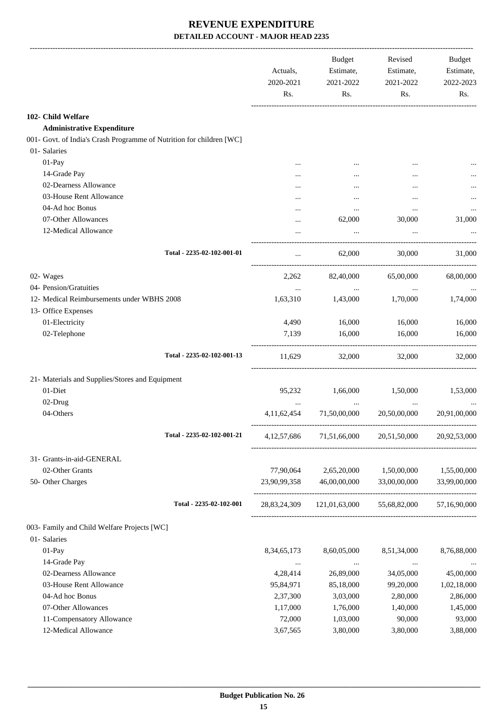|                                                                      | Actuals,<br>2020-2021<br>Rs. | <b>Budget</b><br>Estimate,<br>2021-2022<br>Rs. | Revised<br>Estimate,<br>2021-2022<br>Rs. | Budget<br>Estimate,<br>2022-2023<br>Rs. |
|----------------------------------------------------------------------|------------------------------|------------------------------------------------|------------------------------------------|-----------------------------------------|
| 102- Child Welfare                                                   |                              |                                                |                                          |                                         |
| <b>Administrative Expenditure</b>                                    |                              |                                                |                                          |                                         |
| 001- Govt. of India's Crash Programme of Nutrition for children [WC] |                              |                                                |                                          |                                         |
| 01- Salaries                                                         |                              |                                                |                                          |                                         |
| $01-Pay$                                                             |                              |                                                |                                          |                                         |
| 14-Grade Pay                                                         |                              |                                                | $\ddotsc$                                |                                         |
| 02-Dearness Allowance                                                |                              |                                                |                                          |                                         |
| 03-House Rent Allowance                                              |                              |                                                | $\ddotsc$                                |                                         |
| 04-Ad hoc Bonus                                                      |                              | $\ddotsc$                                      | $\ddotsc$                                |                                         |
| 07-Other Allowances                                                  |                              | 62,000                                         | 30,000                                   | 31,000                                  |
| 12-Medical Allowance                                                 |                              |                                                |                                          |                                         |
|                                                                      |                              |                                                |                                          |                                         |
| Total - 2235-02-102-001-01                                           |                              | 62,000                                         | 30,000                                   | 31,000                                  |
| 02- Wages                                                            | 2,262                        | 82,40,000                                      | 65,00,000                                | 68,00,000                               |
| 04- Pension/Gratuities                                               |                              | $\ldots$                                       | $\cdots$                                 | $\cdots$                                |
| 12- Medical Reimbursements under WBHS 2008                           | 1,63,310                     | 1,43,000                                       | 1,70,000                                 | 1,74,000                                |
| 13- Office Expenses                                                  |                              |                                                |                                          |                                         |
| 01-Electricity                                                       | 4,490                        | 16,000                                         | 16,000                                   | 16,000                                  |
| 02-Telephone                                                         | 7,139                        | 16,000                                         | 16,000                                   | 16,000                                  |
| Total - 2235-02-102-001-13                                           | 11,629                       | 32,000                                         | 32,000                                   | 32,000                                  |
| 21- Materials and Supplies/Stores and Equipment                      |                              |                                                |                                          |                                         |
| 01-Diet                                                              | 95,232                       | 1,66,000                                       | 1,50,000                                 | 1,53,000                                |
| 02-Drug                                                              |                              |                                                |                                          |                                         |
| 04-Others                                                            | 4,11,62,454                  | 71,50,00,000                                   | 20,50,00,000                             | 20,91,00,000                            |
|                                                                      |                              |                                                |                                          |                                         |
| Total - 2235-02-102-001-21                                           | 4, 12, 57, 686               | 71,51,66,000                                   | 20,51,50,000                             | 20,92,53,000                            |
| 31- Grants-in-aid-GENERAL                                            |                              |                                                |                                          |                                         |
| 02-Other Grants                                                      | 77,90,064                    | 2,65,20,000                                    | 1,50,00,000                              | 1,55,00,000                             |
| 50- Other Charges                                                    | 23,90,99,358                 | 46,00,00,000                                   | 33,00,00,000                             | 33,99,00,000                            |
| Total - 2235-02-102-001                                              | 28,83,24,309                 |                                                | 121,01,63,000 55,68,82,000               | 57,16,90,000                            |
| 003- Family and Child Welfare Projects [WC]                          |                              |                                                |                                          |                                         |
| 01- Salaries                                                         |                              |                                                |                                          |                                         |
| 01-Pay                                                               | 8, 34, 65, 173               | 8,60,05,000                                    | 8,51,34,000                              | 8,76,88,000                             |
| 14-Grade Pay                                                         |                              |                                                |                                          |                                         |
| 02-Dearness Allowance                                                | $\cdots$<br>4,28,414         | $\ldots$<br>26,89,000                          | $\cdots$<br>34,05,000                    | 45,00,000                               |
| 03-House Rent Allowance                                              | 95,84,971                    | 85,18,000                                      | 99,20,000                                | 1,02,18,000                             |
| 04-Ad hoc Bonus                                                      | 2,37,300                     | 3,03,000                                       | 2,80,000                                 | 2,86,000                                |
| 07-Other Allowances                                                  | 1,17,000                     | 1,76,000                                       | 1,40,000                                 | 1,45,000                                |
| 11-Compensatory Allowance                                            | 72,000                       | 1,03,000                                       | 90,000                                   | 93,000                                  |
| 12-Medical Allowance                                                 | 3,67,565                     | 3,80,000                                       | 3,80,000                                 | 3,88,000                                |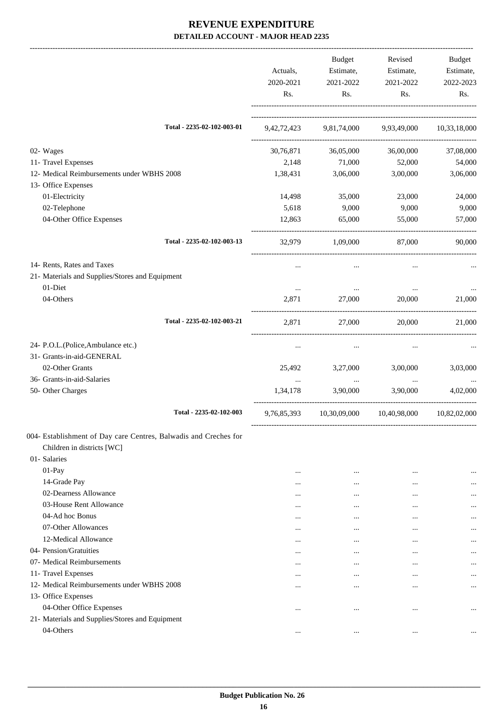|                                                                  |                            | Actuals,<br>2020-2021<br>Rs. | Budget<br>Estimate,<br>2021-2022<br>Rs. | Revised<br>Estimate,<br>2021-2022<br>Rs. | Budget<br>Estimate,<br>2022-2023<br>Rs. |
|------------------------------------------------------------------|----------------------------|------------------------------|-----------------------------------------|------------------------------------------|-----------------------------------------|
|                                                                  | Total - 2235-02-102-003-01 |                              | 9,42,72,423 9,81,74,000 9,93,49,000     |                                          | 10,33,18,000                            |
| 02- Wages                                                        |                            | 30,76,871                    | 36,05,000                               | 36,00,000                                | 37,08,000                               |
| 11- Travel Expenses                                              |                            | 2,148                        | 71,000                                  | 52,000                                   | 54,000                                  |
| 12- Medical Reimbursements under WBHS 2008                       |                            | 1,38,431                     | 3,06,000                                | 3,00,000                                 | 3,06,000                                |
| 13- Office Expenses                                              |                            |                              |                                         |                                          |                                         |
| 01-Electricity                                                   |                            | 14,498                       | 35,000                                  | 23,000                                   | 24,000                                  |
| 02-Telephone                                                     |                            | 5,618                        | 9,000                                   | 9,000                                    | 9,000                                   |
| 04-Other Office Expenses                                         |                            | 12,863                       | 65,000                                  | 55,000                                   | 57,000                                  |
|                                                                  | Total - 2235-02-102-003-13 | 32,979                       | 1,09,000                                | 87,000                                   | 90.000                                  |
| 14- Rents, Rates and Taxes                                       |                            |                              |                                         |                                          |                                         |
| 21- Materials and Supplies/Stores and Equipment                  |                            |                              |                                         |                                          |                                         |
| 01-Diet                                                          |                            | $\cdots$                     |                                         |                                          |                                         |
| 04-Others                                                        |                            | 2,871                        | 27,000                                  | 20,000                                   | 21,000                                  |
|                                                                  | Total - 2235-02-102-003-21 | 2,871                        | 27,000                                  | 20,000                                   | 21,000                                  |
| 24- P.O.L.(Police, Ambulance etc.)                               |                            | $\cdots$                     |                                         | $\cdots$                                 |                                         |
| 31- Grants-in-aid-GENERAL                                        |                            |                              |                                         |                                          |                                         |
| 02-Other Grants                                                  |                            | 25,492                       | 3,27,000                                | 3,00,000                                 | 3,03,000                                |
| 36- Grants-in-aid-Salaries                                       |                            | $\cdots$                     | $\cdots$                                | $\cdots$                                 | $\cdots$                                |
| 50- Other Charges                                                |                            | 1,34,178                     | 3,90,000                                | 3,90,000                                 | 4,02,000                                |
|                                                                  | Total - 2235-02-102-003    | 9,76,85,393                  | 10,30,09,000                            | 10,40,98,000                             | 10,82,02,000                            |
| 004- Establishment of Day care Centres, Balwadis and Creches for |                            |                              |                                         |                                          |                                         |
| Children in districts [WC]                                       |                            |                              |                                         |                                          |                                         |
| 01- Salaries                                                     |                            |                              |                                         |                                          |                                         |
| 01-Pay                                                           |                            |                              |                                         |                                          |                                         |
| 14-Grade Pay                                                     |                            | $\cdots$                     | $\cdots$                                | $\cdots$                                 |                                         |
| 02-Dearness Allowance                                            |                            | $\cdots$                     | $\cdots$                                |                                          |                                         |
| 03-House Rent Allowance                                          |                            | $\cdots$                     | $\cdots$                                | $\cdots$                                 | $\cdots$                                |
| 04-Ad hoc Bonus                                                  |                            | $\cdots$                     | $\cdots$                                | $\cdots$                                 |                                         |
| 07-Other Allowances                                              |                            | $\cdots$                     |                                         | $\cdots$                                 |                                         |
| 12-Medical Allowance                                             |                            | $\cdots$                     | $\cdots$                                | $\cdots$                                 |                                         |
| 04- Pension/Gratuities                                           |                            | $\cdots$                     | $\cdots$                                | $\cdots$                                 |                                         |
| 07- Medical Reimbursements                                       |                            | $\cdots$                     | $\cdots$                                |                                          |                                         |
| 11- Travel Expenses                                              |                            | $\cdots$                     | $\cdots$                                | $\cdots$                                 | $\cdots$                                |
| 12- Medical Reimbursements under WBHS 2008                       |                            |                              | $\cdots$                                |                                          |                                         |
| 13- Office Expenses                                              |                            |                              |                                         |                                          |                                         |
| 04-Other Office Expenses                                         |                            | $\cdots$                     |                                         |                                          | $\ddotsc$                               |
| 21- Materials and Supplies/Stores and Equipment                  |                            |                              |                                         |                                          |                                         |
| 04-Others                                                        |                            |                              |                                         |                                          |                                         |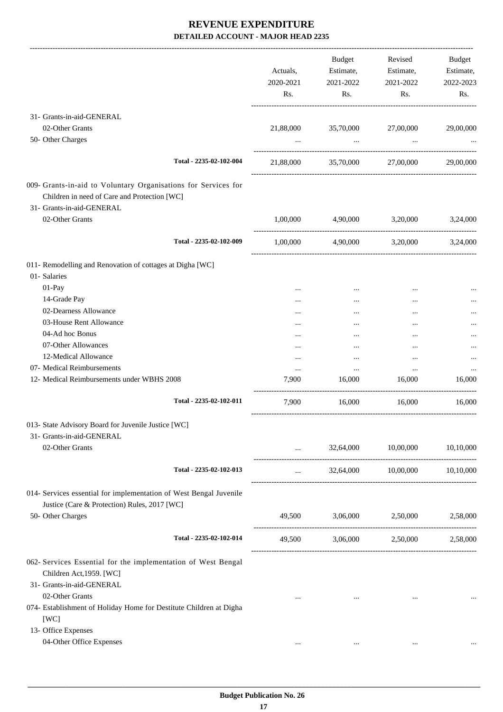-------------------------------------------------------------------------------------------------------------------------------------------------------------------------------

|                                                                                                                                             |                         | Actuals,<br>2020-2021<br>Rs. | <b>Budget</b><br>Estimate,<br>2021-2022<br>Rs. | Revised<br>Estimate,<br>2021-2022<br>Rs. | <b>Budget</b><br>Estimate,<br>2022-2023<br>Rs. |
|---------------------------------------------------------------------------------------------------------------------------------------------|-------------------------|------------------------------|------------------------------------------------|------------------------------------------|------------------------------------------------|
| 31- Grants-in-aid-GENERAL                                                                                                                   |                         |                              |                                                |                                          |                                                |
| 02-Other Grants                                                                                                                             |                         | 21,88,000                    | 35,70,000                                      | 27,00,000                                | 29,00,000                                      |
| 50- Other Charges                                                                                                                           |                         |                              | $\cdots$                                       | $\cdots$                                 |                                                |
|                                                                                                                                             | Total - 2235-02-102-004 | 21,88,000                    | 35,70,000                                      | 27,00,000                                | 29,00,000                                      |
| 009- Grants-in-aid to Voluntary Organisations for Services for<br>Children in need of Care and Protection [WC]<br>31- Grants-in-aid-GENERAL |                         |                              |                                                |                                          |                                                |
| 02-Other Grants                                                                                                                             |                         | 1,00,000                     | 4,90,000                                       | 3,20,000                                 | 3.24,000                                       |
|                                                                                                                                             | Total - 2235-02-102-009 | 1.00.000                     | 4,90,000 3,20,000                              |                                          | 3,24,000                                       |
| 011- Remodelling and Renovation of cottages at Digha [WC]<br>01- Salaries<br>01-Pay                                                         |                         |                              |                                                |                                          |                                                |
| 14-Grade Pay                                                                                                                                |                         | <br>                         | $\cdots$<br>$\cdots$                           | <br>                                     |                                                |
| 02-Dearness Allowance                                                                                                                       |                         |                              | $\cdots$                                       |                                          |                                                |
| 03-House Rent Allowance                                                                                                                     |                         |                              |                                                |                                          |                                                |
| 04-Ad hoc Bonus                                                                                                                             |                         |                              |                                                |                                          |                                                |
| 07-Other Allowances                                                                                                                         |                         |                              |                                                |                                          |                                                |
| 12-Medical Allowance                                                                                                                        |                         | $\cdots$                     |                                                |                                          |                                                |
| 07- Medical Reimbursements                                                                                                                  |                         | $\cdots$                     | $\cdots$                                       |                                          |                                                |
| 12- Medical Reimbursements under WBHS 2008                                                                                                  |                         | 7,900                        | 16,000                                         | 16,000                                   | 16,000                                         |
|                                                                                                                                             | Total - 2235-02-102-011 | 7,900                        | 16,000                                         | 16,000                                   | 16,000                                         |
| 013- State Advisory Board for Juvenile Justice [WC]                                                                                         |                         |                              |                                                |                                          |                                                |
| 31- Grants-in-aid-GENERAL                                                                                                                   |                         |                              |                                                |                                          |                                                |
| 02-Other Grants                                                                                                                             |                         | $\cdots$                     | 32,64,000                                      | 10,00,000                                | 10,10,000                                      |
|                                                                                                                                             | Total - 2235-02-102-013 | $\cdots$                     |                                                | 32,64,000 10,00,000 10,10,000            |                                                |
| 014- Services essential for implementation of West Bengal Juvenile<br>Justice (Care & Protection) Rules, 2017 [WC]                          |                         |                              |                                                |                                          |                                                |
| 50- Other Charges                                                                                                                           |                         |                              | 49,500 3,06,000 2,50,000 2,58,000              |                                          |                                                |
|                                                                                                                                             | Total - 2235-02-102-014 |                              | 49,500 3,06,000 2,50,000 2,58,000              |                                          |                                                |
| 062- Services Essential for the implementation of West Bengal<br>Children Act, 1959. [WC]<br>31- Grants-in-aid-GENERAL                      |                         |                              |                                                |                                          |                                                |
| 02-Other Grants<br>074- Establishment of Holiday Home for Destitute Children at Digha<br>[WC]                                               |                         | $\cdots$                     | $\cdots$                                       | $\cdots$                                 |                                                |
| 13- Office Expenses                                                                                                                         |                         |                              |                                                |                                          |                                                |
| 04-Other Office Expenses                                                                                                                    |                         | $\cdots$                     | $\cdots$                                       | $\cdots$                                 |                                                |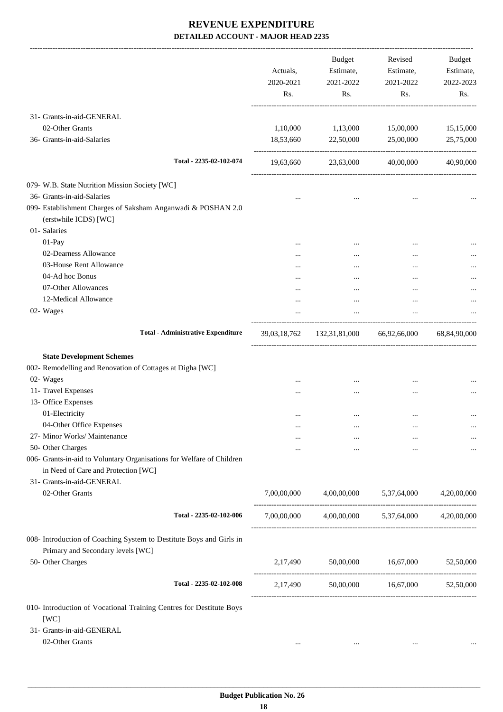-------------------------------------------------------------------------------------------------------------------------------------------------------------------------------

|                                                                                                              | Actuals,<br>2020-2021<br>Rs. | <b>Budget</b><br>Estimate,<br>2021-2022<br>Rs.  | Revised<br>Estimate,<br>2021-2022<br>Rs. | <b>Budget</b><br>Estimate,<br>2022-2023<br>Rs. |
|--------------------------------------------------------------------------------------------------------------|------------------------------|-------------------------------------------------|------------------------------------------|------------------------------------------------|
| 31- Grants-in-aid-GENERAL                                                                                    |                              |                                                 |                                          |                                                |
| 02-Other Grants                                                                                              | 1,10,000                     | 1,13,000                                        | 15,00,000                                | 15,15,000                                      |
| 36- Grants-in-aid-Salaries                                                                                   | 18,53,660                    | 22,50,000                                       | 25,00,000                                | 25,75,000                                      |
| Total - 2235-02-102-074                                                                                      | 19,63,660                    | 23,63,000                                       | 40,00,000                                | 40,90,000                                      |
| 079- W.B. State Nutrition Mission Society [WC]                                                               |                              |                                                 |                                          |                                                |
| 36- Grants-in-aid-Salaries                                                                                   |                              | $\cdots$                                        | $\ddotsc$                                |                                                |
| 099- Establishment Charges of Saksham Anganwadi & POSHAN 2.0<br>(erstwhile ICDS) [WC]                        |                              |                                                 |                                          |                                                |
| 01- Salaries                                                                                                 |                              |                                                 |                                          |                                                |
| 01-Pay                                                                                                       |                              |                                                 |                                          |                                                |
| 02-Dearness Allowance                                                                                        | $\cdots$                     |                                                 |                                          |                                                |
| 03-House Rent Allowance                                                                                      |                              |                                                 |                                          |                                                |
| 04-Ad hoc Bonus                                                                                              |                              | $\cdots$                                        | $\cdots$                                 |                                                |
| 07-Other Allowances                                                                                          | .                            | $\cdots$                                        |                                          |                                                |
| 12-Medical Allowance                                                                                         | $\cdots$                     | $\cdots$                                        |                                          |                                                |
| 02- Wages                                                                                                    |                              | $\cdots$                                        | $\cdots$                                 |                                                |
| <b>Total - Administrative Expenditure</b>                                                                    | 39,03,18,762                 |                                                 | 132,31,81,000 66,92,66,000               | 68,84,90,000                                   |
| <b>State Development Schemes</b>                                                                             |                              |                                                 |                                          |                                                |
| 002- Remodelling and Renovation of Cottages at Digha [WC]                                                    |                              |                                                 |                                          |                                                |
| 02- Wages                                                                                                    |                              |                                                 | $\cdots$                                 |                                                |
| 11- Travel Expenses                                                                                          |                              | $\cdots$                                        |                                          |                                                |
| 13- Office Expenses                                                                                          |                              |                                                 |                                          |                                                |
| 01-Electricity                                                                                               |                              | $\cdots$                                        |                                          |                                                |
| 04-Other Office Expenses                                                                                     |                              |                                                 |                                          |                                                |
| 27- Minor Works/ Maintenance                                                                                 |                              |                                                 |                                          | $\cdots$                                       |
| 50- Other Charges                                                                                            |                              | $\cdots$                                        |                                          |                                                |
| 006- Grants-in-aid to Voluntary Organisations for Welfare of Children<br>in Need of Care and Protection [WC] |                              |                                                 |                                          |                                                |
| 31- Grants-in-aid-GENERAL                                                                                    |                              |                                                 |                                          |                                                |
| 02-Other Grants                                                                                              |                              | 7,00,00,000 4,00,00,000 5,37,64,000             |                                          | 4,20,00,000                                    |
| Total - 2235-02-102-006                                                                                      |                              | 7,00,00,000 4,00,00,000 5,37,64,000 4,20,00,000 |                                          |                                                |
| 008- Introduction of Coaching System to Destitute Boys and Girls in<br>Primary and Secondary levels [WC]     |                              |                                                 |                                          |                                                |
| 50- Other Charges                                                                                            |                              | 2,17,490 50,00,000 16,67,000                    |                                          | 52,50,000                                      |
| Total - 2235-02-102-008                                                                                      | 2,17,490                     | 50,00,000                                       | 16,67,000                                | 52,50,000                                      |
| 010- Introduction of Vocational Training Centres for Destitute Boys                                          |                              |                                                 |                                          |                                                |
| [WC]                                                                                                         |                              |                                                 |                                          |                                                |
| 31- Grants-in-aid-GENERAL                                                                                    |                              |                                                 |                                          |                                                |
| 02-Other Grants                                                                                              | $\cdots$                     | $\cdots$                                        | $\cdots$                                 |                                                |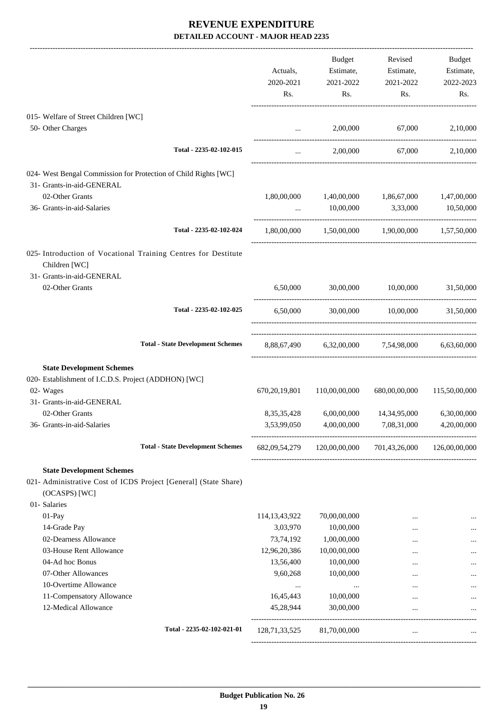|                                                                 |                                                                  |                  | Budget                                                 | Revised                                                 | Budget        |
|-----------------------------------------------------------------|------------------------------------------------------------------|------------------|--------------------------------------------------------|---------------------------------------------------------|---------------|
|                                                                 |                                                                  | Actuals,         | Estimate,                                              | Estimate,                                               | Estimate,     |
|                                                                 |                                                                  | 2020-2021        | 2021-2022                                              | 2021-2022                                               | 2022-2023     |
|                                                                 |                                                                  | Rs.              | Rs.                                                    | Rs.                                                     | Rs.           |
| 015- Welfare of Street Children [WC]                            |                                                                  |                  |                                                        |                                                         |               |
| 50- Other Charges                                               |                                                                  |                  | $\mathbf{r}$ , and the state of the state $\mathbf{r}$ | 2,00,000 67,000 2,10,000                                |               |
|                                                                 | Total - 2235-02-102-015                                          | $\cdots$         |                                                        | 2,00,000 67,000                                         | 2,10,000      |
| 024- West Bengal Commission for Protection of Child Rights [WC] |                                                                  |                  |                                                        |                                                         |               |
| 31- Grants-in-aid-GENERAL                                       |                                                                  |                  |                                                        |                                                         |               |
| 02-Other Grants                                                 |                                                                  |                  |                                                        | 1,80,00,000 1,40,00,000 1,86,67,000 1,47,00,000         |               |
| 36- Grants-in-aid-Salaries                                      |                                                                  | $\cdots$         | 10,00,000 3,33,000                                     |                                                         | 10,50,000     |
|                                                                 |                                                                  |                  |                                                        |                                                         |               |
|                                                                 | Total - 2235-02-102-024                                          |                  |                                                        | $1,80,00,000$ $1,50,00,000$ $1,90,00,000$ $1,57,50,000$ |               |
| Children [WC]                                                   | 025- Introduction of Vocational Training Centres for Destitute   |                  |                                                        |                                                         |               |
| 31- Grants-in-aid-GENERAL                                       |                                                                  |                  |                                                        |                                                         |               |
| 02-Other Grants                                                 |                                                                  |                  |                                                        | 6,50,000 30,00,000 10,00,000 31,50,000                  |               |
|                                                                 | Total - 2235-02-102-025                                          |                  |                                                        | 6,50,000 30,00,000 10,00,000 31,50,000                  |               |
|                                                                 |                                                                  |                  |                                                        |                                                         |               |
|                                                                 | <b>Total - State Development Schemes</b>                         |                  |                                                        | 8,88,67,490  6,32,00,000  7,54,98,000  6,63,60,000      |               |
| <b>State Development Schemes</b>                                |                                                                  |                  |                                                        |                                                         |               |
| 020- Establishment of I.C.D.S. Project (ADDHON) [WC]            |                                                                  |                  |                                                        |                                                         |               |
| 02- Wages                                                       |                                                                  | 670, 20, 19, 801 | 110,00,00,000                                          | 680,00,00,000                                           | 115,50,00,000 |
| 31- Grants-in-aid-GENERAL                                       |                                                                  |                  |                                                        |                                                         |               |
| 02-Other Grants                                                 |                                                                  | 8, 35, 35, 428   | 6,00,00,000                                            | 14,34,95,000                                            | 6,30,00,000   |
| 36- Grants-in-aid-Salaries                                      |                                                                  |                  |                                                        | 3,53,99,050 4,00,00,000 7,08,31,000                     | 4,20,00,000   |
|                                                                 | <b>Total - State Development Schemes</b>                         |                  | 682,09,54,279 120,00,00,000                            | 701,43,26,000 126,00,00,000                             |               |
| <b>State Development Schemes</b>                                |                                                                  |                  |                                                        |                                                         |               |
| (OCASPS) [WC]                                                   | 021- Administrative Cost of ICDS Project [General] (State Share) |                  |                                                        |                                                         |               |
| 01- Salaries                                                    |                                                                  |                  |                                                        |                                                         |               |
| 01-Pay                                                          |                                                                  | 114, 13, 43, 922 | 70,00,00,000                                           |                                                         |               |
| 14-Grade Pay                                                    |                                                                  | 3,03,970         | 10,00,000                                              | $\cdots$                                                |               |
| 02-Dearness Allowance                                           |                                                                  | 73,74,192        | 1,00,00,000                                            | $\cdots$                                                |               |
| 03-House Rent Allowance                                         |                                                                  | 12,96,20,386     | 10,00,00,000                                           |                                                         |               |
| 04-Ad hoc Bonus                                                 |                                                                  | 13,56,400        | 10,00,000                                              | $\cdots$                                                |               |
| 07-Other Allowances                                             |                                                                  | 9,60,268         | 10,00,000                                              |                                                         |               |
| 10-Overtime Allowance                                           |                                                                  | $\cdots$         | $\cdots$                                               |                                                         |               |
| 11-Compensatory Allowance                                       |                                                                  | 16,45,443        | 10,00,000                                              | $\cdots$                                                | $\cdots$      |
| 12-Medical Allowance                                            |                                                                  | 45,28,944        | 30,00,000                                              | $\cdots$                                                |               |
|                                                                 | Total - 2235-02-102-021-01                                       | 128,71,33,525    | 81,70,00,000                                           |                                                         |               |
|                                                                 |                                                                  |                  |                                                        |                                                         |               |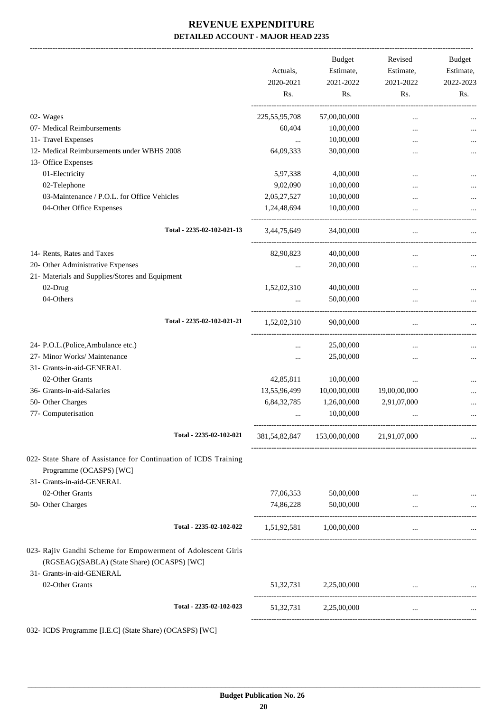-------------------------------------------------------------------------------------------------------------------------------------------------------------------------------

|                                                                                                                                          | Actuals,<br>2020-2021 | <b>Budget</b><br>Estimate,<br>2021-2022  | Revised<br>Estimate,<br>2021-2022 | <b>Budget</b><br>Estimate,<br>2022-2023 |
|------------------------------------------------------------------------------------------------------------------------------------------|-----------------------|------------------------------------------|-----------------------------------|-----------------------------------------|
|                                                                                                                                          | Rs.                   | Rs.                                      | Rs.                               | Rs.                                     |
| 02- Wages                                                                                                                                | 225, 55, 95, 708      | 57,00,00,000                             | $\cdots$                          |                                         |
| 07- Medical Reimbursements                                                                                                               | 60,404                | 10,00,000                                | $\ddotsc$                         |                                         |
| 11- Travel Expenses                                                                                                                      | $\cdots$              | 10,00,000                                |                                   |                                         |
| 12- Medical Reimbursements under WBHS 2008                                                                                               | 64,09,333             | 30,00,000                                |                                   |                                         |
| 13- Office Expenses                                                                                                                      |                       |                                          |                                   |                                         |
| 01-Electricity                                                                                                                           | 5,97,338              | 4,00,000                                 |                                   |                                         |
| 02-Telephone                                                                                                                             | 9,02,090              | 10,00,000                                |                                   |                                         |
| 03-Maintenance / P.O.L. for Office Vehicles                                                                                              | 2,05,27,527           | 10,00,000                                |                                   |                                         |
| 04-Other Office Expenses                                                                                                                 | 1,24,48,694           | 10,00,000                                | $\cdots$                          |                                         |
| Total - 2235-02-102-021-13                                                                                                               | 3,44,75,649           | 34,00,000                                | $\cdots$                          |                                         |
| 14- Rents, Rates and Taxes                                                                                                               | 82,90,823             | 40,00,000                                | $\cdots$                          |                                         |
| 20- Other Administrative Expenses                                                                                                        | $\cdots$              | 20,00,000                                | $\ddotsc$                         |                                         |
| 21- Materials and Supplies/Stores and Equipment                                                                                          |                       |                                          |                                   |                                         |
| 02-Drug                                                                                                                                  | 1,52,02,310           | 40,00,000                                | $\ddotsc$                         |                                         |
| 04-Others                                                                                                                                |                       | 50,00,000                                |                                   |                                         |
| Total - 2235-02-102-021-21                                                                                                               | 1,52,02,310           | 90,00,000                                | $\cdots$                          |                                         |
| 24- P.O.L.(Police, Ambulance etc.)                                                                                                       | $\cdots$              | 25,00,000                                | $\cdots$                          |                                         |
| 27- Minor Works/ Maintenance                                                                                                             |                       | 25,00,000                                |                                   |                                         |
| 31- Grants-in-aid-GENERAL                                                                                                                |                       |                                          |                                   |                                         |
| 02-Other Grants                                                                                                                          | 42,85,811             | 10,00,000                                | $\ddotsc$                         |                                         |
| 36- Grants-in-aid-Salaries                                                                                                               | 13,55,96,499          | 10,00,00,000                             | 19,00,00,000                      |                                         |
| 50- Other Charges                                                                                                                        | 6,84,32,785           | 1,26,00,000                              | 2,91,07,000                       |                                         |
| 77- Computerisation                                                                                                                      |                       | 10,00,000                                |                                   | $\cdots$                                |
| Total - 2235-02-102-021                                                                                                                  |                       | 381,54,82,847 153,00,00,000 21,91,07,000 |                                   |                                         |
| 022- State Share of Assistance for Continuation of ICDS Training<br>Programme (OCASPS) [WC]<br>31- Grants-in-aid-GENERAL                 |                       |                                          |                                   |                                         |
| 02-Other Grants                                                                                                                          | 77,06,353             | 50,00,000                                |                                   |                                         |
| 50- Other Charges                                                                                                                        | 74,86,228             | 50,00,000                                | $\cdots$                          |                                         |
|                                                                                                                                          |                       |                                          |                                   |                                         |
| Total - 2235-02-102-022                                                                                                                  |                       | 1,51,92,581 1,00,00,000                  | $\cdots$                          |                                         |
| 023- Rajiv Gandhi Scheme for Empowerment of Adolescent Girls<br>(RGSEAG)(SABLA) (State Share) (OCASPS) [WC]<br>31- Grants-in-aid-GENERAL |                       |                                          |                                   |                                         |
| 02-Other Grants                                                                                                                          |                       | 51,32,731 2,25,00,000                    |                                   |                                         |
| Total - 2235-02-102-023                                                                                                                  |                       | 51,32,731 2,25,00,000                    | $\cdots$                          |                                         |
|                                                                                                                                          |                       |                                          |                                   |                                         |

032- ICDS Programme [I.E.C] (State Share) (OCASPS) [WC]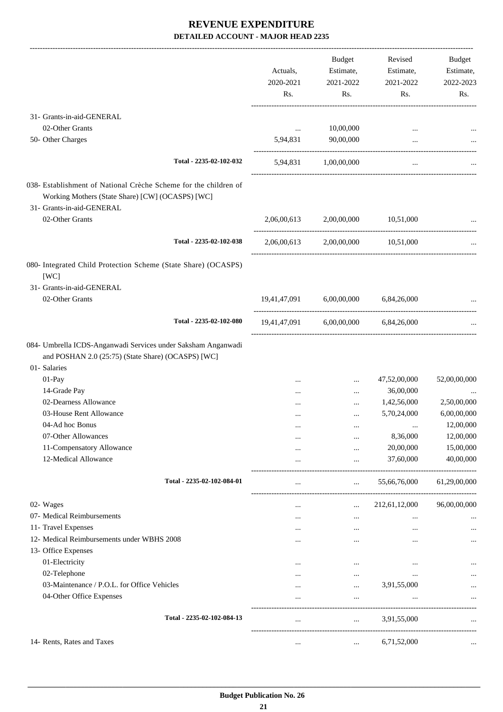|                                                                                                                      |                           | <b>Budget</b>                               | Revised        | Budget       |
|----------------------------------------------------------------------------------------------------------------------|---------------------------|---------------------------------------------|----------------|--------------|
|                                                                                                                      | Actuals,                  | Estimate,                                   | Estimate,      | Estimate,    |
|                                                                                                                      | 2020-2021                 | 2021-2022                                   | 2021-2022      | 2022-2023    |
|                                                                                                                      | Rs.                       | Rs.                                         | Rs.            | Rs.          |
| 31- Grants-in-aid-GENERAL                                                                                            |                           |                                             |                |              |
| 02-Other Grants                                                                                                      | $\cdots$                  | 10,00,000                                   |                |              |
| 50- Other Charges                                                                                                    | 5,94,831                  | 90,00,000                                   | $\cdots$       |              |
|                                                                                                                      |                           |                                             |                |              |
| Total - 2235-02-102-032                                                                                              |                           | 5,94,831 1,00,00,000                        | $\overline{a}$ |              |
| 038- Establishment of National Crèche Scheme for the children of<br>Working Mothers (State Share) [CW] (OCASPS) [WC] |                           |                                             |                |              |
| 31- Grants-in-aid-GENERAL                                                                                            |                           |                                             |                |              |
| 02-Other Grants                                                                                                      | 2,06,00,613               | 2,00,00,000                                 | 10,51,000      |              |
| Total - 2235-02-102-038                                                                                              | 2,06,00,613               | 2,00,00,000                                 | 10,51,000      |              |
| 080- Integrated Child Protection Scheme (State Share) (OCASPS)                                                       |                           |                                             |                |              |
| [WC]                                                                                                                 |                           |                                             |                |              |
| 31- Grants-in-aid-GENERAL                                                                                            |                           |                                             |                |              |
| 02-Other Grants                                                                                                      | 19,41,47,091              | 6,00,00,000                                 | 6,84,26,000    |              |
| Total - 2235-02-102-080                                                                                              |                           | 19,41,47,091 6,00,00,000                    | 6,84,26,000    |              |
| 084- Umbrella ICDS-Anganwadi Services under Saksham Anganwadi                                                        |                           |                                             |                |              |
| and POSHAN 2.0 (25:75) (State Share) (OCASPS) [WC]                                                                   |                           |                                             |                |              |
| 01-Salaries                                                                                                          |                           |                                             |                |              |
| 01-Pay                                                                                                               |                           | $\ddotsc$                                   | 47,52,00,000   | 52,00,00,000 |
| 14-Grade Pay                                                                                                         |                           | $\cdots$                                    | 36,00,000      |              |
| 02-Dearness Allowance                                                                                                |                           | $\cdots$                                    | 1,42,56,000    | 2,50,00,000  |
| 03-House Rent Allowance                                                                                              |                           | $\cdots$                                    | 5,70,24,000    | 6,00,00,000  |
| 04-Ad hoc Bonus                                                                                                      |                           | $\ddotsc$                                   |                | 12,00,000    |
| 07-Other Allowances                                                                                                  |                           | $\cdots$                                    | 8,36,000       | 12,00,000    |
| 11-Compensatory Allowance                                                                                            | $\cdots$                  | $\ldots$                                    | 20,00,000      | 15,00,000    |
| 12-Medical Allowance                                                                                                 | $\cdots$                  | $\cdots$<br>------------------------------- | 37,60,000      | 40,00,000    |
| Total - 2235-02-102-084-01                                                                                           | $\cdots$                  | $\mathbf{r}$                                | 55,66,76,000   | 61,29,00,000 |
| 02- Wages                                                                                                            | -------------<br>$\cdots$ | $\cdots$                                    | 212,61,12,000  | 96,00,00,000 |
| 07- Medical Reimbursements                                                                                           | $\cdots$                  | $\cdots$                                    | $\cdots$       | $\ddotsc$    |
| 11- Travel Expenses                                                                                                  | $\cdots$                  | $\cdots$                                    | $\cdots$       | $\cdots$     |
| 12- Medical Reimbursements under WBHS 2008                                                                           | $\cdots$                  | $\cdots$                                    |                |              |
| 13- Office Expenses                                                                                                  |                           |                                             |                |              |
| 01-Electricity                                                                                                       | $\cdots$                  | $\cdots$                                    | $\cdots$       |              |
| 02-Telephone                                                                                                         | $\cdots$                  | $\cdots$                                    | $\cdots$       |              |
| 03-Maintenance / P.O.L. for Office Vehicles                                                                          | $\cdots$                  | $\cdots$                                    | 3,91,55,000    |              |
| 04-Other Office Expenses                                                                                             | $\cdots$                  | $\cdots$                                    | $\cdots$       | $\ldots$     |
| Total - 2235-02-102-084-13                                                                                           | $\cdots$                  | $\cdots$                                    | 3,91,55,000    |              |
| 14- Rents, Rates and Taxes                                                                                           |                           |                                             | 6,71,52,000    |              |
|                                                                                                                      | $\cdots$                  | $\cdots$                                    |                |              |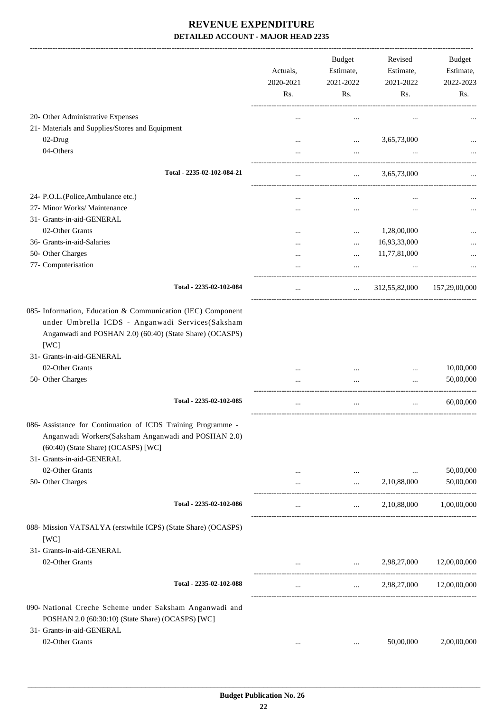|                                                                                                                                                                                                                  | Actuals,<br>2020-2021<br>Rs. | <b>Budget</b><br>Estimate,<br>2021-2022<br>Rs. | Revised<br>Estimate,<br>2021-2022<br>Rs. | Budget<br>Estimate,<br>2022-2023<br>Rs. |
|------------------------------------------------------------------------------------------------------------------------------------------------------------------------------------------------------------------|------------------------------|------------------------------------------------|------------------------------------------|-----------------------------------------|
| 20- Other Administrative Expenses                                                                                                                                                                                |                              |                                                |                                          |                                         |
| 21- Materials and Supplies/Stores and Equipment                                                                                                                                                                  |                              |                                                |                                          |                                         |
| 02-Drug                                                                                                                                                                                                          |                              | $\cdots$                                       | 3,65,73,000                              |                                         |
| 04-Others                                                                                                                                                                                                        |                              | $\cdots$                                       |                                          |                                         |
| Total - 2235-02-102-084-21                                                                                                                                                                                       |                              |                                                | 3,65,73,000                              |                                         |
| 24- P.O.L.(Police, Ambulance etc.)                                                                                                                                                                               |                              |                                                |                                          |                                         |
| 27- Minor Works/ Maintenance                                                                                                                                                                                     |                              |                                                | $\ddotsc$                                |                                         |
| 31- Grants-in-aid-GENERAL                                                                                                                                                                                        |                              |                                                |                                          |                                         |
| 02-Other Grants                                                                                                                                                                                                  |                              |                                                | 1,28,00,000                              |                                         |
| 36- Grants-in-aid-Salaries                                                                                                                                                                                       |                              |                                                | 16,93,33,000                             |                                         |
| 50- Other Charges                                                                                                                                                                                                |                              | $\cdots$                                       | 11,77,81,000                             |                                         |
| 77- Computerisation                                                                                                                                                                                              |                              | $\cdots$                                       |                                          |                                         |
|                                                                                                                                                                                                                  |                              |                                                |                                          |                                         |
| Total - 2235-02-102-084                                                                                                                                                                                          | $\cdots$                     | $\cdots$                                       | 312,55,82,000                            | 157,29,00,000                           |
| 085- Information, Education & Communication (IEC) Component<br>under Umbrella ICDS - Anganwadi Services(Saksham<br>Anganwadi and POSHAN 2.0) (60:40) (State Share) (OCASPS)<br>[WC]<br>31- Grants-in-aid-GENERAL |                              |                                                |                                          |                                         |
| 02-Other Grants                                                                                                                                                                                                  |                              |                                                |                                          | 10,00,000                               |
| 50- Other Charges                                                                                                                                                                                                |                              | $\cdots$                                       | $\ddotsc$                                | 50,00,000                               |
| Total - 2235-02-102-085                                                                                                                                                                                          |                              | $\cdots$                                       |                                          | 60,00,000                               |
|                                                                                                                                                                                                                  |                              |                                                |                                          |                                         |
| 086- Assistance for Continuation of ICDS Training Programme<br>Anganwadi Workers(Saksham Anganwadi and POSHAN 2.0)<br>(60:40) (State Share) (OCASPS) [WC]<br>31- Grants-in-aid-GENERAL                           |                              |                                                |                                          |                                         |
| 02-Other Grants                                                                                                                                                                                                  | $\cdots$                     | $\cdots$                                       | $\ddotsc$                                | 50,00,000                               |
| 50- Other Charges                                                                                                                                                                                                |                              | $\cdots$                                       | 2,10,88,000                              | 50,00,000                               |
|                                                                                                                                                                                                                  |                              |                                                |                                          |                                         |
| Total - 2235-02-102-086                                                                                                                                                                                          | $\cdots$                     | $\mathbf{1}$                                   | 2,10,88,000                              | 1,00,00,000                             |
| 088- Mission VATSALYA (erstwhile ICPS) (State Share) (OCASPS)<br>[WC]                                                                                                                                            |                              |                                                |                                          |                                         |
| 31- Grants-in-aid-GENERAL                                                                                                                                                                                        |                              |                                                |                                          |                                         |
| 02-Other Grants                                                                                                                                                                                                  |                              | $\mathbf{r}$ and $\mathbf{r}$ and $\mathbf{r}$ | 2,98,27,000                              | 12,00,00,000                            |
| Total - 2235-02-102-088                                                                                                                                                                                          | $\cdots$                     |                                                | $\cdots$ . The same of $\cdots$          | 2,98,27,000 12,00,00,000                |
| 090- National Creche Scheme under Saksham Anganwadi and                                                                                                                                                          |                              |                                                |                                          |                                         |
| POSHAN 2.0 (60:30:10) (State Share) (OCASPS) [WC]                                                                                                                                                                |                              |                                                |                                          |                                         |
| 31- Grants-in-aid-GENERAL                                                                                                                                                                                        |                              |                                                |                                          |                                         |
| 02-Other Grants                                                                                                                                                                                                  | $\cdots$                     | $\cdots$                                       | 50,00,000                                | 2,00,00,000                             |
|                                                                                                                                                                                                                  |                              |                                                |                                          |                                         |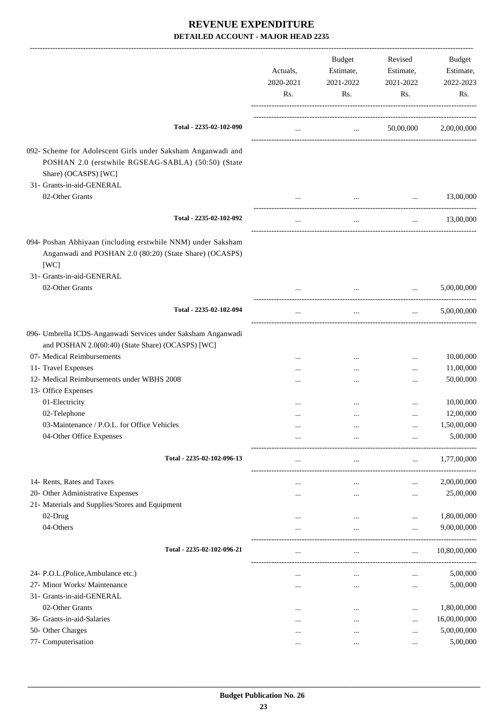|                                                                                                                                                                         | Actuals,<br>2020-2021<br>Rs. | Budget<br>Estimate,<br>2021-2022<br>Rs. | Revised<br>Estimate,<br>2021-2022<br>Rs.   | <b>Budget</b><br>Estimate,<br>2022-2023<br>Rs. |
|-------------------------------------------------------------------------------------------------------------------------------------------------------------------------|------------------------------|-----------------------------------------|--------------------------------------------|------------------------------------------------|
| Total - 2235-02-102-090                                                                                                                                                 | $\cdots$                     | <b>Contract Contract Contract</b>       | 50,00,000                                  | 2,00,00,000                                    |
| 092- Scheme for Adolescent Girls under Saksham Anganwadi and<br>POSHAN 2.0 (erstwhile RGSEAG-SABLA) (50:50) (State<br>Share) (OCASPS) [WC]<br>31- Grants-in-aid-GENERAL |                              |                                         |                                            |                                                |
| 02-Other Grants                                                                                                                                                         | $\cdots$                     | $\cdots$                                | $\cdots$                                   | 13,00,000                                      |
| Total - 2235-02-102-092                                                                                                                                                 | $\cdots$                     | $\ldots$                                | $\cdots$                                   | 13,00,000                                      |
| 094- Poshan Abhiyaan (including erstwhile NNM) under Saksham<br>Anganwadi and POSHAN 2.0 (80:20) (State Share) (OCASPS)<br>[WC]                                         |                              |                                         |                                            |                                                |
| 31- Grants-in-aid-GENERAL<br>02-Other Grants                                                                                                                            | $\cdots$                     | $\cdots$                                | $\ddots$                                   | 5,00,00,000                                    |
| Total - 2235-02-102-094                                                                                                                                                 | $\cdots$                     | $\cdots$                                | $\mathbf{r}$ , $\mathbf{r}$ , $\mathbf{r}$ | 5,00,00,000                                    |
| 096- Umbrella ICDS-Anganwadi Services under Saksham Anganwadi<br>and POSHAN 2.0(60:40) (State Share) (OCASPS) [WC]                                                      |                              |                                         |                                            |                                                |
| 07- Medical Reimbursements                                                                                                                                              |                              | $\cdots$                                | $\cdots$                                   | 10,00,000                                      |
| 11- Travel Expenses<br>12- Medical Reimbursements under WBHS 2008                                                                                                       |                              | $\cdots$                                | $\cdots$                                   | 11,00,000<br>50,00,000                         |
| 13- Office Expenses                                                                                                                                                     |                              |                                         | $\cdots$                                   |                                                |
| 01-Electricity                                                                                                                                                          |                              |                                         |                                            | 10,00,000                                      |
| 02-Telephone                                                                                                                                                            |                              |                                         | $\cdots$                                   | 12,00,000                                      |
| 03-Maintenance / P.O.L. for Office Vehicles                                                                                                                             |                              |                                         |                                            | 1,50,00,000                                    |
| 04-Other Office Expenses                                                                                                                                                | $\cdots$                     |                                         |                                            | 5,00,000                                       |
| Total - 2235-02-102-096-13                                                                                                                                              | $\cdots$                     | $\cdots$                                | $\cdots$                                   | 1,77,00,000                                    |
| 14- Rents, Rates and Taxes                                                                                                                                              |                              |                                         |                                            | 2,00,00,000                                    |
| 20- Other Administrative Expenses                                                                                                                                       |                              |                                         | $\cdots$                                   | 25,00,000                                      |
| 21- Materials and Supplies/Stores and Equipment                                                                                                                         |                              |                                         |                                            |                                                |
| 02-Drug                                                                                                                                                                 |                              | $\cdots$                                | $\cdots$                                   | 1,80,00,000                                    |
| 04-Others                                                                                                                                                               |                              | $\cdots$                                | $\cdots$                                   | 9,00,00,000                                    |
| Total - 2235-02-102-096-21                                                                                                                                              |                              | $\cdots$                                | $\cdots$                                   | 10,80,00,000                                   |
| 24- P.O.L.(Police, Ambulance etc.)                                                                                                                                      |                              |                                         | $\cdots$                                   | 5,00,000                                       |
| 27- Minor Works/ Maintenance                                                                                                                                            |                              | $\cdots$                                | $\cdots$                                   | 5,00,000                                       |
| 31- Grants-in-aid-GENERAL                                                                                                                                               |                              |                                         |                                            |                                                |
| 02-Other Grants                                                                                                                                                         | $\cdots$                     | $\cdots$                                | $\cdots$                                   | 1,80,00,000                                    |
| 36- Grants-in-aid-Salaries                                                                                                                                              | $\cdots$                     | $\cdots$                                |                                            | 16,00,00,000                                   |
| 50- Other Charges                                                                                                                                                       | $\cdots$                     | $\cdots$                                | $\cdots$                                   | 5,00,00,000                                    |
| 77- Computerisation                                                                                                                                                     |                              |                                         |                                            | 5,00,000                                       |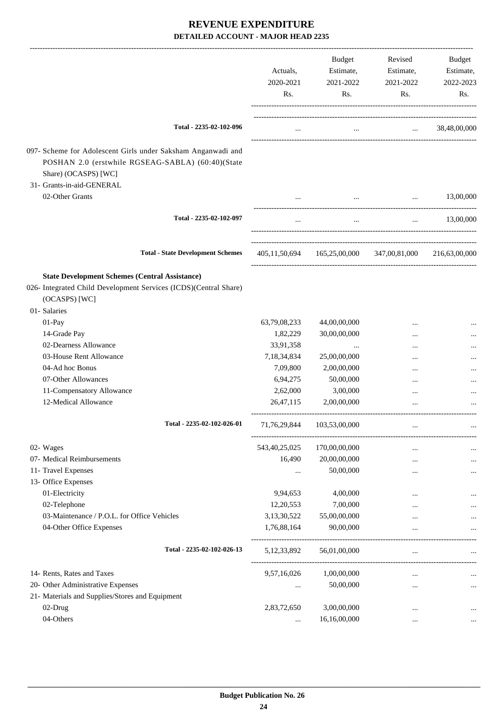|                                                                                                                                           | Actuals,<br>2020-2021<br>Rs. | Budget<br>Estimate,<br>2021-2022<br>Rs. | Revised<br>Estimate,<br>2021-2022<br>Rs.                | Budget<br>Estimate,<br>2022-2023<br>Rs.                     |
|-------------------------------------------------------------------------------------------------------------------------------------------|------------------------------|-----------------------------------------|---------------------------------------------------------|-------------------------------------------------------------|
| Total - 2235-02-102-096                                                                                                                   | $\cdots$                     |                                         | and the state of the state of the state of the          | 38,48,00,000                                                |
| 097- Scheme for Adolescent Girls under Saksham Anganwadi and<br>POSHAN 2.0 (erstwhile RGSEAG-SABLA) (60:40)(State<br>Share) (OCASPS) [WC] |                              |                                         |                                                         |                                                             |
| 31- Grants-in-aid-GENERAL                                                                                                                 |                              |                                         |                                                         |                                                             |
| 02-Other Grants                                                                                                                           |                              | $\cdots$                                | $\cdots$                                                | 13,00,000                                                   |
| Total - 2235-02-102-097                                                                                                                   | $\cdots$                     | $\cdots$                                |                                                         | 13,00,000<br>$\mathbf{r}$ and $\mathbf{r}$ and $\mathbf{r}$ |
| <b>Total - State Development Schemes</b>                                                                                                  |                              |                                         | 405,11,50,694 165,25,00,000 347,00,81,000 216,63,00,000 |                                                             |
| <b>State Development Schemes (Central Assistance)</b><br>026- Integrated Child Development Services (ICDS)(Central Share)                 |                              |                                         |                                                         |                                                             |
| (OCASPS) [WC]<br>01- Salaries                                                                                                             |                              |                                         |                                                         |                                                             |
| 01-Pay                                                                                                                                    | 63,79,08,233                 | 44,00,00,000                            |                                                         |                                                             |
| 14-Grade Pay                                                                                                                              | 1,82,229                     | 30,00,00,000                            | $\ddotsc$                                               |                                                             |
| 02-Dearness Allowance                                                                                                                     | 33,91,358                    |                                         |                                                         |                                                             |
| 03-House Rent Allowance                                                                                                                   | 7,18,34,834                  | 25,00,00,000                            |                                                         |                                                             |
| 04-Ad hoc Bonus                                                                                                                           | 7,09,800                     | 2,00,00,000                             | $\ddotsc$                                               |                                                             |
| 07-Other Allowances                                                                                                                       | 6,94,275                     | 50,00,000                               | $\ddotsc$                                               |                                                             |
| 11-Compensatory Allowance                                                                                                                 | 2,62,000                     | 3,00,000                                | $\ddotsc$                                               |                                                             |
| 12-Medical Allowance                                                                                                                      | 26,47,115                    | 2,00,00,000                             | $\ddotsc$                                               |                                                             |
| Total - 2235-02-102-026-01                                                                                                                |                              | 71,76,29,844 103,53,00,000              |                                                         |                                                             |
| 02- Wages                                                                                                                                 | 543, 40, 25, 025             | 170,00,00,000                           |                                                         |                                                             |
| 07- Medical Reimbursements                                                                                                                | 16,490                       | 20,00,00,000                            | <br>                                                    | $\cdots$                                                    |
| 11- Travel Expenses                                                                                                                       |                              | 50,00,000                               |                                                         |                                                             |
| 13- Office Expenses                                                                                                                       |                              |                                         |                                                         |                                                             |
| 01-Electricity                                                                                                                            | 9,94,653                     | 4,00,000                                |                                                         |                                                             |
| 02-Telephone                                                                                                                              | 12,20,553                    | 7,00,000                                |                                                         |                                                             |
| 03-Maintenance / P.O.L. for Office Vehicles                                                                                               | 3,13,30,522                  | 55,00,00,000                            | $\ddotsc$                                               |                                                             |
| 04-Other Office Expenses                                                                                                                  | 1,76,88,164                  | 90,00,000                               | $\ddotsc$                                               |                                                             |
| Total - 2235-02-102-026-13                                                                                                                | 5, 12, 33, 892               | 56,01,00,000                            | $\ddotsc$                                               |                                                             |
| 14- Rents, Rates and Taxes                                                                                                                | 9,57,16,026                  | 1,00,00,000                             | ------------------------<br>$\ddotsc$                   |                                                             |
| 20- Other Administrative Expenses                                                                                                         |                              | 50,00,000                               | $\ddotsc$                                               | $\cdots$                                                    |
| 21- Materials and Supplies/Stores and Equipment                                                                                           |                              |                                         |                                                         |                                                             |
| 02-Drug                                                                                                                                   | 2,83,72,650                  | 3,00,00,000                             | $\ddotsc$                                               |                                                             |
| 04-Others                                                                                                                                 | $\cdots$                     | 16,16,00,000                            | $\ddotsc$                                               | $\cdots$                                                    |
|                                                                                                                                           |                              |                                         |                                                         |                                                             |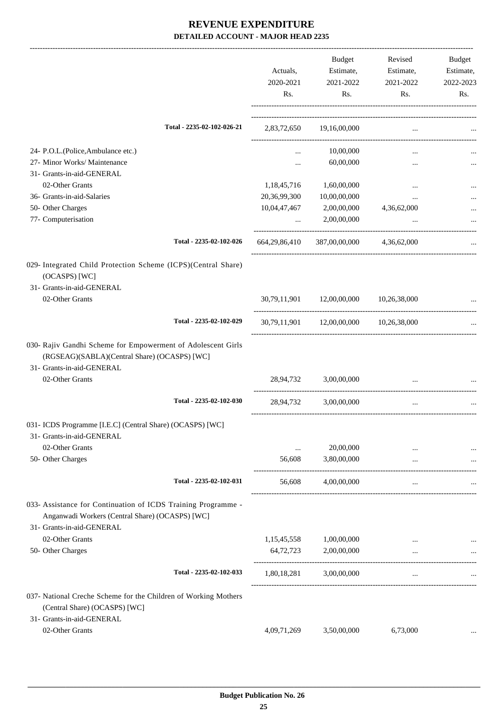|                                                                                                                  | Actuals,<br>2020-2021<br>Rs. | <b>Budget</b><br>Estimate,<br>2021-2022<br>Rs. | Revised<br>Estimate,<br>2021-2022<br>Rs.        | Budget<br>Estimate,<br>2022-2023<br>Rs. |
|------------------------------------------------------------------------------------------------------------------|------------------------------|------------------------------------------------|-------------------------------------------------|-----------------------------------------|
|                                                                                                                  |                              |                                                |                                                 |                                         |
| Total - 2235-02-102-026-21                                                                                       |                              | 2,83,72,650 19,16,00,000                       | $\cdots$                                        |                                         |
| 24- P.O.L.(Police, Ambulance etc.)                                                                               | $\cdots$                     | 10,00,000                                      | $\cdots$                                        |                                         |
| 27- Minor Works/ Maintenance                                                                                     |                              | 60,00,000                                      | $\cdots$                                        |                                         |
| 31- Grants-in-aid-GENERAL                                                                                        |                              |                                                |                                                 |                                         |
| 02-Other Grants                                                                                                  | 1,18,45,716                  | 1,60,00,000                                    | $\cdots$                                        |                                         |
| 36- Grants-in-aid-Salaries                                                                                       | 20,36,99,300                 | 10,00,00,000                                   | $\cdots$                                        |                                         |
| 50- Other Charges                                                                                                | 10,04,47,467                 | 2,00,00,000                                    | 4,36,62,000                                     |                                         |
| 77- Computerisation                                                                                              | $\mathbf{1.11} \pm 0.000$    | 2,00,00,000                                    |                                                 |                                         |
| Total - 2235-02-102-026                                                                                          | 664, 29, 86, 410             | 387,00,00,000                                  | 4,36,62,000                                     |                                         |
| 029- Integrated Child Protection Scheme (ICPS)(Central Share)                                                    |                              |                                                |                                                 |                                         |
| (OCASPS) [WC]                                                                                                    |                              |                                                |                                                 |                                         |
| 31- Grants-in-aid-GENERAL                                                                                        |                              |                                                |                                                 |                                         |
| 02-Other Grants                                                                                                  |                              | 30,79,11,901 12,00,00,000                      | 10,26,38,000                                    |                                         |
| Total - 2235-02-102-029                                                                                          |                              | 30,79,11,901 12,00,00,000 10,26,38,000         |                                                 |                                         |
| 030- Rajiv Gandhi Scheme for Empowerment of Adolescent Girls<br>(RGSEAG)(SABLA)(Central Share) (OCASPS) [WC]     |                              |                                                |                                                 |                                         |
| 31- Grants-in-aid-GENERAL                                                                                        |                              |                                                |                                                 |                                         |
| 02-Other Grants                                                                                                  | 28,94,732                    | 3,00,00,000                                    | $\cdots$                                        |                                         |
| Total - 2235-02-102-030                                                                                          | 28,94,732                    | 3,00,00,000                                    |                                                 |                                         |
| 031- ICDS Programme [I.E.C] (Central Share) (OCASPS) [WC]<br>31- Grants-in-aid-GENERAL                           |                              |                                                |                                                 |                                         |
| 02-Other Grants                                                                                                  | $\ddotsc$                    | 20,00,000                                      |                                                 |                                         |
| 50- Other Charges                                                                                                | 56,608                       | 3,80,00,000                                    | $\cdots$                                        |                                         |
| Total - 2235-02-102-031                                                                                          | 56,608                       | 4,00,00,000                                    | $\cdots$<br>----------------------------------- |                                         |
| 033- Assistance for Continuation of ICDS Training Programme -<br>Anganwadi Workers (Central Share) (OCASPS) [WC] |                              |                                                |                                                 |                                         |
| 31- Grants-in-aid-GENERAL                                                                                        |                              |                                                |                                                 |                                         |
| 02-Other Grants                                                                                                  | 1,15,45,558                  | 1,00,00,000                                    |                                                 |                                         |
| 50- Other Charges                                                                                                | 64,72,723                    | 2,00,00,000                                    |                                                 |                                         |
| Total - 2235-02-102-033                                                                                          | 1,80,18,281                  | 3,00,00,000                                    |                                                 |                                         |
| 037- National Creche Scheme for the Children of Working Mothers<br>(Central Share) (OCASPS) [WC]                 |                              |                                                |                                                 |                                         |
| 31- Grants-in-aid-GENERAL                                                                                        |                              |                                                |                                                 |                                         |
| 02-Other Grants                                                                                                  | 4,09,71,269                  | 3,50,00,000                                    | 6,73,000                                        |                                         |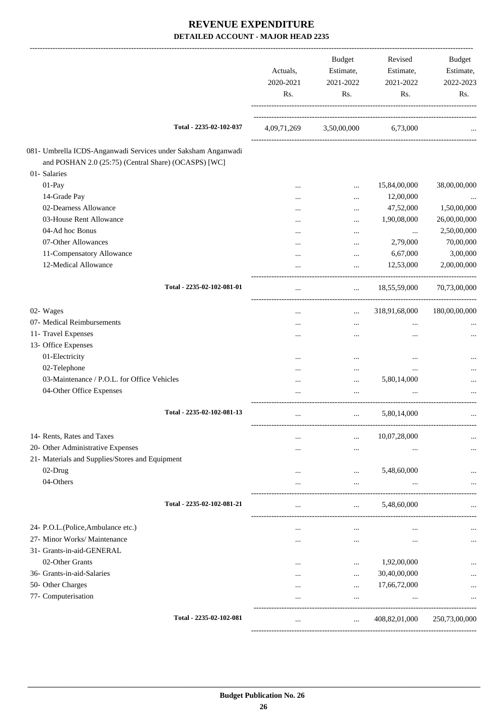|                                                                                                                       |                            | Actuals,<br>2020-2021<br>Rs. | <b>Budget</b><br>Estimate,<br>2021-2022<br>Rs. | Revised<br>Estimate,<br>2021-2022<br>Rs. | Budget<br>Estimate,<br>2022-2023<br>Rs. |
|-----------------------------------------------------------------------------------------------------------------------|----------------------------|------------------------------|------------------------------------------------|------------------------------------------|-----------------------------------------|
|                                                                                                                       | Total - 2235-02-102-037    | 4,09,71,269                  | 3,50,00,000                                    | 6,73,000                                 |                                         |
| 081- Umbrella ICDS-Anganwadi Services under Saksham Anganwadi<br>and POSHAN 2.0 (25:75) (Central Share) (OCASPS) [WC] |                            |                              |                                                |                                          |                                         |
| 01- Salaries                                                                                                          |                            |                              |                                                |                                          |                                         |
| 01-Pay                                                                                                                |                            |                              | $\cdots$                                       | 15,84,00,000                             | 38,00,00,000                            |
| 14-Grade Pay                                                                                                          |                            |                              |                                                | 12,00,000                                |                                         |
| 02-Dearness Allowance                                                                                                 |                            |                              | $\cdots$                                       | 47,52,000                                | 1,50,00,000                             |
| 03-House Rent Allowance                                                                                               |                            |                              | $\cdots$                                       | 1,90,08,000                              | 26,00,00,000                            |
| 04-Ad hoc Bonus                                                                                                       |                            |                              | $\cdots$                                       | $\cdots$                                 | 2,50,00,000                             |
| 07-Other Allowances                                                                                                   |                            |                              | $\cdots$                                       | 2,79,000                                 | 70,00,000                               |
| 11-Compensatory Allowance                                                                                             |                            |                              |                                                | 6,67,000                                 | 3,00,000                                |
| 12-Medical Allowance                                                                                                  |                            |                              |                                                | 12,53,000                                | 2,00,00,000                             |
|                                                                                                                       | Total - 2235-02-102-081-01 | $\cdots$                     | $\cdots$                                       | 18,55,59,000                             | 70,73,00,000                            |
| 02- Wages                                                                                                             |                            |                              | $\cdots$                                       | 318,91,68,000                            | 180,00,00,000                           |
| 07- Medical Reimbursements                                                                                            |                            |                              |                                                | $\cdots$                                 |                                         |
| 11- Travel Expenses                                                                                                   |                            |                              |                                                |                                          |                                         |
| 13- Office Expenses                                                                                                   |                            |                              |                                                |                                          |                                         |
| 01-Electricity                                                                                                        |                            |                              |                                                |                                          |                                         |
| 02-Telephone                                                                                                          |                            |                              | $\cdots$                                       | $\cdots$                                 |                                         |
| 03-Maintenance / P.O.L. for Office Vehicles                                                                           |                            |                              |                                                | 5,80,14,000                              |                                         |
| 04-Other Office Expenses                                                                                              |                            |                              |                                                |                                          |                                         |
|                                                                                                                       | Total - 2235-02-102-081-13 |                              |                                                | 5,80,14,000                              | $\cdots$                                |
| 14- Rents, Rates and Taxes                                                                                            |                            |                              |                                                | 10,07,28,000                             |                                         |
| 20- Other Administrative Expenses                                                                                     |                            |                              | $\cdots$                                       |                                          |                                         |
| 21- Materials and Supplies/Stores and Equipment                                                                       |                            |                              |                                                |                                          |                                         |
| 02-Drug                                                                                                               |                            |                              | $\cdots$                                       | 5,48,60,000                              |                                         |
| 04-Others                                                                                                             |                            |                              |                                                |                                          |                                         |
|                                                                                                                       | Total - 2235-02-102-081-21 |                              |                                                | 5,48,60,000                              |                                         |
|                                                                                                                       |                            |                              |                                                |                                          |                                         |
| 24- P.O.L.(Police, Ambulance etc.)                                                                                    |                            |                              |                                                |                                          |                                         |
| 27- Minor Works/ Maintenance                                                                                          |                            | $\cdots$                     |                                                |                                          |                                         |
| 31- Grants-in-aid-GENERAL                                                                                             |                            |                              |                                                |                                          |                                         |
| 02-Other Grants                                                                                                       |                            |                              |                                                | 1,92,00,000                              |                                         |
| 36- Grants-in-aid-Salaries                                                                                            |                            |                              | $\cdots$                                       | 30,40,00,000                             |                                         |
| 50- Other Charges                                                                                                     |                            | $\cdots$                     | $\cdots$                                       | 17,66,72,000                             |                                         |
| 77- Computerisation                                                                                                   |                            |                              | $\cdots$                                       |                                          |                                         |
|                                                                                                                       | Total - 2235-02-102-081    |                              | $\cdots$                                       | 408,82,01,000                            | 250,73,00,000                           |
|                                                                                                                       |                            |                              |                                                |                                          |                                         |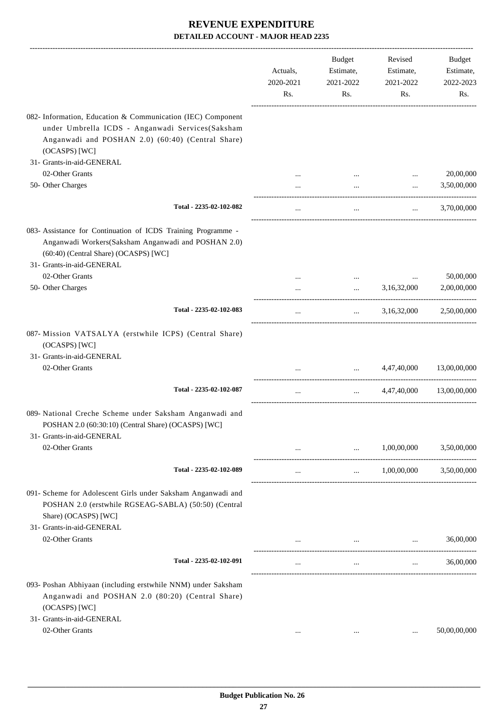|                                                                                                                                                                                            | Actuals,<br>2020-2021<br>Rs. | <b>Budget</b><br>Estimate,<br>2021-2022<br>Rs. | Revised<br>Estimate,<br>2021-2022<br>Rs. | Budget<br>Estimate,<br>2022-2023<br>Rs. |
|--------------------------------------------------------------------------------------------------------------------------------------------------------------------------------------------|------------------------------|------------------------------------------------|------------------------------------------|-----------------------------------------|
| 082- Information, Education & Communication (IEC) Component<br>under Umbrella ICDS - Anganwadi Services(Saksham<br>Anganwadi and POSHAN 2.0) (60:40) (Central Share)<br>(OCASPS) [WC]      |                              |                                                |                                          |                                         |
| 31- Grants-in-aid-GENERAL                                                                                                                                                                  |                              |                                                |                                          |                                         |
| 02-Other Grants                                                                                                                                                                            |                              |                                                |                                          | 20,00,000                               |
| 50- Other Charges                                                                                                                                                                          |                              | $\cdots$                                       | $\cdots$                                 | 3,50,00,000                             |
| Total - 2235-02-102-082                                                                                                                                                                    | $\cdots$                     | $\cdots$                                       | $\cdots$                                 | 3,70,00,000                             |
| 083- Assistance for Continuation of ICDS Training Programme -<br>Anganwadi Workers(Saksham Anganwadi and POSHAN 2.0)<br>(60:40) (Central Share) (OCASPS) [WC]<br>31- Grants-in-aid-GENERAL |                              |                                                |                                          |                                         |
| 02-Other Grants                                                                                                                                                                            |                              | $\cdots$                                       |                                          | 50,00,000                               |
| 50- Other Charges                                                                                                                                                                          |                              | $\cdots$                                       | 3,16,32,000                              | 2,00,00,000                             |
| Total - 2235-02-102-083                                                                                                                                                                    | $\cdots$                     | $\mathbf{r}$ and $\mathbf{r}$                  |                                          | 3,16,32,000 2,50,00,000                 |
| 087- Mission VATSALYA (erstwhile ICPS) (Central Share)<br>(OCASPS) [WC]<br>31- Grants-in-aid-GENERAL<br>02-Other Grants                                                                    | $\cdots$                     | $\mathbf{r}$ and $\mathbf{r}$ and $\mathbf{r}$ | 4,47,40,000                              | 13,00,00,000                            |
| Total - 2235-02-102-087                                                                                                                                                                    | $\cdots$                     | $\cdots$                                       | 4,47,40,000                              | 13,00,00,000                            |
| 089- National Creche Scheme under Saksham Anganwadi and<br>POSHAN 2.0 (60:30:10) (Central Share) (OCASPS) [WC]<br>31- Grants-in-aid-GENERAL<br>02-Other Grants                             |                              | $\cdots$                                       | 1,00,00,000                              | 3,50,00,000                             |
|                                                                                                                                                                                            |                              |                                                |                                          |                                         |
| Total - 2235-02-102-089                                                                                                                                                                    | $\cdots$                     | $\mathbf{1}$                                   | 1,00,00,000                              | 3,50,00,000                             |
| 091- Scheme for Adolescent Girls under Saksham Anganwadi and<br>POSHAN 2.0 (erstwhile RGSEAG-SABLA) (50:50) (Central<br>Share) (OCASPS) [WC]<br>31- Grants-in-aid-GENERAL                  |                              |                                                |                                          |                                         |
| 02-Other Grants                                                                                                                                                                            |                              |                                                | $\cdots$                                 | 36,00,000                               |
| Total - 2235-02-102-091                                                                                                                                                                    |                              | $\cdots$                                       | $\cdots$                                 | 36,00,000                               |
| 093- Poshan Abhiyaan (including erstwhile NNM) under Saksham<br>Anganwadi and POSHAN 2.0 (80:20) (Central Share)<br>(OCASPS) [WC]<br>31- Grants-in-aid-GENERAL                             |                              |                                                |                                          |                                         |
| 02-Other Grants                                                                                                                                                                            | $\cdots$                     | $\cdots$                                       |                                          | 50,00,00,000                            |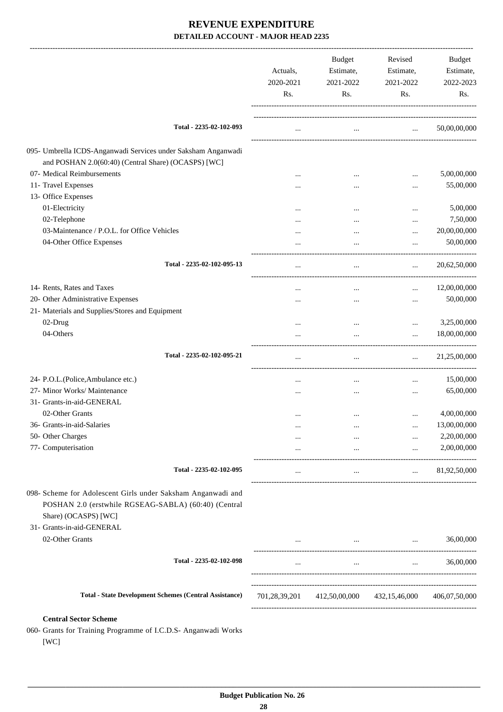|                                                                                                                                              | Actuals,<br>2020-2021<br>Rs. | <b>Budget</b><br>Estimate,<br>2021-2022<br>Rs. | Revised<br>Estimate,<br>2021-2022<br>Rs.            | <b>Budget</b><br>Estimate,<br>2022-2023<br>Rs. |
|----------------------------------------------------------------------------------------------------------------------------------------------|------------------------------|------------------------------------------------|-----------------------------------------------------|------------------------------------------------|
| Total - 2235-02-102-093                                                                                                                      | $\cdots$                     | $\cdots$                                       | $\cdots$                                            | 50,00,00,000                                   |
| 095- Umbrella ICDS-Anganwadi Services under Saksham Anganwadi<br>and POSHAN 2.0(60:40) (Central Share) (OCASPS) [WC]                         |                              |                                                |                                                     |                                                |
| 07- Medical Reimbursements                                                                                                                   |                              |                                                |                                                     | 5,00,00,000                                    |
| 11- Travel Expenses                                                                                                                          |                              |                                                |                                                     | 55,00,000                                      |
| 13- Office Expenses                                                                                                                          |                              |                                                |                                                     |                                                |
| 01-Electricity                                                                                                                               |                              |                                                | $\ddotsc$                                           | 5,00,000                                       |
| 02-Telephone                                                                                                                                 |                              |                                                | $\ddotsc$                                           | 7,50,000                                       |
| 03-Maintenance / P.O.L. for Office Vehicles                                                                                                  |                              |                                                | $\ddotsc$                                           | 20,00,00,000                                   |
| 04-Other Office Expenses                                                                                                                     |                              |                                                | $\ddotsc$                                           | 50,00,000                                      |
| Total - 2235-02-102-095-13                                                                                                                   |                              |                                                | $\cdots$                                            | 20,62,50,000                                   |
| 14- Rents, Rates and Taxes                                                                                                                   |                              |                                                | $\cdots$                                            | 12,00,00,000                                   |
| 20- Other Administrative Expenses                                                                                                            |                              |                                                |                                                     | 50,00,000                                      |
| 21- Materials and Supplies/Stores and Equipment                                                                                              |                              |                                                |                                                     |                                                |
| 02-Drug                                                                                                                                      |                              |                                                | $\cdots$                                            | 3,25,00,000                                    |
| 04-Others                                                                                                                                    |                              |                                                | $\cdots$                                            | 18,00,00,000                                   |
| Total - 2235-02-102-095-21                                                                                                                   |                              |                                                | $\cdots$                                            | 21,25,00,000                                   |
| 24- P.O.L.(Police, Ambulance etc.)                                                                                                           | $\ddotsc$                    | $\cdots$                                       | $\cdots$                                            | 15,00,000                                      |
| 27- Minor Works/ Maintenance                                                                                                                 |                              |                                                |                                                     | 65,00,000                                      |
| 31- Grants-in-aid-GENERAL                                                                                                                    |                              |                                                |                                                     |                                                |
| 02-Other Grants                                                                                                                              |                              |                                                |                                                     | 4,00,00,000                                    |
| 36- Grants-in-aid-Salaries                                                                                                                   |                              |                                                |                                                     | 13,00,00,000                                   |
| 50- Other Charges                                                                                                                            |                              | $\cdots$                                       | $\cdots$                                            | 2,20,00,000                                    |
| 77- Computerisation                                                                                                                          | $\cdots$                     | $\mathbf{z}$ and $\mathbf{z}$ and $\mathbf{z}$ | $\cdots$                                            | 2,00,00,000                                    |
| Total - 2235-02-102-095                                                                                                                      | $\cdots$                     | $\cdots$                                       | $\mathbf{1}$                                        | 81,92,50,000                                   |
| 098- Scheme for Adolescent Girls under Saksham Anganwadi and<br>POSHAN 2.0 (erstwhile RGSEAG-SABLA) (60:40) (Central<br>Share) (OCASPS) [WC] |                              |                                                |                                                     |                                                |
| 31- Grants-in-aid-GENERAL                                                                                                                    |                              |                                                |                                                     |                                                |
| 02-Other Grants                                                                                                                              |                              |                                                | the contract of the contract of the contract of the | 36,00,000                                      |
| Total - 2235-02-102-098                                                                                                                      | $\cdots$                     | $\cdots$                                       | $\mathbf{r}$                                        | 36,00,000                                      |
| <b>Total - State Development Schemes (Central Assistance)</b>                                                                                | 701,28,39,201                |                                                | 412,50,00,000 432,15,46,000                         | 406,07,50,000                                  |
| <b>Central Sector Scheme</b><br>060- Grants for Training Programme of I.C.D.S- Anganwadi Works                                               |                              |                                                |                                                     |                                                |

[WC]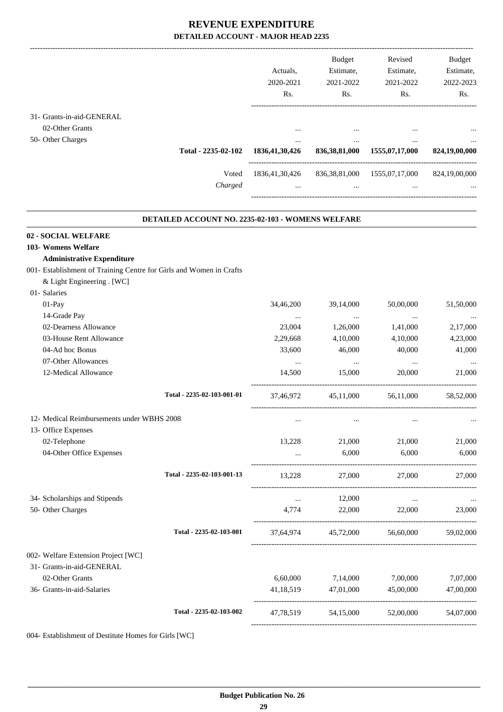|                           |                     |                   | <b>Budget</b>    | Revised                            | <b>Budget</b> |
|---------------------------|---------------------|-------------------|------------------|------------------------------------|---------------|
|                           |                     | Actuals.          | Estimate,        | Estimate,                          | Estimate,     |
|                           |                     | 2020-2021         | 2021-2022        | 2021-2022                          | 2022-2023     |
|                           |                     | Rs.               | R <sub>s</sub> . | Rs.                                | Rs.           |
| 31- Grants-in-aid-GENERAL |                     |                   |                  |                                    |               |
| 02-Other Grants           |                     | $\cdots$          | $\cdots$         | $\cdots$                           | $\cdots$      |
| 50- Other Charges         |                     | $\cdots$          | $\cdots$         | $\cdots$                           | $\cdots$      |
|                           | Total - 2235-02-102 | 1836, 41, 30, 426 | 836, 38, 81, 000 | 1555,07,17,000                     | 824,19,00,000 |
|                           | Voted               | 1836, 41, 30, 426 |                  | 836, 38, 81, 000 1555, 07, 17, 000 | 824,19,00,000 |
|                           | Charged             | $\cdots$          | $\cdots$         | $\cdots$                           | $\cdots$      |
|                           |                     |                   |                  |                                    |               |

.

| <b>DETAILED ACCOUNT NO. 2235-02-103 - WOMENS WELFARE</b>            |           |                  |                                         |           |
|---------------------------------------------------------------------|-----------|------------------|-----------------------------------------|-----------|
| 02 - SOCIAL WELFARE                                                 |           |                  |                                         |           |
| 103- Womens Welfare                                                 |           |                  |                                         |           |
| <b>Administrative Expenditure</b>                                   |           |                  |                                         |           |
| 001- Establishment of Training Centre for Girls and Women in Crafts |           |                  |                                         |           |
| & Light Engineering . [WC]                                          |           |                  |                                         |           |
| 01- Salaries                                                        |           |                  |                                         |           |
| 01-Pay                                                              | 34,46,200 | 39,14,000        | 50,00,000                               | 51,50,000 |
| 14-Grade Pay                                                        | $\ddots$  | $\sim$ 100 $\mu$ | $\cdots$                                |           |
| 02-Dearness Allowance                                               | 23,004    | 1,26,000         | 1,41,000                                | 2,17,000  |
| 03-House Rent Allowance                                             | 2,29,668  | 4,10,000         | 4,10,000                                | 4,23,000  |
| 04-Ad hoc Bonus                                                     | 33,600    | 46,000           | 40,000                                  | 41,000    |
| 07-Other Allowances                                                 | $\ldots$  | $\cdots$         | $\ldots$                                |           |
| 12-Medical Allowance                                                | 14.500    | 15,000           | 20,000                                  | 21,000    |
| Total - 2235-02-103-001-01                                          | 37,46,972 |                  | 45,11,000 56,11,000                     | 58,52,000 |
| 12- Medical Reimbursements under WBHS 2008                          | $\cdots$  | $\cdots$         | $\cdots$                                |           |
| 13- Office Expenses                                                 |           |                  |                                         |           |
| 02-Telephone                                                        | 13,228    | 21,000           | 21,000                                  | 21,000    |
| 04-Other Office Expenses                                            |           | 6,000            | 6,000                                   | 6,000     |
| Total - 2235-02-103-001-13                                          | 13,228    | 27,000           | 27,000                                  | 27,000    |
| 34- Scholarships and Stipends                                       | $\cdots$  | 12,000           | $\cdots$                                |           |
| 50- Other Charges                                                   | 4,774     |                  | 22,000 22,000                           | 23,000    |
| Total - 2235-02-103-001                                             |           |                  | 37,64,974 45,72,000 56,60,000 59,02,000 |           |
| 002- Welfare Extension Project [WC]                                 |           |                  |                                         |           |
| 31- Grants-in-aid-GENERAL                                           |           |                  |                                         |           |
| 02-Other Grants                                                     | 6,60,000  | 7,14,000         | 7,00,000                                | 7,07,000  |
| 36- Grants-in-aid-Salaries                                          | 41,18,519 | 47,01,000        | 45,00,000                               | 47,00,000 |
| Total - 2235-02-103-002                                             | 47,78,519 | 54,15,000        | 52,00,000                               | 54,07,000 |
|                                                                     |           |                  |                                         |           |

004- Establishment of Destitute Homes for Girls [WC]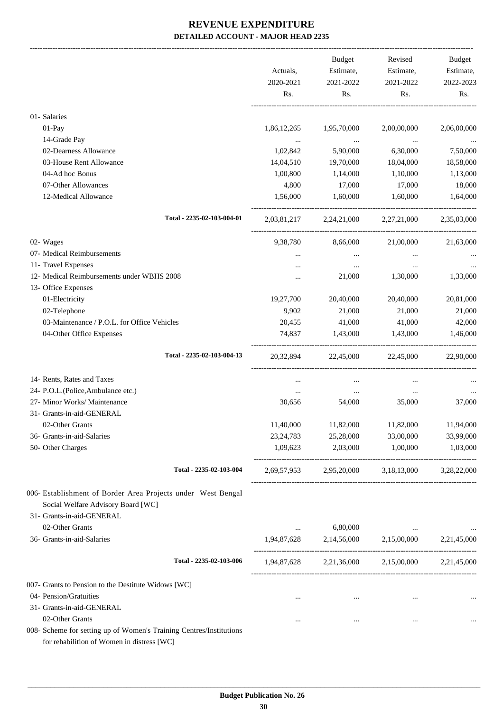|                                                                                                                   | Actuals,<br>2020-2021 | <b>Budget</b><br>Estimate,<br>2021-2022 | Revised<br>Estimate,<br>2021-2022                       | Budget<br>Estimate,<br>2022-2023 |
|-------------------------------------------------------------------------------------------------------------------|-----------------------|-----------------------------------------|---------------------------------------------------------|----------------------------------|
|                                                                                                                   | Rs.                   | Rs.                                     | Rs.                                                     | Rs.                              |
| 01- Salaries                                                                                                      |                       |                                         |                                                         |                                  |
| 01-Pay                                                                                                            | 1,86,12,265           | 1,95,70,000                             | 2,00,00,000                                             | 2,06,00,000                      |
| 14-Grade Pay                                                                                                      |                       | $\sim 100$ and $\sim 100$               |                                                         |                                  |
| 02-Dearness Allowance                                                                                             | 1,02,842              | 5,90,000                                | 6,30,000                                                | 7,50,000                         |
| 03-House Rent Allowance                                                                                           | 14,04,510             | 19,70,000                               | 18,04,000                                               | 18,58,000                        |
| 04-Ad hoc Bonus                                                                                                   | 1,00,800              | 1,14,000                                | 1,10,000                                                | 1,13,000                         |
| 07-Other Allowances                                                                                               | 4,800                 | 17,000                                  | 17,000                                                  | 18,000                           |
| 12-Medical Allowance                                                                                              | 1,56,000              | 1,60,000                                | 1,60,000                                                | 1,64,000                         |
| Total - 2235-02-103-004-01                                                                                        |                       |                                         | 2,03,81,217 2,24,21,000 2,27,21,000 2,35,03,000         |                                  |
| 02- Wages                                                                                                         | 9,38,780              | 8,66,000                                | 21,00,000                                               | 21,63,000                        |
| 07- Medical Reimbursements                                                                                        |                       | $\cdots$                                |                                                         |                                  |
| 11- Travel Expenses                                                                                               |                       | $\cdots$                                | $\cdots$                                                |                                  |
| 12- Medical Reimbursements under WBHS 2008                                                                        |                       | 21,000                                  | 1,30,000                                                | 1,33,000                         |
| 13- Office Expenses                                                                                               |                       |                                         |                                                         |                                  |
| 01-Electricity                                                                                                    | 19,27,700             | 20,40,000                               | 20,40,000                                               | 20,81,000                        |
| 02-Telephone                                                                                                      | 9,902                 | 21,000                                  | 21,000                                                  | 21,000                           |
| 03-Maintenance / P.O.L. for Office Vehicles                                                                       | 20,455                | 41,000                                  | 41,000                                                  | 42,000                           |
| 04-Other Office Expenses                                                                                          | 74,837                | 1,43,000                                | 1,43,000                                                | 1,46,000                         |
| Total - 2235-02-103-004-13                                                                                        |                       |                                         | 20,32,894 22,45,000 22,45,000                           | 22,90,000                        |
| 14- Rents, Rates and Taxes                                                                                        | $\cdots$              | $\ldots$                                | $\cdots$                                                |                                  |
| 24- P.O.L.(Police, Ambulance etc.)                                                                                | $\cdots$              | $\cdots$                                | $\cdots$                                                |                                  |
| 27- Minor Works/ Maintenance                                                                                      | 30,656                | 54,000                                  | 35,000                                                  | 37,000                           |
| 31- Grants-in-aid-GENERAL                                                                                         |                       |                                         |                                                         |                                  |
| 02-Other Grants                                                                                                   | 11,40,000             | 11,82,000                               | 11,82,000                                               | 11,94,000                        |
| 36- Grants-in-aid-Salaries                                                                                        | 23, 24, 783           | 25,28,000                               | 33,00,000                                               | 33,99,000                        |
| 50- Other Charges                                                                                                 |                       | 1,09,623 2,03,000 1,00,000              |                                                         | 1,03,000                         |
| Total - 2235-02-103-004                                                                                           |                       |                                         | 2,69,57,953 2,95,20,000 3,18,13,000 3,28,22,000         |                                  |
| 006- Establishment of Border Area Projects under West Bengal                                                      |                       |                                         |                                                         |                                  |
| Social Welfare Advisory Board [WC]                                                                                |                       |                                         |                                                         |                                  |
| 31- Grants-in-aid-GENERAL                                                                                         |                       |                                         |                                                         |                                  |
| 02-Other Grants                                                                                                   |                       | 6,80,000                                |                                                         |                                  |
| 36- Grants-in-aid-Salaries                                                                                        |                       |                                         | $1,94,87,628$ $2,14,56,000$ $2,15,00,000$ $2,21,45,000$ |                                  |
| Total - 2235-02-103-006                                                                                           |                       |                                         | 1,94,87,628 2,21,36,000 2,15,00,000 2,21,45,000         |                                  |
| 007- Grants to Pension to the Destitute Widows [WC]                                                               |                       |                                         |                                                         |                                  |
| 04- Pension/Gratuities                                                                                            | $\cdots$              | $\cdots$                                | $\cdots$                                                |                                  |
| 31- Grants-in-aid-GENERAL                                                                                         |                       |                                         |                                                         |                                  |
| 02-Other Grants                                                                                                   | $\cdots$              | $\cdots$                                | $\cdots$                                                |                                  |
| 008- Scheme for setting up of Women's Training Centres/Institutions<br>for rehabilition of Women in distress [WC] |                       |                                         |                                                         |                                  |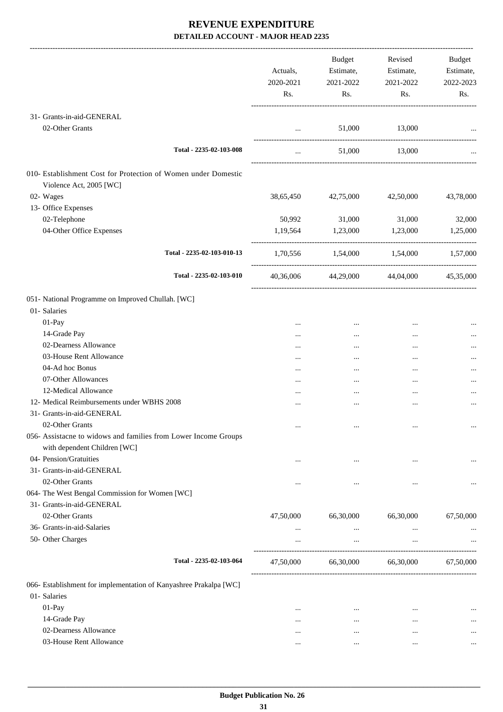|                                                                                                 | Actuals,<br>2020-2021<br>Rs. | Budget<br>Estimate,<br>2021-2022<br>Rs. | Revised<br>Estimate,<br>2021-2022<br>Rs. | Budget<br>Estimate,<br>2022-2023<br>Rs. |
|-------------------------------------------------------------------------------------------------|------------------------------|-----------------------------------------|------------------------------------------|-----------------------------------------|
| 31- Grants-in-aid-GENERAL                                                                       |                              |                                         |                                          |                                         |
| 02-Other Grants                                                                                 | $\cdots$                     | 51,000                                  | 13,000                                   |                                         |
| Total - 2235-02-103-008                                                                         | $\cdots$                     |                                         | 51,000 13,000                            |                                         |
| 010- Establishment Cost for Protection of Women under Domestic<br>Violence Act, 2005 [WC]       |                              |                                         |                                          |                                         |
| 02- Wages                                                                                       | 38,65,450                    | 42,75,000                               | 42,50,000                                | 43,78,000                               |
| 13- Office Expenses                                                                             |                              |                                         |                                          |                                         |
| 02-Telephone                                                                                    | 50,992                       | 31,000                                  | 31,000                                   | 32,000                                  |
| 04-Other Office Expenses                                                                        | 1,19,564                     | 1,23,000                                | 1,23,000                                 | 1,25,000                                |
| Total - 2235-02-103-010-13                                                                      |                              |                                         | 1,70,556 1,54,000 1,54,000 1,57,000      |                                         |
| Total - 2235-02-103-010                                                                         |                              |                                         | 40,36,006 44,29,000 44,04,000            | 45,35,000                               |
| 051- National Programme on Improved Chullah. [WC]<br>01- Salaries                               |                              |                                         |                                          |                                         |
| 01-Pay                                                                                          | $\ddotsc$                    | $\cdots$                                | $\cdots$                                 |                                         |
| 14-Grade Pay                                                                                    |                              | $\cdots$                                |                                          |                                         |
| 02-Dearness Allowance                                                                           |                              | $\cdots$                                |                                          |                                         |
| 03-House Rent Allowance                                                                         |                              | $\cdots$                                |                                          |                                         |
| 04-Ad hoc Bonus                                                                                 | $\cdots$                     | $\cdots$                                | $\cdots$                                 |                                         |
| 07-Other Allowances                                                                             |                              | $\cdots$                                | $\cdots$                                 |                                         |
| 12-Medical Allowance                                                                            | $\cdots$                     |                                         |                                          |                                         |
| 12- Medical Reimbursements under WBHS 2008                                                      | $\cdots$                     |                                         |                                          |                                         |
| 31- Grants-in-aid-GENERAL                                                                       |                              |                                         |                                          |                                         |
| 02-Other Grants                                                                                 | $\ldots$                     | $\cdots$                                | $\cdots$                                 | $\cdots$                                |
| 056- Assistacne to widows and families from Lower Income Groups<br>with dependent Children [WC] |                              |                                         |                                          |                                         |
| 04- Pension/Gratuities                                                                          | $\ddotsc$                    | $\cdots$                                | $\cdots$                                 |                                         |
| 31- Grants-in-aid-GENERAL                                                                       |                              |                                         |                                          |                                         |
| 02-Other Grants                                                                                 | $\cdots$                     | $\cdots$                                | $\cdots$                                 |                                         |
| 064- The West Bengal Commission for Women [WC]                                                  |                              |                                         |                                          |                                         |
| 31- Grants-in-aid-GENERAL                                                                       |                              |                                         |                                          |                                         |
| 02-Other Grants                                                                                 | 47,50,000                    | 66,30,000                               | 66,30,000                                | 67,50,000                               |
| 36- Grants-in-aid-Salaries<br>50- Other Charges                                                 | $\cdots$<br>$\ddotsc$        | $\cdots$<br>$\cdots$                    | $\cdots$<br>$\cdots$                     |                                         |
|                                                                                                 |                              |                                         |                                          |                                         |
| Total - 2235-02-103-064                                                                         | 47,50,000                    | 66,30,000                               | 66,30,000                                | 67,50,000                               |
| 066- Establishment for implementation of Kanyashree Prakalpa [WC]                               |                              |                                         |                                          |                                         |
| 01- Salaries                                                                                    |                              |                                         |                                          |                                         |
| 01-Pay                                                                                          | $\cdots$                     | $\cdots$                                | $\cdots$                                 |                                         |
| 14-Grade Pay                                                                                    | $\cdots$                     | $\cdots$                                | $\cdots$                                 |                                         |
| 02-Dearness Allowance                                                                           | $\cdots$                     | $\cdots$                                |                                          |                                         |
| 03-House Rent Allowance                                                                         | $\cdots$                     | $\cdots$                                | $\cdots$                                 |                                         |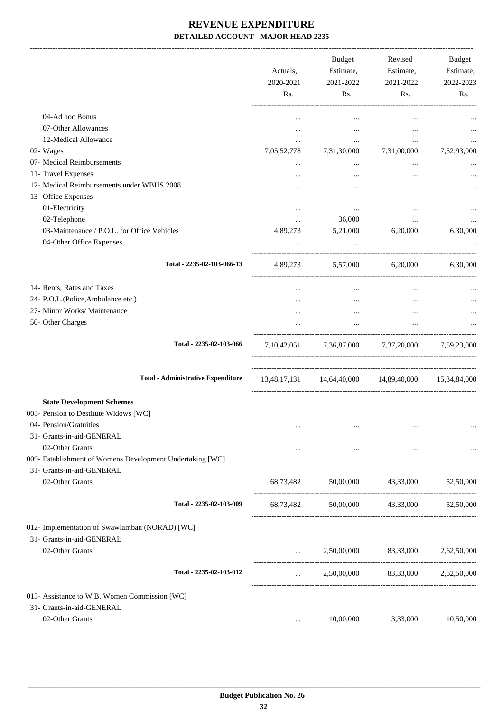|                                                           | Actuals,<br>2020-2021<br>Rs. | Budget<br>Estimate,<br>2021-2022<br>Rs. | Revised<br>Estimate,<br>2021-2022<br>Rs.            | Budget<br>Estimate,<br>2022-2023<br>Rs. |
|-----------------------------------------------------------|------------------------------|-----------------------------------------|-----------------------------------------------------|-----------------------------------------|
| 04-Ad hoc Bonus                                           |                              | $\cdots$                                | $\cdots$                                            |                                         |
| 07-Other Allowances                                       | $\cdots$                     | $\cdots$                                | $\cdots$                                            |                                         |
| 12-Medical Allowance                                      | $\cdots$                     | $\cdots$                                | $\cdots$                                            | $\cdots$                                |
| 02- Wages                                                 | 7,05,52,778                  | 7,31,30,000                             | 7,31,00,000                                         | 7,52,93,000                             |
| 07- Medical Reimbursements                                | $\cdots$                     | $\cdots$                                | $\cdots$                                            |                                         |
| 11- Travel Expenses                                       |                              | $\cdots$                                |                                                     |                                         |
| 12- Medical Reimbursements under WBHS 2008                |                              | $\cdots$                                | $\ddotsc$                                           | $\cdots$                                |
| 13- Office Expenses                                       |                              |                                         |                                                     |                                         |
| 01-Electricity                                            | $\cdots$                     | $\cdots$                                | $\cdots$                                            |                                         |
| 02-Telephone                                              | $\cdots$                     | 36,000                                  | $\cdots$                                            |                                         |
| 03-Maintenance / P.O.L. for Office Vehicles               | 4,89,273                     | 5,21,000                                | 6,20,000                                            | 6,30,000                                |
| 04-Other Office Expenses                                  |                              |                                         |                                                     |                                         |
| Total - 2235-02-103-066-13                                |                              |                                         | 4,89,273 5,57,000 6,20,000 6,30,000                 |                                         |
| 14- Rents, Rates and Taxes                                | $\cdots$                     | $\cdots$                                | $\cdots$                                            |                                         |
| 24- P.O.L.(Police, Ambulance etc.)                        |                              | $\cdots$                                | $\cdots$                                            |                                         |
| 27- Minor Works/ Maintenance                              |                              | $\cdots$                                | $\cdots$                                            |                                         |
| 50- Other Charges                                         |                              | $\cdots$                                | $\cdots$                                            |                                         |
| Total - 2235-02-103-066                                   |                              |                                         | 7,10,42,051 7,36,87,000 7,37,20,000 7,59,23,000     |                                         |
| <b>Total - Administrative Expenditure</b>                 |                              |                                         | 13,48,17,131 14,64,40,000 14,89,40,000 15,34,84,000 |                                         |
| <b>State Development Schemes</b>                          |                              |                                         |                                                     |                                         |
| 003- Pension to Destitute Widows [WC]                     |                              |                                         |                                                     |                                         |
| 04- Pension/Gratuities                                    | $\cdots$                     | $\cdots$                                | $\cdots$                                            | $\ldots$                                |
| 31- Grants-in-aid-GENERAL                                 |                              |                                         |                                                     |                                         |
| 02-Other Grants                                           | $\cdots$                     | $\cdots$                                | $\cdots$                                            |                                         |
| 009- Establishment of Womens Development Undertaking [WC] |                              |                                         |                                                     |                                         |
| 31- Grants-in-aid-GENERAL                                 |                              |                                         |                                                     |                                         |
| 02-Other Grants                                           | 68,73,482                    | 50,00,000                               | 43,33,000                                           | 52,50,000                               |
| Total - 2235-02-103-009                                   | 68,73,482                    |                                         | 50,00,000 43,33,000                                 | 52,50,000                               |
| 012- Implementation of Swawlamban (NORAD) [WC]            |                              |                                         |                                                     |                                         |
| 31- Grants-in-aid-GENERAL                                 |                              |                                         |                                                     |                                         |
| 02-Other Grants                                           |                              |                                         | 2,50,00,000 83,33,000 2,62,50,000                   |                                         |
|                                                           | $\cdots$                     |                                         |                                                     |                                         |
| Total - 2235-02-103-012                                   | $\cdots$                     |                                         | 2,50,00,000 83,33,000 2,62,50,000                   |                                         |
| 013- Assistance to W.B. Women Commission [WC]             |                              |                                         |                                                     |                                         |
| 31- Grants-in-aid-GENERAL                                 |                              |                                         |                                                     |                                         |
| 02-Other Grants                                           | $\cdots$                     | 10,00,000                               | 3,33,000                                            | 10,50,000                               |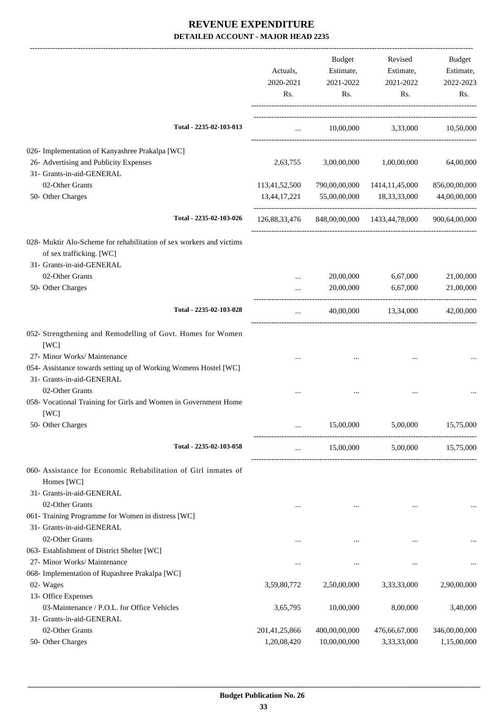|                                                                         |               | Budget                                    | Revised                                                  | Budget        |
|-------------------------------------------------------------------------|---------------|-------------------------------------------|----------------------------------------------------------|---------------|
|                                                                         | Actuals,      | Estimate,                                 | Estimate,                                                | Estimate,     |
|                                                                         | 2020-2021     | 2021-2022                                 | 2021-2022                                                | 2022-2023     |
|                                                                         | Rs.           | Rs.                                       | Rs.                                                      | Rs.           |
| Total - 2235-02-103-013                                                 |               | $\cdots$ . The contract of $\mathbb{R}^n$ | 10,00,000 3,33,000 10,50,000                             |               |
|                                                                         |               |                                           |                                                          |               |
| 026- Implementation of Kanyashree Prakalpa [WC]                         |               |                                           |                                                          |               |
| 26- Advertising and Publicity Expenses                                  | 2,63,755      | 3,00,00,000                               | 1,00,00,000                                              | 64,00,000     |
| 31- Grants-in-aid-GENERAL                                               |               |                                           |                                                          |               |
| 02-Other Grants                                                         | 113,41,52,500 |                                           | 790,00,00,000 1414,11,45,000                             | 856,00,00,000 |
| 50- Other Charges                                                       | 13,44,17,221  | 55,00,00,000                              | 18,33,33,000                                             | 44,00,00,000  |
| Total - 2235-02-103-026                                                 |               |                                           | 126,88,33,476 848,00,00,000 1433,44,78,000 900,64,00,000 |               |
| 028- Muktir Alo-Scheme for rehabilitation of sex workers and victims    |               |                                           |                                                          |               |
| of sex trafficking. [WC]                                                |               |                                           |                                                          |               |
| 31- Grants-in-aid-GENERAL                                               |               |                                           |                                                          |               |
| 02-Other Grants                                                         |               | 20,00,000                                 | 6,67,000                                                 | 21,00,000     |
| 50- Other Charges                                                       |               | 20,00,000                                 | 6,67,000                                                 | 21,00,000     |
| Total - 2235-02-103-028                                                 | $\cdots$      |                                           | 40,00,000 13,34,000                                      | 42,00,000     |
| 052- Strengthening and Remodelling of Govt. Homes for Women             |               |                                           |                                                          |               |
| [WC]                                                                    |               |                                           |                                                          |               |
| 27- Minor Works/ Maintenance                                            |               |                                           |                                                          |               |
| 054- Assistance towards setting up of Working Womens Hostel [WC]        |               |                                           |                                                          |               |
| 31- Grants-in-aid-GENERAL                                               |               |                                           |                                                          |               |
| 02-Other Grants                                                         |               |                                           |                                                          |               |
| 058- Vocational Training for Girls and Women in Government Home<br>[WC] |               |                                           |                                                          |               |
| 50- Other Charges                                                       |               | 15,00,000                                 | 5,00,000                                                 | 15,75,000     |
| Total - 2235-02-103-058                                                 | $\cdots$      | 15,00,000                                 | 5,00,000                                                 | 15,75,000     |
| 060- Assistance for Economic Rehabilitation of Girl inmates of          |               |                                           |                                                          |               |
| Homes [WC]                                                              |               |                                           |                                                          |               |
| 31- Grants-in-aid-GENERAL                                               |               |                                           |                                                          |               |
| 02-Other Grants                                                         | $\cdots$      | $\cdots$                                  | $\cdots$                                                 |               |
| 061- Training Programme for Women in distress [WC]                      |               |                                           |                                                          |               |
| 31- Grants-in-aid-GENERAL                                               |               |                                           |                                                          |               |
| 02-Other Grants                                                         | $\cdots$      | $\cdots$                                  | $\cdots$                                                 |               |
| 063- Establishment of District Shelter [WC]                             |               |                                           |                                                          |               |
| 27- Minor Works/ Maintenance                                            | $\cdots$      | $\cdots$                                  | $\cdots$                                                 |               |
| 068- Implementation of Rupashree Prakalpa [WC]                          |               |                                           |                                                          |               |
| 02- Wages                                                               | 3,59,80,772   | 2,50,00,000                               | 3,33,33,000                                              | 2,90,00,000   |
| 13- Office Expenses                                                     |               |                                           |                                                          |               |
| 03-Maintenance / P.O.L. for Office Vehicles                             | 3,65,795      | 10,00,000                                 | 8,00,000                                                 | 3,40,000      |
| 31- Grants-in-aid-GENERAL                                               |               |                                           |                                                          |               |
| 02-Other Grants                                                         | 201,41,25,866 | 400,00,00,000                             | 476,66,67,000                                            | 346,00,00,000 |
| 50- Other Charges                                                       | 1,20,08,420   | 10,00,00,000                              | 3,33,33,000                                              | 1,15,00,000   |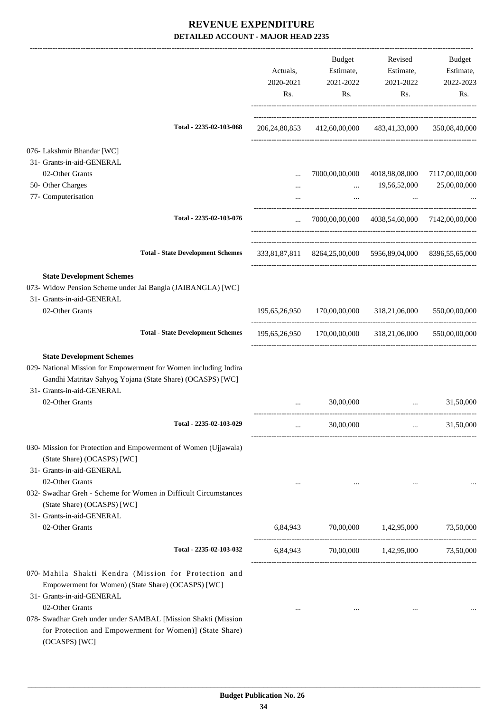|                                                                                                                                                                                                                   | Actuals,<br>2020-2021<br>Rs. | Budget<br>Estimate,<br>2021-2022<br>Rs.                    | Revised<br>Estimate,<br>2021-2022<br>Rs.                     | Budget<br>Estimate,<br>2022-2023<br>Rs. |
|-------------------------------------------------------------------------------------------------------------------------------------------------------------------------------------------------------------------|------------------------------|------------------------------------------------------------|--------------------------------------------------------------|-----------------------------------------|
| Total - 2235-02-103-068                                                                                                                                                                                           |                              | 206,24,80,853 412,60,00,000 483,41,33,000 350,08,40,000    |                                                              |                                         |
| 076- Lakshmir Bhandar [WC]                                                                                                                                                                                        |                              |                                                            |                                                              |                                         |
| 31- Grants-in-aid-GENERAL                                                                                                                                                                                         |                              |                                                            |                                                              |                                         |
| 02-Other Grants<br>50- Other Charges                                                                                                                                                                              |                              |                                                            | 7000,00,00,000 4018,98,08,000 7117,00,00,000<br>19,56,52,000 | 25,00,00,000                            |
| 77- Computerisation                                                                                                                                                                                               |                              | $\cdots$<br>$\cdots$                                       |                                                              |                                         |
| Total - 2235-02-103-076                                                                                                                                                                                           |                              |                                                            |                                                              |                                         |
|                                                                                                                                                                                                                   | $\cdots$                     |                                                            | 7000,00,00,000 4038,54,60,000 7142,00,00,000                 |                                         |
| <b>Total - State Development Schemes</b>                                                                                                                                                                          |                              | 333,81,87,811 8264,25,00,000 5956,89,04,000 8396,55,65,000 |                                                              |                                         |
| <b>State Development Schemes</b><br>073- Widow Pension Scheme under Jai Bangla (JAIBANGLA) [WC]<br>31- Grants-in-aid-GENERAL<br>02-Other Grants                                                                   |                              | 195,65,26,950 170,00,00,000 318,21,06,000                  |                                                              | 550,00,00,000                           |
| <b>Total - State Development Schemes</b>                                                                                                                                                                          |                              | 195,65,26,950 170,00,00,000 318,21,06,000 550,00,00,000    |                                                              |                                         |
| <b>State Development Schemes</b><br>029- National Mission for Empowerment for Women including Indira<br>Gandhi Matritav Sahyog Yojana (State Share) (OCASPS) [WC]<br>31- Grants-in-aid-GENERAL<br>02-Other Grants |                              | 30,00,000                                                  | and the company of the company                               | 31,50,000                               |
| Total - 2235-02-103-029                                                                                                                                                                                           |                              | 30,00,000                                                  |                                                              | 31,50,000                               |
| 030- Mission for Protection and Empowerment of Women (Ujjawala)<br>(State Share) (OCASPS) [WC]<br>31- Grants-in-aid-GENERAL                                                                                       |                              |                                                            |                                                              |                                         |
| 02-Other Grants<br>032- Swadhar Greh - Scheme for Women in Difficult Circumstances<br>(State Share) (OCASPS) [WC]<br>31- Grants-in-aid-GENERAL                                                                    | $\cdots$                     |                                                            |                                                              |                                         |
| 02-Other Grants                                                                                                                                                                                                   |                              | 6,84,943 70,00,000 1,42,95,000                             |                                                              | 73,50,000                               |
| Total - 2235-02-103-032                                                                                                                                                                                           | 6,84,943                     |                                                            | 70,00,000   1,42,95,000   73,50,000                          |                                         |
| 070- Mahila Shakti Kendra (Mission for Protection and<br>Empowerment for Women) (State Share) (OCASPS) [WC]<br>31- Grants-in-aid-GENERAL<br>02-Other Grants                                                       |                              |                                                            |                                                              |                                         |
| 078- Swadhar Greh under under SAMBAL [Mission Shakti (Mission<br>for Protection and Empowerment for Women)] (State Share)<br>(OCASPS) [WC]                                                                        | $\cdots$                     | $\cdots$                                                   | $\cdots$                                                     |                                         |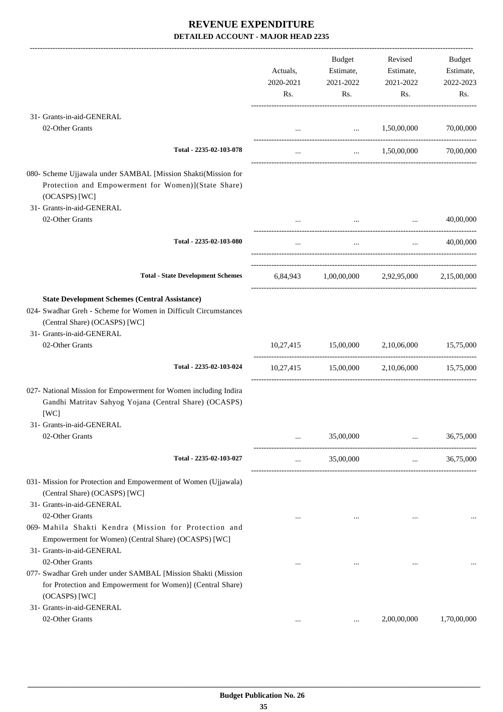|                                                                                                                                                                                        | Actuals,<br>2020-2021<br>Rs. | Budget<br>Estimate,<br>2021-2022<br>Rs. | Revised<br>Estimate,<br>2021-2022<br>Rs.                                                                            | Budget<br>Estimate,<br>2022-2023<br>Rs. |
|----------------------------------------------------------------------------------------------------------------------------------------------------------------------------------------|------------------------------|-----------------------------------------|---------------------------------------------------------------------------------------------------------------------|-----------------------------------------|
| 31- Grants-in-aid-GENERAL                                                                                                                                                              |                              |                                         |                                                                                                                     |                                         |
| 02-Other Grants                                                                                                                                                                        |                              | $\ldots$ $1,50,00,000$                  |                                                                                                                     | 70,00,000                               |
| Total - 2235-02-103-078                                                                                                                                                                | $\cdots$                     |                                         | $\ldots$ 1,50,00,000 70,00,000                                                                                      |                                         |
| 080- Scheme Ujjawala under SAMBAL [Mission Shakti(Mission for<br>Protection and Empowerment for Women)](State Share)<br>(OCASPS) [WC]<br>31- Grants-in-aid-GENERAL                     |                              |                                         |                                                                                                                     |                                         |
| 02-Other Grants                                                                                                                                                                        |                              |                                         | and the contract of the contract of the contract of the contract of the contract of the contract of the contract of | 40,00,000                               |
| Total - 2235-02-103-080                                                                                                                                                                | $\cdots$                     | $\cdots$                                | $\cdots$ . The same of $\cdots$                                                                                     | 40,00,000                               |
| <b>Total - State Development Schemes</b>                                                                                                                                               |                              |                                         | 6,84,943 1,00,00,000 2,92,95,000 2,15,00,000                                                                        |                                         |
| <b>State Development Schemes (Central Assistance)</b><br>024- Swadhar Greh - Scheme for Women in Difficult Circumstances<br>(Central Share) (OCASPS) [WC]<br>31- Grants-in-aid-GENERAL |                              |                                         |                                                                                                                     |                                         |
| 02-Other Grants                                                                                                                                                                        |                              | 10,27,415 15,00,000                     | 2,10,06,000                                                                                                         | 15,75,000                               |
| Total - 2235-02-103-024                                                                                                                                                                |                              |                                         | 10,27,415 15,00,000 2,10,06,000 15,75,000                                                                           |                                         |
| 027- National Mission for Empowerment for Women including Indira<br>Gandhi Matritav Sahyog Yojana (Central Share) (OCASPS)<br>[WC]                                                     |                              |                                         |                                                                                                                     |                                         |
| 31- Grants-in-aid-GENERAL                                                                                                                                                              |                              |                                         |                                                                                                                     |                                         |
| 02-Other Grants                                                                                                                                                                        | $\cdots$                     | 35,00,000                               | $\cdots$                                                                                                            | 36,75,000                               |
| Total - 2235-02-103-027                                                                                                                                                                | $\cdots$                     | 35,00,000                               | $\cdots$                                                                                                            | 36,75,000                               |
| 031- Mission for Protection and Empowerment of Women (Ujjawala)<br>(Central Share) (OCASPS) [WC]<br>31- Grants-in-aid-GENERAL                                                          |                              |                                         |                                                                                                                     |                                         |
| 02-Other Grants<br>069- Mahila Shakti Kendra (Mission for Protection and<br>Empowerment for Women) (Central Share) (OCASPS) [WC]<br>31- Grants-in-aid-GENERAL                          | $\cdots$                     | $\cdots$                                | $\cdots$                                                                                                            |                                         |
| 02-Other Grants<br>077- Swadhar Greh under under SAMBAL [Mission Shakti (Mission<br>for Protection and Empowerment for Women)] (Central Share)<br>(OCASPS) [WC]                        | $\cdots$                     | $\cdots$                                |                                                                                                                     |                                         |
| 31- Grants-in-aid-GENERAL<br>02-Other Grants                                                                                                                                           | $\cdots$                     | $\cdots$                                | 2,00,00,000                                                                                                         | 1,70,00,000                             |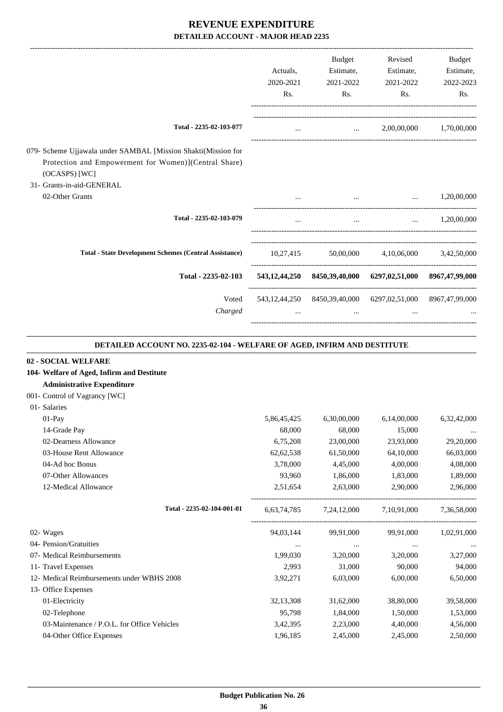|                                                                                                                                                                        |                  | <b>Budget</b> | Revised                                                         | <b>Budget</b> |
|------------------------------------------------------------------------------------------------------------------------------------------------------------------------|------------------|---------------|-----------------------------------------------------------------|---------------|
|                                                                                                                                                                        | Actuals,         | Estimate,     | Estimate,                                                       | Estimate,     |
|                                                                                                                                                                        | 2020-2021        | 2021-2022     | 2021-2022                                                       | 2022-2023     |
|                                                                                                                                                                        | R <sub>s</sub> . | Rs.           | Rs.                                                             | Rs.           |
| Total - 2235-02-103-077                                                                                                                                                | $\cdots$         |               | 2,00,00,000<br>$\cdots$                                         | 1,70,00,000   |
|                                                                                                                                                                        |                  |               |                                                                 |               |
| 079- Scheme Ujjawala under SAMBAL [Mission Shakti(Mission for<br>Protection and Empowerment for Women)](Central Share)<br>$(OCASPS)$ [WC]<br>31- Grants-in-aid-GENERAL |                  |               |                                                                 |               |
| 02-Other Grants                                                                                                                                                        |                  |               | the contract of the contract of the contract of the contract of | 1,20,00,000   |
| Total - 2235-02-103-079                                                                                                                                                | $\cdots$         | $\cdots$      | $\ddotsc$                                                       | 1,20,00,000   |
| <b>Total - State Development Schemes (Central Assistance)</b>                                                                                                          | 10,27,415        |               | 50,00,000 4,10,06,000 3,42,50,000                               |               |
| Total - 2235-02-103                                                                                                                                                    |                  |               | 543,12,44,250 8450,39,40,000 6297,02,51,000 8967,47,99,000      |               |
| Voted                                                                                                                                                                  |                  |               | 543,12,44,250 8450,39,40,000 6297,02,51,000 8967,47,99,000      |               |
| Charged                                                                                                                                                                | $\cdots$         | $\cdots$      | $\cdots$                                                        |               |
|                                                                                                                                                                        |                  |               |                                                                 |               |

#### **DETAILED ACCOUNT NO. 2235-02-104 - WELFARE OF AGED, INFIRM AND DESTITUTE .**

.

#### **02 - SOCIAL WELFARE**

| 104- Welfare of Aged, Infirm and Destitute  |             |             |                                                 |             |
|---------------------------------------------|-------------|-------------|-------------------------------------------------|-------------|
| <b>Administrative Expenditure</b>           |             |             |                                                 |             |
| 001- Control of Vagrancy [WC]               |             |             |                                                 |             |
| 01- Salaries                                |             |             |                                                 |             |
| $01-Pay$                                    | 5,86,45,425 | 6,30,00,000 | 6,14,00,000                                     | 6,32,42,000 |
| 14-Grade Pay                                | 68,000      | 68,000      | 15,000                                          | $\cdots$    |
| 02-Dearness Allowance                       | 6,75,208    | 23,00,000   | 23,93,000                                       | 29,20,000   |
| 03-House Rent Allowance                     | 62,62,538   | 61,50,000   | 64,10,000                                       | 66,03,000   |
| 04-Ad hoc Bonus                             | 3,78,000    | 4,45,000    | 4,00,000                                        | 4,08,000    |
| 07-Other Allowances                         | 93,960      | 1,86,000    | 1,83,000                                        | 1,89,000    |
| 12-Medical Allowance                        | 2,51,654    | 2,63,000    | 2,90,000                                        | 2,96,000    |
| Total - 2235-02-104-001-01                  |             |             | 6,63,74,785 7,24,12,000 7,10,91,000 7,36,58,000 |             |
| 02- Wages                                   | 94,03,144   | 99,91,000   | 99,91,000                                       | 1,02,91,000 |
| 04- Pension/Gratuities                      | $\cdots$    | $\cdots$    | $\cdots$                                        |             |
| 07- Medical Reimbursements                  | 1.99.030    | 3,20,000    | 3,20,000                                        | 3,27,000    |
| 11- Travel Expenses                         | 2,993       | 31,000      | 90,000                                          | 94,000      |
| 12- Medical Reimbursements under WBHS 2008  | 3,92,271    | 6,03,000    | 6,00,000                                        | 6,50,000    |
| 13- Office Expenses                         |             |             |                                                 |             |
| 01-Electricity                              | 32,13,308   | 31,62,000   | 38,80,000                                       | 39,58,000   |
| 02-Telephone                                | 95,798      | 1,84,000    | 1,50,000                                        | 1,53,000    |
| 03-Maintenance / P.O.L. for Office Vehicles | 3,42,395    | 2,23,000    | 4,40,000                                        | 4,56,000    |
| 04-Other Office Expenses                    | 1,96,185    | 2,45,000    | 2,45,000                                        | 2,50,000    |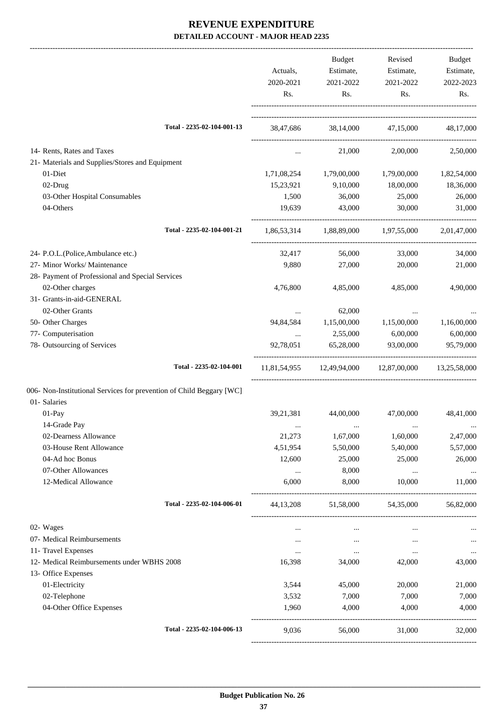|                                                                      | Actuals,<br>2020-2021 | Budget<br>Estimate,<br>2021-2022 | Revised<br>Estimate,<br>2021-2022      | Budget<br>Estimate,<br>2022-2023 |
|----------------------------------------------------------------------|-----------------------|----------------------------------|----------------------------------------|----------------------------------|
|                                                                      | Rs.                   | Rs.                              | Rs.                                    | Rs.                              |
| Total - 2235-02-104-001-13                                           |                       |                                  | 38,47,686 38,14,000 47,15,000          | 48,17,000                        |
| 14- Rents, Rates and Taxes                                           | $\cdots$              | 21,000                           | 2,00,000                               | 2,50,000                         |
| 21- Materials and Supplies/Stores and Equipment                      |                       |                                  |                                        |                                  |
| 01-Diet                                                              | 1,71,08,254           | 1,79,00,000                      | 1,79,00,000                            | 1,82,54,000                      |
| 02-Drug                                                              | 15,23,921             | 9,10,000                         | 18,00,000                              | 18,36,000                        |
| 03-Other Hospital Consumables                                        | 1,500                 | 36,000                           | 25,000                                 | 26,000                           |
| 04-Others                                                            | 19,639                | 43,000                           | 30,000                                 | 31,000                           |
| Total - 2235-02-104-001-21                                           |                       |                                  | 1,86,53,314 1,88,89,000 1,97,55,000    | 2,01,47,000                      |
| 24- P.O.L.(Police, Ambulance etc.)                                   | 32,417                | 56,000                           | 33,000                                 | 34,000                           |
| 27- Minor Works/ Maintenance                                         | 9,880                 | 27,000                           | 20,000                                 | 21,000                           |
| 28- Payment of Professional and Special Services                     |                       |                                  |                                        |                                  |
| 02-Other charges                                                     | 4,76,800              | 4,85,000                         | 4,85,000                               | 4,90,000                         |
| 31- Grants-in-aid-GENERAL                                            |                       |                                  |                                        |                                  |
| 02-Other Grants                                                      |                       | 62,000                           |                                        |                                  |
| 50- Other Charges                                                    | 94,84,584             | 1,15,00,000                      | 1,15,00,000                            | 1,16,00,000                      |
| 77- Computerisation                                                  | $\cdots$              | 2,55,000                         | 6,00,000                               | 6,00,000                         |
| 78- Outsourcing of Services                                          | 92,78,051             | 65,28,000                        | 93,00,000                              | 95,79,000                        |
| Total - 2235-02-104-001                                              |                       |                                  | 11,81,54,955 12,49,94,000 12,87,00,000 | 13,25,58,000                     |
| 006- Non-Institutional Services for prevention of Child Beggary [WC] |                       |                                  |                                        |                                  |
| 01- Salaries                                                         |                       |                                  |                                        |                                  |
| 01-Pay                                                               | 39,21,381             | 44,00,000                        | 47,00,000                              | 48,41,000                        |
| 14-Grade Pay                                                         | $\cdots$              |                                  |                                        | $\ldots$                         |
| 02-Dearness Allowance                                                | 21,273                | 1,67,000                         | 1,60,000                               | 2,47,000                         |
| 03-House Rent Allowance                                              | 4,51,954              | 5,50,000                         | 5,40,000                               | 5,57,000                         |
| 04-Ad hoc Bonus                                                      | 12,600                | 25,000                           | 25,000                                 | 26,000                           |
| 07-Other Allowances                                                  | $\cdots$              | 8,000                            | $\ldots$                               |                                  |
| 12-Medical Allowance                                                 | 6,000                 | 8,000                            | 10,000                                 | 11,000                           |
| Total - 2235-02-104-006-01                                           | 44, 13, 208           | 51,58,000                        | 54,35,000                              | 56,82,000                        |
| 02- Wages                                                            | $\cdots$              | $\cdots$                         |                                        |                                  |
| 07- Medical Reimbursements                                           | $\cdots$              | $\cdots$                         | $\cdots$                               |                                  |
| 11- Travel Expenses                                                  | $\cdots$              | $\ldots$                         | $\cdots$                               | $\ldots$                         |
| 12- Medical Reimbursements under WBHS 2008<br>13- Office Expenses    | 16,398                | 34,000                           | 42,000                                 | 43,000                           |
| 01-Electricity                                                       | 3,544                 | 45,000                           | 20,000                                 |                                  |
| 02-Telephone                                                         | 3,532                 | 7,000                            | 7,000                                  | 21,000<br>7,000                  |
| 04-Other Office Expenses                                             | 1,960                 | 4,000                            | 4,000                                  | 4,000                            |
| Total - 2235-02-104-006-13                                           | 9,036                 | 56,000                           | 31,000                                 | 32,000                           |
|                                                                      |                       |                                  |                                        |                                  |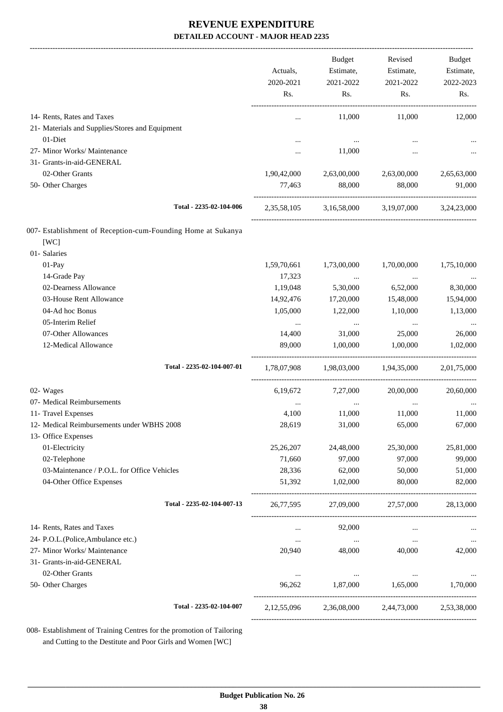|                                                                      | Actuals,<br>2020-2021<br>Rs. | Budget<br>Estimate,<br>2021-2022<br>Rs. | Revised<br>Estimate,<br>2021-2022<br>Rs.        | Budget<br>Estimate,<br>2022-2023<br>Rs. |
|----------------------------------------------------------------------|------------------------------|-----------------------------------------|-------------------------------------------------|-----------------------------------------|
| 14- Rents, Rates and Taxes                                           |                              | 11,000                                  | 11,000                                          | 12,000                                  |
| 21- Materials and Supplies/Stores and Equipment                      |                              |                                         |                                                 |                                         |
| 01-Diet                                                              |                              | $\ldots$                                |                                                 |                                         |
| 27- Minor Works/ Maintenance                                         |                              | 11,000                                  |                                                 |                                         |
| 31- Grants-in-aid-GENERAL                                            |                              |                                         |                                                 |                                         |
| 02-Other Grants                                                      | 1,90,42,000                  | 2,63,00,000                             | 2,63,00,000                                     | 2,65,63,000                             |
| 50- Other Charges                                                    | 77,463                       | 88,000                                  | 88,000                                          | 91,000                                  |
| Total - 2235-02-104-006                                              |                              |                                         | 2,35,58,105 3,16,58,000 3,19,07,000 3,24,23,000 |                                         |
| 007- Establishment of Reception-cum-Founding Home at Sukanya<br>[WC] |                              |                                         |                                                 |                                         |
| 01- Salaries                                                         |                              |                                         |                                                 |                                         |
| 01-Pay                                                               | 1,59,70,661                  | 1,73,00,000                             | 1,70,00,000                                     | 1,75,10,000                             |
| 14-Grade Pay                                                         | 17,323                       | $\cdots$                                | $\ldots$                                        | $\cdots$                                |
| 02-Dearness Allowance                                                | 1,19,048                     | 5,30,000                                | 6,52,000                                        | 8,30,000                                |
| 03-House Rent Allowance<br>04-Ad hoc Bonus                           | 14,92,476                    | 17,20,000                               | 15,48,000                                       | 15,94,000                               |
| 05-Interim Relief                                                    | 1,05,000                     | 1,22,000                                | 1,10,000                                        | 1,13,000                                |
| 07-Other Allowances                                                  | $\cdots$<br>14,400           | $\ldots$<br>31,000                      | $\cdots$<br>25,000                              | 26,000                                  |
| 12-Medical Allowance                                                 | 89,000                       | 1,00,000                                | 1,00,000                                        | 1,02,000                                |
| Total - 2235-02-104-007-01                                           |                              |                                         | 1,78,07,908 1,98,03,000 1,94,35,000             | 2,01,75,000                             |
|                                                                      |                              |                                         |                                                 |                                         |
| 02- Wages                                                            | 6,19,672                     | 7,27,000                                | 20,00,000                                       | 20,60,000                               |
| 07- Medical Reimbursements                                           |                              | $\cdots$                                |                                                 |                                         |
| 11- Travel Expenses                                                  | 4,100                        | 11,000                                  | 11,000                                          | 11,000                                  |
| 12- Medical Reimbursements under WBHS 2008<br>13- Office Expenses    | 28,619                       | 31,000                                  | 65,000                                          | 67,000                                  |
| 01-Electricity                                                       | 25,26,207                    | 24,48,000                               | 25,30,000                                       | 25,81,000                               |
| 02-Telephone                                                         | 71,660                       | 97,000                                  | 97,000                                          | 99,000                                  |
| 03-Maintenance / P.O.L. for Office Vehicles                          | 28,336                       | 62,000                                  | 50,000                                          | 51,000                                  |
| 04-Other Office Expenses                                             | 51,392                       | 1,02,000                                | 80,000                                          | 82,000                                  |
| Total - 2235-02-104-007-13                                           | 26,77,595                    | 27,09,000                               | 27,57,000                                       | 28,13,000                               |
| 14- Rents, Rates and Taxes                                           | $\cdots$                     | 92,000                                  |                                                 |                                         |
| 24- P.O.L.(Police,Ambulance etc.)                                    | $\cdots$                     | $\cdots$                                | $\cdots$                                        | $\cdots$                                |
| 27- Minor Works/ Maintenance                                         | 20,940                       | 48,000                                  | 40,000                                          | 42,000                                  |
| 31- Grants-in-aid-GENERAL                                            |                              |                                         |                                                 |                                         |
| 02-Other Grants                                                      | $\cdots$                     | $\ldots$                                | $\cdots$                                        |                                         |
| 50- Other Charges                                                    | 96,262                       | 1,87,000                                | 1,65,000                                        | 1,70,000                                |
| Total - 2235-02-104-007                                              | 2,12,55,096                  |                                         | 2,36,08,000 2,44,73,000                         | 2,53,38,000                             |
|                                                                      |                              |                                         |                                                 |                                         |

008- Establishment of Training Centres for the promotion of Tailoring and Cutting to the Destitute and Poor Girls and Women [WC]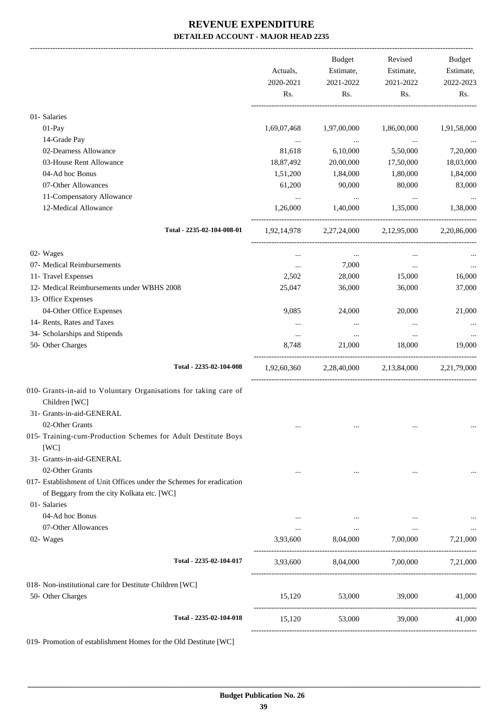|                                                                                                                | Actuals,<br>2020-2021<br>Rs. | Budget<br>Estimate,<br>2021-2022<br>Rs. | Revised<br>Estimate,<br>2021-2022<br>Rs.        | Budget<br>Estimate,<br>2022-2023<br>Rs. |
|----------------------------------------------------------------------------------------------------------------|------------------------------|-----------------------------------------|-------------------------------------------------|-----------------------------------------|
| 01- Salaries                                                                                                   |                              |                                         |                                                 |                                         |
| 01-Pay                                                                                                         | 1,69,07,468                  | 1,97,00,000                             | 1,86,00,000                                     | 1,91,58,000                             |
| 14-Grade Pay                                                                                                   | $\ddots$                     | <b>Contract Contract</b>                | $\sim 100$ and $\sim 100$                       |                                         |
| 02-Dearness Allowance                                                                                          | 81,618                       | 6,10,000                                | 5,50,000                                        | 7,20,000                                |
| 03-House Rent Allowance                                                                                        | 18,87,492                    | 20,00,000                               | 17,50,000                                       | 18,03,000                               |
| 04-Ad hoc Bonus                                                                                                | 1,51,200                     | 1,84,000                                | 1,80,000                                        | 1,84,000                                |
| 07-Other Allowances                                                                                            | 61,200                       | 90,000                                  | 80,000                                          | 83,000                                  |
| 11-Compensatory Allowance                                                                                      | $\cdots$                     | $\ddotsc$                               | $\cdots$                                        |                                         |
| 12-Medical Allowance                                                                                           | 1,26,000                     | 1,40,000                                | 1,35,000                                        | 1,38,000                                |
| Total - 2235-02-104-008-01                                                                                     |                              |                                         | 1,92,14,978 2,27,24,000 2,12,95,000             | 2,20,86,000                             |
| 02- Wages                                                                                                      | $\cdots$                     | $\cdots$                                |                                                 |                                         |
| 07- Medical Reimbursements                                                                                     | $\cdots$                     | 7,000                                   | $\cdots$                                        |                                         |
| 11- Travel Expenses                                                                                            | 2,502                        | 28,000                                  | 15,000                                          | 16,000                                  |
| 12- Medical Reimbursements under WBHS 2008                                                                     | 25,047                       | 36,000                                  | 36,000                                          | 37,000                                  |
| 13- Office Expenses                                                                                            |                              |                                         |                                                 |                                         |
| 04-Other Office Expenses                                                                                       | 9,085                        | 24,000                                  | 20,000                                          | 21,000                                  |
| 14- Rents, Rates and Taxes                                                                                     | $\cdots$                     | $\cdots$                                | $\cdots$                                        |                                         |
| 34- Scholarships and Stipends                                                                                  | $\cdots$                     | $\ldots$                                | $\cdots$                                        |                                         |
| 50- Other Charges                                                                                              | 8,748                        | 21,000                                  | 18,000                                          | 19,000                                  |
| Total - 2235-02-104-008                                                                                        |                              |                                         | 1,92,60,360 2,28,40,000 2,13,84,000 2,21,79,000 |                                         |
| 010- Grants-in-aid to Voluntary Organisations for taking care of<br>Children [WC]<br>31- Grants-in-aid-GENERAL |                              |                                         |                                                 |                                         |
| 02-Other Grants                                                                                                |                              |                                         |                                                 |                                         |
| 015- Training-cum-Production Schemes for Adult Destitute Boys<br>[WC]                                          |                              |                                         |                                                 |                                         |
| 31- Grants-in-aid-GENERAL                                                                                      |                              |                                         |                                                 |                                         |
| 02-Other Grants                                                                                                |                              |                                         |                                                 |                                         |
| 017- Establishment of Unit Offices under the Schemes for eradication                                           |                              |                                         |                                                 |                                         |
| of Beggary from the city Kolkata etc. [WC]                                                                     |                              |                                         |                                                 |                                         |
| 01- Salaries                                                                                                   |                              |                                         |                                                 |                                         |
| 04-Ad hoc Bonus                                                                                                | $\cdots$                     |                                         | $\cdots$                                        |                                         |
| 07-Other Allowances                                                                                            |                              | and the con-                            | $\cdots$                                        | $\cdots$                                |
| 02- Wages                                                                                                      |                              |                                         | 3,93,600 8,04,000 7,00,000 7,21,000             |                                         |
| Total - 2235-02-104-017                                                                                        |                              |                                         | 3,93,600 8,04,000 7,00,000 7,21,000             |                                         |
| 018- Non-institutional care for Destitute Children [WC]<br>50- Other Charges                                   | 15,120                       | 53,000                                  | 39,000                                          | 41,000                                  |
| Total - 2235-02-104-018                                                                                        | 15,120                       | 53,000                                  | 39,000                                          | 41,000                                  |
|                                                                                                                |                              |                                         |                                                 |                                         |

019- Promotion of establishment Homes for the Old Destitute [WC]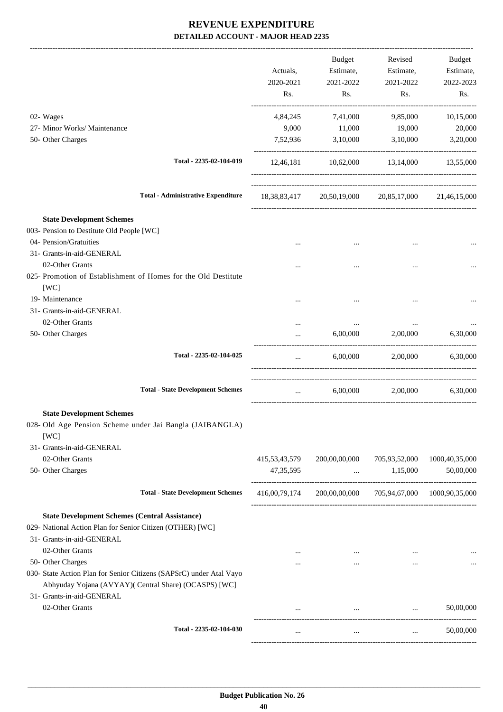-------------------------------------------------------------------------------------------------------------------------------------------------------------------------------

|                                                                                                                                                   | Actuals,<br>2020-2021<br>Rs. | <b>Budget</b><br>Estimate,<br>2021-2022<br>Rs. | Revised<br>Estimate,<br>2021-2022<br>Rs.                                  | <b>Budget</b><br>Estimate,<br>2022-2023<br>Rs. |
|---------------------------------------------------------------------------------------------------------------------------------------------------|------------------------------|------------------------------------------------|---------------------------------------------------------------------------|------------------------------------------------|
| 02- Wages                                                                                                                                         | 4,84,245                     | 7,41,000                                       | 9,85,000                                                                  | 10,15,000                                      |
| 27- Minor Works/ Maintenance<br>50- Other Charges                                                                                                 | 9,000<br>7,52,936            | 11,000<br>3,10,000                             | 19,000<br>3,10,000                                                        | 20,000<br>3,20,000                             |
| Total - 2235-02-104-019                                                                                                                           | 12,46,181                    | 10,62,000                                      | 13,14,000                                                                 | 13,55,000                                      |
| <b>Total - Administrative Expenditure</b>                                                                                                         | 18, 38, 83, 417              |                                                | 20,50,19,000 20,85,17,000                                                 | 21,46,15,000                                   |
| <b>State Development Schemes</b>                                                                                                                  |                              |                                                |                                                                           |                                                |
| 003- Pension to Destitute Old People [WC]                                                                                                         |                              |                                                |                                                                           |                                                |
| 04- Pension/Gratuities<br>31- Grants-in-aid-GENERAL                                                                                               |                              |                                                |                                                                           |                                                |
| 02-Other Grants<br>025- Promotion of Establishment of Homes for the Old Destitute                                                                 |                              |                                                |                                                                           |                                                |
| [WC]<br>19- Maintenance<br>31- Grants-in-aid-GENERAL                                                                                              |                              |                                                |                                                                           |                                                |
| 02-Other Grants                                                                                                                                   |                              | $\cdots$                                       |                                                                           |                                                |
| 50- Other Charges                                                                                                                                 |                              | 6,00,000                                       | 2,00,000                                                                  | 6,30,000                                       |
| Total - 2235-02-104-025                                                                                                                           | $\cdots$                     | 6,00,000                                       | 2,00,000                                                                  | 6,30,000                                       |
| <b>Total - State Development Schemes</b>                                                                                                          |                              | 6.00.000                                       | 2,00,000                                                                  | 6,30,000                                       |
| <b>State Development Schemes</b><br>028- Old Age Pension Scheme under Jai Bangla (JAIBANGLA)<br>[WC]                                              |                              |                                                |                                                                           |                                                |
| 31- Grants-in-aid-GENERAL<br>02-Other Grants                                                                                                      | 415, 53, 43, 579             | 200,00,00,000                                  | 705,93,52,000                                                             | 1000,40,35,000                                 |
| 50- Other Charges                                                                                                                                 | 47, 35, 595                  | $\cdots$                                       | 1,15,000                                                                  | 50,00,000                                      |
| <b>Total - State Development Schemes</b>                                                                                                          | 416,00,79,174                | 200,00,00,000                                  | 705,94,67,000                                                             | 1000,90,35,000                                 |
| <b>State Development Schemes (Central Assistance)</b><br>029- National Action Plan for Senior Citizen (OTHER) [WC]<br>31- Grants-in-aid-GENERAL   |                              |                                                |                                                                           |                                                |
| 02-Other Grants                                                                                                                                   |                              |                                                |                                                                           |                                                |
| 50- Other Charges<br>030- State Action Plan for Senior Citizens (SAPSrC) under Atal Vayo<br>Abhyuday Yojana (AVYAY)( Central Share) (OCASPS) [WC] |                              | $\cdots$                                       | $\cdots$                                                                  | $\cdots$                                       |
| 31- Grants-in-aid-GENERAL<br>02-Other Grants                                                                                                      |                              |                                                | $\mathbf{r}$ and $\mathbf{r}$ are all the set of $\mathbf{r}$<br>$\ddots$ | 50,00,000                                      |
| Total - 2235-02-104-030                                                                                                                           | $\cdots$                     | $\cdots$                                       | $\mathbf{r}$                                                              | 50,00,000                                      |
|                                                                                                                                                   |                              |                                                |                                                                           |                                                |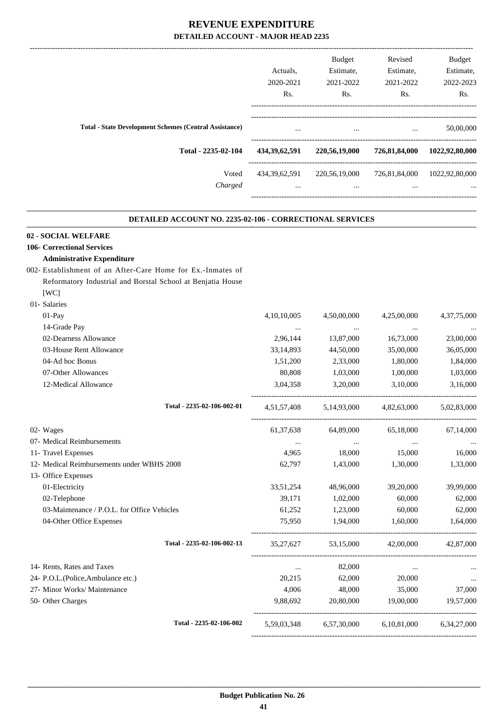|                                                               | Actuals.<br>2020-2021        | <b>Budget</b><br>Estimate,<br>2021-2022 | Revised<br>Estimate,<br>2021-2022 | <b>Budget</b><br>Estimate,<br>2022-2023  |
|---------------------------------------------------------------|------------------------------|-----------------------------------------|-----------------------------------|------------------------------------------|
|                                                               | Rs.                          | R <sub>s</sub> .                        | Rs.                               | Rs.                                      |
| <b>Total - State Development Schemes (Central Assistance)</b> | $\cdots$                     | $\cdots$                                | $\cdots$                          | 50,00,000                                |
| Total - 2235-02-104                                           | 434, 39, 62, 591             | 220,56,19,000                           | 726,81,84,000                     | 1022,92,80,000                           |
| Voted<br>Charged                                              | 434, 39, 62, 591<br>$\cdots$ | 220,56,19,000<br>$\cdots$               | $\cdots$                          | 726,81,84,000 1022,92,80,000<br>$\cdots$ |
|                                                               |                              |                                         |                                   |                                          |

.

#### **DETAILED ACCOUNT NO. 2235-02-106 - CORRECTIONAL SERVICES .**

#### **02 - SOCIAL WELFARE**

#### **106- Correctional Services**

#### **Administrative Expenditure**

- 002- Establishment of an After-Care Home for Ex.-Inmates of Reformatory Industrial and Borstal School at Benjatia House [WC] 01- Salaries
- 01-Pay 1.10,10,005 4,50,00,000 4,25,00,000 4,37,75,000 14-Grade Pay ... ... ... ... 02-Dearness Allowance 2,96,144 13,87,000 16,73,000 23,00,000 23,00,000 03-House Rent Allowance 2012 12:33,14,893 44,50,000 35,00,000 36,05,000 36,05,000 04-Ad hoc Bonus 1,51,200 2,33,000 1,80,000 1,84,000 07-Other Allowances 60,808 1,03,000 1,00,000 1,03,000 1,03,000 1,03,000 1,03,000 1,03,000 1,03,000 1,03,000 1,03,000 1,03,000 1,03,000 1,03,000 1,03,000 1,03,000 1,03,000 1,03,000 1,03,000 1,03,000 1,03,000 1,03,000 1,03,0 12-Medical Allowance 3,04,358 3,20,000 3,10,000 3,16,000 ----------------------------------------------------------------------------------------- **Total - 2235-02-106-002-01** 4,51,57,408 5,14,93,000 4,82,63,000 5,02,83,000 ----------------------------------------------------------------------------------------- 02- Wages 61,37,638 64,89,000 65,18,000 67,14,000 07- Medical Reimbursements ... ... ... ... 11- Travel Expenses 4,965 18,000 15,000 16,000 12- Medical Reimbursements under WBHS 2008 62,797 1,43,000 1,30,000 1,33,000 13- Office Expenses 01-Electricity 33,51,254 48,96,000 39,20,000 39,99,000 02-Telephone 60,000 62,000 62,000 62,000 62,000 62,000 62,000 62,000 62,000 63,000 62,000 62,000 62,000 62,000 03-Maintenance / P.O.L. for Office Vehicles 61,252 1,23,000 60,000 62,000 62,000 04-Other Office Expenses 25,950 1,94,000 1,60,000 1,64,000 ----------------------------------------------------------------------------------------- **Total - 2235-02-106-002-13** 35,27,627 53,15,000 42,00,000 42,87,000 ----------------------------------------------------------------------------------------- 14- Rents, Rates and Taxes ... 82,000 ... ... 24- P.O.L.(Police,Ambulance etc.) 20,215 62,000 20,000 ... 27- Minor Works/ Maintenance 4,006 48,000 35,000 37,000 50- Other Charges 9,88,692 20,80,000 19,00,000 19,57,000 ---------------------------------------------------------------------------------------- **Total - 2235-02-106-002** 5,59,03,348 6,57,30,000 6,10,81,000 6,34,27,000

-----------------------------------------------------------------------------------------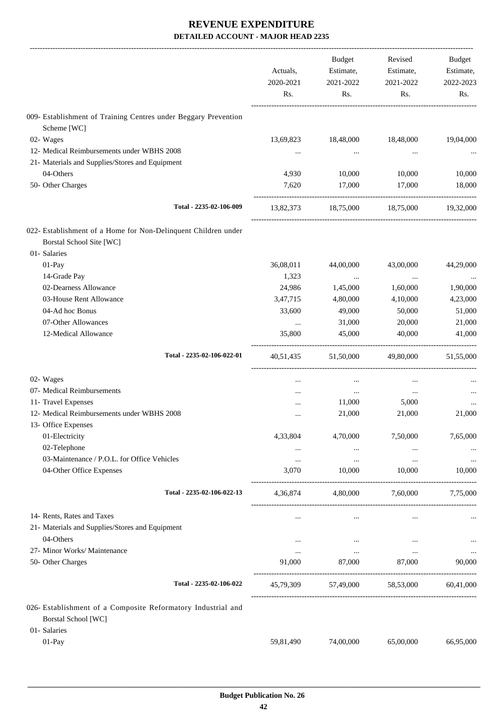|                                                                                                                   | Actuals,<br>2020-2021<br>Rs. | Budget<br>Estimate,<br>2021-2022<br>Rs. | Revised<br>Estimate,<br>2021-2022<br>Rs. | Budget<br>Estimate,<br>2022-2023<br>Rs. |
|-------------------------------------------------------------------------------------------------------------------|------------------------------|-----------------------------------------|------------------------------------------|-----------------------------------------|
| 009- Establishment of Training Centres under Beggary Prevention                                                   |                              |                                         |                                          |                                         |
| Scheme [WC]                                                                                                       |                              |                                         |                                          |                                         |
| 02- Wages                                                                                                         | 13,69,823                    | 18,48,000                               | 18,48,000                                | 19,04,000                               |
| 12- Medical Reimbursements under WBHS 2008                                                                        | $\cdots$                     |                                         | $\cdots$                                 |                                         |
| 21- Materials and Supplies/Stores and Equipment                                                                   |                              |                                         |                                          |                                         |
| 04-Others                                                                                                         | 4,930<br>7,620               | 10,000                                  | 10,000                                   | 10,000                                  |
| 50- Other Charges                                                                                                 |                              | 17,000                                  | 17,000                                   | 18,000                                  |
| Total - 2235-02-106-009                                                                                           | 13,82,373                    | 18,75,000                               | 18,75,000                                | 19,32,000                               |
| 022- Establishment of a Home for Non-Delinquent Children under<br><b>Borstal School Site [WC]</b><br>01- Salaries |                              |                                         |                                          |                                         |
| 01-Pay                                                                                                            | 36,08,011                    | 44,00,000                               | 43,00,000                                | 44,29,000                               |
| 14-Grade Pay                                                                                                      | 1,323                        | $\cdots$                                | $\ldots$                                 | $\cdots$                                |
| 02-Dearness Allowance                                                                                             | 24,986                       | 1,45,000                                | 1,60,000                                 | 1,90,000                                |
| 03-House Rent Allowance                                                                                           | 3,47,715                     | 4,80,000                                | 4,10,000                                 | 4,23,000                                |
| 04-Ad hoc Bonus                                                                                                   | 33,600                       | 49,000                                  | 50,000                                   | 51,000                                  |
| 07-Other Allowances                                                                                               | $\ddots$                     | 31,000                                  | 20,000                                   | 21,000                                  |
| 12-Medical Allowance                                                                                              | 35,800                       | 45,000                                  | 40,000                                   | 41,000                                  |
| Total - 2235-02-106-022-01                                                                                        | 40,51,435                    | 51,50,000                               | 49,80,000                                | 51,55,000                               |
| 02- Wages                                                                                                         | $\cdots$                     | $\cdots$                                | $\cdots$                                 |                                         |
| 07- Medical Reimbursements                                                                                        | $\cdots$                     | $\ldots$                                | $\cdots$                                 |                                         |
| 11- Travel Expenses                                                                                               |                              | 11,000                                  | 5,000                                    |                                         |
| 12- Medical Reimbursements under WBHS 2008                                                                        |                              | 21,000                                  | 21,000                                   | 21,000                                  |
| 13- Office Expenses                                                                                               |                              |                                         |                                          |                                         |
| 01-Electricity                                                                                                    | 4,33,804                     | 4,70,000                                | 7,50,000                                 | 7,65,000                                |
| 02-Telephone                                                                                                      | $\cdots$                     | $\cdots$                                |                                          |                                         |
| 03-Maintenance / P.O.L. for Office Vehicles                                                                       | $\ldots$                     | $\cdots$                                | $\cdots$                                 | $\cdots$                                |
| 04-Other Office Expenses                                                                                          | 3,070                        | 10,000                                  | 10,000                                   | 10.000                                  |
| Total - 2235-02-106-022-13                                                                                        | 4,36,874                     | 4,80,000                                | 7,60,000                                 | 7,75,000                                |
| 14- Rents, Rates and Taxes                                                                                        |                              | $\cdots$                                | $\ldots$                                 |                                         |
| 21- Materials and Supplies/Stores and Equipment                                                                   |                              |                                         |                                          |                                         |
| 04-Others                                                                                                         | $\cdots$                     | $\cdots$                                | $\cdots$                                 |                                         |
| 27- Minor Works/ Maintenance                                                                                      | $\cdots$                     | $\cdots$                                | $\ldots$                                 | $\cdots$                                |
| 50- Other Charges                                                                                                 | 91,000                       | 87,000                                  | 87,000                                   | 90,000                                  |
| Total - 2235-02-106-022                                                                                           | 45,79,309                    | 57,49,000 58,53,000                     |                                          | 60,41,000                               |
| 026- Establishment of a Composite Reformatory Industrial and<br><b>Borstal School</b> [WC]<br>01- Salaries        |                              |                                         |                                          |                                         |
| 01-Pay                                                                                                            | 59,81,490                    | 74,00,000                               | 65,00,000                                | 66,95,000                               |
|                                                                                                                   |                              |                                         |                                          |                                         |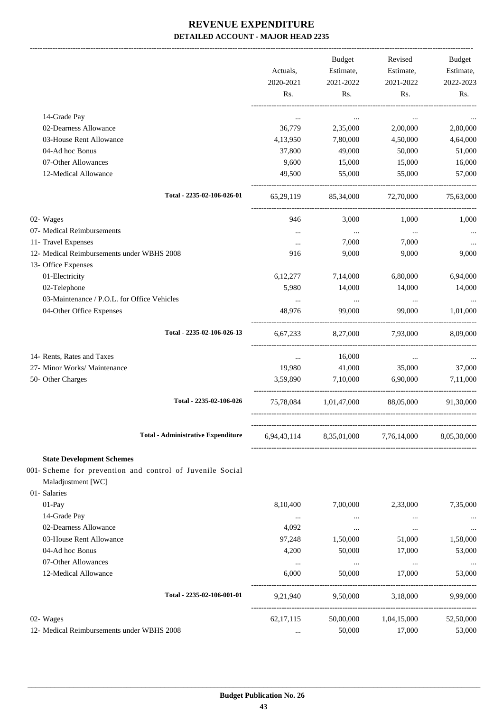-------------------------------------------------------------------------------------------------------------------------------------------------------------------------------

|                                                                         |                    | <b>Budget</b>           | Revised                         | <b>Budget</b>      |
|-------------------------------------------------------------------------|--------------------|-------------------------|---------------------------------|--------------------|
|                                                                         | Actuals,           | Estimate,               | Estimate,                       | Estimate,          |
|                                                                         | 2020-2021          | 2021-2022               | 2021-2022                       | 2022-2023          |
|                                                                         | Rs.                | Rs.                     | Rs.                             | Rs.                |
| 14-Grade Pay                                                            | $\ddotsc$          | $\cdots$                | $\cdots$                        |                    |
| 02-Dearness Allowance                                                   | 36,779             | 2,35,000                | 2,00,000                        | 2,80,000           |
| 03-House Rent Allowance                                                 | 4,13,950           | 7,80,000                | 4,50,000                        | 4,64,000           |
| 04-Ad hoc Bonus                                                         | 37,800             | 49,000                  | 50,000                          | 51,000             |
| 07-Other Allowances                                                     | 9,600              | 15,000                  | 15,000                          | 16,000             |
| 12-Medical Allowance                                                    | 49,500             | 55,000                  | 55,000                          | 57,000             |
| Total - 2235-02-106-026-01                                              | 65,29,119          | 85,34,000               | 72,70,000                       | 75,63,000          |
| 02- Wages                                                               | 946                | 3,000                   | 1,000                           | 1,000              |
| 07- Medical Reimbursements                                              | $\cdots$           | $\cdots$                | $\cdots$                        | $\cdots$           |
| 11- Travel Expenses                                                     | $\cdots$           | 7,000                   | 7,000                           |                    |
| 12- Medical Reimbursements under WBHS 2008                              | 916                | 9,000                   | 9,000                           | 9,000              |
| 13- Office Expenses                                                     |                    |                         |                                 |                    |
| 01-Electricity                                                          | 6, 12, 277         | 7,14,000                | 6,80,000                        | 6,94,000           |
| 02-Telephone                                                            | 5,980              | 14,000                  | 14,000                          | 14,000             |
| 03-Maintenance / P.O.L. for Office Vehicles<br>04-Other Office Expenses | $\cdots$<br>48,976 | $\cdots$<br>99,000      | $\cdots$<br>99,000              | 1,01,000           |
|                                                                         |                    |                         |                                 |                    |
| Total - 2235-02-106-026-13                                              | 6,67,233           | 8,27,000                | 7,93,000                        | 8,09,000           |
| 14- Rents, Rates and Taxes                                              | $\cdots$           | 16,000                  | $\cdots$                        |                    |
| 27- Minor Works/ Maintenance                                            | 19,980             | 41,000                  | 35,000                          | 37,000             |
| 50- Other Charges                                                       | 3.59.890           | 7,10,000                | 6,90,000                        | 7,11,000           |
| Total - 2235-02-106-026                                                 |                    |                         | 75,78,084 1,01,47,000 88,05,000 | 91,30,000          |
| <b>Total - Administrative Expenditure</b>                               |                    | 6,94,43,114 8,35,01,000 | 7,76,14,000                     | 8,05,30,000        |
| <b>State Development Schemes</b>                                        |                    |                         |                                 |                    |
| 001- Scheme for prevention and control of Juvenile Social               |                    |                         |                                 |                    |
| Maladjustment [WC]                                                      |                    |                         |                                 |                    |
| 01- Salaries                                                            |                    |                         |                                 |                    |
| 01-Pay                                                                  | 8,10,400           | 7,00,000                | 2,33,000                        | 7,35,000           |
| 14-Grade Pay                                                            | $\ldots$           | $\ldots$                | $\cdots$                        |                    |
| 02-Dearness Allowance                                                   | 4,092              | $\cdots$                | $\cdots$                        | $\cdots$           |
| 03-House Rent Allowance                                                 | 97,248             | 1,50,000                | 51,000                          | 1,58,000           |
| 04-Ad hoc Bonus                                                         | 4,200              | 50,000                  | 17,000                          | 53,000             |
| 07-Other Allowances<br>12-Medical Allowance                             | $\cdots$<br>6,000  | $\cdots$<br>50,000      | $\ldots$<br>17,000              | $\cdots$<br>53,000 |
|                                                                         |                    |                         |                                 |                    |
| Total - 2235-02-106-001-01                                              | 9,21,940           | 9,50,000                | 3,18,000                        | 9,99,000           |
| 02- Wages                                                               | 62, 17, 115        | 50,00,000               | 1,04,15,000                     | 52,50,000          |
| 12- Medical Reimbursements under WBHS 2008                              | $\cdots$           | 50,000                  | 17,000                          | 53,000             |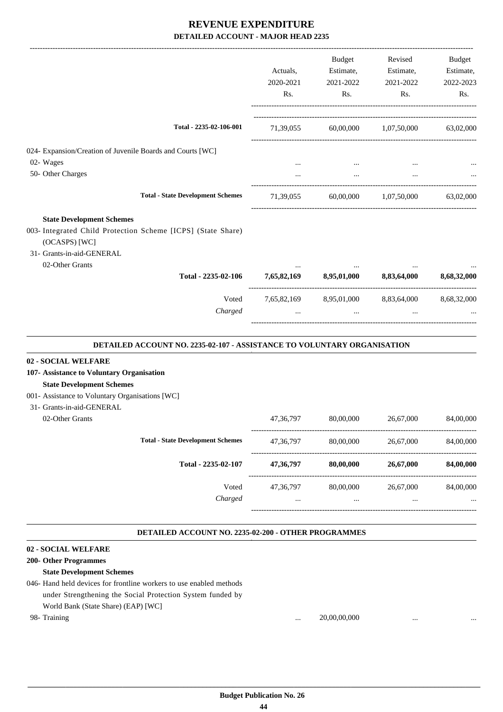| Budget<br>Revised<br>Budget<br>Estimate,<br>Actuals,<br>Estimate,<br>2020-2021<br>2021-2022<br>2021-2022<br>Rs.<br>Rs.<br>Rs.<br>Rs.<br>Total - 2235-02-106-001<br>71,39,055 60,00,000 1,07,50,000 63,02,000<br>024- Expansion/Creation of Juvenile Boards and Courts [WC]<br>02- Wages<br>50- Other Charges<br><b>Total - State Development Schemes</b><br>60,00,000 1,07,50,000<br>71,39,055<br><b>State Development Schemes</b><br>003- Integrated Child Protection Scheme [ICPS] (State Share)<br>(OCASPS) [WC]<br>31- Grants-in-aid-GENERAL<br>02-Other Grants<br>8,95,01,000 8,83,64,000<br>Total - 2235-02-106<br>7,65,82,169<br>Voted<br>7,65,82,169 8,95,01,000 8,83,64,000<br>Charged<br>$\ddots$<br>DETAILED ACCOUNT NO. 2235-02-107 - ASSISTANCE TO VOLUNTARY ORGANISATION<br>02 - SOCIAL WELFARE<br>107- Assistance to Voluntary Organisation<br><b>State Development Schemes</b><br>001- Assistance to Voluntary Organisations [WC]<br>31- Grants-in-aid-GENERAL<br>02-Other Grants<br>80,00,000<br>26,67,000<br>47, 36, 797<br><b>Total - State Development Schemes</b><br>47,36,797<br>80,00,000<br>26,67,000<br>84,00,000<br>Total - 2235-02-107<br>47,36,797<br>80,00,000<br>26,67,000<br>Voted<br>47,36,797<br>80,00,000<br>26,67,000<br>Charged<br>$\ldots$<br>$\cdots$<br>$\cdots$<br>DETAILED ACCOUNT NO. 2235-02-200 - OTHER PROGRAMMES<br>02 - SOCIAL WELFARE<br>200- Other Programmes<br><b>State Development Schemes</b><br>046- Hand held devices for frontline workers to use enabled methods<br>under Strengthening the Social Protection System funded by<br>World Bank (State Share) (EAP) [WC]<br>98- Training<br>20,00,00,000<br>$\cdots$<br>$\ddotsc$ |  |  |             |
|-----------------------------------------------------------------------------------------------------------------------------------------------------------------------------------------------------------------------------------------------------------------------------------------------------------------------------------------------------------------------------------------------------------------------------------------------------------------------------------------------------------------------------------------------------------------------------------------------------------------------------------------------------------------------------------------------------------------------------------------------------------------------------------------------------------------------------------------------------------------------------------------------------------------------------------------------------------------------------------------------------------------------------------------------------------------------------------------------------------------------------------------------------------------------------------------------------------------------------------------------------------------------------------------------------------------------------------------------------------------------------------------------------------------------------------------------------------------------------------------------------------------------------------------------------------------------------------------------------------------------------------------------------------------------------------------|--|--|-------------|
|                                                                                                                                                                                                                                                                                                                                                                                                                                                                                                                                                                                                                                                                                                                                                                                                                                                                                                                                                                                                                                                                                                                                                                                                                                                                                                                                                                                                                                                                                                                                                                                                                                                                                         |  |  |             |
|                                                                                                                                                                                                                                                                                                                                                                                                                                                                                                                                                                                                                                                                                                                                                                                                                                                                                                                                                                                                                                                                                                                                                                                                                                                                                                                                                                                                                                                                                                                                                                                                                                                                                         |  |  | Estimate,   |
|                                                                                                                                                                                                                                                                                                                                                                                                                                                                                                                                                                                                                                                                                                                                                                                                                                                                                                                                                                                                                                                                                                                                                                                                                                                                                                                                                                                                                                                                                                                                                                                                                                                                                         |  |  | 2022-2023   |
|                                                                                                                                                                                                                                                                                                                                                                                                                                                                                                                                                                                                                                                                                                                                                                                                                                                                                                                                                                                                                                                                                                                                                                                                                                                                                                                                                                                                                                                                                                                                                                                                                                                                                         |  |  |             |
|                                                                                                                                                                                                                                                                                                                                                                                                                                                                                                                                                                                                                                                                                                                                                                                                                                                                                                                                                                                                                                                                                                                                                                                                                                                                                                                                                                                                                                                                                                                                                                                                                                                                                         |  |  |             |
|                                                                                                                                                                                                                                                                                                                                                                                                                                                                                                                                                                                                                                                                                                                                                                                                                                                                                                                                                                                                                                                                                                                                                                                                                                                                                                                                                                                                                                                                                                                                                                                                                                                                                         |  |  |             |
|                                                                                                                                                                                                                                                                                                                                                                                                                                                                                                                                                                                                                                                                                                                                                                                                                                                                                                                                                                                                                                                                                                                                                                                                                                                                                                                                                                                                                                                                                                                                                                                                                                                                                         |  |  |             |
|                                                                                                                                                                                                                                                                                                                                                                                                                                                                                                                                                                                                                                                                                                                                                                                                                                                                                                                                                                                                                                                                                                                                                                                                                                                                                                                                                                                                                                                                                                                                                                                                                                                                                         |  |  |             |
|                                                                                                                                                                                                                                                                                                                                                                                                                                                                                                                                                                                                                                                                                                                                                                                                                                                                                                                                                                                                                                                                                                                                                                                                                                                                                                                                                                                                                                                                                                                                                                                                                                                                                         |  |  |             |
|                                                                                                                                                                                                                                                                                                                                                                                                                                                                                                                                                                                                                                                                                                                                                                                                                                                                                                                                                                                                                                                                                                                                                                                                                                                                                                                                                                                                                                                                                                                                                                                                                                                                                         |  |  | 63,02,000   |
|                                                                                                                                                                                                                                                                                                                                                                                                                                                                                                                                                                                                                                                                                                                                                                                                                                                                                                                                                                                                                                                                                                                                                                                                                                                                                                                                                                                                                                                                                                                                                                                                                                                                                         |  |  |             |
|                                                                                                                                                                                                                                                                                                                                                                                                                                                                                                                                                                                                                                                                                                                                                                                                                                                                                                                                                                                                                                                                                                                                                                                                                                                                                                                                                                                                                                                                                                                                                                                                                                                                                         |  |  |             |
|                                                                                                                                                                                                                                                                                                                                                                                                                                                                                                                                                                                                                                                                                                                                                                                                                                                                                                                                                                                                                                                                                                                                                                                                                                                                                                                                                                                                                                                                                                                                                                                                                                                                                         |  |  |             |
|                                                                                                                                                                                                                                                                                                                                                                                                                                                                                                                                                                                                                                                                                                                                                                                                                                                                                                                                                                                                                                                                                                                                                                                                                                                                                                                                                                                                                                                                                                                                                                                                                                                                                         |  |  |             |
|                                                                                                                                                                                                                                                                                                                                                                                                                                                                                                                                                                                                                                                                                                                                                                                                                                                                                                                                                                                                                                                                                                                                                                                                                                                                                                                                                                                                                                                                                                                                                                                                                                                                                         |  |  | 8,68,32,000 |
|                                                                                                                                                                                                                                                                                                                                                                                                                                                                                                                                                                                                                                                                                                                                                                                                                                                                                                                                                                                                                                                                                                                                                                                                                                                                                                                                                                                                                                                                                                                                                                                                                                                                                         |  |  | 8,68,32,000 |
|                                                                                                                                                                                                                                                                                                                                                                                                                                                                                                                                                                                                                                                                                                                                                                                                                                                                                                                                                                                                                                                                                                                                                                                                                                                                                                                                                                                                                                                                                                                                                                                                                                                                                         |  |  |             |
|                                                                                                                                                                                                                                                                                                                                                                                                                                                                                                                                                                                                                                                                                                                                                                                                                                                                                                                                                                                                                                                                                                                                                                                                                                                                                                                                                                                                                                                                                                                                                                                                                                                                                         |  |  |             |
|                                                                                                                                                                                                                                                                                                                                                                                                                                                                                                                                                                                                                                                                                                                                                                                                                                                                                                                                                                                                                                                                                                                                                                                                                                                                                                                                                                                                                                                                                                                                                                                                                                                                                         |  |  | 84,00,000   |
|                                                                                                                                                                                                                                                                                                                                                                                                                                                                                                                                                                                                                                                                                                                                                                                                                                                                                                                                                                                                                                                                                                                                                                                                                                                                                                                                                                                                                                                                                                                                                                                                                                                                                         |  |  |             |
|                                                                                                                                                                                                                                                                                                                                                                                                                                                                                                                                                                                                                                                                                                                                                                                                                                                                                                                                                                                                                                                                                                                                                                                                                                                                                                                                                                                                                                                                                                                                                                                                                                                                                         |  |  |             |
|                                                                                                                                                                                                                                                                                                                                                                                                                                                                                                                                                                                                                                                                                                                                                                                                                                                                                                                                                                                                                                                                                                                                                                                                                                                                                                                                                                                                                                                                                                                                                                                                                                                                                         |  |  | 84,00,000   |
|                                                                                                                                                                                                                                                                                                                                                                                                                                                                                                                                                                                                                                                                                                                                                                                                                                                                                                                                                                                                                                                                                                                                                                                                                                                                                                                                                                                                                                                                                                                                                                                                                                                                                         |  |  | 84,00,000   |
|                                                                                                                                                                                                                                                                                                                                                                                                                                                                                                                                                                                                                                                                                                                                                                                                                                                                                                                                                                                                                                                                                                                                                                                                                                                                                                                                                                                                                                                                                                                                                                                                                                                                                         |  |  |             |
|                                                                                                                                                                                                                                                                                                                                                                                                                                                                                                                                                                                                                                                                                                                                                                                                                                                                                                                                                                                                                                                                                                                                                                                                                                                                                                                                                                                                                                                                                                                                                                                                                                                                                         |  |  |             |
|                                                                                                                                                                                                                                                                                                                                                                                                                                                                                                                                                                                                                                                                                                                                                                                                                                                                                                                                                                                                                                                                                                                                                                                                                                                                                                                                                                                                                                                                                                                                                                                                                                                                                         |  |  |             |
|                                                                                                                                                                                                                                                                                                                                                                                                                                                                                                                                                                                                                                                                                                                                                                                                                                                                                                                                                                                                                                                                                                                                                                                                                                                                                                                                                                                                                                                                                                                                                                                                                                                                                         |  |  |             |
|                                                                                                                                                                                                                                                                                                                                                                                                                                                                                                                                                                                                                                                                                                                                                                                                                                                                                                                                                                                                                                                                                                                                                                                                                                                                                                                                                                                                                                                                                                                                                                                                                                                                                         |  |  |             |
|                                                                                                                                                                                                                                                                                                                                                                                                                                                                                                                                                                                                                                                                                                                                                                                                                                                                                                                                                                                                                                                                                                                                                                                                                                                                                                                                                                                                                                                                                                                                                                                                                                                                                         |  |  |             |
|                                                                                                                                                                                                                                                                                                                                                                                                                                                                                                                                                                                                                                                                                                                                                                                                                                                                                                                                                                                                                                                                                                                                                                                                                                                                                                                                                                                                                                                                                                                                                                                                                                                                                         |  |  |             |
|                                                                                                                                                                                                                                                                                                                                                                                                                                                                                                                                                                                                                                                                                                                                                                                                                                                                                                                                                                                                                                                                                                                                                                                                                                                                                                                                                                                                                                                                                                                                                                                                                                                                                         |  |  |             |
|                                                                                                                                                                                                                                                                                                                                                                                                                                                                                                                                                                                                                                                                                                                                                                                                                                                                                                                                                                                                                                                                                                                                                                                                                                                                                                                                                                                                                                                                                                                                                                                                                                                                                         |  |  |             |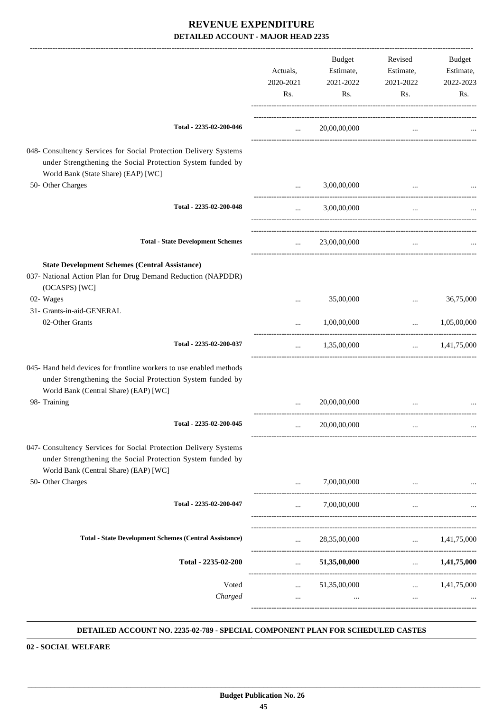|                                                                                                                                                                            | Actuals,<br>2020-2021<br>Rs. | <b>Budget</b><br>Estimate,<br>2021-2022<br>Rs. | Revised<br>Estimate,<br>2021-2022<br>Rs. | Budget<br>Estimate,<br>2022-2023<br>Rs. |
|----------------------------------------------------------------------------------------------------------------------------------------------------------------------------|------------------------------|------------------------------------------------|------------------------------------------|-----------------------------------------|
| Total - 2235-02-200-046                                                                                                                                                    | <b>Sales Control</b>         | 20,00,00,000                                   | $\cdots$                                 |                                         |
| 048- Consultency Services for Social Protection Delivery Systems<br>under Strengthening the Social Protection System funded by<br>World Bank (State Share) (EAP) [WC]      |                              |                                                |                                          |                                         |
| 50- Other Charges                                                                                                                                                          | $\cdots$                     | 3,00,00,000                                    |                                          |                                         |
| Total - 2235-02-200-048                                                                                                                                                    | $\cdots$                     | 3,00,00,000                                    | $\cdots$                                 |                                         |
| <b>Total - State Development Schemes</b>                                                                                                                                   | $\cdots$                     | 23,00,00,000                                   | $\cdots$                                 |                                         |
| <b>State Development Schemes (Central Assistance)</b><br>037- National Action Plan for Drug Demand Reduction (NAPDDR)<br>(OCASPS) [WC]                                     |                              |                                                |                                          |                                         |
| 02- Wages                                                                                                                                                                  |                              | 35,00,000                                      | $\cdots$                                 | 36,75,000                               |
| 31- Grants-in-aid-GENERAL<br>02-Other Grants                                                                                                                               |                              | 1,00,00,000                                    | $\ddotsc$                                | 1,05,00,000                             |
| Total - 2235-02-200-037                                                                                                                                                    | $\cdots$                     | 1,35,00,000                                    | -------------------------------          | $\ldots$ 1,41,75,000                    |
| 045- Hand held devices for frontline workers to use enabled methods<br>under Strengthening the Social Protection System funded by<br>World Bank (Central Share) (EAP) [WC] |                              |                                                |                                          |                                         |
| 98- Training                                                                                                                                                               |                              | 20,00,00,000                                   |                                          |                                         |
| Total - 2235-02-200-045                                                                                                                                                    |                              | 20,00,00,000                                   |                                          |                                         |
| 047- Consultency Services for Social Protection Delivery Systems<br>under Strengthening the Social Protection System funded by<br>World Bank (Central Share) (EAP) [WC]    |                              |                                                |                                          |                                         |
| 50- Other Charges                                                                                                                                                          | $\cdots$                     | 7,00,00,000                                    |                                          |                                         |
| Total - 2235-02-200-047                                                                                                                                                    | $\cdots$                     | 7,00,00,000                                    | $\cdots$                                 |                                         |
| <b>Total - State Development Schemes (Central Assistance)</b>                                                                                                              |                              | $\ldots$ 28,35,00,000                          | $\ldots$ 1,41,75,000                     |                                         |
| Total - 2235-02-200                                                                                                                                                        |                              | $\ldots$ 51,35,00,000                          |                                          | $\ldots$ 1,41,75,000                    |
| Voted<br>Charged                                                                                                                                                           | $\cdots$                     | $\ldots$ 51,35,00,000<br>$\cdots$              | $\ldots$ 1,41,75,000<br>$\sim 10^{-11}$  |                                         |

#### **DETAILED ACCOUNT NO. 2235-02-789 - SPECIAL COMPONENT PLAN FOR SCHEDULED CASTES .**

**02 - SOCIAL WELFARE**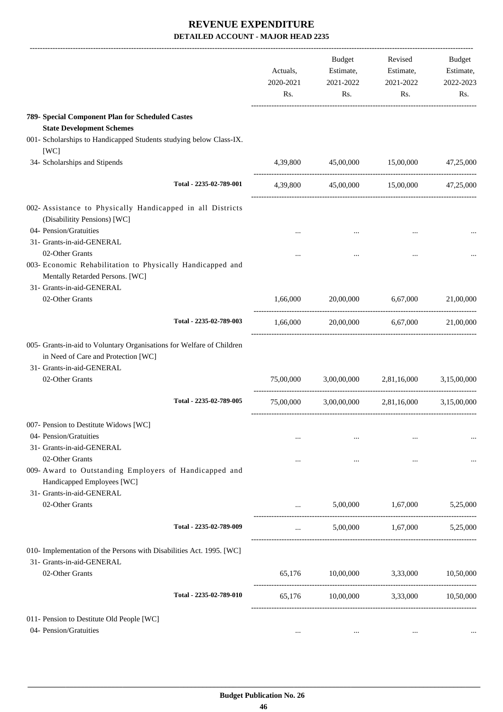|                                                                                                                                                              | Actuals,<br>2020-2021<br>Rs. | Budget<br>Estimate,<br>2021-2022<br>Rs. | Revised<br>Estimate,<br>2021-2022<br>Rs.      | Budget<br>Estimate,<br>2022-2023<br>Rs. |
|--------------------------------------------------------------------------------------------------------------------------------------------------------------|------------------------------|-----------------------------------------|-----------------------------------------------|-----------------------------------------|
| 789- Special Component Plan for Scheduled Castes                                                                                                             |                              |                                         |                                               |                                         |
| <b>State Development Schemes</b>                                                                                                                             |                              |                                         |                                               |                                         |
| 001- Scholarships to Handicapped Students studying below Class-IX.<br>[WC]                                                                                   |                              |                                         |                                               |                                         |
| 34- Scholarships and Stipends                                                                                                                                | 4,39,800                     | 45,00,000                               | 15,00,000                                     | 47,25,000                               |
| Total - 2235-02-789-001                                                                                                                                      |                              |                                         | 4,39,800 45,00,000 15,00,000 47,25,000        |                                         |
| 002- Assistance to Physically Handicapped in all Districts<br>(Disabilitity Pensions) [WC]                                                                   |                              |                                         |                                               |                                         |
| 04- Pension/Gratuities                                                                                                                                       | $\cdots$                     |                                         |                                               |                                         |
| 31- Grants-in-aid-GENERAL                                                                                                                                    |                              |                                         |                                               |                                         |
| 02-Other Grants<br>003- Economic Rehabilitation to Physically Handicapped and<br>Mentally Retarded Persons. [WC]<br>31- Grants-in-aid-GENERAL                |                              |                                         | $\cdots$                                      |                                         |
| 02-Other Grants                                                                                                                                              | 1,66,000                     | 20,00,000                               | 6,67,000                                      | 21,00,000                               |
| Total - 2235-02-789-003                                                                                                                                      | 1,66,000                     |                                         | 20,00,000 6,67,000                            | 21,00,000                               |
| 005- Grants-in-aid to Voluntary Organisations for Welfare of Children<br>in Need of Care and Protection [WC]<br>31- Grants-in-aid-GENERAL<br>02-Other Grants |                              |                                         | 75,00,000 3,00,00,000 2,81,16,000 3,15,00,000 |                                         |
| Total - 2235-02-789-005                                                                                                                                      | 75,00,000                    |                                         | 3,00,00,000 2,81,16,000 3,15,00,000           |                                         |
| 007- Pension to Destitute Widows [WC]                                                                                                                        |                              |                                         |                                               |                                         |
| 04- Pension/Gratuities                                                                                                                                       | $\cdots$                     |                                         | $\cdots$                                      |                                         |
| 31- Grants-in-aid-GENERAL                                                                                                                                    |                              |                                         |                                               |                                         |
| 02-Other Grants                                                                                                                                              | $\cdots$                     | $\cdots$                                | $\cdots$                                      |                                         |
| 009- Award to Outstanding Employers of Handicapped and<br>Handicapped Employees [WC]                                                                         |                              |                                         |                                               |                                         |
| 31- Grants-in-aid-GENERAL                                                                                                                                    |                              |                                         |                                               |                                         |
| 02-Other Grants                                                                                                                                              | $\cdots$                     | 5,00,000                                | 1,67,000                                      | 5,25,000                                |
| Total - 2235-02-789-009                                                                                                                                      | $\cdots$                     | 5,00,000                                | 1,67,000                                      | 5,25,000                                |
| 010- Implementation of the Persons with Disabilities Act. 1995. [WC]                                                                                         |                              |                                         |                                               |                                         |
| 31- Grants-in-aid-GENERAL                                                                                                                                    |                              |                                         |                                               |                                         |
| 02-Other Grants                                                                                                                                              | 65,176                       | 10,00,000                               | 3,33,000                                      | 10,50,000                               |
| Total - 2235-02-789-010                                                                                                                                      | 65,176                       |                                         | 10,00,000 3,33,000                            | 10,50,000                               |
| 011- Pension to Destitute Old People [WC]                                                                                                                    |                              |                                         |                                               |                                         |
| 04- Pension/Gratuities                                                                                                                                       |                              | $\cdots$                                |                                               |                                         |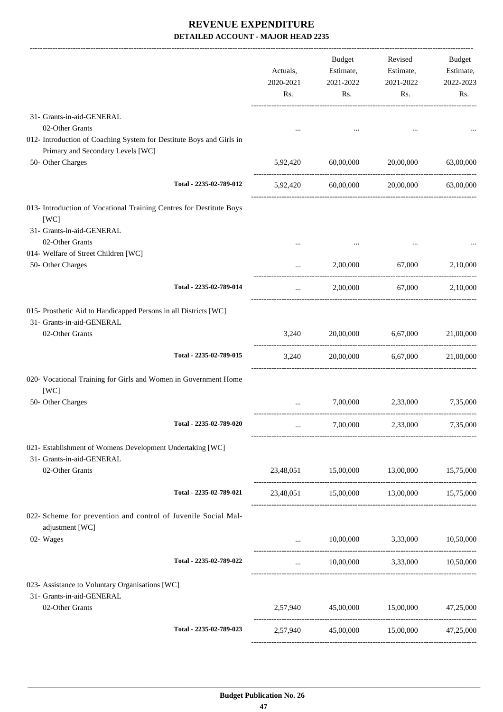|                                                                                                           | Actuals,<br>2020-2021<br>Rs. | Budget<br>Estimate,<br>2021-2022<br>Rs. | Revised<br>Estimate,<br>2021-2022<br>Rs. | Budget<br>Estimate,<br>2022-2023<br>Rs. |
|-----------------------------------------------------------------------------------------------------------|------------------------------|-----------------------------------------|------------------------------------------|-----------------------------------------|
| 31- Grants-in-aid-GENERAL<br>02-Other Grants                                                              |                              |                                         |                                          |                                         |
| 012- Introduction of Coaching System for Destitute Boys and Girls in<br>Primary and Secondary Levels [WC] |                              |                                         |                                          |                                         |
| 50- Other Charges                                                                                         | 5,92,420                     | 60,00,000                               | 20,00,000                                | 63,00,000                               |
| Total - 2235-02-789-012                                                                                   |                              | 5,92,420 60,00,000                      | 20,00,000                                | 63,00,000                               |
| 013- Introduction of Vocational Training Centres for Destitute Boys<br>[WC]                               |                              |                                         |                                          |                                         |
| 31- Grants-in-aid-GENERAL<br>02-Other Grants                                                              |                              |                                         |                                          |                                         |
| 014- Welfare of Street Children [WC]                                                                      |                              |                                         |                                          |                                         |
| 50- Other Charges                                                                                         |                              | 2,00,000                                | 67,000                                   | 2,10,000                                |
| Total - 2235-02-789-014                                                                                   | $\cdots$                     | 2,00,000                                | 67,000                                   | 2,10,000                                |
| 015- Prosthetic Aid to Handicapped Persons in all Districts [WC]<br>31- Grants-in-aid-GENERAL             |                              |                                         |                                          |                                         |
| 02-Other Grants                                                                                           | 3,240                        | 20,00,000                               | 6,67,000                                 | 21,00,000                               |
| Total - 2235-02-789-015                                                                                   | 3,240                        |                                         | 20,00,000 6,67,000                       | 21,00,000                               |
| 020- Vocational Training for Girls and Women in Government Home<br>[WC]                                   |                              |                                         |                                          |                                         |
| 50- Other Charges                                                                                         |                              |                                         | 7,00,000 2,33,000 7,35,000               |                                         |
| Total - 2235-02-789-020                                                                                   |                              | 7,00,000                                |                                          | 2,33,000 7,35,000                       |
| 021- Establishment of Womens Development Undertaking [WC]<br>31- Grants-in-aid-GENERAL                    |                              |                                         |                                          |                                         |
| 02-Other Grants                                                                                           |                              |                                         | 23,48,051 15,00,000 13,00,000 15,75,000  |                                         |
| Total - 2235-02-789-021                                                                                   |                              |                                         | 23,48,051 15,00,000 13,00,000 15,75,000  |                                         |
| 022- Scheme for prevention and control of Juvenile Social Mal-<br>adjustment [WC]                         |                              |                                         |                                          |                                         |
| 02- Wages                                                                                                 |                              |                                         | $10,00,000$ $3,33,000$ $10,50,000$       |                                         |
| Total - 2235-02-789-022                                                                                   |                              |                                         | $10,00,000$ $3,33,000$ $10,50,000$       |                                         |
| 023- Assistance to Voluntary Organisations [WC]<br>31- Grants-in-aid-GENERAL                              |                              |                                         |                                          |                                         |
| 02-Other Grants                                                                                           |                              |                                         | 2,57,940 45,00,000 15,00,000 47,25,000   |                                         |
| Total - 2235-02-789-023                                                                                   |                              |                                         | 2,57,940 45,00,000 15,00,000 47,25,000   |                                         |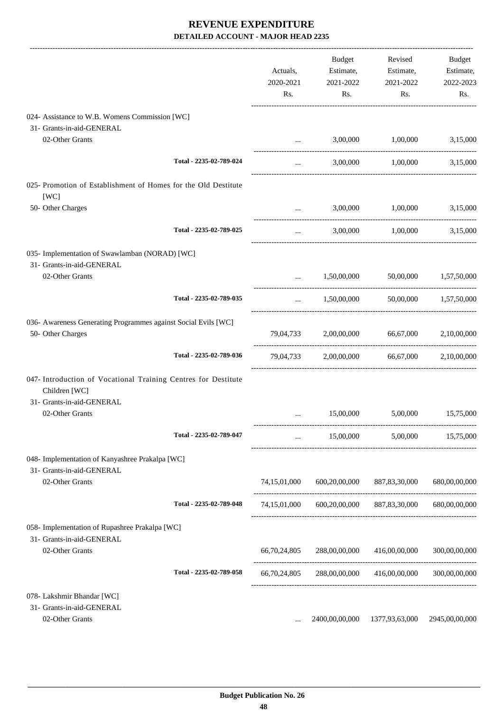|                                                                                     |                         | Actuals,<br>2020-2021<br>Rs. | Budget<br>Estimate,<br>2021-2022<br>Rs. | Revised<br>Estimate,<br>2021-2022<br>Rs.    | Budget<br>Estimate,<br>2022-2023<br>Rs. |
|-------------------------------------------------------------------------------------|-------------------------|------------------------------|-----------------------------------------|---------------------------------------------|-----------------------------------------|
| 024- Assistance to W.B. Womens Commission [WC]                                      |                         |                              |                                         |                                             |                                         |
| 31- Grants-in-aid-GENERAL<br>02-Other Grants                                        |                         | $\cdots$                     | 3,00,000                                | 1,00,000                                    | 3,15,000                                |
|                                                                                     |                         |                              |                                         |                                             |                                         |
|                                                                                     | Total - 2235-02-789-024 | $\cdots$                     |                                         | 3,00,000 1,00,000 3,15,000                  |                                         |
| 025- Promotion of Establishment of Homes for the Old Destitute<br>[WC]              |                         |                              |                                         |                                             |                                         |
| 50- Other Charges                                                                   |                         | $\cdots$                     | 3,00,000                                | 1,00,000                                    | 3,15,000                                |
|                                                                                     | Total - 2235-02-789-025 | $\cdots$                     |                                         | 3,00,000 1,00,000                           | 3,15,000                                |
| 035- Implementation of Swawlamban (NORAD) [WC]                                      |                         |                              |                                         |                                             |                                         |
| 31- Grants-in-aid-GENERAL<br>02-Other Grants                                        |                         | $\cdots$                     |                                         | 1,50,00,000 50,00,000 1,57,50,000           |                                         |
|                                                                                     | Total - 2235-02-789-035 | $\cdots$                     | 1,50,00,000                             |                                             | 50,00,000 1,57,50,000                   |
| 036- Awareness Generating Programmes against Social Evils [WC]<br>50- Other Charges |                         |                              |                                         | 79,04,733 2,00,00,000 66,67,000             | 2,10,00,000                             |
|                                                                                     | Total - 2235-02-789-036 |                              |                                         | 79,04,733 2,00,00,000 66,67,000 2,10,00,000 |                                         |
| 047- Introduction of Vocational Training Centres for Destitute<br>Children [WC]     |                         |                              |                                         |                                             |                                         |
| 31- Grants-in-aid-GENERAL<br>02-Other Grants                                        |                         | $\cdots$                     | 15,00,000                               | 5,00,000                                    | 15,75,000                               |
|                                                                                     | Total - 2235-02-789-047 | $\cdots$                     | 15,00,000                               | 5,00,000                                    | 15,75,000                               |
| 048- Implementation of Kanyashree Prakalpa [WC]                                     |                         |                              |                                         |                                             |                                         |
| 31- Grants-in-aid-GENERAL<br>02-Other Grants                                        |                         | 74,15,01,000                 | 600,20,00,000                           | 887, 83, 30, 000                            | 680,00,00,000                           |
|                                                                                     | Total - 2235-02-789-048 |                              |                                         | 74,15,01,000 600,20,00,000 887,83,30,000    | 680,00,00,000                           |
| 058- Implementation of Rupashree Prakalpa [WC]<br>31- Grants-in-aid-GENERAL         |                         |                              |                                         |                                             |                                         |
| 02-Other Grants                                                                     |                         | 66,70,24,805                 | 288,00,00,000                           | 416,00,00,000                               | 300,00,00,000                           |
|                                                                                     | Total - 2235-02-789-058 |                              |                                         | 66,70,24,805 288,00,00,000 416,00,00,000    | 300,00,00,000                           |
| 078- Lakshmir Bhandar [WC]                                                          |                         |                              |                                         |                                             |                                         |
| 31- Grants-in-aid-GENERAL                                                           |                         |                              |                                         |                                             |                                         |
| 02-Other Grants                                                                     |                         |                              | 2400,00,00,000                          | 1377,93,63,000                              | 2945,00,00,000                          |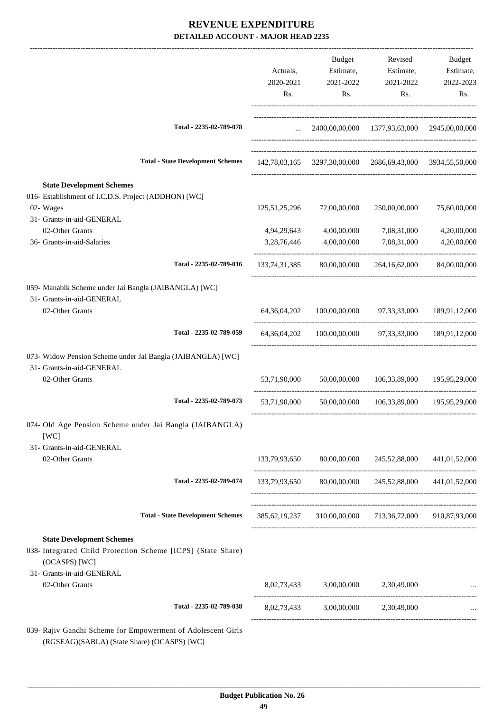|                                                                                                                                                |                                                  | Actuals,<br>2020-2021<br>Rs. | <b>Budget</b><br>Estimate,<br>2021-2022<br>Rs. | Revised<br>Estimate,<br>2021-2022<br>Rs.                   | Budget<br>Estimate,<br>2022-2023<br>Rs. |
|------------------------------------------------------------------------------------------------------------------------------------------------|--------------------------------------------------|------------------------------|------------------------------------------------|------------------------------------------------------------|-----------------------------------------|
|                                                                                                                                                | Total - 2235-02-789-078                          | $\sim 10^{-10}$              |                                                | 2400,00,00,000 1377,93,63,000 2945,00,00,000               |                                         |
|                                                                                                                                                | <b>Total - State Development Schemes</b>         |                              |                                                | 142,78,03,165 3297,30,00,000 2686,69,43,000 3934,55,50,000 |                                         |
| <b>State Development Schemes</b>                                                                                                               |                                                  |                              |                                                |                                                            |                                         |
| 016- Establishment of I.C.D.S. Project (ADDHON) [WC]                                                                                           |                                                  |                              |                                                |                                                            |                                         |
| 02- Wages                                                                                                                                      |                                                  | 125, 51, 25, 296             | 72,00,00,000                                   | 250,00,00,000                                              | 75,60,00,000                            |
| 31- Grants-in-aid-GENERAL                                                                                                                      |                                                  |                              |                                                |                                                            |                                         |
| 02-Other Grants                                                                                                                                |                                                  | 4,94,29,643                  | 4,00,00,000                                    | 7,08,31,000                                                | 4,20,00,000                             |
| 36- Grants-in-aid-Salaries                                                                                                                     |                                                  | 3,28,76,446                  | 4,00,00,000                                    | 7,08,31,000                                                | 4,20,00,000                             |
|                                                                                                                                                | Total - 2235-02-789-016                          |                              | 133,74,31,385 80,00,00,000                     | 264, 16, 62, 000                                           | 84,00,00,000                            |
| 059- Manabik Scheme under Jai Bangla (JAIBANGLA) [WC]                                                                                          |                                                  |                              |                                                |                                                            |                                         |
| 31- Grants-in-aid-GENERAL                                                                                                                      |                                                  |                              |                                                |                                                            |                                         |
| 02-Other Grants                                                                                                                                |                                                  | 64, 36, 04, 202              |                                                | 100,00,00,000 97,33,33,000                                 | 189,91,12,000                           |
|                                                                                                                                                | Total - 2235-02-789-059                          | 64, 36, 04, 202              |                                                | 100,00,00,000 97,33,33,000 189,91,12,000                   |                                         |
| 073- Widow Pension Scheme under Jai Bangla (JAIBANGLA) [WC]                                                                                    |                                                  |                              |                                                |                                                            |                                         |
| 31- Grants-in-aid-GENERAL                                                                                                                      |                                                  |                              |                                                |                                                            |                                         |
| 02-Other Grants                                                                                                                                |                                                  | 53,71,90,000                 | 50,00,00,000                                   | 106,33,89,000                                              | 195,95,29,000                           |
|                                                                                                                                                | Total - 2235-02-789-073                          | 53,71,90,000                 | 50,00,00,000                                   | 106,33,89,000                                              | 195,95,29,000                           |
|                                                                                                                                                |                                                  |                              |                                                |                                                            |                                         |
| 074- Old Age Pension Scheme under Jai Bangla (JAIBANGLA)<br>[WC]                                                                               |                                                  |                              |                                                |                                                            |                                         |
| 31- Grants-in-aid-GENERAL                                                                                                                      |                                                  |                              |                                                |                                                            |                                         |
| 02-Other Grants                                                                                                                                |                                                  |                              |                                                | 133,79,93,650 80,00,00,000 245,52,88,000 441,01,52,000     |                                         |
|                                                                                                                                                | Total - 2235-02-789-074                          |                              |                                                | 133,79,93,650 80,00,00,000 245,52,88,000 441,01,52,000     |                                         |
|                                                                                                                                                | <b>Total - State Development Schemes</b>         |                              |                                                | 385,62,19,237 310,00,00,000 713,36,72,000 910,87,93,000    |                                         |
|                                                                                                                                                |                                                  |                              |                                                |                                                            |                                         |
| <b>State Development Schemes</b><br>038- Integrated Child Protection Scheme [ICPS] (State Share)<br>(OCASPS) [WC]<br>31- Grants-in-aid-GENERAL |                                                  |                              |                                                |                                                            |                                         |
| 02-Other Grants                                                                                                                                |                                                  |                              | 8,02,73,433 3,00,00,000 2,30,49,000            |                                                            |                                         |
|                                                                                                                                                | Total - 2235-02-789-038                          | 8,02,73,433                  |                                                | 3,00,00,000 2,30,49,000                                    |                                         |
|                                                                                                                                                | Candhi Sahama fan Emnauwmant of Adelasaant Cirls |                              |                                                |                                                            |                                         |

039- Rajiv Gandhi Scheme for Empowerment of Adolescent Girls (RGSEAG)(SABLA) (State Share) (OCASPS) [WC]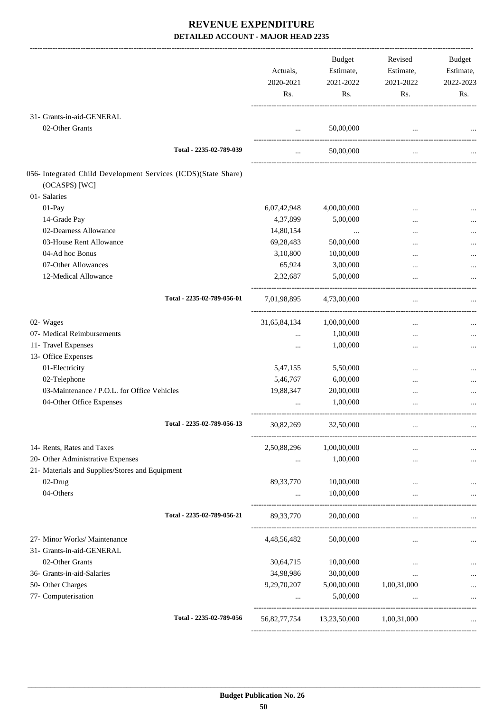|                                                                                 | Actuals,<br>2020-2021<br>Rs. | Budget<br>Estimate,<br>2021-2022<br>Rs. | Revised<br>Estimate,<br>2021-2022<br>Rs. | <b>Budget</b><br>Estimate,<br>2022-2023<br>Rs. |
|---------------------------------------------------------------------------------|------------------------------|-----------------------------------------|------------------------------------------|------------------------------------------------|
| 31- Grants-in-aid-GENERAL                                                       |                              |                                         |                                          |                                                |
| 02-Other Grants                                                                 | $\cdots$                     | 50,00,000                               |                                          |                                                |
| Total - 2235-02-789-039                                                         | $\cdots$                     | 50,00,000                               | $\cdots$                                 |                                                |
| 056- Integrated Child Development Services (ICDS)(State Share)<br>(OCASPS) [WC] |                              |                                         |                                          |                                                |
| 01- Salaries                                                                    |                              |                                         |                                          |                                                |
| 01-Pay                                                                          | 6,07,42,948                  | 4,00,00,000                             | $\ddotsc$                                |                                                |
| 14-Grade Pay                                                                    | 4,37,899                     | 5,00,000                                | $\cdots$                                 |                                                |
| 02-Dearness Allowance                                                           | 14,80,154                    | $\cdots$                                |                                          |                                                |
| 03-House Rent Allowance                                                         | 69,28,483                    | 50,00,000                               |                                          |                                                |
| 04-Ad hoc Bonus                                                                 | 3,10,800                     | 10,00,000                               |                                          |                                                |
| 07-Other Allowances                                                             | 65,924                       | 3,00,000                                |                                          |                                                |
| 12-Medical Allowance                                                            | 2,32,687                     | 5,00,000                                |                                          |                                                |
| Total - 2235-02-789-056-01                                                      | 7,01,98,895                  | 4,73,00,000                             | $\cdots$                                 |                                                |
| 02- Wages                                                                       | 31,65,84,134                 | 1,00,00,000                             | $\cdots$                                 |                                                |
| 07- Medical Reimbursements                                                      |                              | 1,00,000                                | $\ddotsc$                                |                                                |
| 11- Travel Expenses                                                             |                              | 1,00,000                                |                                          |                                                |
| 13- Office Expenses                                                             |                              |                                         |                                          |                                                |
| 01-Electricity                                                                  | 5,47,155                     | 5,50,000                                | $\ddotsc$                                |                                                |
| 02-Telephone                                                                    | 5,46,767                     | 6,00,000                                |                                          |                                                |
| 03-Maintenance / P.O.L. for Office Vehicles                                     | 19,88,347                    | 20,00,000                               |                                          |                                                |
| 04-Other Office Expenses                                                        |                              | 1,00,000                                |                                          |                                                |
| Total - 2235-02-789-056-13                                                      | 30,82,269                    | 32,50,000                               |                                          |                                                |
| 14- Rents, Rates and Taxes                                                      | 2,50,88,296                  | 1,00,00,000                             |                                          |                                                |
| 20- Other Administrative Expenses                                               |                              | 1,00,000                                | $\ddotsc$                                |                                                |
| 21- Materials and Supplies/Stores and Equipment                                 |                              |                                         |                                          |                                                |
| 02-Drug                                                                         | 89, 33, 770                  | 10,00,000                               |                                          |                                                |
| 04-Others                                                                       |                              | 10,00,000                               |                                          |                                                |
| Total - 2235-02-789-056-21                                                      | 89, 33, 770                  | 20,00,000                               | $\cdots$                                 |                                                |
| 27- Minor Works/ Maintenance<br>31- Grants-in-aid-GENERAL                       | 4,48,56,482                  | 50,00,000                               | $\cdots$                                 |                                                |
| 02-Other Grants                                                                 | 30,64,715                    | 10,00,000                               | $\cdots$                                 |                                                |
| 36- Grants-in-aid-Salaries                                                      | 34,98,986                    | 30,00,000                               |                                          |                                                |
| 50- Other Charges                                                               | 9,29,70,207                  | 5,00,00,000                             | 1,00,31,000                              |                                                |
| 77- Computerisation                                                             | $\cdots$                     | 5,00,000                                | $\ddotsc$                                |                                                |
| Total - 2235-02-789-056                                                         | 56,82,77,754                 | 13,23,50,000                            | 1,00,31,000                              |                                                |
|                                                                                 |                              |                                         |                                          |                                                |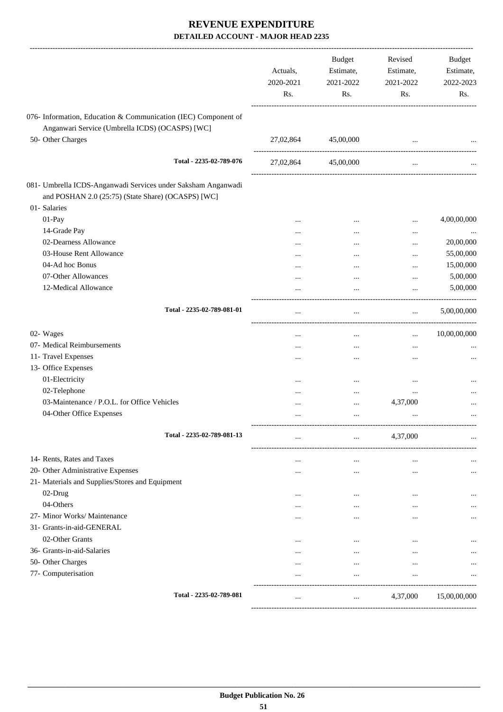|                                                                | Actuals,<br>2020-2021<br>Rs. | <b>Budget</b><br>Estimate,<br>2021-2022<br>Rs. | Revised<br>Estimate,<br>2021-2022<br>Rs. | <b>Budget</b><br>Estimate,<br>2022-2023<br>Rs. |
|----------------------------------------------------------------|------------------------------|------------------------------------------------|------------------------------------------|------------------------------------------------|
| 076- Information, Education & Communication (IEC) Component of |                              |                                                |                                          |                                                |
| Anganwari Service (Umbrella ICDS) (OCASPS) [WC]                |                              |                                                |                                          |                                                |
| 50- Other Charges                                              | 27,02,864                    | 45,00,000                                      |                                          |                                                |
|                                                                |                              |                                                | $\cdots$                                 |                                                |
| Total - 2235-02-789-076                                        | 27,02,864                    | 45,00,000                                      | $\cdots$                                 |                                                |
| 081- Umbrella ICDS-Anganwadi Services under Saksham Anganwadi  |                              |                                                |                                          |                                                |
| and POSHAN 2.0 (25:75) (State Share) (OCASPS) [WC]             |                              |                                                |                                          |                                                |
| 01- Salaries                                                   |                              |                                                |                                          |                                                |
| 01-Pay                                                         |                              | $\cdots$                                       |                                          | 4,00,00,000                                    |
| 14-Grade Pay                                                   | .                            |                                                | $\ddotsc$                                |                                                |
| 02-Dearness Allowance                                          |                              |                                                | $\ddotsc$                                | 20,00,000                                      |
| 03-House Rent Allowance                                        |                              |                                                | $\ddotsc$                                | 55,00,000                                      |
| 04-Ad hoc Bonus                                                |                              |                                                | $\ddotsc$                                | 15,00,000                                      |
| 07-Other Allowances                                            |                              |                                                |                                          | 5,00,000                                       |
| 12-Medical Allowance                                           |                              | $\cdots$                                       |                                          | 5,00,000                                       |
| Total - 2235-02-789-081-01                                     | $\cdots$                     | $\cdots$                                       | $\cdots$                                 | 5,00,00,000                                    |
| 02- Wages                                                      |                              |                                                |                                          | 10,00,00,000                                   |
| 07- Medical Reimbursements                                     |                              | $\cdots$                                       | $\cdots$                                 |                                                |
|                                                                | $\cdots$                     |                                                | $\ddotsc$                                |                                                |
| 11- Travel Expenses<br>13- Office Expenses                     |                              |                                                |                                          |                                                |
| 01-Electricity                                                 |                              |                                                |                                          |                                                |
| 02-Telephone                                                   |                              |                                                | $\ddotsc$                                |                                                |
| 03-Maintenance / P.O.L. for Office Vehicles                    |                              |                                                |                                          |                                                |
|                                                                |                              | $\cdots$                                       | 4,37,000                                 |                                                |
| 04-Other Office Expenses                                       |                              |                                                | $\ddotsc$                                | $\cdots$                                       |
| Total - 2235-02-789-081-13                                     | $\cdots$                     |                                                | 4,37,000                                 |                                                |
| 14- Rents, Rates and Taxes                                     |                              | $\cdots$                                       | $\ddotsc$                                |                                                |
| 20- Other Administrative Expenses                              | $\cdots$                     |                                                |                                          |                                                |
| 21- Materials and Supplies/Stores and Equipment                |                              |                                                |                                          |                                                |
| 02-Drug                                                        | $\cdots$                     |                                                |                                          |                                                |
| 04-Others                                                      |                              | $\cdots$                                       | $\ddotsc$                                |                                                |
| 27- Minor Works/ Maintenance                                   | $\cdots$                     | $\cdots$                                       | $\ddotsc$                                |                                                |
| 31- Grants-in-aid-GENERAL                                      |                              |                                                |                                          |                                                |
| 02-Other Grants                                                | $\cdots$                     | $\cdots$                                       |                                          |                                                |
| 36- Grants-in-aid-Salaries                                     | $\cdots$                     | $\cdots$                                       | $\cdots$                                 |                                                |
| 50- Other Charges                                              | $\cdots$                     | $\cdots$                                       |                                          |                                                |
| 77- Computerisation                                            |                              |                                                |                                          |                                                |
| Total - 2235-02-789-081                                        |                              |                                                | 4,37,000                                 | 15,00,00,000                                   |
|                                                                |                              |                                                |                                          |                                                |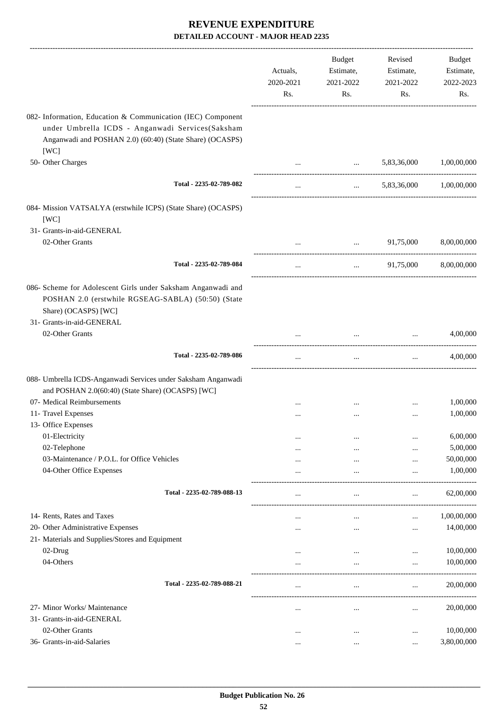|                                                                                                                                                                                     | Actuals,<br>2020-2021<br>Rs. | <b>Budget</b><br>Estimate,<br>2021-2022<br>Rs. | Revised<br>Estimate,<br>2021-2022<br>Rs. | <b>Budget</b><br>Estimate,<br>2022-2023<br>Rs. |
|-------------------------------------------------------------------------------------------------------------------------------------------------------------------------------------|------------------------------|------------------------------------------------|------------------------------------------|------------------------------------------------|
| 082- Information, Education & Communication (IEC) Component<br>under Umbrella ICDS - Anganwadi Services(Saksham<br>Anganwadi and POSHAN 2.0) (60:40) (State Share) (OCASPS)<br>[WC] |                              |                                                |                                          |                                                |
| 50- Other Charges                                                                                                                                                                   |                              | $\cdots$                                       | 5,83,36,000                              | 1,00,00,000                                    |
| Total - 2235-02-789-082                                                                                                                                                             | $\cdots$                     | $\cdots$                                       | 5,83,36,000                              | 1,00,00,000                                    |
| 084- Mission VATSALYA (erstwhile ICPS) (State Share) (OCASPS)<br>[WC]                                                                                                               |                              |                                                |                                          |                                                |
| 31- Grants-in-aid-GENERAL                                                                                                                                                           |                              |                                                |                                          |                                                |
| 02-Other Grants                                                                                                                                                                     |                              | $\ddotsc$                                      | 91,75,000                                | 8,00,00,000                                    |
| Total - 2235-02-789-084                                                                                                                                                             | $\cdots$                     | $\cdots$                                       | 91,75,000                                | 8,00,00,000                                    |
| 086- Scheme for Adolescent Girls under Saksham Anganwadi and<br>POSHAN 2.0 (erstwhile RGSEAG-SABLA) (50:50) (State<br>Share) (OCASPS) [WC]<br>31- Grants-in-aid-GENERAL             |                              |                                                |                                          |                                                |
| 02-Other Grants                                                                                                                                                                     |                              | $\cdots$                                       |                                          | 4,00,000                                       |
| Total - 2235-02-789-086                                                                                                                                                             | $\ldots$                     | $\cdots$                                       | ----------------------<br>$\cdots$       | 4,00,000                                       |
| 088- Umbrella ICDS-Anganwadi Services under Saksham Anganwadi<br>and POSHAN 2.0(60:40) (State Share) (OCASPS) [WC]                                                                  |                              |                                                |                                          |                                                |
| 07- Medical Reimbursements                                                                                                                                                          |                              |                                                |                                          | 1,00,000                                       |
| 11- Travel Expenses                                                                                                                                                                 |                              | $\cdots$                                       |                                          | 1,00,000                                       |
| 13- Office Expenses<br>01-Electricity                                                                                                                                               |                              |                                                |                                          | 6,00,000                                       |
| 02-Telephone                                                                                                                                                                        | <br>                         | $\cdots$<br>                                   |                                          | 5,00,000                                       |
| 03-Maintenance / P.O.L. for Office Vehicles                                                                                                                                         |                              |                                                | $\ddotsc$                                | 50,00,000                                      |
| 04-Other Office Expenses                                                                                                                                                            |                              |                                                | $\ddotsc$                                | 1,00,000                                       |
| Total - 2235-02-789-088-13                                                                                                                                                          |                              | $\cdots$                                       |                                          | 62,00,000                                      |
| 14- Rents, Rates and Taxes                                                                                                                                                          |                              |                                                |                                          | 1,00,00,000                                    |
| 20- Other Administrative Expenses                                                                                                                                                   | <br>                         | <br>$\cdots$                                   | <br>                                     | 14,00,000                                      |
| 21- Materials and Supplies/Stores and Equipment                                                                                                                                     |                              |                                                |                                          |                                                |
| 02-Drug                                                                                                                                                                             |                              |                                                | $\cdots$                                 | 10,00,000                                      |
| 04-Others                                                                                                                                                                           | $\cdots$                     |                                                | $\ddotsc$                                | 10,00,000                                      |
| Total - 2235-02-789-088-21                                                                                                                                                          |                              | $\cdots$                                       |                                          | 20,00,000                                      |
| 27- Minor Works/ Maintenance                                                                                                                                                        |                              | $\cdots$                                       | $\cdots$                                 | 20,00,000                                      |
| 31- Grants-in-aid-GENERAL                                                                                                                                                           |                              |                                                |                                          |                                                |
| 02-Other Grants                                                                                                                                                                     | $\cdots$                     |                                                |                                          | 10,00,000                                      |
| 36- Grants-in-aid-Salaries                                                                                                                                                          |                              | $\cdots$                                       |                                          | 3,80,00,000                                    |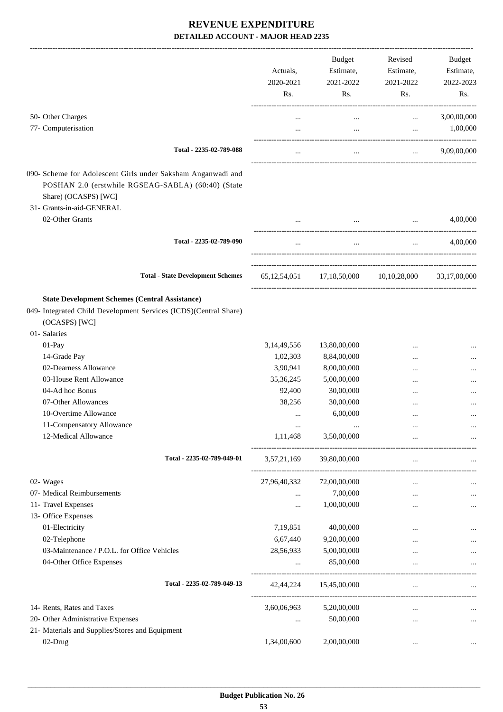|                                                                                                                                                                         | Actuals,<br>2020-2021<br>Rs. | Budget<br>Estimate,<br>2021-2022<br>Rs.               | Revised<br>Estimate,<br>2021-2022<br>Rs.                                                                                                                                                                                              | Budget<br>Estimate,<br>2022-2023<br>Rs.                    |
|-------------------------------------------------------------------------------------------------------------------------------------------------------------------------|------------------------------|-------------------------------------------------------|---------------------------------------------------------------------------------------------------------------------------------------------------------------------------------------------------------------------------------------|------------------------------------------------------------|
| 50- Other Charges                                                                                                                                                       | $\cdots$                     | $\cdots$                                              | $\cdots$                                                                                                                                                                                                                              | 3,00,00,000                                                |
| 77- Computerisation                                                                                                                                                     | $\cdots$                     | $\cdots$                                              |                                                                                                                                                                                                                                       | 1,00,000<br><b>Section Contract</b>                        |
| Total - 2235-02-789-088                                                                                                                                                 |                              | $\cdots$                                              | $\mathbf{r}$ and $\mathbf{r}$ and $\mathbf{r}$                                                                                                                                                                                        | 9,09,00,000                                                |
| 090- Scheme for Adolescent Girls under Saksham Anganwadi and<br>POSHAN 2.0 (erstwhile RGSEAG-SABLA) (60:40) (State<br>Share) (OCASPS) [WC]<br>31- Grants-in-aid-GENERAL |                              |                                                       |                                                                                                                                                                                                                                       |                                                            |
| 02-Other Grants                                                                                                                                                         |                              |                                                       | $\mathbf{r}$ and $\mathbf{r}$ are the contract of the contract of the contract of the contract of the contract of the contract of the contract of the contract of the contract of the contract of the contract of the contract of the | 4,00,000                                                   |
| Total - 2235-02-789-090                                                                                                                                                 | $\cdots$                     | $\cdots$                                              |                                                                                                                                                                                                                                       | 4,00,000<br>$\mathbf{r}$ and $\mathbf{r}$ and $\mathbf{r}$ |
| <b>Total - State Development Schemes</b>                                                                                                                                |                              |                                                       | 65,12,54,051 17,18,50,000 10,10,28,000                                                                                                                                                                                                | 33,17,00,000                                               |
|                                                                                                                                                                         |                              |                                                       |                                                                                                                                                                                                                                       |                                                            |
| <b>State Development Schemes (Central Assistance)</b><br>049- Integrated Child Development Services (ICDS)(Central Share)<br>(OCASPS) [WC]<br>01- Salaries              |                              |                                                       |                                                                                                                                                                                                                                       |                                                            |
| 01-Pay                                                                                                                                                                  | 3,14,49,556                  | 13,80,00,000                                          |                                                                                                                                                                                                                                       |                                                            |
| 14-Grade Pay                                                                                                                                                            | 1,02,303                     | 8,84,00,000                                           |                                                                                                                                                                                                                                       |                                                            |
| 02-Dearness Allowance                                                                                                                                                   | 3,90,941                     | 8,00,00,000                                           | $\cdots$                                                                                                                                                                                                                              |                                                            |
| 03-House Rent Allowance                                                                                                                                                 | 35,36,245                    | 5,00,00,000                                           | $\ddotsc$                                                                                                                                                                                                                             |                                                            |
| 04-Ad hoc Bonus                                                                                                                                                         | 92,400                       | 30,00,000                                             |                                                                                                                                                                                                                                       |                                                            |
| 07-Other Allowances                                                                                                                                                     | 38,256                       | 30,00,000                                             | $\cdots$                                                                                                                                                                                                                              |                                                            |
| 10-Overtime Allowance                                                                                                                                                   | $\cdots$                     | 6,00,000                                              |                                                                                                                                                                                                                                       |                                                            |
| 11-Compensatory Allowance                                                                                                                                               |                              |                                                       |                                                                                                                                                                                                                                       |                                                            |
| 12-Medical Allowance                                                                                                                                                    | 1,11,468                     | 3,50,00,000                                           | $\cdots$                                                                                                                                                                                                                              |                                                            |
| Total - 2235-02-789-049-01                                                                                                                                              | 3,57,21,169                  | 39,80,00,000<br>------------------------------------- | $\cdots$                                                                                                                                                                                                                              |                                                            |
| 02- Wages                                                                                                                                                               | 27,96,40,332                 | 72,00,00,000                                          |                                                                                                                                                                                                                                       |                                                            |
| 07- Medical Reimbursements                                                                                                                                              | $\cdots$                     | 7,00,000                                              |                                                                                                                                                                                                                                       |                                                            |
| 11- Travel Expenses                                                                                                                                                     | $\cdots$                     | 1,00,00,000                                           |                                                                                                                                                                                                                                       |                                                            |
| 13- Office Expenses                                                                                                                                                     |                              |                                                       |                                                                                                                                                                                                                                       |                                                            |
| 01-Electricity                                                                                                                                                          | 7,19,851                     | 40,00,000                                             |                                                                                                                                                                                                                                       |                                                            |
| 02-Telephone                                                                                                                                                            | 6,67,440                     | 9,20,00,000                                           |                                                                                                                                                                                                                                       |                                                            |
| 03-Maintenance / P.O.L. for Office Vehicles                                                                                                                             | 28,56,933                    | 5,00,00,000                                           | $\cdots$                                                                                                                                                                                                                              |                                                            |
| 04-Other Office Expenses                                                                                                                                                | $\cdots$                     | 85,00,000                                             |                                                                                                                                                                                                                                       |                                                            |
| Total - 2235-02-789-049-13                                                                                                                                              | 42,44,224                    | 15,45,00,000                                          | $\cdots$                                                                                                                                                                                                                              |                                                            |
| 14- Rents, Rates and Taxes                                                                                                                                              | 3,60,06,963                  | 5,20,00,000                                           | $\cdots$                                                                                                                                                                                                                              |                                                            |
| 20- Other Administrative Expenses                                                                                                                                       | $\cdots$                     | 50,00,000                                             | $\cdots$                                                                                                                                                                                                                              | $\cdots$                                                   |
| 21- Materials and Supplies/Stores and Equipment                                                                                                                         |                              |                                                       |                                                                                                                                                                                                                                       |                                                            |
| 02-Drug                                                                                                                                                                 | 1,34,00,600                  | 2,00,00,000                                           | $\cdots$                                                                                                                                                                                                                              | $\ddotsc$                                                  |
|                                                                                                                                                                         |                              |                                                       |                                                                                                                                                                                                                                       |                                                            |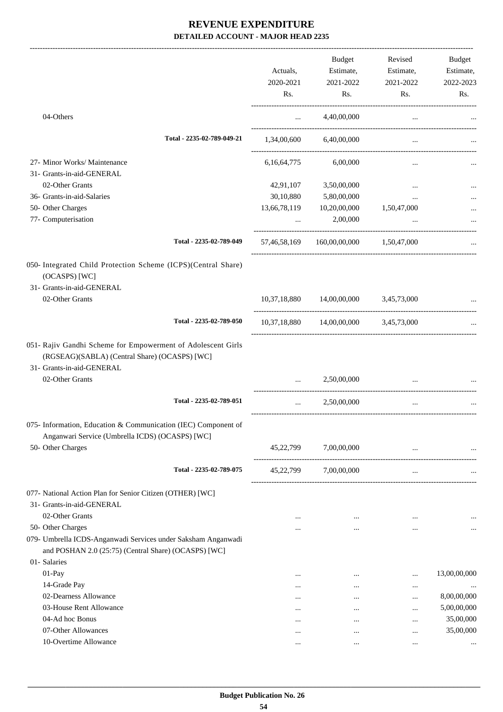|                                                                                                                                            |              | <b>Budget</b>                          | Revised     | Budget       |
|--------------------------------------------------------------------------------------------------------------------------------------------|--------------|----------------------------------------|-------------|--------------|
|                                                                                                                                            | Actuals,     | Estimate,                              | Estimate,   | Estimate,    |
|                                                                                                                                            | 2020-2021    | 2021-2022                              | 2021-2022   | 2022-2023    |
|                                                                                                                                            | Rs.          | Rs.                                    | Rs.         | Rs.          |
| 04-Others                                                                                                                                  | $\cdots$     | 4,40,00,000                            | $\cdots$    |              |
| Total - 2235-02-789-049-21                                                                                                                 | 1,34,00,600  | 6,40,00,000                            | $\cdots$    |              |
| 27- Minor Works/ Maintenance                                                                                                               | 6,16,64,775  | 6,00,000                               | $\cdots$    |              |
| 31- Grants-in-aid-GENERAL                                                                                                                  |              |                                        |             |              |
| 02-Other Grants                                                                                                                            | 42,91,107    | 3,50,00,000                            | $\cdots$    |              |
| 36- Grants-in-aid-Salaries                                                                                                                 | 30,10,880    | 5,80,00,000                            | $\cdots$    |              |
| 50- Other Charges                                                                                                                          | 13,66,78,119 | 10,20,00,000                           | 1,50,47,000 |              |
| 77- Computerisation                                                                                                                        |              | 2,00,000                               |             |              |
| Total - 2235-02-789-049                                                                                                                    |              | 57,46,58,169 160,00,00,000 1,50,47,000 |             |              |
| 050- Integrated Child Protection Scheme (ICPS)(Central Share)                                                                              |              |                                        |             |              |
| (OCASPS) [WC]                                                                                                                              |              |                                        |             |              |
| 31- Grants-in-aid-GENERAL                                                                                                                  |              |                                        |             |              |
| 02-Other Grants                                                                                                                            |              | 10,37,18,880 14,00,00,000 3,45,73,000  |             |              |
| Total - 2235-02-789-050                                                                                                                    |              | 10,37,18,880 14,00,00,000 3,45,73,000  |             |              |
| 051- Rajiv Gandhi Scheme for Empowerment of Adolescent Girls<br>(RGSEAG)(SABLA) (Central Share) (OCASPS) [WC]<br>31- Grants-in-aid-GENERAL |              |                                        |             |              |
| 02-Other Grants                                                                                                                            | $\cdots$     | 2,50,00,000                            | $\cdots$    |              |
| Total - 2235-02-789-051                                                                                                                    | $\cdots$     | 2,50,00,000                            |             |              |
| 075- Information, Education & Communication (IEC) Component of<br>Anganwari Service (Umbrella ICDS) (OCASPS) [WC]                          |              |                                        |             |              |
| 50- Other Charges                                                                                                                          | 45,22,799    | 7,00,00,000                            | $\cdots$    |              |
| Total - 2235-02-789-075                                                                                                                    | 45,22,799    | 7,00,00,000                            | $\cdots$    |              |
| 077- National Action Plan for Senior Citizen (OTHER) [WC]                                                                                  |              |                                        |             |              |
| 31- Grants-in-aid-GENERAL                                                                                                                  |              |                                        |             |              |
| 02-Other Grants                                                                                                                            | $\cdots$     | $\cdots$                               | $\ddotsc$   |              |
| 50- Other Charges                                                                                                                          |              | $\cdots$                               |             | $\cdots$     |
| 079- Umbrella ICDS-Anganwadi Services under Saksham Anganwadi<br>and POSHAN 2.0 (25:75) (Central Share) (OCASPS) [WC]                      |              |                                        |             |              |
| 01- Salaries                                                                                                                               |              |                                        |             |              |
| $01-Pay$                                                                                                                                   |              |                                        |             | 13,00,00,000 |
| 14-Grade Pay                                                                                                                               | $\cdots$     | $\cdots$                               | $\cdots$    |              |
| 02-Dearness Allowance                                                                                                                      | $\cdots$     | $\cdots$                               |             | 8,00,00,000  |
| 03-House Rent Allowance                                                                                                                    | $\cdots$     | $\cdots$                               |             | 5,00,00,000  |
| 04-Ad hoc Bonus                                                                                                                            | $\cdots$     |                                        | $\ddotsc$   | 35,00,000    |
| 07-Other Allowances                                                                                                                        | $\cdots$     | $\cdots$                               |             | 35,00,000    |
| 10-Overtime Allowance                                                                                                                      | $\cdots$     |                                        | $\ddotsc$   |              |
|                                                                                                                                            |              | $\cdots$                               | $\cdots$    |              |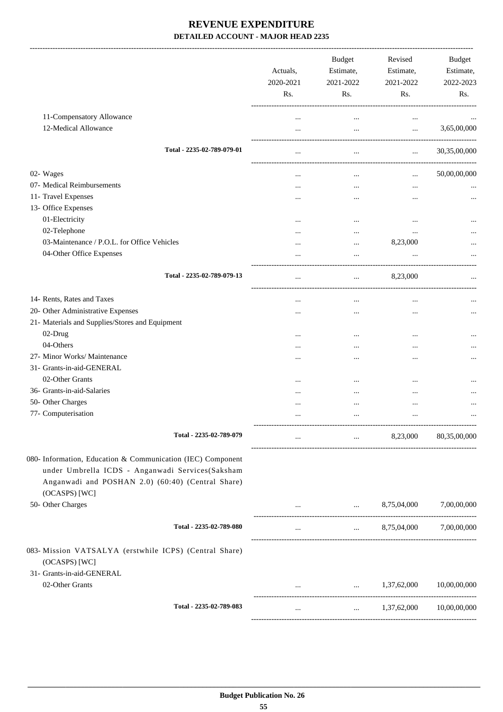|                                                                         | Actuals,<br>2020-2021<br>Rs. | <b>Budget</b><br>Estimate,<br>2021-2022<br>Rs. | Revised<br>Estimate,<br>2021-2022<br>Rs.                                         | Budget<br>Estimate,<br>2022-2023<br>Rs. |
|-------------------------------------------------------------------------|------------------------------|------------------------------------------------|----------------------------------------------------------------------------------|-----------------------------------------|
| 11-Compensatory Allowance                                               |                              | $\cdots$                                       | $\cdots$                                                                         |                                         |
| 12-Medical Allowance                                                    | $\cdots$                     | $\cdots$                                       | $\cdots$                                                                         | 3,65,00,000                             |
| Total - 2235-02-789-079-01                                              | $\cdots$                     | $\cdots$                                       | -----------------------<br>$\mathbf{1}_{\mathbf{1}}$ , $\mathbf{1}_{\mathbf{1}}$ | 30,35,00,000                            |
| 02- Wages                                                               |                              | $\cdots$                                       | $\cdots$                                                                         | 50,00,00,000                            |
| 07- Medical Reimbursements                                              |                              | $\cdots$                                       | $\cdots$                                                                         |                                         |
| 11- Travel Expenses                                                     |                              |                                                |                                                                                  |                                         |
| 13- Office Expenses                                                     |                              |                                                |                                                                                  |                                         |
| 01-Electricity                                                          |                              |                                                |                                                                                  |                                         |
| 02-Telephone                                                            |                              |                                                |                                                                                  |                                         |
| 03-Maintenance / P.O.L. for Office Vehicles                             | .                            |                                                | <br>8,23,000                                                                     |                                         |
| 04-Other Office Expenses                                                | $\cdots$                     | $\cdots$                                       |                                                                                  |                                         |
|                                                                         |                              | $\cdots$                                       |                                                                                  |                                         |
| Total - 2235-02-789-079-13                                              | $\cdots$                     | $\cdots$                                       | 8,23,000                                                                         |                                         |
| 14- Rents, Rates and Taxes                                              |                              | $\ddotsc$                                      |                                                                                  |                                         |
| 20- Other Administrative Expenses                                       |                              |                                                |                                                                                  |                                         |
| 21- Materials and Supplies/Stores and Equipment                         |                              |                                                |                                                                                  |                                         |
| 02-Drug                                                                 |                              |                                                |                                                                                  |                                         |
| 04-Others                                                               |                              |                                                |                                                                                  |                                         |
| 27- Minor Works/ Maintenance                                            |                              |                                                |                                                                                  |                                         |
| 31- Grants-in-aid-GENERAL                                               |                              |                                                |                                                                                  |                                         |
| 02-Other Grants                                                         |                              |                                                |                                                                                  |                                         |
| 36- Grants-in-aid-Salaries                                              |                              |                                                |                                                                                  |                                         |
| 50- Other Charges                                                       |                              |                                                |                                                                                  |                                         |
| 77- Computerisation                                                     |                              |                                                |                                                                                  |                                         |
| Total - 2235-02-789-079                                                 | $\cdots$                     | $\cdots$                                       | 8,23,000                                                                         | 80,35,00,000                            |
|                                                                         |                              |                                                |                                                                                  |                                         |
| 080- Information, Education & Communication (IEC) Component             |                              |                                                |                                                                                  |                                         |
| under Umbrella ICDS - Anganwadi Services(Saksham                        |                              |                                                |                                                                                  |                                         |
| Anganwadi and POSHAN 2.0) (60:40) (Central Share)                       |                              |                                                |                                                                                  |                                         |
| (OCASPS) [WC]                                                           |                              |                                                |                                                                                  |                                         |
| 50- Other Charges                                                       | $\cdots$                     |                                                | $\ldots$ 8,75,04,000                                                             | 7,00,00,000                             |
| Total - 2235-02-789-080                                                 | $\cdots$                     | $\mathbf{1.11} \pm 0.000$                      | 8,75,04,000                                                                      | 7,00,00,000                             |
| 083- Mission VATSALYA (erstwhile ICPS) (Central Share)<br>(OCASPS) [WC] |                              |                                                |                                                                                  |                                         |
| 31- Grants-in-aid-GENERAL                                               |                              |                                                |                                                                                  |                                         |
| 02-Other Grants                                                         |                              |                                                | $1,37,62,000$ $10,00,00,000$                                                     |                                         |
| Total - 2235-02-789-083                                                 | $\ldots$                     | $\cdots$                                       | 1,37,62,000                                                                      | 10,00,00,000                            |
|                                                                         |                              |                                                |                                                                                  |                                         |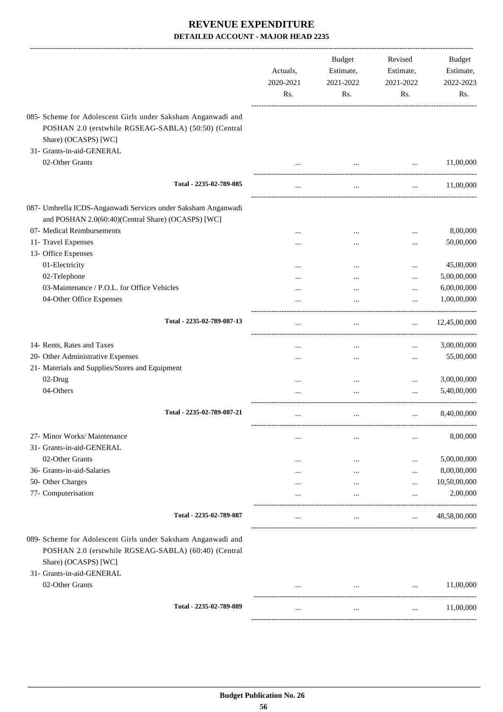|                                                                                                                                                                           | Actuals,<br>2020-2021<br>Rs. | <b>Budget</b><br>Estimate,<br>2021-2022<br>Rs. | Revised<br>Estimate,<br>2021-2022<br>Rs. | <b>Budget</b><br>Estimate,<br>2022-2023<br>Rs. |
|---------------------------------------------------------------------------------------------------------------------------------------------------------------------------|------------------------------|------------------------------------------------|------------------------------------------|------------------------------------------------|
| 085- Scheme for Adolescent Girls under Saksham Anganwadi and<br>POSHAN 2.0 (erstwhile RGSEAG-SABLA) (50:50) (Central<br>Share) (OCASPS) [WC]                              |                              |                                                |                                          |                                                |
| 31- Grants-in-aid-GENERAL                                                                                                                                                 |                              |                                                |                                          |                                                |
| 02-Other Grants                                                                                                                                                           |                              | $\cdots$                                       | $\cdots$                                 | 11,00,000                                      |
| Total - 2235-02-789-085                                                                                                                                                   | $\cdots$                     | $\cdots$                                       | $\cdots$                                 | 11,00,000                                      |
| 087- Umbrella ICDS-Anganwadi Services under Saksham Anganwadi<br>and POSHAN 2.0(60:40)(Central Share) (OCASPS) [WC]                                                       |                              |                                                |                                          |                                                |
| 07- Medical Reimbursements                                                                                                                                                |                              |                                                | $\ddotsc$                                | 8,00,000                                       |
| 11- Travel Expenses                                                                                                                                                       |                              |                                                |                                          | 50,00,000                                      |
| 13- Office Expenses                                                                                                                                                       |                              |                                                |                                          |                                                |
| 01-Electricity<br>02-Telephone                                                                                                                                            |                              |                                                | $\ddotsc$                                | 45,00,000<br>5,00,00,000                       |
| 03-Maintenance / P.O.L. for Office Vehicles                                                                                                                               |                              | $\ddotsc$                                      | $\cdots$                                 | 6,00,00,000                                    |
| 04-Other Office Expenses                                                                                                                                                  |                              | $\ddotsc$<br>$\ddotsc$                         | $\cdots$<br>$\cdots$                     | 1,00,00,000                                    |
| Total - 2235-02-789-087-13                                                                                                                                                |                              | $\cdots$                                       | $\cdots$                                 | 12,45,00,000                                   |
| 14- Rents, Rates and Taxes                                                                                                                                                |                              | $\ddotsc$                                      | $\cdots$                                 | 3,00,00,000                                    |
| 20- Other Administrative Expenses                                                                                                                                         |                              | $\cdots$                                       | $\cdots$                                 | 55,00,000                                      |
| 21- Materials and Supplies/Stores and Equipment                                                                                                                           |                              |                                                |                                          |                                                |
| 02-Drug                                                                                                                                                                   |                              | $\cdots$                                       | $\cdots$                                 | 3,00,00,000                                    |
| 04-Others                                                                                                                                                                 |                              |                                                | $\cdots$                                 | 5,40,00,000                                    |
| Total - 2235-02-789-087-21                                                                                                                                                |                              | $\cdots$                                       | $\cdots$                                 | 8,40,00,000                                    |
| 27- Minor Works/ Maintenance                                                                                                                                              |                              | $\cdots$                                       |                                          | 8,00,000                                       |
| 31- Grants-in-aid-GENERAL                                                                                                                                                 |                              |                                                |                                          |                                                |
| 02-Other Grants                                                                                                                                                           |                              | $\cdots$                                       |                                          | 5,00,00,000                                    |
| 36- Grants-in-aid-Salaries                                                                                                                                                |                              |                                                |                                          | 8,00,00,000                                    |
| 50- Other Charges                                                                                                                                                         |                              |                                                |                                          | 10,50,00,000                                   |
| 77- Computerisation                                                                                                                                                       |                              |                                                |                                          | 2,00,000                                       |
| Total - 2235-02-789-087                                                                                                                                                   |                              | $\cdots$                                       | $\cdots$                                 | 48,58,00,000                                   |
| 089- Scheme for Adolescent Girls under Saksham Anganwadi and<br>POSHAN 2.0 (erstwhile RGSEAG-SABLA) (60:40) (Central<br>Share) (OCASPS) [WC]<br>31- Grants-in-aid-GENERAL |                              |                                                |                                          |                                                |
| 02-Other Grants                                                                                                                                                           |                              |                                                |                                          | 11,00,000                                      |
| Total - 2235-02-789-089                                                                                                                                                   | $\cdots$                     | $\cdots$                                       | $\cdots$                                 | 11,00,000                                      |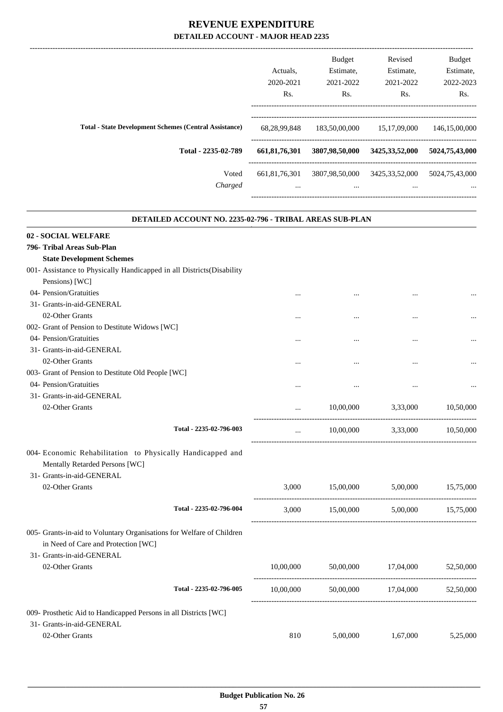|                                                               | Actuals.         | Budget<br>Estimate, | Revised<br>Estimate, | <b>Budget</b><br>Estimate, |
|---------------------------------------------------------------|------------------|---------------------|----------------------|----------------------------|
|                                                               | 2020-2021        | 2021-2022           | 2021-2022            | 2022-2023                  |
|                                                               | Rs.              | Rs.                 | Rs.                  | Rs.                        |
| <b>Total - State Development Schemes (Central Assistance)</b> | 68,28,99,848     | 183,50,00,000       | 15, 17, 09, 000      | 146,15,00,000              |
| Total - 2235-02-789                                           | 661, 81, 76, 301 | 3807,98,50,000      | 3425, 33, 52, 000    | 5024,75,43,000             |
| Voted                                                         | 661.81.76.301    | 3807,98,50,000      | 3425, 33, 52, 000    | 5024,75,43,000             |
| Charged                                                       | $\cdots$         | $\cdots$            | $\cdots$             | $\cdots$                   |
|                                                               |                  |                     |                      |                            |

.

| DETAILED ACCOUNT NO. 2235-02-796 - TRIBAL AREAS SUB-PLAN                                                                                  |           |           |           |           |
|-------------------------------------------------------------------------------------------------------------------------------------------|-----------|-----------|-----------|-----------|
| 02 - SOCIAL WELFARE                                                                                                                       |           |           |           |           |
| 796- Tribal Areas Sub-Plan                                                                                                                |           |           |           |           |
| <b>State Development Schemes</b>                                                                                                          |           |           |           |           |
| 001- Assistance to Physically Handicapped in all Districts(Disability                                                                     |           |           |           |           |
| Pensions) [WC]                                                                                                                            |           |           |           |           |
| 04- Pension/Gratuities                                                                                                                    |           |           |           |           |
| 31- Grants-in-aid-GENERAL                                                                                                                 |           |           |           |           |
| 02-Other Grants                                                                                                                           |           |           | $\cdots$  |           |
| 002- Grant of Pension to Destitute Widows [WC]                                                                                            |           |           |           |           |
| 04- Pension/Gratuities                                                                                                                    | .         | $\cdots$  | $\cdots$  |           |
| 31- Grants-in-aid-GENERAL                                                                                                                 |           |           |           |           |
| 02-Other Grants                                                                                                                           | $\cdots$  | $\cdots$  |           |           |
| 003- Grant of Pension to Destitute Old People [WC]                                                                                        |           |           |           |           |
| 04- Pension/Gratuities                                                                                                                    |           |           |           |           |
| 31- Grants-in-aid-GENERAL                                                                                                                 |           |           |           |           |
| 02-Other Grants                                                                                                                           | $\cdots$  | 10,00,000 | 3,33,000  | 10,50,000 |
| Total - 2235-02-796-003                                                                                                                   | $\cdots$  | 10,00,000 | 3,33,000  | 10,50,000 |
| 004- Economic Rehabilitation to Physically Handicapped and<br>Mentally Retarded Persons [WC]<br>31- Grants-in-aid-GENERAL                 |           |           |           |           |
| 02-Other Grants                                                                                                                           | 3,000     | 15,00,000 | 5,00,000  | 15,75,000 |
| Total - 2235-02-796-004                                                                                                                   | 3,000     | 15,00,000 | 5,00,000  | 15,75,000 |
| 005- Grants-in-aid to Voluntary Organisations for Welfare of Children<br>in Need of Care and Protection [WC]<br>31- Grants-in-aid-GENERAL |           |           |           |           |
| 02-Other Grants                                                                                                                           | 10,00,000 | 50,00,000 | 17,04,000 | 52,50,000 |
| Total - 2235-02-796-005                                                                                                                   | 10,00,000 | 50,00,000 | 17,04,000 | 52,50,000 |
| 009- Prosthetic Aid to Handicapped Persons in all Districts [WC]                                                                          |           |           |           |           |
| 31- Grants-in-aid-GENERAL                                                                                                                 |           |           |           |           |
| 02-Other Grants                                                                                                                           | 810       | 5,00,000  | 1,67,000  | 5,25,000  |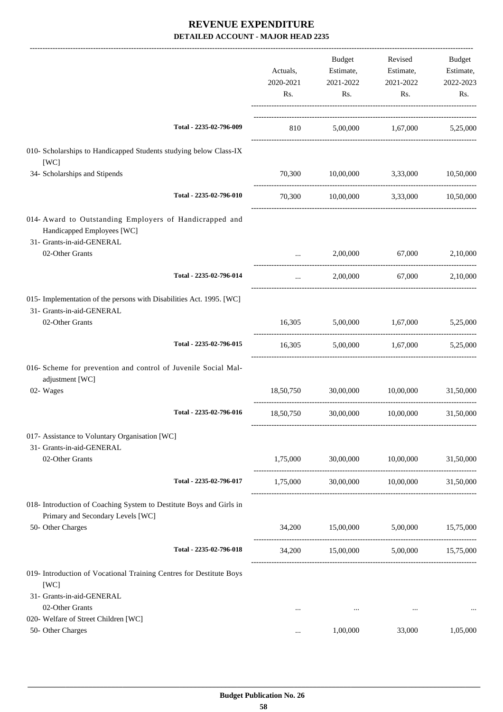|                                                                                                                    | Actuals,<br>2020-2021<br>Rs. | Budget<br>Estimate,<br>2021-2022<br>Rs. | Revised<br>Estimate,<br>2021-2022<br>Rs.       | Budget<br>Estimate,<br>2022-2023<br>Rs. |
|--------------------------------------------------------------------------------------------------------------------|------------------------------|-----------------------------------------|------------------------------------------------|-----------------------------------------|
| Total - 2235-02-796-009                                                                                            |                              |                                         | 810 5,00,000 1,67,000 5,25,000                 |                                         |
| 010- Scholarships to Handicapped Students studying below Class-IX<br>[WC]                                          |                              |                                         |                                                |                                         |
| 34- Scholarships and Stipends                                                                                      | 70,300                       | 10,00,000                               | 3,33,000                                       | 10,50,000                               |
| Total - 2235-02-796-010                                                                                            | 70,300                       | 10,00,000 3,33,000                      |                                                | 10,50,000                               |
| 014- Award to Outstanding Employers of Handicrapped and<br>Handicapped Employees [WC]<br>31- Grants-in-aid-GENERAL |                              |                                         |                                                |                                         |
| 02-Other Grants                                                                                                    | $\cdots$                     | 2,00,000                                | 67,000                                         | 2,10,000                                |
| Total - 2235-02-796-014                                                                                            | $\cdots$                     | 2,00,000                                |                                                | 67,000 2,10,000                         |
| 015- Implementation of the persons with Disabilities Act. 1995. [WC]<br>31- Grants-in-aid-GENERAL                  |                              |                                         |                                                |                                         |
| 02-Other Grants                                                                                                    | 16,305                       |                                         | 5,00,000 1,67,000 5,25,000                     |                                         |
| Total - 2235-02-796-015                                                                                            |                              |                                         | 16,305 5,00,000 1,67,000 5,25,000              |                                         |
| 016- Scheme for prevention and control of Juvenile Social Mal-<br>adjustment [WC]                                  |                              |                                         |                                                |                                         |
| 02- Wages                                                                                                          | 18,50,750                    | 30,00,000                               | 10,00,000                                      | 31,50,000                               |
| Total - 2235-02-796-016                                                                                            | 18,50,750                    | 30,00,000                               | 10,00,000                                      | 31,50,000                               |
| 017- Assistance to Voluntary Organisation [WC]<br>31- Grants-in-aid-GENERAL                                        |                              |                                         |                                                |                                         |
| 02-Other Grants                                                                                                    |                              |                                         | 1,75,000 30,00,000 10,00,000                   | 31,50,000                               |
| Total - 2235-02-796-017                                                                                            |                              |                                         | $1,75,000$ $30,00,000$ $10,00,000$ $31,50,000$ |                                         |
| 018- Introduction of Coaching System to Destitute Boys and Girls in<br>Primary and Secondary Levels [WC]           |                              |                                         |                                                |                                         |
| 50- Other Charges                                                                                                  |                              | 34,200 15,00,000 5,00,000               |                                                | 15,75,000                               |
| Total - 2235-02-796-018                                                                                            |                              |                                         | 34,200 15,00,000 5,00,000 15,75,000            |                                         |
| 019- Introduction of Vocational Training Centres for Destitute Boys<br>[WC]                                        |                              |                                         |                                                |                                         |
| 31- Grants-in-aid-GENERAL<br>02-Other Grants                                                                       |                              |                                         |                                                |                                         |
| 020- Welfare of Street Children [WC]                                                                               | $\cdots$                     | $\cdots$                                | $\cdots$                                       | $\cdots$                                |
| 50- Other Charges                                                                                                  | $\cdots$                     | 1,00,000                                | 33,000                                         | 1,05,000                                |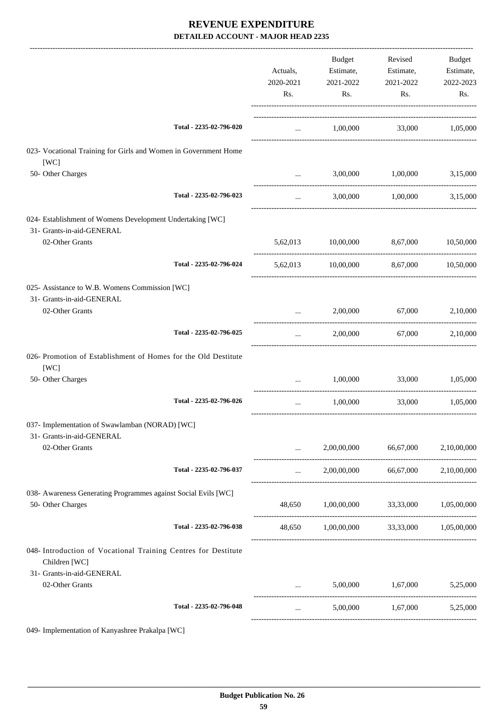|                                                                                        |                         | Actuals,<br>2020-2021<br>Rs. | Budget<br>Estimate,<br>2021-2022<br>Rs.  | Revised<br>Estimate,<br>2021-2022<br>Rs. | Budget<br>Estimate,<br>2022-2023<br>Rs. |
|----------------------------------------------------------------------------------------|-------------------------|------------------------------|------------------------------------------|------------------------------------------|-----------------------------------------|
|                                                                                        | Total - 2235-02-796-020 | $\cdots$                     | 1,00,000                                 |                                          | 33,000 1,05,000                         |
| 023- Vocational Training for Girls and Women in Government Home<br>[WC]                |                         |                              |                                          |                                          |                                         |
| 50- Other Charges                                                                      |                         |                              | 3,00,000                                 | 1,00,000                                 | 3,15,000                                |
|                                                                                        | Total - 2235-02-796-023 | $\cdots$                     | 3,00,000                                 | 1,00,000                                 | 3,15,000                                |
| 024- Establishment of Womens Development Undertaking [WC]<br>31- Grants-in-aid-GENERAL |                         |                              |                                          |                                          |                                         |
| 02-Other Grants                                                                        |                         | 5,62,013                     | 10,00,000                                | 8,67,000                                 | 10,50,000                               |
|                                                                                        | Total - 2235-02-796-024 |                              | 5,62,013 10,00,000 8,67,000 10,50,000    |                                          |                                         |
| 025- Assistance to W.B. Womens Commission [WC]<br>31- Grants-in-aid-GENERAL            |                         |                              |                                          |                                          |                                         |
| 02-Other Grants                                                                        |                         | $\cdots$                     | 2,00,000                                 | 67,000                                   | 2,10,000                                |
|                                                                                        | Total - 2235-02-796-025 | $\cdots$                     | 2,00,000                                 | 67,000                                   | 2,10,000                                |
| 026- Promotion of Establishment of Homes for the Old Destitute<br>[WC]                 |                         |                              |                                          |                                          |                                         |
| 50- Other Charges                                                                      |                         | $\cdots$                     | 1,00,000                                 | 33,000                                   | 1,05,000                                |
|                                                                                        | Total - 2235-02-796-026 |                              | 1,00,000                                 | 33,000                                   | 1,05,000                                |
| 037- Implementation of Swawlamban (NORAD) [WC]<br>31- Grants-in-aid-GENERAL            |                         |                              |                                          |                                          |                                         |
| 02-Other Grants                                                                        |                         | $\cdots$                     |                                          | 2,00,00,000 66,67,000 2,10,00,000        |                                         |
|                                                                                        | Total - 2235-02-796-037 | $\cdots$                     |                                          | 2,00,00,000 66,67,000                    | 2,10,00,000                             |
| 038- Awareness Generating Programmes against Social Evils [WC]<br>50- Other Charges    |                         |                              | 48,650 1,00,00,000 33,33,000 1,05,00,000 |                                          |                                         |
|                                                                                        | Total - 2235-02-796-038 | 48,650                       | 1,00,00,000 33,33,000 1,05,00,000        |                                          |                                         |
| 048- Introduction of Vocational Training Centres for Destitute<br>Children [WC]        |                         |                              |                                          |                                          |                                         |
| 31- Grants-in-aid-GENERAL<br>02-Other Grants                                           |                         |                              |                                          | 5,00,000 1,67,000 5,25,000               |                                         |
|                                                                                        | Total - 2235-02-796-048 | $\cdots$                     | 5,00,000                                 | 1,67,000                                 | 5,25,000                                |
|                                                                                        |                         |                              |                                          |                                          |                                         |

049- Implementation of Kanyashree Prakalpa [WC]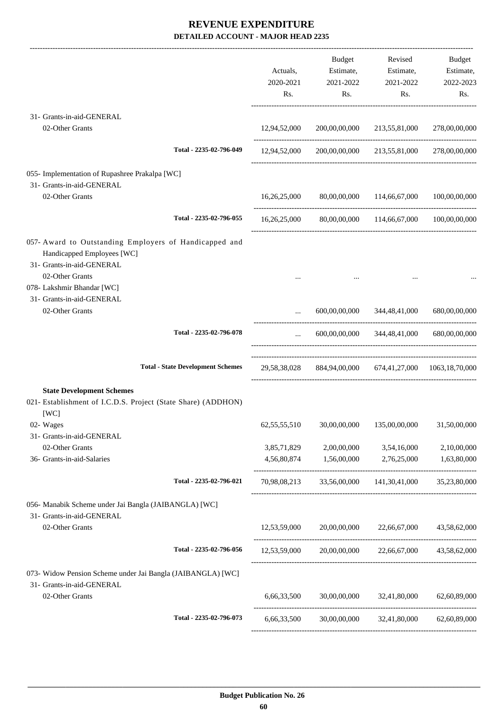-------------------------------------------------------------------------------------------------------------------------------------------------------------------------------

|                                                                                                                                                                    |                                          | Actuals,<br>2020-2021<br>Rs. | <b>Budget</b><br>Estimate,<br>2021-2022<br>Rs.        | Revised<br>Estimate,<br>2021-2022<br>Rs.   | Budget<br>Estimate,<br>2022-2023<br>Rs. |
|--------------------------------------------------------------------------------------------------------------------------------------------------------------------|------------------------------------------|------------------------------|-------------------------------------------------------|--------------------------------------------|-----------------------------------------|
| 31- Grants-in-aid-GENERAL<br>02-Other Grants                                                                                                                       |                                          | 12,94,52,000                 | 200,00,00,000                                         | 213,55,81,000                              | 278,00,00,000                           |
|                                                                                                                                                                    | Total - 2235-02-796-049                  | 12,94,52,000                 | 200,00,00,000                                         | 213,55,81,000                              | 278,00,00,000                           |
| 055- Implementation of Rupashree Prakalpa [WC]<br>31- Grants-in-aid-GENERAL                                                                                        |                                          |                              |                                                       |                                            |                                         |
| 02-Other Grants                                                                                                                                                    |                                          | 16,26,25,000                 | 80,00,00,000                                          | 114,66,67,000                              | 100,00,00,000                           |
|                                                                                                                                                                    | Total - 2235-02-796-055                  |                              | 16,26,25,000 80,00,00,000 114,66,67,000 100,00,00,000 |                                            |                                         |
| 057- Award to Outstanding Employers of Handicapped and<br>Handicapped Employees [WC]<br>31- Grants-in-aid-GENERAL<br>02-Other Grants<br>078- Lakshmir Bhandar [WC] |                                          |                              |                                                       |                                            |                                         |
| 31- Grants-in-aid-GENERAL<br>02-Other Grants                                                                                                                       |                                          |                              | 600,00,00,000                                         | 344,48,41,000                              | 680,00,00,000                           |
|                                                                                                                                                                    | Total - 2235-02-796-078                  | $\cdots$                     |                                                       | 600,00,00,000 344,48,41,000                | 680,00,00,000                           |
|                                                                                                                                                                    | <b>Total - State Development Schemes</b> | 29,58,38,028                 |                                                       | 884,94,00,000 674,41,27,000 1063,18,70,000 |                                         |
| <b>State Development Schemes</b><br>021- Establishment of I.C.D.S. Project (State Share) (ADDHON)<br>[WC]                                                          |                                          |                              |                                                       |                                            |                                         |
| 02- Wages<br>31- Grants-in-aid-GENERAL                                                                                                                             |                                          | 62, 55, 55, 510              | 30,00,00,000                                          | 135,00,00,000                              | 31,50,00,000                            |
| 02-Other Grants<br>36- Grants-in-aid-Salaries                                                                                                                      |                                          | 3,85,71,829<br>4,56,80,874   | 2,00,00,000<br>1,56,00,000                            | 3,54,16,000<br>2,76,25,000                 | 2,10,00,000<br>1,63,80,000              |
|                                                                                                                                                                    | Total - 2235-02-796-021                  | 70,98,08,213                 | 33,56,00,000                                          | 141,30,41,000                              | 35,23,80,000                            |
| 056- Manabik Scheme under Jai Bangla (JAIBANGLA) [WC]<br>31- Grants-in-aid-GENERAL                                                                                 |                                          |                              |                                                       |                                            |                                         |
| 02-Other Grants                                                                                                                                                    |                                          | 12,53,59,000                 | 20,00,00,000                                          | 22,66,67,000                               | 43,58,62,000                            |
|                                                                                                                                                                    | Total - 2235-02-796-056                  |                              | $12,53,59,000$ $20,00,00,000$ $22,66,67,000$          |                                            | 43,58,62,000                            |
| 073- Widow Pension Scheme under Jai Bangla (JAIBANGLA) [WC]<br>31- Grants-in-aid-GENERAL                                                                           |                                          |                              |                                                       |                                            |                                         |
| 02-Other Grants                                                                                                                                                    |                                          | 6,66,33,500                  |                                                       | 30,00,00,000 32,41,80,000                  | 62,60,89,000                            |
|                                                                                                                                                                    | Total - 2235-02-796-073                  | 6,66,33,500                  |                                                       | 30,00,00,000 32,41,80,000 62,60,89,000     |                                         |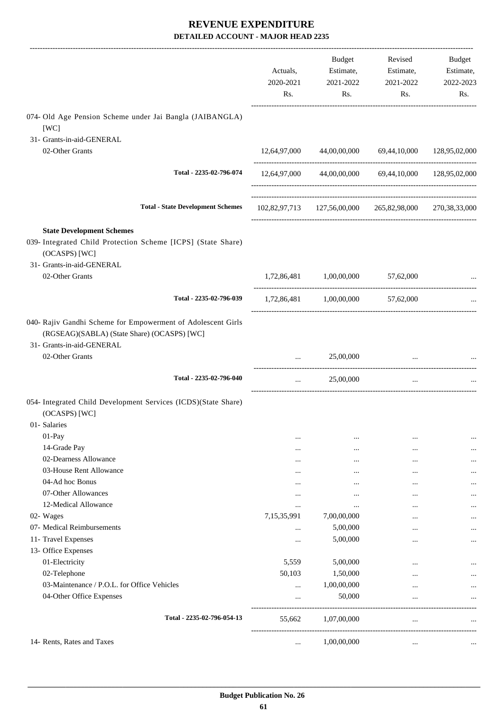|                                                                                                                                          | Actuals,<br>2020-2021<br>Rs. | Budget<br>Estimate,<br>2021-2022<br>Rs.                    | Revised<br>Estimate,<br>2021-2022<br>Rs. | Budget<br>Estimate,<br>2022-2023<br>Rs. |
|------------------------------------------------------------------------------------------------------------------------------------------|------------------------------|------------------------------------------------------------|------------------------------------------|-----------------------------------------|
| 074- Old Age Pension Scheme under Jai Bangla (JAIBANGLA)<br>[WC]                                                                         |                              |                                                            |                                          |                                         |
| 31- Grants-in-aid-GENERAL                                                                                                                |                              |                                                            |                                          |                                         |
| 02-Other Grants                                                                                                                          |                              | 12,64,97,000 44,00,00,000 69,44,10,000 128,95,02,000       |                                          |                                         |
| Total - 2235-02-796-074                                                                                                                  |                              | 12,64,97,000 44,00,00,000 69,44,10,000 128,95,02,000       |                                          |                                         |
| <b>Total - State Development Schemes</b>                                                                                                 |                              | 102,82,97,713  127,56,00,000  265,82,98,000  270,38,33,000 |                                          |                                         |
| <b>State Development Schemes</b>                                                                                                         |                              |                                                            |                                          |                                         |
| 039- Integrated Child Protection Scheme [ICPS] (State Share)<br>(OCASPS) [WC]                                                            |                              |                                                            |                                          |                                         |
| 31- Grants-in-aid-GENERAL                                                                                                                |                              |                                                            |                                          |                                         |
| 02-Other Grants                                                                                                                          |                              | $1,72,86,481$ $1,00,00,000$ $57,62,000$                    |                                          |                                         |
| Total - 2235-02-796-039                                                                                                                  |                              | 1,72,86,481 1,00,00,000 57,62,000                          |                                          |                                         |
| 040- Rajiv Gandhi Scheme for Empowerment of Adolescent Girls<br>(RGSEAG)(SABLA) (State Share) (OCASPS) [WC]<br>31- Grants-in-aid-GENERAL |                              |                                                            |                                          |                                         |
| 02-Other Grants                                                                                                                          |                              | 25,00,000                                                  | $\cdots$                                 |                                         |
| Total - 2235-02-796-040                                                                                                                  | $\cdots$                     | 25,00,000                                                  | $\cdots$                                 |                                         |
| 054- Integrated Child Development Services (ICDS)(State Share)                                                                           |                              |                                                            |                                          |                                         |
| (OCASPS) [WC]                                                                                                                            |                              |                                                            |                                          |                                         |
| 01- Salaries                                                                                                                             |                              |                                                            |                                          |                                         |
| $01-Pay$                                                                                                                                 |                              |                                                            | $\cdots$                                 |                                         |
| 14-Grade Pay<br>02-Dearness Allowance                                                                                                    |                              |                                                            | $\cdots$                                 |                                         |
| 03-House Rent Allowance                                                                                                                  |                              |                                                            | $\ddotsc$                                |                                         |
| 04-Ad hoc Bonus                                                                                                                          | <br>                         | <br>                                                       | $\cdots$<br>                             |                                         |
| 07-Other Allowances                                                                                                                      |                              |                                                            | $\cdots$                                 |                                         |
| 12-Medical Allowance                                                                                                                     |                              |                                                            |                                          |                                         |
| 02- Wages                                                                                                                                | 7,15,35,991                  | 7,00,00,000                                                |                                          |                                         |
| 07- Medical Reimbursements                                                                                                               | $\ddotsc$                    | 5,00,000                                                   | $\cdots$                                 |                                         |
| 11- Travel Expenses                                                                                                                      |                              | 5,00,000                                                   | $\ddotsc$                                |                                         |
| 13- Office Expenses                                                                                                                      |                              |                                                            |                                          |                                         |
| 01-Electricity                                                                                                                           | 5,559                        | 5,00,000                                                   |                                          |                                         |
| 02-Telephone                                                                                                                             | 50,103                       | 1,50,000                                                   |                                          |                                         |
| 03-Maintenance / P.O.L. for Office Vehicles                                                                                              |                              | 1,00,00,000                                                |                                          |                                         |
| 04-Other Office Expenses                                                                                                                 |                              | 50,000                                                     | $\cdots$                                 |                                         |
| Total - 2235-02-796-054-13                                                                                                               | 55,662                       | 1,07,00,000                                                | $\ddotsc$                                |                                         |
| 14- Rents, Rates and Taxes                                                                                                               | $\cdots$                     | 1,00,00,000                                                | $\cdots$                                 |                                         |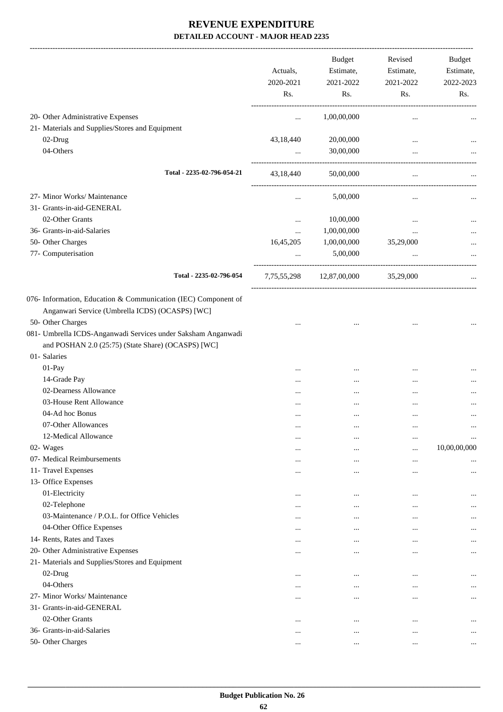|                                                                                                                                                                                                                                                               | Actuals,<br>2020-2021<br>Rs. | <b>Budget</b><br>Estimate,<br>2021-2022<br>Rs. | Revised<br>Estimate,<br>2021-2022<br>Rs. | Budget<br>Estimate,<br>2022-2023<br>Rs. |
|---------------------------------------------------------------------------------------------------------------------------------------------------------------------------------------------------------------------------------------------------------------|------------------------------|------------------------------------------------|------------------------------------------|-----------------------------------------|
| 20- Other Administrative Expenses                                                                                                                                                                                                                             | $\cdots$                     | 1,00,00,000                                    | $\ldots$                                 |                                         |
| 21- Materials and Supplies/Stores and Equipment                                                                                                                                                                                                               |                              |                                                |                                          |                                         |
| 02-Drug                                                                                                                                                                                                                                                       | 43,18,440                    | 20,00,000                                      | $\ddotsc$                                |                                         |
| 04-Others                                                                                                                                                                                                                                                     | $\cdots$                     | 30,00,000                                      |                                          |                                         |
| Total - 2235-02-796-054-21                                                                                                                                                                                                                                    | 43,18,440                    | 50,00,000                                      | $\ddotsc$                                |                                         |
| 27- Minor Works/ Maintenance                                                                                                                                                                                                                                  |                              | 5,00,000                                       | $\ldots$                                 |                                         |
| 31- Grants-in-aid-GENERAL                                                                                                                                                                                                                                     |                              |                                                |                                          |                                         |
| 02-Other Grants                                                                                                                                                                                                                                               | $\ddotsc$                    | 10,00,000                                      |                                          |                                         |
| 36- Grants-in-aid-Salaries                                                                                                                                                                                                                                    | $\cdots$                     | 1,00,00,000                                    |                                          |                                         |
| 50- Other Charges                                                                                                                                                                                                                                             | 16,45,205                    | 1,00,00,000                                    | 35,29,000                                |                                         |
| 77- Computerisation                                                                                                                                                                                                                                           | $\cdots$                     | 5,00,000                                       |                                          |                                         |
| Total - 2235-02-796-054                                                                                                                                                                                                                                       | 7,75,55,298                  | 12,87,00,000                                   | 35,29,000                                |                                         |
| 076- Information, Education & Communication (IEC) Component of<br>Anganwari Service (Umbrella ICDS) (OCASPS) [WC]<br>50- Other Charges<br>081- Umbrella ICDS-Anganwadi Services under Saksham Anganwadi<br>and POSHAN 2.0 (25:75) (State Share) (OCASPS) [WC] |                              |                                                |                                          |                                         |
| 01- Salaries                                                                                                                                                                                                                                                  |                              |                                                |                                          |                                         |
| 01-Pay                                                                                                                                                                                                                                                        |                              |                                                |                                          |                                         |
| 14-Grade Pay                                                                                                                                                                                                                                                  | $\cdots$                     |                                                |                                          |                                         |
| 02-Dearness Allowance                                                                                                                                                                                                                                         |                              |                                                |                                          |                                         |
| 03-House Rent Allowance                                                                                                                                                                                                                                       |                              |                                                | $\cdots$                                 |                                         |
| 04-Ad hoc Bonus                                                                                                                                                                                                                                               |                              |                                                | $\cdots$                                 | $\cdots$                                |
| 07-Other Allowances                                                                                                                                                                                                                                           | $\ddotsc$                    | $\ddotsc$                                      | $\cdots$                                 | $\cdots$                                |
| 12-Medical Allowance                                                                                                                                                                                                                                          | $\cdots$                     | $\cdots$                                       |                                          | $\cdots$                                |
| 02- Wages                                                                                                                                                                                                                                                     | $\cdots$                     | $\cdots$                                       | $\ddotsc$                                | 10,00,00,000                            |
| 07- Medical Reimbursements                                                                                                                                                                                                                                    | $\cdots$                     | $\cdots$                                       | $\ddotsc$                                |                                         |
| 11- Travel Expenses                                                                                                                                                                                                                                           | $\cdots$                     |                                                |                                          |                                         |
| 13- Office Expenses<br>01-Electricity                                                                                                                                                                                                                         |                              |                                                |                                          |                                         |
| 02-Telephone                                                                                                                                                                                                                                                  |                              | $\cdots$                                       |                                          |                                         |
| 03-Maintenance / P.O.L. for Office Vehicles                                                                                                                                                                                                                   |                              | $\cdots$                                       |                                          | $\cdots$                                |
| 04-Other Office Expenses                                                                                                                                                                                                                                      |                              |                                                |                                          |                                         |
| 14- Rents, Rates and Taxes                                                                                                                                                                                                                                    | $\cdots$                     | $\cdots$                                       | $\cdots$                                 | $\cdots$                                |
|                                                                                                                                                                                                                                                               | $\cdots$                     | $\ddotsc$                                      | $\cdots$                                 | $\cdots$                                |
| 20- Other Administrative Expenses                                                                                                                                                                                                                             | $\cdots$                     | $\ddotsc$                                      | $\cdots$                                 | $\cdots$                                |
| 21- Materials and Supplies/Stores and Equipment<br>02-Drug                                                                                                                                                                                                    |                              |                                                |                                          |                                         |
| 04-Others                                                                                                                                                                                                                                                     | $\cdots$                     | $\ddotsc$                                      | $\cdots$                                 | $\cdots$                                |
| 27- Minor Works/ Maintenance                                                                                                                                                                                                                                  |                              | $\cdots$                                       | $\cdots$                                 | $\cdots$                                |
| 31- Grants-in-aid-GENERAL                                                                                                                                                                                                                                     | $\cdots$                     | $\ddotsc$                                      | $\cdots$                                 | $\cdots$                                |
| 02-Other Grants                                                                                                                                                                                                                                               |                              |                                                |                                          |                                         |
| 36- Grants-in-aid-Salaries                                                                                                                                                                                                                                    | $\ddotsc$                    | $\cdots$                                       | $\cdots$                                 | $\cdots$                                |
| 50- Other Charges                                                                                                                                                                                                                                             |                              | $\cdots$                                       | $\cdots$                                 |                                         |
|                                                                                                                                                                                                                                                               | $\cdots$                     |                                                |                                          | $\cdots$                                |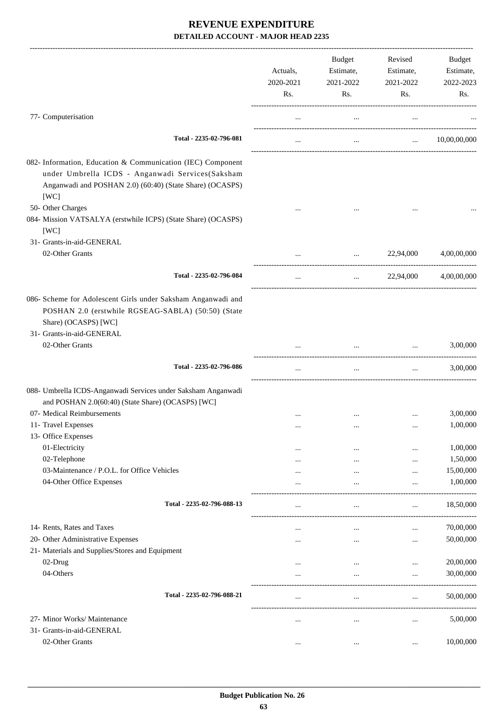|                                                                                                                                                                                     | Actuals,<br>2020-2021<br>Rs. | <b>Budget</b><br>Estimate,<br>2021-2022<br>Rs. | Revised<br>Estimate,<br>2021-2022<br>Rs. | <b>Budget</b><br>Estimate,<br>2022-2023<br>Rs. |
|-------------------------------------------------------------------------------------------------------------------------------------------------------------------------------------|------------------------------|------------------------------------------------|------------------------------------------|------------------------------------------------|
| 77- Computerisation                                                                                                                                                                 | $\cdots$                     | $\cdots$                                       | $\ldots$                                 |                                                |
| Total - 2235-02-796-081                                                                                                                                                             | $\cdots$                     | $\cdots$                                       | $\mathbf{r}$ , $\mathbf{r}$              | 10,00,00,000                                   |
| 082- Information, Education & Communication (IEC) Component<br>under Umbrella ICDS - Anganwadi Services(Saksham<br>Anganwadi and POSHAN 2.0) (60:40) (State Share) (OCASPS)<br>[WC] |                              |                                                |                                          |                                                |
| 50- Other Charges<br>084- Mission VATSALYA (erstwhile ICPS) (State Share) (OCASPS)<br>[WC]                                                                                          |                              |                                                |                                          |                                                |
| 31- Grants-in-aid-GENERAL<br>02-Other Grants                                                                                                                                        |                              | $\cdots$                                       | 22,94,000                                | 4,00,00,000                                    |
| Total - 2235-02-796-084                                                                                                                                                             | $\ldots$                     | $\cdots$                                       | 22,94,000                                | 4,00,00,000                                    |
| 086- Scheme for Adolescent Girls under Saksham Anganwadi and<br>POSHAN 2.0 (erstwhile RGSEAG-SABLA) (50:50) (State<br>Share) (OCASPS) [WC]<br>31- Grants-in-aid-GENERAL             |                              |                                                |                                          |                                                |
| 02-Other Grants                                                                                                                                                                     |                              |                                                |                                          | 3,00,000                                       |
| Total - 2235-02-796-086                                                                                                                                                             | $\cdots$                     | $\ldots$                                       | $\ldots$                                 | 3,00,000                                       |
| 088- Umbrella ICDS-Anganwadi Services under Saksham Anganwadi<br>and POSHAN 2.0(60:40) (State Share) (OCASPS) [WC]                                                                  |                              |                                                |                                          |                                                |
| 07- Medical Reimbursements                                                                                                                                                          |                              | $\cdots$                                       |                                          | 3,00,000                                       |
| 11- Travel Expenses                                                                                                                                                                 |                              |                                                |                                          | 1,00,000                                       |
| 13- Office Expenses<br>01-Electricity                                                                                                                                               |                              |                                                |                                          | 1,00,000                                       |
| 02-Telephone                                                                                                                                                                        |                              | $\cdots$<br>$\cdots$                           | <br>                                     | 1,50,000                                       |
| 03-Maintenance / P.O.L. for Office Vehicles                                                                                                                                         |                              | $\cdots$                                       | $\cdots$                                 | 15,00,000                                      |
| 04-Other Office Expenses                                                                                                                                                            |                              | $\cdots$                                       | $\cdots$                                 | 1,00,000                                       |
| Total - 2235-02-796-088-13                                                                                                                                                          | $\cdots$                     | $\cdots$                                       | $\cdots$                                 | 18,50,000                                      |
| 14- Rents, Rates and Taxes                                                                                                                                                          |                              | $\cdots$                                       | $\cdots$                                 | 70,00,000                                      |
| 20- Other Administrative Expenses                                                                                                                                                   |                              | $\cdots$                                       | $\ddotsc$                                | 50,00,000                                      |
| 21- Materials and Supplies/Stores and Equipment                                                                                                                                     |                              |                                                |                                          |                                                |
| 02-Drug                                                                                                                                                                             | $\cdots$                     | $\cdots$                                       | $\ddotsc$                                | 20,00,000                                      |
| 04-Others                                                                                                                                                                           |                              |                                                | $\cdots$                                 | 30,00,000                                      |
| Total - 2235-02-796-088-21                                                                                                                                                          |                              |                                                |                                          | 50,00,000                                      |
|                                                                                                                                                                                     | $\ldots$                     | $\ldots$                                       | $\cdots$                                 |                                                |
| 27- Minor Works/ Maintenance                                                                                                                                                        |                              |                                                | $\cdots$                                 | 5,00,000                                       |
| 31- Grants-in-aid-GENERAL<br>02-Other Grants                                                                                                                                        | $\cdots$                     |                                                | $\ddotsc$                                | 10,00,000                                      |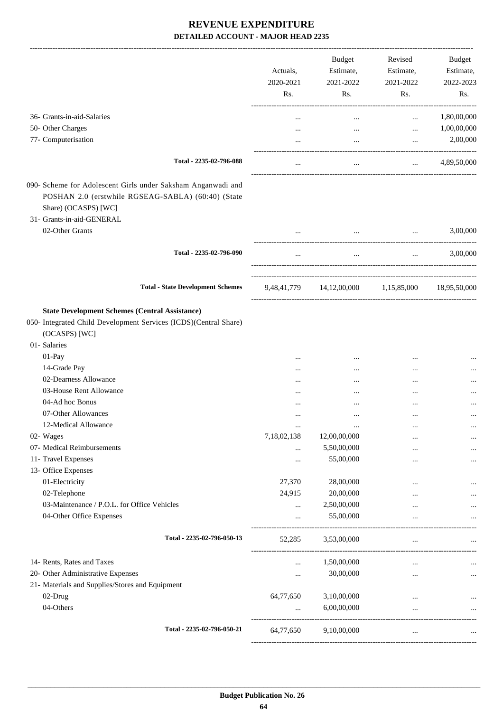|                                                                                                                                                                         | Actuals,<br>2020-2021<br>Rs. | <b>Budget</b><br>Estimate,<br>2021-2022<br>Rs.    | Revised<br>Estimate,<br>2021-2022<br>Rs.                                                                                                                                                                                         | Budget<br>Estimate,<br>2022-2023<br>Rs. |
|-------------------------------------------------------------------------------------------------------------------------------------------------------------------------|------------------------------|---------------------------------------------------|----------------------------------------------------------------------------------------------------------------------------------------------------------------------------------------------------------------------------------|-----------------------------------------|
| 36- Grants-in-aid-Salaries                                                                                                                                              | $\ddotsc$                    | $\cdots$                                          | $\cdots$                                                                                                                                                                                                                         | 1,80,00,000                             |
| 50- Other Charges                                                                                                                                                       |                              | $\cdots$                                          | $\cdots$                                                                                                                                                                                                                         | 1,00,00,000                             |
| 77- Computerisation                                                                                                                                                     |                              | $\cdots$                                          | $\cdots$                                                                                                                                                                                                                         | 2,00,000                                |
| Total - 2235-02-796-088                                                                                                                                                 |                              | $\mathbf{1}$                                      |                                                                                                                                                                                                                                  | $\ldots$ 4,89,50,000                    |
| 090- Scheme for Adolescent Girls under Saksham Anganwadi and<br>POSHAN 2.0 (erstwhile RGSEAG-SABLA) (60:40) (State<br>Share) (OCASPS) [WC]<br>31- Grants-in-aid-GENERAL |                              |                                                   |                                                                                                                                                                                                                                  |                                         |
| 02-Other Grants                                                                                                                                                         |                              |                                                   | the company of the company of the<br><b>Service</b> State                                                                                                                                                                        | 3,00,000                                |
| Total - 2235-02-796-090                                                                                                                                                 | $\cdots$                     |                                                   | $\mathbf{r}$ , and the set of the set of the set of the set of the set of the set of the set of the set of the set of the set of the set of the set of the set of the set of the set of the set of the set of the set of the set | $\ldots$ 3,00,000                       |
| <b>Total - State Development Schemes</b>                                                                                                                                |                              | 9,48,41,779 14,12,00,000 1,15,85,000 18,95,50,000 |                                                                                                                                                                                                                                  |                                         |
| <b>State Development Schemes (Central Assistance)</b><br>050- Integrated Child Development Services (ICDS)(Central Share)<br>(OCASPS) [WC]<br>01- Salaries              |                              |                                                   |                                                                                                                                                                                                                                  |                                         |
| 01-Pay                                                                                                                                                                  |                              |                                                   |                                                                                                                                                                                                                                  |                                         |
| 14-Grade Pay                                                                                                                                                            |                              | $\cdots$                                          |                                                                                                                                                                                                                                  |                                         |
| 02-Dearness Allowance                                                                                                                                                   |                              | $\cdots$                                          |                                                                                                                                                                                                                                  |                                         |
| 03-House Rent Allowance                                                                                                                                                 | $\cdots$                     |                                                   | $\cdots$                                                                                                                                                                                                                         |                                         |
| 04-Ad hoc Bonus                                                                                                                                                         |                              |                                                   |                                                                                                                                                                                                                                  |                                         |
| 07-Other Allowances                                                                                                                                                     | .                            |                                                   | $\cdots$                                                                                                                                                                                                                         | $\ddotsc$                               |
| 12-Medical Allowance                                                                                                                                                    | $\cdots$                     |                                                   | $\cdots$                                                                                                                                                                                                                         |                                         |
| 02- Wages                                                                                                                                                               | 7,18,02,138                  | 12,00,00,000                                      | $\cdots$                                                                                                                                                                                                                         |                                         |
| 07- Medical Reimbursements                                                                                                                                              |                              | 5,50,00,000                                       |                                                                                                                                                                                                                                  |                                         |
| 11- Travel Expenses                                                                                                                                                     |                              | 55,00,000                                         |                                                                                                                                                                                                                                  |                                         |
| 13- Office Expenses                                                                                                                                                     |                              |                                                   |                                                                                                                                                                                                                                  |                                         |
| 01-Electricity                                                                                                                                                          | 27,370                       | 28,00,000                                         |                                                                                                                                                                                                                                  |                                         |
| 02-Telephone                                                                                                                                                            | 24,915                       | 20,00,000                                         |                                                                                                                                                                                                                                  |                                         |
| 03-Maintenance / P.O.L. for Office Vehicles                                                                                                                             | $\cdots$                     | 2,50,00,000                                       |                                                                                                                                                                                                                                  |                                         |
| 04-Other Office Expenses                                                                                                                                                | $\cdots$                     | 55,00,000                                         | $\cdots$                                                                                                                                                                                                                         |                                         |
| Total - 2235-02-796-050-13                                                                                                                                              | 52,285                       | 3,53,00,000                                       | $\cdots$<br>---------------------------                                                                                                                                                                                          |                                         |
| 14- Rents, Rates and Taxes                                                                                                                                              | $\cdots$                     | 1,50,00,000                                       | $\cdots$                                                                                                                                                                                                                         |                                         |
| 20- Other Administrative Expenses                                                                                                                                       | $\cdots$                     | 30,00,000                                         |                                                                                                                                                                                                                                  | $\cdots$                                |
| 21- Materials and Supplies/Stores and Equipment                                                                                                                         |                              |                                                   |                                                                                                                                                                                                                                  |                                         |
| 02-Drug                                                                                                                                                                 | 64,77,650                    | 3,10,00,000                                       | $\cdots$                                                                                                                                                                                                                         |                                         |
| 04-Others                                                                                                                                                               | $\cdots$                     | 6,00,00,000                                       | $\cdots$                                                                                                                                                                                                                         | $\ddots$                                |
| Total - 2235-02-796-050-21                                                                                                                                              | 64,77,650                    | 9,10,00,000                                       | $\cdots$                                                                                                                                                                                                                         |                                         |
|                                                                                                                                                                         |                              |                                                   |                                                                                                                                                                                                                                  |                                         |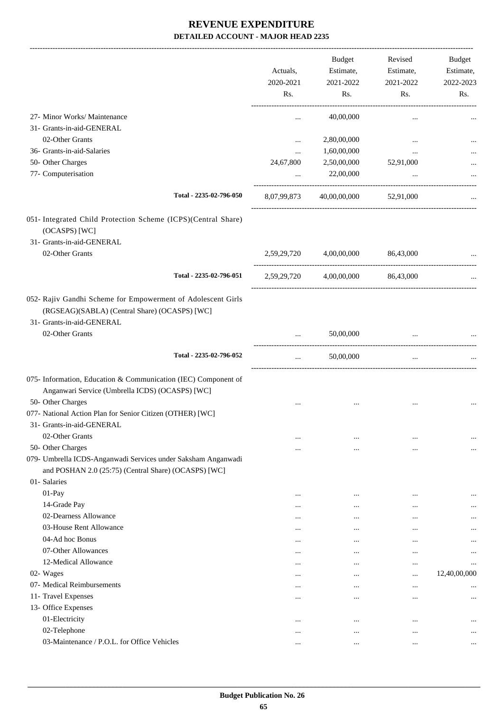|                                                                                                                                            |                      | <b>Budget</b>        | Revised                           | Budget           |
|--------------------------------------------------------------------------------------------------------------------------------------------|----------------------|----------------------|-----------------------------------|------------------|
|                                                                                                                                            | Actuals,             | Estimate,            | Estimate,                         | Estimate,        |
|                                                                                                                                            | 2020-2021<br>Rs.     | 2021-2022<br>Rs.     | 2021-2022<br>Rs.                  | 2022-2023<br>Rs. |
| 27- Minor Works/ Maintenance                                                                                                               | $\cdots$             | 40,00,000            |                                   |                  |
| 31- Grants-in-aid-GENERAL                                                                                                                  |                      |                      |                                   |                  |
| 02-Other Grants                                                                                                                            | $\cdots$             | 2,80,00,000          |                                   |                  |
| 36- Grants-in-aid-Salaries                                                                                                                 |                      | 1,60,00,000          |                                   |                  |
| 50- Other Charges                                                                                                                          | 24,67,800            | 2,50,00,000          | 52,91,000                         |                  |
| 77- Computerisation                                                                                                                        |                      | 22,00,000            |                                   |                  |
| Total - 2235-02-796-050                                                                                                                    | 8,07,99,873          | 40,00,00,000         | 52,91,000                         |                  |
| 051- Integrated Child Protection Scheme (ICPS)(Central Share)<br>(OCASPS) [WC]                                                             |                      |                      |                                   |                  |
| 31- Grants-in-aid-GENERAL                                                                                                                  |                      |                      |                                   |                  |
| 02-Other Grants                                                                                                                            | 2,59,29,720          | 4,00,00,000          | 86,43,000                         |                  |
| Total - 2235-02-796-051                                                                                                                    | 2,59,29,720          | 4,00,00,000          | 86,43,000                         |                  |
| 052- Rajiv Gandhi Scheme for Empowerment of Adolescent Girls<br>(RGSEAG)(SABLA) (Central Share) (OCASPS) [WC]<br>31- Grants-in-aid-GENERAL |                      |                      |                                   |                  |
| 02-Other Grants                                                                                                                            |                      | 50,00,000            |                                   |                  |
| Total - 2235-02-796-052                                                                                                                    | $\cdots$             | 50,00,000            | ---------------------<br>$\cdots$ |                  |
| 075- Information, Education & Communication (IEC) Component of                                                                             |                      |                      |                                   |                  |
| Anganwari Service (Umbrella ICDS) (OCASPS) [WC]                                                                                            |                      |                      |                                   |                  |
| 50- Other Charges                                                                                                                          |                      |                      |                                   |                  |
| 077- National Action Plan for Senior Citizen (OTHER) [WC]                                                                                  |                      |                      |                                   |                  |
| 31- Grants-in-aid-GENERAL                                                                                                                  |                      |                      |                                   |                  |
| 02-Other Grants                                                                                                                            |                      | $\cdots$             |                                   |                  |
| 50- Other Charges                                                                                                                          | $\cdots$             | $\cdots$             | $\cdots$                          |                  |
| 079- Umbrella ICDS-Anganwadi Services under Saksham Anganwadi                                                                              |                      |                      |                                   |                  |
| and POSHAN 2.0 (25:75) (Central Share) (OCASPS) [WC]                                                                                       |                      |                      |                                   |                  |
| 01- Salaries                                                                                                                               |                      |                      |                                   |                  |
| $01-Pay$                                                                                                                                   |                      |                      |                                   |                  |
| 14-Grade Pay                                                                                                                               | $\cdots$             | $\cdots$             |                                   |                  |
| 02-Dearness Allowance                                                                                                                      |                      |                      |                                   |                  |
| 03-House Rent Allowance                                                                                                                    |                      |                      |                                   |                  |
| 04-Ad hoc Bonus<br>07-Other Allowances                                                                                                     | $\cdots$             | $\cdots$             | $\cdots$                          |                  |
| 12-Medical Allowance                                                                                                                       | $\cdots$             | $\cdots$             | $\cdots$                          |                  |
| 02- Wages                                                                                                                                  | $\cdots$             | $\cdots$             | $\cdots$                          | <br>12,40,00,000 |
| 07- Medical Reimbursements                                                                                                                 | $\cdots$             | $\cdots$             |                                   |                  |
| 11- Travel Expenses                                                                                                                        | $\cdots$             | $\cdots$             | $\cdots$                          |                  |
| 13- Office Expenses                                                                                                                        | $\cdots$             | $\cdots$             | $\cdots$                          | $\cdots$         |
| 01-Electricity                                                                                                                             |                      |                      |                                   |                  |
| 02-Telephone                                                                                                                               | $\cdots$<br>$\cdots$ | $\cdots$<br>$\cdots$ | <br>$\cdots$                      | <br>             |
| 03-Maintenance / P.O.L. for Office Vehicles                                                                                                | $\cdots$             | $\cdots$             |                                   |                  |
|                                                                                                                                            |                      |                      |                                   |                  |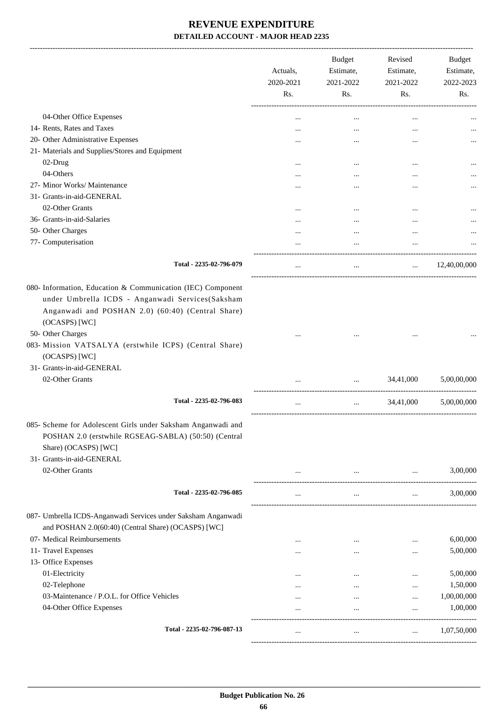-------------------------------------------------------------------------------------------------------------------------------------------------------------------------------

|                                                                                                                                                                                       | Actuals,<br>2020-2021<br>Rs. | <b>Budget</b><br>Estimate,<br>2021-2022<br>Rs. | Revised<br>Estimate,<br>2021-2022<br>Rs. | <b>Budget</b><br>Estimate,<br>2022-2023<br>Rs. |
|---------------------------------------------------------------------------------------------------------------------------------------------------------------------------------------|------------------------------|------------------------------------------------|------------------------------------------|------------------------------------------------|
| 04-Other Office Expenses                                                                                                                                                              |                              | $\cdots$                                       |                                          |                                                |
| 14- Rents, Rates and Taxes                                                                                                                                                            | $\cdots$                     |                                                |                                          |                                                |
| 20- Other Administrative Expenses                                                                                                                                                     |                              |                                                | $\ddotsc$                                |                                                |
| 21- Materials and Supplies/Stores and Equipment                                                                                                                                       |                              |                                                |                                          |                                                |
| 02-Drug                                                                                                                                                                               | $\cdots$                     | $\cdots$                                       | $\ddotsc$                                |                                                |
| 04-Others                                                                                                                                                                             | $\cdots$                     |                                                |                                          | $\cdots$                                       |
| 27- Minor Works/ Maintenance                                                                                                                                                          |                              |                                                |                                          |                                                |
| 31- Grants-in-aid-GENERAL                                                                                                                                                             |                              |                                                |                                          |                                                |
| 02-Other Grants                                                                                                                                                                       |                              |                                                |                                          |                                                |
| 36- Grants-in-aid-Salaries                                                                                                                                                            |                              |                                                |                                          |                                                |
| 50- Other Charges                                                                                                                                                                     | .                            | $\cdots$                                       |                                          |                                                |
| 77- Computerisation                                                                                                                                                                   |                              | $\cdots$                                       | $\ddotsc$                                |                                                |
|                                                                                                                                                                                       |                              |                                                |                                          |                                                |
| Total - 2235-02-796-079                                                                                                                                                               | $\cdots$                     | $\cdots$                                       | $\cdots$                                 | 12,40,00,000                                   |
| 080- Information, Education & Communication (IEC) Component<br>under Umbrella ICDS - Anganwadi Services(Saksham<br>Anganwadi and POSHAN 2.0) (60:40) (Central Share)<br>(OCASPS) [WC] |                              |                                                |                                          |                                                |
| 50- Other Charges                                                                                                                                                                     |                              |                                                |                                          |                                                |
| 083- Mission VATSALYA (erstwhile ICPS) (Central Share)<br>(OCASPS) [WC]                                                                                                               |                              |                                                |                                          |                                                |
| 31- Grants-in-aid-GENERAL                                                                                                                                                             |                              |                                                |                                          |                                                |
| 02-Other Grants                                                                                                                                                                       |                              |                                                | 34,41,000                                | 5,00,00,000                                    |
| Total - 2235-02-796-083                                                                                                                                                               |                              |                                                | 34,41,000                                | 5,00,00,000                                    |
| 085- Scheme for Adolescent Girls under Saksham Anganwadi and<br>POSHAN 2.0 (erstwhile RGSEAG-SABLA) (50:50) (Central<br>Share) (OCASPS) [WC]<br>31- Grants-in-aid-GENERAL             |                              |                                                |                                          |                                                |
| 02-Other Grants                                                                                                                                                                       |                              | $\cdots$                                       | $\cdots$                                 | 3,00,000                                       |
| Total - 2235-02-796-085                                                                                                                                                               | $\cdots$                     | $\cdots$                                       | $\cdots$                                 | 3,00,000                                       |
| 087- Umbrella ICDS-Anganwadi Services under Saksham Anganwadi<br>and POSHAN 2.0(60:40) (Central Share) (OCASPS) [WC]                                                                  |                              |                                                |                                          |                                                |
| 07- Medical Reimbursements                                                                                                                                                            |                              | $\cdots$                                       | $\cdots$                                 | 6,00,000                                       |
| 11- Travel Expenses                                                                                                                                                                   | .                            | $\cdots$                                       | $\cdots$                                 | 5,00,000                                       |
| 13- Office Expenses                                                                                                                                                                   |                              |                                                |                                          |                                                |
| 01-Electricity                                                                                                                                                                        |                              | $\cdots$                                       |                                          | 5,00,000                                       |
| 02-Telephone                                                                                                                                                                          |                              | $\cdots$                                       | $\ddotsc$                                | 1,50,000                                       |
| 03-Maintenance / P.O.L. for Office Vehicles                                                                                                                                           | .                            | $\cdots$                                       | $\cdots$                                 | 1,00,00,000                                    |
| 04-Other Office Expenses                                                                                                                                                              |                              | $\ddotsc$                                      | $\ddotsc$                                | 1,00,000                                       |
| Total - 2235-02-796-087-13                                                                                                                                                            |                              | $\ddotsc$                                      | $\cdots$                                 | 1,07,50,000                                    |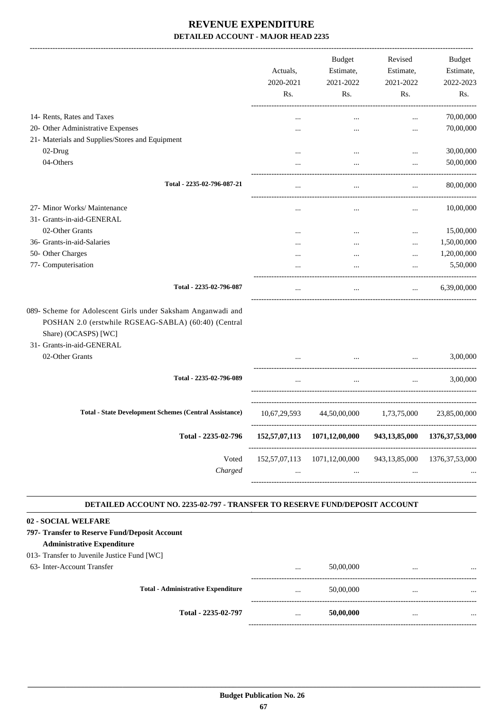|                                                                                                                              | Actuals,<br>2020-2021<br>Rs. | <b>Budget</b><br>Estimate,<br>2021-2022<br>Rs.                      | Revised<br>Estimate,<br>2021-2022<br>Rs. | Budget<br>Estimate,<br>2022-2023<br>Rs. |
|------------------------------------------------------------------------------------------------------------------------------|------------------------------|---------------------------------------------------------------------|------------------------------------------|-----------------------------------------|
| 14- Rents, Rates and Taxes                                                                                                   |                              |                                                                     | $\cdots$                                 | 70,00,000                               |
| 20- Other Administrative Expenses                                                                                            |                              |                                                                     | $\ddotsc$                                | 70,00,000                               |
| 21- Materials and Supplies/Stores and Equipment                                                                              |                              |                                                                     |                                          |                                         |
| 02-Drug                                                                                                                      |                              | $\cdots$                                                            | $\cdots$                                 | 30,00,000                               |
| 04-Others                                                                                                                    |                              |                                                                     | $\cdots$                                 | 50,00,000                               |
| Total - 2235-02-796-087-21                                                                                                   | $\cdots$                     |                                                                     | $\cdots$                                 | 80,00,000                               |
| 27- Minor Works/ Maintenance                                                                                                 |                              |                                                                     | $\cdots$                                 | 10,00,000                               |
| 31- Grants-in-aid-GENERAL                                                                                                    |                              |                                                                     |                                          |                                         |
| 02-Other Grants                                                                                                              |                              | $\cdots$                                                            | $\ddotsc$                                | 15,00,000                               |
| 36- Grants-in-aid-Salaries                                                                                                   |                              |                                                                     | $\cdots$                                 | 1,50,00,000                             |
| 50- Other Charges                                                                                                            |                              |                                                                     | $\cdots$                                 | 1,20,00,000                             |
| 77- Computerisation                                                                                                          |                              |                                                                     | $\ddotsc$                                | 5,50,000                                |
| Total - 2235-02-796-087                                                                                                      | $\cdots$                     | $\cdots$                                                            | $\ldots$                                 | 6,39,00,000                             |
| POSHAN 2.0 (erstwhile RGSEAG-SABLA) (60:40) (Central<br>Share) (OCASPS) [WC]<br>31- Grants-in-aid-GENERAL<br>02-Other Grants |                              |                                                                     |                                          | 3,00,000                                |
| Total - 2235-02-796-089                                                                                                      | $\cdots$                     | $\cdots$                                                            | $\cdots$                                 | 3,00,000                                |
| <b>Total - State Development Schemes (Central Assistance)</b>                                                                | 10,67,29,593                 | 44,50,00,000                                                        | 1,73,75,000                              | 23,85,00,000                            |
| Total - 2235-02-796                                                                                                          |                              | 152,57,07,113 1071,12,00,000                                        | 943,13,85,000                            | 1376, 37, 53, 000                       |
| Voted<br>Charged                                                                                                             | $\cdots$                     | 152,57,07,113 1071,12,00,000<br>$\sim 10^{-10}$ and $\sim 10^{-10}$ | $\cdots$                                 | 943, 13, 85, 000 1376, 37, 53, 000      |
| DETAILED ACCOUNT NO. 2235-02-797 - TRANSFER TO RESERVE FUND/DEPOSIT ACCOUNT                                                  |                              |                                                                     |                                          |                                         |
|                                                                                                                              |                              |                                                                     |                                          |                                         |
| 02 - SOCIAL WELFARE                                                                                                          |                              |                                                                     |                                          |                                         |
| 797- Transfer to Reserve Fund/Deposit Account                                                                                |                              |                                                                     |                                          |                                         |
| <b>Administrative Expenditure</b>                                                                                            |                              |                                                                     |                                          |                                         |
| 013- Transfer to Juvenile Justice Fund [WC]                                                                                  |                              |                                                                     |                                          |                                         |
| 63- Inter-Account Transfer                                                                                                   |                              | 50,00,000                                                           |                                          |                                         |

| $\cdots$ | 50,00,000 | $\cdots$ |          |
|----------|-----------|----------|----------|
|          |           |          | $\cdots$ |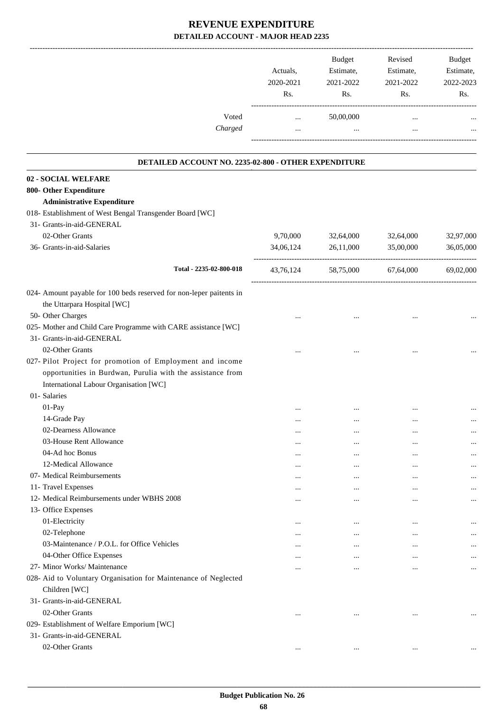| Voted<br>Charged                                                    | Actuals,<br>2020-2021<br>Rs.<br>$\cdots$<br>$\cdots$ | Budget<br>Estimate,<br>2021-2022<br>Rs.<br>50,00,000<br>$\cdots$ | Revised<br>Estimate,<br>2021-2022<br>Rs.<br>$\cdots$<br>$\cdots$ | <b>Budget</b><br>Estimate,<br>2022-2023<br>Rs. |
|---------------------------------------------------------------------|------------------------------------------------------|------------------------------------------------------------------|------------------------------------------------------------------|------------------------------------------------|
|                                                                     |                                                      |                                                                  |                                                                  |                                                |
| DETAILED ACCOUNT NO. 2235-02-800 - OTHER EXPENDITURE                |                                                      |                                                                  |                                                                  |                                                |
| 02 - SOCIAL WELFARE<br>800- Other Expenditure                       |                                                      |                                                                  |                                                                  |                                                |
| <b>Administrative Expenditure</b>                                   |                                                      |                                                                  |                                                                  |                                                |
| 018- Establishment of West Bengal Transgender Board [WC]            |                                                      |                                                                  |                                                                  |                                                |
| 31- Grants-in-aid-GENERAL                                           |                                                      |                                                                  |                                                                  |                                                |
| 02-Other Grants                                                     | 9,70,000                                             | 32,64,000                                                        | 32,64,000                                                        | 32,97,000                                      |
| 36- Grants-in-aid-Salaries                                          | 34,06,124                                            | 26,11,000                                                        | 35,00,000                                                        | 36,05,000                                      |
|                                                                     |                                                      |                                                                  |                                                                  |                                                |
| Total - 2235-02-800-018                                             | 43,76,124                                            | 58,75,000                                                        | 67,64,000                                                        | 69,02,000                                      |
| 024- Amount payable for 100 beds reserved for non-leper paitents in |                                                      |                                                                  |                                                                  |                                                |
| the Uttarpara Hospital [WC]                                         |                                                      |                                                                  |                                                                  |                                                |
| 50- Other Charges                                                   |                                                      |                                                                  |                                                                  |                                                |
| 025- Mother and Child Care Programme with CARE assistance [WC]      |                                                      |                                                                  |                                                                  |                                                |
| 31- Grants-in-aid-GENERAL                                           |                                                      |                                                                  |                                                                  |                                                |
| 02-Other Grants                                                     |                                                      |                                                                  |                                                                  |                                                |
| 027- Pilot Project for promotion of Employment and income           |                                                      |                                                                  |                                                                  |                                                |
| opportunities in Burdwan, Purulia with the assistance from          |                                                      |                                                                  |                                                                  |                                                |
| International Labour Organisation [WC]                              |                                                      |                                                                  |                                                                  |                                                |
| 01- Salaries                                                        |                                                      |                                                                  |                                                                  |                                                |
| 01-Pay                                                              |                                                      |                                                                  |                                                                  |                                                |
| 14-Grade Pay                                                        |                                                      |                                                                  |                                                                  |                                                |
| 02-Dearness Allowance                                               |                                                      |                                                                  |                                                                  |                                                |
| 03-House Rent Allowance                                             | $\cdots$                                             | $\cdots$                                                         |                                                                  |                                                |
| 04-Ad hoc Bonus                                                     |                                                      | $\cdots$                                                         | $\ddotsc$                                                        |                                                |
| 12-Medical Allowance                                                |                                                      | $\cdots$                                                         |                                                                  |                                                |
| 07- Medical Reimbursements                                          |                                                      | $\cdots$                                                         |                                                                  |                                                |
| 11- Travel Expenses                                                 |                                                      |                                                                  | $\cdots$                                                         |                                                |
| 12- Medical Reimbursements under WBHS 2008                          | $\cdots$                                             |                                                                  |                                                                  |                                                |
| 13- Office Expenses                                                 |                                                      |                                                                  |                                                                  |                                                |
| 01-Electricity                                                      |                                                      |                                                                  |                                                                  |                                                |
| 02-Telephone                                                        |                                                      |                                                                  |                                                                  |                                                |
| 03-Maintenance / P.O.L. for Office Vehicles                         | $\ddotsc$                                            | $\cdots$                                                         |                                                                  |                                                |
| 04-Other Office Expenses                                            |                                                      |                                                                  |                                                                  |                                                |
| 27- Minor Works/ Maintenance                                        |                                                      |                                                                  |                                                                  | $\cdots$                                       |
| 028- Aid to Voluntary Organisation for Maintenance of Neglected     |                                                      |                                                                  |                                                                  |                                                |
| Children [WC]                                                       |                                                      |                                                                  |                                                                  |                                                |
| 31- Grants-in-aid-GENERAL                                           |                                                      |                                                                  |                                                                  |                                                |
| 02-Other Grants                                                     | $\ddotsc$                                            | $\cdots$                                                         |                                                                  | $\cdots$                                       |
| 029- Establishment of Welfare Emporium [WC]                         |                                                      |                                                                  |                                                                  |                                                |
| 31- Grants-in-aid-GENERAL                                           |                                                      |                                                                  |                                                                  |                                                |
| 02-Other Grants                                                     | $\ddotsc$                                            | $\cdots$                                                         |                                                                  |                                                |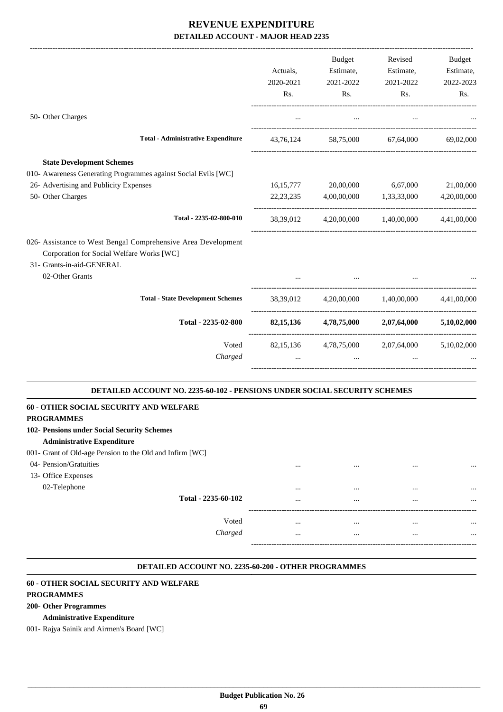|                                                                                                                                                            |           | Budget    | Revised                                       | Budget      |
|------------------------------------------------------------------------------------------------------------------------------------------------------------|-----------|-----------|-----------------------------------------------|-------------|
|                                                                                                                                                            | Actuals,  |           | Estimate, Estimate,                           | Estimate,   |
|                                                                                                                                                            | 2020-2021 | 2021-2022 | 2021-2022                                     | 2022-2023   |
|                                                                                                                                                            | Rs.       | Rs.       | Rs.                                           | Rs.         |
| 50- Other Charges                                                                                                                                          |           | $\cdots$  | $\cdots$                                      |             |
| <b>Total - Administrative Expenditure</b>                                                                                                                  |           |           | 43,76,124 58,75,000 67,64,000 69,02,000       |             |
| <b>State Development Schemes</b>                                                                                                                           |           |           |                                               |             |
| 010- Awareness Generating Programmes against Social Evils [WC]                                                                                             |           |           |                                               |             |
| 26- Advertising and Publicity Expenses                                                                                                                     |           |           | 16,15,777 20,00,000 6,67,000                  | 21,00,000   |
| 50- Other Charges                                                                                                                                          |           |           | 22, 23, 235 4, 00, 00, 000 1, 33, 33, 000     | 4,20,00,000 |
| Total - 2235-02-800-010                                                                                                                                    |           |           | 38,39,012 4,20,00,000 1,40,00,000 4,41,00,000 |             |
| 026- Assistance to West Bengal Comprehensive Area Development<br>Corporation for Social Welfare Works [WC]<br>31- Grants-in-aid-GENERAL<br>02-Other Grants |           |           |                                               |             |
| <b>Total - State Development Schemes</b>                                                                                                                   |           |           | 38,39,012 4,20,00,000 1,40,00,000 4,41,00,000 |             |
| Total - 2235-02-800                                                                                                                                        |           |           | 82,15,136 4,78,75,000 2,07,64,000             | 5,10,02,000 |
| Voted                                                                                                                                                      |           |           | 82,15,136 4,78,75,000 2,07,64,000 5,10,02,000 |             |
| Charged                                                                                                                                                    |           | $\cdots$  |                                               |             |
| DETAILED ACCOUNT NO. 2235-60-102 - PENSIONS UNDER SOCIAL SECURITY SCHEMES                                                                                  |           |           |                                               |             |
| <b>60 - OTHER SOCIAL SECURITY AND WELFARE</b>                                                                                                              |           |           |                                               |             |
| <b>PROGRAMMES</b>                                                                                                                                          |           |           |                                               |             |
| 102- Pensions under Social Security Schemes<br><b>Administrative Expenditure</b>                                                                           |           |           |                                               |             |
| 001- Grant of Old-age Pension to the Old and Infirm [WC]                                                                                                   |           |           |                                               |             |
| 04- Pension/Gratuities                                                                                                                                     |           |           |                                               |             |
| 13- Office Expenses                                                                                                                                        |           | $\ddotsc$ | $\ddotsc$                                     | $\cdots$    |
| 02-Telephone                                                                                                                                               |           |           |                                               |             |
| Total - 2235-60-102                                                                                                                                        |           |           | $\cdots$<br>$\cdots$                          |             |
| Voted                                                                                                                                                      |           |           |                                               |             |

*Charged* ... ... ... ...

#### **DETAILED ACCOUNT NO. 2235-60-200 - OTHER PROGRAMMES .**

-----------------------------------------------------------------------------------------

.

#### **60 - OTHER SOCIAL SECURITY AND WELFARE**

#### **PROGRAMMES**

#### **200- Other Programmes**

#### **Administrative Expenditure**

001- Rajya Sainik and Airmen's Board [WC]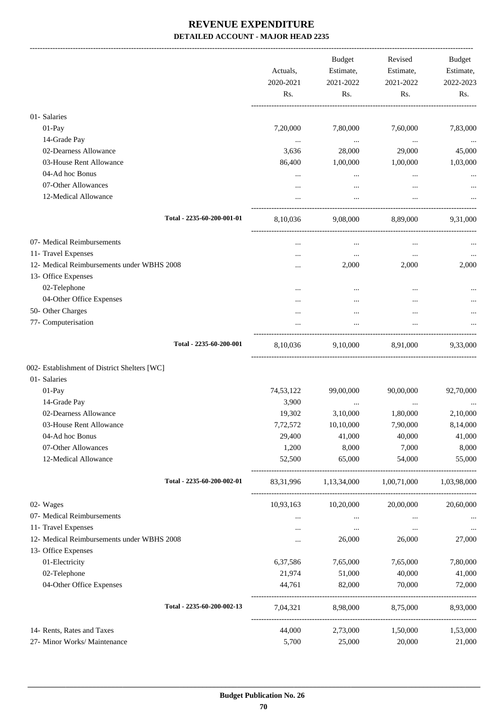-------------------------------------------------------------------------------------------------------------------------------------------------------------------------------

|                                              | Actuals,<br>2020-2021<br>Rs. | <b>Budget</b><br>Estimate,<br>2021-2022<br>Rs. | Revised<br>Estimate,<br>2021-2022<br>Rs. | <b>Budget</b><br>Estimate,<br>2022-2023<br>Rs. |
|----------------------------------------------|------------------------------|------------------------------------------------|------------------------------------------|------------------------------------------------|
| 01- Salaries                                 |                              |                                                |                                          |                                                |
| $01-Pay$                                     | 7,20,000                     | 7,80,000                                       | 7,60,000                                 | 7,83,000                                       |
| 14-Grade Pay                                 | $\cdots$                     | $\cdots$                                       | $\ldots$                                 |                                                |
| 02-Dearness Allowance                        | 3,636                        | 28,000                                         | 29,000                                   | 45,000                                         |
| 03-House Rent Allowance                      | 86,400                       | 1,00,000                                       | 1,00,000                                 | 1,03,000                                       |
| 04-Ad hoc Bonus<br>07-Other Allowances       |                              | $\cdots$                                       |                                          |                                                |
| 12-Medical Allowance                         | $\cdots$<br>$\cdots$         | $\cdots$                                       | $\cdots$<br>$\ddotsc$                    |                                                |
| Total - 2235-60-200-001-01                   | 8,10,036                     | 9,08,000                                       | 8,89,000                                 | 9,31,000                                       |
| 07- Medical Reimbursements                   |                              | $\cdots$                                       | $\cdots$                                 |                                                |
| 11- Travel Expenses                          |                              | $\cdots$                                       | $\cdots$                                 | $\cdots$                                       |
| 12- Medical Reimbursements under WBHS 2008   |                              | 2,000                                          | 2,000                                    | 2,000                                          |
| 13- Office Expenses                          |                              |                                                |                                          |                                                |
| 02-Telephone                                 |                              |                                                |                                          |                                                |
| 04-Other Office Expenses                     | $\cdots$                     |                                                |                                          |                                                |
| 50- Other Charges                            |                              |                                                |                                          |                                                |
| 77- Computerisation                          |                              |                                                |                                          |                                                |
| Total - 2235-60-200-001                      | 8,10,036                     | 9,10,000                                       | 8,91,000                                 | 9,33,000                                       |
| 002- Establishment of District Shelters [WC] |                              |                                                |                                          |                                                |
| 01- Salaries                                 |                              |                                                |                                          |                                                |
| 01-Pay                                       | 74,53,122                    | 99,00,000                                      | 90,00,000                                | 92,70,000                                      |
| 14-Grade Pay                                 | 3,900                        | $\cdots$                                       | $\cdots$                                 |                                                |
| 02-Dearness Allowance                        | 19,302                       | 3,10,000                                       | 1,80,000                                 | 2,10,000                                       |
| 03-House Rent Allowance                      | 7,72,572                     | 10,10,000                                      | 7,90,000                                 | 8,14,000                                       |
| 04-Ad hoc Bonus<br>07-Other Allowances       | 29,400<br>1,200              | 41,000<br>8,000                                | 40,000<br>7,000                          | 41,000<br>8,000                                |
| 12-Medical Allowance                         | 52,500                       | 65,000                                         | 54,000                                   | 55,000                                         |
| Total - 2235-60-200-002-01                   | 83, 31, 996                  | 1,13,34,000                                    | 1,00,71,000                              | 1,03,98,000                                    |
| 02- Wages                                    | 10,93,163                    | 10,20,000                                      | 20,00,000                                | 20,60,000                                      |
| 07- Medical Reimbursements                   | $\cdots$                     | $\cdots$                                       | $\ldots$                                 |                                                |
| 11- Travel Expenses                          |                              | $\cdots$                                       | $\cdots$                                 |                                                |
| 12- Medical Reimbursements under WBHS 2008   | $\cdots$                     | 26,000                                         | 26,000                                   | 27,000                                         |
| 13- Office Expenses                          |                              |                                                |                                          |                                                |
| 01-Electricity                               | 6,37,586                     | 7,65,000                                       | 7,65,000                                 | 7,80,000                                       |
| 02-Telephone                                 | 21,974                       | 51,000                                         | 40,000                                   | 41,000                                         |
| 04-Other Office Expenses                     | 44,761                       | 82,000                                         | 70,000                                   | 72,000                                         |
| Total - 2235-60-200-002-13                   | 7,04,321                     | 8,98,000                                       | 8,75,000                                 | 8,93,000                                       |
| 14- Rents, Rates and Taxes                   | 44,000                       | 2,73,000                                       | 1,50,000                                 | 1,53,000                                       |
| 27- Minor Works/ Maintenance                 | 5,700                        | 25,000                                         | 20,000                                   | 21,000                                         |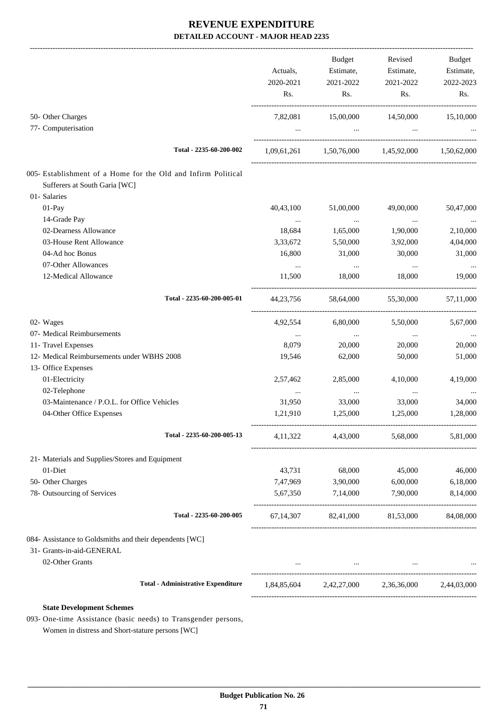|                                                                                                |            | <b>Budget</b>                                                   | Revised                     | Budget    |
|------------------------------------------------------------------------------------------------|------------|-----------------------------------------------------------------|-----------------------------|-----------|
|                                                                                                | Actuals,   | Estimate,                                                       | Estimate,                   | Estimate, |
|                                                                                                | 2020-2021  | 2021-2022                                                       | 2021-2022                   | 2022-2023 |
|                                                                                                | Rs.        | Rs.                                                             | Rs.                         | Rs.       |
| 50- Other Charges                                                                              |            | 7,82,081 15,00,000 14,50,000 15,10,000                          |                             |           |
| 77- Computerisation                                                                            |            | and the company of the                                          | $\sim$ $\sim$ $\sim$ $\sim$ |           |
| Total - 2235-60-200-002                                                                        |            | $1,09,61,261$ $1,50,76,000$ $1,45,92,000$ $1,50,62,000$         |                             |           |
| 005- Establishment of a Home for the Old and Infirm Political<br>Sufferers at South Garia [WC] |            |                                                                 |                             |           |
| 01- Salaries                                                                                   |            |                                                                 |                             |           |
| 01-Pay                                                                                         | 40,43,100  | 51,00,000                                                       | 49,00,000                   | 50,47,000 |
| 14-Grade Pay                                                                                   |            | <b>Contract Contract</b>                                        | $\sim 100$ and $\sim 100$   |           |
| 02-Dearness Allowance                                                                          | 18,684     | 1,65,000                                                        | 1,90,000                    | 2,10,000  |
| 03-House Rent Allowance                                                                        | 3,33,672   | 5,50,000                                                        | 3,92,000                    | 4,04,000  |
| 04-Ad hoc Bonus                                                                                | 16,800     | 31,000                                                          | 30,000                      | 31,000    |
| 07-Other Allowances                                                                            | $\cdots$   | <b>Contractor</b>                                               | $\cdots$                    |           |
| 12-Medical Allowance                                                                           | 11,500     | 18,000                                                          | 18,000                      | 19,000    |
| Total - 2235-60-200-005-01                                                                     | 44,23,756  | 58,64,000                                                       | 55,30,000                   | 57,11,000 |
| 02- Wages                                                                                      | 4,92,554   | 6,80,000                                                        | 5,50,000                    | 5,67,000  |
| 07- Medical Reimbursements                                                                     | $\cdots$   | $\sim$                                                          | $\cdots$                    |           |
| 11- Travel Expenses                                                                            | 8,079      | 20,000                                                          | 20,000                      | 20,000    |
| 12- Medical Reimbursements under WBHS 2008                                                     | 19,546     | 62,000                                                          | 50,000                      | 51,000    |
| 13- Office Expenses                                                                            |            |                                                                 |                             |           |
| 01-Electricity                                                                                 | 2,57,462   | 2,85,000                                                        | 4,10,000                    | 4,19,000  |
| 02-Telephone                                                                                   | $\cdots$   | $\cdots$                                                        | $\cdots$                    |           |
| 03-Maintenance / P.O.L. for Office Vehicles                                                    | 31,950     | 33,000                                                          | 33,000                      | 34,000    |
| 04-Other Office Expenses                                                                       | 1,21,910   | 1,25,000                                                        | 1,25,000                    | 1,28,000  |
| Total - 2235-60-200-005-13                                                                     | 4, 11, 322 | 4,43,000                                                        | 5,68,000                    | 5,81,000  |
| 21- Materials and Supplies/Stores and Equipment                                                |            |                                                                 |                             |           |
| 01-Diet                                                                                        |            | 43,731 68,000                                                   | 45,000                      | 46,000    |
| 50- Other Charges                                                                              | 7,47,969   | 3,90,000                                                        | 6,00,000                    | 6,18,000  |
| 78- Outsourcing of Services                                                                    |            | 5,67,350 7,14,000                                               | 7,90,000                    | 8,14,000  |
| Total - 2235-60-200-005                                                                        |            | 67,14,307 82,41,000 81,53,000                                   |                             | 84,08,000 |
| 084- Assistance to Goldsmiths and their dependents [WC]                                        |            |                                                                 |                             |           |
| 31- Grants-in-aid-GENERAL                                                                      |            |                                                                 |                             |           |
| 02-Other Grants                                                                                |            | the contract of the contract of the contract of the contract of |                             |           |
| <b>Total - Administrative Expenditure</b>                                                      |            | 1,84,85,604 2,42,27,000 2,36,36,000 2,44,03,000                 |                             |           |
| <b>State Development Schemes</b>                                                               |            |                                                                 |                             |           |
| 093- One-time Assistance (basic needs) to Transgender persons,                                 |            |                                                                 |                             |           |

Women in distress and Short-stature persons [WC]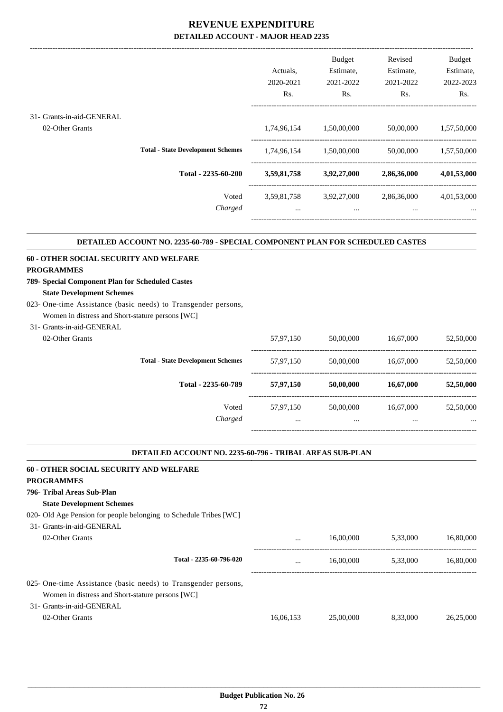|                           |                                          | Actuals.<br>2020-2021 | <b>Budget</b><br>Estimate,<br>2021-2022 | Revised<br>Estimate,<br>2021-2022 | <b>Budget</b><br>Estimate,<br>2022-2023 |
|---------------------------|------------------------------------------|-----------------------|-----------------------------------------|-----------------------------------|-----------------------------------------|
|                           |                                          |                       |                                         |                                   |                                         |
|                           |                                          | Rs.                   | Rs.                                     | Rs.                               | R <sub>s</sub> .                        |
|                           |                                          |                       |                                         |                                   |                                         |
| 31- Grants-in-aid-GENERAL |                                          |                       |                                         |                                   |                                         |
| 02-Other Grants           |                                          | 1,74,96,154           | 1,50,00,000                             | 50,00,000                         | 1,57,50,000                             |
|                           |                                          |                       |                                         |                                   |                                         |
|                           | <b>Total - State Development Schemes</b> | 1,74,96,154           | 1,50,00,000                             | 50,00,000                         | 1,57,50,000                             |
|                           | Total - 2235-60-200                      | 3,59,81,758           | 3,92,27,000                             | 2,86,36,000                       | 4,01,53,000                             |
|                           | Voted                                    | 3,59,81,758           | 3,92,27,000                             | 2,86,36,000                       | 4,01,53,000                             |
|                           | Charged                                  | $\cdots$              | $\cdots$                                | $\cdots$                          | $\cdots$                                |
|                           |                                          |                       |                                         |                                   |                                         |

#### **DETAILED ACCOUNT NO. 2235-60-789 - SPECIAL COMPONENT PLAN FOR SCHEDULED CASTES .**

.

.

#### **60 - OTHER SOCIAL SECURITY AND WELFARE**

#### **PROGRAMMES**

### **789- Special Component Plan for Scheduled Castes**

#### **State Development Schemes**

023- One-time Assistance (basic needs) to Transgender persons, Women in distress and Short-stature persons [WC]

# 31- Grants-in-aid-GENERAL

| orano in ani oli din re |                                          |                       |               |                       |                       |
|-------------------------|------------------------------------------|-----------------------|---------------|-----------------------|-----------------------|
| 02-Other Grants         |                                          | 57,97,150             | 50,00,000     | 16,67,000             | 52,50,000             |
|                         | <b>Total - State Development Schemes</b> | 57,97,150             | 50,00,000     | 16,67,000             | 52,50,000             |
|                         | Total - 2235-60-789                      | 57,97,150             | 50,00,000     | 16,67,000             | 52,50,000             |
|                         | Voted<br>Charged                         | 57.97.150<br>$\cdots$ | 50,00,000<br> | 16,67,000<br>$\cdots$ | 52,50,000<br>$\cdots$ |
|                         |                                          |                       |               |                       |                       |

#### **DETAILED ACCOUNT NO. 2235-60-796 - TRIBAL AREAS SUB-PLAN**

| 60 - OTHER SOCIAL SECURITY AND WELFARE                                        |           |           |          |           |
|-------------------------------------------------------------------------------|-----------|-----------|----------|-----------|
| <b>PROGRAMMES</b>                                                             |           |           |          |           |
| 796- Tribal Areas Sub-Plan                                                    |           |           |          |           |
| <b>State Development Schemes</b>                                              |           |           |          |           |
| 020- Old Age Pension for people belonging to Schedule Tribes [WC]             |           |           |          |           |
| 31- Grants-in-aid-GENERAL                                                     |           |           |          |           |
| 02-Other Grants                                                               |           | 16,00,000 | 5,33,000 | 16,80,000 |
| Total - 2235-60-796-020                                                       |           | 16,00,000 | 5.33,000 | 16,80,000 |
| 025- One-time Assistance (basic needs) to Transgender persons,                |           |           |          |           |
| Women in distress and Short-stature persons [WC]<br>31- Grants-in-aid-GENERAL |           |           |          |           |
|                                                                               |           |           |          |           |
| 02-Other Grants                                                               | 16.06.153 | 25,00,000 | 8,33,000 | 26.25,000 |
|                                                                               |           |           |          |           |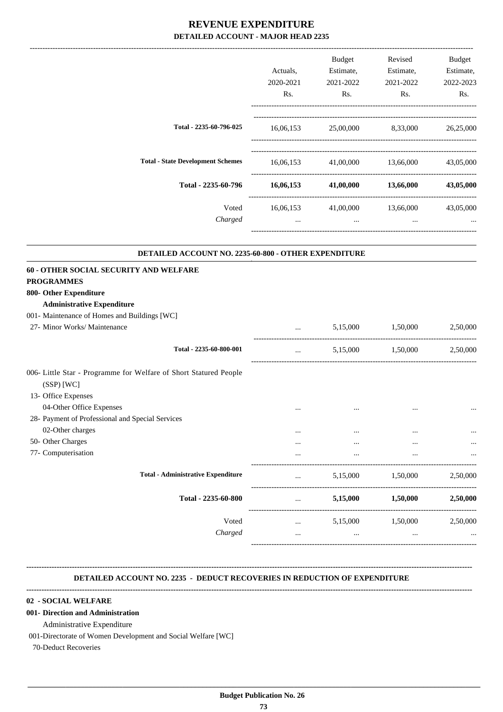|                                                                                                                            | Actuals,<br>2020-2021 | Budget<br>Estimate,<br>2021-2022       | Revised<br>Estimate,<br>2021-2022 | Budget<br>Estimate,<br>2022-2023 |
|----------------------------------------------------------------------------------------------------------------------------|-----------------------|----------------------------------------|-----------------------------------|----------------------------------|
|                                                                                                                            | Rs.                   | Rs.                                    | Rs.                               | Rs.                              |
| Total - 2235-60-796-025                                                                                                    |                       | 16,06,153 25,00,000 8,33,000 26,25,000 |                                   |                                  |
| <b>Total - State Development Schemes</b>                                                                                   | 16,06,153             |                                        | 41,00,000 13,66,000               | 43,05,000                        |
| Total - 2235-60-796                                                                                                        |                       | $16,06,153$ $41,00,000$ $13,66,000$    |                                   | 43,05,000                        |
| Voted<br>Charged                                                                                                           | 16,06,153<br>$\ddots$ | and the contract of the con-           | 41,00,000 13,66,000<br>$\cdots$   | 43,05,000                        |
| DETAILED ACCOUNT NO. 2235-60-800 - OTHER EXPENDITURE                                                                       |                       |                                        |                                   |                                  |
| 60 - OTHER SOCIAL SECURITY AND WELFARE<br><b>PROGRAMMES</b><br>800- Other Expenditure<br><b>Administrative Expenditure</b> |                       |                                        |                                   |                                  |
| 001- Maintenance of Homes and Buildings [WC]                                                                               |                       |                                        |                                   |                                  |
| 27- Minor Works/ Maintenance                                                                                               | $\cdots$              | 5,15,000                               | 1,50,000                          | 2,50,000                         |
| Total - 2235-60-800-001                                                                                                    | $\cdots$              | 5,15,000                               | 1,50,000                          | 2,50,000                         |
| 006- Little Star - Programme for Welfare of Short Statured People<br>$(SSP)$ [WC]<br>13- Office Expenses                   |                       |                                        |                                   |                                  |
| 04-Other Office Expenses<br>28- Payment of Professional and Special Services                                               |                       |                                        |                                   |                                  |
| 02-Other charges                                                                                                           |                       |                                        |                                   |                                  |
| 50- Other Charges                                                                                                          |                       |                                        |                                   |                                  |
| 77- Computerisation                                                                                                        |                       |                                        |                                   |                                  |
| <b>Total - Administrative Expenditure</b>                                                                                  |                       | 5,15,000                               | 1,50,000                          | 2,50,000                         |
| Total - 2235-60-800                                                                                                        | $\cdots$              | 5,15,000                               | 1,50,000                          | 2,50,000                         |
| Voted<br>Charged                                                                                                           |                       | 5,15,000                               | 1,50,000                          | 2,50,000                         |
|                                                                                                                            |                       |                                        |                                   |                                  |

 **DETAILED ACCOUNT NO. 2235 - DEDUCT RECOVERIES IN REDUCTION OF EXPENDITURE**

### **--------------------------------------------------------------------------------------------------------------------------------------------------------------------------------**

**--------------------------------------------------------------------------------------------------------------------------------------------------------------------------------**

#### **02 - SOCIAL WELFARE**

#### **001- Direction and Administration**

Administrative Expenditure

001-Directorate of Women Development and Social Welfare [WC]

70-Deduct Recoveries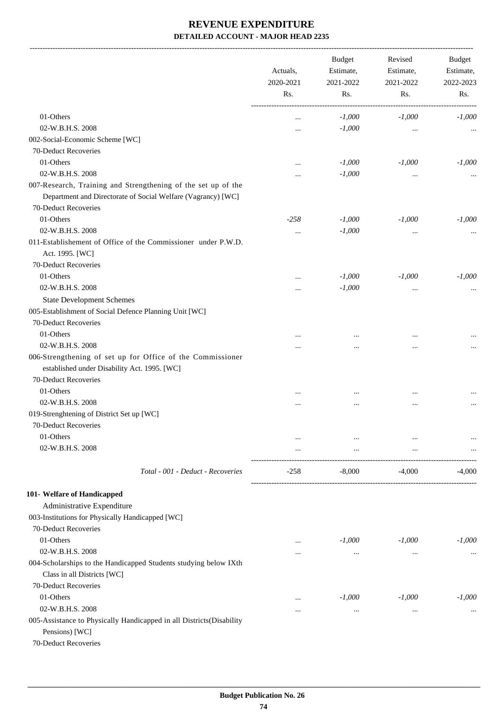-------------------------------------------------------------------------------------------------------------------------------------------------------------------------------

|                                                                                                                               | Actuals,<br>2020-2021<br>Rs. | <b>Budget</b><br>Revised<br>Estimate,<br>Estimate,<br>2021-2022<br>2021-2022 |          | <b>Budget</b><br>Estimate,<br>2022-2023 |
|-------------------------------------------------------------------------------------------------------------------------------|------------------------------|------------------------------------------------------------------------------|----------|-----------------------------------------|
|                                                                                                                               |                              | Rs.                                                                          | Rs.      | Rs.                                     |
| 01-Others                                                                                                                     |                              | $-1,000$                                                                     | $-1,000$ | $-1,000$                                |
| 02-W.B.H.S. 2008                                                                                                              |                              | $-1,000$                                                                     | $\cdots$ |                                         |
| 002-Social-Economic Scheme [WC]                                                                                               |                              |                                                                              |          |                                         |
| 70-Deduct Recoveries                                                                                                          |                              |                                                                              |          |                                         |
| 01-Others                                                                                                                     |                              | $-1,000$                                                                     | $-1,000$ | $-1,000$                                |
| 02-W.B.H.S. 2008                                                                                                              |                              | $-1,000$                                                                     | $\cdots$ |                                         |
| 007-Research, Training and Strengthening of the set up of the<br>Department and Directorate of Social Welfare (Vagrancy) [WC] |                              |                                                                              |          |                                         |
| 70-Deduct Recoveries                                                                                                          |                              |                                                                              |          |                                         |
| 01-Others                                                                                                                     | $-258$                       |                                                                              |          | $-1,000$                                |
|                                                                                                                               |                              | $-1,000$                                                                     | $-1,000$ |                                         |
| 02-W.B.H.S. 2008                                                                                                              | $\cdots$                     | $-1,000$                                                                     | $\cdots$ |                                         |
| 011-Establishement of Office of the Commissioner under P.W.D.<br>Act. 1995. [WC]                                              |                              |                                                                              |          |                                         |
| 70-Deduct Recoveries                                                                                                          |                              |                                                                              |          |                                         |
| 01-Others                                                                                                                     |                              | $-1,000$                                                                     | $-1,000$ | $-1,000$                                |
| 02-W.B.H.S. 2008                                                                                                              |                              | $-1,000$                                                                     | $\cdots$ |                                         |
| <b>State Development Schemes</b>                                                                                              |                              |                                                                              |          |                                         |
| 005-Establishment of Social Defence Planning Unit [WC]                                                                        |                              |                                                                              |          |                                         |
| 70-Deduct Recoveries                                                                                                          |                              |                                                                              |          |                                         |
| 01-Others                                                                                                                     | $\cdots$                     | $\ddotsc$                                                                    | $\cdots$ |                                         |
| 02-W.B.H.S. 2008                                                                                                              | $\ddotsc$                    |                                                                              |          |                                         |
| 006-Strengthening of set up for Office of the Commissioner<br>established under Disability Act. 1995. [WC]                    |                              |                                                                              |          |                                         |
| 70-Deduct Recoveries                                                                                                          |                              |                                                                              |          |                                         |
| 01-Others                                                                                                                     | $\cdots$                     | $\cdots$                                                                     | $\cdots$ |                                         |
| 02-W.B.H.S. 2008                                                                                                              | $\ddotsc$                    | $\ddotsc$                                                                    |          |                                         |
| 019-Strenghtening of District Set up [WC]                                                                                     |                              |                                                                              |          |                                         |
| 70-Deduct Recoveries                                                                                                          |                              |                                                                              |          |                                         |
| 01-Others                                                                                                                     |                              | $\cdots$                                                                     | $\cdots$ | $\cdots$                                |
| 02-W.B.H.S. 2008                                                                                                              | $\cdots$                     | $\cdots$                                                                     | $\cdots$ |                                         |
| Total - 001 - Deduct - Recoveries                                                                                             | $-258$                       | $-8,000$                                                                     | -4,000   | $-4,000$                                |
|                                                                                                                               |                              |                                                                              |          |                                         |
| 101- Welfare of Handicapped                                                                                                   |                              |                                                                              |          |                                         |
| Administrative Expenditure                                                                                                    |                              |                                                                              |          |                                         |
| 003-Institutions for Physically Handicapped [WC]                                                                              |                              |                                                                              |          |                                         |
| 70-Deduct Recoveries                                                                                                          |                              |                                                                              |          |                                         |
| 01-Others                                                                                                                     | $\cdots$                     | $-1,000$                                                                     | $-1,000$ | $-1,000$                                |
| 02-W.B.H.S. 2008                                                                                                              | $\ddotsc$                    | $\cdots$                                                                     | $\cdots$ |                                         |
| 004-Scholarships to the Handicapped Students studying below IXth                                                              |                              |                                                                              |          |                                         |
| Class in all Districts [WC]                                                                                                   |                              |                                                                              |          |                                         |
| 70-Deduct Recoveries                                                                                                          |                              |                                                                              |          |                                         |
| 01-Others                                                                                                                     | $\cdots$                     | $-1,000$                                                                     | $-1,000$ | $-1,000$                                |
| 02-W.B.H.S. 2008                                                                                                              |                              | $\cdots$                                                                     | $\cdots$ |                                         |
| 005-Assistance to Physically Handicapped in all Districts(Disability<br>Pensions) [WC]                                        |                              |                                                                              |          |                                         |
| 70-Deduct Recoveries                                                                                                          |                              |                                                                              |          |                                         |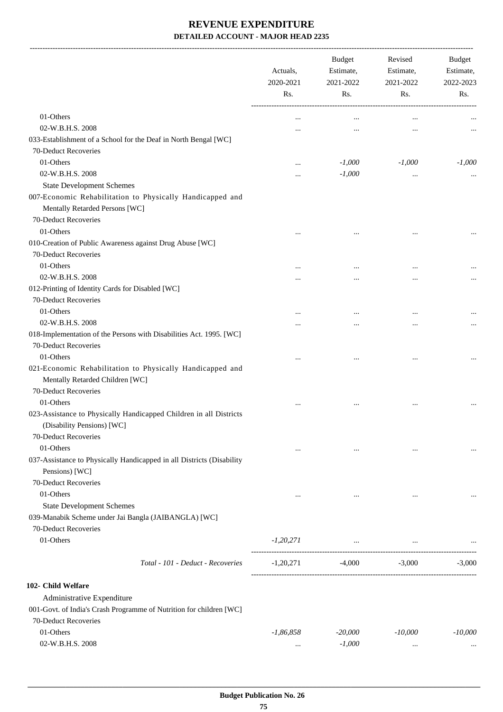-------------------------------------------------------------------------------------------------------------------------------------------------------------------------------

|                                                                       | Actuals,<br>2020-2021<br>Rs. | <b>Budget</b><br>Estimate,<br>2021-2022<br>Rs. | Revised<br>Estimate,<br>2021-2022<br>Rs. | <b>Budget</b><br>Estimate,<br>2022-2023<br>Rs. |
|-----------------------------------------------------------------------|------------------------------|------------------------------------------------|------------------------------------------|------------------------------------------------|
|                                                                       |                              |                                                |                                          |                                                |
| 01-Others                                                             |                              | $\ddotsc$                                      | $\ddotsc$                                |                                                |
| 02-W.B.H.S. 2008                                                      | $\cdots$                     | $\cdots$                                       |                                          | $\cdots$                                       |
| 033-Establishment of a School for the Deaf in North Bengal [WC]       |                              |                                                |                                          |                                                |
| 70-Deduct Recoveries                                                  |                              |                                                |                                          |                                                |
| 01-Others                                                             | $\ddotsc$                    | $-1,000$                                       | $-1,000$                                 | $-1,000$                                       |
| 02-W.B.H.S. 2008                                                      | $\ddotsc$                    | $-1,000$                                       | $\cdots$                                 |                                                |
| <b>State Development Schemes</b>                                      |                              |                                                |                                          |                                                |
| 007-Economic Rehabilitation to Physically Handicapped and             |                              |                                                |                                          |                                                |
| Mentally Retarded Persons [WC]                                        |                              |                                                |                                          |                                                |
| 70-Deduct Recoveries                                                  |                              |                                                |                                          |                                                |
| 01-Others                                                             |                              | $\ddotsc$                                      |                                          |                                                |
| 010-Creation of Public Awareness against Drug Abuse [WC]              |                              |                                                |                                          |                                                |
| 70-Deduct Recoveries                                                  |                              |                                                |                                          |                                                |
| 01-Others                                                             | $\cdots$                     | $\ddotsc$                                      |                                          |                                                |
| 02-W.B.H.S. 2008                                                      |                              |                                                |                                          | $\cdots$                                       |
| 012-Printing of Identity Cards for Disabled [WC]                      |                              |                                                |                                          |                                                |
| 70-Deduct Recoveries                                                  |                              |                                                |                                          |                                                |
| 01-Others                                                             |                              | $\cdots$                                       |                                          |                                                |
| 02-W.B.H.S. 2008                                                      |                              |                                                |                                          | $\cdots$                                       |
| 018-Implementation of the Persons with Disabilities Act. 1995. [WC]   |                              |                                                |                                          |                                                |
| 70-Deduct Recoveries                                                  |                              |                                                |                                          |                                                |
| 01-Others                                                             |                              | $\cdots$                                       | $\ddotsc$                                | $\ddotsc$                                      |
| 021-Economic Rehabilitation to Physically Handicapped and             |                              |                                                |                                          |                                                |
| Mentally Retarded Children [WC]                                       |                              |                                                |                                          |                                                |
| 70-Deduct Recoveries                                                  |                              |                                                |                                          |                                                |
| 01-Others                                                             |                              |                                                |                                          |                                                |
| 023-Assistance to Physically Handicapped Children in all Districts    |                              | $\ddotsc$                                      | $\ddotsc$                                |                                                |
| (Disability Pensions) [WC]                                            |                              |                                                |                                          |                                                |
| 70-Deduct Recoveries                                                  |                              |                                                |                                          |                                                |
| 01-Others                                                             |                              |                                                |                                          |                                                |
|                                                                       | $\cdots$                     | $\cdots$                                       | $\cdots$                                 | $\cdots$                                       |
| 037-Assistance to Physically Handicapped in all Districts (Disability |                              |                                                |                                          |                                                |
| Pensions) [WC]                                                        |                              |                                                |                                          |                                                |
| 70-Deduct Recoveries                                                  |                              |                                                |                                          |                                                |
| 01-Others                                                             | $\cdots$                     | $\cdots$                                       | $\cdots$                                 |                                                |
| <b>State Development Schemes</b>                                      |                              |                                                |                                          |                                                |
| 039-Manabik Scheme under Jai Bangla (JAIBANGLA) [WC]                  |                              |                                                |                                          |                                                |
| 70-Deduct Recoveries                                                  |                              |                                                |                                          |                                                |
| 01-Others                                                             | $-1,20,271$                  | $\cdots$                                       |                                          |                                                |
| Total - 101 - Deduct - Recoveries                                     | $-1,20,271$                  | $-4,000$                                       | $-3,000$                                 | $-3,000$                                       |
|                                                                       |                              |                                                |                                          |                                                |
| 102- Child Welfare                                                    |                              |                                                |                                          |                                                |
| Administrative Expenditure                                            |                              |                                                |                                          |                                                |
| 001-Govt. of India's Crash Programme of Nutrition for children [WC]   |                              |                                                |                                          |                                                |
| 70-Deduct Recoveries                                                  |                              |                                                |                                          |                                                |
| 01-Others                                                             | $-1,86,858$                  | $-20,000$                                      | $-10,000$                                | $-10,000$                                      |
| 02-W.B.H.S. 2008                                                      | $\cdots$                     | $-1,000$                                       | $\cdots$                                 |                                                |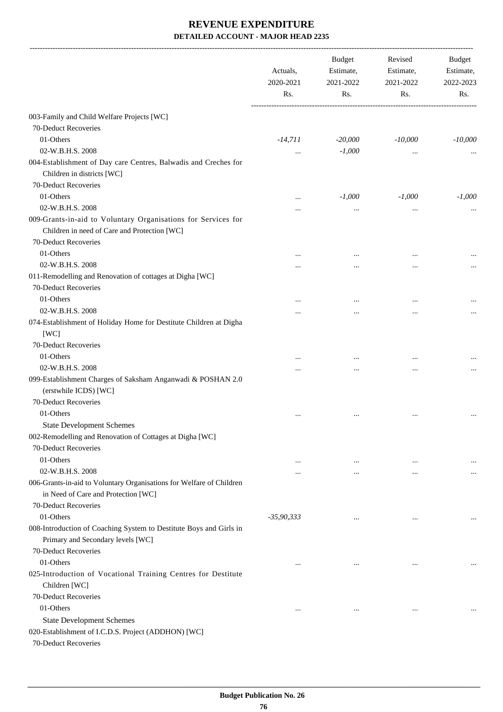|                                                                                                                                       | Actuals,<br>2020-2021<br>Rs. | <b>Budget</b><br>Estimate,<br>2021-2022<br>Rs. | Revised<br>Estimate,<br>2021-2022<br>Rs. | Budget<br>Estimate,<br>2022-2023<br>Rs. |
|---------------------------------------------------------------------------------------------------------------------------------------|------------------------------|------------------------------------------------|------------------------------------------|-----------------------------------------|
| 003-Family and Child Welfare Projects [WC]                                                                                            |                              |                                                |                                          |                                         |
| 70-Deduct Recoveries                                                                                                                  |                              |                                                |                                          |                                         |
| 01-Others                                                                                                                             | $-14,711$                    | $-20,000$                                      | $-10,000$                                | $-10,000$                               |
| 02-W.B.H.S. 2008                                                                                                                      |                              | $-1,000$                                       | $\cdots$                                 |                                         |
| 004-Establishment of Day care Centres, Balwadis and Creches for<br>Children in districts [WC]                                         |                              |                                                |                                          |                                         |
| 70-Deduct Recoveries                                                                                                                  |                              |                                                |                                          |                                         |
| 01-Others                                                                                                                             |                              | $-1,000$                                       | $-1,000$                                 | $-1,000$                                |
| 02-W.B.H.S. 2008                                                                                                                      |                              |                                                | $\cdots$                                 |                                         |
| 009-Grants-in-aid to Voluntary Organisations for Services for<br>Children in need of Care and Protection [WC]<br>70-Deduct Recoveries |                              |                                                |                                          |                                         |
| 01-Others                                                                                                                             |                              | $\cdots$                                       | $\cdots$                                 |                                         |
| 02-W.B.H.S. 2008                                                                                                                      |                              | $\cdots$                                       |                                          |                                         |
| 011-Remodelling and Renovation of cottages at Digha [WC]<br>70-Deduct Recoveries                                                      |                              |                                                |                                          |                                         |
| 01-Others                                                                                                                             |                              | $\cdots$                                       | $\cdots$                                 |                                         |
| 02-W.B.H.S. 2008                                                                                                                      |                              |                                                | $\cdots$                                 |                                         |
| 074-Establishment of Holiday Home for Destitute Children at Digha<br>[WC]                                                             |                              |                                                |                                          |                                         |
| 70-Deduct Recoveries                                                                                                                  |                              |                                                |                                          |                                         |
| 01-Others                                                                                                                             |                              |                                                |                                          |                                         |
| 02-W.B.H.S. 2008                                                                                                                      |                              | $\cdots$                                       | $\ddotsc$                                |                                         |
| 099-Establishment Charges of Saksham Anganwadi & POSHAN 2.0<br>(erstwhile ICDS) [WC]                                                  |                              |                                                |                                          |                                         |
| 70-Deduct Recoveries                                                                                                                  |                              |                                                |                                          |                                         |
| 01-Others                                                                                                                             | $\cdots$                     | $\cdots$                                       | $\cdots$                                 |                                         |
| <b>State Development Schemes</b>                                                                                                      |                              |                                                |                                          |                                         |
| 002-Remodelling and Renovation of Cottages at Digha [WC]<br>70-Deduct Recoveries                                                      |                              |                                                |                                          |                                         |
| 01-Others                                                                                                                             | $\cdots$                     | $\cdots$                                       | $\cdots$                                 | $\cdots$                                |
| 02-W.B.H.S. 2008                                                                                                                      | $\cdots$                     | $\ddotsc$                                      | $\ddotsc$                                | $\cdots$                                |
| 006-Grants-in-aid to Voluntary Organisations for Welfare of Children<br>in Need of Care and Protection [WC]                           |                              |                                                |                                          |                                         |
| 70-Deduct Recoveries                                                                                                                  |                              |                                                |                                          |                                         |
| 01-Others                                                                                                                             | $-35,90,333$                 | $\ddotsc$                                      | $\ddotsc$                                |                                         |
| 008-Introduction of Coaching System to Destitute Boys and Girls in<br>Primary and Secondary levels [WC]                               |                              |                                                |                                          |                                         |
| 70-Deduct Recoveries                                                                                                                  |                              |                                                |                                          |                                         |
| 01-Others                                                                                                                             |                              | $\ddotsc$                                      | $\cdots$                                 | $\cdots$                                |
| 025-Introduction of Vocational Training Centres for Destitute<br>Children [WC]                                                        |                              |                                                |                                          |                                         |
| 70-Deduct Recoveries                                                                                                                  |                              |                                                |                                          |                                         |
| 01-Others                                                                                                                             | $\ddotsc$                    | $\ddotsc$                                      | $\ddotsc$                                |                                         |
| <b>State Development Schemes</b>                                                                                                      |                              |                                                |                                          |                                         |
| 020-Establishment of I.C.D.S. Project (ADDHON) [WC]<br>70-Deduct Recoveries                                                           |                              |                                                |                                          |                                         |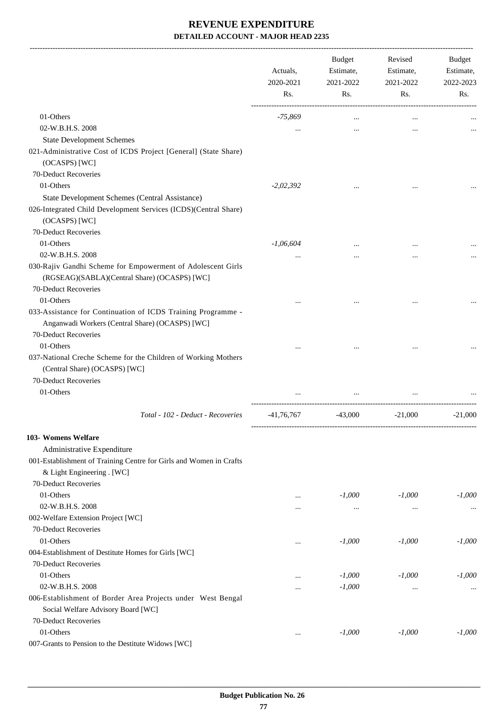-------------------------------------------------------------------------------------------------------------------------------------------------------------------------------

|                                                                                                                 | Actuals,<br>2020-2021<br>Rs. | <b>Budget</b><br>Estimate,<br>2021-2022<br>Rs. | Revised<br>Estimate,<br>2021-2022<br>Rs. | <b>Budget</b><br>Estimate,<br>2022-2023<br>Rs. |
|-----------------------------------------------------------------------------------------------------------------|------------------------------|------------------------------------------------|------------------------------------------|------------------------------------------------|
| 01-Others                                                                                                       | -75,869                      | $\cdots$                                       |                                          |                                                |
| 02-W.B.H.S. 2008                                                                                                | $\cdots$                     | $\cdots$                                       | $\cdots$                                 |                                                |
| <b>State Development Schemes</b>                                                                                |                              |                                                |                                          |                                                |
| 021-Administrative Cost of ICDS Project [General] (State Share)                                                 |                              |                                                |                                          |                                                |
| (OCASPS) [WC]                                                                                                   |                              |                                                |                                          |                                                |
| 70-Deduct Recoveries                                                                                            |                              |                                                |                                          |                                                |
| 01-Others                                                                                                       | $-2,02,392$                  |                                                |                                          |                                                |
| State Development Schemes (Central Assistance)                                                                  |                              |                                                |                                          |                                                |
| 026-Integrated Child Development Services (ICDS)(Central Share)<br>(OCASPS) [WC]                                |                              |                                                |                                          |                                                |
| 70-Deduct Recoveries                                                                                            |                              |                                                |                                          |                                                |
| 01-Others                                                                                                       | $-1,06,604$                  | $\cdots$                                       |                                          |                                                |
| 02-W.B.H.S. 2008                                                                                                |                              |                                                |                                          |                                                |
| 030-Rajiv Gandhi Scheme for Empowerment of Adolescent Girls<br>(RGSEAG)(SABLA)(Central Share) (OCASPS) [WC]     |                              |                                                |                                          |                                                |
| 70-Deduct Recoveries                                                                                            |                              |                                                |                                          |                                                |
| 01-Others                                                                                                       |                              |                                                |                                          |                                                |
| 033-Assistance for Continuation of ICDS Training Programme -<br>Anganwadi Workers (Central Share) (OCASPS) [WC] |                              |                                                |                                          |                                                |
| 70-Deduct Recoveries                                                                                            |                              |                                                |                                          |                                                |
| 01-Others<br>037-National Creche Scheme for the Children of Working Mothers<br>(Central Share) (OCASPS) [WC]    |                              |                                                |                                          |                                                |
| 70-Deduct Recoveries                                                                                            |                              |                                                |                                          |                                                |
| 01-Others                                                                                                       |                              | $\cdots$                                       |                                          |                                                |
|                                                                                                                 |                              |                                                |                                          |                                                |
| Total - 102 - Deduct - Recoveries                                                                               | $-41,76,767$                 | $-43,000$                                      | $-21,000$                                | $-21,000$                                      |
| 103- Womens Welfare                                                                                             |                              |                                                |                                          |                                                |
| Administrative Expenditure                                                                                      |                              |                                                |                                          |                                                |
| 001-Establishment of Training Centre for Girls and Women in Crafts                                              |                              |                                                |                                          |                                                |
| & Light Engineering . [WC]                                                                                      |                              |                                                |                                          |                                                |
| 70-Deduct Recoveries                                                                                            |                              |                                                |                                          |                                                |
| 01-Others                                                                                                       | $\cdots$                     | $-1,000$                                       | $-1,000$                                 | $-1,000$                                       |
| 02-W.B.H.S. 2008                                                                                                | $\cdots$                     | $\cdots$                                       | $\cdots$                                 |                                                |
| 002-Welfare Extension Project [WC]                                                                              |                              |                                                |                                          |                                                |
| 70-Deduct Recoveries                                                                                            |                              |                                                |                                          |                                                |
| 01-Others                                                                                                       | $\cdots$                     | $-1,000$                                       | $-1,000$                                 | $-1,000$                                       |
| 004-Establishment of Destitute Homes for Girls [WC]                                                             |                              |                                                |                                          |                                                |
| 70-Deduct Recoveries                                                                                            |                              |                                                |                                          |                                                |
| 01-Others                                                                                                       | $\cdots$                     | $-1,000$                                       | $-1,000$                                 | $-1,000$                                       |
| 02-W.B.H.S. 2008                                                                                                | $\cdots$                     | $-1,000$                                       | $\cdots$                                 | $\cdots$                                       |
| 006-Establishment of Border Area Projects under West Bengal<br>Social Welfare Advisory Board [WC]               |                              |                                                |                                          |                                                |
| 70-Deduct Recoveries                                                                                            |                              |                                                |                                          |                                                |
| 01-Others                                                                                                       | $\cdots$                     | $-1,000$                                       | $-1,000$                                 | $-1,000$                                       |
| 007-Grants to Pension to the Destitute Widows [WC]                                                              |                              |                                                |                                          |                                                |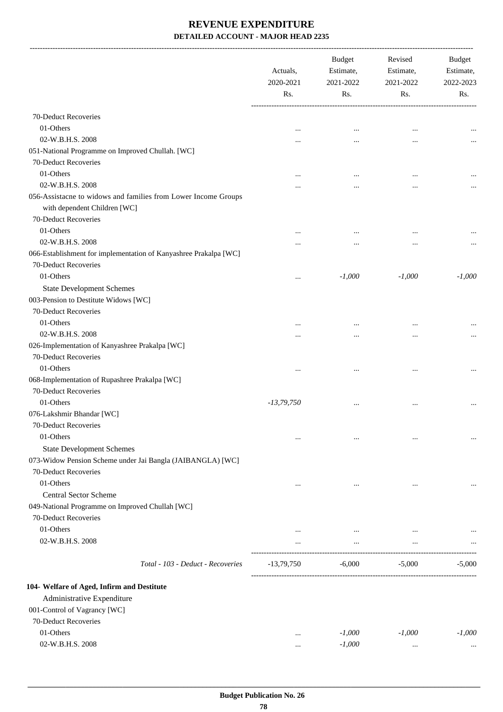-------------------------------------------------------------------------------------------------------------------------------------------------------------------------------

|                                                                  | Actuals,<br>2020-2021<br>Rs. | <b>Budget</b><br>Estimate,<br>2021-2022<br>Rs. | Revised<br>Estimate,<br>2021-2022<br>Rs. | <b>Budget</b><br>Estimate,<br>2022-2023<br>Rs. |
|------------------------------------------------------------------|------------------------------|------------------------------------------------|------------------------------------------|------------------------------------------------|
| 70-Deduct Recoveries                                             |                              |                                                |                                          |                                                |
| 01-Others                                                        | $\ddotsc$                    | $\ddotsc$                                      | $\ddotsc$                                |                                                |
| 02-W.B.H.S. 2008                                                 |                              | $\ddotsc$                                      | $\ddotsc$                                |                                                |
| 051-National Programme on Improved Chullah. [WC]                 |                              |                                                |                                          |                                                |
| 70-Deduct Recoveries                                             |                              |                                                |                                          |                                                |
| 01-Others                                                        |                              | $\cdots$                                       | $\ddotsc$                                |                                                |
| 02-W.B.H.S. 2008                                                 |                              |                                                | $\ddotsc$                                |                                                |
| 056-Assistacne to widows and families from Lower Income Groups   |                              |                                                |                                          |                                                |
| with dependent Children [WC]                                     |                              |                                                |                                          |                                                |
| 70-Deduct Recoveries                                             |                              |                                                |                                          |                                                |
| 01-Others                                                        |                              | $\ddotsc$                                      | $\ddotsc$                                |                                                |
| 02-W.B.H.S. 2008                                                 | $\cdots$                     |                                                |                                          |                                                |
| 066-Establishment for implementation of Kanyashree Prakalpa [WC] |                              |                                                |                                          |                                                |
| 70-Deduct Recoveries                                             |                              |                                                |                                          |                                                |
| 01-Others                                                        | $\ddotsc$                    | $-1,000$                                       | $-1,000$                                 | $-1,000$                                       |
| <b>State Development Schemes</b>                                 |                              |                                                |                                          |                                                |
| 003-Pension to Destitute Widows [WC]                             |                              |                                                |                                          |                                                |
| 70-Deduct Recoveries                                             |                              |                                                |                                          |                                                |
| 01-Others                                                        |                              | $\ddotsc$                                      | $\ddotsc$                                |                                                |
| 02-W.B.H.S. 2008                                                 | $\cdots$                     | $\cdots$                                       | $\ddotsc$                                |                                                |
| 026-Implementation of Kanyashree Prakalpa [WC]                   |                              |                                                |                                          |                                                |
| 70-Deduct Recoveries                                             |                              |                                                |                                          |                                                |
| 01-Others                                                        | $\ddotsc$                    | $\cdots$                                       | $\cdots$                                 | $\cdots$                                       |
| 068-Implementation of Rupashree Prakalpa [WC]                    |                              |                                                |                                          |                                                |
| 70-Deduct Recoveries                                             |                              |                                                |                                          |                                                |
| 01-Others                                                        | $-13,79,750$                 | $\ddotsc$                                      | $\ddotsc$                                |                                                |
| 076-Lakshmir Bhandar [WC]                                        |                              |                                                |                                          |                                                |
| 70-Deduct Recoveries                                             |                              |                                                |                                          |                                                |
| 01-Others                                                        | $\ddotsc$                    | $\cdots$                                       | $\cdots$                                 | $\cdots$                                       |
| <b>State Development Schemes</b>                                 |                              |                                                |                                          |                                                |
| 073-Widow Pension Scheme under Jai Bangla (JAIBANGLA) [WC]       |                              |                                                |                                          |                                                |
| 70-Deduct Recoveries                                             |                              |                                                |                                          |                                                |
| 01-Others                                                        | $\cdots$                     | $\cdots$                                       | $\cdots$                                 |                                                |
| <b>Central Sector Scheme</b>                                     |                              |                                                |                                          |                                                |
| 049-National Programme on Improved Chullah [WC]                  |                              |                                                |                                          |                                                |
| 70-Deduct Recoveries                                             |                              |                                                |                                          |                                                |
| 01-Others                                                        | $\cdots$                     | $\cdots$                                       | $\cdots$                                 |                                                |
| 02-W.B.H.S. 2008                                                 |                              | $\cdots$                                       | $\cdots$                                 |                                                |
| Total - 103 - Deduct - Recoveries                                | $-13,79,750$                 | $-6,000$                                       | $-5,000$                                 | $-5,000$                                       |
| 104- Welfare of Aged, Infirm and Destitute                       |                              |                                                |                                          |                                                |
| Administrative Expenditure                                       |                              |                                                |                                          |                                                |
| 001-Control of Vagrancy [WC]                                     |                              |                                                |                                          |                                                |
| 70-Deduct Recoveries                                             |                              |                                                |                                          |                                                |
| 01-Others                                                        | $\ddotsc$                    | $-1,000$                                       | $-1,000$                                 | $-1,000$                                       |
| 02-W.B.H.S. 2008                                                 | $\cdots$                     | $-1,000$                                       | $\cdots$                                 | $\ldots$                                       |
|                                                                  |                              |                                                |                                          |                                                |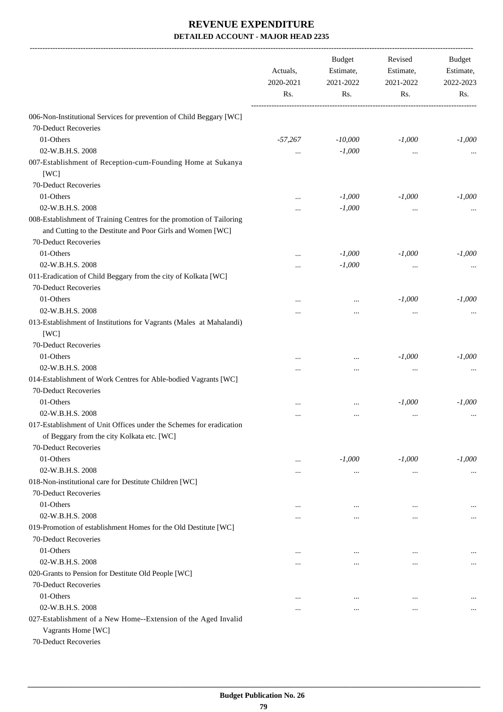|                                                                                                                                                            | Actuals,<br>2020-2021 | <b>Budget</b><br>Estimate,<br>2021-2022 | Revised<br>Estimate,<br>2021-2022 | Budget<br>Estimate,<br>2022-2023 |
|------------------------------------------------------------------------------------------------------------------------------------------------------------|-----------------------|-----------------------------------------|-----------------------------------|----------------------------------|
|                                                                                                                                                            | Rs.                   | Rs.                                     | Rs.                               | Rs.                              |
| 006-Non-Institutional Services for prevention of Child Beggary [WC]                                                                                        |                       |                                         |                                   |                                  |
| 70-Deduct Recoveries                                                                                                                                       |                       |                                         |                                   |                                  |
| 01-Others                                                                                                                                                  | $-57,267$             | $-10,000$                               | $-1,000$                          | $-1,000$                         |
| 02-W.B.H.S. 2008                                                                                                                                           |                       | $-1,000$                                | $\cdots$                          |                                  |
| 007-Establishment of Reception-cum-Founding Home at Sukanya<br>[WC]                                                                                        |                       |                                         |                                   |                                  |
| 70-Deduct Recoveries                                                                                                                                       |                       |                                         |                                   |                                  |
| 01-Others                                                                                                                                                  |                       | $-1,000$                                | $-1,000$                          | $-1,000$                         |
| 02-W.B.H.S. 2008                                                                                                                                           |                       | $-1,000$                                | $\cdots$                          |                                  |
| 008-Establishment of Training Centres for the promotion of Tailoring<br>and Cutting to the Destitute and Poor Girls and Women [WC]<br>70-Deduct Recoveries |                       |                                         |                                   |                                  |
| 01-Others                                                                                                                                                  | $\cdots$              | $-1,000$                                | $-1,000$                          | $-1,000$                         |
| 02-W.B.H.S. 2008                                                                                                                                           | $\cdots$              | $-1,000$                                | $\cdots$                          |                                  |
| 011-Eradication of Child Beggary from the city of Kolkata [WC]                                                                                             |                       |                                         |                                   |                                  |
| 70-Deduct Recoveries                                                                                                                                       |                       |                                         |                                   |                                  |
| 01-Others                                                                                                                                                  |                       | $\cdots$                                | $-1,000$                          | $-1,000$                         |
| 02-W.B.H.S. 2008                                                                                                                                           |                       | $\cdots$                                | $\cdots$                          |                                  |
| 013-Establishment of Institutions for Vagrants (Males at Mahalandi)<br>[WC]                                                                                |                       |                                         |                                   |                                  |
| 70-Deduct Recoveries                                                                                                                                       |                       |                                         |                                   |                                  |
| 01-Others                                                                                                                                                  |                       |                                         | $-1,000$                          | $-1,000$                         |
| 02-W.B.H.S. 2008                                                                                                                                           | $\cdots$              |                                         | $\cdots$                          |                                  |
| 014-Establishment of Work Centres for Able-bodied Vagrants [WC]                                                                                            |                       |                                         |                                   |                                  |
| 70-Deduct Recoveries                                                                                                                                       |                       |                                         |                                   |                                  |
| 01-Others                                                                                                                                                  |                       | $\cdots$                                | $-1,000$                          | $-1,000$                         |
| 02-W.B.H.S. 2008                                                                                                                                           | $\cdots$              |                                         | $\cdots$                          |                                  |
| 017-Establishment of Unit Offices under the Schemes for eradication<br>of Beggary from the city Kolkata etc. [WC]<br>70-Deduct Recoveries                  |                       |                                         |                                   |                                  |
| 01-Others                                                                                                                                                  | $\cdots$              | $-1,000$                                | $-1,000$                          | $-1,000$                         |
| 02-W.B.H.S. 2008                                                                                                                                           |                       | $\cdots$                                | $\cdots$                          |                                  |
| 018-Non-institutional care for Destitute Children [WC]                                                                                                     |                       |                                         |                                   |                                  |
| 70-Deduct Recoveries                                                                                                                                       |                       |                                         |                                   |                                  |
| 01-Others                                                                                                                                                  | $\ddotsc$             | $\ddotsc$                               | $\ddotsc$                         |                                  |
| 02-W.B.H.S. 2008                                                                                                                                           | $\cdots$              |                                         | $\ddotsc$                         |                                  |
| 019-Promotion of establishment Homes for the Old Destitute [WC]                                                                                            |                       |                                         |                                   |                                  |
| 70-Deduct Recoveries                                                                                                                                       |                       |                                         |                                   |                                  |
| 01-Others                                                                                                                                                  | $\cdots$              | $\cdots$                                |                                   | $\cdots$                         |
| 02-W.B.H.S. 2008                                                                                                                                           | $\cdots$              | $\cdots$                                | $\cdots$                          |                                  |
| 020-Grants to Pension for Destitute Old People [WC]                                                                                                        |                       |                                         |                                   |                                  |
| 70-Deduct Recoveries                                                                                                                                       |                       |                                         |                                   |                                  |
| 01-Others                                                                                                                                                  | $\cdots$              | $\cdots$                                | $\cdots$                          |                                  |
| 02-W.B.H.S. 2008                                                                                                                                           | $\cdots$              | $\cdots$                                | $\cdots$                          |                                  |
| 027-Establishment of a New Home--Extension of the Aged Invalid<br>Vagrants Home [WC]                                                                       |                       |                                         |                                   |                                  |

70-Deduct Recoveries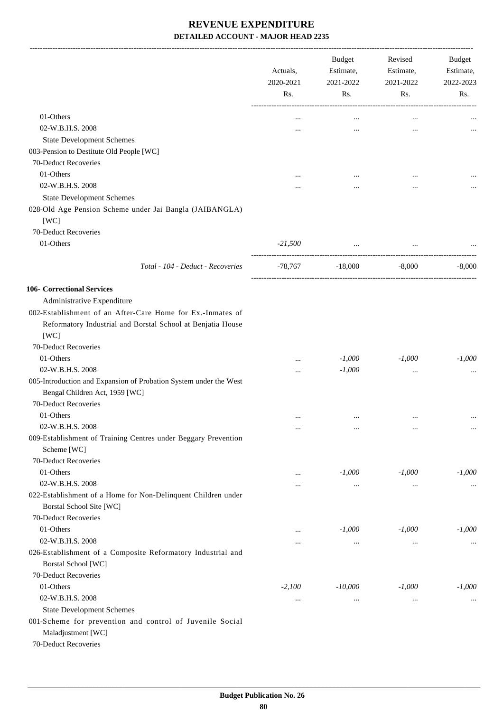|                                                                                                     | Actuals,<br>2020-2021 | Budget<br>Estimate,<br>2021-2022<br>Rs.<br>Rs. | Revised<br>Estimate, | 2021-2022 | Budget<br>Estimate,<br>2022-2023 |
|-----------------------------------------------------------------------------------------------------|-----------------------|------------------------------------------------|----------------------|-----------|----------------------------------|
|                                                                                                     |                       |                                                | Rs.                  | Rs.       |                                  |
| 01-Others                                                                                           | $\ddotsc$             | $\cdots$                                       | $\cdots$             |           |                                  |
| 02-W.B.H.S. 2008                                                                                    |                       |                                                |                      |           |                                  |
| <b>State Development Schemes</b>                                                                    |                       |                                                |                      |           |                                  |
| 003-Pension to Destitute Old People [WC]                                                            |                       |                                                |                      |           |                                  |
| 70-Deduct Recoveries                                                                                |                       |                                                |                      |           |                                  |
| 01-Others                                                                                           |                       |                                                |                      |           |                                  |
| 02-W.B.H.S. 2008                                                                                    |                       |                                                |                      |           |                                  |
|                                                                                                     |                       |                                                |                      |           |                                  |
| <b>State Development Schemes</b>                                                                    |                       |                                                |                      |           |                                  |
| 028-Old Age Pension Scheme under Jai Bangla (JAIBANGLA)<br>[WC]                                     |                       |                                                |                      |           |                                  |
|                                                                                                     |                       |                                                |                      |           |                                  |
| 70-Deduct Recoveries                                                                                |                       |                                                |                      |           |                                  |
| 01-Others                                                                                           | $-21,500$             | $\ddots$                                       |                      |           |                                  |
| Total - 104 - Deduct - Recoveries                                                                   |                       | $-78,767$ $-18,000$                            | $-8,000$             | $-8,000$  |                                  |
| <b>106- Correctional Services</b>                                                                   |                       |                                                |                      |           |                                  |
| Administrative Expenditure                                                                          |                       |                                                |                      |           |                                  |
| 002-Establishment of an After-Care Home for Ex.-Inmates of                                          |                       |                                                |                      |           |                                  |
| Reformatory Industrial and Borstal School at Benjatia House                                         |                       |                                                |                      |           |                                  |
| [WC]                                                                                                |                       |                                                |                      |           |                                  |
| 70-Deduct Recoveries                                                                                |                       |                                                |                      |           |                                  |
| 01-Others                                                                                           |                       | $-1,000$                                       | $-1,000$             | $-1,000$  |                                  |
| 02-W.B.H.S. 2008                                                                                    | $\cdots$              | $-1,000$                                       | $\ddotsc$            |           |                                  |
| 005-Introduction and Expansion of Probation System under the West<br>Bengal Children Act, 1959 [WC] |                       |                                                |                      |           |                                  |
| 70-Deduct Recoveries                                                                                |                       |                                                |                      |           |                                  |
| 01-Others                                                                                           |                       | $\ddotsc$                                      |                      |           |                                  |
| 02-W.B.H.S. 2008                                                                                    | $\cdots$              | $\cdots$                                       | $\ldots$             | $\cdots$  |                                  |
| 009-Establishment of Training Centres under Beggary Prevention                                      |                       |                                                |                      |           |                                  |
| Scheme [WC]                                                                                         |                       |                                                |                      |           |                                  |
| 70-Deduct Recoveries                                                                                |                       |                                                |                      |           |                                  |
| 01-Others                                                                                           | $\cdots$              | $-1,000$                                       | $-1,000$             | $-1,000$  |                                  |
| 02-W.B.H.S. 2008                                                                                    | $\cdots$              | $\cdots$                                       | $\ldots$             | $\cdots$  |                                  |
| 022-Establishment of a Home for Non-Delinquent Children under                                       |                       |                                                |                      |           |                                  |
| Borstal School Site [WC]                                                                            |                       |                                                |                      |           |                                  |
| 70-Deduct Recoveries                                                                                |                       |                                                |                      |           |                                  |
| 01-Others                                                                                           | $\cdots$              | $-1,000$                                       | $-1,000$             | $-1,000$  |                                  |
| 02-W.B.H.S. 2008                                                                                    |                       | $\cdots$                                       | $\cdots$             | $\cdots$  |                                  |
| 026-Establishment of a Composite Reformatory Industrial and<br><b>Borstal School</b> [WC]           |                       |                                                |                      |           |                                  |
| 70-Deduct Recoveries                                                                                |                       |                                                |                      |           |                                  |
| 01-Others                                                                                           | $-2,100$              | $-10,000$                                      | $-1,000$             | $-1,000$  |                                  |
| 02-W.B.H.S. 2008                                                                                    |                       |                                                |                      |           |                                  |
|                                                                                                     | $\cdots$              | $\cdots$                                       | $\cdots$             | $\cdots$  |                                  |
| <b>State Development Schemes</b><br>001-Scheme for prevention and control of Juvenile Social        |                       |                                                |                      |           |                                  |
| Maladjustment [WC]                                                                                  |                       |                                                |                      |           |                                  |
| 70-Deduct Recoveries                                                                                |                       |                                                |                      |           |                                  |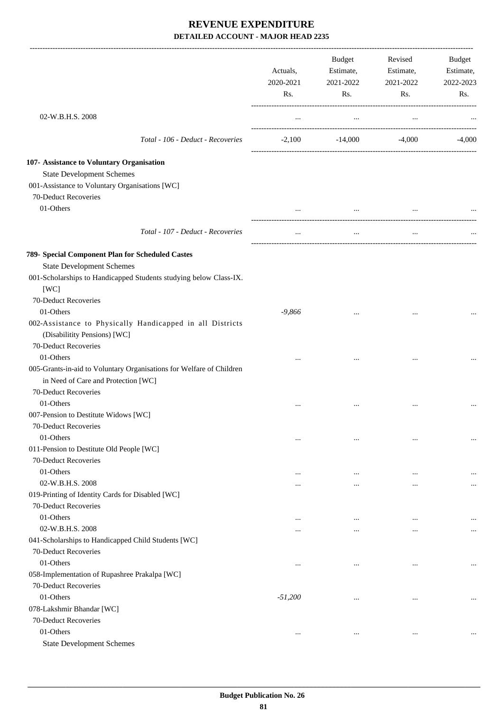|                                                                      | Actuals,<br>2020-2021<br>Rs. | <b>Budget</b><br>Estimate,<br>2021-2022<br>Rs. | Revised<br>Estimate,<br>2021-2022<br>Rs. | Budget<br>Estimate,<br>2022-2023<br>Rs. |
|----------------------------------------------------------------------|------------------------------|------------------------------------------------|------------------------------------------|-----------------------------------------|
| 02-W.B.H.S. 2008                                                     | $\ldots$                     | $\ldots$                                       | $\cdots$                                 |                                         |
| Total - 106 - Deduct - Recoveries                                    | $-2,100$                     | $-14,000$                                      | -4,000                                   | $-4,000$                                |
| 107- Assistance to Voluntary Organisation                            |                              |                                                |                                          |                                         |
| <b>State Development Schemes</b>                                     |                              |                                                |                                          |                                         |
| 001-Assistance to Voluntary Organisations [WC]                       |                              |                                                |                                          |                                         |
| 70-Deduct Recoveries                                                 |                              |                                                |                                          |                                         |
| 01-Others                                                            | $\cdots$                     | $\cdots$                                       | $\cdots$                                 |                                         |
|                                                                      |                              |                                                |                                          |                                         |
| Total - 107 - Deduct - Recoveries                                    | $\cdots$                     | $\cdots$                                       | $\cdots$                                 |                                         |
| 789- Special Component Plan for Scheduled Castes                     |                              |                                                |                                          |                                         |
| <b>State Development Schemes</b>                                     |                              |                                                |                                          |                                         |
| 001-Scholarships to Handicapped Students studying below Class-IX.    |                              |                                                |                                          |                                         |
| [WC]                                                                 |                              |                                                |                                          |                                         |
| 70-Deduct Recoveries                                                 |                              |                                                |                                          |                                         |
| 01-Others                                                            | $-9,866$                     | $\cdots$                                       |                                          |                                         |
| 002-Assistance to Physically Handicapped in all Districts            |                              |                                                |                                          |                                         |
| (Disabilitity Pensions) [WC]                                         |                              |                                                |                                          |                                         |
| 70-Deduct Recoveries                                                 |                              |                                                |                                          |                                         |
| 01-Others                                                            | $\cdots$                     |                                                | $\cdots$                                 |                                         |
| 005-Grants-in-aid to Voluntary Organisations for Welfare of Children |                              |                                                |                                          |                                         |
| in Need of Care and Protection [WC]                                  |                              |                                                |                                          |                                         |
| 70-Deduct Recoveries                                                 |                              |                                                |                                          |                                         |
| 01-Others                                                            |                              | $\ddotsc$                                      | $\cdots$                                 |                                         |
| 007-Pension to Destitute Widows [WC]                                 |                              |                                                |                                          |                                         |
| 70-Deduct Recoveries                                                 |                              |                                                |                                          |                                         |
| 01-Others                                                            | $\cdots$                     | $\cdots$                                       |                                          |                                         |
| 011-Pension to Destitute Old People [WC]                             |                              |                                                |                                          |                                         |
| 70-Deduct Recoveries                                                 |                              |                                                |                                          |                                         |
| 01-Others                                                            | $\cdots$                     | $\cdots$                                       | $\cdots$                                 |                                         |
| 02-W.B.H.S. 2008                                                     |                              | $\cdots$                                       |                                          |                                         |
| 019-Printing of Identity Cards for Disabled [WC]                     |                              |                                                |                                          |                                         |
| 70-Deduct Recoveries                                                 |                              |                                                |                                          |                                         |
| 01-Others                                                            | $\cdots$                     | $\ddotsc$                                      | $\cdots$                                 |                                         |
| 02-W.B.H.S. 2008                                                     | $\cdots$                     | $\cdots$                                       |                                          |                                         |
| 041-Scholarships to Handicapped Child Students [WC]                  |                              |                                                |                                          |                                         |
| 70-Deduct Recoveries                                                 |                              |                                                |                                          |                                         |
| 01-Others                                                            | $\cdots$                     | $\cdots$                                       | $\cdots$                                 | $\cdots$                                |
| 058-Implementation of Rupashree Prakalpa [WC]                        |                              |                                                |                                          |                                         |
| 70-Deduct Recoveries                                                 |                              |                                                |                                          |                                         |
| 01-Others                                                            | $-51,200$                    |                                                |                                          |                                         |
| 078-Lakshmir Bhandar [WC]                                            |                              |                                                |                                          |                                         |
| 70-Deduct Recoveries<br>01-Others                                    |                              |                                                |                                          |                                         |
| <b>State Development Schemes</b>                                     | $\cdots$                     | $\cdots$                                       | $\cdots$                                 | $\cdots$                                |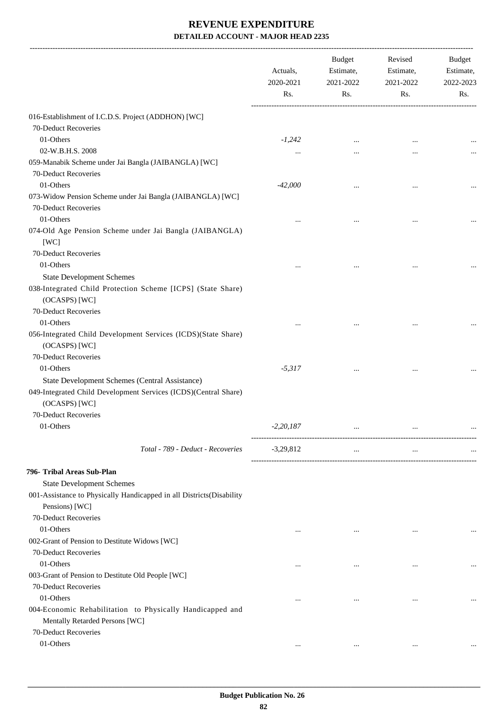|                                                                      | Actuals,<br>2020-2021<br>Rs. | <b>Budget</b><br>Estimate,<br>2021-2022<br>Rs. | Revised<br>Estimate,<br>2021-2022<br>Rs. | Budget<br>Estimate,<br>2022-2023<br>Rs. |
|----------------------------------------------------------------------|------------------------------|------------------------------------------------|------------------------------------------|-----------------------------------------|
| 016-Establishment of I.C.D.S. Project (ADDHON) [WC]                  |                              |                                                |                                          |                                         |
| 70-Deduct Recoveries                                                 |                              |                                                |                                          |                                         |
| 01-Others                                                            | $-1,242$                     | $\ddotsc$                                      | $\cdots$                                 |                                         |
| 02-W.B.H.S. 2008                                                     |                              |                                                |                                          |                                         |
| 059-Manabik Scheme under Jai Bangla (JAIBANGLA) [WC]                 |                              |                                                |                                          |                                         |
| 70-Deduct Recoveries                                                 |                              |                                                |                                          |                                         |
| 01-Others                                                            | $-42,000$                    |                                                | $\ddotsc$                                |                                         |
| 073-Widow Pension Scheme under Jai Bangla (JAIBANGLA) [WC]           |                              |                                                |                                          |                                         |
| 70-Deduct Recoveries                                                 |                              |                                                |                                          |                                         |
| 01-Others                                                            |                              |                                                | $\cdots$                                 |                                         |
| 074-Old Age Pension Scheme under Jai Bangla (JAIBANGLA)              |                              |                                                |                                          |                                         |
| [WC]                                                                 |                              |                                                |                                          |                                         |
| 70-Deduct Recoveries                                                 |                              |                                                |                                          |                                         |
| 01-Others                                                            |                              |                                                |                                          |                                         |
| <b>State Development Schemes</b>                                     |                              |                                                |                                          |                                         |
| 038-Integrated Child Protection Scheme [ICPS] (State Share)          |                              |                                                |                                          |                                         |
| (OCASPS) [WC]                                                        |                              |                                                |                                          |                                         |
| 70-Deduct Recoveries                                                 |                              |                                                |                                          |                                         |
| 01-Others                                                            |                              |                                                |                                          |                                         |
| 056-Integrated Child Development Services (ICDS)(State Share)        |                              |                                                |                                          |                                         |
| (OCASPS) [WC]                                                        |                              |                                                |                                          |                                         |
| 70-Deduct Recoveries                                                 |                              |                                                |                                          |                                         |
| 01-Others                                                            | $-5,317$                     |                                                |                                          |                                         |
| State Development Schemes (Central Assistance)                       |                              |                                                |                                          |                                         |
| 049-Integrated Child Development Services (ICDS)(Central Share)      |                              |                                                |                                          |                                         |
| (OCASPS) [WC]                                                        |                              |                                                |                                          |                                         |
| 70-Deduct Recoveries                                                 |                              |                                                |                                          |                                         |
| 01-Others                                                            | $-2,20,187$                  |                                                |                                          |                                         |
|                                                                      |                              |                                                |                                          |                                         |
| Total - 789 - Deduct - Recoveries                                    | $-3,29,812$                  | $\cdots$                                       | $\ldots$                                 |                                         |
| 796- Tribal Areas Sub-Plan                                           |                              |                                                |                                          |                                         |
| <b>State Development Schemes</b>                                     |                              |                                                |                                          |                                         |
| 001-Assistance to Physically Handicapped in all Districts(Disability |                              |                                                |                                          |                                         |
| Pensions) [WC]                                                       |                              |                                                |                                          |                                         |
| 70-Deduct Recoveries                                                 |                              |                                                |                                          |                                         |
| 01-Others                                                            | $\cdots$                     | $\cdots$                                       | $\cdots$                                 | $\cdots$                                |
| 002-Grant of Pension to Destitute Widows [WC]                        |                              |                                                |                                          |                                         |
| 70-Deduct Recoveries                                                 |                              |                                                |                                          |                                         |
| 01-Others                                                            |                              | $\ddotsc$                                      | $\ddotsc$                                |                                         |
| 003-Grant of Pension to Destitute Old People [WC]                    |                              |                                                |                                          |                                         |
| 70-Deduct Recoveries                                                 |                              |                                                |                                          |                                         |
| 01-Others                                                            |                              |                                                | $\ddotsc$                                |                                         |
| 004-Economic Rehabilitation to Physically Handicapped and            |                              |                                                |                                          |                                         |
| Mentally Retarded Persons [WC]                                       |                              |                                                |                                          |                                         |
| 70-Deduct Recoveries                                                 |                              |                                                |                                          |                                         |
| 01-Others                                                            | $\cdots$                     | $\cdots$                                       | $\cdots$                                 |                                         |
|                                                                      |                              |                                                |                                          |                                         |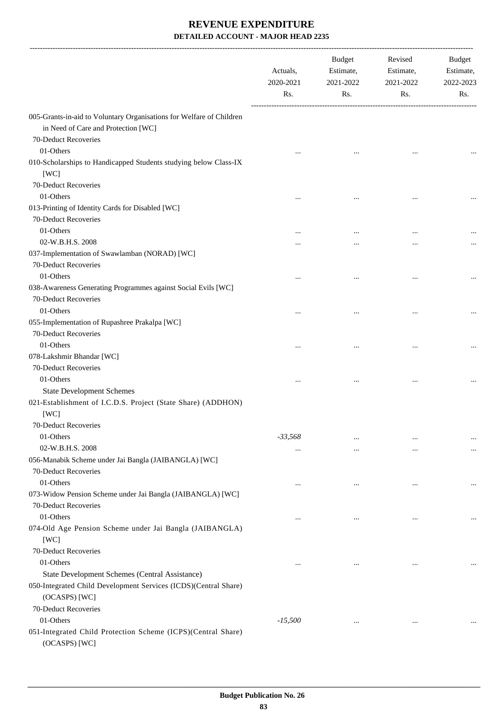|                                                                                                                                     | Actuals,<br>2020-2021<br>Rs. | Budget<br>Estimate,<br>2021-2022<br>Rs. | Revised<br>Estimate,<br>2021-2022<br>Rs. | Budget<br>Estimate,<br>2022-2023<br>Rs. |
|-------------------------------------------------------------------------------------------------------------------------------------|------------------------------|-----------------------------------------|------------------------------------------|-----------------------------------------|
| 005-Grants-in-aid to Voluntary Organisations for Welfare of Children<br>in Need of Care and Protection [WC]<br>70-Deduct Recoveries |                              |                                         |                                          |                                         |
| 01-Others                                                                                                                           |                              |                                         |                                          |                                         |
| 010-Scholarships to Handicapped Students studying below Class-IX<br>[WC]                                                            |                              |                                         |                                          |                                         |
| 70-Deduct Recoveries<br>01-Others                                                                                                   |                              |                                         |                                          |                                         |
|                                                                                                                                     |                              |                                         |                                          |                                         |
| 013-Printing of Identity Cards for Disabled [WC]<br>70-Deduct Recoveries                                                            |                              |                                         |                                          |                                         |
| 01-Others                                                                                                                           | $\cdots$                     | $\ddotsc$                               | $\cdots$                                 |                                         |
| 02-W.B.H.S. 2008<br>037-Implementation of Swawlamban (NORAD) [WC]<br>70-Deduct Recoveries                                           |                              |                                         |                                          |                                         |
| 01-Others                                                                                                                           | $\cdots$                     | $\ddotsc$                               | $\cdots$                                 |                                         |
| 038-Awareness Generating Programmes against Social Evils [WC]                                                                       |                              |                                         |                                          |                                         |
| 70-Deduct Recoveries                                                                                                                |                              |                                         |                                          |                                         |
| 01-Others                                                                                                                           | $\cdots$                     | $\cdots$                                | $\cdots$                                 |                                         |
| 055-Implementation of Rupashree Prakalpa [WC]                                                                                       |                              |                                         |                                          |                                         |
| 70-Deduct Recoveries                                                                                                                |                              |                                         |                                          |                                         |
| 01-Others                                                                                                                           | $\cdots$                     |                                         |                                          |                                         |
| 078-Lakshmir Bhandar [WC]                                                                                                           |                              |                                         |                                          |                                         |
| 70-Deduct Recoveries                                                                                                                |                              |                                         |                                          |                                         |
| 01-Others                                                                                                                           |                              |                                         | $\cdots$                                 |                                         |
| <b>State Development Schemes</b>                                                                                                    |                              |                                         |                                          |                                         |
| 021-Establishment of I.C.D.S. Project (State Share) (ADDHON)<br>[WC]                                                                |                              |                                         |                                          |                                         |
| 70-Deduct Recoveries                                                                                                                |                              |                                         |                                          |                                         |
| 01-Others                                                                                                                           | $-33,568$                    | $\cdots$                                |                                          |                                         |
| 02-W.B.H.S. 2008                                                                                                                    | $\cdots$                     | $\cdots$                                |                                          |                                         |
| 056-Manabik Scheme under Jai Bangla (JAIBANGLA) [WC]                                                                                |                              |                                         |                                          |                                         |
| 70-Deduct Recoveries                                                                                                                |                              |                                         |                                          |                                         |
| 01-Others                                                                                                                           | $\ddotsc$                    | $\cdots$                                | $\cdots$                                 | $\ldots$                                |
| 073-Widow Pension Scheme under Jai Bangla (JAIBANGLA) [WC]                                                                          |                              |                                         |                                          |                                         |
| 70-Deduct Recoveries                                                                                                                |                              |                                         |                                          |                                         |
| 01-Others                                                                                                                           | $\ddotsc$                    | $\cdots$                                | $\ddotsc$                                |                                         |
| 074-Old Age Pension Scheme under Jai Bangla (JAIBANGLA)<br>[WC]                                                                     |                              |                                         |                                          |                                         |
| 70-Deduct Recoveries                                                                                                                |                              |                                         |                                          |                                         |
| 01-Others                                                                                                                           | $\ddotsc$                    | $\cdots$                                | $\cdots$                                 |                                         |
| State Development Schemes (Central Assistance)                                                                                      |                              |                                         |                                          |                                         |
| 050-Integrated Child Development Services (ICDS)(Central Share)<br>(OCASPS) [WC]                                                    |                              |                                         |                                          |                                         |
| 70-Deduct Recoveries                                                                                                                |                              |                                         |                                          |                                         |
| 01-Others                                                                                                                           | $-15,500$                    | $\cdots$                                | $\cdots$                                 |                                         |
| 051-Integrated Child Protection Scheme (ICPS)(Central Share)<br>(OCASPS) [WC]                                                       |                              |                                         |                                          |                                         |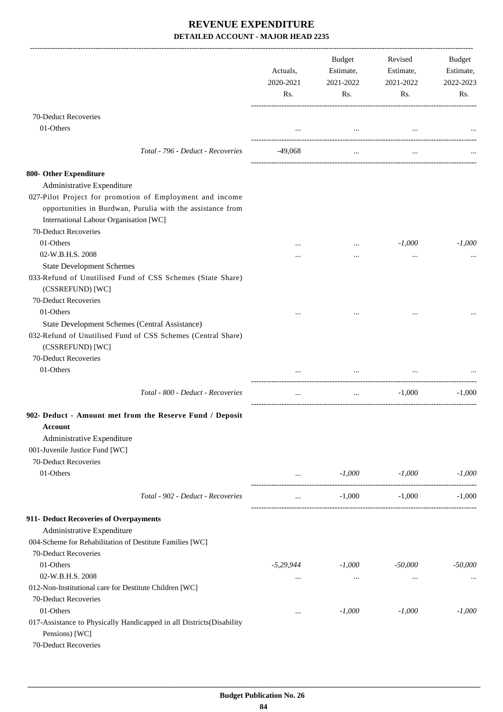|                                                                                                                | Actuals,<br>2020-2021<br>Rs. | Budget<br>Estimate,<br>2021-2022<br>Rs. | Revised<br>Estimate,<br>2021-2022<br>Rs. | Budget<br>Estimate,<br>2022-2023<br>Rs. |
|----------------------------------------------------------------------------------------------------------------|------------------------------|-----------------------------------------|------------------------------------------|-----------------------------------------|
| 70-Deduct Recoveries                                                                                           |                              |                                         |                                          |                                         |
| 01-Others                                                                                                      |                              |                                         | and the contract of the contract of the  |                                         |
| Total - 796 - Deduct - Recoveries                                                                              | -49,068                      | $\cdots$                                | $\cdots$                                 |                                         |
|                                                                                                                |                              |                                         |                                          |                                         |
| 800- Other Expenditure                                                                                         |                              |                                         |                                          |                                         |
| Administrative Expenditure                                                                                     |                              |                                         |                                          |                                         |
| 027-Pilot Project for promotion of Employment and income                                                       |                              |                                         |                                          |                                         |
| opportunities in Burdwan, Purulia with the assistance from                                                     |                              |                                         |                                          |                                         |
| International Labour Organisation [WC]                                                                         |                              |                                         |                                          |                                         |
| 70-Deduct Recoveries                                                                                           |                              |                                         |                                          |                                         |
| 01-Others                                                                                                      |                              |                                         | $-1,000$                                 | $-1,000$                                |
| 02-W.B.H.S. 2008                                                                                               |                              |                                         | $\cdots$                                 |                                         |
| <b>State Development Schemes</b>                                                                               |                              |                                         |                                          |                                         |
| 033-Refund of Unutilised Fund of CSS Schemes (State Share)<br>(CSSREFUND) [WC]                                 |                              |                                         |                                          |                                         |
| 70-Deduct Recoveries                                                                                           |                              |                                         |                                          |                                         |
| 01-Others                                                                                                      |                              |                                         |                                          |                                         |
| State Development Schemes (Central Assistance)                                                                 |                              |                                         |                                          |                                         |
| 032-Refund of Unutilised Fund of CSS Schemes (Central Share)<br>(CSSREFUND) [WC]                               |                              |                                         |                                          |                                         |
| 70-Deduct Recoveries                                                                                           |                              |                                         |                                          |                                         |
| 01-Others                                                                                                      | $\cdots$                     | $\cdots$                                | $\cdots$                                 |                                         |
| Total - 800 - Deduct - Recoveries                                                                              | $\cdots$                     | $\cdots$                                | $-1,000$                                 | $-1,000$                                |
| 902- Deduct - Amount met from the Reserve Fund / Deposit                                                       |                              |                                         |                                          |                                         |
| Account                                                                                                        |                              |                                         |                                          |                                         |
| Administrative Expenditure                                                                                     |                              |                                         |                                          |                                         |
| 001-Juvenile Justice Fund [WC]                                                                                 |                              |                                         |                                          |                                         |
| 70-Deduct Recoveries                                                                                           |                              |                                         |                                          |                                         |
| 01-Others                                                                                                      | $\cdots$                     |                                         | $-1,000$ $-1,000$                        | $-1.000$                                |
| Total - 902 - Deduct - Recoveries                                                                              | $\cdots$                     | $-1,000$                                | $-1,000$                                 | $-1,000$                                |
| 911- Deduct Recoveries of Overpayments                                                                         |                              |                                         |                                          |                                         |
| Administrative Expenditure                                                                                     |                              |                                         |                                          |                                         |
| 004-Scheme for Rehabilitation of Destitute Families [WC]                                                       |                              |                                         |                                          |                                         |
| 70-Deduct Recoveries                                                                                           |                              |                                         |                                          |                                         |
| 01-Others                                                                                                      | $-5,29,944$                  | $-1,000$                                | -50,000                                  | $-50,000$                               |
| 02-W.B.H.S. 2008                                                                                               | $\cdots$                     | $\cdots$                                | $\cdots$                                 |                                         |
| 012-Non-Institutional care for Destitute Children [WC]                                                         |                              |                                         |                                          |                                         |
| 70-Deduct Recoveries                                                                                           |                              |                                         |                                          |                                         |
| 01-Others                                                                                                      | $\cdots$                     | $-1,000$                                | $-1,000$                                 | $-1,000$                                |
| 017-Assistance to Physically Handicapped in all Districts(Disability<br>Pensions) [WC]<br>70-Deduct Recoveries |                              |                                         |                                          |                                         |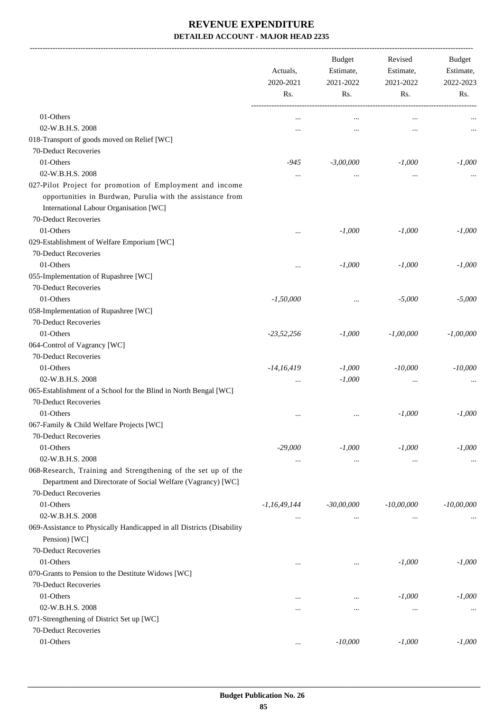-------------------------------------------------------------------------------------------------------------------------------------------------------------------------------

|                                                                                                                                                                  | Actuals,<br>2020-2021<br>Rs. |              | <b>Budget</b><br>Revised<br>Estimate,<br>Estimate,<br>2021-2022<br>2021-2022<br>Rs. |              |  |  | <b>Budget</b><br>Estimate,<br>2022-2023 |
|------------------------------------------------------------------------------------------------------------------------------------------------------------------|------------------------------|--------------|-------------------------------------------------------------------------------------|--------------|--|--|-----------------------------------------|
|                                                                                                                                                                  |                              |              | Rs.                                                                                 | Rs.          |  |  |                                         |
| 01-Others                                                                                                                                                        | $\cdots$                     | $\ddotsc$    | $\cdots$                                                                            |              |  |  |                                         |
| 02-W.B.H.S. 2008                                                                                                                                                 |                              |              |                                                                                     |              |  |  |                                         |
| 018-Transport of goods moved on Relief [WC]                                                                                                                      |                              |              |                                                                                     |              |  |  |                                         |
| 70-Deduct Recoveries                                                                                                                                             |                              |              |                                                                                     |              |  |  |                                         |
| 01-Others                                                                                                                                                        | -945                         | $-3,00,000$  | $-1,000$                                                                            | $-1,000$     |  |  |                                         |
| 02-W.B.H.S. 2008                                                                                                                                                 |                              | $\ddotsc$    | $\ddotsc$                                                                           | $\cdots$     |  |  |                                         |
| 027-Pilot Project for promotion of Employment and income<br>opportunities in Burdwan, Purulia with the assistance from<br>International Labour Organisation [WC] |                              |              |                                                                                     |              |  |  |                                         |
| 70-Deduct Recoveries                                                                                                                                             |                              |              |                                                                                     |              |  |  |                                         |
| 01-Others                                                                                                                                                        |                              | $-1,000$     | $-1,000$                                                                            | $-1,000$     |  |  |                                         |
| 029-Establishment of Welfare Emporium [WC]                                                                                                                       |                              |              |                                                                                     |              |  |  |                                         |
| 70-Deduct Recoveries                                                                                                                                             |                              |              |                                                                                     |              |  |  |                                         |
| 01-Others                                                                                                                                                        |                              | $-1,000$     | $-1,000$                                                                            | $-1,000$     |  |  |                                         |
| 055-Implementation of Rupashree [WC]                                                                                                                             |                              |              |                                                                                     |              |  |  |                                         |
| 70-Deduct Recoveries                                                                                                                                             |                              |              |                                                                                     |              |  |  |                                         |
| 01-Others                                                                                                                                                        | $-1,50,000$                  |              | $-5,000$                                                                            | $-5,000$     |  |  |                                         |
| 058-Implementation of Rupashree [WC]                                                                                                                             |                              |              |                                                                                     |              |  |  |                                         |
| 70-Deduct Recoveries                                                                                                                                             |                              |              |                                                                                     |              |  |  |                                         |
| 01-Others                                                                                                                                                        | $-23,52,256$                 | $-1,000$     | $-1,00,000$                                                                         | $-1,00,000$  |  |  |                                         |
| 064-Control of Vagrancy [WC]                                                                                                                                     |                              |              |                                                                                     |              |  |  |                                         |
| 70-Deduct Recoveries                                                                                                                                             |                              |              |                                                                                     |              |  |  |                                         |
| 01-Others                                                                                                                                                        | $-14,16,419$                 | $-1,000$     | $-10,000$                                                                           | $-10,000$    |  |  |                                         |
| 02-W.B.H.S. 2008                                                                                                                                                 | $\cdots$                     | $-1,000$     | $\cdots$                                                                            |              |  |  |                                         |
| 065-Establishment of a School for the Blind in North Bengal [WC]                                                                                                 |                              |              |                                                                                     |              |  |  |                                         |
| 70-Deduct Recoveries                                                                                                                                             |                              |              |                                                                                     |              |  |  |                                         |
| 01-Others                                                                                                                                                        |                              | $\ddotsc$    | $-1,000$                                                                            | $-1,000$     |  |  |                                         |
| 067-Family & Child Welfare Projects [WC]                                                                                                                         |                              |              |                                                                                     |              |  |  |                                         |
| 70-Deduct Recoveries                                                                                                                                             |                              |              |                                                                                     |              |  |  |                                         |
| 01-Others                                                                                                                                                        | $-29,000$                    | $-1,000$     | $-1,000$                                                                            | $-1,000$     |  |  |                                         |
| 02-W.B.H.S. 2008                                                                                                                                                 | $\cdots$                     | $\cdots$     | $\ldots$                                                                            | $\cdots$     |  |  |                                         |
| 068-Research, Training and Strengthening of the set up of the<br>Department and Directorate of Social Welfare (Vagrancy) [WC]<br>70-Deduct Recoveries            |                              |              |                                                                                     |              |  |  |                                         |
| 01-Others                                                                                                                                                        | -1,16,49,144                 | $-30,00,000$ | $-10,00,000$                                                                        | $-10,00,000$ |  |  |                                         |
| 02-W.B.H.S. 2008                                                                                                                                                 |                              |              |                                                                                     |              |  |  |                                         |
| 069-Assistance to Physically Handicapped in all Districts (Disability                                                                                            | $\cdots$                     | $\cdots$     | $\cdots$                                                                            |              |  |  |                                         |
| Pension) [WC]                                                                                                                                                    |                              |              |                                                                                     |              |  |  |                                         |
| 70-Deduct Recoveries                                                                                                                                             |                              |              |                                                                                     |              |  |  |                                         |
| 01-Others                                                                                                                                                        | $\cdots$                     | $\cdots$     | $-1,000$                                                                            | $-1,000$     |  |  |                                         |
| 070-Grants to Pension to the Destitute Widows [WC]                                                                                                               |                              |              |                                                                                     |              |  |  |                                         |
| 70-Deduct Recoveries                                                                                                                                             |                              |              |                                                                                     |              |  |  |                                         |
| 01-Others                                                                                                                                                        | $\cdots$                     | $\cdots$     | $-1,000$                                                                            | $-1,000$     |  |  |                                         |
| 02-W.B.H.S. 2008                                                                                                                                                 | $\ddotsc$                    | $\cdots$     | $\ldots$                                                                            | $\cdots$     |  |  |                                         |
| 071-Strengthening of District Set up [WC]                                                                                                                        |                              |              |                                                                                     |              |  |  |                                         |
| 70-Deduct Recoveries                                                                                                                                             |                              |              |                                                                                     |              |  |  |                                         |
| 01-Others                                                                                                                                                        | $\cdots$                     | $-10,000$    | $-1,000$                                                                            | $-1,000$     |  |  |                                         |
|                                                                                                                                                                  |                              |              |                                                                                     |              |  |  |                                         |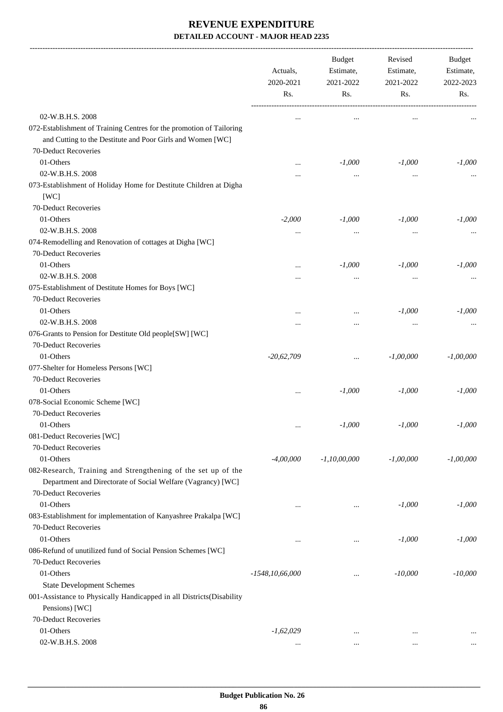|                                                                                                                                                        | Actuals,<br>2020-2021<br>Rs. | <b>Budget</b><br>Estimate,<br>2021-2022<br>Rs. | Revised<br>Estimate,<br>2021-2022<br>Rs. | Budget<br>Estimate,<br>2022-2023<br>Rs. |
|--------------------------------------------------------------------------------------------------------------------------------------------------------|------------------------------|------------------------------------------------|------------------------------------------|-----------------------------------------|
|                                                                                                                                                        |                              |                                                |                                          |                                         |
| 02-W.B.H.S. 2008<br>072-Establishment of Training Centres for the promotion of Tailoring<br>and Cutting to the Destitute and Poor Girls and Women [WC] |                              | $\cdots$                                       | $\cdots$                                 |                                         |
| 70-Deduct Recoveries                                                                                                                                   |                              |                                                |                                          |                                         |
| 01-Others                                                                                                                                              |                              | $-1,000$                                       | $-1,000$                                 | $-1,000$                                |
| 02-W.B.H.S. 2008                                                                                                                                       |                              | $\ddotsc$                                      | $\cdots$                                 |                                         |
| 073-Establishment of Holiday Home for Destitute Children at Digha<br>[WC]                                                                              |                              |                                                |                                          |                                         |
| 70-Deduct Recoveries                                                                                                                                   |                              |                                                |                                          |                                         |
| 01-Others                                                                                                                                              | $-2,000$                     | $-1,000$                                       | $-1,000$                                 | $-1,000$                                |
| 02-W.B.H.S. 2008                                                                                                                                       | $\cdots$                     | $\cdots$                                       | $\cdots$                                 |                                         |
| 074-Remodelling and Renovation of cottages at Digha [WC]                                                                                               |                              |                                                |                                          |                                         |
| 70-Deduct Recoveries                                                                                                                                   |                              |                                                |                                          |                                         |
| 01-Others                                                                                                                                              |                              | $-1,000$                                       | $-1,000$                                 | $-1,000$                                |
| 02-W.B.H.S. 2008                                                                                                                                       |                              | $\cdots$                                       | $\cdots$                                 |                                         |
| 075-Establishment of Destitute Homes for Boys [WC]                                                                                                     |                              |                                                |                                          |                                         |
| 70-Deduct Recoveries                                                                                                                                   |                              |                                                |                                          |                                         |
| 01-Others                                                                                                                                              |                              | $\ddotsc$                                      | $-1,000$                                 | $-1,000$                                |
| 02-W.B.H.S. 2008                                                                                                                                       |                              |                                                | $\cdots$                                 |                                         |
| 076-Grants to Pension for Destitute Old people[SW] [WC]                                                                                                |                              |                                                |                                          |                                         |
| 70-Deduct Recoveries                                                                                                                                   |                              |                                                |                                          |                                         |
| 01-Others                                                                                                                                              | $-20,62,709$                 | $\cdots$                                       | $-1,00,000$                              | $-1,00,000$                             |
| 077-Shelter for Homeless Persons [WC]                                                                                                                  |                              |                                                |                                          |                                         |
| 70-Deduct Recoveries                                                                                                                                   |                              |                                                |                                          |                                         |
| 01-Others                                                                                                                                              |                              | $-1,000$                                       | $-1,000$                                 | $-1,000$                                |
| 078-Social Economic Scheme [WC]                                                                                                                        |                              |                                                |                                          |                                         |
| 70-Deduct Recoveries                                                                                                                                   |                              |                                                |                                          |                                         |
| 01-Others                                                                                                                                              |                              | $-1,000$                                       | $-1,000$                                 | $-1,000$                                |
| 081-Deduct Recoveries [WC]                                                                                                                             |                              |                                                |                                          |                                         |
| 70-Deduct Recoveries                                                                                                                                   |                              |                                                |                                          |                                         |
| 01-Others                                                                                                                                              | $-4,00,000$                  | $-1, 10, 00, 000$                              | $-1,00,000$                              | $-1,00,000$                             |
| 082-Research, Training and Strengthening of the set up of the<br>Department and Directorate of Social Welfare (Vagrancy) [WC]                          |                              |                                                |                                          |                                         |
| 70-Deduct Recoveries                                                                                                                                   |                              |                                                |                                          |                                         |
| 01-Others                                                                                                                                              |                              | $\cdots$                                       | $-1,000$                                 | $-1,000$                                |
| 083-Establishment for implementation of Kanyashree Prakalpa [WC]                                                                                       |                              |                                                |                                          |                                         |
| 70-Deduct Recoveries                                                                                                                                   |                              |                                                |                                          |                                         |
| 01-Others                                                                                                                                              | $\cdots$                     | $\cdots$                                       | $-1,000$                                 | $-1,000$                                |
| 086-Refund of unutilized fund of Social Pension Schemes [WC]                                                                                           |                              |                                                |                                          |                                         |
| 70-Deduct Recoveries                                                                                                                                   |                              |                                                |                                          |                                         |
| 01-Others                                                                                                                                              | $-1548, 10, 66, 000$         |                                                | $-10,000$                                | $-10,000$                               |
| <b>State Development Schemes</b>                                                                                                                       |                              |                                                |                                          |                                         |
| 001-Assistance to Physically Handicapped in all Districts(Disability<br>Pensions) [WC]                                                                 |                              |                                                |                                          |                                         |
| 70-Deduct Recoveries                                                                                                                                   |                              |                                                |                                          |                                         |
| 01-Others                                                                                                                                              | $-1,62,029$                  | $\ddotsc$                                      | $\cdots$                                 |                                         |
| 02-W.B.H.S. 2008                                                                                                                                       | $\cdots$                     |                                                |                                          |                                         |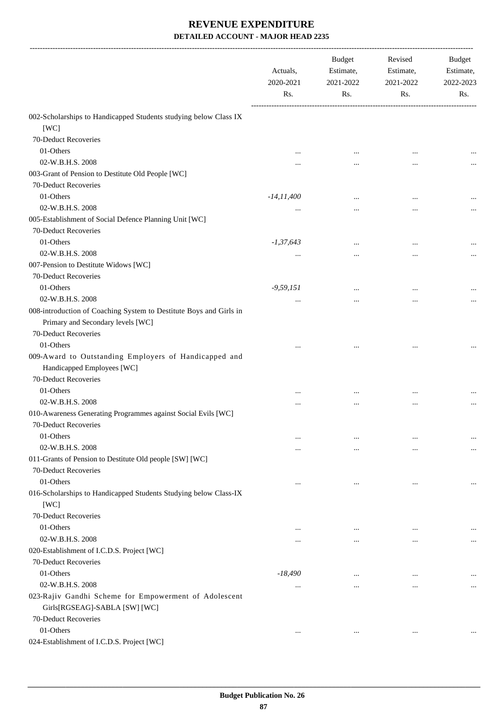|                                                                                                            | Actuals,<br>2020-2021<br>Rs. | <b>Budget</b><br>Estimate,<br>2021-2022<br>Rs. | Revised<br>Estimate,<br>2021-2022<br>Rs. | Budget<br>Estimate,<br>2022-2023<br>Rs. |
|------------------------------------------------------------------------------------------------------------|------------------------------|------------------------------------------------|------------------------------------------|-----------------------------------------|
| 002-Scholarships to Handicapped Students studying below Class IX                                           |                              |                                                |                                          |                                         |
| [WC]                                                                                                       |                              |                                                |                                          |                                         |
| 70-Deduct Recoveries                                                                                       |                              |                                                |                                          |                                         |
| 01-Others                                                                                                  |                              |                                                |                                          |                                         |
| 02-W.B.H.S. 2008                                                                                           |                              | $\cdots$                                       | $\cdots$                                 |                                         |
| 003-Grant of Pension to Destitute Old People [WC]                                                          |                              |                                                |                                          |                                         |
| 70-Deduct Recoveries                                                                                       |                              |                                                |                                          |                                         |
| 01-Others                                                                                                  | $-14, 11, 400$               | $\cdots$                                       |                                          |                                         |
| 02-W.B.H.S. 2008                                                                                           | $\ddotsc$                    | $\ddotsc$                                      |                                          |                                         |
| 005-Establishment of Social Defence Planning Unit [WC]                                                     |                              |                                                |                                          |                                         |
| 70-Deduct Recoveries                                                                                       |                              |                                                |                                          |                                         |
| 01-Others                                                                                                  | $-1,37,643$                  |                                                |                                          |                                         |
| 02-W.B.H.S. 2008                                                                                           | $\ddotsc$                    |                                                |                                          |                                         |
| 007-Pension to Destitute Widows [WC]                                                                       |                              |                                                |                                          |                                         |
| 70-Deduct Recoveries                                                                                       |                              |                                                |                                          |                                         |
| 01-Others                                                                                                  | $-9,59,151$                  | $\ddotsc$                                      |                                          |                                         |
| 02-W.B.H.S. 2008                                                                                           |                              | $\cdots$                                       |                                          |                                         |
| 008-introduction of Coaching System to Destitute Boys and Girls in<br>Primary and Secondary levels [WC]    |                              |                                                |                                          |                                         |
| 70-Deduct Recoveries                                                                                       |                              |                                                |                                          |                                         |
| 01-Others                                                                                                  |                              |                                                |                                          |                                         |
| 009-Award to Outstanding Employers of Handicapped and<br>Handicapped Employees [WC]                        |                              |                                                |                                          |                                         |
| 70-Deduct Recoveries                                                                                       |                              |                                                |                                          |                                         |
| 01-Others                                                                                                  |                              |                                                | $\cdots$                                 |                                         |
| 02-W.B.H.S. 2008                                                                                           |                              | $\ddotsc$                                      | $\ddotsc$                                |                                         |
| 010-Awareness Generating Programmes against Social Evils [WC]<br>70-Deduct Recoveries                      |                              |                                                |                                          |                                         |
| 01-Others                                                                                                  | $\cdots$                     | $\cdots$                                       |                                          | $\cdots$                                |
| 02-W.B.H.S. 2008                                                                                           | $\cdots$                     | $\cdots$                                       | $\cdots$                                 | $\cdots$                                |
| 011-Grants of Pension to Destitute Old people [SW] [WC]<br>70-Deduct Recoveries                            |                              |                                                |                                          |                                         |
| 01-Others<br>016-Scholarships to Handicapped Students Studying below Class-IX<br>[WC]                      | $\ddotsc$                    | $\cdots$                                       | $\cdots$                                 | $\cdots$                                |
| 70-Deduct Recoveries                                                                                       |                              |                                                |                                          |                                         |
| 01-Others                                                                                                  | $\ddotsc$                    | $\ddotsc$                                      | $\ddotsc$                                |                                         |
| 02-W.B.H.S. 2008                                                                                           |                              |                                                |                                          | $\cdots$                                |
| 020-Establishment of I.C.D.S. Project [WC]                                                                 | $\cdots$                     | $\cdots$                                       | $\cdots$                                 | $\cdots$                                |
| 70-Deduct Recoveries                                                                                       |                              |                                                |                                          |                                         |
| 01-Others                                                                                                  | $-18,490$                    | $\cdots$                                       | $\cdots$                                 | $\cdots$                                |
| 02-W.B.H.S. 2008<br>023-Rajiv Gandhi Scheme for Empowerment of Adolescent<br>Girls[RGSEAG]-SABLA [SW] [WC] | $\cdots$                     | $\cdots$                                       |                                          | $\cdots$                                |
| 70-Deduct Recoveries                                                                                       |                              |                                                |                                          |                                         |
| 01-Others<br>024-Establishment of I.C.D.S. Project [WC]                                                    | $\cdots$                     | $\cdots$                                       | $\ddotsc$                                |                                         |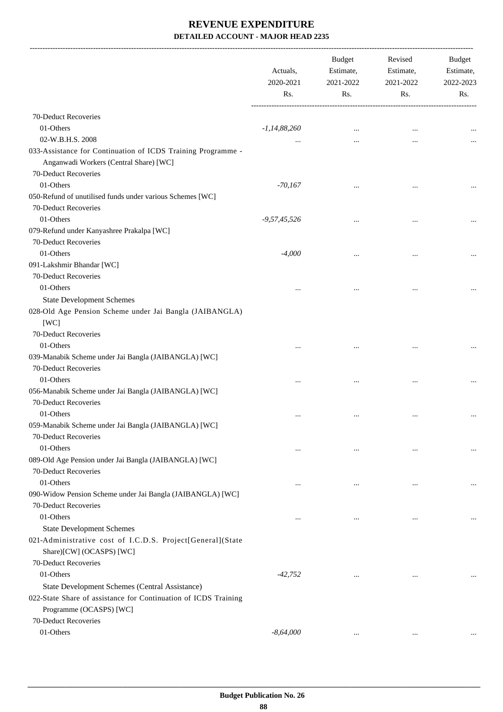-------------------------------------------------------------------------------------------------------------------------------------------------------------------------------

|                                                                                                                                | Actuals,<br>2020-2021<br>Rs. | <b>Budget</b><br>Estimate,<br>2021-2022<br>Rs. | Revised<br>Estimate,<br>2021-2022<br>Rs. | <b>Budget</b><br>Estimate,<br>2022-2023<br>Rs. |
|--------------------------------------------------------------------------------------------------------------------------------|------------------------------|------------------------------------------------|------------------------------------------|------------------------------------------------|
| 70-Deduct Recoveries                                                                                                           |                              |                                                |                                          |                                                |
| 01-Others                                                                                                                      | $-1,14,88,260$               |                                                |                                          |                                                |
| 02-W.B.H.S. 2008                                                                                                               |                              | $\cdots$                                       |                                          |                                                |
| 033-Assistance for Continuation of ICDS Training Programme -<br>Anganwadi Workers (Central Share) [WC]<br>70-Deduct Recoveries |                              |                                                |                                          |                                                |
| 01-Others                                                                                                                      | $-70,167$                    |                                                |                                          |                                                |
| 050-Refund of unutilised funds under various Schemes [WC]                                                                      |                              | $\cdots$                                       | $\cdots$                                 |                                                |
| 70-Deduct Recoveries                                                                                                           |                              |                                                |                                          |                                                |
| 01-Others                                                                                                                      | $-9,57,45,526$               |                                                |                                          |                                                |
| 079-Refund under Kanyashree Prakalpa [WC]                                                                                      |                              |                                                | $\ddotsc$                                |                                                |
| 70-Deduct Recoveries                                                                                                           |                              |                                                |                                          |                                                |
| 01-Others                                                                                                                      | $-4,000$                     |                                                |                                          |                                                |
| 091-Lakshmir Bhandar [WC]                                                                                                      |                              |                                                |                                          |                                                |
| 70-Deduct Recoveries                                                                                                           |                              |                                                |                                          |                                                |
| 01-Others                                                                                                                      |                              |                                                |                                          |                                                |
|                                                                                                                                |                              |                                                |                                          |                                                |
| <b>State Development Schemes</b>                                                                                               |                              |                                                |                                          |                                                |
| 028-Old Age Pension Scheme under Jai Bangla (JAIBANGLA)<br>[WC]                                                                |                              |                                                |                                          |                                                |
| 70-Deduct Recoveries                                                                                                           |                              |                                                |                                          |                                                |
| 01-Others                                                                                                                      |                              |                                                |                                          |                                                |
| 039-Manabik Scheme under Jai Bangla (JAIBANGLA) [WC]                                                                           |                              |                                                |                                          |                                                |
| 70-Deduct Recoveries                                                                                                           |                              |                                                |                                          |                                                |
| 01-Others                                                                                                                      |                              | $\ddotsc$                                      | $\ddotsc$                                | $\cdots$                                       |
| 056-Manabik Scheme under Jai Bangla (JAIBANGLA) [WC]                                                                           |                              |                                                |                                          |                                                |
| 70-Deduct Recoveries                                                                                                           |                              |                                                |                                          |                                                |
| 01-Others                                                                                                                      | $\ddotsc$                    | $\cdots$                                       |                                          |                                                |
| 059-Manabik Scheme under Jai Bangla (JAIBANGLA) [WC]<br>70-Deduct Recoveries                                                   |                              |                                                |                                          |                                                |
| 01-Others                                                                                                                      | $\ddotsc$                    | $\cdots$                                       | $\ddotsc$                                |                                                |
| 089-Old Age Pension under Jai Bangla (JAIBANGLA) [WC]                                                                          |                              |                                                |                                          |                                                |
| 70-Deduct Recoveries                                                                                                           |                              |                                                |                                          |                                                |
| 01-Others                                                                                                                      | $\ddotsc$                    |                                                | $\ddotsc$                                |                                                |
| 090-Widow Pension Scheme under Jai Bangla (JAIBANGLA) [WC]                                                                     |                              |                                                |                                          |                                                |
| 70-Deduct Recoveries                                                                                                           |                              |                                                |                                          |                                                |
| 01-Others                                                                                                                      | $\ddotsc$                    | $\ddotsc$                                      | $\ddotsc$                                | $\cdots$                                       |
| <b>State Development Schemes</b>                                                                                               |                              |                                                |                                          |                                                |
| 021-Administrative cost of I.C.D.S. Project[General](State<br>Share)[CW] (OCASPS) [WC]                                         |                              |                                                |                                          |                                                |
| 70-Deduct Recoveries                                                                                                           |                              |                                                |                                          |                                                |
| 01-Others                                                                                                                      | $-42,752$                    | $\cdots$                                       |                                          |                                                |
| State Development Schemes (Central Assistance)                                                                                 |                              |                                                |                                          |                                                |
| 022-State Share of assistance for Continuation of ICDS Training                                                                |                              |                                                |                                          |                                                |
| Programme (OCASPS) [WC]                                                                                                        |                              |                                                |                                          |                                                |
| 70-Deduct Recoveries                                                                                                           |                              |                                                |                                          |                                                |
| 01-Others                                                                                                                      | $-8,64,000$                  | $\cdots$                                       | $\cdots$                                 |                                                |
|                                                                                                                                |                              |                                                |                                          |                                                |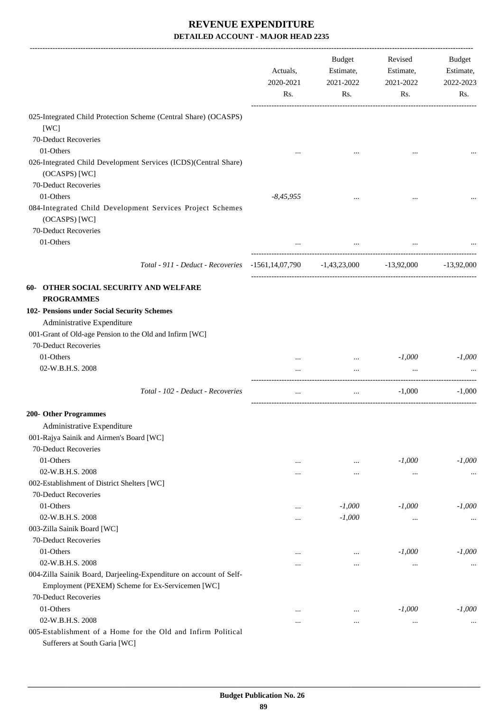|                                                                                               | Actuals,<br>2020-2021<br>Rs. | Budget<br>Estimate,<br>2021-2022<br>Rs. | Revised<br>Estimate,<br>2021-2022<br>Rs. | Budget<br>Estimate,<br>2022-2023<br>Rs. |
|-----------------------------------------------------------------------------------------------|------------------------------|-----------------------------------------|------------------------------------------|-----------------------------------------|
| 025-Integrated Child Protection Scheme (Central Share) (OCASPS)<br>[WC]                       |                              |                                         |                                          |                                         |
| 70-Deduct Recoveries                                                                          |                              |                                         |                                          |                                         |
| 01-Others                                                                                     |                              |                                         |                                          |                                         |
| 026-Integrated Child Development Services (ICDS)(Central Share)<br>(OCASPS) [WC]              |                              |                                         |                                          |                                         |
| 70-Deduct Recoveries                                                                          |                              |                                         |                                          |                                         |
| 01-Others                                                                                     | $-8,45,955$                  |                                         |                                          |                                         |
| 084-Integrated Child Development Services Project Schemes<br>(OCASPS) [WC]                    |                              |                                         |                                          |                                         |
| 70-Deduct Recoveries                                                                          |                              |                                         |                                          |                                         |
| 01-Others                                                                                     |                              | $\cdots$                                |                                          |                                         |
| Total - 911 - Deduct - Recoveries -1561,14,07,790 -1,43,23,000 -13,92,000                     |                              |                                         |                                          | $-13,92,000$                            |
| 60- OTHER SOCIAL SECURITY AND WELFARE<br><b>PROGRAMMES</b>                                    |                              |                                         |                                          |                                         |
| 102- Pensions under Social Security Schemes                                                   |                              |                                         |                                          |                                         |
| Administrative Expenditure                                                                    |                              |                                         |                                          |                                         |
| 001-Grant of Old-age Pension to the Old and Infirm [WC]                                       |                              |                                         |                                          |                                         |
| 70-Deduct Recoveries                                                                          |                              |                                         |                                          |                                         |
| 01-Others                                                                                     |                              | $\ldots$                                | $-1,000$                                 | $-1,000$                                |
| 02-W.B.H.S. 2008                                                                              | $\cdots$                     | $\cdots$                                | $\cdots$                                 |                                         |
| Total - 102 - Deduct - Recoveries                                                             | $\cdots$                     | $\ddotsc$                               | $-1,000$                                 | $-1,000$                                |
| 200- Other Programmes                                                                         |                              |                                         |                                          |                                         |
| Administrative Expenditure                                                                    |                              |                                         |                                          |                                         |
| 001-Rajya Sainik and Airmen's Board [WC]                                                      |                              |                                         |                                          |                                         |
| 70-Deduct Recoveries                                                                          |                              |                                         |                                          |                                         |
| 01-Others                                                                                     |                              | $\cdots$                                | $-1,000$                                 | $-1,000$                                |
| 02-W.B.H.S. 2008                                                                              | $\cdots$                     | $\cdots$                                | $\ldots$                                 | $\cdots$                                |
| 002-Establishment of District Shelters [WC]                                                   |                              |                                         |                                          |                                         |
| 70-Deduct Recoveries                                                                          |                              |                                         |                                          |                                         |
| 01-Others                                                                                     |                              | $-1,000$                                | $-1,000$                                 | $-1,000$                                |
| 02-W.B.H.S. 2008                                                                              |                              | $-1,000$                                | $\cdots$                                 |                                         |
| 003-Zilla Sainik Board [WC]                                                                   |                              |                                         |                                          |                                         |
| 70-Deduct Recoveries                                                                          |                              |                                         |                                          |                                         |
| 01-Others                                                                                     |                              | $\cdots$                                | $-1,000$                                 | $-1,000$                                |
| 02-W.B.H.S. 2008                                                                              | $\cdots$                     | $\cdots$                                | $\cdots$                                 | $\cdots$                                |
| 004-Zilla Sainik Board, Darjeeling-Expenditure on account of Self-                            |                              |                                         |                                          |                                         |
| Employment (PEXEM) Scheme for Ex-Servicemen [WC]                                              |                              |                                         |                                          |                                         |
| 70-Deduct Recoveries                                                                          |                              |                                         |                                          |                                         |
| 01-Others                                                                                     | $\cdots$                     | $\cdots$                                | $-1,000$                                 | $-1,000$                                |
| 02-W.B.H.S. 2008                                                                              | $\cdots$                     | $\cdots$                                | $\ddotsc$                                |                                         |
| 005-Establishment of a Home for the Old and Infirm Political<br>Sufferers at South Garia [WC] |                              |                                         |                                          |                                         |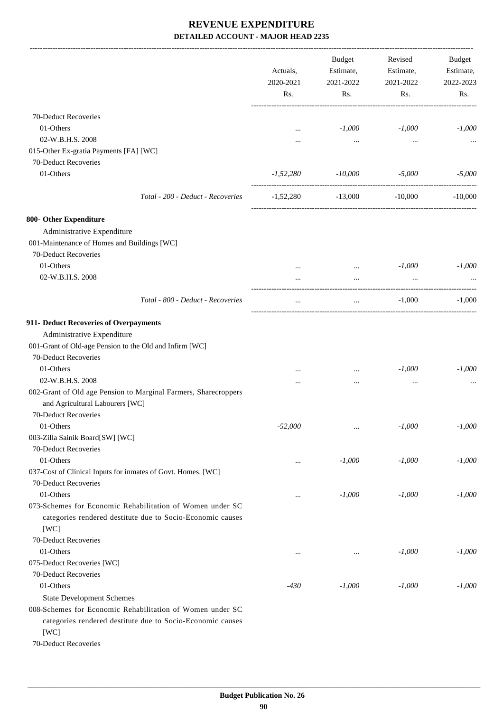|                                                                                                                                                                      | Actuals,<br>2020-2021<br>Rs. | Budget<br>Estimate,<br>2021-2022<br>Rs. | Revised<br>Estimate,<br>2021-2022<br>Rs. | Budget<br>Estimate,<br>2022-2023<br>Rs. |
|----------------------------------------------------------------------------------------------------------------------------------------------------------------------|------------------------------|-----------------------------------------|------------------------------------------|-----------------------------------------|
| 70-Deduct Recoveries                                                                                                                                                 |                              |                                         |                                          |                                         |
| 01-Others                                                                                                                                                            | $\cdots$                     | $-1,000$                                | $-1,000$                                 | $-1,000$                                |
| 02-W.B.H.S. 2008                                                                                                                                                     |                              | $\cdots$                                | $\cdots$                                 |                                         |
| 015-Other Ex-gratia Payments [FA] [WC]                                                                                                                               |                              |                                         |                                          |                                         |
| 70-Deduct Recoveries                                                                                                                                                 |                              |                                         |                                          |                                         |
| 01-Others                                                                                                                                                            | $-1,52,280$                  | $-10,000$                               | $-5,000$                                 | $-5,000$                                |
|                                                                                                                                                                      |                              |                                         |                                          |                                         |
| Total - 200 - Deduct - Recoveries                                                                                                                                    |                              | $-1,52,280$ $-13,000$ $-10,000$         |                                          | $-10,000$                               |
| 800- Other Expenditure                                                                                                                                               |                              |                                         |                                          |                                         |
| Administrative Expenditure                                                                                                                                           |                              |                                         |                                          |                                         |
| 001-Maintenance of Homes and Buildings [WC]                                                                                                                          |                              |                                         |                                          |                                         |
| 70-Deduct Recoveries                                                                                                                                                 |                              |                                         |                                          |                                         |
| 01-Others                                                                                                                                                            |                              | $\mathbf{r}$ and $\mathbf{r}$ .         | $-1,000$                                 | $-1,000$                                |
| 02-W.B.H.S. 2008                                                                                                                                                     | $\cdots$                     | $\cdots$                                | $\ddotsc$                                |                                         |
| Total - 800 - Deduct - Recoveries                                                                                                                                    | $\cdots$                     | $\cdots$                                | $-1,000$                                 | $-1,000$                                |
| 911- Deduct Recoveries of Overpayments<br>Administrative Expenditure<br>001-Grant of Old-age Pension to the Old and Infirm [WC]<br>70-Deduct Recoveries<br>01-Others |                              |                                         | $-1,000$                                 | $-1,000$                                |
| 02-W.B.H.S. 2008                                                                                                                                                     | $\ddotsc$                    | $\cdots$                                |                                          |                                         |
| 002-Grant of Old age Pension to Marginal Farmers, Sharecroppers<br>and Agricultural Labourers [WC]<br>70-Deduct Recoveries                                           |                              |                                         | $\cdots$                                 |                                         |
| 01-Others                                                                                                                                                            | $-52,000$                    | $\ldots$                                | $-1,000$                                 | $-1,000$                                |
| 003-Zilla Sainik Board[SW] [WC]                                                                                                                                      |                              |                                         |                                          |                                         |
| 70-Deduct Recoveries                                                                                                                                                 |                              |                                         |                                          |                                         |
| 01-Others                                                                                                                                                            |                              | $-1,000$                                | $-1,000$                                 | $-1,000$                                |
| 037-Cost of Clinical Inputs for inmates of Govt. Homes. [WC]                                                                                                         |                              |                                         |                                          |                                         |
| 70-Deduct Recoveries                                                                                                                                                 |                              |                                         |                                          |                                         |
| 01-Others                                                                                                                                                            | $\cdots$                     | $-1,000$                                | $-1,000$                                 | $-1,000$                                |
| 073-Schemes for Economic Rehabilitation of Women under SC<br>categories rendered destitute due to Socio-Economic causes<br>[WC]                                      |                              |                                         |                                          |                                         |
| 70-Deduct Recoveries                                                                                                                                                 |                              |                                         |                                          |                                         |
| 01-Others                                                                                                                                                            | $\ddotsc$                    | $\cdots$                                | $-1,000$                                 | $-1,000$                                |
| 075-Deduct Recoveries [WC]                                                                                                                                           |                              |                                         |                                          |                                         |
| 70-Deduct Recoveries                                                                                                                                                 |                              |                                         |                                          |                                         |
| 01-Others                                                                                                                                                            | $-430$                       | $-1,000$                                | $-1,000$                                 | $-1,000$                                |
| <b>State Development Schemes</b>                                                                                                                                     |                              |                                         |                                          |                                         |
| 008-Schemes for Economic Rehabilitation of Women under SC<br>categories rendered destitute due to Socio-Economic causes                                              |                              |                                         |                                          |                                         |

[WC]

70-Deduct Recoveries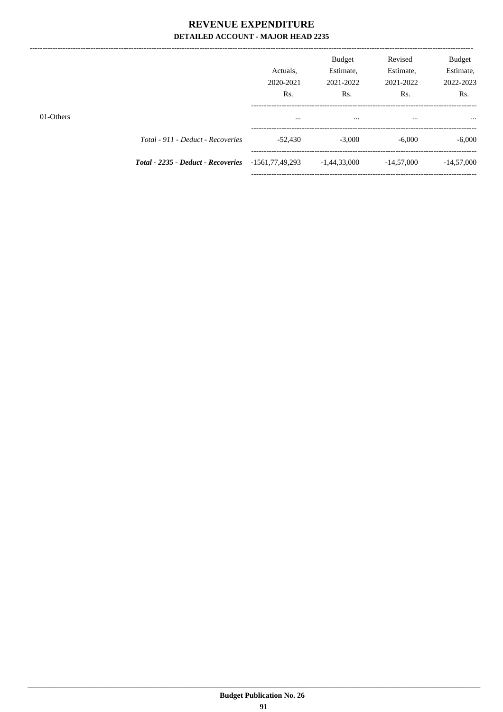|           |                                                           | Actuals.<br>2020-2021<br>Rs. | <b>Budget</b><br>Estimate.<br>2021-2022<br>R <sub>s</sub> . | Revised<br>Estimate,<br>2021-2022<br>Rs. | <b>Budget</b><br>Estimate,<br>2022-2023<br>Rs. |
|-----------|-----------------------------------------------------------|------------------------------|-------------------------------------------------------------|------------------------------------------|------------------------------------------------|
| 01-Others |                                                           |                              |                                                             |                                          |                                                |
|           | Total - 911 - Deduct - Recoveries                         | $-52.430$                    | $-3,000$                                                    | $-6,000$                                 | $-6,000$                                       |
|           | <b>Total - 2235 - Deduct - Recoveries</b> -1561,77,49,293 |                              | $-1,44,33,000$                                              | $-14,57,000$                             | $-14,57,000$                                   |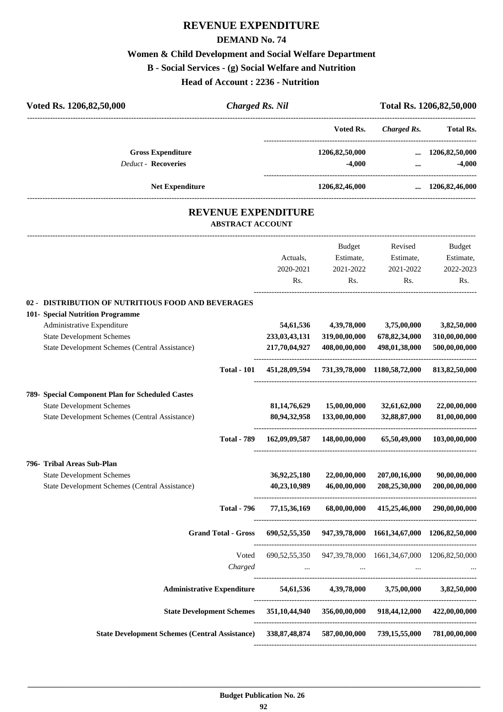# **REVENUE EXPENDITURE**

### **DEMAND No. 74**

## **Women & Child Development and Social Welfare Department**

### **B - Social Services - (g) Social Welfare and Nutrition**

**Head of Account : 2236 - Nutrition** 

| Voted Rs. 1206,82,50,000                                                                                                                                                                                   | <b>Charged Rs. Nil</b>     |                                                |                                                           |                                                      | Total Rs. 1206,82,50,000                      |  |
|------------------------------------------------------------------------------------------------------------------------------------------------------------------------------------------------------------|----------------------------|------------------------------------------------|-----------------------------------------------------------|------------------------------------------------------|-----------------------------------------------|--|
|                                                                                                                                                                                                            |                            |                                                | Voted Rs.                                                 | <b>Charged Rs.</b>                                   | Total Rs.                                     |  |
| <b>Gross Expenditure</b><br><b>Deduct - Recoveries</b>                                                                                                                                                     |                            |                                                | 1206,82,50,000<br>$-4,000$                                | $\cdots$<br>$\cdots$                                 | 1206,82,50,000<br>$-4,000$                    |  |
| <b>Net Expenditure</b>                                                                                                                                                                                     |                            |                                                | 1206,82,46,000                                            |                                                      | $\ldots$ 1206,82,46,000                       |  |
|                                                                                                                                                                                                            | <b>ABSTRACT ACCOUNT</b>    | REVENUE EXPENDITURE                            |                                                           |                                                      |                                               |  |
|                                                                                                                                                                                                            |                            | Actuals,<br>2020-2021<br>Rs.                   | Budget<br>Estimate,<br>2021-2022<br>Rs.                   | Revised<br>Estimate,<br>2021-2022<br>Rs.             | Budget<br>Estimate,<br>2022-2023<br>Rs.       |  |
| 02 - DISTRIBUTION OF NUTRITIOUS FOOD AND BEVERAGES<br>101- Special Nutrition Programme<br>Administrative Expenditure<br><b>State Development Schemes</b><br>State Development Schemes (Central Assistance) |                            | 54,61,536<br>233, 03, 43, 131<br>217,70,04,927 | 4,39,78,000<br>319,00,00,000<br>408,00,00,000             | 3,75,00,000<br>678, 82, 34, 000<br>498,01,38,000     | 3,82,50,000<br>310,00,00,000<br>500,00,00,000 |  |
|                                                                                                                                                                                                            | <b>Total - 101</b>         | 451,28,09,594                                  |                                                           | 731, 39, 78, 000 1180, 58, 72, 000                   | 813, 82, 50, 000                              |  |
| 789- Special Component Plan for Scheduled Castes<br><b>State Development Schemes</b><br>State Development Schemes (Central Assistance)                                                                     |                            | 81, 14, 76, 629<br>80,94,32,958                | 15,00,00,000<br>133,00,00,000                             | 32,61,62,000<br>32,88,87,000                         | 22,00,00,000<br>81,00,00,000                  |  |
|                                                                                                                                                                                                            | <b>Total - 789</b>         | 162,09,09,587                                  | 148,00,00,000                                             | 65,50,49,000                                         | 103,00,00,000                                 |  |
| 796- Tribal Areas Sub-Plan<br><b>State Development Schemes</b><br>State Development Schemes (Central Assistance)                                                                                           |                            | 36,92,25,180<br>40,23,10,989                   | 22,00,00,000<br>46,00,00,000                              | 207,00,16,000<br>208,25,30,000                       | 90,00,00,000<br>200,00,00,000                 |  |
|                                                                                                                                                                                                            | <b>Total - 796</b>         | 77,15,36,169                                   |                                                           | 68,00,00,000 415,25,46,000                           | 290,00,00,000                                 |  |
|                                                                                                                                                                                                            | <b>Grand Total - Gross</b> |                                                | 690,52,55,350 947,39,78,000 1661,34,67,000 1206,82,50,000 |                                                      |                                               |  |
|                                                                                                                                                                                                            | Voted<br>Charged           | 690, 52, 55, 350                               | $\cdots$                                                  | 947, 39, 78, 000 1661, 34, 67, 000 1206, 82, 50, 000 |                                               |  |
| <b>Administrative Expenditure</b>                                                                                                                                                                          |                            | 54,61,536                                      | 4,39,78,000                                               | 3,75,00,000                                          | 3,82,50,000                                   |  |
| <b>State Development Schemes</b>                                                                                                                                                                           |                            |                                                | 351,10,44,940 356,00,00,000                               | 918,44,12,000                                        | 422,00,00,000                                 |  |
| <b>State Development Schemes (Central Assistance)</b>                                                                                                                                                      |                            | 338, 87, 48, 874                               |                                                           | 587,00,00,000 739,15,55,000                          | 781,00,00,000                                 |  |
|                                                                                                                                                                                                            |                            |                                                |                                                           |                                                      |                                               |  |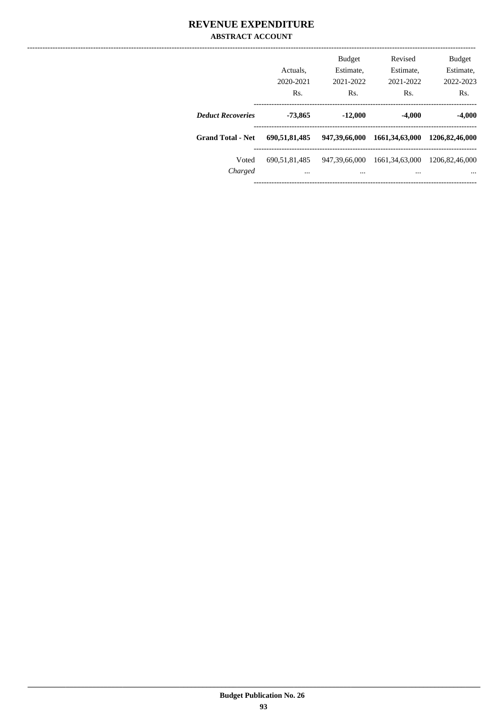### **REVENUE EXPENDITURE ABSTRACT ACCOUNT**

|                          | Actuals.<br>2020-2021<br>Rs. | <b>Budget</b><br>Estimate,<br>2021-2022<br>Rs. | Revised<br>Estimate.<br>2021-2022<br>Rs. | <b>Budget</b><br>Estimate,<br>2022-2023<br>Rs. |
|--------------------------|------------------------------|------------------------------------------------|------------------------------------------|------------------------------------------------|
| <b>Deduct Recoveries</b> | -73.865                      | $-12,000$                                      | $-4.000$                                 | $-4,000$                                       |
| <b>Grand Total - Net</b> | 690,51,81,485                | 947,39,66,000                                  | 1661, 34, 63, 000                        | 1206.82.46.000                                 |
| Voted<br>Charged         | 690.51.81.485<br>            | 947,39,66,000<br>                              | 1661.34.63.000<br>                       | 1206,82,46,000                                 |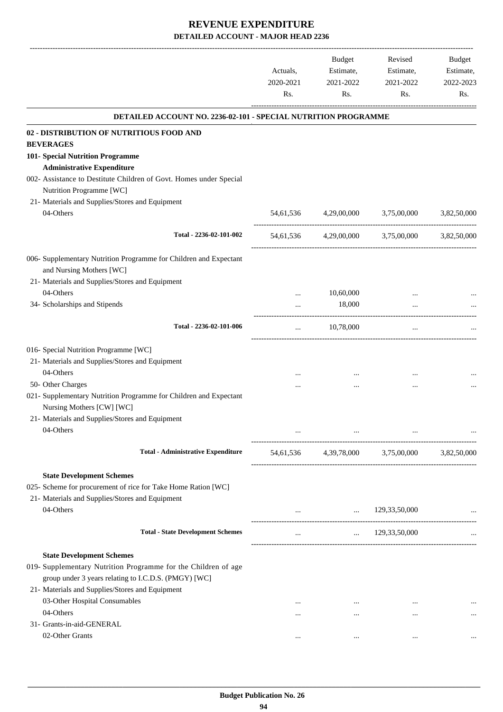|                                                                                                         | Actuals,<br>2020-2021<br>Rs. | Budget<br>Estimate,<br>2021-2022<br>Rs. | Revised<br>Estimate,<br>2021-2022<br>Rs.      | Budget<br>Estimate,<br>2022-2023<br>Rs. |
|---------------------------------------------------------------------------------------------------------|------------------------------|-----------------------------------------|-----------------------------------------------|-----------------------------------------|
| DETAILED ACCOUNT NO. 2236-02-101 - SPECIAL NUTRITION PROGRAMME                                          |                              |                                         |                                               |                                         |
| 02 - DISTRIBUTION OF NUTRITIOUS FOOD AND                                                                |                              |                                         |                                               |                                         |
| <b>BEVERAGES</b>                                                                                        |                              |                                         |                                               |                                         |
| 101- Special Nutrition Programme                                                                        |                              |                                         |                                               |                                         |
| <b>Administrative Expenditure</b>                                                                       |                              |                                         |                                               |                                         |
| 002- Assistance to Destitute Children of Govt. Homes under Special<br>Nutrition Programme [WC]          |                              |                                         |                                               |                                         |
| 21- Materials and Supplies/Stores and Equipment                                                         |                              |                                         |                                               |                                         |
| 04-Others                                                                                               | 54,61,536                    | 4,29,00,000                             | 3,75,00,000                                   | 3,82,50,000                             |
|                                                                                                         |                              |                                         |                                               |                                         |
| Total - 2236-02-101-002                                                                                 |                              |                                         | 54,61,536 4,29,00,000 3,75,00,000 3,82,50,000 |                                         |
| 006- Supplementary Nutrition Programme for Children and Expectant                                       |                              |                                         |                                               |                                         |
| and Nursing Mothers [WC]                                                                                |                              |                                         |                                               |                                         |
| 21- Materials and Supplies/Stores and Equipment                                                         |                              |                                         |                                               |                                         |
| 04-Others                                                                                               |                              | 10,60,000                               |                                               |                                         |
| 34- Scholarships and Stipends                                                                           |                              | 18,000                                  |                                               |                                         |
| Total - 2236-02-101-006                                                                                 | $\cdots$                     | 10,78,000                               | $\cdots$                                      |                                         |
| 016- Special Nutrition Programme [WC]                                                                   |                              |                                         |                                               |                                         |
| 21- Materials and Supplies/Stores and Equipment                                                         |                              |                                         |                                               |                                         |
| 04-Others                                                                                               |                              | $\cdots$                                |                                               |                                         |
| 50- Other Charges                                                                                       |                              |                                         |                                               |                                         |
| 021- Supplementary Nutrition Programme for Children and Expectant                                       |                              |                                         |                                               |                                         |
| Nursing Mothers [CW] [WC]                                                                               |                              |                                         |                                               |                                         |
| 21- Materials and Supplies/Stores and Equipment                                                         |                              |                                         |                                               |                                         |
| 04-Others                                                                                               |                              |                                         |                                               |                                         |
| <b>Total - Administrative Expenditure</b>                                                               |                              |                                         | 54,61,536 4,39,78,000 3,75,00,000 3,82,50,000 |                                         |
| <b>State Development Schemes</b>                                                                        |                              |                                         |                                               |                                         |
| 025- Scheme for procurement of rice for Take Home Ration [WC]                                           |                              |                                         |                                               |                                         |
| 21- Materials and Supplies/Stores and Equipment                                                         |                              |                                         |                                               |                                         |
| 04-Others                                                                                               |                              | $\ldots$ 129,33,50,000                  |                                               |                                         |
| <b>Total - State Development Schemes</b>                                                                |                              |                                         | $129,33,50,000$                               | -------------------------------         |
|                                                                                                         |                              |                                         |                                               |                                         |
| <b>State Development Schemes</b>                                                                        |                              |                                         |                                               |                                         |
| 019- Supplementary Nutrition Programme for the Children of age                                          |                              |                                         |                                               |                                         |
| group under 3 years relating to I.C.D.S. (PMGY) [WC]<br>21- Materials and Supplies/Stores and Equipment |                              |                                         |                                               |                                         |
| 03-Other Hospital Consumables                                                                           |                              |                                         |                                               |                                         |
| 04-Others                                                                                               | $\cdots$<br>$\cdots$         | $\cdots$<br>$\cdots$                    | $\cdots$<br>$\cdots$                          |                                         |
| 31- Grants-in-aid-GENERAL                                                                               |                              |                                         |                                               |                                         |
| 02-Other Grants                                                                                         | $\cdots$                     | $\cdots$                                | $\cdots$                                      |                                         |
|                                                                                                         |                              |                                         |                                               |                                         |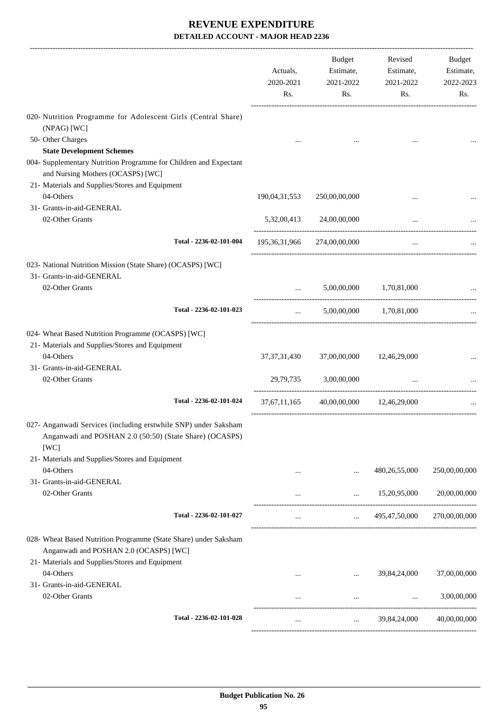|                                                                                                                                    | Actuals,<br>2020-2021<br>Rs.                   | Budget<br>Estimate,<br>2021-2022<br>Rs. | Revised<br>Estimate,<br>2021-2022<br>Rs. | Budget<br>Estimate,<br>2022-2023<br>Rs. |
|------------------------------------------------------------------------------------------------------------------------------------|------------------------------------------------|-----------------------------------------|------------------------------------------|-----------------------------------------|
| 020- Nutrition Programme for Adolescent Girls (Central Share)                                                                      |                                                |                                         |                                          |                                         |
| (NPAG) [WC]<br>50- Other Charges<br><b>State Development Schemes</b>                                                               |                                                |                                         |                                          |                                         |
| 004- Supplementary Nutrition Programme for Children and Expectant<br>and Nursing Mothers (OCASPS) [WC]                             |                                                |                                         |                                          |                                         |
| 21- Materials and Supplies/Stores and Equipment                                                                                    |                                                |                                         |                                          |                                         |
| 04-Others                                                                                                                          | 190,04,31,553                                  | 250,00,00,000                           | $\ddotsc$                                |                                         |
| 31- Grants-in-aid-GENERAL                                                                                                          |                                                |                                         |                                          |                                         |
| 02-Other Grants                                                                                                                    |                                                | 5,32,00,413 24,00,00,000                | $\cdots$                                 |                                         |
| Total - 2236-02-101-004                                                                                                            |                                                | 195,36,31,966 274,00,00,000             | $\cdots$                                 |                                         |
| 023- National Nutrition Mission (State Share) (OCASPS) [WC]<br>31- Grants-in-aid-GENERAL                                           |                                                |                                         |                                          |                                         |
| 02-Other Grants                                                                                                                    | $\mathbf{1}$ and $\mathbf{1}$ and $\mathbf{1}$ |                                         | 5,00,00,000 1,70,81,000                  |                                         |
| Total - 2236-02-101-023                                                                                                            | $\cdots$                                       |                                         | 5,00,00,000 1,70,81,000                  |                                         |
| 024- Wheat Based Nutrition Programme (OCASPS) [WC]                                                                                 |                                                |                                         |                                          |                                         |
| 21- Materials and Supplies/Stores and Equipment                                                                                    |                                                |                                         |                                          |                                         |
| 04-Others                                                                                                                          | 37, 37, 31, 430                                | 37,00,00,000                            | 12,46,29,000                             |                                         |
| 31- Grants-in-aid-GENERAL                                                                                                          |                                                |                                         |                                          |                                         |
| 02-Other Grants                                                                                                                    |                                                | 29,79,735 3,00,00,000                   | $\ddots$                                 |                                         |
| Total - 2236-02-101-024                                                                                                            | 37,67,11,165                                   |                                         | 40,00,00,000 12,46,29,000                |                                         |
| 027- Anganwadi Services (including erstwhile SNP) under Saksham<br>Anganwadi and POSHAN 2.0 (50:50) (State Share) (OCASPS)<br>[WC] |                                                |                                         |                                          |                                         |
| 21- Materials and Supplies/Stores and Equipment                                                                                    |                                                |                                         |                                          |                                         |
| 04-Others                                                                                                                          |                                                | $\cdots$                                | 480, 26, 55, 000                         | 250,00,00,000                           |
| 31- Grants-in-aid-GENERAL                                                                                                          |                                                |                                         |                                          |                                         |
| 02-Other Grants                                                                                                                    |                                                | $\cdots$                                | 15,20,95,000                             | 20,00,00,000                            |
| Total - 2236-02-101-027                                                                                                            | $\cdots$                                       | $\mathbf{1}$ and $\mathbf{1}$           | 495,47,50,000                            | 270,00,00,000                           |
| 028- Wheat Based Nutrition Programme (State Share) under Saksham<br>Anganwadi and POSHAN 2.0 (OCASPS) [WC]                         |                                                |                                         |                                          |                                         |
| 21- Materials and Supplies/Stores and Equipment<br>04-Others                                                                       |                                                |                                         |                                          | 37,00,00,000                            |
| 31- Grants-in-aid-GENERAL                                                                                                          |                                                | $\cdots$                                | 39,84,24,000                             |                                         |
| 02-Other Grants                                                                                                                    |                                                | $\cdots$                                | $\cdots$                                 | 3,00,00,000                             |
| Total - 2236-02-101-028                                                                                                            | $\cdots$                                       |                                         | $\ldots$ 39,84,24,000                    | 40,00,00,000                            |
|                                                                                                                                    |                                                |                                         |                                          |                                         |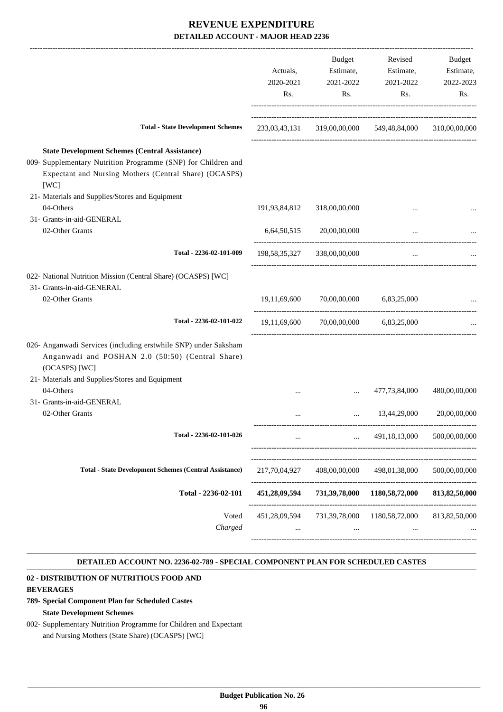|                                                                                                                                      | 2020-2021     | 2021-2022                             | Estimate,<br>Estimate,<br>2021-2022                     | Estimate,<br>2022-2023 |
|--------------------------------------------------------------------------------------------------------------------------------------|---------------|---------------------------------------|---------------------------------------------------------|------------------------|
|                                                                                                                                      | Rs.           | Rs.                                   | Rs.                                                     | Rs.                    |
| <b>Total - State Development Schemes</b>                                                                                             |               |                                       | 233,03,43,131 319,00,00,000 549,48,84,000 310,00,00,000 |                        |
| <b>State Development Schemes (Central Assistance)</b>                                                                                |               |                                       |                                                         |                        |
| 009- Supplementary Nutrition Programme (SNP) for Children and<br>Expectant and Nursing Mothers (Central Share) (OCASPS)<br>[WC]      |               |                                       |                                                         |                        |
| 21- Materials and Supplies/Stores and Equipment                                                                                      |               |                                       |                                                         |                        |
| 04-Others                                                                                                                            | 191,93,84,812 | 318,00,00,000                         | $\ddotsc$                                               |                        |
| 31- Grants-in-aid-GENERAL<br>02-Other Grants                                                                                         |               | 6,64,50,515 20,00,00,000              | $\cdots$                                                |                        |
| Total - 2236-02-101-009                                                                                                              |               | 198,58,35,327 338,00,00,000           | $\cdots$                                                |                        |
| 022- National Nutrition Mission (Central Share) (OCASPS) [WC]<br>31- Grants-in-aid-GENERAL                                           |               |                                       |                                                         |                        |
| 02-Other Grants                                                                                                                      | 19,11,69,600  | 70,00,00,000 6,83,25,000              |                                                         |                        |
| Total - 2236-02-101-022                                                                                                              |               | 19,11,69,600 70,00,00,000 6,83,25,000 |                                                         |                        |
| 026- Anganwadi Services (including erstwhile SNP) under Saksham<br>Anganwadi and POSHAN 2.0 (50:50) (Central Share)<br>(OCASPS) [WC] |               |                                       |                                                         |                        |
| 21- Materials and Supplies/Stores and Equipment<br>04-Others                                                                         | $\cdots$      | $\cdots$                              | 477,73,84,000                                           | 480,00,00,000          |
| 31- Grants-in-aid-GENERAL                                                                                                            |               |                                       |                                                         |                        |
| 02-Other Grants                                                                                                                      |               |                                       | 13,44,29,000                                            | 20,00,00,000           |
| Total - 2236-02-101-026                                                                                                              |               |                                       | 491,18,13,000                                           | 500,00,00,000          |
| <b>Total - State Development Schemes (Central Assistance)</b>                                                                        | 217,70,04,927 | 408,00,00,000                         | 498,01,38,000                                           | 500,00,00,000          |
| Total - 2236-02-101                                                                                                                  | 451,28,09,594 | 731,39,78,000                         | 1180,58,72,000                                          | 813, 82, 50, 000       |
| Voted<br>Charged                                                                                                                     | 451,28,09,594 | 731,39,78,000<br>$\cdots$             | 1180,58,72,000<br>$\ddotsc$                             | 813, 82, 50, 000       |

#### **DETAILED ACCOUNT NO. 2236-02-789 - SPECIAL COMPONENT PLAN FOR SCHEDULED CASTES .**

.

### **02 - DISTRIBUTION OF NUTRITIOUS FOOD AND**

#### **BEVERAGES**

### **789- Special Component Plan for Scheduled Castes State Development Schemes**

002- Supplementary Nutrition Programme for Children and Expectant and Nursing Mothers (State Share) (OCASPS) [WC]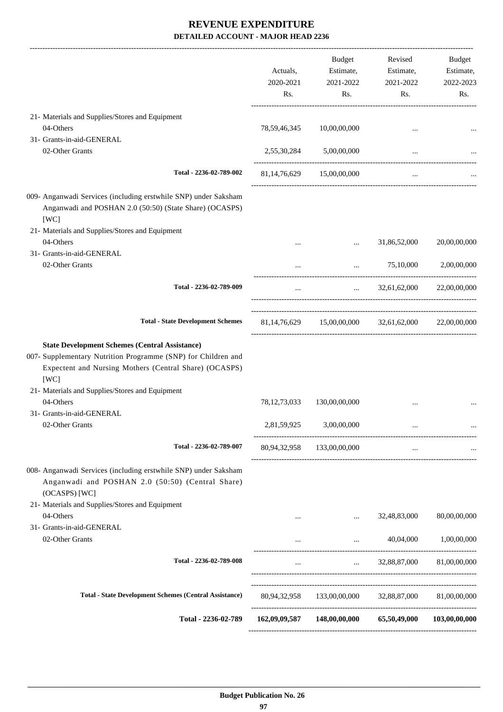-------------------------------------------------------------------------------------------------------------------------------------------------------------------------------

|                                                                                                                                                                                                                                             | Actuals,<br>2020-2021<br>Rs. | <b>Budget</b><br>Estimate,<br>2021-2022<br>Rs.         | Revised<br>Estimate,<br>2021-2022<br>Rs.                                     | Budget<br>Estimate,<br>2022-2023<br>Rs. |
|---------------------------------------------------------------------------------------------------------------------------------------------------------------------------------------------------------------------------------------------|------------------------------|--------------------------------------------------------|------------------------------------------------------------------------------|-----------------------------------------|
| 21- Materials and Supplies/Stores and Equipment                                                                                                                                                                                             |                              |                                                        |                                                                              |                                         |
| 04-Others                                                                                                                                                                                                                                   | 78, 59, 46, 345              | 10,00,00,000                                           | $\cdots$                                                                     |                                         |
| 31- Grants-in-aid-GENERAL<br>02-Other Grants                                                                                                                                                                                                |                              | 2,55,30,284 5,00,00,000                                | $\cdots$                                                                     |                                         |
| Total - 2236-02-789-002                                                                                                                                                                                                                     |                              | 81,14,76,629 15,00,00,000                              | $\cdots$                                                                     |                                         |
| 009- Anganwadi Services (including erstwhile SNP) under Saksham<br>Anganwadi and POSHAN 2.0 (50:50) (State Share) (OCASPS)<br>[WC]                                                                                                          |                              |                                                        |                                                                              |                                         |
| 21- Materials and Supplies/Stores and Equipment                                                                                                                                                                                             |                              |                                                        |                                                                              |                                         |
| 04-Others                                                                                                                                                                                                                                   | $\cdots$                     | $\cdots$                                               | 31,86,52,000                                                                 | 20,00,00,000                            |
| 31- Grants-in-aid-GENERAL<br>02-Other Grants                                                                                                                                                                                                | $\cdots$                     |                                                        | 75,10,000<br>$\mathbf{1}$ and $\mathbf{1}$ and $\mathbf{1}$ and $\mathbf{1}$ | 2,00,00,000                             |
| Total - 2236-02-789-009                                                                                                                                                                                                                     | $\ddotsc$                    |                                                        | $\ldots$ 32.61.62.000 22.00.00.000                                           |                                         |
| <b>Total - State Development Schemes</b>                                                                                                                                                                                                    |                              | 81,14,76,629 15,00,00,000 32,61,62,000 22,00,00,000    |                                                                              |                                         |
| <b>State Development Schemes (Central Assistance)</b><br>007- Supplementary Nutrition Programme (SNP) for Children and<br>Expectent and Nursing Mothers (Central Share) (OCASPS)<br>[WC]<br>21- Materials and Supplies/Stores and Equipment |                              |                                                        |                                                                              |                                         |
| 04-Others<br>31- Grants-in-aid-GENERAL                                                                                                                                                                                                      | 78, 12, 73, 033              | 130,00,00,000                                          |                                                                              |                                         |
| 02-Other Grants                                                                                                                                                                                                                             | 2,81,59,925                  | 3,00,00,000                                            | $\ddotsc$                                                                    |                                         |
| Total - 2236-02-789-007                                                                                                                                                                                                                     | 80,94,32,958                 | 133,00,00,000                                          |                                                                              |                                         |
| 008- Anganwadi Services (including erstwhile SNP) under Saksham<br>Anganwadi and POSHAN 2.0 (50:50) (Central Share)<br>(OCASPS) [WC]                                                                                                        |                              |                                                        |                                                                              |                                         |
| 21- Materials and Supplies/Stores and Equipment<br>04-Others                                                                                                                                                                                |                              | $\cdots$                                               | 32,48,83,000                                                                 | 80,00,00,000                            |
| 31- Grants-in-aid-GENERAL<br>02-Other Grants                                                                                                                                                                                                |                              |                                                        | $\cdots$ . The same state $\cdots$                                           | 40,04,000 1,00,00,000                   |
| Total - 2236-02-789-008                                                                                                                                                                                                                     | $\cdots$                     | $\mathbf{r}$                                           | 32,88,87,000                                                                 | 81,00,00,000                            |
|                                                                                                                                                                                                                                             |                              |                                                        |                                                                              |                                         |
| <b>Total - State Development Schemes (Central Assistance)</b>                                                                                                                                                                               |                              | 80,94,32,958 133,00,00,000 32,88,87,000 81,00,00,000   |                                                                              |                                         |
| Total - 2236-02-789                                                                                                                                                                                                                         |                              | 162,09,09,587 148,00,00,000 65,50,49,000 103,00,00,000 |                                                                              |                                         |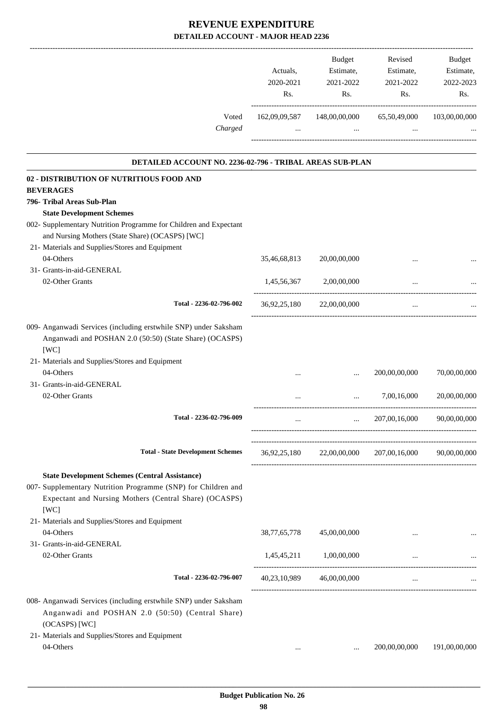|                                                                                                                                                                                          | Actuals,<br>2020-2021<br>Rs. | Budget<br>Estimate,<br>2021-2022<br>Rs.                          | Revised<br>Estimate,<br>2021-2022<br>Rs.             | <b>Budget</b><br>Estimate,<br>2022-2023<br>Rs. |
|------------------------------------------------------------------------------------------------------------------------------------------------------------------------------------------|------------------------------|------------------------------------------------------------------|------------------------------------------------------|------------------------------------------------|
| Voted<br>Charged                                                                                                                                                                         | 162,09,09,587<br>$\cdots$    | 148,00,00,000<br>$\cdots$                                        | 65,50,49,000<br>$\cdots$                             | 103,00,00,000                                  |
| DETAILED ACCOUNT NO. 2236-02-796 - TRIBAL AREAS SUB-PLAN                                                                                                                                 |                              |                                                                  |                                                      | --------------------------                     |
| 02 - DISTRIBUTION OF NUTRITIOUS FOOD AND                                                                                                                                                 |                              |                                                                  |                                                      |                                                |
| <b>BEVERAGES</b>                                                                                                                                                                         |                              |                                                                  |                                                      |                                                |
| 796- Tribal Areas Sub-Plan                                                                                                                                                               |                              |                                                                  |                                                      |                                                |
| <b>State Development Schemes</b>                                                                                                                                                         |                              |                                                                  |                                                      |                                                |
| 002- Supplementary Nutrition Programme for Children and Expectant<br>and Nursing Mothers (State Share) (OCASPS) [WC]                                                                     |                              |                                                                  |                                                      |                                                |
| 21- Materials and Supplies/Stores and Equipment                                                                                                                                          |                              |                                                                  |                                                      |                                                |
| 04-Others                                                                                                                                                                                | 35,46,68,813                 | 20,00,00,000                                                     |                                                      |                                                |
| 31- Grants-in-aid-GENERAL<br>02-Other Grants                                                                                                                                             | 1,45,56,367                  | 2,00,00,000                                                      |                                                      |                                                |
| Total - 2236-02-796-002                                                                                                                                                                  |                              | -----------------------------------<br>36,92,25,180 22,00,00,000 | $\cdots$                                             |                                                |
| 009- Anganwadi Services (including erstwhile SNP) under Saksham<br>Anganwadi and POSHAN 2.0 (50:50) (State Share) (OCASPS)<br>[WC]<br>21- Materials and Supplies/Stores and Equipment    |                              |                                                                  |                                                      |                                                |
| 04-Others                                                                                                                                                                                |                              |                                                                  | 200,00,00,000                                        | 70,00,00,000                                   |
| 31- Grants-in-aid-GENERAL                                                                                                                                                                |                              |                                                                  |                                                      |                                                |
| 02-Other Grants                                                                                                                                                                          |                              |                                                                  | 7,00,16,000                                          | 20,00,00,000                                   |
| Total - 2236-02-796-009                                                                                                                                                                  | $\cdots$                     | $\ddotsc$                                                        | 207,00,16,000                                        | 90,00,00,000                                   |
| <b>Total - State Development Schemes</b>                                                                                                                                                 |                              |                                                                  | 36,92,25,180 22,00,00,000 207,00,16,000 90,00,00,000 |                                                |
| <b>State Development Schemes (Central Assistance)</b><br>007- Supplementary Nutrition Programme (SNP) for Children and<br>Expectant and Nursing Mothers (Central Share) (OCASPS)<br>[WC] |                              |                                                                  |                                                      |                                                |
| 21- Materials and Supplies/Stores and Equipment                                                                                                                                          |                              |                                                                  |                                                      |                                                |
| 04-Others                                                                                                                                                                                | 38, 77, 65, 778              | 45,00,00,000                                                     | $\cdots$                                             |                                                |
| 31- Grants-in-aid-GENERAL                                                                                                                                                                |                              |                                                                  |                                                      |                                                |
| 02-Other Grants                                                                                                                                                                          |                              | 1,45,45,211 1,00,00,000                                          | $\cdots$                                             |                                                |
| Total - 2236-02-796-007                                                                                                                                                                  |                              | 40,23,10,989 46,00,00,000                                        | $\cdots$                                             |                                                |
| 008- Anganwadi Services (including erstwhile SNP) under Saksham                                                                                                                          |                              |                                                                  |                                                      |                                                |
| Anganwadi and POSHAN 2.0 (50:50) (Central Share)<br>(OCASPS) [WC]                                                                                                                        |                              |                                                                  |                                                      |                                                |
| 21- Materials and Supplies/Stores and Equipment                                                                                                                                          |                              |                                                                  |                                                      |                                                |
| 04-Others                                                                                                                                                                                | $\cdots$                     | $\cdots$                                                         | 200,00,00,000                                        | 191,00,00,000                                  |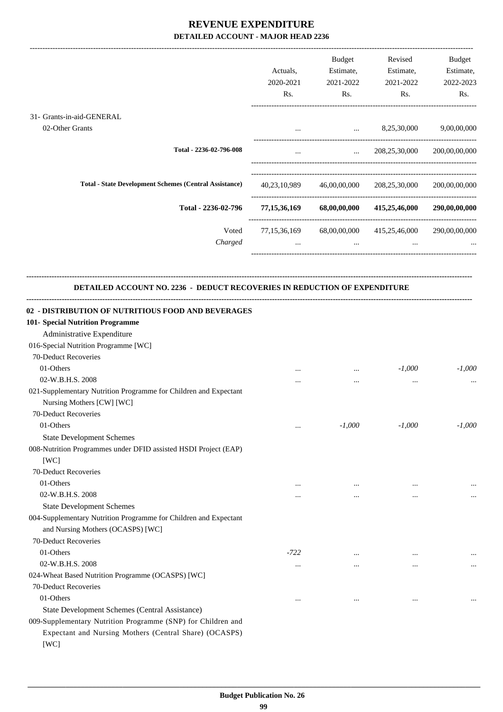|                                                                                                                                                              | Actuals,<br>2020-2021<br>Rs. | Budget<br>Estimate,<br>2021-2022<br>Rs. | Revised<br>Estimate,<br>2021-2022<br>Rs. | Budget<br>Estimate,<br>2022-2023<br>Rs. |
|--------------------------------------------------------------------------------------------------------------------------------------------------------------|------------------------------|-----------------------------------------|------------------------------------------|-----------------------------------------|
| 31- Grants-in-aid-GENERAL                                                                                                                                    |                              |                                         |                                          |                                         |
| 02-Other Grants                                                                                                                                              |                              |                                         | $\ldots$ 8,25,30,000                     | 9,00,00,000                             |
| Total - 2236-02-796-008                                                                                                                                      | $\cdots$                     |                                         | $\ldots$ 208,25,30,000 200,00,00,000     |                                         |
| <b>Total - State Development Schemes (Central Assistance)</b>                                                                                                |                              |                                         | 40,23,10,989 46,00,00,000 208,25,30,000  | 200,00,00,000                           |
| Total - 2236-02-796                                                                                                                                          | 77, 15, 36, 169              | 68,00,00,000                            | 415,25,46,000                            | 290,00,00,000                           |
| Voted<br>Charged                                                                                                                                             | 77, 15, 36, 169<br>$\cdots$  | 68,00,00,000<br>$\cdots$                | 415,25,46,000                            | 290,00,00,000                           |
| DETAILED ACCOUNT NO. 2236 - DEDUCT RECOVERIES IN REDUCTION OF EXPENDITURE                                                                                    |                              |                                         |                                          |                                         |
| 02 - DISTRIBUTION OF NUTRITIOUS FOOD AND BEVERAGES<br>101- Special Nutrition Programme<br>Administrative Expenditure<br>016-Special Nutrition Programme [WC] |                              |                                         |                                          |                                         |
| 70-Deduct Recoveries                                                                                                                                         |                              |                                         |                                          |                                         |
| 01-Others                                                                                                                                                    |                              | $\cdots$                                | $-1,000$                                 | $-1,000$                                |
| 02-W.B.H.S. 2008                                                                                                                                             |                              |                                         |                                          |                                         |
| 021-Supplementary Nutrition Programme for Children and Expectant<br>Nursing Mothers [CW] [WC]<br>70-Deduct Recoveries                                        |                              |                                         |                                          |                                         |
| 01-Others                                                                                                                                                    |                              | $-1,000$                                | $-1,000$                                 | $-1,000$                                |
|                                                                                                                                                              | $\cdots$                     |                                         |                                          |                                         |
| <b>State Development Schemes</b><br>008-Nutrition Programmes under DFID assisted HSDI Project (EAP)<br>[WC]                                                  |                              |                                         |                                          |                                         |
| 70-Deduct Recoveries                                                                                                                                         |                              |                                         |                                          |                                         |
| 01-Others                                                                                                                                                    | $\cdots$                     |                                         |                                          |                                         |
| 02-W.B.H.S. 2008                                                                                                                                             |                              |                                         |                                          | $\cdots$                                |
| <b>State Development Schemes</b>                                                                                                                             |                              |                                         |                                          |                                         |
| 004-Supplementary Nutrition Programme for Children and Expectant<br>and Nursing Mothers (OCASPS) [WC]                                                        |                              |                                         |                                          |                                         |
| 70-Deduct Recoveries                                                                                                                                         |                              |                                         |                                          |                                         |
| 01-Others                                                                                                                                                    | -722                         | $\cdots$                                |                                          |                                         |
| 02-W.B.H.S. 2008                                                                                                                                             |                              | $\cdots$                                |                                          | $\cdots$                                |
| 024-Wheat Based Nutrition Programme (OCASPS) [WC]                                                                                                            |                              |                                         |                                          |                                         |
| 70-Deduct Recoveries                                                                                                                                         |                              |                                         |                                          |                                         |
| 01-Others                                                                                                                                                    |                              |                                         |                                          |                                         |
| State Development Schemes (Central Assistance)                                                                                                               |                              |                                         |                                          |                                         |
| 009-Supplementary Nutrition Programme (SNP) for Children and<br>Expectant and Nursing Mothers (Central Share) (OCASPS)<br>[WC]                               |                              |                                         |                                          |                                         |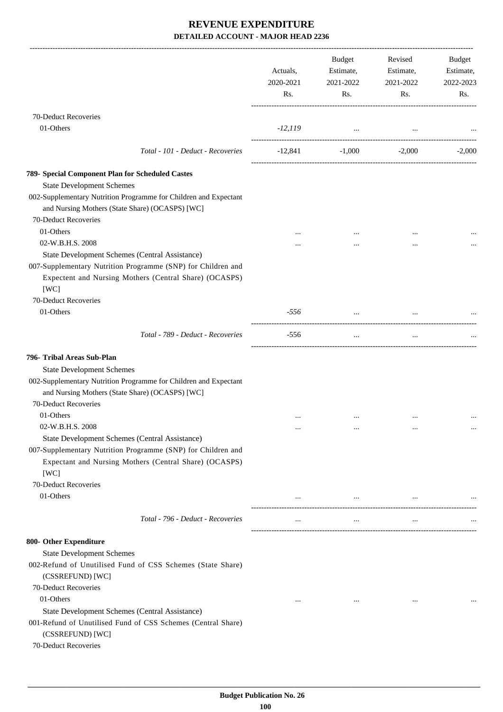|                                                                                                                                                                                  | Actuals,<br>2020-2021<br>Rs. | Budget<br>Estimate,<br>2021-2022<br>Rs. | Revised<br>Estimate,<br>2021-2022<br>Rs. | Budget<br>Estimate,<br>2022-2023<br>Rs. |
|----------------------------------------------------------------------------------------------------------------------------------------------------------------------------------|------------------------------|-----------------------------------------|------------------------------------------|-----------------------------------------|
| 70-Deduct Recoveries                                                                                                                                                             |                              |                                         |                                          |                                         |
| 01-Others                                                                                                                                                                        | $-12, 119$                   | and the contract of the                 |                                          |                                         |
| Total - 101 - Deduct - Recoveries                                                                                                                                                | $-12,841$                    | $-1,000$                                | $-2,000$                                 | $-2,000$                                |
| 789- Special Component Plan for Scheduled Castes                                                                                                                                 |                              |                                         |                                          |                                         |
| <b>State Development Schemes</b>                                                                                                                                                 |                              |                                         |                                          |                                         |
| 002-Supplementary Nutrition Programme for Children and Expectant<br>and Nursing Mothers (State Share) (OCASPS) [WC]                                                              |                              |                                         |                                          |                                         |
| 70-Deduct Recoveries                                                                                                                                                             |                              |                                         |                                          |                                         |
| 01-Others                                                                                                                                                                        | $\cdots$                     |                                         |                                          |                                         |
| 02-W.B.H.S. 2008                                                                                                                                                                 |                              |                                         |                                          |                                         |
| State Development Schemes (Central Assistance)<br>007-Supplementary Nutrition Programme (SNP) for Children and<br>Expectent and Nursing Mothers (Central Share) (OCASPS)<br>[WC] |                              |                                         |                                          |                                         |
| 70-Deduct Recoveries                                                                                                                                                             |                              |                                         |                                          |                                         |
| 01-Others                                                                                                                                                                        | -556                         | $\cdots$                                |                                          |                                         |
| Total - 789 - Deduct - Recoveries                                                                                                                                                | -556                         | $\cdots$                                | $\cdots$                                 |                                         |
| 796- Tribal Areas Sub-Plan                                                                                                                                                       |                              |                                         |                                          |                                         |
| <b>State Development Schemes</b>                                                                                                                                                 |                              |                                         |                                          |                                         |
| 002-Supplementary Nutrition Programme for Children and Expectant<br>and Nursing Mothers (State Share) (OCASPS) [WC]                                                              |                              |                                         |                                          |                                         |
| 70-Deduct Recoveries                                                                                                                                                             |                              |                                         |                                          |                                         |
| 01-Others                                                                                                                                                                        |                              |                                         |                                          |                                         |
| 02-W.B.H.S. 2008                                                                                                                                                                 | $\cdots$                     | $\cdots$                                | $\cdots$                                 |                                         |
| State Development Schemes (Central Assistance)                                                                                                                                   |                              |                                         |                                          |                                         |
| 007-Supplementary Nutrition Programme (SNP) for Children and<br>Expectant and Nursing Mothers (Central Share) (OCASPS)<br>[WC]                                                   |                              |                                         |                                          |                                         |
| 70-Deduct Recoveries                                                                                                                                                             |                              |                                         |                                          |                                         |
| 01-Others                                                                                                                                                                        | $\cdots$                     | $\cdots$                                | $\cdots$                                 |                                         |
| Total - 796 - Deduct - Recoveries                                                                                                                                                | $\cdots$                     | $\cdots$                                | $\cdots$                                 |                                         |
| 800- Other Expenditure                                                                                                                                                           |                              |                                         |                                          |                                         |
| <b>State Development Schemes</b>                                                                                                                                                 |                              |                                         |                                          |                                         |
| 002-Refund of Unutilised Fund of CSS Schemes (State Share)<br>(CSSREFUND) [WC]                                                                                                   |                              |                                         |                                          |                                         |
| 70-Deduct Recoveries                                                                                                                                                             |                              |                                         |                                          |                                         |
| 01-Others                                                                                                                                                                        | $\cdots$                     | $\cdots$                                | $\cdots$                                 |                                         |
| State Development Schemes (Central Assistance)                                                                                                                                   |                              |                                         |                                          |                                         |
| 001-Refund of Unutilised Fund of CSS Schemes (Central Share)<br>(CSSREFUND) [WC]                                                                                                 |                              |                                         |                                          |                                         |
| 70-Deduct Recoveries                                                                                                                                                             |                              |                                         |                                          |                                         |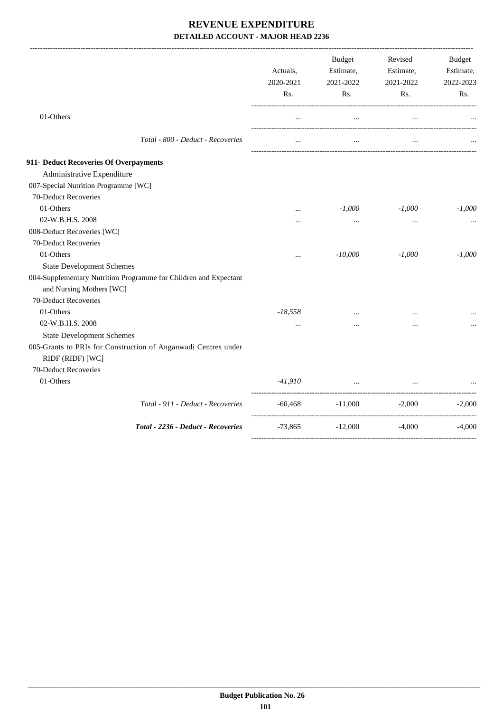|                                                                                              | Actuals,<br>2020-2021<br>Rs. | <b>Budget</b><br>Estimate,<br>2021-2022<br>Rs. | Revised<br>Estimate,<br>2021-2022<br>Rs. | Budget<br>Estimate,<br>2022-2023<br>Rs. |
|----------------------------------------------------------------------------------------------|------------------------------|------------------------------------------------|------------------------------------------|-----------------------------------------|
| 01-Others                                                                                    |                              | $\cdots$                                       |                                          |                                         |
| Total - 800 - Deduct - Recoveries                                                            | $\cdots$                     | $\cdots$                                       | $\cdots$                                 |                                         |
| 911- Deduct Recoveries Of Overpayments                                                       |                              |                                                |                                          |                                         |
| Administrative Expenditure                                                                   |                              |                                                |                                          |                                         |
| 007-Special Nutrition Programme [WC]                                                         |                              |                                                |                                          |                                         |
| 70-Deduct Recoveries                                                                         |                              |                                                |                                          |                                         |
| 01-Others                                                                                    | $\cdots$                     | $-1,000$                                       | $-1,000$                                 | $-1,000$                                |
| 02-W.B.H.S. 2008                                                                             | $\cdots$                     | $\cdots$                                       | $\cdots$                                 |                                         |
| 008-Deduct Recoveries [WC]                                                                   |                              |                                                |                                          |                                         |
| 70-Deduct Recoveries                                                                         |                              |                                                |                                          |                                         |
| 01-Others                                                                                    | $\ddotsc$                    | $-10,000$                                      | $-1,000$                                 | $-1,000$                                |
| <b>State Development Schemes</b>                                                             |                              |                                                |                                          |                                         |
| 004-Supplementary Nutrition Programme for Children and Expectant<br>and Nursing Mothers [WC] |                              |                                                |                                          |                                         |
| 70-Deduct Recoveries                                                                         |                              |                                                |                                          |                                         |
| 01-Others                                                                                    | $-18,558$                    |                                                |                                          |                                         |
| 02-W.B.H.S. 2008                                                                             | $\ddots$                     |                                                | $\cdots$                                 |                                         |
| <b>State Development Schemes</b>                                                             |                              |                                                |                                          |                                         |
| 005-Grants to PRIs for Construction of Anganwadi Centres under<br>RIDF (RIDF) [WC]           |                              |                                                |                                          |                                         |
| 70-Deduct Recoveries                                                                         |                              |                                                |                                          |                                         |
| 01-Others                                                                                    | $-41,910$                    | $\ddots$                                       | $\cdots$                                 |                                         |
| Total - 911 - Deduct - Recoveries                                                            | $-60,468$                    | $-11,000$                                      | $-2,000$                                 | $-2,000$                                |
| Total - 2236 - Deduct - Recoveries                                                           | $-73,865$                    | $-12,000$                                      | $-4,000$                                 | $-4,000$                                |
|                                                                                              |                              |                                                |                                          |                                         |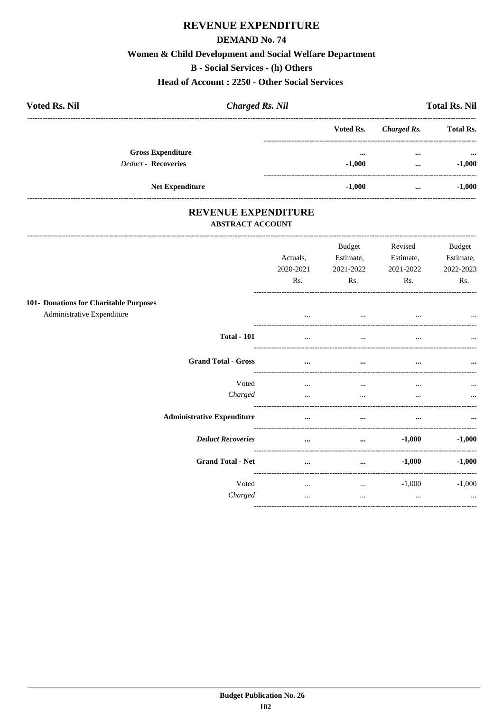# REVENUE EXPENDITURE

### **DEMAND No. 74**

## Women & Child Development and Social Welfare Department

**B** - Social Services - (h) Others

**Head of Account: 2250 - Other Social Services** 

| <b>Voted Rs. Nil</b>                                   | <b>Charged Rs. Nil</b> |                                     |                      | <b>Total Rs. Nil</b>                  |
|--------------------------------------------------------|------------------------|-------------------------------------|----------------------|---------------------------------------|
|                                                        |                        | Voted Rs.                           | Charged Rs.          | <b>Total Rs.</b>                      |
| <b>Gross Expenditure</b><br><b>Deduct - Recoveries</b> |                        | $\bullet\bullet\bullet$<br>$-1.000$ | $\cdots$<br>$\cdots$ | $\bullet \bullet \bullet$<br>$-1,000$ |
| <b>Net Expenditure</b>                                 |                        | $-1,000$                            | $\cdots$             | $-1,000$                              |

# REVENUE EXPENDITURE

### **ABSTRACT ACCOUNT**

-----------------------

| Actuals,<br>2020-2021<br>Rs.                                                                                                                                                          | <b>Budget</b><br>Estimate,<br>2021-2022<br>Rs. | Revised<br>Estimate,<br>2021-2022<br>Rs. | <b>Budget</b><br>Estimate,<br>2022-2023<br>Rs. |
|---------------------------------------------------------------------------------------------------------------------------------------------------------------------------------------|------------------------------------------------|------------------------------------------|------------------------------------------------|
| $\cdots$                                                                                                                                                                              | $\cdots$                                       |                                          | $\cdots$                                       |
|                                                                                                                                                                                       | $\cdots$                                       |                                          | $\cdots$                                       |
| $\cdots$                                                                                                                                                                              | $\cdots$                                       | $\cdots$                                 | $\cdots$                                       |
| $\cdots$<br>                                                                                                                                                                          | $\cdots$<br>$\cdots$                           | $\cdots$                                 | $\cdots$<br>$\cdots$                           |
| $\cdots$                                                                                                                                                                              | $\cdots$                                       | $\cdots$                                 | $\cdots$                                       |
| $\cdots$                                                                                                                                                                              | $\cdots$                                       | $-1,000$                                 | $-1,000$                                       |
| $\cdots$                                                                                                                                                                              | $\cdots$                                       | $-1,000$                                 | $-1,000$                                       |
| $\cdots$<br>$\cdots$                                                                                                                                                                  | $\cdots$<br>$\cdots$                           | $-1,000$<br>$\cdots$                     | $-1,000$<br>$\cdots$                           |
| <b>Total - 101</b><br><b>Grand Total - Gross</b><br>Voted<br>Charged<br><b>Administrative Expenditure</b><br><b>Deduct Recoveries</b><br><b>Grand Total - Net</b><br>Voted<br>Charged |                                                |                                          | ----------------------                         |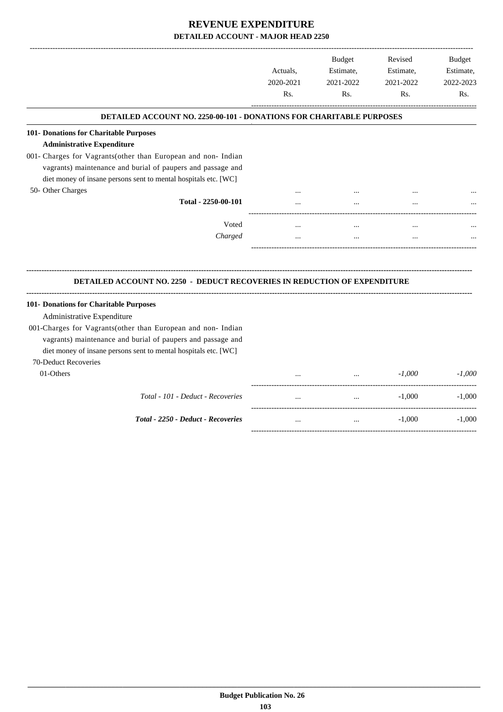|                                                                                            | Actuals,<br>2020-2021<br>Rs. | <b>Budget</b><br>Estimate,<br>2021-2022<br>Rs. | Revised<br>Estimate,<br>2021-2022<br>Rs. | Budget<br>Estimate,<br>2022-2023<br>Rs. |
|--------------------------------------------------------------------------------------------|------------------------------|------------------------------------------------|------------------------------------------|-----------------------------------------|
| <b>DETAILED ACCOUNT NO. 2250-00-101 - DONATIONS FOR CHARITABLE PURPOSES</b>                |                              |                                                |                                          |                                         |
| 101- Donations for Charitable Purposes                                                     |                              |                                                |                                          |                                         |
| <b>Administrative Expenditure</b>                                                          |                              |                                                |                                          |                                         |
| 001- Charges for Vagrants(other than European and non- Indian                              |                              |                                                |                                          |                                         |
| vagrants) maintenance and burial of paupers and passage and                                |                              |                                                |                                          |                                         |
| diet money of insane persons sent to mental hospitals etc. [WC]                            |                              |                                                |                                          |                                         |
| 50- Other Charges                                                                          |                              |                                                |                                          |                                         |
| Total - 2250-00-101                                                                        |                              |                                                |                                          |                                         |
| Voted                                                                                      | $\ddotsc$                    | $\cdots$                                       |                                          |                                         |
|                                                                                            |                              |                                                |                                          |                                         |
| Charged                                                                                    | $\cdots$                     | $\cdots$                                       | $\cdots$                                 |                                         |
| <b>DETAILED ACCOUNT NO. 2250 - DEDUCT RECOVERIES IN REDUCTION OF EXPENDITURE</b>           |                              |                                                |                                          |                                         |
|                                                                                            |                              |                                                |                                          |                                         |
|                                                                                            |                              |                                                |                                          |                                         |
| Administrative Expenditure<br>001-Charges for Vagrants(other than European and non- Indian |                              |                                                |                                          |                                         |
| vagrants) maintenance and burial of paupers and passage and                                |                              |                                                |                                          |                                         |
| diet money of insane persons sent to mental hospitals etc. [WC]                            |                              |                                                |                                          |                                         |
| 101- Donations for Charitable Purposes<br>70-Deduct Recoveries                             |                              |                                                |                                          |                                         |
| 01-Others                                                                                  |                              |                                                | $-1.000$                                 | $-1.000$                                |
| Total - 101 - Deduct - Recoveries                                                          |                              |                                                | $-1,000$                                 | $-1,000$                                |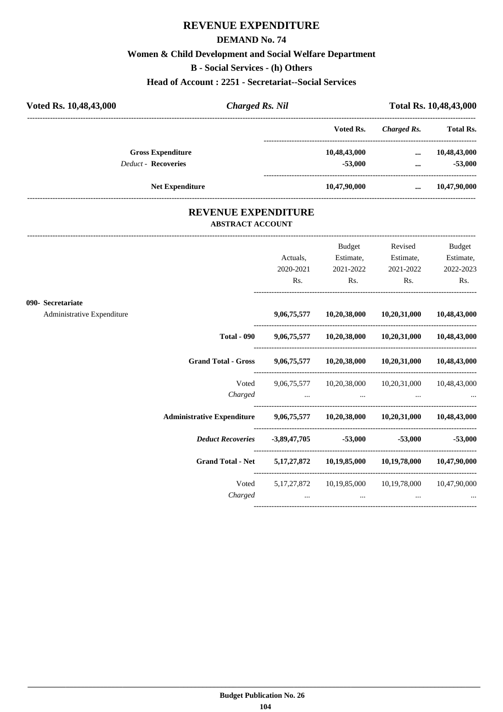# **REVENUE EXPENDITURE**

### **DEMAND No. 74**

## **Women & Child Development and Social Welfare Department**

**B - Social Services - (h) Others**

**Head of Account : 2251 - Secretariat--Social Services**

| Voted Rs. 10,48,43,000     | <b>Charged Rs. Nil</b> | Total Rs. 10,48,43,000 |             |                  |
|----------------------------|------------------------|------------------------|-------------|------------------|
|                            |                        | Voted Rs.              | Charged Rs. | <b>Total Rs.</b> |
| <b>Gross Expenditure</b>   |                        | 10,48,43,000           | $\cdots$    | 10,48,43,000     |
| <b>Deduct - Recoveries</b> |                        | $-53,000$              | $\cdots$    | $-53,000$        |
| <b>Net Expenditure</b>     |                        | 10,47,90,000           | $\cdots$    | 10,47,90,000     |
|                            |                        |                        |             |                  |

### **REVENUE EXPENDITURE ABSTRACT ACCOUNT**

---------------------------------------------------------------------------------------------------------------------------------------------------------------------------------

|                            |                                                                               | Actuals,<br>2020-2021 | <b>Budget</b><br>Estimate,<br>2021-2022 | Revised<br>Estimate,<br>2021-2022                              | <b>Budget</b><br>Estimate,<br>2022-2023 |
|----------------------------|-------------------------------------------------------------------------------|-----------------------|-----------------------------------------|----------------------------------------------------------------|-----------------------------------------|
|                            |                                                                               | Rs.                   | $\mathbf{Rs.}$                          | $\mathbf{Rs.}$                                                 | Rs.                                     |
| 090- Secretariate          |                                                                               |                       |                                         |                                                                |                                         |
| Administrative Expenditure |                                                                               |                       |                                         | 9,06,75,577 10,20,38,000 10,20,31,000 10,48,43,000             |                                         |
|                            |                                                                               |                       |                                         | Total - 090 9,06,75,577 10,20,38,000 10,20,31,000 10,48,43,000 |                                         |
|                            | Grand Total - Gross 9,06,75,577 10,20,38,000 10,20,31,000 10,48,43,000        |                       |                                         |                                                                |                                         |
|                            | Voted                                                                         |                       |                                         | 9,06,75,577 10,20,38,000 10,20,31,000 10,48,43,000             |                                         |
|                            |                                                                               | Charged               |                                         | the contract of the contract of the contract of                |                                         |
|                            | Administrative Expenditure 9,06,75,577 10,20,38,000 10,20,31,000 10,48,43,000 |                       |                                         |                                                                |                                         |
|                            | <i>Deduct Recoveries</i> 3,89,47,705 53,000 -53,000 -53,000                   |                       |                                         |                                                                |                                         |
|                            | Grand Total - Net 5,17,27,872 10,19,85,000 10,19,78,000 10,47,90,000          |                       |                                         |                                                                |                                         |
|                            |                                                                               |                       |                                         | Voted 5,17,27,872 10,19,85,000 10,19,78,000 10,47,90,000       |                                         |
|                            | Charged                                                                       |                       | the contract of the contract of         |                                                                |                                         |
|                            |                                                                               |                       |                                         |                                                                |                                         |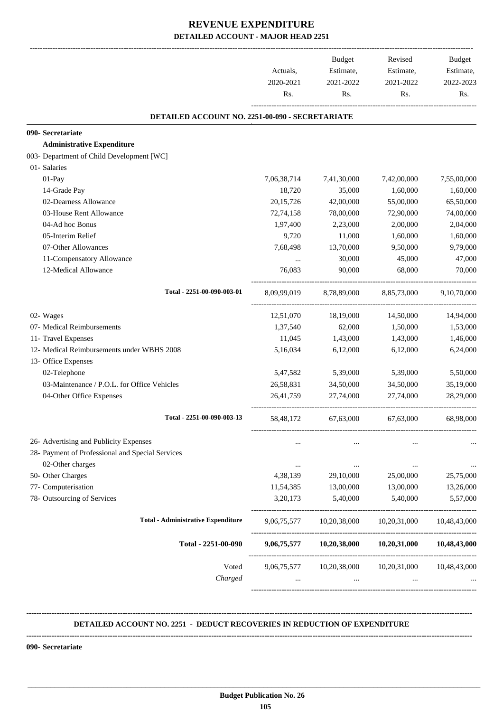|                                                  | Actuals,<br>2020-2021<br>Rs. | Budget<br>Estimate,<br>2021-2022<br>Rs. | Revised<br>Estimate,<br>2021-2022<br>Rs.           | Budget<br>Estimate,<br>2022-2023<br>Rs. |
|--------------------------------------------------|------------------------------|-----------------------------------------|----------------------------------------------------|-----------------------------------------|
| DETAILED ACCOUNT NO. 2251-00-090 - SECRETARIATE  |                              |                                         |                                                    |                                         |
| 090- Secretariate                                |                              |                                         |                                                    |                                         |
| <b>Administrative Expenditure</b>                |                              |                                         |                                                    |                                         |
| 003- Department of Child Development [WC]        |                              |                                         |                                                    |                                         |
| 01- Salaries                                     |                              |                                         |                                                    |                                         |
| 01-Pay                                           | 7,06,38,714                  | 7,41,30,000                             | 7,42,00,000                                        | 7,55,00,000                             |
| 14-Grade Pay                                     | 18,720                       | 35,000                                  | 1,60,000                                           | 1,60,000                                |
| 02-Dearness Allowance                            | 20, 15, 726                  | 42,00,000                               | 55,00,000                                          | 65,50,000                               |
| 03-House Rent Allowance                          | 72,74,158                    | 78,00,000                               | 72,90,000                                          | 74,00,000                               |
| 04-Ad hoc Bonus                                  | 1,97,400                     | 2,23,000                                | 2,00,000                                           | 2,04,000                                |
| 05-Interim Relief                                | 9,720                        | 11,000                                  | 1,60,000                                           | 1,60,000                                |
| 07-Other Allowances                              | 7,68,498                     | 13,70,000                               | 9,50,000                                           | 9,79,000                                |
| 11-Compensatory Allowance                        | $\cdots$                     | 30,000                                  | 45,000                                             | 47,000                                  |
| 12-Medical Allowance                             | 76,083                       | 90,000                                  | 68,000                                             | 70,000                                  |
| Total - 2251-00-090-003-01                       | 8,09,99,019                  | 8,78,89,000                             | 8,85,73,000                                        | 9,10,70,000                             |
| 02- Wages                                        | 12,51,070                    | 18,19,000                               | 14,50,000                                          | 14,94,000                               |
| 07- Medical Reimbursements                       | 1,37,540                     | 62,000                                  | 1,50,000                                           | 1,53,000                                |
| 11- Travel Expenses                              | 11,045                       | 1,43,000                                | 1,43,000                                           | 1,46,000                                |
| 12- Medical Reimbursements under WBHS 2008       | 5,16,034                     | 6,12,000                                | 6,12,000                                           | 6,24,000                                |
| 13- Office Expenses                              |                              |                                         |                                                    |                                         |
| 02-Telephone                                     | 5,47,582                     | 5,39,000                                | 5,39,000                                           | 5,50,000                                |
| 03-Maintenance / P.O.L. for Office Vehicles      | 26,58,831                    | 34,50,000                               | 34,50,000                                          | 35,19,000                               |
| 04-Other Office Expenses                         | 26,41,759                    | 27,74,000                               | 27,74,000                                          | 28,29,000                               |
| Total - 2251-00-090-003-13                       | 58, 48, 172                  | 67,63,000                               | 67,63,000                                          | 68,98,000                               |
| 26- Advertising and Publicity Expenses           |                              |                                         |                                                    |                                         |
| 28- Payment of Professional and Special Services |                              |                                         |                                                    |                                         |
| 02-Other charges                                 | $\cdots$                     | $\cdots$                                | $\cdots$                                           | $\cdots$                                |
| 50- Other Charges                                | 4,38,139                     | 29,10,000                               | 25,00,000                                          | 25,75,000                               |
| 77- Computerisation                              | 11,54,385                    | 13,00,000                               | 13,00,000                                          | 13,26,000                               |
| 78- Outsourcing of Services                      | 3,20,173                     | 5,40,000                                | 5,40,000                                           | 5,57,000                                |
| <b>Total - Administrative Expenditure</b>        | 9,06,75,577                  | 10,20,38,000                            | 10,20,31,000                                       | 10,48,43,000                            |
| Total - 2251-00-090                              |                              |                                         | 9,06,75,577 10,20,38,000 10,20,31,000 10,48,43,000 |                                         |
| Voted                                            | 9,06,75,577                  | 10,20,38,000                            | 10,20,31,000                                       | 10,48,43,000                            |
| Charged                                          | $\cdots$                     | $\cdots$                                | $\cdots$                                           |                                         |

#### **DETAILED ACCOUNT NO. 2251 - DEDUCT RECOVERIES IN REDUCTION OF EXPENDITURE**

**--------------------------------------------------------------------------------------------------------------------------------------------------------------------------------**

**--------------------------------------------------------------------------------------------------------------------------------------------------------------------------------**

 **\_\_\_\_\_\_\_\_\_\_\_\_\_\_\_\_\_\_\_\_\_\_\_\_\_\_\_\_\_\_\_\_\_\_\_\_\_\_\_\_\_\_\_\_\_\_\_\_\_\_\_\_\_\_\_\_\_\_\_\_\_\_\_\_\_\_\_\_\_\_\_\_\_\_\_\_\_\_\_\_\_\_\_\_\_\_\_\_\_\_\_\_\_\_\_\_\_\_\_\_\_\_\_\_\_\_\_\_\_\_\_\_\_\_\_\_\_\_\_**

**090- Secretariate**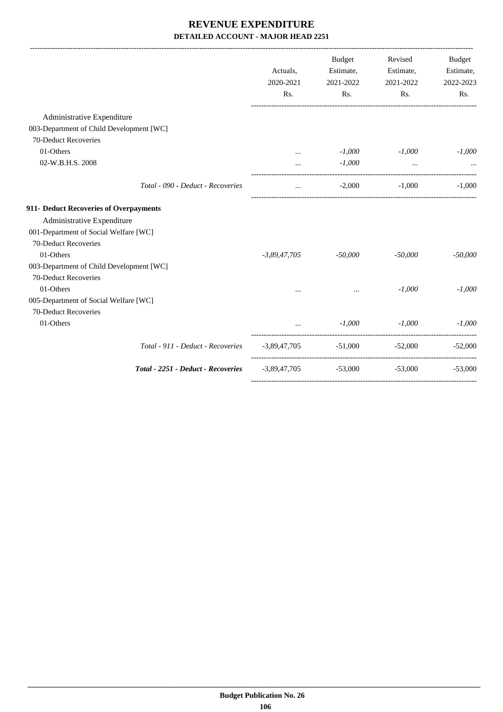|                                          |                                    | Actuals,<br>2020-2021<br>Rs. | Budget<br>Estimate,<br>2021-2022<br>Rs.      | Revised<br>Estimate,<br>2021-2022<br>Rs. | <b>Budget</b><br>Estimate,<br>2022-2023<br>Rs. |
|------------------------------------------|------------------------------------|------------------------------|----------------------------------------------|------------------------------------------|------------------------------------------------|
| Administrative Expenditure               |                                    |                              |                                              |                                          |                                                |
| 003-Department of Child Development [WC] |                                    |                              |                                              |                                          |                                                |
| 70-Deduct Recoveries                     |                                    |                              |                                              |                                          |                                                |
| 01-Others                                |                                    | $\cdots$                     | $-1,000$                                     | -1,000                                   | $-1,000$                                       |
| 02-W.B.H.S. 2008                         |                                    | $\cdots$                     | $-1,000$                                     | $\cdots$                                 |                                                |
|                                          | Total - 090 - Deduct - Recoveries  | $\cdots$                     | $-2,000$                                     | $-1.000$                                 | $-1,000$                                       |
| 911- Deduct Recoveries of Overpayments   |                                    |                              |                                              |                                          |                                                |
| Administrative Expenditure               |                                    |                              |                                              |                                          |                                                |
| 001-Department of Social Welfare [WC]    |                                    |                              |                                              |                                          |                                                |
| 70-Deduct Recoveries                     |                                    |                              |                                              |                                          |                                                |
| 01-Others                                |                                    | $-3,89,47,705$               | $-50,000$                                    | $-50,000$                                | $-50,000$                                      |
| 003-Department of Child Development [WC] |                                    |                              |                                              |                                          |                                                |
| 70-Deduct Recoveries                     |                                    |                              |                                              |                                          |                                                |
| 01-Others                                |                                    |                              | $\cdots$                                     | $-1,000$                                 | $-1,000$                                       |
| 005-Department of Social Welfare [WC]    |                                    |                              |                                              |                                          |                                                |
| 70-Deduct Recoveries                     |                                    |                              |                                              |                                          |                                                |
| 01-Others                                |                                    |                              | $-1,000$                                     | $-1,000$                                 | $-1,000$                                       |
|                                          | Total - 911 - Deduct - Recoveries  | -3,89,47,705                 | $-51,000$                                    | -52,000                                  | $-52,000$                                      |
|                                          | Total - 2251 - Deduct - Recoveries |                              | $-3,89,47,705$ $-53,000$ $-53,000$ $-53,000$ |                                          |                                                |
|                                          |                                    |                              |                                              |                                          |                                                |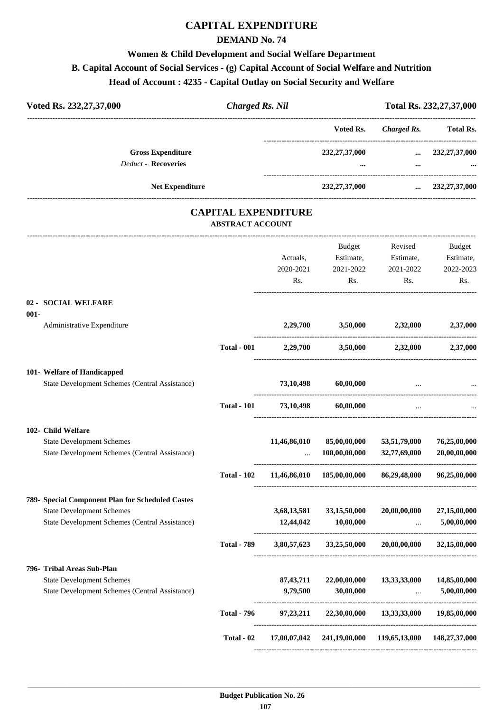## **CAPITAL EXPENDITURE**

#### **DEMAND No. 74**

# **Women & Child Development and Social Welfare Department**

## **B. Capital Account of Social Services - (g) Capital Account of Social Welfare and Nutrition**

#### **Head of Account : 4235 - Capital Outlay on Social Security and Welfare**

| Voted Rs. 232, 27, 37, 000                             | <b>Charged Rs. Nil</b> |                              | Total Rs. 232, 27, 37, 000 |                      |  |
|--------------------------------------------------------|------------------------|------------------------------|----------------------------|----------------------|--|
|                                                        |                        | Voted Rs.                    | Charged Rs.                | <b>Total Rs.</b>     |  |
| <b>Gross Expenditure</b><br><b>Deduct - Recoveries</b> |                        | 232, 27, 37, 000<br>$\cdots$ | $\cdots$<br>$\cdots$       | 232, 27, 37, 000<br> |  |
| <b>Net Expenditure</b>                                 |                        | 232, 27, 37, 000             | $\cdots$                   | 232,27,37,000        |  |

#### **CAPITAL EXPENDITURE ABSTRACT ACCOUNT**

|         |                                                  |                    |              | <b>Budget</b> | Revised                     | <b>Budget</b> |
|---------|--------------------------------------------------|--------------------|--------------|---------------|-----------------------------|---------------|
|         |                                                  |                    | Actuals,     | Estimate,     | Estimate,                   | Estimate,     |
|         |                                                  |                    | 2020-2021    | 2021-2022     | 2021-2022                   | 2022-2023     |
|         |                                                  |                    | Rs.          | Rs.           | R <sub>s</sub> .            | Rs.           |
| $001 -$ | 02 - SOCIAL WELFARE                              |                    |              |               |                             |               |
|         | Administrative Expenditure                       |                    | 2,29,700     | 3,50,000      | 2,32,000                    | 2,37,000      |
|         |                                                  | <b>Total - 001</b> | 2,29,700     |               | 3,50,000 2,32,000           | 2,37,000      |
|         | 101- Welfare of Handicapped                      |                    |              |               |                             |               |
|         | State Development Schemes (Central Assistance)   |                    | 73,10,498    | 60,00,000     |                             |               |
|         |                                                  | <b>Total - 101</b> | 73,10,498    | 60,00,000     |                             |               |
|         | 102- Child Welfare                               |                    |              |               |                             |               |
|         | <b>State Development Schemes</b>                 |                    | 11,46,86,010 | 85,00,00,000  | 53,51,79,000                | 76,25,00,000  |
|         | State Development Schemes (Central Assistance)   |                    |              | 100,00,00,000 | 32,77,69,000                | 20,00,00,000  |
|         |                                                  | <b>Total - 102</b> | 11,46,86,010 | 185,00,00,000 | 86,29,48,000                | 96,25,00,000  |
|         | 789- Special Component Plan for Scheduled Castes |                    |              |               |                             |               |
|         | <b>State Development Schemes</b>                 |                    | 3,68,13,581  | 33,15,50,000  | 20,00,00,000                | 27,15,00,000  |
|         | State Development Schemes (Central Assistance)   |                    | 12,44,042    | 10,00,000     |                             | 5,00,00,000   |
|         |                                                  | <b>Total - 789</b> | 3,80,57,623  | 33,25,50,000  | 20,00,00,000                | 32,15,00,000  |
|         | 796- Tribal Areas Sub-Plan                       |                    |              |               |                             |               |
|         | <b>State Development Schemes</b>                 |                    | 87, 43, 711  | 22,00,00,000  | 13,33,33,000                | 14,85,00,000  |
|         | State Development Schemes (Central Assistance)   |                    | 9,79,500     | 30,00,000     |                             | 5,00,00,000   |
|         |                                                  | <b>Total - 796</b> | 97, 23, 211  |               | 22,30,00,000 13,33,33,000   | 19,85,00,000  |
|         |                                                  | Total - 02         | 17,00,07,042 | 241,19,00,000 | 119,65,13,000 148,27,37,000 |               |
|         |                                                  |                    |              |               |                             |               |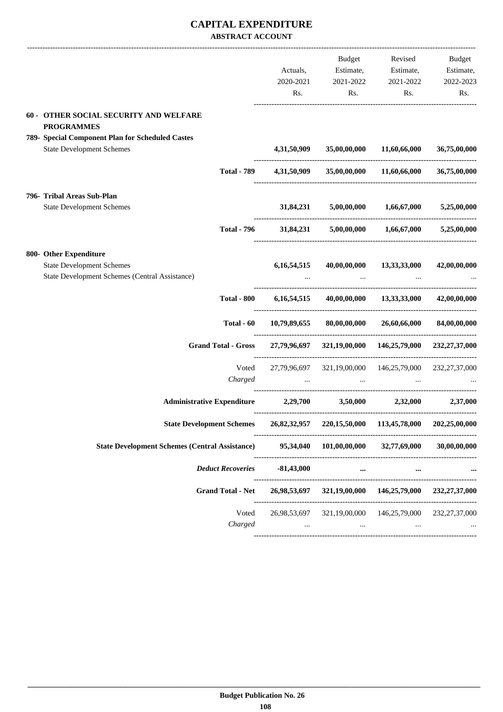#### **CAPITAL EXPENDITURE ABSTRACT ACCOUNT**

|                                                                                                              | Actuals,<br>2020-2021<br>Rs. | Budget<br>Estimate,<br>2021-2022<br>Rs.                            | Revised<br>Estimate,<br>2021-2022<br>Rs. | Budget<br>Estimate,<br>2022-2023<br>Rs. |
|--------------------------------------------------------------------------------------------------------------|------------------------------|--------------------------------------------------------------------|------------------------------------------|-----------------------------------------|
| 60 - OTHER SOCIAL SECURITY AND WELFARE<br><b>PROGRAMMES</b>                                                  |                              |                                                                    |                                          |                                         |
| 789- Special Component Plan for Scheduled Castes<br><b>State Development Schemes</b>                         | 4,31,50,909                  | 35,00,00,000                                                       | 11,60,66,000                             | 36,75,00,000                            |
| <b>Total - 789</b>                                                                                           | 4,31,50,909                  |                                                                    | 35,00,00,000 11,60,66,000                | 36,75,00,000                            |
| 796- Tribal Areas Sub-Plan<br><b>State Development Schemes</b>                                               | 31,84,231                    |                                                                    | $5,00,00,000$ $1,66,67,000$              | 5,25,00,000                             |
| <b>Total - 796</b>                                                                                           |                              | 31,84,231 5,00,00,000 1,66,67,000 5,25,00,000                      |                                          |                                         |
| 800- Other Expenditure<br><b>State Development Schemes</b><br>State Development Schemes (Central Assistance) | 6, 16, 54, 515               |                                                                    | 40,00,00,000 13,33,33,000                | 42,00,00,000                            |
| <b>Total - 800</b>                                                                                           | 6, 16, 54, 515               |                                                                    | 40,00,00,000 13,33,33,000 42,00,00,000   |                                         |
| Total $-60$                                                                                                  | 10,79,89,655                 | 80,00,00,000                                                       | 26,60,66,000                             | 84,00,00,000                            |
| <b>Grand Total - Gross</b>                                                                                   |                              | 27,79,96,697 321,19,00,000 146,25,79,000 232,27,37,000             |                                          |                                         |
| Voted<br>Charged                                                                                             | $\sim 100$                   | 27,79,96,697 321,19,00,000 146,25,79,000 232,27,37,000<br>$\cdots$ |                                          |                                         |
| Administrative Expenditure 2,29,700 3,50,000 2,32,000 2,37,000                                               |                              |                                                                    |                                          |                                         |
| State Development Schemes 26,82,32,957 220,15,50,000 113,45,78,000 202,25,00,000                             |                              |                                                                    |                                          |                                         |
| <b>State Development Schemes (Central Assistance)</b>                                                        |                              | 95,34,040 101,00,00,000 32,77,69,000                               |                                          | 30,00,00,000                            |
| <b>Deduct Recoveries</b>                                                                                     | $-81,43,000$                 | $\cdots$                                                           | $\cdots$                                 |                                         |
| <b>Grand Total - Net</b>                                                                                     |                              | 26,98,53,697 321,19,00,000 146,25,79,000 232,27,37,000             |                                          |                                         |
| Voted<br>Charged                                                                                             | $\cdots$                     | 26,98,53,697 321,19,00,000 146,25,79,000 232,27,37,000<br>$\cdots$ | $\cdots$                                 |                                         |
|                                                                                                              |                              |                                                                    |                                          |                                         |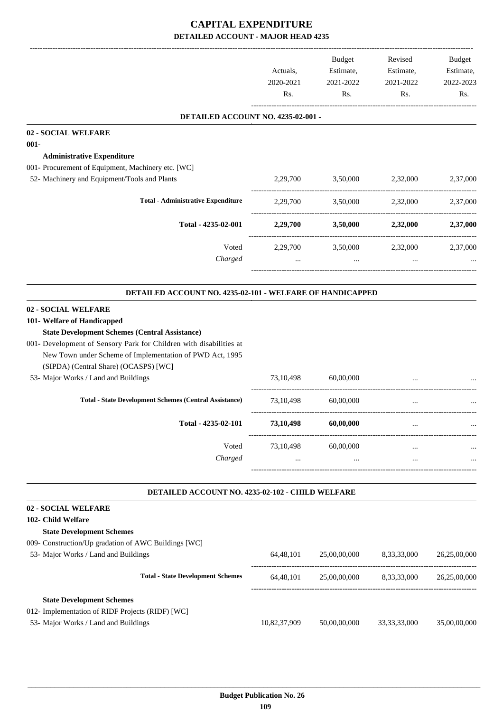|                                                                                                                                                                                                                                                                                                         | Actuals,<br>2020-2021<br>Rs. | Budget<br>Estimate,<br>2021-2022<br>Rs.         | Revised<br>Estimate,<br>2021-2022<br>Rs. | Budget<br>Estimate,<br>2022-2023<br>Rs. |
|---------------------------------------------------------------------------------------------------------------------------------------------------------------------------------------------------------------------------------------------------------------------------------------------------------|------------------------------|-------------------------------------------------|------------------------------------------|-----------------------------------------|
| DETAILED ACCOUNT NO. 4235-02-001 -                                                                                                                                                                                                                                                                      |                              |                                                 |                                          |                                         |
| 02 - SOCIAL WELFARE                                                                                                                                                                                                                                                                                     |                              |                                                 |                                          |                                         |
| $001 -$                                                                                                                                                                                                                                                                                                 |                              |                                                 |                                          |                                         |
| <b>Administrative Expenditure</b><br>001- Procurement of Equipment, Machinery etc. [WC]                                                                                                                                                                                                                 |                              |                                                 |                                          |                                         |
| 52- Machinery and Equipment/Tools and Plants                                                                                                                                                                                                                                                            |                              | 2,29,700 3,50,000 2,32,000 2,37,000             |                                          |                                         |
| <b>Total - Administrative Expenditure</b>                                                                                                                                                                                                                                                               |                              | 2,29,700 3,50,000 2,32,000 2,37,000             |                                          |                                         |
| Total - 4235-02-001                                                                                                                                                                                                                                                                                     |                              | 2,29,700 3,50,000 2,32,000 2,37,000             |                                          |                                         |
| Voted<br>Charged                                                                                                                                                                                                                                                                                        | $\cdots$                     | 2,29,700 3,50,000 2,32,000<br>$\ddots$          | $\cdots$                                 | 2,37,000                                |
| <b>DETAILED ACCOUNT NO. 4235-02-101 - WELFARE OF HANDICAPPED</b>                                                                                                                                                                                                                                        |                              |                                                 |                                          |                                         |
| 02 - SOCIAL WELFARE                                                                                                                                                                                                                                                                                     |                              |                                                 |                                          |                                         |
| 101- Welfare of Handicapped<br><b>State Development Schemes (Central Assistance)</b><br>001- Development of Sensory Park for Children with disabilities at<br>New Town under Scheme of Implementation of PWD Act, 1995<br>(SIPDA) (Central Share) (OCASPS) [WC]<br>53- Major Works / Land and Buildings | 73,10,498                    | 60,00,000                                       | $\ddotsc$                                |                                         |
| <b>Total - State Development Schemes (Central Assistance)</b>                                                                                                                                                                                                                                           | 73, 10, 498                  | 60,00,000                                       | $\cdots$                                 |                                         |
| Total - 4235-02-101                                                                                                                                                                                                                                                                                     | 73,10,498                    | 60,00,000                                       |                                          |                                         |
| Voted<br>Charged                                                                                                                                                                                                                                                                                        | 73,10,498                    | 60,00,000<br>$\cdots$                           | $\cdots$<br>$\cdots$                     |                                         |
| DETAILED ACCOUNT NO. 4235-02-102 - CHILD WELFARE                                                                                                                                                                                                                                                        |                              |                                                 |                                          |                                         |
|                                                                                                                                                                                                                                                                                                         |                              |                                                 |                                          |                                         |
| 02 - SOCIAL WELFARE<br>102- Child Welfare<br><b>State Development Schemes</b><br>009- Construction/Up gradation of AWC Buildings [WC]<br>53- Major Works / Land and Buildings                                                                                                                           |                              | 64,48,101 25,00,00,000 8,33,33,000 26,25,00,000 |                                          |                                         |
| <b>Total - State Development Schemes</b>                                                                                                                                                                                                                                                                | 64,48,101                    | 25,00,00,000                                    | 8,33,33,000                              | 26,25,00,000                            |
| <b>State Development Schemes</b><br>012- Implementation of RIDF Projects (RIDF) [WC]<br>53- Major Works / Land and Buildings                                                                                                                                                                            | 10,82,37,909                 | 50,00,00,000                                    | 33, 33, 33, 000                          | 35,00,00,000                            |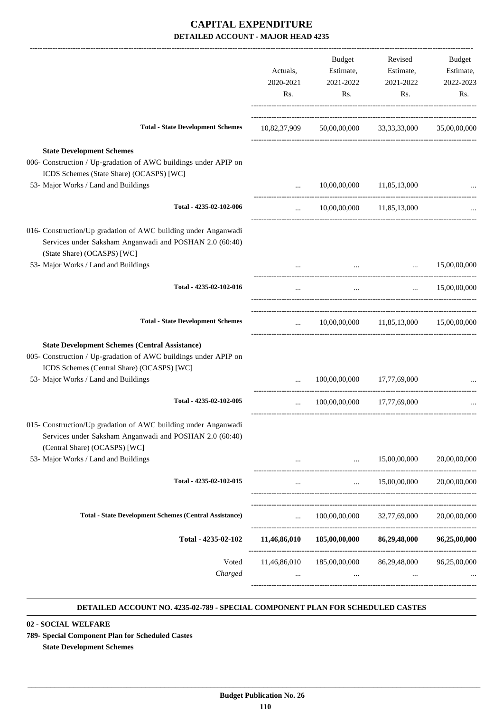| Actuals,<br>2020-2021<br>Rs. | Budget<br>2021-2022<br>Rs. | Revised<br>Estimate,<br>2021-2022<br>Rs.             | Budget<br>Estimate,<br>2022-2023<br>Rs.                                                                                                                                                                                                                                                                                                                                                                                                                                                         |
|------------------------------|----------------------------|------------------------------------------------------|-------------------------------------------------------------------------------------------------------------------------------------------------------------------------------------------------------------------------------------------------------------------------------------------------------------------------------------------------------------------------------------------------------------------------------------------------------------------------------------------------|
|                              |                            |                                                      |                                                                                                                                                                                                                                                                                                                                                                                                                                                                                                 |
|                              |                            |                                                      |                                                                                                                                                                                                                                                                                                                                                                                                                                                                                                 |
| $\cdots$                     |                            |                                                      |                                                                                                                                                                                                                                                                                                                                                                                                                                                                                                 |
|                              |                            |                                                      |                                                                                                                                                                                                                                                                                                                                                                                                                                                                                                 |
|                              |                            |                                                      | $\ldots$ 15,00,00,000                                                                                                                                                                                                                                                                                                                                                                                                                                                                           |
| $\cdots$                     | $\ldots$                   | $\cdots$                                             | 15,00,00,000                                                                                                                                                                                                                                                                                                                                                                                                                                                                                    |
|                              |                            |                                                      |                                                                                                                                                                                                                                                                                                                                                                                                                                                                                                 |
|                              |                            |                                                      |                                                                                                                                                                                                                                                                                                                                                                                                                                                                                                 |
| $\cdots$                     |                            |                                                      |                                                                                                                                                                                                                                                                                                                                                                                                                                                                                                 |
|                              |                            |                                                      |                                                                                                                                                                                                                                                                                                                                                                                                                                                                                                 |
|                              |                            |                                                      |                                                                                                                                                                                                                                                                                                                                                                                                                                                                                                 |
|                              |                            |                                                      | 20,00,00,000                                                                                                                                                                                                                                                                                                                                                                                                                                                                                    |
| $\cdots$                     |                            |                                                      | 20,00,00,000                                                                                                                                                                                                                                                                                                                                                                                                                                                                                    |
|                              |                            |                                                      | 20,00,00,000                                                                                                                                                                                                                                                                                                                                                                                                                                                                                    |
|                              |                            |                                                      | 96,25,00,000                                                                                                                                                                                                                                                                                                                                                                                                                                                                                    |
|                              |                            | $\cdots$                                             |                                                                                                                                                                                                                                                                                                                                                                                                                                                                                                 |
|                              |                            | $\cdots$ . The set of $\mathbb{R}^n$<br>$\mathbf{r}$ | Estimate,<br>10,82,37,909 50,00,00,000 33,33,33,000 35,00,00,000<br>10,00,00,000 11,85,13,000<br>10,00,00,000 11,85,13,000<br>$10,00,00,000$ $11,85,13,000$ $15,00,00,000$<br>100,00,00,000 17,77,69,000<br>100.00.00.000 17.77.69.000<br>$\ldots$ 15,00,00,000<br>--------------------------------<br>$\ldots$ 15,00,00,000<br>100,00,00,000 32,77,69,000<br>11,46,86,010 185,00,00,000 86,29,48,000<br>11,46,86,010 185,00,00,000 86,29,48,000 96,25,00,000<br><b>The Committee Committee</b> |

#### **DETAILED ACCOUNT NO. 4235-02-789 - SPECIAL COMPONENT PLAN FOR SCHEDULED CASTES .**

**02 - SOCIAL WELFARE**

**789- Special Component Plan for Scheduled Castes**

**State Development Schemes**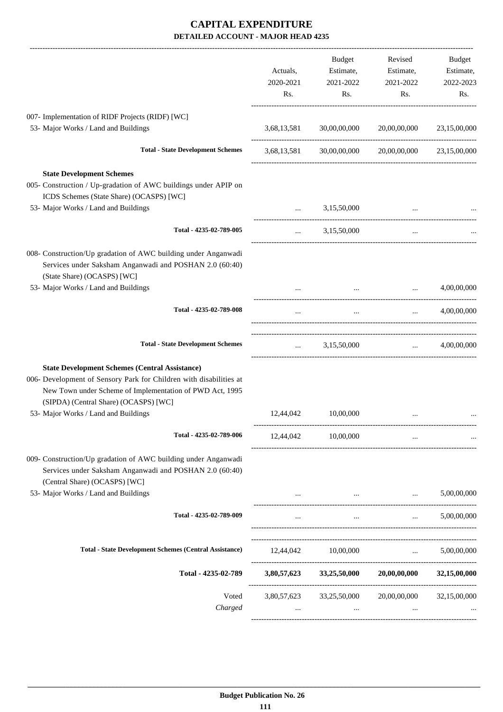|                                                                                                                                                                                                                                  | Actuals,<br>2020-2021<br>Rs.                   | Budget<br>Estimate,<br>2021-2022<br>Rs. | Revised<br>Estimate,<br>2021-2022<br>Rs.                   | Budget<br>Estimate,<br>2022-2023<br>Rs. |
|----------------------------------------------------------------------------------------------------------------------------------------------------------------------------------------------------------------------------------|------------------------------------------------|-----------------------------------------|------------------------------------------------------------|-----------------------------------------|
| 007- Implementation of RIDF Projects (RIDF) [WC]                                                                                                                                                                                 |                                                |                                         |                                                            |                                         |
| 53- Major Works / Land and Buildings                                                                                                                                                                                             | 3,68,13,581                                    | 30,00,00,000                            | 20,00,00,000                                               | 23,15,00,000                            |
| <b>Total - State Development Schemes</b>                                                                                                                                                                                         | 3,68,13,581                                    |                                         | 30,00,00,000 20,00,00,000 23,15,00,000                     |                                         |
| <b>State Development Schemes</b><br>005- Construction / Up-gradation of AWC buildings under APIP on<br>ICDS Schemes (State Share) (OCASPS) [WC]<br>53- Major Works / Land and Buildings                                          | $\mathbf{r}$ and $\mathbf{r}$ and $\mathbf{r}$ | 3,15,50,000                             |                                                            |                                         |
| Total - 4235-02-789-005                                                                                                                                                                                                          |                                                | $\ldots$ 3,15,50,000                    | $\cdots$                                                   |                                         |
| 008- Construction/Up gradation of AWC building under Anganwadi<br>Services under Saksham Anganwadi and POSHAN 2.0 (60:40)<br>(State Share) (OCASPS) [WC]                                                                         |                                                |                                         |                                                            |                                         |
| 53- Major Works / Land and Buildings                                                                                                                                                                                             |                                                | $\mathbf{r}$ , and $\mathbf{r}$         | $\cdots$                                                   | 4,00,00,000                             |
| Total - 4235-02-789-008                                                                                                                                                                                                          | $\cdots$                                       | $\cdots$                                | $\mathbf{m}$ and $\mathbf{m}$                              | 4,00,00,000                             |
| <b>Total - State Development Schemes</b>                                                                                                                                                                                         |                                                | $\ldots$ 3,15,50,000                    |                                                            | $\ldots$ 4,00,00,000                    |
| <b>State Development Schemes (Central Assistance)</b><br>006- Development of Sensory Park for Children with disabilities at<br>New Town under Scheme of Implementation of PWD Act, 1995<br>(SIPDA) (Central Share) (OCASPS) [WC] |                                                |                                         |                                                            |                                         |
| 53- Major Works / Land and Buildings                                                                                                                                                                                             | 12,44,042                                      | 10,00,000                               |                                                            |                                         |
| Total - 4235-02-789-006                                                                                                                                                                                                          | 12,44,042                                      | 10,00,000                               | $\cdots$                                                   |                                         |
| 009- Construction/Up gradation of AWC building under Anganwadi<br>Services under Saksham Anganwadi and POSHAN 2.0 (60:40)<br>(Central Share) (OCASPS) [WC]                                                                       |                                                |                                         |                                                            |                                         |
| 53- Major Works / Land and Buildings                                                                                                                                                                                             |                                                |                                         |                                                            | 5,00,00,000                             |
| Total - 4235-02-789-009                                                                                                                                                                                                          | $\cdots$                                       | $\cdots$                                | $\mathbf{r}$                                               | 5,00,00,000                             |
| <b>Total - State Development Schemes (Central Assistance)</b>                                                                                                                                                                    |                                                | 12,44,042 10,00,000                     |                                                            | $\ldots$ 5,00,00,000                    |
| Total - 4235-02-789                                                                                                                                                                                                              |                                                |                                         | $3,80,57,623$ $33,25,50,000$ $20,00,00,000$ $32,15,00,000$ |                                         |
| Voted<br>Charged                                                                                                                                                                                                                 | $\cdots$                                       | 3,80,57,623 33,25,50,000                | 20,00,00,000<br>$\cdots$                                   | 32,15,00,000                            |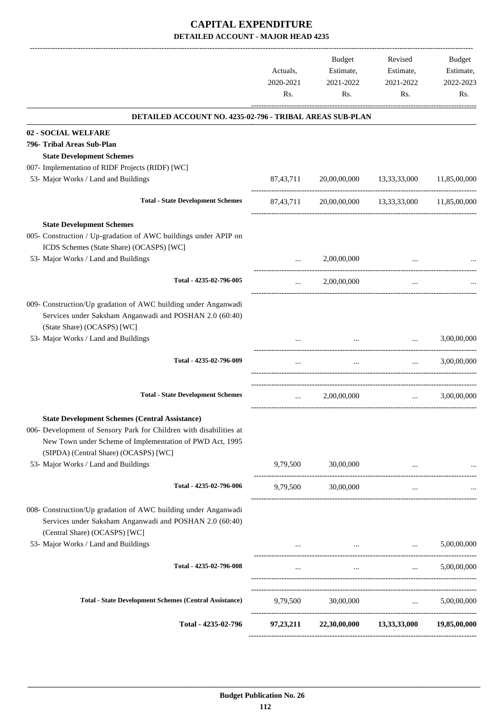|                                                                                                                                                                                                                                  | Actuals,<br>2020-2021<br>Rs. | Budget<br>Estimate,<br>2021-2022<br>Rs.                                         | Revised<br>Estimate,<br>2021-2022<br>Rs.                                                                                          | Budget<br>Estimate,<br>2022-2023<br>Rs. |
|----------------------------------------------------------------------------------------------------------------------------------------------------------------------------------------------------------------------------------|------------------------------|---------------------------------------------------------------------------------|-----------------------------------------------------------------------------------------------------------------------------------|-----------------------------------------|
| DETAILED ACCOUNT NO. 4235-02-796 - TRIBAL AREAS SUB-PLAN                                                                                                                                                                         |                              |                                                                                 |                                                                                                                                   |                                         |
| 02 - SOCIAL WELFARE                                                                                                                                                                                                              |                              |                                                                                 |                                                                                                                                   |                                         |
| 796- Tribal Areas Sub-Plan                                                                                                                                                                                                       |                              |                                                                                 |                                                                                                                                   |                                         |
| <b>State Development Schemes</b>                                                                                                                                                                                                 |                              |                                                                                 |                                                                                                                                   |                                         |
| 007- Implementation of RIDF Projects (RIDF) [WC]                                                                                                                                                                                 |                              |                                                                                 |                                                                                                                                   |                                         |
| 53- Major Works / Land and Buildings                                                                                                                                                                                             | 87,43,711                    |                                                                                 | 20,00,00,000 13,33,33,000 11,85,00,000                                                                                            |                                         |
| <b>Total - State Development Schemes</b>                                                                                                                                                                                         | 87,43,711                    |                                                                                 | 20,00,00,000 13,33,33,000 11,85,00,000                                                                                            |                                         |
| <b>State Development Schemes</b>                                                                                                                                                                                                 |                              |                                                                                 |                                                                                                                                   |                                         |
| 005- Construction / Up-gradation of AWC buildings under APIP on<br>ICDS Schemes (State Share) (OCASPS) [WC]                                                                                                                      |                              |                                                                                 |                                                                                                                                   |                                         |
| 53- Major Works / Land and Buildings                                                                                                                                                                                             | $\cdots$                     | 2,00,00,000                                                                     |                                                                                                                                   |                                         |
| Total - 4235-02-796-005                                                                                                                                                                                                          | $\cdots$                     | 2,00,00,000                                                                     | $\cdots$                                                                                                                          |                                         |
| 009- Construction/Up gradation of AWC building under Anganwadi<br>Services under Saksham Anganwadi and POSHAN 2.0 (60:40)<br>(State Share) (OCASPS) [WC]                                                                         |                              |                                                                                 |                                                                                                                                   |                                         |
| 53- Major Works / Land and Buildings                                                                                                                                                                                             |                              | $\cdots$                                                                        | $\cdots$                                                                                                                          | 3,00,00,000                             |
| Total - 4235-02-796-009                                                                                                                                                                                                          | $\cdots$                     | $\cdots$                                                                        | <b>Second Contract</b>                                                                                                            | 3,00,00,000                             |
| <b>Total - State Development Schemes</b>                                                                                                                                                                                         | $\cdots$                     | 2,00,00,000                                                                     | $\mathbf{1}_{\mathbf{1}_{\mathbf{2}}\mathbf{1}_{\mathbf{3}}\mathbf{2}_{\mathbf{4}}\mathbf{3}_{\mathbf{5}}\mathbf{4}_{\mathbf{6}}$ | 3,00,00,000                             |
| <b>State Development Schemes (Central Assistance)</b><br>006- Development of Sensory Park for Children with disabilities at<br>New Town under Scheme of Implementation of PWD Act, 1995<br>(SIPDA) (Central Share) (OCASPS) [WC] |                              |                                                                                 |                                                                                                                                   |                                         |
| 53- Major Works / Land and Buildings                                                                                                                                                                                             |                              | 9,79,500 30,00,000                                                              | $\cdots$                                                                                                                          |                                         |
| Total - 4235-02-796-006                                                                                                                                                                                                          | 9,79,500                     | 30,00,000                                                                       | $\cdots$                                                                                                                          |                                         |
| 008- Construction/Up gradation of AWC building under Anganwadi<br>Services under Saksham Anganwadi and POSHAN 2.0 (60:40)<br>(Central Share) (OCASPS) [WC]                                                                       |                              |                                                                                 |                                                                                                                                   |                                         |
| 53- Major Works / Land and Buildings                                                                                                                                                                                             |                              | the contract of the contract of the contract of the contract of the contract of |                                                                                                                                   | 5,00,00,000                             |
| Total - 4235-02-796-008                                                                                                                                                                                                          | $\cdots$                     | $\sim 10^{-10}$                                                                 | <b>Sales Control</b>                                                                                                              | 5,00,00,000                             |
| <b>Total - State Development Schemes (Central Assistance)</b>                                                                                                                                                                    |                              | 9,79,500 30,00,000  5,00,00,000                                                 |                                                                                                                                   |                                         |
| Total - 4235-02-796                                                                                                                                                                                                              |                              | 97,23,211 22,30,00,000 13,33,33,000 19,85,00,000                                |                                                                                                                                   |                                         |
|                                                                                                                                                                                                                                  |                              |                                                                                 |                                                                                                                                   |                                         |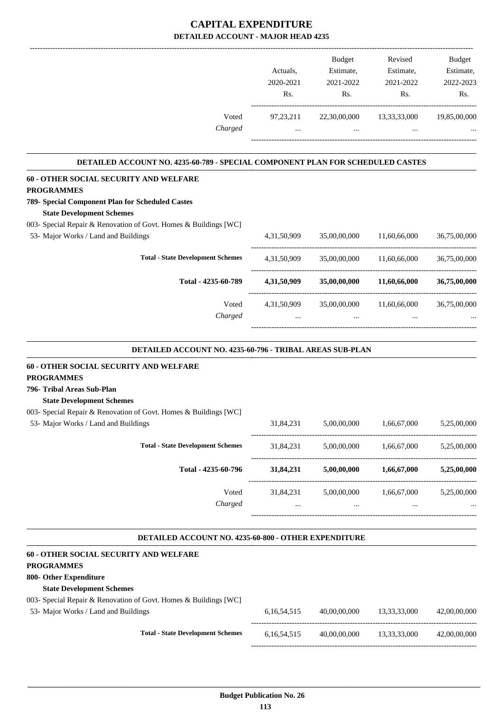|                                                                                | Actuals,       | <b>Budget</b><br>Estimate, | Revised<br>Estimate, | <b>Budget</b><br>Estimate, |
|--------------------------------------------------------------------------------|----------------|----------------------------|----------------------|----------------------------|
|                                                                                | 2020-2021      | 2021-2022                  | 2021-2022            | 2022-2023                  |
|                                                                                | Rs.            | Rs.                        | Rs.                  | Rs.                        |
| Voted                                                                          | 97, 23, 211    | 22,30,00,000               | 13,33,33,000         | 19,85,00,000               |
| Charged                                                                        | $\cdots$       | $\cdots$                   |                      |                            |
|                                                                                |                |                            |                      |                            |
| DETAILED ACCOUNT NO. 4235-60-789 - SPECIAL COMPONENT PLAN FOR SCHEDULED CASTES |                |                            |                      |                            |
| 60 - OTHER SOCIAL SECURITY AND WELFARE<br><b>PROGRAMMES</b>                    |                |                            |                      |                            |
| 789- Special Component Plan for Scheduled Castes                               |                |                            |                      |                            |
| <b>State Development Schemes</b>                                               |                |                            |                      |                            |
| 003- Special Repair & Renovation of Govt. Homes & Buildings [WC]               |                |                            |                      |                            |
| 53- Major Works / Land and Buildings                                           | 4, 31, 50, 909 | 35,00,00,000               | 11,60,66,000         | 36,75,00,000               |
| <b>Total - State Development Schemes</b>                                       | 4,31,50,909    | 35,00,00,000               | 11,60,66,000         | 36,75,00,000               |
| Total - 4235-60-789                                                            | 4,31,50,909    | 35,00,00,000               | 11,60,66,000         | 36,75,00,000               |
| Voted                                                                          | 4,31,50,909    | 35,00,00,000               | 11,60,66,000         | 36,75,00,000               |
| Charged                                                                        |                |                            |                      |                            |
|                                                                                |                |                            |                      |                            |
| DETAILED ACCOUNT NO. 4235-60-796 - TRIBAL AREAS SUB-PLAN                       |                |                            |                      |                            |
| 60 - OTHER SOCIAL SECURITY AND WELFARE<br><b>PROGRAMMES</b>                    |                |                            |                      |                            |
| 796- Tribal Areas Sub-Plan                                                     |                |                            |                      |                            |
| <b>State Development Schemes</b>                                               |                |                            |                      |                            |
| 003- Special Repair & Renovation of Govt. Homes & Buildings [WC]               |                |                            |                      |                            |
| 53- Major Works / Land and Buildings                                           | 31,84,231      | 5,00,00,000                | 1,66,67,000          | 5,25,00,000                |
| <b>Total - State Development Schemes</b>                                       | 31,84,231      | 5,00,00,000                | 1,66,67,000          | 5,25,00,000                |
| Total - 4235-60-796                                                            | 31,84,231      | 5,00,00,000                | 1,66,67,000          | 5,25,00,000                |
| Voted                                                                          | 31,84,231      | 5,00,00,000                | 1,66,67,000          | 5,25,00,000                |
| Charged                                                                        | $\cdots$       | $\cdots$                   | $\cdots$             |                            |
| DETAILED ACCOUNT NO. 4235-60-800 - OTHER EXPENDITURE                           |                |                            |                      |                            |
|                                                                                |                |                            |                      |                            |
| 60 - OTHER SOCIAL SECURITY AND WELFARE<br><b>PROGRAMMES</b>                    |                |                            |                      |                            |
| 800- Other Expenditure                                                         |                |                            |                      |                            |
| <b>State Development Schemes</b>                                               |                |                            |                      |                            |
| 003- Special Repair & Renovation of Govt. Homes & Buildings [WC]               |                |                            |                      |                            |

 53- Major Works / Land and Buildings 6,16,54,515 40,00,00,000 13,33,33,000 42,00,00,000 ----------------------------------------------------------------------------------------- **Total - State Development Schemes** 6,16,54,515 40,00,00,000 13,33,33,000 42,00,00,000 -----------------------------------------------------------------------------------------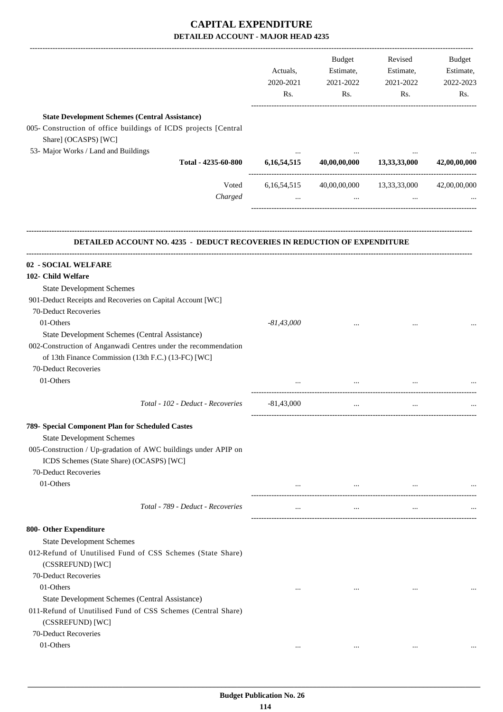|                                                                                                                                                                                                                 | Actuals,<br>2020-2021<br>Rs. | Budget<br>Estimate,<br>2021-2022<br>Rs. | Revised<br>Estimate,<br>2021-2022<br>Rs. | <b>Budget</b><br>Estimate,<br>2022-2023<br>Rs. |
|-----------------------------------------------------------------------------------------------------------------------------------------------------------------------------------------------------------------|------------------------------|-----------------------------------------|------------------------------------------|------------------------------------------------|
| <b>State Development Schemes (Central Assistance)</b><br>005- Construction of office buildings of ICDS projects [Central<br>Share] (OCASPS) [WC]<br>53- Major Works / Land and Buildings<br>Total - 4235-60-800 | 6, 16, 54, 515               | 40,00,00,000                            | 13, 33, 33, 000                          | 42,00,00,000                                   |
| Voted<br>Charged                                                                                                                                                                                                | 6, 16, 54, 515               | 40,00,00,000                            | 13,33,33,000                             | 42,00,00,000                                   |
| <b>DETAILED ACCOUNT NO. 4235 - DEDUCT RECOVERIES IN REDUCTION OF EXPENDITURE</b>                                                                                                                                |                              |                                         |                                          |                                                |
| 02 - SOCIAL WELFARE                                                                                                                                                                                             |                              |                                         |                                          |                                                |
| 102- Child Welfare                                                                                                                                                                                              |                              |                                         |                                          |                                                |
| <b>State Development Schemes</b>                                                                                                                                                                                |                              |                                         |                                          |                                                |
| 901-Deduct Receipts and Recoveries on Capital Account [WC]                                                                                                                                                      |                              |                                         |                                          |                                                |
| 70-Deduct Recoveries                                                                                                                                                                                            |                              |                                         |                                          |                                                |
| 01-Others                                                                                                                                                                                                       | $-81,43,000$                 |                                         |                                          |                                                |
| State Development Schemes (Central Assistance)                                                                                                                                                                  |                              |                                         |                                          |                                                |
| 002-Construction of Anganwadi Centres under the recommendation                                                                                                                                                  |                              |                                         |                                          |                                                |
| of 13th Finance Commission (13th F.C.) (13-FC) [WC]                                                                                                                                                             |                              |                                         |                                          |                                                |
| 70-Deduct Recoveries<br>01-Others                                                                                                                                                                               |                              |                                         |                                          |                                                |
|                                                                                                                                                                                                                 |                              |                                         |                                          |                                                |
| Total - 102 - Deduct - Recoveries                                                                                                                                                                               | $-81,43,000$                 | $\cdots$                                |                                          |                                                |
| 789- Special Component Plan for Scheduled Castes                                                                                                                                                                |                              |                                         |                                          |                                                |
| <b>State Development Schemes</b>                                                                                                                                                                                |                              |                                         |                                          |                                                |
| 005-Construction / Up-gradation of AWC buildings under APIP on<br>ICDS Schemes (State Share) (OCASPS) [WC]                                                                                                      |                              |                                         |                                          |                                                |
| 70-Deduct Recoveries<br>01-Others                                                                                                                                                                               | $\cdots$                     | $\cdots$                                | $\ldots$                                 |                                                |
| Total - 789 - Deduct - Recoveries                                                                                                                                                                               | $\cdots$                     | $\ldots$                                | $\ldots$                                 |                                                |
|                                                                                                                                                                                                                 |                              |                                         |                                          |                                                |
| 800- Other Expenditure                                                                                                                                                                                          |                              |                                         |                                          |                                                |
| <b>State Development Schemes</b><br>012-Refund of Unutilised Fund of CSS Schemes (State Share)                                                                                                                  |                              |                                         |                                          |                                                |
| (CSSREFUND) [WC]                                                                                                                                                                                                |                              |                                         |                                          |                                                |
| 70-Deduct Recoveries                                                                                                                                                                                            |                              |                                         |                                          |                                                |
| 01-Others                                                                                                                                                                                                       | $\cdots$                     | $\cdots$                                | $\cdots$                                 |                                                |
| State Development Schemes (Central Assistance)<br>011-Refund of Unutilised Fund of CSS Schemes (Central Share)<br>(CSSREFUND) [WC]                                                                              |                              |                                         |                                          |                                                |
| 70-Deduct Recoveries                                                                                                                                                                                            |                              |                                         |                                          |                                                |
| 01-Others                                                                                                                                                                                                       | $\cdots$                     | $\cdots$                                | $\cdots$                                 |                                                |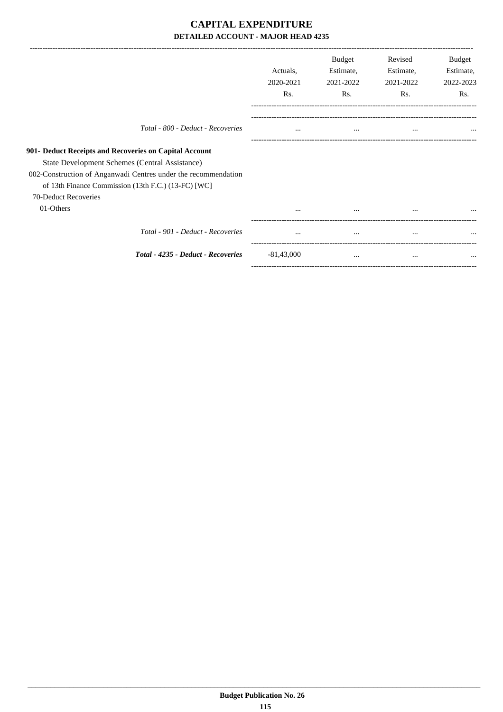| Actuals,<br>2020-2021<br>Rs. | Estimate,<br>2021-2022<br>Rs. | Estimate,<br>2021-2022<br>Rs. | Budget<br>Estimate,<br>2022-2023<br>Rs. |
|------------------------------|-------------------------------|-------------------------------|-----------------------------------------|
| $\cdots$                     | $\cdots$                      | $\cdots$                      | $\cdots$                                |
|                              |                               |                               |                                         |
| $\cdots$                     | $\cdots$                      | $\cdots$                      |                                         |
| $\cdots$                     | $\cdots$                      | $\cdots$                      |                                         |
| $-81,43,000$                 | $\cdots$                      | $\cdots$                      | $\cdots$                                |
|                              |                               |                               |                                         |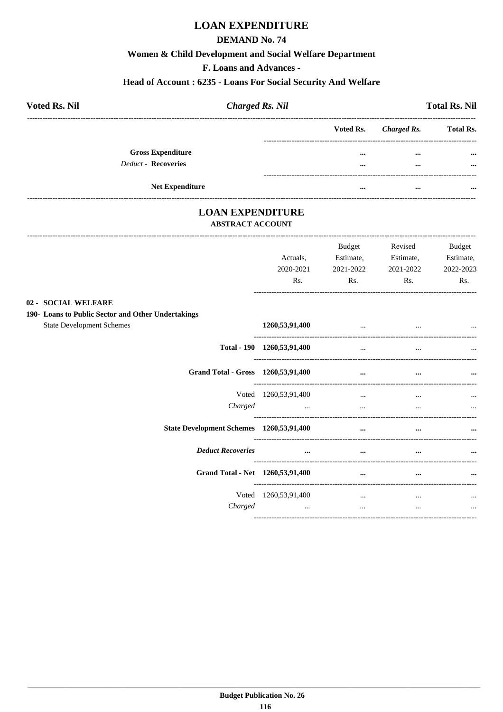## **LOAN EXPENDITURE**

#### **DEMAND No. 74**

#### Women & Child Development and Social Welfare Department

F. Loans and Advances -

#### Head of Account: 6235 - Loans For Social Security And Welfare

| <b>Voted Rs. Nil</b>       | <b>Charged Rs. Nil</b> |           |             | <b>Total Rs. Nil</b> |
|----------------------------|------------------------|-----------|-------------|----------------------|
|                            |                        | Voted Rs. | Charged Rs. | <b>Total Rs.</b>     |
| <b>Gross Expenditure</b>   |                        |           | $\cdots$    | $\cdots$             |
| <b>Deduct - Recoveries</b> |                        |           | $\cdots$    | $\cdots$             |
| <b>Net Expenditure</b>     |                        | $\cdots$  | $\cdots$    | $\cdots$             |

## **LOAN EXPENDITURE**

#### **ABSTRACT ACCOUNT**

|                                                                           | Actuals.<br>2020-2021<br>Rs.                                                                                                                                                                                                         | <b>Budget</b><br>Estimate,<br>2021-2022<br>Rs. | Revised<br>Estimate,<br>2021-2022<br>Rs. | <b>Budget</b><br>Estimate,<br>2022-2023<br>Rs. |
|---------------------------------------------------------------------------|--------------------------------------------------------------------------------------------------------------------------------------------------------------------------------------------------------------------------------------|------------------------------------------------|------------------------------------------|------------------------------------------------|
| 02 - SOCIAL WELFARE<br>190- Loans to Public Sector and Other Undertakings |                                                                                                                                                                                                                                      |                                                |                                          |                                                |
| <b>State Development Schemes</b>                                          | 1260,53,91,400                                                                                                                                                                                                                       | $\cdots$                                       | $\cdots$                                 |                                                |
|                                                                           | Total - 190 1260,53,91,400                                                                                                                                                                                                           | $\ddots$                                       | $\cdots$                                 |                                                |
| Grand Total - Gross 1260,53,91,400                                        |                                                                                                                                                                                                                                      | $\cdots$                                       | $\cdots$                                 | $\cdots$                                       |
|                                                                           | Voted 1260, 53, 91, 400                                                                                                                                                                                                              | $\cdots$                                       | $\cdots$                                 |                                                |
| Charged                                                                   | <u>and the contract of the contract of the contract of the contract of the contract of the contract of the contract of the contract of the contract of the contract of the contract of the contract of the contract of the contr</u> |                                                |                                          |                                                |
| State Development Schemes 1260,53,91,400                                  |                                                                                                                                                                                                                                      | $\cdots$                                       | $\cdots$                                 |                                                |
| <b>Deduct Recoveries</b>                                                  | $\cdots$                                                                                                                                                                                                                             | $\cdots$                                       | $\cdots$                                 |                                                |
| Grand Total - Net 1260,53,91,400                                          |                                                                                                                                                                                                                                      | $\cdots$                                       | $\cdots$                                 | $\cdots$                                       |
|                                                                           | Voted 1260, 53, 91, 400                                                                                                                                                                                                              | $\cdots$                                       | $\cdots$                                 |                                                |
| Charged                                                                   | $\cdots$                                                                                                                                                                                                                             | $\cdots$                                       | $\cdots$                                 | $\cdots$                                       |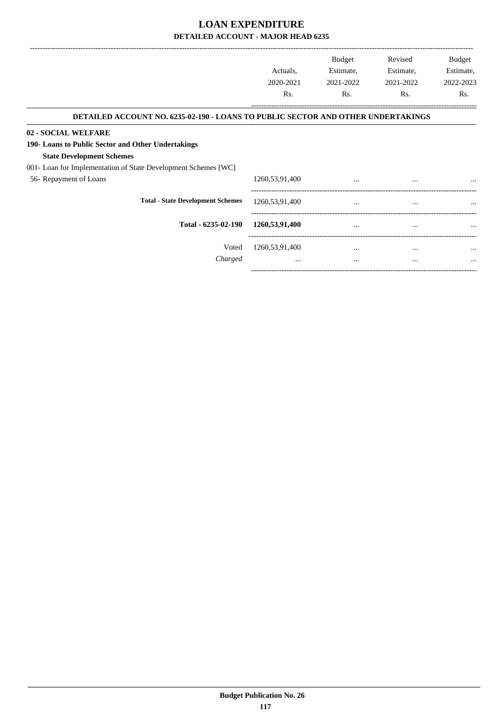|                                                                                  |                   | <b>Budget</b> | Revised   | <b>Budget</b> |
|----------------------------------------------------------------------------------|-------------------|---------------|-----------|---------------|
|                                                                                  | Actuals,          | Estimate,     | Estimate, | Estimate,     |
|                                                                                  | 2020-2021         | 2021-2022     | 2021-2022 | 2022-2023     |
|                                                                                  | Rs.               | Rs.           | Rs.       | Rs.           |
| DETAILED ACCOUNT NO. 6235-02-190 - LOANS TO PUBLIC SECTOR AND OTHER UNDERTAKINGS |                   |               |           |               |
| 02 - SOCIAL WELFARE                                                              |                   |               |           |               |
| 190- Loans to Public Sector and Other Undertakings                               |                   |               |           |               |
| <b>State Development Schemes</b>                                                 |                   |               |           |               |
| 001- Loan for Implementation of State Development Schemes [WC]                   |                   |               |           |               |
| 56- Repayment of Loans                                                           | 1260, 53, 91, 400 | $\cdots$      | $\cdots$  |               |
| <b>Total - State Development Schemes</b>                                         | 1260,53,91,400    | $\cdots$      | $\cdots$  |               |
| Total - 6235-02-190                                                              | 1260,53,91,400    | $\cdots$      | $\cdots$  |               |
| Voted                                                                            | 1260, 53, 91, 400 | $\cdots$      | $\cdots$  | $\cdots$      |
| Charged                                                                          | $\cdots$          | $\cdots$      | $\cdots$  | $\cdots$      |
|                                                                                  |                   |               |           |               |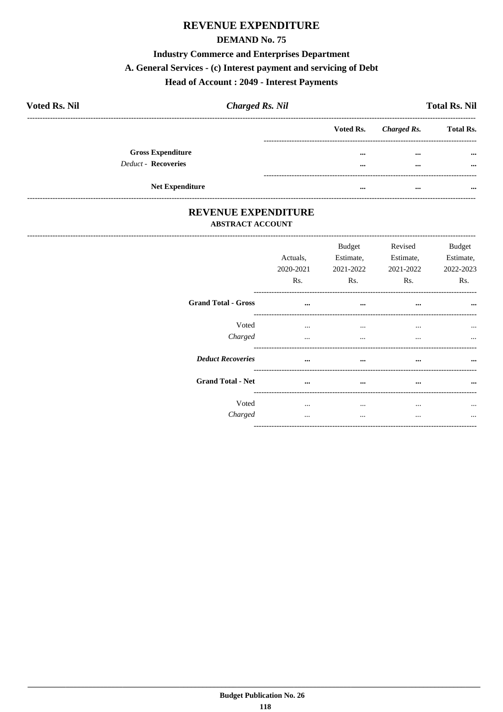## REVENUE EXPENDITURE

#### **DEMAND No. 75**

#### **Industry Commerce and Enterprises Department**

## A. General Services - (c) Interest payment and servicing of Debt

## **Head of Account : 2049 - Interest Payments**

| <b>Voted Rs. Nil</b>     | <b>Charged Rs. Nil</b> |          |                       | <b>Total Rs. Nil</b> |
|--------------------------|------------------------|----------|-----------------------|----------------------|
|                          |                        |          | Voted Rs. Charged Rs. | <b>Total Rs.</b>     |
| <b>Gross Expenditure</b> |                        | $\cdots$ |                       | $\cdots$             |
| Deduct - Recoveries      |                        |          |                       | $\cdots$             |
| <b>Net Expenditure</b>   |                        | $\cdots$ | $\cdots$              | $\cdots$             |

#### REVENUE EXPENDITURE **ABSTRACT ACCOUNT**

---------------------------------

|                            | Actuals,<br>2020-2021<br>R <sub>s</sub> . | <b>Budget</b><br>Estimate,<br>2021-2022<br>R <sub>s</sub> . | Revised<br>Estimate,<br>2021-2022<br>Rs. | <b>Budget</b><br>Estimate.<br>2022-2023<br>Rs. |
|----------------------------|-------------------------------------------|-------------------------------------------------------------|------------------------------------------|------------------------------------------------|
| <b>Grand Total - Gross</b> | $\cdots$                                  | $\cdots$                                                    | $\cdots$                                 | $\cdots$                                       |
| Voted                      | $\cdots$                                  | $\cdots$                                                    | $\cdots$                                 |                                                |
| Charged                    | $\cdots$                                  | $\cdots$                                                    | $\cdots$                                 | $\cdots$                                       |
| <b>Deduct Recoveries</b>   | $\ddotsc$                                 | $\cdots$                                                    | $\cdots$                                 |                                                |
| <b>Grand Total - Net</b>   | $\cdots$                                  | $\cdots$                                                    | $\cdots$                                 |                                                |
| Voted                      | $\cdots$                                  | $\cdots$                                                    | $\cdots$                                 |                                                |
| Charged                    |                                           | $\cdots$                                                    | $\cdots$                                 |                                                |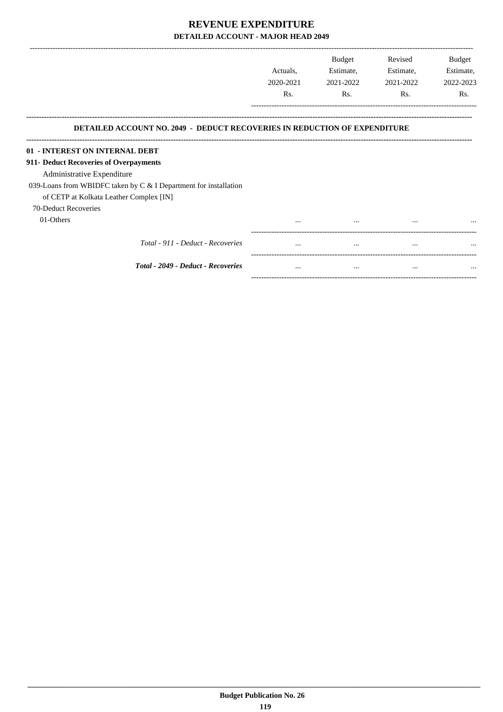|                                                                                                                    | Actuals,<br>2020-2021 | <b>Budget</b><br>Estimate,<br>2021-2022 | Revised<br>Estimate,<br>2021-2022 | Budget<br>Estimate,<br>2022-2023 |
|--------------------------------------------------------------------------------------------------------------------|-----------------------|-----------------------------------------|-----------------------------------|----------------------------------|
|                                                                                                                    | Rs.                   | Rs.                                     | Rs.                               | Rs.                              |
| <b>DETAILED ACCOUNT NO. 2049 - DEDUCT RECOVERIES IN REDUCTION OF EXPENDITURE</b><br>01 - INTEREST ON INTERNAL DEBT |                       |                                         |                                   |                                  |
| 911- Deduct Recoveries of Overpayments                                                                             |                       |                                         |                                   |                                  |
| Administrative Expenditure<br>039-Loans from WBIDFC taken by C & I Department for installation                     |                       |                                         |                                   |                                  |
| of CETP at Kolkata Leather Complex [IN]<br>70-Deduct Recoveries                                                    |                       |                                         |                                   |                                  |
| 01-Others                                                                                                          |                       | $\cdots$                                | $\cdots$                          |                                  |
| Total - 911 - Deduct - Recoveries                                                                                  |                       |                                         | $\cdots$                          |                                  |
|                                                                                                                    |                       |                                         |                                   |                                  |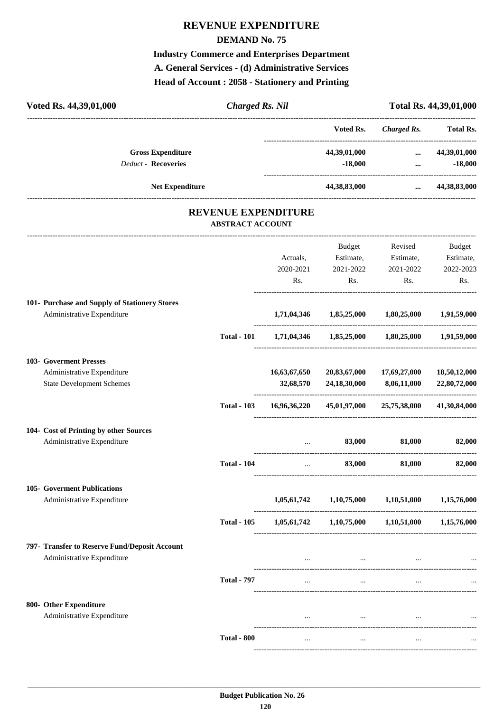## **REVENUE EXPENDITURE**

#### **DEMAND No. 75**

**Industry Commerce and Enterprises Department A. General Services - (d) Administrative Services Head of Account : 2058 - Stationery and Printing**

| Voted Rs. 44,39,01,000                                 | <b>Charged Rs. Nil</b>                                |              |                                                     |                                            | Total Rs. 44,39,01,000 |
|--------------------------------------------------------|-------------------------------------------------------|--------------|-----------------------------------------------------|--------------------------------------------|------------------------|
|                                                        |                                                       |              |                                                     | Voted Rs. Charged Rs. Total Rs.            |                        |
| <b>Gross Expenditure</b><br><b>Deduct - Recoveries</b> |                                                       |              | $-18,000$                                           | 44,39,01,000  44,39,01,000<br>$\mathbf{m}$ | $-18,000$              |
| <b>Net Expenditure</b>                                 |                                                       |              | 44,38,83,000                                        |                                            | $\dots$ 44,38,83,000   |
|                                                        | <b>REVENUE EXPENDITURE</b><br><b>ABSTRACT ACCOUNT</b> |              |                                                     |                                            |                        |
|                                                        |                                                       |              |                                                     | Budget Revised                             | Budget                 |
|                                                        |                                                       | Actuals,     |                                                     | Estimate, Estimate,                        | Estimate,              |
|                                                        |                                                       | 2020-2021    | 2021-2022                                           |                                            | 2022-2023              |
|                                                        |                                                       | Rs.          | Rs.                                                 | 2021-2022<br>Rs.                           | Rs.                    |
| 101- Purchase and Supply of Stationery Stores          |                                                       |              |                                                     |                                            |                        |
| Administrative Expenditure                             |                                                       |              | 1,71,04,346 1,85,25,000 1,80,25,000 1,91,59,000     |                                            |                        |
|                                                        | <b>Total - 101</b>                                    |              | 1,71,04,346 1,85,25,000 1,80,25,000 1,91,59,000     |                                            |                        |
| 103- Goverment Presses                                 |                                                       |              |                                                     |                                            |                        |
| Administrative Expenditure                             |                                                       | 16,63,67,650 | 20,83,67,000                                        | 17,69,27,000                               | 18,50,12,000           |
| <b>State Development Schemes</b>                       |                                                       | 32,68,570    | 24, 18, 30, 000                                     | 8,06,11,000                                | 22,80,72,000           |
|                                                        | <b>Total - 103</b>                                    |              | 16,96,36,220 45,01,97,000 25,75,38,000 41,30,84,000 |                                            |                        |
| 104- Cost of Printing by other Sources                 |                                                       |              |                                                     |                                            |                        |
| Administrative Expenditure                             |                                                       |              | 83,000                                              | 81,000                                     | 82,000                 |
|                                                        | <b>Total - 104</b>                                    | $\cdots$     | 83,000                                              | 81,000                                     | 82,000                 |
| 105- Goverment Publications                            |                                                       |              |                                                     |                                            |                        |
| Administrative Expenditure                             |                                                       |              | $1,05,61,742$ $1,10,75,000$ $1,10,51,000$           |                                            | 1,15,76,000            |
|                                                        | <b>Total - 105</b>                                    |              | $1,05,61,742$ $1,10,75,000$ $1,10,51,000$           |                                            | 1,15,76,000            |
| 797- Transfer to Reserve Fund/Deposit Account          |                                                       |              |                                                     |                                            |                        |
| Administrative Expenditure                             |                                                       |              | $\sim$ $\sim$ $\sim$                                |                                            |                        |
|                                                        | <b>Total - 797</b>                                    | $\cdots$     | $\cdots$                                            | $\cdots$                                   |                        |
| 800- Other Expenditure                                 |                                                       |              |                                                     |                                            |                        |
| Administrative Expenditure                             |                                                       |              | $\cdots$                                            |                                            |                        |
|                                                        | <b>Total - 800</b>                                    | $\cdots$     | $\cdots$                                            | $\cdots$                                   |                        |
|                                                        |                                                       |              |                                                     |                                            |                        |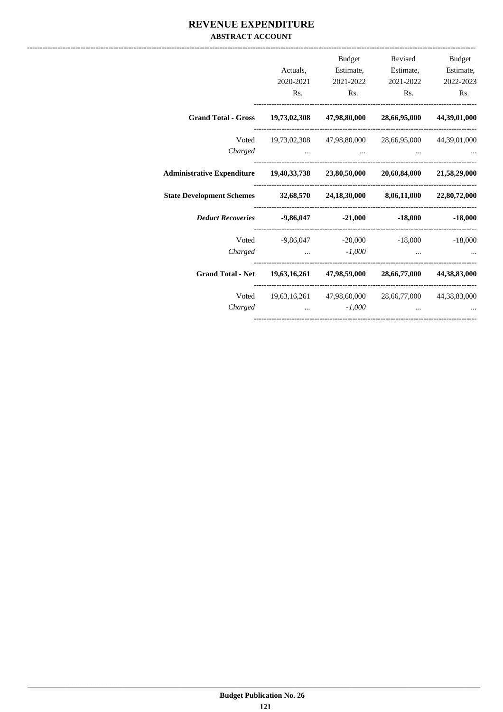#### **REVENUE EXPENDITURE ABSTRACT ACCOUNT**

| Budget              | Revised                                             | Budget            |                   |                                                                                |
|---------------------|-----------------------------------------------------|-------------------|-------------------|--------------------------------------------------------------------------------|
| Estimate, Estimate, |                                                     | Estimate,         | Actuals,          |                                                                                |
| 2022-2023           | 2021-2022                                           | 2021-2022         | 2020-2021         |                                                                                |
| Rs.                 |                                                     | Rs. Rs.           | Rs.               |                                                                                |
| 44,39,01,000        | 47,98,80,000 28,66,95,000                           |                   |                   | Grand Total - Gross 19,73,02,308                                               |
| 44,39,01,000        | Voted 19,73,02,308 47,98,80,000 28,66,95,000        |                   |                   |                                                                                |
|                     |                                                     |                   |                   | Charged                                                                        |
|                     |                                                     |                   |                   | Administrative Expenditure 19,40,33,738 23,80,50,000 20,60,84,000 21,58,29,000 |
|                     |                                                     |                   |                   | State Development Schemes 32,68,570 24,18,30,000 8,06,11,000 22,80,72,000      |
| $-18,000$ $-18,000$ |                                                     |                   |                   | Deduct Recoveries -9,86,047 -21,000                                            |
|                     | Voted -9,86,047 -20,000 -18,000 -18,000             |                   |                   |                                                                                |
|                     | $\cdots$                                            | $\ldots$ $-1,000$ |                   | Charged                                                                        |
|                     |                                                     |                   |                   | Grand Total - Net 19,63,16,261 47,98,59,000 28,66,77,000 44,38,83,000          |
|                     | 19,63,16,261 47,98,60,000 28,66,77,000 44,38,83,000 |                   |                   | Voted                                                                          |
|                     |                                                     |                   | $\ldots$ $-1,000$ | Charged                                                                        |
|                     |                                                     |                   |                   |                                                                                |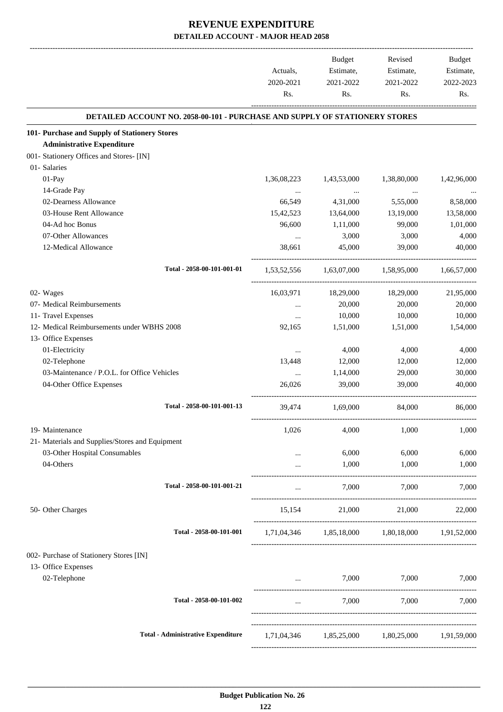|                                                                             | Actuals,<br>2020-2021<br>Rs. | Budget<br>Estimate,<br>2021-2022<br>Rs. | Revised<br>Estimate,<br>2021-2022<br>Rs.                                                                | Budget<br>Estimate,<br>2022-2023<br>Rs. |
|-----------------------------------------------------------------------------|------------------------------|-----------------------------------------|---------------------------------------------------------------------------------------------------------|-----------------------------------------|
| DETAILED ACCOUNT NO. 2058-00-101 - PURCHASE AND SUPPLY OF STATIONERY STORES |                              |                                         |                                                                                                         |                                         |
| 101- Purchase and Supply of Stationery Stores                               |                              |                                         |                                                                                                         |                                         |
| <b>Administrative Expenditure</b>                                           |                              |                                         |                                                                                                         |                                         |
| 001- Stationery Offices and Stores- [IN]                                    |                              |                                         |                                                                                                         |                                         |
| 01- Salaries                                                                |                              |                                         |                                                                                                         |                                         |
| 01-Pay                                                                      | 1,36,08,223                  | 1,43,53,000                             | 1,38,80,000                                                                                             | 1,42,96,000                             |
| 14-Grade Pay                                                                | $\cdots$                     | $\sim$ 100 $\mu$                        | $\ldots$                                                                                                |                                         |
| 02-Dearness Allowance                                                       | 66,549                       | 4,31,000                                | 5,55,000                                                                                                | 8,58,000                                |
| 03-House Rent Allowance                                                     | 15,42,523                    | 13,64,000                               | 13,19,000                                                                                               | 13,58,000                               |
| 04-Ad hoc Bonus                                                             | 96,600                       | 1,11,000                                | 99,000                                                                                                  | 1,01,000                                |
| 07-Other Allowances                                                         | $\ddots$                     | 3,000                                   | 3,000                                                                                                   | 4,000                                   |
| 12-Medical Allowance                                                        | 38,661                       | 45,000                                  | 39,000                                                                                                  | 40,000                                  |
| Total - 2058-00-101-001-01                                                  |                              |                                         | 1,53,52,556 1,63,07,000 1,58,95,000 1,66,57,000                                                         |                                         |
| 02- Wages                                                                   | 16,03,971                    | 18,29,000                               | 18,29,000                                                                                               | 21,95,000                               |
| 07- Medical Reimbursements                                                  | $\cdots$                     | 20,000                                  | 20,000                                                                                                  | 20,000                                  |
| 11- Travel Expenses                                                         | $\cdots$                     | 10,000                                  | 10,000                                                                                                  | 10,000                                  |
| 12- Medical Reimbursements under WBHS 2008                                  | 92,165                       | 1,51,000                                | 1,51,000                                                                                                | 1,54,000                                |
| 13- Office Expenses                                                         |                              |                                         |                                                                                                         |                                         |
| 01-Electricity                                                              | $\ldots$                     | 4,000                                   | 4,000                                                                                                   | 4,000                                   |
| 02-Telephone                                                                | 13,448                       | 12,000                                  | 12,000                                                                                                  | 12,000                                  |
| 03-Maintenance / P.O.L. for Office Vehicles                                 | $\ldots$                     | 1,14,000                                | 29,000                                                                                                  | 30,000                                  |
| 04-Other Office Expenses                                                    | 26,026                       | 39,000                                  | 39,000                                                                                                  | 40,000                                  |
| Total - 2058-00-101-001-13                                                  | 39,474                       | 1,69,000                                | 84,000                                                                                                  | 86,000                                  |
| 19- Maintenance                                                             | 1,026                        | 4,000                                   | 1,000                                                                                                   | 1,000                                   |
| 21- Materials and Supplies/Stores and Equipment                             |                              |                                         |                                                                                                         |                                         |
| 03-Other Hospital Consumables                                               | $\cdots$                     | 6,000                                   | 6,000                                                                                                   | 6,000                                   |
| 04-Others                                                                   | $\cdots$                     | 1,000                                   | 1,000                                                                                                   | 1,000                                   |
|                                                                             |                              |                                         |                                                                                                         |                                         |
| Total - 2058-00-101-001-21                                                  | $\cdots$                     | 7,000                                   | 7,000                                                                                                   | 7,000                                   |
| 50- Other Charges                                                           |                              | 15,154 21,000                           | 21,000                                                                                                  | 22,000                                  |
| Total - 2058-00-101-001                                                     |                              |                                         | $1, 71, 04, 346 \qquad \qquad 1, 85, 18, 000 \qquad \qquad 1, 80, 18, 000 \qquad \qquad 1, 91, 52, 000$ |                                         |
| 002- Purchase of Stationery Stores [IN]                                     |                              |                                         |                                                                                                         |                                         |
| 13- Office Expenses                                                         |                              |                                         |                                                                                                         |                                         |
| 02-Telephone                                                                |                              | <b>Sales Committee Committee</b>        | 7,000 7,000                                                                                             | 7,000                                   |
| Total - 2058-00-101-002                                                     | $\cdots$                     | 7,000                                   | 7,000                                                                                                   | 7,000                                   |
|                                                                             |                              |                                         |                                                                                                         |                                         |
| <b>Total - Administrative Expenditure</b>                                   |                              |                                         | 1,71,04,346 1,85,25,000 1,80,25,000 1,91,59,000                                                         |                                         |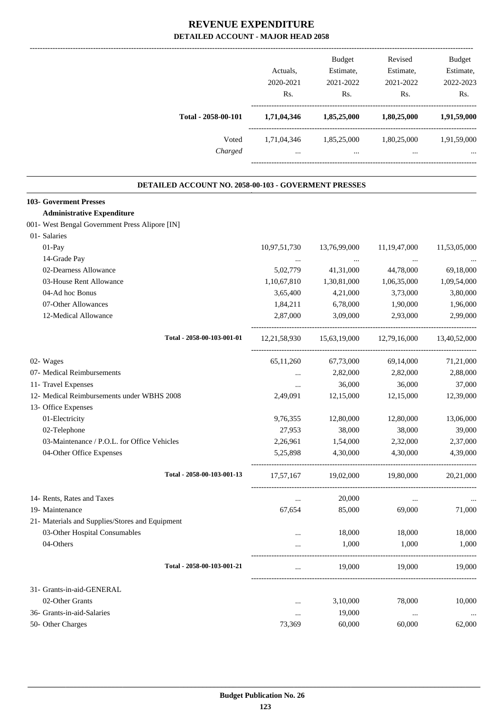|                                                      | Actuals,<br>2020-2021<br>Rs. | Budget<br>Estimate,<br>2021-2022<br>Rs. | Revised<br>Estimate,<br>2021-2022<br>Rs.                     | <b>Budget</b><br>Estimate,<br>2022-2023<br>Rs. |
|------------------------------------------------------|------------------------------|-----------------------------------------|--------------------------------------------------------------|------------------------------------------------|
| Total - 2058-00-101                                  |                              |                                         | 1,71,04,346 1,85,25,000 1,80,25,000                          | 1,91,59,000                                    |
| Voted<br>Charged                                     | $\ddotsc$                    | $\ddotsc$                               | 1,71,04,346 1,85,25,000 1,80,25,000 1,91,59,000<br>$\ddotsc$ |                                                |
| DETAILED ACCOUNT NO. 2058-00-103 - GOVERMENT PRESSES |                              |                                         |                                                              |                                                |
| <b>103- Goverment Presses</b>                        |                              |                                         |                                                              |                                                |
| <b>Administrative Expenditure</b>                    |                              |                                         |                                                              |                                                |
| 001- West Bengal Government Press Alipore [IN]       |                              |                                         |                                                              |                                                |
| 01- Salaries                                         |                              |                                         |                                                              |                                                |
| 01-Pay                                               | 10,97,51,730                 | 13,76,99,000                            | 11, 19, 47, 000                                              | 11,53,05,000                                   |
| 14-Grade Pay                                         | $\cdots$                     | $\sim 100$ and $\sim 100$               | $\sim$ $\sim$                                                |                                                |
| 02-Dearness Allowance                                | 5,02,779                     | 41,31,000                               | 44,78,000                                                    | 69,18,000                                      |
| 03-House Rent Allowance                              | 1,10,67,810                  | 1,30,81,000                             | 1,06,35,000                                                  | 1,09,54,000                                    |
| 04-Ad hoc Bonus                                      | 3,65,400                     | 4,21,000                                | 3,73,000                                                     | 3,80,000                                       |
| 07-Other Allowances                                  | 1,84,211                     | 6,78,000                                | 1,90,000                                                     | 1,96,000                                       |
| 12-Medical Allowance                                 | 2,87,000                     | 3,09,000                                | 2,93,000                                                     | 2,99,000                                       |
| Total - 2058-00-103-001-01                           |                              |                                         | 12,21,58,930 15,63,19,000 12,79,16,000 13,40,52,000          |                                                |
| 02- Wages                                            | 65,11,260                    | 67,73,000                               | 69,14,000                                                    | 71,21,000                                      |
| 07- Medical Reimbursements                           | $\cdots$                     | 2,82,000                                | 2,82,000                                                     | 2,88,000                                       |
| 11- Travel Expenses                                  | $\cdots$                     | 36,000                                  | 36,000                                                       | 37,000                                         |
| 12- Medical Reimbursements under WBHS 2008           | 2,49,091                     | 12,15,000                               | 12,15,000                                                    | 12,39,000                                      |
| 13- Office Expenses                                  |                              |                                         |                                                              |                                                |
| 01-Electricity                                       | 9,76,355                     | 12,80,000                               | 12,80,000                                                    | 13,06,000                                      |
| 02-Telephone                                         | 27,953                       | 38,000                                  | 38,000                                                       | 39,000                                         |
| 03-Maintenance / P.O.L. for Office Vehicles          | 2,26,961                     | 1,54,000                                | 2,32,000                                                     | 2,37,000                                       |
| 04-Other Office Expenses                             | 5,25,898                     | 4,30,000                                | 4,30,000                                                     | 4,39,000                                       |
| Total - 2058-00-103-001-13                           | 17,57,167                    | 19,02,000                               | 19,80,000                                                    | 20,21,000                                      |
| 14- Rents, Rates and Taxes                           | $\cdots$                     | 20,000                                  | $\cdots$                                                     |                                                |
| 19- Maintenance                                      | 67,654                       | 85,000                                  | 69,000                                                       | 71,000                                         |
| 21- Materials and Supplies/Stores and Equipment      |                              |                                         |                                                              |                                                |
| 03-Other Hospital Consumables                        | $\cdots$                     | 18,000                                  | 18,000                                                       | 18,000                                         |
| 04-Others                                            | $\cdots$                     | 1,000                                   | 1,000                                                        | 1,000                                          |
| Total - 2058-00-103-001-21                           | $\cdots$                     | 19,000                                  | 19,000                                                       | 19,000                                         |
| 31- Grants-in-aid-GENERAL                            |                              |                                         |                                                              |                                                |
| 02-Other Grants                                      | $\cdots$                     | 3,10,000                                | 78,000                                                       | 10,000                                         |
| 36- Grants-in-aid-Salaries                           | $\cdots$                     | 19,000                                  | $\ldots$                                                     | $\cdots$                                       |
| 50- Other Charges                                    | 73,369                       | 60,000                                  | 60,000                                                       | 62,000                                         |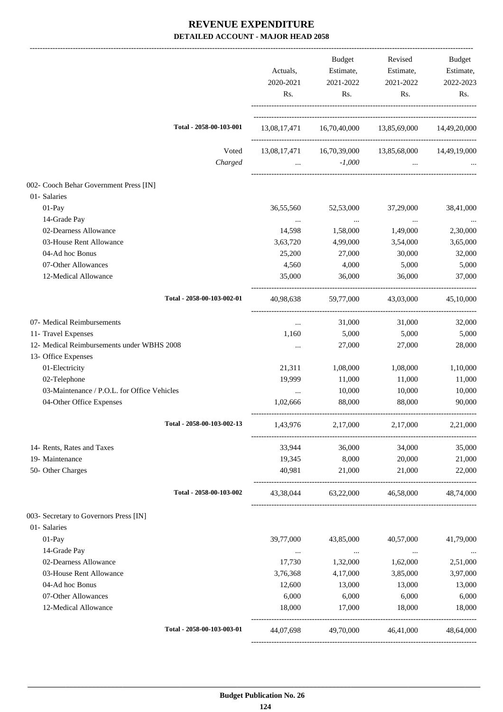|                                             | Actuals,<br>2020-2021<br>Rs. | Budget<br>Estimate,<br>2021-2022<br>Rs.                                                                                             | Revised<br>Estimate,<br>2021-2022<br>Rs. | Budget<br>Estimate,<br>2022-2023<br>Rs. |
|---------------------------------------------|------------------------------|-------------------------------------------------------------------------------------------------------------------------------------|------------------------------------------|-----------------------------------------|
| Total - 2058-00-103-001                     |                              | 13,08,17,471  16,70,40,000  13,85,69,000  14,49,20,000                                                                              |                                          |                                         |
| Voted<br>Charged                            |                              | 13,08,17,471  16,70,39,000  13,85,68,000  14,49,19,000<br>$-1,000$<br>$\mathbf{r}$ and $\mathbf{r}$ are all the set of $\mathbf{r}$ | $\cdots$                                 |                                         |
| 002- Cooch Behar Government Press [IN]      |                              |                                                                                                                                     |                                          |                                         |
| 01- Salaries                                |                              |                                                                                                                                     |                                          |                                         |
| 01-Pay                                      | 36,55,560                    | 52,53,000                                                                                                                           | 37,29,000                                | 38,41,000                               |
| 14-Grade Pay                                |                              | $\cdots$                                                                                                                            | $\sim$ 1000 $\mu$                        |                                         |
| 02-Dearness Allowance                       | 14,598                       | 1,58,000                                                                                                                            | 1,49,000                                 | 2,30,000                                |
| 03-House Rent Allowance                     | 3,63,720                     | 4,99,000                                                                                                                            | 3,54,000                                 | 3,65,000                                |
| 04-Ad hoc Bonus                             | 25,200                       | 27,000                                                                                                                              | 30,000                                   | 32,000                                  |
| 07-Other Allowances                         | 4,560                        | 4,000                                                                                                                               | 5,000                                    | 5,000                                   |
| 12-Medical Allowance                        | 35,000                       | 36,000                                                                                                                              | 36,000                                   | 37,000                                  |
| Total - 2058-00-103-002-01                  | 40,98,638                    | 59,77,000                                                                                                                           | 43,03,000                                | 45,10,000                               |
| 07- Medical Reimbursements                  | $\cdots$                     | 31,000                                                                                                                              | 31,000                                   | 32,000                                  |
| 11- Travel Expenses                         | 1,160                        | 5,000                                                                                                                               | 5,000                                    | 5,000                                   |
| 12- Medical Reimbursements under WBHS 2008  | $\cdots$                     | 27,000                                                                                                                              | 27,000                                   | 28,000                                  |
| 13- Office Expenses                         |                              |                                                                                                                                     |                                          |                                         |
| 01-Electricity                              | 21,311                       | 1,08,000                                                                                                                            | 1,08,000                                 | 1,10,000                                |
| 02-Telephone                                | 19,999                       | 11,000                                                                                                                              | 11,000                                   | 11,000                                  |
| 03-Maintenance / P.O.L. for Office Vehicles | $\cdots$                     | 10,000                                                                                                                              | 10,000                                   | 10,000                                  |
| 04-Other Office Expenses                    | 1,02,666                     | 88,000                                                                                                                              | 88,000                                   | 90,000                                  |
| Total - 2058-00-103-002-13                  | 1,43,976                     | 2,17,000                                                                                                                            | 2,17,000                                 | 2,21,000                                |
| 14- Rents, Rates and Taxes                  | 33,944                       | 36,000                                                                                                                              | 34,000                                   | 35,000                                  |
| 19- Maintenance                             | 19,345                       | 8,000                                                                                                                               | 20,000                                   | 21,000                                  |
| 50- Other Charges                           | 40,981                       | 21,000                                                                                                                              | 21,000                                   | 22,000                                  |
| Total - 2058-00-103-002                     |                              | 43,38,044 63,22,000 46,58,000                                                                                                       |                                          | 48,74,000                               |
| 003- Secretary to Governors Press [IN]      |                              |                                                                                                                                     |                                          |                                         |
| 01- Salaries                                |                              |                                                                                                                                     |                                          |                                         |
| 01-Pay                                      | 39,77,000                    | 43,85,000                                                                                                                           | 40,57,000                                | 41,79,000                               |
| 14-Grade Pay                                | $\cdots$                     | $\sim 100$ and $\sim 100$                                                                                                           | $\sim$ 100 $\mu$                         |                                         |
| 02-Dearness Allowance                       | 17,730                       | 1,32,000                                                                                                                            | 1,62,000                                 | 2,51,000                                |
| 03-House Rent Allowance                     | 3,76,368                     | 4,17,000                                                                                                                            | 3,85,000                                 | 3,97,000                                |
| 04-Ad hoc Bonus                             | 12,600                       | 13,000                                                                                                                              | 13,000                                   | 13,000                                  |
| 07-Other Allowances                         | 6,000                        | 6,000                                                                                                                               | 6,000                                    | 6,000                                   |
| 12-Medical Allowance                        | 18,000                       | 17,000                                                                                                                              | 18,000                                   | 18,000                                  |
| Total - 2058-00-103-003-01                  | 44,07,698                    | 49,70,000                                                                                                                           | 46,41,000                                | 48,64,000                               |
|                                             |                              |                                                                                                                                     |                                          |                                         |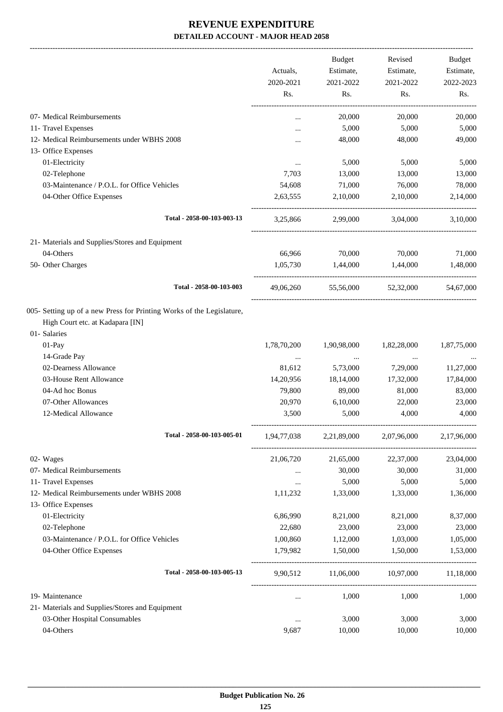-------------------------------------------------------------------------------------------------------------------------------------------------------------------------------

|                                                                       |             | <b>Budget</b> | Revised             | <b>Budget</b> |
|-----------------------------------------------------------------------|-------------|---------------|---------------------|---------------|
|                                                                       | Actuals,    | Estimate,     | Estimate,           | Estimate,     |
|                                                                       | 2020-2021   | 2021-2022     | 2021-2022           | 2022-2023     |
|                                                                       | Rs.         | Rs.           | Rs.                 | Rs.           |
| 07- Medical Reimbursements                                            | $\cdots$    | 20,000        | 20,000              | 20,000        |
| 11- Travel Expenses                                                   |             | 5,000         | 5,000               | 5,000         |
| 12- Medical Reimbursements under WBHS 2008                            |             | 48,000        | 48,000              | 49,000        |
| 13- Office Expenses                                                   |             |               |                     |               |
| 01-Electricity                                                        | $\cdots$    | 5,000         | 5,000               | 5,000         |
| 02-Telephone                                                          | 7,703       | 13,000        | 13,000              | 13,000        |
| 03-Maintenance / P.O.L. for Office Vehicles                           | 54,608      | 71,000        | 76,000              | 78,000        |
| 04-Other Office Expenses                                              | 2,63,555    | 2,10,000      | 2,10,000            | 2,14,000      |
| Total - 2058-00-103-003-13                                            | 3,25,866    | 2,99,000      | 3.04.000            | 3,10,000      |
| 21- Materials and Supplies/Stores and Equipment                       |             |               |                     |               |
| 04-Others                                                             | 66,966      | 70,000        | 70,000              | 71,000        |
| 50- Other Charges                                                     | 1,05,730    | 1,44,000      | 1,44,000            | 1,48,000      |
| Total - 2058-00-103-003                                               | 49,06,260   |               | 55,56,000 52,32,000 | 54,67,000     |
| 005- Setting up of a new Press for Printing Works of the Legislature, |             |               |                     |               |
| High Court etc. at Kadapara [IN]                                      |             |               |                     |               |
| 01- Salaries                                                          |             |               |                     |               |
| 01-Pay                                                                | 1,78,70,200 | 1,90,98,000   | 1,82,28,000         | 1,87,75,000   |
| 14-Grade Pay                                                          | $\cdots$    | $\cdots$      | $\cdots$            |               |
| 02-Dearness Allowance                                                 | 81,612      | 5,73,000      | 7,29,000            | 11,27,000     |
| 03-House Rent Allowance                                               | 14,20,956   | 18,14,000     | 17,32,000           | 17,84,000     |
| 04-Ad hoc Bonus                                                       | 79,800      | 89,000        | 81,000              | 83,000        |
| 07-Other Allowances                                                   | 20,970      | 6,10,000      | 22,000              | 23,000        |
| 12-Medical Allowance                                                  | 3,500       | 5,000         | 4,000               | 4,000         |
| Total - 2058-00-103-005-01                                            | 1,94,77,038 | 2,21,89,000   | 2,07,96,000         | 2,17,96,000   |
| 02- Wages                                                             | 21,06,720   | 21,65,000     | 22,37,000           | 23,04,000     |
| 07- Medical Reimbursements                                            | $\cdots$    | 30,000        | 30,000              | 31,000        |
| 11- Travel Expenses                                                   | $\ldots$    | 5,000         | 5,000               | 5,000         |
| 12- Medical Reimbursements under WBHS 2008                            | 1,11,232    | 1,33,000      | 1,33,000            | 1,36,000      |
| 13- Office Expenses                                                   |             |               |                     |               |
| 01-Electricity                                                        | 6,86,990    | 8,21,000      | 8,21,000            | 8,37,000      |
| 02-Telephone                                                          | 22,680      | 23,000        | 23,000              | 23,000        |
| 03-Maintenance / P.O.L. for Office Vehicles                           | 1,00,860    | 1,12,000      | 1,03,000            | 1,05,000      |
| 04-Other Office Expenses                                              | 1,79,982    | 1,50,000      | 1,50,000            | 1,53,000      |
| Total - 2058-00-103-005-13                                            | 9,90,512    | 11,06,000     | 10,97,000           | 11,18,000     |
| 19- Maintenance                                                       | $\cdots$    | 1,000         | 1,000               | 1,000         |
| 21- Materials and Supplies/Stores and Equipment                       |             |               |                     |               |
| 03-Other Hospital Consumables                                         |             | 3,000         | 3,000               | 3,000         |
| 04-Others                                                             | 9,687       | 10,000        | 10,000              | 10,000        |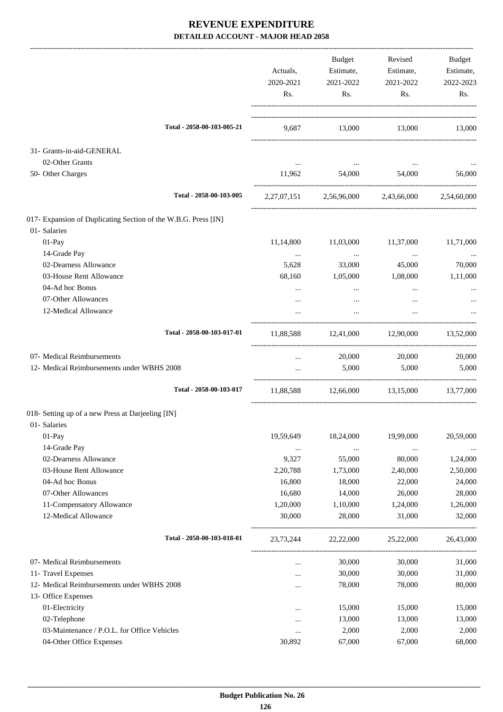|                                                                | Actuals,<br>2020-2021<br>Rs. | Budget<br>Estimate,<br>2021-2022<br>Rs. | Revised<br>Estimate,<br>2021-2022<br>Rs.        | Budget<br>Estimate,<br>2022-2023<br>Rs. |
|----------------------------------------------------------------|------------------------------|-----------------------------------------|-------------------------------------------------|-----------------------------------------|
|                                                                |                              |                                         |                                                 |                                         |
| Total - 2058-00-103-005-21                                     |                              |                                         | 9,687 13,000 13,000 13,000                      |                                         |
| 31- Grants-in-aid-GENERAL                                      |                              |                                         |                                                 |                                         |
| 02-Other Grants                                                |                              |                                         |                                                 |                                         |
| 50- Other Charges                                              | 11,962                       | 54,000                                  | 54,000                                          | 56,000                                  |
| Total - 2058-00-103-005                                        |                              |                                         | 2,27,07,151 2,56,96,000 2,43,66,000 2,54,60,000 |                                         |
| 017- Expansion of Duplicating Section of the W.B.G. Press [IN] |                              |                                         |                                                 |                                         |
| 01- Salaries                                                   |                              |                                         |                                                 |                                         |
| 01-Pay                                                         | 11,14,800                    | 11,03,000                               | 11,37,000                                       | 11,71,000                               |
| 14-Grade Pay                                                   | $\cdots$                     | $\cdots$                                | $\cdots$                                        |                                         |
| 02-Dearness Allowance                                          | 5,628                        | 33,000                                  | 45,000                                          | 70,000                                  |
| 03-House Rent Allowance                                        | 68,160                       | 1,05,000                                | 1,08,000                                        | 1,11,000                                |
| 04-Ad hoc Bonus                                                |                              | $\cdots$                                | $\cdots$                                        |                                         |
| 07-Other Allowances                                            |                              |                                         | $\cdots$                                        |                                         |
| 12-Medical Allowance                                           |                              | $\cdots$                                |                                                 |                                         |
| Total - 2058-00-103-017-01                                     |                              |                                         | 11,88,588 12,41,000 12,90,000 13,52,000         |                                         |
| 07- Medical Reimbursements                                     |                              | 20,000                                  | 20,000                                          | 20,000                                  |
| 12- Medical Reimbursements under WBHS 2008                     | $\cdots$                     | 5,000                                   | 5,000                                           | 5,000                                   |
| Total - 2058-00-103-017                                        | 11,88,588                    |                                         | 12,66,000 13,15,000 13,77,000                   |                                         |
| 018- Setting up of a new Press at Darjeeling [IN]              |                              |                                         |                                                 |                                         |
| 01- Salaries                                                   |                              |                                         |                                                 |                                         |
| 01-Pay                                                         | 19,59,649                    | 18,24,000                               | 19,99,000                                       | 20,59,000                               |
| 14-Grade Pay                                                   | $\ldots$                     | $\ldots$                                | $\cdots$                                        |                                         |
| 02-Dearness Allowance                                          | 9,327                        | 55,000                                  | 80,000                                          | 1,24,000                                |
| 03-House Rent Allowance                                        | 2,20,788                     | 1,73,000                                | 2,40,000                                        | 2,50,000                                |
| 04-Ad hoc Bonus                                                | 16,800                       | 18,000                                  | 22,000                                          | 24,000                                  |
| 07-Other Allowances                                            | 16,680                       | 14,000                                  | 26,000                                          | 28,000                                  |
| 11-Compensatory Allowance                                      | 1,20,000                     | 1,10,000                                | 1,24,000                                        | 1,26,000                                |
| 12-Medical Allowance                                           | 30,000                       | 28,000<br>-------------------------     | 31,000                                          | 32,000                                  |
| Total - 2058-00-103-018-01                                     | 23,73,244                    | 22,22,000                               | 25,22,000                                       | 26,43,000                               |
| 07- Medical Reimbursements                                     |                              | 30,000                                  | 30,000                                          | 31,000                                  |
| 11- Travel Expenses                                            | $\cdots$                     | 30,000                                  | 30,000                                          | 31,000                                  |
| 12- Medical Reimbursements under WBHS 2008                     |                              | 78,000                                  | 78,000                                          | 80,000                                  |
| 13- Office Expenses                                            |                              |                                         |                                                 |                                         |
| 01-Electricity                                                 | $\cdots$                     | 15,000                                  | 15,000                                          | 15,000                                  |
| 02-Telephone                                                   |                              | 13,000                                  | 13,000                                          | 13,000                                  |
| 03-Maintenance / P.O.L. for Office Vehicles                    |                              | 2,000                                   | 2,000                                           | 2,000                                   |
| 04-Other Office Expenses                                       | 30,892                       | 67,000                                  | 67,000                                          | 68,000                                  |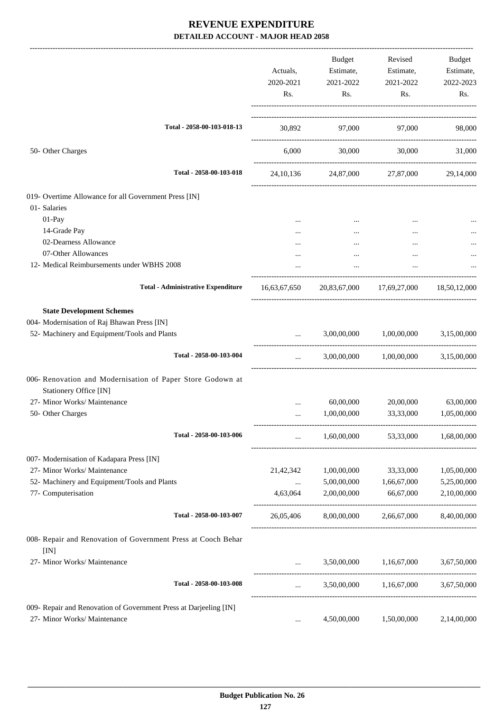|                                                                                      | Actuals,<br>2020-2021<br>Rs. | Budget<br>Estimate,<br>2021-2022<br>Rs. | Revised<br>Estimate,<br>2021-2022<br>Rs. | Budget<br>Estimate,<br>2022-2023<br>Rs. |
|--------------------------------------------------------------------------------------|------------------------------|-----------------------------------------|------------------------------------------|-----------------------------------------|
| Total - 2058-00-103-018-13                                                           |                              | 30,892 97,000 97,000                    |                                          | 98,000                                  |
| 50- Other Charges                                                                    |                              | 6,000<br>30,000                         | 30,000                                   | 31,000                                  |
| Total - 2058-00-103-018                                                              |                              |                                         | 24, 10, 136 24, 87, 000 27, 87, 000      | 29,14,000                               |
| 019- Overtime Allowance for all Government Press [IN]                                |                              |                                         |                                          |                                         |
| 01- Salaries                                                                         |                              |                                         |                                          |                                         |
| 01-Pay                                                                               |                              |                                         | $\cdots$                                 |                                         |
| 14-Grade Pay                                                                         | .                            |                                         | $\cdots$                                 |                                         |
| 02-Dearness Allowance                                                                |                              |                                         |                                          |                                         |
| 07-Other Allowances                                                                  |                              |                                         |                                          |                                         |
| 12- Medical Reimbursements under WBHS 2008                                           |                              |                                         |                                          |                                         |
| <b>Total - Administrative Expenditure</b>                                            | 16,63,67,650                 |                                         | 20,83,67,000 17,69,27,000                | 18,50,12,000                            |
| <b>State Development Schemes</b>                                                     |                              |                                         |                                          |                                         |
| 004- Modernisation of Raj Bhawan Press [IN]                                          |                              |                                         |                                          |                                         |
| 52- Machinery and Equipment/Tools and Plants                                         |                              | 3,00,00,000                             | 1,00,00,000                              | 3,15,00,000                             |
| Total - 2058-00-103-004                                                              | $\cdots$                     |                                         | 3,00,00,000 1,00,00,000 3,15,00,000      |                                         |
| 006- Renovation and Modernisation of Paper Store Godown at<br>Stationery Office [IN] |                              |                                         |                                          |                                         |
| 27- Minor Works/ Maintenance                                                         |                              | 60,00,000                               | 20,00,000                                | 63,00,000                               |
| 50- Other Charges                                                                    |                              | 1,00,00,000                             | 33,33,000                                | 1,05,00,000                             |
|                                                                                      |                              |                                         |                                          |                                         |
| Total - 2058-00-103-006                                                              | $\cdots$                     | 1,60,00,000                             | 53,33,000                                | 1,68,00,000                             |
| 007- Modernisation of Kadapara Press [IN]                                            |                              |                                         |                                          |                                         |
| 27- Minor Works/ Maintenance                                                         | 21,42,342                    | 1,00,00,000                             | 33,33,000                                | 1,05,00,000                             |
| 52- Machinery and Equipment/Tools and Plants                                         | $\cdots$                     | 5,00,00,000                             | 1,66,67,000                              | 5,25,00,000                             |
| 77- Computerisation                                                                  | 4,63,064                     | 2,00,00,000                             | 66,67,000                                | 2,10,00,000                             |
| Total - 2058-00-103-007                                                              | 26,05,406                    | 8,00,00,000                             | 2,66,67,000                              | 8,40,00,000                             |
| 008- Repair and Renovation of Government Press at Cooch Behar                        |                              |                                         |                                          |                                         |
| [IN]<br>27- Minor Works/ Maintenance                                                 |                              | 3,50,00,000                             | 1,16,67,000                              | 3,67,50,000                             |
| Total - 2058-00-103-008                                                              |                              |                                         | 3,50,00,000 1,16,67,000                  | 3,67,50,000                             |
| 009- Repair and Renovation of Government Press at Darjeeling [IN]                    |                              |                                         |                                          |                                         |
| 27- Minor Works/ Maintenance                                                         | $\cdots$                     | 4,50,00,000                             | 1,50,00,000                              | 2,14,00,000                             |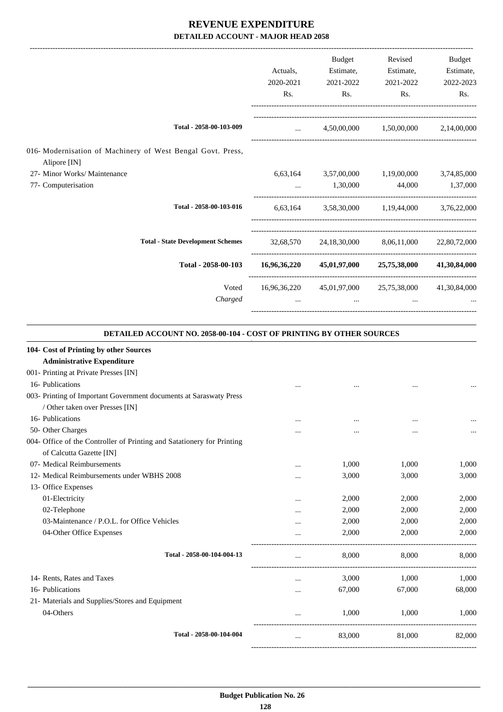|                                                                             |              | <b>Budget</b>                                       | Revised                             | Budget       |
|-----------------------------------------------------------------------------|--------------|-----------------------------------------------------|-------------------------------------|--------------|
|                                                                             | Actuals,     | Estimate,                                           | Estimate,                           | Estimate,    |
|                                                                             | 2020-2021    | 2021-2022                                           | 2021-2022                           | 2022-2023    |
|                                                                             | Rs.          | Rs.                                                 | Rs.                                 | Rs.          |
| Total - 2058-00-103-009                                                     | $\mathbf{r}$ |                                                     | 4,50,00,000 1,50,00,000 2,14,00,000 |              |
| 016- Modernisation of Machinery of West Bengal Govt. Press,<br>Alipore [IN] |              |                                                     |                                     |              |
| 27- Minor Works/ Maintenance                                                |              | 6,63,164 3,57,00,000 1,19,00,000 3,74,85,000        |                                     |              |
| 77- Computerisation                                                         |              | 1,30,000                                            | 44,000                              | 1,37,000     |
| Total - 2058-00-103-016                                                     | 6,63,164     |                                                     | 3,58,30,000 1,19,44,000 3,76,22,000 |              |
| <b>Total - State Development Schemes</b>                                    |              | 32,68,570 24,18,30,000 8,06,11,000                  |                                     | 22,80,72,000 |
| Total - 2058-00-103                                                         | 16,96,36,220 |                                                     | 45,01,97,000 25,75,38,000           | 41,30,84,000 |
| Voted                                                                       |              | 16,96,36,220 45,01,97,000 25,75,38,000 41,30,84,000 |                                     |              |
| Charged                                                                     | $\cdots$     | $\cdots$                                            | $\cdots$                            |              |
|                                                                             |              |                                                     |                                     |              |

#### **DETAILED ACCOUNT NO. 2058-00-104 - COST OF PRINTING BY OTHER SOURCES**

.

| 104- Cost of Printing by other Sources                                 |          |        |        |        |
|------------------------------------------------------------------------|----------|--------|--------|--------|
| <b>Administrative Expenditure</b>                                      |          |        |        |        |
| 001- Printing at Private Presses [IN]                                  |          |        |        |        |
| 16- Publications                                                       |          |        |        |        |
| 003- Printing of Important Government documents at Saraswaty Press     |          |        |        |        |
| / Other taken over Presses [IN]                                        |          |        |        |        |
| 16- Publications                                                       |          |        |        |        |
| 50- Other Charges                                                      | .        |        |        |        |
| 004- Office of the Controller of Printing and Satationery for Printing |          |        |        |        |
| of Calcutta Gazette [IN]                                               |          |        |        |        |
| 07- Medical Reimbursements                                             |          | 1,000  | 1,000  | 1,000  |
| 12- Medical Reimbursements under WBHS 2008                             |          | 3,000  | 3,000  | 3,000  |
| 13- Office Expenses                                                    |          |        |        |        |
| 01-Electricity                                                         | $\cdots$ | 2,000  | 2,000  | 2,000  |
| 02-Telephone                                                           | $\cdots$ | 2,000  | 2,000  | 2,000  |
| 03-Maintenance / P.O.L. for Office Vehicles                            |          | 2,000  | 2,000  | 2,000  |
| 04-Other Office Expenses                                               |          | 2,000  | 2,000  | 2,000  |
| Total - 2058-00-104-004-13                                             | $\cdots$ | 8,000  | 8,000  | 8,000  |
| 14- Rents, Rates and Taxes                                             | $\cdots$ | 3,000  | 1,000  | 1,000  |
| 16- Publications                                                       | $\cdots$ | 67,000 | 67,000 | 68,000 |
| 21- Materials and Supplies/Stores and Equipment                        |          |        |        |        |
| 04-Others                                                              | $\cdots$ | 1,000  | 1,000  | 1,000  |
| Total - 2058-00-104-004                                                | $\cdots$ | 83,000 | 81,000 | 82,000 |
|                                                                        |          |        |        |        |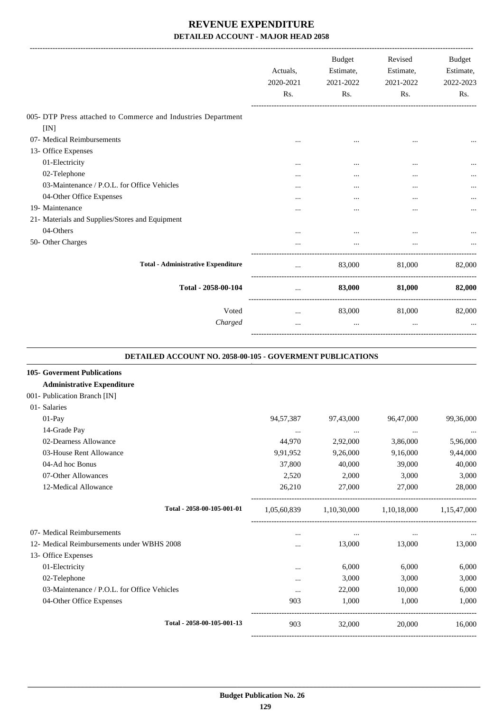|                                                                                                        | Actuals,<br>2020-2021<br>Rs. | <b>Budget</b><br>Estimate,<br>2021-2022<br>R <sub>s</sub> . | Revised<br>Estimate,<br>2021-2022<br>Rs. | <b>Budget</b><br>Estimate,<br>2022-2023<br>Rs. |
|--------------------------------------------------------------------------------------------------------|------------------------------|-------------------------------------------------------------|------------------------------------------|------------------------------------------------|
| 005- DTP Press attached to Commerce and Industries Department                                          |                              |                                                             |                                          |                                                |
| [IN]                                                                                                   |                              |                                                             |                                          |                                                |
| 07- Medical Reimbursements                                                                             |                              |                                                             |                                          |                                                |
| 13- Office Expenses                                                                                    |                              |                                                             |                                          |                                                |
| 01-Electricity                                                                                         | $\ddotsc$                    | $\cdots$                                                    | $\cdots$                                 |                                                |
| 02-Telephone                                                                                           |                              |                                                             |                                          |                                                |
| 03-Maintenance / P.O.L. for Office Vehicles                                                            |                              | $\cdots$                                                    |                                          | $\ddotsc$                                      |
| 04-Other Office Expenses                                                                               |                              |                                                             | $\cdots$                                 | $\cdots$                                       |
| 19- Maintenance                                                                                        |                              | .                                                           |                                          |                                                |
| 21- Materials and Supplies/Stores and Equipment                                                        |                              |                                                             |                                          |                                                |
| 04-Others                                                                                              |                              | $\ddotsc$                                                   |                                          |                                                |
| 50- Other Charges                                                                                      |                              |                                                             |                                          |                                                |
| <b>Total - Administrative Expenditure</b>                                                              | $\cdots$                     | 83,000                                                      | 81,000                                   | 82,000                                         |
| Total - 2058-00-104                                                                                    | $\cdots$                     | 83,000                                                      | 81,000                                   | 82,000                                         |
| Voted                                                                                                  | $\cdots$                     | 83,000                                                      | 81,000                                   | 82,000                                         |
| Charged                                                                                                |                              |                                                             |                                          |                                                |
| <b>DETAILED ACCOUNT NO. 2058-00-105 - GOVERMENT PUBLICATIONS</b><br><b>105- Goverment Publications</b> |                              |                                                             |                                          |                                                |

#### **Administrative Expenditure**

| 001- Publication Branch [IN]                |             |             |             |             |
|---------------------------------------------|-------------|-------------|-------------|-------------|
| 01- Salaries                                |             |             |             |             |
| $01-Pay$                                    | 94,57,387   | 97,43,000   | 96,47,000   | 99,36,000   |
| 14-Grade Pay                                | $\cdots$    | $\cdots$    | $\cdots$    | $\cdots$    |
| 02-Dearness Allowance                       | 44,970      | 2,92,000    | 3,86,000    | 5,96,000    |
| 03-House Rent Allowance                     | 9,91,952    | 9,26,000    | 9,16,000    | 9,44,000    |
| 04-Ad hoc Bonus                             | 37,800      | 40,000      | 39,000      | 40,000      |
| 07-Other Allowances                         | 2,520       | 2,000       | 3,000       | 3,000       |
| 12-Medical Allowance                        | 26,210      | 27,000      | 27,000      | 28,000      |
| Total - 2058-00-105-001-01                  | 1,05,60,839 | 1,10,30,000 | 1,10,18,000 | 1,15,47,000 |
| 07- Medical Reimbursements                  | $\cdots$    | $\cdots$    | $\cdots$    | $\cdots$    |
| 12- Medical Reimbursements under WBHS 2008  |             | 13,000      | 13,000      | 13,000      |
| 13- Office Expenses                         |             |             |             |             |
| 01-Electricity                              | $\cdots$    | 6,000       | 6,000       | 6,000       |
| 02-Telephone                                | $\cdots$    | 3,000       | 3,000       | 3,000       |
| 03-Maintenance / P.O.L. for Office Vehicles |             | 22,000      | 10,000      | 6,000       |
| 04-Other Office Expenses                    | 903         | 1,000       | 1,000       | 1,000       |
| Total - 2058-00-105-001-13                  | 903         | 32,000      | 20,000      | 16,000      |
|                                             |             |             |             |             |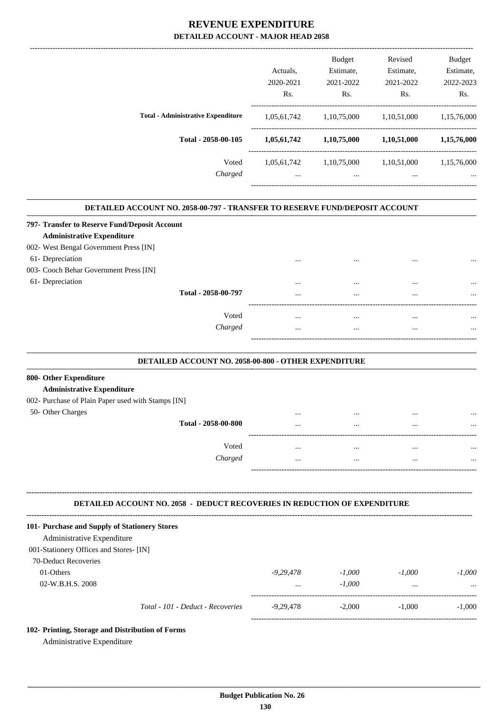|                                           | Actuals.<br>2020-2021 | <b>Budget</b><br>Estimate.<br>2021-2022 | Revised<br>Estimate.<br>2021-2022 | <b>Budget</b><br>Estimate,<br>2022-2023 |
|-------------------------------------------|-----------------------|-----------------------------------------|-----------------------------------|-----------------------------------------|
|                                           | Rs.                   | Rs.                                     | Rs.                               | Rs.                                     |
| <b>Total - Administrative Expenditure</b> | 1,05,61,742           | 1,10,75,000                             | 1,10,51,000                       | 1,15,76,000                             |
| Total - 2058-00-105                       | 1,05,61,742           | 1,10,75,000                             | 1,10,51,000                       | 1,15,76,000                             |
| Voted                                     | 1,05,61,742           | 1,10,75,000                             | 1,10,51,000                       | 1,15,76,000                             |
| Charged                                   | $\cdots$              | $\cdots$                                | $\cdots$                          |                                         |
|                                           |                       |                                         |                                   |                                         |

.

#### **DETAILED ACCOUNT NO. 2058-00-797 - TRANSFER TO RESERVE FUND/DEPOSIT ACCOUNT .**

| 797- Transfer to Reserve Fund/Deposit Account |          |          |          |          |
|-----------------------------------------------|----------|----------|----------|----------|
| <b>Administrative Expenditure</b>             |          |          |          |          |
| 002- West Bengal Government Press [IN]        |          |          |          |          |
| 61- Depreciation                              |          |          | $\cdots$ | $\cdots$ |
| 003- Cooch Behar Government Press [IN]        |          |          |          |          |
| 61- Depreciation                              |          |          |          |          |
| Total - 2058-00-797                           | $\cdots$ | $\cdots$ | $\cdots$ |          |
| Voted                                         |          |          |          |          |
| Charged                                       |          |          |          |          |
|                                               |          |          |          |          |
|                                               |          |          |          |          |

#### **DETAILED ACCOUNT NO. 2058-00-800 - OTHER EXPENDITURE .**

## **800- Other Expenditure**

## **Administrative Expenditure**

|  | 002- Purchase of Plain Paper used with Stamps [IN] |  |  |  |  |  |
|--|----------------------------------------------------|--|--|--|--|--|
|--|----------------------------------------------------|--|--|--|--|--|

| 50- Other Charges | Total - 2058-00-800 | <br><br><br> | <br><br><br> |
|-------------------|---------------------|--------------|--------------|
|                   | Voted<br>Charged    | <br><br><br> | <br><br><br> |
|                   |                     |              |              |

#### **-------------------------------------------------------------------------------------------------------------------------------------------------------------------------------- DETAILED ACCOUNT NO. 2058 - DEDUCT RECOVERIES IN REDUCTION OF EXPENDITURE**

| 101- Purchase and Supply of Stationery Stores |                                   |             |          |          |          |
|-----------------------------------------------|-----------------------------------|-------------|----------|----------|----------|
| Administrative Expenditure                    |                                   |             |          |          |          |
| 001-Stationery Offices and Stores- [IN]       |                                   |             |          |          |          |
| <b>70-Deduct Recoveries</b>                   |                                   |             |          |          |          |
| 01-Others                                     |                                   | $-9.29.478$ | $-1.000$ | $-1.000$ | $-1.000$ |
| $02-W.B.H.S. 2008$                            |                                   | $\cdots$    | $-1.000$ | $\cdots$ |          |
|                                               | Total - 101 - Deduct - Recoveries | $-9.29.478$ | $-2,000$ | $-1.000$ | $-1.000$ |
|                                               |                                   |             |          |          |          |

#### **102- Printing, Storage and Distribution of Forms**

Administrative Expenditure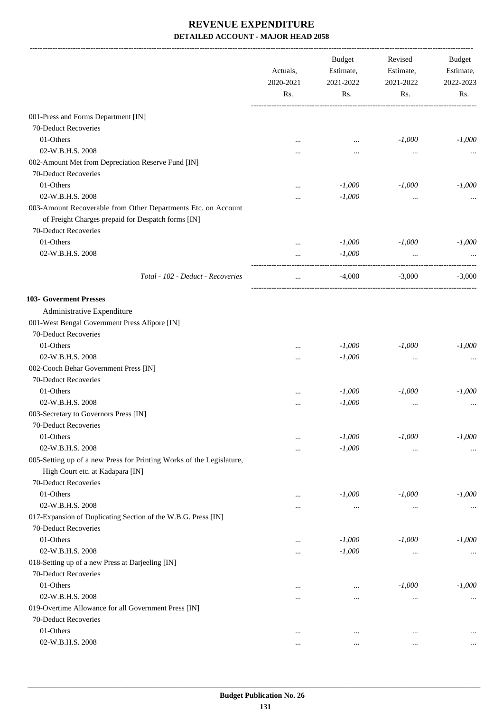|                                                                      | Actuals,<br>2020-2021<br>Rs. | <b>Budget</b><br>Estimate,<br>2021-2022 | Revised<br>Estimate, | Budget<br>Estimate,<br>2022-2023 |
|----------------------------------------------------------------------|------------------------------|-----------------------------------------|----------------------|----------------------------------|
|                                                                      |                              | Rs.                                     | 2021-2022<br>Rs.     | Rs.                              |
| 001-Press and Forms Department [IN]                                  |                              |                                         |                      |                                  |
| 70-Deduct Recoveries                                                 |                              |                                         |                      |                                  |
| 01-Others                                                            |                              | $\ddotsc$                               | $-1,000$             | $-1,000$                         |
| 02-W.B.H.S. 2008                                                     |                              |                                         | $\cdots$             |                                  |
| 002-Amount Met from Depreciation Reserve Fund [IN]                   |                              |                                         |                      |                                  |
| 70-Deduct Recoveries                                                 |                              |                                         |                      |                                  |
| 01-Others                                                            |                              | $-1,000$                                | $-1,000$             | $-1,000$                         |
| 02-W.B.H.S. 2008                                                     |                              | $-1,000$                                |                      |                                  |
| 003-Amount Recoverable from Other Departments Etc. on Account        |                              |                                         |                      |                                  |
| of Freight Charges prepaid for Despatch forms [IN]                   |                              |                                         |                      |                                  |
| 70-Deduct Recoveries                                                 |                              |                                         |                      |                                  |
| 01-Others                                                            |                              | $-1,000$                                | $-1,000$             | $-1,000$                         |
| 02-W.B.H.S. 2008                                                     |                              | $-1,000$                                |                      |                                  |
|                                                                      |                              |                                         | $\cdots$             |                                  |
| Total - 102 - Deduct - Recoveries                                    | $\cdots$                     | $-4,000$                                | $-3,000$             | $-3,000$                         |
| 103- Goverment Presses                                               |                              |                                         |                      |                                  |
| Administrative Expenditure                                           |                              |                                         |                      |                                  |
| 001-West Bengal Government Press Alipore [IN]                        |                              |                                         |                      |                                  |
| 70-Deduct Recoveries                                                 |                              |                                         |                      |                                  |
| 01-Others                                                            |                              | $-1,000$                                | $-1,000$             | $-1,000$                         |
| 02-W.B.H.S. 2008                                                     |                              | $-1,000$                                | $\cdots$             |                                  |
| 002-Cooch Behar Government Press [IN]                                |                              |                                         |                      |                                  |
| 70-Deduct Recoveries                                                 |                              |                                         |                      |                                  |
| 01-Others                                                            |                              | $-1,000$                                | $-1,000$             | $-1,000$                         |
| 02-W.B.H.S. 2008                                                     |                              | $-1,000$                                | $\cdots$             |                                  |
| 003-Secretary to Governors Press [IN]                                |                              |                                         |                      |                                  |
| 70-Deduct Recoveries                                                 |                              |                                         |                      |                                  |
| 01-Others                                                            | $\ddotsc$                    | $-1,000$                                | $-1,000$             | $-1,000$                         |
| 02-W.B.H.S. 2008                                                     |                              | $-1,000$                                | $\cdots$             | $\cdots$                         |
| 005-Setting up of a new Press for Printing Works of the Legislature, |                              |                                         |                      |                                  |
| High Court etc. at Kadapara [IN]                                     |                              |                                         |                      |                                  |
| 70-Deduct Recoveries                                                 |                              |                                         |                      |                                  |
| 01-Others                                                            | $\ddotsc$                    | $-1,000$                                | $-1,000$             | $-1,000$                         |
| 02-W.B.H.S. 2008                                                     |                              | $\cdots$                                | $\ldots$             | $\cdots$                         |
| 017-Expansion of Duplicating Section of the W.B.G. Press [IN]        |                              |                                         |                      |                                  |
| 70-Deduct Recoveries                                                 |                              |                                         |                      |                                  |
| 01-Others                                                            |                              | $-1,000$                                | $-1,000$             | $-1,000$                         |
| 02-W.B.H.S. 2008                                                     |                              | $-1,000$                                |                      |                                  |
| 018-Setting up of a new Press at Darjeeling [IN]                     |                              |                                         | $\cdots$             | $\cdots$                         |
| 70-Deduct Recoveries                                                 |                              |                                         |                      |                                  |
| 01-Others                                                            |                              |                                         | $-1,000$             | $-1,000$                         |
| 02-W.B.H.S. 2008                                                     |                              | $\cdots$                                |                      |                                  |
| 019-Overtime Allowance for all Government Press [IN]                 |                              | $\cdots$                                | $\cdots$             | $\cdots$                         |
| 70-Deduct Recoveries                                                 |                              |                                         |                      |                                  |
| 01-Others                                                            |                              |                                         |                      |                                  |
| 02-W.B.H.S. 2008                                                     | $\ddotsc$                    | $\ddotsc$                               | $\cdots$             |                                  |
|                                                                      |                              | $\cdots$                                | $\cdots$             |                                  |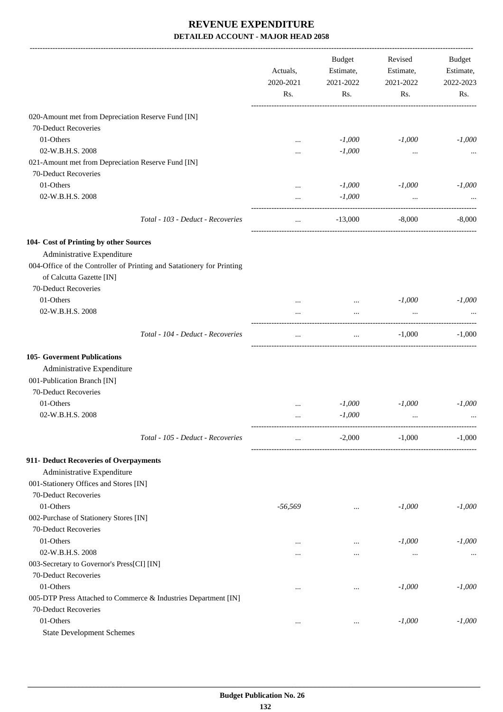|                                                                                                   | Actuals,<br>2020-2021<br>Rs. | Budget<br>Estimate,<br>2021-2022<br>Rs. | Revised<br>Estimate,<br>2021-2022<br>Rs. | Budget<br>Estimate,<br>2022-2023<br>Rs. |
|---------------------------------------------------------------------------------------------------|------------------------------|-----------------------------------------|------------------------------------------|-----------------------------------------|
| 020-Amount met from Depreciation Reserve Fund [IN]                                                |                              |                                         |                                          |                                         |
| 70-Deduct Recoveries                                                                              |                              |                                         |                                          |                                         |
| 01-Others                                                                                         | $\cdots$                     | $-1,000$                                | $-1,000$                                 | $-1,000$                                |
| 02-W.B.H.S. 2008                                                                                  |                              | $-1,000$                                | $\ddotsc$                                |                                         |
| 021-Amount met from Depreciation Reserve Fund [IN]                                                |                              |                                         |                                          |                                         |
| 70-Deduct Recoveries                                                                              |                              |                                         |                                          |                                         |
| 01-Others                                                                                         |                              | $-1,000$                                | $-1,000$                                 | $-1,000$                                |
| 02-W.B.H.S. 2008                                                                                  |                              | $-1,000$                                | $\cdots$                                 |                                         |
| Total - 103 - Deduct - Recoveries                                                                 | $\cdots$                     | $-13,000$                               | $-8,000$                                 | $-8,000$                                |
| 104- Cost of Printing by other Sources                                                            |                              |                                         |                                          |                                         |
| Administrative Expenditure                                                                        |                              |                                         |                                          |                                         |
| 004-Office of the Controller of Printing and Satationery for Printing<br>of Calcutta Gazette [IN] |                              |                                         |                                          |                                         |
| 70-Deduct Recoveries                                                                              |                              |                                         |                                          |                                         |
| 01-Others                                                                                         |                              | $\cdots$                                | $-1,000$                                 | $-1,000$                                |
| 02-W.B.H.S. 2008                                                                                  |                              | $\cdots$                                |                                          |                                         |
| Total - 104 - Deduct - Recoveries                                                                 | $\ddotsc$                    | $\cdots$                                | $-1,000$                                 | $-1,000$                                |
| <b>105- Goverment Publications</b>                                                                |                              |                                         |                                          |                                         |
| Administrative Expenditure                                                                        |                              |                                         |                                          |                                         |
| 001-Publication Branch [IN]                                                                       |                              |                                         |                                          |                                         |
| 70-Deduct Recoveries                                                                              |                              |                                         |                                          |                                         |
| 01-Others                                                                                         |                              | $-1,000$                                | $-1,000$                                 | $-1.000$                                |
| 02-W.B.H.S. 2008                                                                                  |                              | $-1,000$                                | $\ddotsc$                                |                                         |
| Total - 105 - Deduct - Recoveries                                                                 | $\cdots$                     | $-2,000$                                | $-1,000$                                 | $-1,000$                                |
| 911- Deduct Recoveries of Overpayments                                                            |                              |                                         |                                          |                                         |
| Administrative Expenditure                                                                        |                              |                                         |                                          |                                         |
| 001-Stationery Offices and Stores [IN]                                                            |                              |                                         |                                          |                                         |
| 70-Deduct Recoveries                                                                              |                              |                                         |                                          |                                         |
| 01-Others                                                                                         | $-56,569$                    | $\cdots$                                | $-1,000$                                 | $-1,000$                                |
| 002-Purchase of Stationery Stores [IN]<br>70-Deduct Recoveries                                    |                              |                                         |                                          |                                         |
| 01-Others                                                                                         |                              | $\cdots$                                | $-1,000$                                 | $-1,000$                                |
| 02-W.B.H.S. 2008                                                                                  |                              |                                         | $\cdots$                                 | $\cdots$                                |
| 003-Secretary to Governor's Press[CI] [IN]                                                        |                              |                                         |                                          |                                         |
| 70-Deduct Recoveries                                                                              |                              |                                         |                                          |                                         |
| 01-Others                                                                                         |                              | $\cdots$                                | $-1,000$                                 | $-1,000$                                |
| 005-DTP Press Attached to Commerce & Industries Department [IN]                                   |                              |                                         |                                          |                                         |
| 70-Deduct Recoveries                                                                              |                              |                                         |                                          |                                         |
| 01-Others                                                                                         |                              | $\cdots$                                | $-1,000$                                 | $-1,000$                                |
| <b>State Development Schemes</b>                                                                  |                              |                                         |                                          |                                         |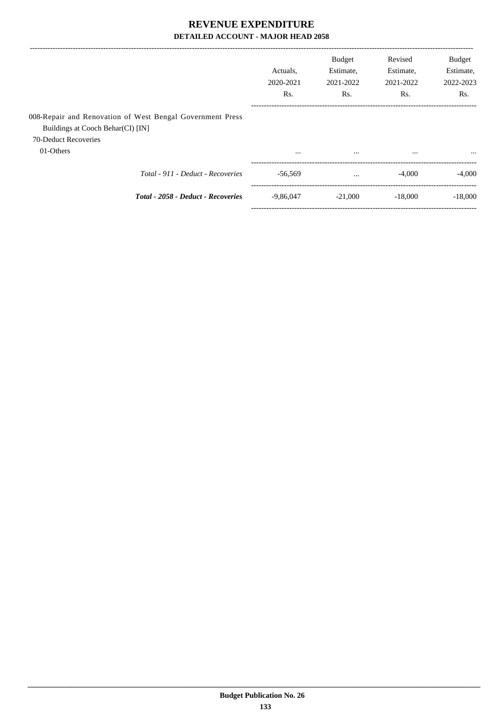|                                   |                                                           | Actuals.<br>2020-2021<br>Rs. | <b>Budget</b><br>Estimate,<br>2021-2022<br>Rs. | Revised<br>Estimate,<br>2021-2022<br>Rs. | <b>Budget</b><br>Estimate,<br>2022-2023<br>Rs. |
|-----------------------------------|-----------------------------------------------------------|------------------------------|------------------------------------------------|------------------------------------------|------------------------------------------------|
| Buildings at Cooch Behar(CI) [IN] | 008-Repair and Renovation of West Bengal Government Press |                              |                                                |                                          |                                                |
| 70-Deduct Recoveries<br>01-Others |                                                           | $\cdots$                     | $\cdots$                                       | $\cdots$                                 | $\cdots$                                       |
|                                   | Total - 911 - Deduct - Recoveries                         | $-56.569$                    | $\cdots$                                       | $-4,000$                                 | $-4.000$                                       |
|                                   | Total - 2058 - Deduct - Recoveries                        | $-9.86.047$                  | $-21,000$                                      | $-18,000$                                | $-18,000$                                      |
|                                   |                                                           |                              |                                                |                                          |                                                |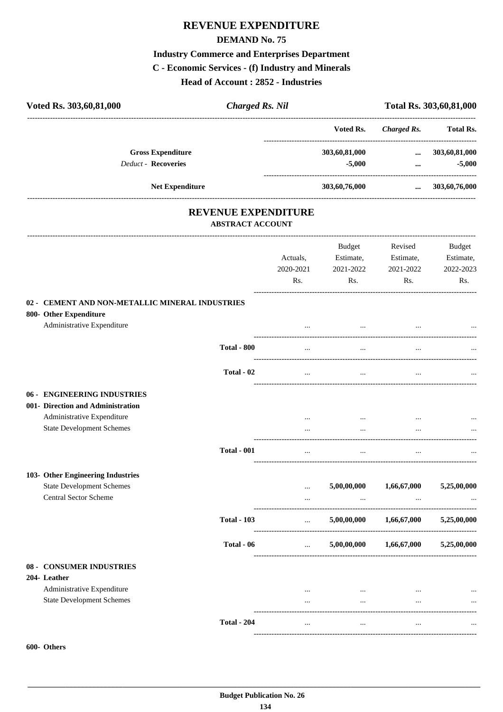## **REVENUE EXPENDITURE**

#### **DEMAND No. 75**

## **Industry Commerce and Enterprises Department**

#### **C - Economic Services - (f) Industry and Minerals**

**Head of Account : 2852 - Industries**

| Voted Rs. 303,60,81,000                                                   | <b>Charged Rs. Nil</b>                                |                      |               |                    | Total Rs. 303,60,81,000 |
|---------------------------------------------------------------------------|-------------------------------------------------------|----------------------|---------------|--------------------|-------------------------|
|                                                                           |                                                       |                      | Voted Rs.     | <b>Charged Rs.</b> | <b>Total Rs.</b>        |
| <b>Gross Expenditure</b>                                                  |                                                       |                      | 303,60,81,000 | $\cdots$           | 303,60,81,000           |
| Deduct - Recoveries                                                       |                                                       |                      | $-5,000$      | $\cdots$           | $-5,000$                |
| <b>Net Expenditure</b>                                                    |                                                       |                      | 303,60,76,000 | $\cdots$           | 303,60,76,000           |
|                                                                           | <b>REVENUE EXPENDITURE</b><br><b>ABSTRACT ACCOUNT</b> |                      |               |                    |                         |
|                                                                           |                                                       |                      | Budget        | Revised            | Budget                  |
|                                                                           |                                                       | Actuals,             | Estimate,     | Estimate,          | Estimate,               |
|                                                                           |                                                       | 2020-2021            | 2021-2022     | 2021-2022          | 2022-2023               |
|                                                                           |                                                       | Rs.                  | Rs.           | Rs.                | Rs.                     |
| 02 - CEMENT AND NON-METALLIC MINERAL INDUSTRIES<br>800- Other Expenditure |                                                       |                      |               |                    |                         |
| Administrative Expenditure                                                |                                                       | -------------------- | $\cdots$      |                    |                         |
|                                                                           | <b>Total - 800</b>                                    |                      |               |                    |                         |
|                                                                           | Total - 02                                            | $\cdots$             | $\cdots$      | $\ddotsc$          |                         |
| 06 - ENGINEERING INDUSTRIES                                               |                                                       |                      |               |                    |                         |
| 001- Direction and Administration                                         |                                                       |                      |               |                    |                         |
| Administrative Expenditure                                                |                                                       |                      | $\ddotsc$     |                    |                         |
| <b>State Development Schemes</b>                                          |                                                       |                      | $\ddotsc$     |                    |                         |
|                                                                           | <b>Total - 001</b>                                    | $\cdots$             | $\cdots$      | $\cdots$           |                         |
| 103- Other Engineering Industries                                         |                                                       |                      |               |                    |                         |
| <b>State Development Schemes</b>                                          |                                                       |                      | 5,00,00,000   | 1,66,67,000        | 5,25,00,000             |
| <b>Central Sector Scheme</b>                                              |                                                       |                      | $\cdots$      | $\cdots$           |                         |
|                                                                           | <b>Total - 103</b>                                    | $\cdots$             | 5,00,00,000   | 1,66,67,000        | 5,25,00,000             |
|                                                                           | Total - 06                                            | $\cdots$             | 5,00,00,000   | 1,66,67,000        | 5,25,00,000             |
| 08 - CONSUMER INDUSTRIES                                                  |                                                       |                      |               |                    |                         |
| 204-Leather                                                               |                                                       |                      |               |                    |                         |
| Administrative Expenditure                                                |                                                       | $\cdots$             | $\cdots$      | $\cdots$           | $\cdots$                |
| <b>State Development Schemes</b>                                          |                                                       | $\cdots$             | $\cdots$      | $\cdots$           | $\ldots$                |
|                                                                           | <b>Total - 204</b>                                    | $\cdots$             | $\cdots$      | $\cdots$           |                         |
|                                                                           |                                                       |                      |               |                    |                         |

**600- Others**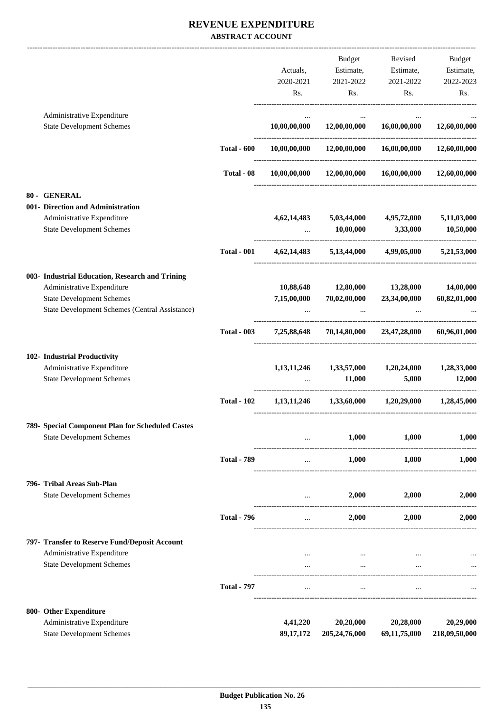#### **REVENUE EXPENDITURE ABSTRACT ACCOUNT**

|                                                  |                    |                | <b>Budget</b>                                | Revised                     | <b>Budget</b> |
|--------------------------------------------------|--------------------|----------------|----------------------------------------------|-----------------------------|---------------|
|                                                  |                    | Actuals,       | Estimate,                                    | Estimate,                   | Estimate,     |
|                                                  |                    | 2020-2021      | 2021-2022                                    | 2021-2022                   | 2022-2023     |
|                                                  |                    | Rs.            | Rs.                                          | Rs.                         | Rs.           |
| Administrative Expenditure                       |                    |                |                                              |                             |               |
| <b>State Development Schemes</b>                 |                    | 10,00,00,000   | 12,00,00,000                                 | 16,00,00,000                | 12,60,00,000  |
|                                                  | <b>Total - 600</b> | 10,00,00,000   | 12,00,00,000                                 | 16,00,00,000                | 12,60,00,000  |
|                                                  | Total - 08         |                | $10,00,00,000$ $12,00,00,000$ $16,00,00,000$ |                             | 12,60,00,000  |
| 80 - GENERAL                                     |                    |                |                                              |                             |               |
| 001- Direction and Administration                |                    |                |                                              |                             |               |
| Administrative Expenditure                       |                    | 4,62,14,483    | 5,03,44,000                                  | 4,95,72,000                 | 5,11,03,000   |
| <b>State Development Schemes</b>                 |                    |                | 10,00,000                                    | 3,33,000                    | 10,50,000     |
|                                                  | <b>Total - 001</b> |                | 4,62,14,483 5,13,44,000 4,99,05,000          |                             | 5,21,53,000   |
| 003- Industrial Education, Research and Trining  |                    |                |                                              |                             |               |
| Administrative Expenditure                       |                    | 10,88,648      | 12,80,000                                    | 13,28,000                   | 14,00,000     |
| <b>State Development Schemes</b>                 |                    | 7,15,00,000    | 70,02,00,000                                 | 23,34,00,000                | 60,82,01,000  |
| State Development Schemes (Central Assistance)   |                    |                |                                              |                             |               |
|                                                  | <b>Total - 003</b> | 7,25,88,648    | 70,14,80,000                                 | 23,47,28,000                | 60,96,01,000  |
| 102- Industrial Productivity                     |                    |                |                                              |                             |               |
| Administrative Expenditure                       |                    | 1,13,11,246    | 1,33,57,000                                  | 1,20,24,000                 | 1,28,33,000   |
| <b>State Development Schemes</b>                 |                    |                | 11,000                                       | 5,000                       | 12,000        |
|                                                  | <b>Total - 102</b> | 1, 13, 11, 246 |                                              | $1,33,68,000$ $1,20,29,000$ | 1,28,45,000   |
| 789- Special Component Plan for Scheduled Castes |                    |                |                                              |                             |               |
| <b>State Development Schemes</b>                 |                    |                | 1,000                                        | 1,000                       | 1,000         |
|                                                  | <b>Total - 789</b> | $\cdots$       | 1,000                                        | 1,000                       | 1,000         |
| 796- Tribal Areas Sub-Plan                       |                    |                |                                              |                             |               |
| <b>State Development Schemes</b>                 |                    | $\cdots$       | 2,000                                        | 2,000                       | 2,000         |
|                                                  | <b>Total - 796</b> | $\cdots$       | 2,000                                        | 2,000                       | 2,000         |
| 797- Transfer to Reserve Fund/Deposit Account    |                    |                |                                              |                             |               |
| Administrative Expenditure                       |                    |                | $\cdots$                                     |                             |               |
| <b>State Development Schemes</b>                 |                    | $\ddotsc$      | $\cdots$                                     | $\ddotsc$                   |               |
|                                                  | <b>Total - 797</b> | $\cdots$       | $\cdots$                                     | $\cdots$                    |               |
| 800- Other Expenditure                           |                    |                |                                              |                             |               |
| Administrative Expenditure                       |                    | 4,41,220       | 20,28,000                                    | 20,28,000                   | 20,29,000     |
| <b>State Development Schemes</b>                 |                    | 89, 17, 172    | 205,24,76,000                                | 69,11,75,000                | 218,09,50,000 |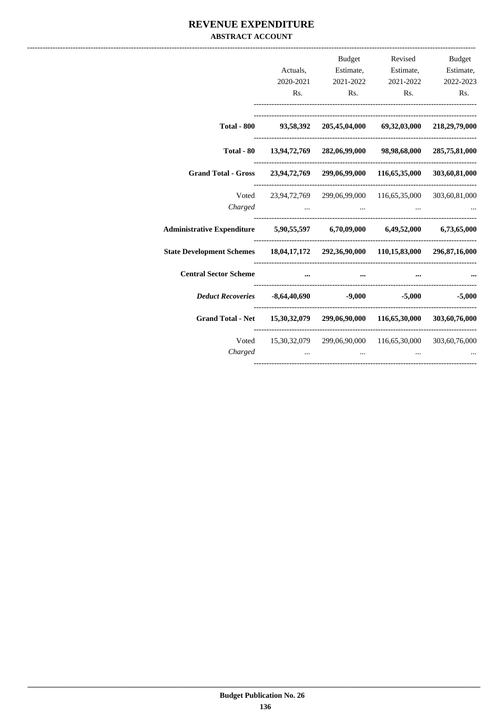#### REVENUE EXPENDITURE **ABSTRACT ACCOUNT**

|                                                                                  | Rs. | <b>Budget</b><br>Actuals, Estimate, Estimate, Estimate,<br>2020-2021 2021-2022 2021-2022 2022-2023<br>Rs. | Rs. | Revised Budget<br>Rs. |
|----------------------------------------------------------------------------------|-----|-----------------------------------------------------------------------------------------------------------|-----|-----------------------|
|                                                                                  |     | Total - 800 93,58,392 205,45,04,000 69,32,03,000 218,29,79,000                                            |     |                       |
|                                                                                  |     | Total - 80 13,94,72,769 282,06,99,000 98,98,68,000 285,75,81,000                                          |     |                       |
| Grand Total - Gross 23,94,72,769 299,06,99,000 116,65,35,000 303,60,81,000       |     |                                                                                                           |     |                       |
| Charged                                                                          |     | Voted 23,94,72,769 299,06,99,000 116,65,35,000 303,60,81,000                                              |     |                       |
| Administrative Expenditure 5,90,55,597 6,70,09,000 6,49,52,000 6,73,65,000       |     |                                                                                                           |     |                       |
| State Development Schemes 18,04,17,172 292,36,90,000 110,15,83,000 296,87,16,000 |     |                                                                                                           |     |                       |
| <b>Central Sector Scheme</b>                                                     |     |                                                                                                           |     |                       |
| <i>Deduct Recoveries</i> -8,64,40,690 -9,000 -5,000 -5,000                       |     |                                                                                                           |     |                       |
| Grand Total - Net 15,30,32,079 299,06,90,000 116,65,30,000 303,60,76,000         |     |                                                                                                           |     |                       |
| Charged                                                                          |     | Voted 15,30,32,079 299,06,90,000 116,65,30,000 303,60,76,000                                              |     |                       |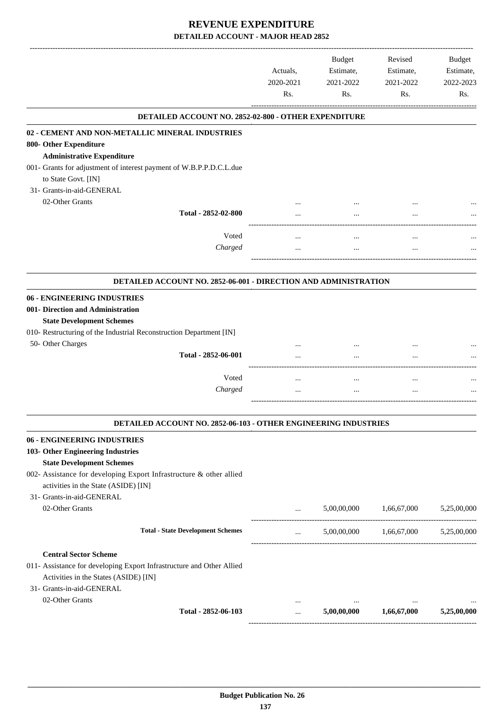|                                                                                                                                                                                                                     | Actuals,<br>2020-2021<br>Rs. | <b>Budget</b><br>Estimate,<br>2021-2022<br>Rs. | Revised<br>Estimate,<br>2021-2022<br>Rs. | <b>Budget</b><br>Estimate,<br>2022-2023<br>Rs. |
|---------------------------------------------------------------------------------------------------------------------------------------------------------------------------------------------------------------------|------------------------------|------------------------------------------------|------------------------------------------|------------------------------------------------|
| DETAILED ACCOUNT NO. 2852-02-800 - OTHER EXPENDITURE                                                                                                                                                                |                              |                                                |                                          |                                                |
| 02 - CEMENT AND NON-METALLIC MINERAL INDUSTRIES<br>800- Other Expenditure<br><b>Administrative Expenditure</b><br>001- Grants for adjustment of interest payment of W.B.P.P.D.C.L.due                               |                              |                                                |                                          |                                                |
| to State Govt. [IN]<br>31- Grants-in-aid-GENERAL<br>02-Other Grants                                                                                                                                                 |                              |                                                |                                          |                                                |
| Total - 2852-02-800                                                                                                                                                                                                 |                              |                                                |                                          |                                                |
| Voted<br>Charged                                                                                                                                                                                                    | $\cdots$                     | $\ddotsc$                                      | $\ddotsc$                                |                                                |
| DETAILED ACCOUNT NO. 2852-06-001 - DIRECTION AND ADMINISTRATION                                                                                                                                                     |                              |                                                |                                          |                                                |
| 06 - ENGINEERING INDUSTRIES<br>001- Direction and Administration<br><b>State Development Schemes</b>                                                                                                                |                              |                                                |                                          |                                                |
| 010- Restructuring of the Industrial Reconstruction Department [IN]<br>50- Other Charges<br>Total - 2852-06-001                                                                                                     |                              |                                                |                                          |                                                |
| Voted<br>Charged                                                                                                                                                                                                    | <br>$\cdots$                 | <br>$\ddotsc$                                  | $\ddotsc$<br>$\ddotsc$                   |                                                |
| DETAILED ACCOUNT NO. 2852-06-103 - OTHER ENGINEERING INDUSTRIES                                                                                                                                                     |                              |                                                |                                          |                                                |
| 06 - ENGINEERING INDUSTRIES<br>103- Other Engineering Industries<br><b>State Development Schemes</b><br>002- Assistance for developing Export Infrastructure & other allied<br>activities in the State (ASIDE) [IN] |                              |                                                |                                          |                                                |
| 31- Grants-in-aid-GENERAL<br>02-Other Grants                                                                                                                                                                        | $\cdots$                     | 5,00,00,000                                    | 1,66,67,000                              | 5,25,00,000                                    |
| <b>Total - State Development Schemes</b>                                                                                                                                                                            | $\cdots$                     |                                                | 5,00,00,000 1,66,67,000 5,25,00,000      |                                                |
| <b>Central Sector Scheme</b><br>011- Assistance for developing Export Infrastructure and Other Allied<br>Activities in the States (ASIDE) [IN]<br>31- Grants-in-aid-GENERAL                                         |                              |                                                |                                          |                                                |
| 02-Other Grants<br>Total - 2852-06-103                                                                                                                                                                              | <br>                         | 5,00,00,000                                    | 1,66,67,000                              | 5,25,00,000                                    |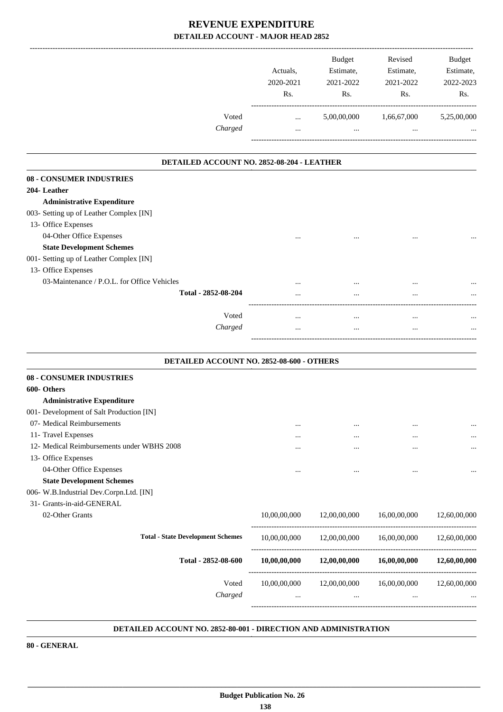|                                             | Actuals,<br>2020-2021<br>Rs. | <b>Budget</b><br>Estimate,<br>2021-2022<br>Rs. | Revised<br>Estimate,<br>2021-2022<br>Rs.          | <b>Budget</b><br>Estimate,<br>2022-2023<br>Rs. |
|---------------------------------------------|------------------------------|------------------------------------------------|---------------------------------------------------|------------------------------------------------|
| Voted<br>Charged                            | $\cdots$<br>$\cdots$         | 5,00,00,000<br>$\cdots$                        | 1,66,67,000                                       | 5,25,00,000                                    |
| DETAILED ACCOUNT NO. 2852-08-204 - LEATHER  |                              |                                                |                                                   |                                                |
| 08 - CONSUMER INDUSTRIES                    |                              |                                                |                                                   |                                                |
| 204-Leather                                 |                              |                                                |                                                   |                                                |
| <b>Administrative Expenditure</b>           |                              |                                                |                                                   |                                                |
| 003- Setting up of Leather Complex [IN]     |                              |                                                |                                                   |                                                |
| 13- Office Expenses                         |                              |                                                |                                                   |                                                |
| 04-Other Office Expenses                    |                              |                                                |                                                   |                                                |
| <b>State Development Schemes</b>            |                              |                                                |                                                   |                                                |
| 001- Setting up of Leather Complex [IN]     |                              |                                                |                                                   |                                                |
| 13- Office Expenses                         |                              |                                                |                                                   |                                                |
| 03-Maintenance / P.O.L. for Office Vehicles |                              |                                                |                                                   |                                                |
| Total - 2852-08-204                         |                              | $\cdots$                                       | $\ddotsc$                                         |                                                |
|                                             |                              |                                                |                                                   |                                                |
| Voted                                       | $\cdots$                     | $\cdots$                                       | $\cdots$                                          |                                                |
| Charged                                     |                              | $\ddotsc$                                      | $\ddotsc$                                         |                                                |
|                                             |                              |                                                |                                                   |                                                |
| DETAILED ACCOUNT NO. 2852-08-600 - OTHERS   |                              |                                                |                                                   |                                                |
| 08 - CONSUMER INDUSTRIES                    |                              |                                                |                                                   |                                                |
| 600- Others                                 |                              |                                                |                                                   |                                                |
| <b>Administrative Expenditure</b>           |                              |                                                |                                                   |                                                |
| 001- Development of Salt Production [IN]    |                              |                                                |                                                   |                                                |
| 07- Medical Reimbursements                  |                              | $\cdots$                                       |                                                   | $\cdots$                                       |
| 11- Travel Expenses                         | $\cdots$                     | $\cdots$                                       |                                                   |                                                |
| 12- Medical Reimbursements under WBHS 2008  |                              | $\cdots$                                       |                                                   |                                                |
| 13- Office Expenses                         |                              |                                                |                                                   |                                                |
| 04-Other Office Expenses                    |                              |                                                |                                                   |                                                |
| <b>State Development Schemes</b>            |                              |                                                |                                                   |                                                |
| 006- W.B.Industrial Dev.Corpn.Ltd. [IN]     |                              |                                                |                                                   |                                                |
| 31- Grants-in-aid-GENERAL                   |                              |                                                |                                                   |                                                |
| 02-Other Grants                             | 10,00,00,000                 | 12,00,00,000                                   | 16,00,00,000                                      | 12,60,00,000                                   |
| <b>Total - State Development Schemes</b>    | 10,00,00,000                 | 12,00,00,000                                   | 16,00,00,000                                      | 12,60,00,000                                   |
| Total - 2852-08-600                         | 10,00,00,000                 | 12,00,00,000                                   | 16,00,00,000                                      | 12,60,00,000                                   |
| Voted<br>Charged                            | 10,00,00,000<br>             | 12,00,00,000<br>$\cdots$                       | ---------------------<br>16,00,00,000<br>$\cdots$ | 12,60,00,000                                   |

#### **DETAILED ACCOUNT NO. 2852-80-001 - DIRECTION AND ADMINISTRATION .**

**80 - GENERAL**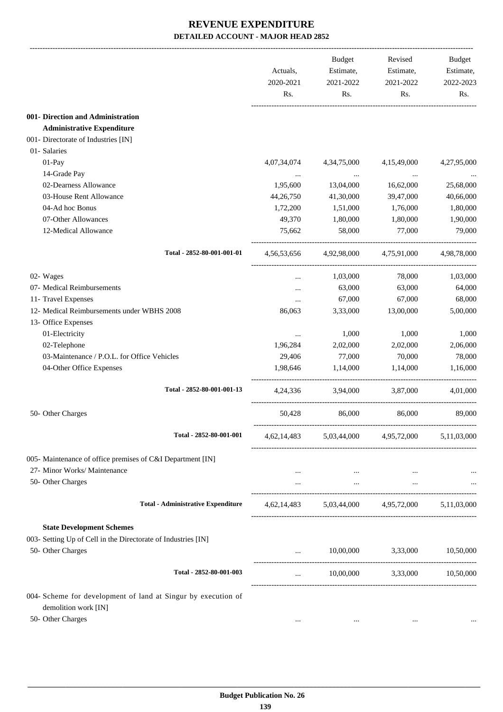|                                                                                       | Actuals,<br>2020-2021<br>Rs. | Budget<br>Estimate,<br>2021-2022<br>Rs. | Revised<br>Estimate,<br>2021-2022<br>Rs.        | Budget<br>Estimate,<br>2022-2023<br>Rs. |
|---------------------------------------------------------------------------------------|------------------------------|-----------------------------------------|-------------------------------------------------|-----------------------------------------|
| 001- Direction and Administration                                                     |                              |                                         |                                                 |                                         |
| <b>Administrative Expenditure</b>                                                     |                              |                                         |                                                 |                                         |
| 001- Directorate of Industries [IN]                                                   |                              |                                         |                                                 |                                         |
| 01- Salaries                                                                          |                              |                                         |                                                 |                                         |
| 01-Pay                                                                                | 4,07,34,074                  | 4, 34, 75, 000                          | 4,15,49,000                                     | 4,27,95,000                             |
| 14-Grade Pay                                                                          | $\cdots$                     | $\ddots$                                | $\cdots$                                        |                                         |
| 02-Dearness Allowance                                                                 | 1,95,600                     | 13,04,000                               | 16,62,000                                       | 25,68,000                               |
| 03-House Rent Allowance                                                               | 44,26,750                    | 41,30,000                               | 39,47,000                                       | 40,66,000                               |
| 04-Ad hoc Bonus                                                                       | 1,72,200                     | 1,51,000                                | 1,76,000                                        | 1,80,000                                |
| 07-Other Allowances                                                                   | 49,370                       | 1,80,000                                | 1,80,000                                        | 1,90,000                                |
| 12-Medical Allowance                                                                  | 75,662                       | 58,000                                  | 77,000                                          | 79,000                                  |
| Total - 2852-80-001-001-01                                                            |                              |                                         | 4,56,53,656 4,92,98,000 4,75,91,000             | 4,98,78,000                             |
|                                                                                       |                              |                                         |                                                 |                                         |
| 02- Wages                                                                             |                              | 1,03,000                                | 78,000                                          | 1,03,000                                |
| 07- Medical Reimbursements                                                            |                              | 63,000                                  | 63,000                                          | 64,000                                  |
| 11- Travel Expenses                                                                   |                              | 67,000                                  | 67,000                                          | 68,000                                  |
| 12- Medical Reimbursements under WBHS 2008                                            | 86,063                       | 3,33,000                                | 13,00,000                                       | 5,00,000                                |
| 13- Office Expenses                                                                   |                              |                                         |                                                 |                                         |
| 01-Electricity                                                                        | $\cdots$                     | 1,000                                   | 1,000                                           | 1,000                                   |
| 02-Telephone                                                                          | 1,96,284                     | 2,02,000                                | 2,02,000                                        | 2,06,000                                |
| 03-Maintenance / P.O.L. for Office Vehicles                                           | 29,406                       | 77,000                                  | 70,000                                          | 78,000                                  |
| 04-Other Office Expenses                                                              | 1,98,646                     | 1,14,000                                | 1,14,000                                        | 1,16,000                                |
| Total - 2852-80-001-001-13                                                            | 4,24,336                     | 3,94,000                                | 3,87,000                                        | 4,01,000                                |
| 50- Other Charges                                                                     | 50,428                       | 86,000                                  | 86,000                                          | 89,000                                  |
| Total - 2852-80-001-001                                                               |                              |                                         | 4,62,14,483 5,03,44,000 4,95,72,000             | 5,11,03,000                             |
| 005- Maintenance of office premises of C&I Department [IN]                            |                              |                                         |                                                 |                                         |
| 27- Minor Works/ Maintenance                                                          | $\cdots$                     | $\cdots$                                |                                                 |                                         |
| 50- Other Charges                                                                     |                              |                                         | and the state of the state of                   |                                         |
| <b>Total - Administrative Expenditure</b>                                             |                              |                                         | 4,62,14,483 5,03,44,000 4,95,72,000 5,11,03,000 |                                         |
| <b>State Development Schemes</b>                                                      |                              |                                         |                                                 |                                         |
| 003- Setting Up of Cell in the Directorate of Industries [IN]                         |                              |                                         |                                                 |                                         |
|                                                                                       |                              |                                         | $10,00,000$ $3,33,000$ $10,50,000$              |                                         |
| 50- Other Charges                                                                     |                              |                                         |                                                 |                                         |
| Total - 2852-80-001-003                                                               | $\cdots$                     |                                         | $10,00,000$ $3,33,000$ $10,50,000$              |                                         |
| 004- Scheme for development of land at Singur by execution of<br>demolition work [IN] |                              |                                         |                                                 |                                         |
| 50- Other Charges                                                                     | $\cdots$                     | $\cdots$                                | $\cdots$                                        | $\cdots$                                |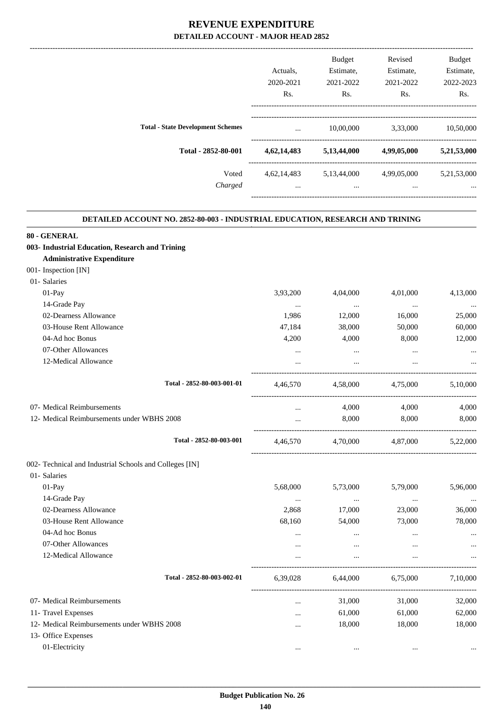|             | <b>Budget</b> | Revised     | <b>Budget</b> |
|-------------|---------------|-------------|---------------|
| Actuals.    | Estimate,     | Estimate,   | Estimate,     |
| 2020-2021   | 2021-2022     | 2021-2022   | 2022-2023     |
| Rs.         | Rs.           | Rs.         | Rs.           |
| $\cdots$    | 10,00,000     | 3,33,000    | 10,50,000     |
| 4,62,14,483 | 5,13,44,000   | 4,99,05,000 | 5,21,53,000   |
| 4,62,14,483 | 5,13,44,000   | 4,99,05,000 | 5,21,53,000   |
| $\cdots$    | $\cdots$      | $\cdots$    | $\cdots$      |
|             |               |             |               |

.

#### **DETAILED ACCOUNT NO. 2852-80-003 - INDUSTRIAL EDUCATION, RESEARCH AND TRINING .**

| 80 - GENERAL                                            |           |          |          |          |
|---------------------------------------------------------|-----------|----------|----------|----------|
| 003- Industrial Education, Research and Trining         |           |          |          |          |
| <b>Administrative Expenditure</b>                       |           |          |          |          |
| 001- Inspection [IN]                                    |           |          |          |          |
| 01- Salaries                                            |           |          |          |          |
| $01-Pav$                                                | 3,93,200  | 4,04,000 | 4,01,000 | 4,13,000 |
| 14-Grade Pay                                            | $\ldots$  | $\cdots$ | $\ldots$ |          |
| 02-Dearness Allowance                                   | 1,986     | 12,000   | 16,000   | 25,000   |
| 03-House Rent Allowance                                 | 47,184    | 38,000   | 50,000   | 60,000   |
| 04-Ad hoc Bonus                                         | 4,200     | 4,000    | 8,000    | 12,000   |
| 07-Other Allowances                                     | $\cdots$  | $\ldots$ | $\ldots$ |          |
| 12-Medical Allowance                                    |           | $\cdots$ | $\cdots$ |          |
| Total - 2852-80-003-001-01                              | 4,46,570  | 4,58,000 | 4,75,000 | 5,10,000 |
| 07- Medical Reimbursements                              | $\cdots$  | 4,000    | 4,000    | 4,000    |
| 12- Medical Reimbursements under WBHS 2008              | $\cdots$  | 8,000    | 8,000    | 8,000    |
| Total - 2852-80-003-001                                 | 4,46,570  | 4,70,000 | 4,87,000 | 5,22,000 |
| 002- Technical and Industrial Schools and Colleges [IN] |           |          |          |          |
| 01- Salaries                                            |           |          |          |          |
| $01-Pay$                                                | 5,68,000  | 5,73,000 | 5,79,000 | 5,96,000 |
| 14-Grade Pay                                            | $\cdots$  | $\cdots$ | $\cdots$ | $\ddots$ |
| 02-Dearness Allowance                                   | 2,868     | 17,000   | 23,000   | 36,000   |
| 03-House Rent Allowance                                 | 68,160    | 54,000   | 73,000   | 78,000   |
| 04-Ad hoc Bonus                                         | $\cdots$  | $\cdots$ | $\cdots$ |          |
| 07-Other Allowances                                     | $\cdots$  | $\cdots$ | $\cdots$ |          |
| 12-Medical Allowance                                    |           | $\cdots$ | $\cdots$ |          |
| Total - 2852-80-003-002-01                              | 6,39,028  | 6,44,000 | 6,75,000 | 7,10,000 |
| 07- Medical Reimbursements                              | $\cdots$  | 31,000   | 31,000   | 32,000   |
| 11- Travel Expenses                                     | $\ddotsc$ | 61,000   | 61,000   | 62,000   |
| 12- Medical Reimbursements under WBHS 2008              | $\cdots$  | 18,000   | 18,000   | 18,000   |
| 13- Office Expenses                                     |           |          |          |          |
| 01-Electricity                                          | $\cdots$  | $\cdots$ | $\cdots$ |          |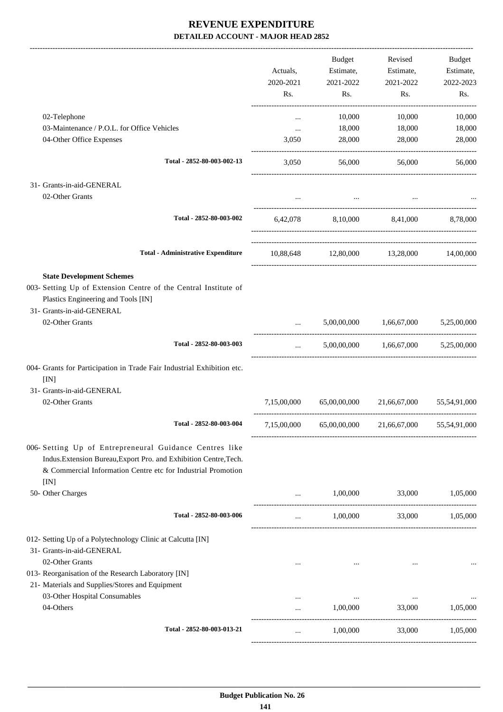|                                                                                                                                                                                           |                                                                                                                                                                                                                                                                                                                                                                                                                                            | Budget    | Revised                                            | Budget    |
|-------------------------------------------------------------------------------------------------------------------------------------------------------------------------------------------|--------------------------------------------------------------------------------------------------------------------------------------------------------------------------------------------------------------------------------------------------------------------------------------------------------------------------------------------------------------------------------------------------------------------------------------------|-----------|----------------------------------------------------|-----------|
|                                                                                                                                                                                           | Actuals,                                                                                                                                                                                                                                                                                                                                                                                                                                   | Estimate, | Estimate,                                          | Estimate, |
|                                                                                                                                                                                           | 2020-2021                                                                                                                                                                                                                                                                                                                                                                                                                                  | 2021-2022 | 2021-2022                                          | 2022-2023 |
|                                                                                                                                                                                           | Rs.                                                                                                                                                                                                                                                                                                                                                                                                                                        | Rs.       | Rs.                                                | Rs.       |
| 02-Telephone                                                                                                                                                                              | $\cdots$                                                                                                                                                                                                                                                                                                                                                                                                                                   | 10,000    | 10,000                                             | 10,000    |
| 03-Maintenance / P.O.L. for Office Vehicles                                                                                                                                               | $\cdots$                                                                                                                                                                                                                                                                                                                                                                                                                                   | 18,000    | 18,000                                             | 18,000    |
| 04-Other Office Expenses                                                                                                                                                                  | 3,050                                                                                                                                                                                                                                                                                                                                                                                                                                      | 28,000    | 28,000                                             | 28,000    |
| Total - 2852-80-003-002-13                                                                                                                                                                | 3.050                                                                                                                                                                                                                                                                                                                                                                                                                                      | 56,000    | 56,000                                             | 56,000    |
| 31- Grants-in-aid-GENERAL                                                                                                                                                                 |                                                                                                                                                                                                                                                                                                                                                                                                                                            |           |                                                    |           |
| 02-Other Grants                                                                                                                                                                           |                                                                                                                                                                                                                                                                                                                                                                                                                                            |           |                                                    |           |
| Total - 2852-80-003-002                                                                                                                                                                   |                                                                                                                                                                                                                                                                                                                                                                                                                                            |           | 6,42,078 8,10,000 8,41,000 8,78,000                |           |
| <b>Total - Administrative Expenditure</b>                                                                                                                                                 |                                                                                                                                                                                                                                                                                                                                                                                                                                            |           | 10,88,648 12,80,000 13,28,000 14,00,000            |           |
| <b>State Development Schemes</b>                                                                                                                                                          |                                                                                                                                                                                                                                                                                                                                                                                                                                            |           |                                                    |           |
| 003- Setting Up of Extension Centre of the Central Institute of                                                                                                                           |                                                                                                                                                                                                                                                                                                                                                                                                                                            |           |                                                    |           |
| Plastics Engineering and Tools [IN]                                                                                                                                                       |                                                                                                                                                                                                                                                                                                                                                                                                                                            |           |                                                    |           |
| 31- Grants-in-aid-GENERAL                                                                                                                                                                 |                                                                                                                                                                                                                                                                                                                                                                                                                                            |           |                                                    |           |
| 02-Other Grants                                                                                                                                                                           |                                                                                                                                                                                                                                                                                                                                                                                                                                            |           | 5,00,00,000 1,66,67,000 5,25,00,000                |           |
| Total - 2852-80-003-003                                                                                                                                                                   | $\mathbf{1}_{\mathbf{1}_{\mathbf{1}_{\mathbf{2}}\mathbf{1}_{\mathbf{3}}\mathbf{2}}\mathbf{1}_{\mathbf{1}_{\mathbf{2}}\mathbf{1}_{\mathbf{3}}\mathbf{2}_{\mathbf{4}}\mathbf{1}_{\mathbf{4}}\mathbf{1}_{\mathbf{5}}\mathbf{1}_{\mathbf{6}}\mathbf{1}_{\mathbf{7}}\mathbf{1}_{\mathbf{8}}\mathbf{1}_{\mathbf{9}}\mathbf{1}_{\mathbf{1}_{\mathbf{3}}\mathbf{1}_{\mathbf{4}}\mathbf{1}_{\mathbf{5}}\mathbf{1}_{\mathbf{6}}\mathbf{1}_{\mathbf{$ |           | 5,00,00,000 1,66,67,000 5,25,00,000                |           |
| 004- Grants for Participation in Trade Fair Industrial Exhibition etc.<br>[IN]                                                                                                            |                                                                                                                                                                                                                                                                                                                                                                                                                                            |           |                                                    |           |
| 31- Grants-in-aid-GENERAL                                                                                                                                                                 |                                                                                                                                                                                                                                                                                                                                                                                                                                            |           |                                                    |           |
| 02-Other Grants                                                                                                                                                                           |                                                                                                                                                                                                                                                                                                                                                                                                                                            |           | 7,15,00,000 65,00,00,000 21,66,67,000 55,54,91,000 |           |
| Total - 2852-80-003-004                                                                                                                                                                   |                                                                                                                                                                                                                                                                                                                                                                                                                                            |           | 7,15,00,000 65,00,00,000 21,66,67,000 55,54,91,000 |           |
| 006- Setting Up of Entrepreneural Guidance Centres like<br>Indus.Extension Bureau,Export Pro. and Exhibition Centre,Tech.<br>& Commercial Information Centre etc for Industrial Promotion |                                                                                                                                                                                                                                                                                                                                                                                                                                            |           |                                                    |           |
| [IN]                                                                                                                                                                                      |                                                                                                                                                                                                                                                                                                                                                                                                                                            |           |                                                    |           |
| 50- Other Charges                                                                                                                                                                         |                                                                                                                                                                                                                                                                                                                                                                                                                                            | 1,00,000  | 33,000                                             | 1,05,000  |
| Total - 2852-80-003-006                                                                                                                                                                   | $\cdots$                                                                                                                                                                                                                                                                                                                                                                                                                                   | 1,00,000  | 33,000                                             | 1,05,000  |
| 012- Setting Up of a Polytechnology Clinic at Calcutta [IN]                                                                                                                               |                                                                                                                                                                                                                                                                                                                                                                                                                                            |           |                                                    |           |
| 31- Grants-in-aid-GENERAL                                                                                                                                                                 |                                                                                                                                                                                                                                                                                                                                                                                                                                            |           |                                                    |           |
| 02-Other Grants                                                                                                                                                                           |                                                                                                                                                                                                                                                                                                                                                                                                                                            |           |                                                    |           |
| 013- Reorganisation of the Research Laboratory [IN]                                                                                                                                       |                                                                                                                                                                                                                                                                                                                                                                                                                                            |           |                                                    |           |
| 21- Materials and Supplies/Stores and Equipment                                                                                                                                           |                                                                                                                                                                                                                                                                                                                                                                                                                                            |           |                                                    |           |
| 03-Other Hospital Consumables                                                                                                                                                             |                                                                                                                                                                                                                                                                                                                                                                                                                                            | $\cdots$  | $\cdots$                                           |           |
| 04-Others                                                                                                                                                                                 | $\cdots$                                                                                                                                                                                                                                                                                                                                                                                                                                   | 1,00,000  | 33,000                                             | 1,05,000  |
| Total - 2852-80-003-013-21                                                                                                                                                                | $\cdots$                                                                                                                                                                                                                                                                                                                                                                                                                                   | 1,00,000  | 33,000                                             | 1,05,000  |
|                                                                                                                                                                                           |                                                                                                                                                                                                                                                                                                                                                                                                                                            |           |                                                    |           |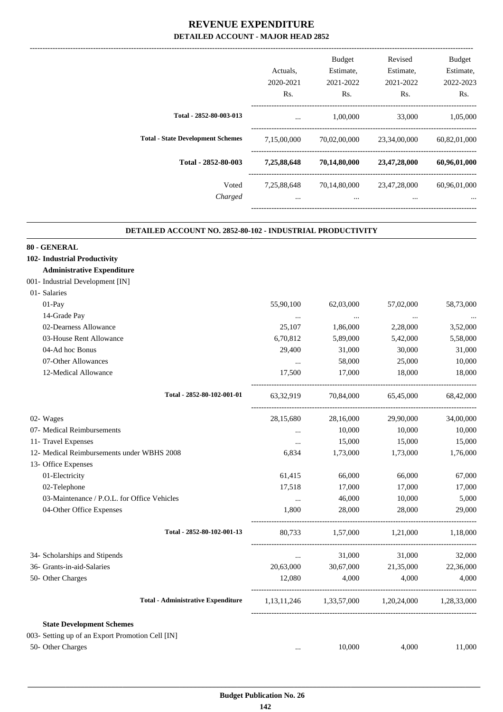|                                          | Actuals,                | <b>Budget</b><br>Estimate, | Revised<br>Estimate,     | Budget<br>Estimate,      |
|------------------------------------------|-------------------------|----------------------------|--------------------------|--------------------------|
|                                          | 2020-2021<br>Rs.        | 2021-2022<br>Rs.           | 2021-2022<br>Rs.         | 2022-2023<br>Rs.         |
| Total - 2852-80-003-013                  | $\cdots$                | 1,00,000                   | 33,000                   | 1,05,000                 |
| <b>Total - State Development Schemes</b> | 7,15,00,000             | 70.02.00.000               | 23,34,00,000             | 60,82,01,000             |
| Total - 2852-80-003                      | 7,25,88,648             | 70,14,80,000               | 23,47,28,000             | 60,96,01,000             |
| Voted<br>Charged                         | 7,25,88,648<br>$\cdots$ | 70,14,80,000<br>$\cdots$   | 23,47,28,000<br>$\cdots$ | 60,96,01,000<br>$\cdots$ |
|                                          |                         |                            |                          |                          |

.

#### **DETAILED ACCOUNT NO. 2852-80-102 - INDUSTRIAL PRODUCTIVITY .**

| 80 - GENERAL                                     |           |           |                                                 |           |
|--------------------------------------------------|-----------|-----------|-------------------------------------------------|-----------|
| 102- Industrial Productivity                     |           |           |                                                 |           |
| <b>Administrative Expenditure</b>                |           |           |                                                 |           |
| 001- Industrial Development [IN]                 |           |           |                                                 |           |
| 01- Salaries                                     |           |           |                                                 |           |
| 01-Pay                                           | 55,90,100 | 62,03,000 | 57,02,000                                       | 58,73,000 |
| 14-Grade Pay                                     | $\cdots$  | $\ddots$  | $\cdots$                                        | $\ddotsc$ |
| 02-Dearness Allowance                            | 25,107    | 1,86,000  | 2,28,000                                        | 3,52,000  |
| 03-House Rent Allowance                          | 6,70,812  | 5,89,000  | 5,42,000                                        | 5,58,000  |
| 04-Ad hoc Bonus                                  | 29,400    | 31,000    | 30,000                                          | 31,000    |
| 07-Other Allowances                              | $\cdots$  | 58,000    | 25,000                                          | 10,000    |
| 12-Medical Allowance                             | 17,500    | 17,000    | 18,000                                          | 18,000    |
| Total - 2852-80-102-001-01                       | 63,32,919 |           | 70,84,000 65,45,000                             | 68,42,000 |
| 02- Wages                                        | 28,15,680 | 28,16,000 | 29,90,000                                       | 34,00,000 |
| 07- Medical Reimbursements                       | $\cdots$  | 10,000    | 10,000                                          | 10,000    |
| 11- Travel Expenses                              | $\cdots$  | 15,000    | 15,000                                          | 15,000    |
| 12- Medical Reimbursements under WBHS 2008       | 6,834     | 1,73,000  | 1,73,000                                        | 1,76,000  |
| 13- Office Expenses                              |           |           |                                                 |           |
| 01-Electricity                                   | 61,415    | 66,000    | 66,000                                          | 67,000    |
| 02-Telephone                                     | 17,518    | 17,000    | 17,000                                          | 17,000    |
| 03-Maintenance / P.O.L. for Office Vehicles      | $\ldots$  | 46,000    | 10,000                                          | 5,000     |
| 04-Other Office Expenses                         | 1.800     | 28,000    | 28,000                                          | 29,000    |
| Total - 2852-80-102-001-13                       |           |           | 80,733 1,57,000 1,21,000 1,18,000               |           |
| 34- Scholarships and Stipends                    | $\cdots$  | 31,000    | 31,000                                          | 32,000    |
| 36- Grants-in-aid-Salaries                       |           |           | 20,63,000 30,67,000 21,35,000 22,36,000         |           |
| 50- Other Charges                                | 12,080    | 4,000     | 4,000                                           | 4,000     |
| <b>Total - Administrative Expenditure</b>        |           |           | 1,13,11,246 1,33,57,000 1,20,24,000 1,28,33,000 |           |
| <b>State Development Schemes</b>                 |           |           |                                                 |           |
| 003- Setting up of an Export Promotion Cell [IN] |           |           |                                                 |           |
| 50- Other Charges                                | $\cdots$  | 10.000    | 4.000                                           | 11,000    |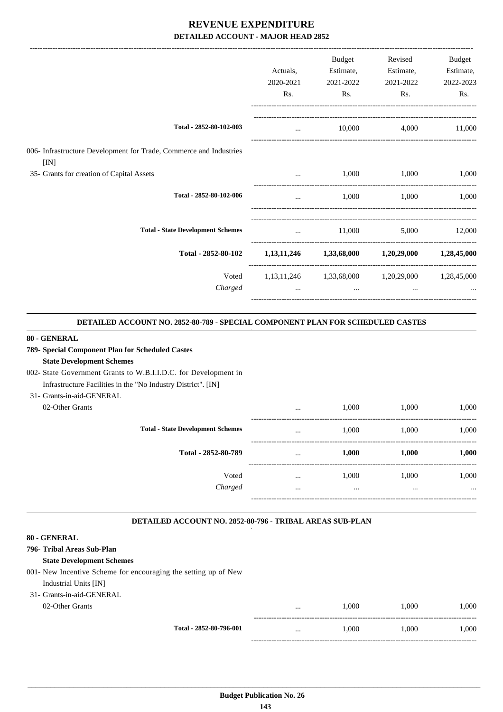|                                                                            |           | <b>Budget</b>                             | Revised                                         | Budget      |
|----------------------------------------------------------------------------|-----------|-------------------------------------------|-------------------------------------------------|-------------|
|                                                                            | Actuals,  | Estimate,                                 | Estimate,                                       | Estimate,   |
|                                                                            | 2020-2021 | 2021-2022                                 | 2021-2022                                       | 2022-2023   |
|                                                                            | Rs.       | Rs.                                       | Rs.                                             | Rs.         |
| Total - 2852-80-102-003                                                    | $\cdots$  | 10,000                                    | 4,000                                           | 11,000      |
| 006- Infrastructure Development for Trade, Commerce and Industries<br>[IN] |           |                                           |                                                 |             |
| 35- Grants for creation of Capital Assets                                  | $\cdots$  | 1,000                                     | 1,000                                           | 1,000       |
| Total - 2852-80-102-006                                                    | $\cdots$  | 1,000                                     | 1,000                                           | 1,000       |
| <b>Total - State Development Schemes</b>                                   | $\cdots$  | 11,000                                    | 5,000                                           | 12,000      |
| Total - 2852-80-102                                                        |           | $1,13,11,246$ $1,33,68,000$ $1,20,29,000$ |                                                 | 1,28,45,000 |
| Voted                                                                      |           |                                           | 1,13,11,246 1,33,68,000 1,20,29,000 1,28,45,000 |             |
| Charged                                                                    | $\cdots$  | $\cdots$                                  | $\cdots$                                        |             |
|                                                                            |           |                                           |                                                 |             |

#### **DETAILED ACCOUNT NO. 2852-80-789 - SPECIAL COMPONENT PLAN FOR SCHEDULED CASTES .**

#### **80 - GENERAL**

#### **789- Special Component Plan for Scheduled Castes**

#### **State Development Schemes**

# 002- State Government Grants to W.B.I.I.D.C. for Development in

Infrastructure Facilities in the "No Industry District". [IN]

## 31- Grants-in-aid-GENERAL

02-Other Grants

|                                          | $\cdots$ | 1,000 | 1,000 | 1,000    |
|------------------------------------------|----------|-------|-------|----------|
| <b>Total - State Development Schemes</b> | $\cdots$ | 1,000 | 1,000 | 1,000    |
| Total - 2852-80-789                      | $\cdots$ | 1,000 | 1,000 | 1,000    |
| Voted                                    | $\cdots$ | 1,000 | 1,000 | 1,000    |
| Charged                                  |          |       |       | $\cdots$ |
|                                          |          |       |       |          |

-----------------------------------------------------------------------------------------

.

.

#### **DETAILED ACCOUNT NO. 2852-80-796 - TRIBAL AREAS SUB-PLAN .**

#### **80 - GENERAL**

| 796- Tribal Areas Sub-Plan                                       |          |       |       |       |
|------------------------------------------------------------------|----------|-------|-------|-------|
| <b>State Development Schemes</b>                                 |          |       |       |       |
| 001 - New Incentive Scheme for encouraging the setting up of New |          |       |       |       |
| Industrial Units [IN]                                            |          |       |       |       |
| 31- Grants-in-aid-GENERAL                                        |          |       |       |       |
| 02-Other Grants                                                  | $\cdots$ | 1.000 | 1.000 | 1.000 |
| Total - 2852-80-796-001                                          | $\cdots$ | 1.000 | 1.000 | 1.000 |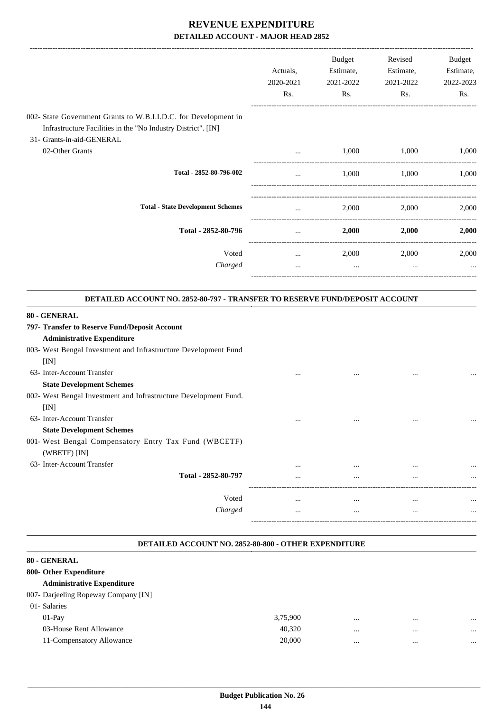|                                                                                                                                                               | Actuals,<br>2020-2021 | Budget<br>Estimate,<br>2021-2022 | Revised<br>Estimate,<br>2021-2022 | <b>Budget</b><br>Estimate,<br>2022-2023 |
|---------------------------------------------------------------------------------------------------------------------------------------------------------------|-----------------------|----------------------------------|-----------------------------------|-----------------------------------------|
|                                                                                                                                                               | Rs.                   | Rs.                              | Rs.                               | Rs.                                     |
| 002- State Government Grants to W.B.I.I.D.C. for Development in<br>Infrastructure Facilities in the "No Industry District". [IN]<br>31- Grants-in-aid-GENERAL |                       |                                  |                                   |                                         |
| 02-Other Grants                                                                                                                                               | $\cdots$              | 1,000                            | 1,000                             | 1,000                                   |
| Total - 2852-80-796-002                                                                                                                                       |                       | 1,000                            | 1.000                             | 1,000                                   |
| <b>Total - State Development Schemes</b>                                                                                                                      |                       | 2,000                            | 2,000                             | 2,000                                   |
| Total - 2852-80-796                                                                                                                                           | $\cdots$              | 2,000                            | 2,000                             | 2,000                                   |
| Voted                                                                                                                                                         | $\cdots$              | 2,000                            | 2,000                             | 2,000                                   |
| Charged                                                                                                                                                       | $\cdots$              | $\cdots$                         | $\cdots$                          |                                         |

#### **80 CENEDAL**

| OU - GENERAL                                                     |          |          |          |          |
|------------------------------------------------------------------|----------|----------|----------|----------|
| 797- Transfer to Reserve Fund/Deposit Account                    |          |          |          |          |
| <b>Administrative Expenditure</b>                                |          |          |          |          |
| 003- West Bengal Investment and Infrastructure Development Fund  |          |          |          |          |
| [IN]                                                             |          |          |          |          |
| 63- Inter-Account Transfer                                       | $\cdots$ | $\cdots$ | $\cdots$ | $\cdots$ |
| <b>State Development Schemes</b>                                 |          |          |          |          |
| 002- West Bengal Investment and Infrastructure Development Fund. |          |          |          |          |
| [IN]                                                             |          |          |          |          |
| 63- Inter-Account Transfer                                       | $\cdots$ | $\cdots$ | $\cdots$ | $\cdots$ |
| <b>State Development Schemes</b>                                 |          |          |          |          |
| 001- West Bengal Compensatory Entry Tax Fund (WBCETF)            |          |          |          |          |
| (WBETF) [IN]                                                     |          |          |          |          |
| 63- Inter-Account Transfer                                       | $\cdots$ | $\cdots$ | $\cdots$ | $\cdots$ |
| Total - 2852-80-797                                              | $\cdots$ | $\cdots$ | $\cdots$ | $\cdots$ |
|                                                                  |          |          |          |          |
| Voted                                                            | $\cdots$ | $\cdots$ | $\cdots$ | $\cdots$ |
| Charged                                                          | $\cdots$ | $\cdots$ | $\cdots$ | $\cdots$ |
|                                                                  |          |          |          |          |

**.**

#### **DETAILED ACCOUNT NO. 2852-80-800 - OTHER EXPENDITURE**

.

| 80 - GENERAL                         |          |          |          |          |
|--------------------------------------|----------|----------|----------|----------|
| 800- Other Expenditure               |          |          |          |          |
| <b>Administrative Expenditure</b>    |          |          |          |          |
| 007- Darjeeling Ropeway Company [IN] |          |          |          |          |
| 01- Salaries                         |          |          |          |          |
| $01-Pav$                             | 3,75,900 | $\cdots$ | $\cdots$ | $\cdots$ |
| 03-House Rent Allowance              | 40,320   | $\cdots$ | $\cdots$ | $\cdots$ |
| 11-Compensatory Allowance            | 20,000   |          | $\cdots$ | $\cdots$ |
|                                      |          |          |          |          |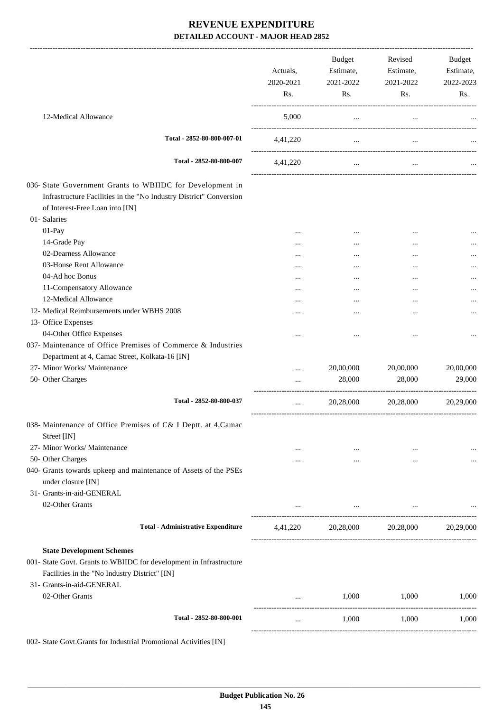|                                                                                                                                                                                       | Actuals,<br>2020-2021<br>Rs. | Budget<br>Estimate,<br>2021-2022<br>Rs.                                                             | Revised<br>Estimate,<br>2021-2022<br>Rs. | Budget<br>Estimate,<br>2022-2023<br>Rs. |
|---------------------------------------------------------------------------------------------------------------------------------------------------------------------------------------|------------------------------|-----------------------------------------------------------------------------------------------------|------------------------------------------|-----------------------------------------|
| 12-Medical Allowance                                                                                                                                                                  | 5,000                        | $\cdots$                                                                                            | $\cdots$                                 |                                         |
| Total - 2852-80-800-007-01                                                                                                                                                            | 4,41,220                     | $\cdots$                                                                                            | $\cdots$                                 |                                         |
| Total - 2852-80-800-007                                                                                                                                                               | 4,41,220                     | $\cdots$                                                                                            | $\cdots$                                 |                                         |
| 036- State Government Grants to WBIIDC for Development in<br>Infrastructure Facilities in the "No Industry District" Conversion<br>of Interest-Free Loan into [IN]                    |                              |                                                                                                     |                                          |                                         |
| 01- Salaries                                                                                                                                                                          |                              |                                                                                                     |                                          |                                         |
| 01-Pay<br>14-Grade Pay                                                                                                                                                                | $\cdots$                     |                                                                                                     |                                          |                                         |
| 02-Dearness Allowance                                                                                                                                                                 | $\cdots$                     |                                                                                                     |                                          |                                         |
| 03-House Rent Allowance                                                                                                                                                               | $\cdots$                     |                                                                                                     |                                          |                                         |
| 04-Ad hoc Bonus                                                                                                                                                                       | $\cdots$                     |                                                                                                     |                                          |                                         |
| 11-Compensatory Allowance                                                                                                                                                             |                              |                                                                                                     |                                          |                                         |
| 12-Medical Allowance                                                                                                                                                                  | $\cdots$                     |                                                                                                     | $\cdots$                                 |                                         |
| 12- Medical Reimbursements under WBHS 2008                                                                                                                                            |                              |                                                                                                     |                                          |                                         |
| 13- Office Expenses                                                                                                                                                                   |                              |                                                                                                     |                                          |                                         |
| 04-Other Office Expenses                                                                                                                                                              |                              |                                                                                                     |                                          |                                         |
| 037- Maintenance of Office Premises of Commerce & Industries<br>Department at 4, Camac Street, Kolkata-16 [IN]                                                                        |                              |                                                                                                     |                                          |                                         |
| 27- Minor Works/ Maintenance                                                                                                                                                          |                              | 20,00,000                                                                                           | 20,00,000                                | 20,00,000                               |
| 50- Other Charges                                                                                                                                                                     |                              | 28,000                                                                                              | 28,000                                   | 29,000                                  |
| Total - 2852-80-800-037                                                                                                                                                               | $\cdots$                     | 20,28,000<br>---------------------                                                                  | 20,28,000                                | 20,29,000                               |
| 038- Maintenance of Office Premises of C& I Deptt. at 4, Camac<br>Street [IN]                                                                                                         |                              |                                                                                                     |                                          |                                         |
| 27- Minor Works/ Maintenance                                                                                                                                                          | $\cdots$                     | $\cdots$                                                                                            | $\cdots$                                 |                                         |
| 50- Other Charges                                                                                                                                                                     |                              | $\cdots$                                                                                            | $\cdots$                                 | $\cdots$                                |
| 040- Grants towards upkeep and maintenance of Assets of the PSEs<br>under closure [IN]                                                                                                |                              |                                                                                                     |                                          |                                         |
| 31- Grants-in-aid-GENERAL<br>02-Other Grants                                                                                                                                          | $\ldots$                     | the contract of the contract of the contract of the contract of the contract of the contract of the |                                          |                                         |
| <b>Total - Administrative Expenditure</b>                                                                                                                                             |                              |                                                                                                     | 4,41,220 20,28,000 20,28,000             | 20,29,000                               |
| <b>State Development Schemes</b><br>001- State Govt. Grants to WBIIDC for development in Infrastructure<br>Facilities in the "No Industry District" [IN]<br>31- Grants-in-aid-GENERAL |                              |                                                                                                     |                                          |                                         |
| 02-Other Grants                                                                                                                                                                       | $\cdots$                     | 1,000                                                                                               | 1,000                                    | 1,000                                   |
| Total - 2852-80-800-001                                                                                                                                                               | $\cdots$                     | 1,000                                                                                               | 1,000                                    | 1,000                                   |

002- State Govt.Grants for Industrial Promotional Activities [IN]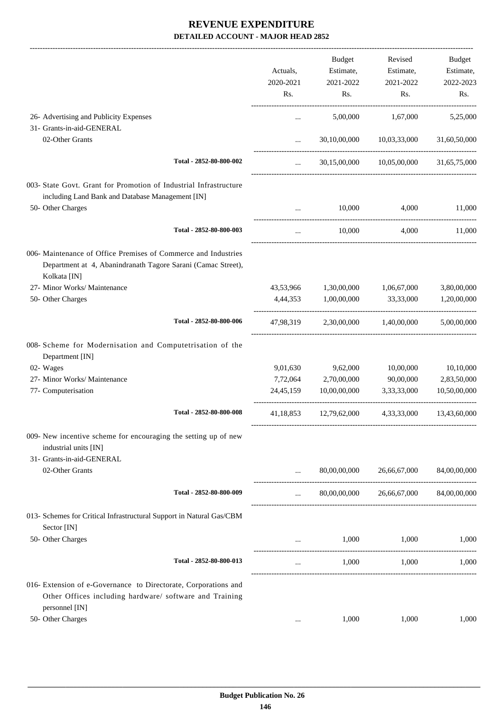|                                                                                                                                |             | Budget                            | Revised                   | Budget       |
|--------------------------------------------------------------------------------------------------------------------------------|-------------|-----------------------------------|---------------------------|--------------|
|                                                                                                                                | Actuals,    | Estimate,                         | Estimate,                 | Estimate,    |
|                                                                                                                                | 2020-2021   | 2021-2022                         | 2021-2022                 | 2022-2023    |
|                                                                                                                                | Rs.         | Rs.                               | Rs.                       | Rs.          |
| 26- Advertising and Publicity Expenses                                                                                         | $\cdots$    | 5,00,000                          | 1,67,000                  | 5,25,000     |
| 31- Grants-in-aid-GENERAL                                                                                                      |             |                                   |                           |              |
| 02-Other Grants                                                                                                                | $\cdots$    |                                   | 30,10,00,000 10,03,33,000 | 31,60,50,000 |
| Total - 2852-80-800-002                                                                                                        | $\cdots$    |                                   | 30,15,00,000 10,05,00,000 | 31,65,75,000 |
| 003- State Govt. Grant for Promotion of Industrial Infrastructure                                                              |             |                                   |                           |              |
| including Land Bank and Database Management [IN]                                                                               |             |                                   |                           |              |
| 50- Other Charges                                                                                                              | $\cdots$    | 10,000                            | 4,000                     | 11,000       |
| Total - 2852-80-800-003                                                                                                        | $\cdots$    | 10,000                            | 4,000                     | 11,000       |
| 006- Maintenance of Office Premises of Commerce and Industries<br>Department at 4, Abanindranath Tagore Sarani (Camac Street), |             |                                   |                           |              |
| Kolkata [IN]                                                                                                                   |             |                                   |                           |              |
| 27- Minor Works/ Maintenance                                                                                                   |             | 43,53,966 1,30,00,000 1,06,67,000 |                           | 3,80,00,000  |
| 50- Other Charges                                                                                                              | 4,44,353    | 1,00,00,000                       | 33,33,000                 | 1,20,00,000  |
| Total - 2852-80-800-006                                                                                                        | 47,98,319   |                                   | 2,30,00,000 1,40,00,000   | 5,00,00,000  |
| 008- Scheme for Modernisation and Computetrisation of the<br>Department [IN]                                                   |             |                                   |                           |              |
| 02- Wages                                                                                                                      | 9,01,630    | 9,62,000                          | 10,00,000                 | 10,10,000    |
| 27- Minor Works/ Maintenance                                                                                                   | 7,72,064    | 2,70,00,000                       | 90,00,000                 | 2,83,50,000  |
| 77- Computerisation                                                                                                            | 24, 45, 159 | 10,00,00,000                      | 3,33,33,000               | 10,50,00,000 |
| Total - 2852-80-800-008                                                                                                        | 41,18,853   | 12,79,62,000                      | 4,33,33,000               | 13,43,60,000 |
| 009- New incentive scheme for encouraging the setting up of new<br>industrial units [IN]                                       |             |                                   |                           |              |
| 31- Grants-in-aid-GENERAL                                                                                                      |             |                                   |                           |              |
| 02-Other Grants                                                                                                                |             | 80,00,00,000                      | 26,66,67,000              | 84,00,00,000 |
| Total - 2852-80-800-009                                                                                                        |             |                                   | 80,00,00,000 26,66,67,000 | 84,00,00,000 |
| 013- Schemes for Critical Infrastructural Support in Natural Gas/CBM<br>Sector [IN]                                            |             |                                   |                           |              |
| 50- Other Charges                                                                                                              |             | 1,000                             | 1,000                     | 1,000        |
| Total - 2852-80-800-013                                                                                                        | $\cdots$    | 1,000                             | 1,000                     | 1,000        |
| 016- Extension of e-Governance to Directorate, Corporations and                                                                |             |                                   |                           |              |
| Other Offices including hardware/ software and Training<br>personnel [IN]                                                      |             |                                   |                           |              |
| 50- Other Charges                                                                                                              | $\cdots$    | 1,000                             | 1,000                     | 1,000        |
|                                                                                                                                |             |                                   |                           |              |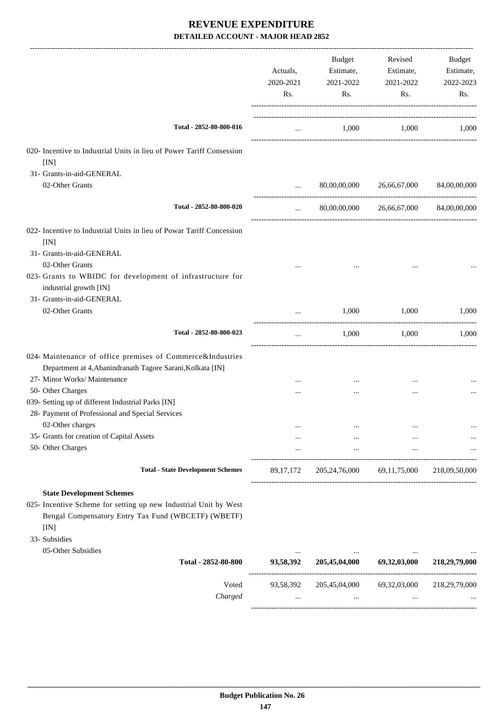|                                                                                                                                 | Actuals,<br>2020-2021<br>Rs. | Budget<br>Estimate,<br>2021-2022<br>Rs. | Revised<br>Estimate,<br>2021-2022<br>Rs. | Budget<br>Estimate,<br>2022-2023<br>Rs. |
|---------------------------------------------------------------------------------------------------------------------------------|------------------------------|-----------------------------------------|------------------------------------------|-----------------------------------------|
| Total - 2852-80-800-016                                                                                                         | $\cdots$                     |                                         | 1,000 1,000 1,000                        |                                         |
| 020- Incentive to Industrial Units in lieu of Power Tariff Consession<br>[IN]                                                   |                              |                                         |                                          |                                         |
| 31- Grants-in-aid-GENERAL                                                                                                       |                              |                                         |                                          |                                         |
| 02-Other Grants                                                                                                                 | $\cdots$                     | 80,00,00,000                            | 26,66,67,000                             | 84,00,00,000                            |
| Total - 2852-80-800-020                                                                                                         | $\cdots$                     |                                         | 80,00,00,000 26,66,67,000                | 84,00,00,000                            |
| 022- Incentive to Industrial Units in lieu of Powar Tariff Concession<br>[IN]                                                   |                              |                                         |                                          |                                         |
| 31- Grants-in-aid-GENERAL                                                                                                       |                              |                                         |                                          |                                         |
| 02-Other Grants                                                                                                                 |                              |                                         | $\cdots$                                 |                                         |
| 023- Grants to WBIDC for development of infrastructure for<br>industrial growth [IN]<br>31- Grants-in-aid-GENERAL               |                              |                                         |                                          |                                         |
| 02-Other Grants                                                                                                                 | $\cdots$                     | 1,000                                   | 1,000                                    | 1,000                                   |
|                                                                                                                                 |                              |                                         |                                          |                                         |
| Total - 2852-80-800-023                                                                                                         | $\cdots$                     |                                         | 1,000<br>1.000                           | 1.000                                   |
| 024- Maintenance of office premises of Commerce&Industries<br>Department at 4, Abanindranath Tagore Sarani, Kolkata [IN]        |                              |                                         |                                          |                                         |
| 27- Minor Works/ Maintenance                                                                                                    |                              | $\cdots$                                | $\cdots$                                 |                                         |
| 50- Other Charges                                                                                                               |                              | $\ddotsc$                               | $\cdots$                                 |                                         |
| 039- Setting up of different Industrial Parks [IN]                                                                              |                              |                                         |                                          |                                         |
| 28- Payment of Professional and Special Services<br>02-Other charges                                                            |                              |                                         |                                          |                                         |
| 35- Grants for creation of Capital Assets                                                                                       |                              |                                         |                                          |                                         |
| 50- Other Charges                                                                                                               | $\cdots$                     | $\cdots$                                | $\cdots$<br>$\ldots$                     |                                         |
| <b>Total - State Development Schemes</b>                                                                                        | 89, 17, 172                  |                                         | 205,24,76,000 69,11,75,000               | 218,09,50,000                           |
| <b>State Development Schemes</b>                                                                                                |                              |                                         |                                          |                                         |
| 025- Incentive Scheme for setting up new Industrial Unit by West<br>Bengal Compensatory Entry Tax Fund (WBCETF) (WBETF)<br>[IN] |                              |                                         |                                          |                                         |
| 33- Subsidies                                                                                                                   |                              |                                         |                                          |                                         |
| 05-Other Subsidies                                                                                                              |                              |                                         |                                          |                                         |
| Total - 2852-80-800                                                                                                             | 93,58,392                    | 205,45,04,000 69,32,03,000              |                                          | 218,29,79,000                           |
| Voted                                                                                                                           | 93,58,392                    |                                         | 205,45,04,000 69,32,03,000               | 218,29,79,000                           |
| Charged                                                                                                                         | $\cdots$                     | $\cdots$                                | $\cdots$                                 |                                         |
|                                                                                                                                 |                              |                                         |                                          |                                         |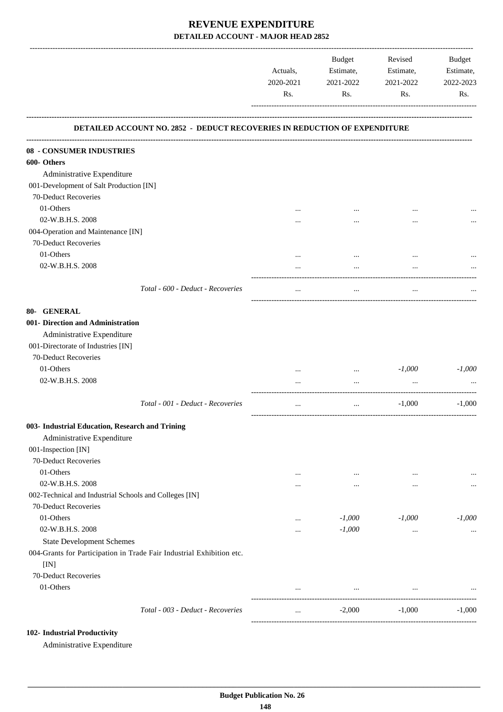|                                                                           | Actuals,<br>2020-2021 | Budget<br>Estimate,<br>2021-2022 | Revised<br>Estimate,<br>2021-2022 | <b>Budget</b><br>Estimate,<br>2022-2023 |
|---------------------------------------------------------------------------|-----------------------|----------------------------------|-----------------------------------|-----------------------------------------|
|                                                                           | Rs.                   | Rs.                              | Rs.                               | Rs.                                     |
| DETAILED ACCOUNT NO. 2852 - DEDUCT RECOVERIES IN REDUCTION OF EXPENDITURE |                       |                                  |                                   |                                         |
| 08 - CONSUMER INDUSTRIES                                                  |                       |                                  |                                   |                                         |
| 600- Others                                                               |                       |                                  |                                   |                                         |
| Administrative Expenditure                                                |                       |                                  |                                   |                                         |
| 001-Development of Salt Production [IN]                                   |                       |                                  |                                   |                                         |
| 70-Deduct Recoveries                                                      |                       |                                  |                                   |                                         |
| 01-Others                                                                 |                       |                                  |                                   |                                         |
| 02-W.B.H.S. 2008                                                          |                       |                                  |                                   |                                         |
| 004-Operation and Maintenance [IN]                                        |                       |                                  |                                   |                                         |
| 70-Deduct Recoveries                                                      |                       |                                  |                                   |                                         |
| 01-Others                                                                 |                       |                                  |                                   |                                         |
| 02-W.B.H.S. 2008                                                          | $\cdots$              | $\cdots$                         | $\ddotsc$                         |                                         |
| Total - 600 - Deduct - Recoveries                                         | $\cdots$              | $\cdots$                         | $\cdots$                          |                                         |
| 80- GENERAL                                                               |                       |                                  |                                   |                                         |
| 001- Direction and Administration                                         |                       |                                  |                                   |                                         |
| Administrative Expenditure                                                |                       |                                  |                                   |                                         |
| 001-Directorate of Industries [IN]                                        |                       |                                  |                                   |                                         |
| 70-Deduct Recoveries                                                      |                       |                                  |                                   |                                         |
| 01-Others                                                                 |                       | $\cdots$                         | $-1,000$                          | $-1,000$                                |
| 02-W.B.H.S. 2008                                                          |                       |                                  |                                   |                                         |
| Total - 001 - Deduct - Recoveries                                         | $\cdots$              | $\cdots$                         | $-1,000$                          | $-1,000$                                |
| 003- Industrial Education, Research and Trining                           |                       |                                  |                                   |                                         |
| Administrative Expenditure                                                |                       |                                  |                                   |                                         |
| 001-Inspection [IN]                                                       |                       |                                  |                                   |                                         |
| 70-Deduct Recoveries                                                      |                       |                                  |                                   |                                         |
| 01-Others                                                                 | $\cdots$              | $\cdots$                         | $\cdots$                          |                                         |
| 02-W.B.H.S. 2008                                                          |                       | $\cdots$                         | $\ddotsc$                         | $\cdots$                                |
| 002-Technical and Industrial Schools and Colleges [IN]                    |                       |                                  |                                   |                                         |
| 70-Deduct Recoveries                                                      |                       |                                  |                                   |                                         |
| 01-Others                                                                 |                       | $-1,000$                         | $-1,000$                          | $-1,000$                                |
| 02-W.B.H.S. 2008                                                          |                       | $-1,000$                         | $\cdots$                          |                                         |
| <b>State Development Schemes</b>                                          |                       |                                  |                                   |                                         |
| 004-Grants for Participation in Trade Fair Industrial Exhibition etc.     |                       |                                  |                                   |                                         |
| [IN]<br>70-Deduct Recoveries                                              |                       |                                  |                                   |                                         |
| 01-Others                                                                 | $\cdots$              | $\cdots$                         | $\cdots$                          |                                         |
|                                                                           |                       |                                  |                                   |                                         |
| Total - 003 - Deduct - Recoveries                                         | $\cdots$              | $-2,000$                         | $-1,000$                          | $-1,000$                                |

### **102- Industrial Productivity**

Administrative Expenditure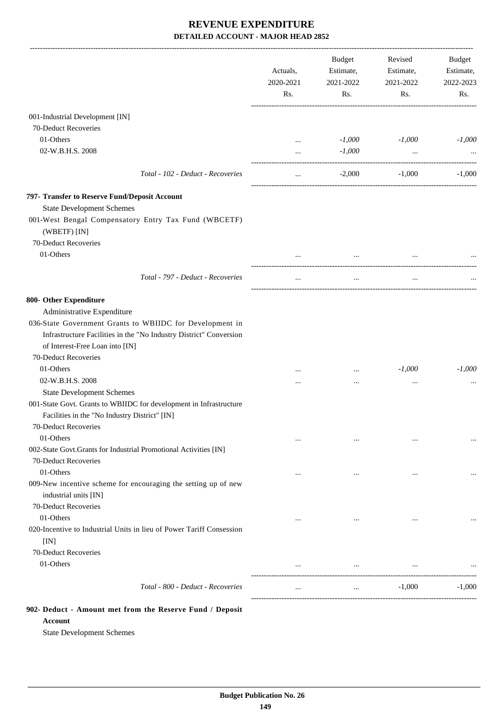|                                                                                         | Actuals,<br>2020-2021<br>Rs. | Budget<br>Estimate,<br>2021-2022<br>Rs. | Revised<br>Estimate,<br>2021-2022<br>Rs. | Budget<br>Estimate,<br>2022-2023<br>Rs. |
|-----------------------------------------------------------------------------------------|------------------------------|-----------------------------------------|------------------------------------------|-----------------------------------------|
| 001-Industrial Development [IN]                                                         |                              |                                         |                                          |                                         |
| 70-Deduct Recoveries                                                                    |                              |                                         |                                          |                                         |
| 01-Others                                                                               | $\cdots$                     | $-1,000$                                | $-1,000$                                 | $-1,000$                                |
| 02-W.B.H.S. 2008                                                                        |                              | $-1,000$                                | $\ddots$                                 |                                         |
| Total - 102 - Deduct - Recoveries                                                       |                              | $-2,000$                                | $-1,000$                                 | $-1,000$                                |
| 797- Transfer to Reserve Fund/Deposit Account                                           |                              |                                         |                                          |                                         |
| <b>State Development Schemes</b>                                                        |                              |                                         |                                          |                                         |
| 001-West Bengal Compensatory Entry Tax Fund (WBCETF)<br>(WBETF) [IN]                    |                              |                                         |                                          |                                         |
| 70-Deduct Recoveries                                                                    |                              |                                         |                                          |                                         |
| 01-Others                                                                               |                              | $\cdots$                                |                                          |                                         |
| Total - 797 - Deduct - Recoveries                                                       | $\cdots$                     | $\ldots$                                | $\cdots$                                 |                                         |
| 800- Other Expenditure                                                                  |                              |                                         |                                          |                                         |
| Administrative Expenditure                                                              |                              |                                         |                                          |                                         |
| 036-State Government Grants to WBIIDC for Development in                                |                              |                                         |                                          |                                         |
| Infrastructure Facilities in the "No Industry District" Conversion                      |                              |                                         |                                          |                                         |
| of Interest-Free Loan into [IN]                                                         |                              |                                         |                                          |                                         |
| 70-Deduct Recoveries                                                                    |                              |                                         |                                          |                                         |
| 01-Others                                                                               |                              | $\cdots$                                | $-1,000$                                 | $-1,000$                                |
| 02-W.B.H.S. 2008                                                                        | $\cdots$                     |                                         |                                          |                                         |
| <b>State Development Schemes</b>                                                        |                              |                                         |                                          |                                         |
| 001-State Govt. Grants to WBIIDC for development in Infrastructure                      |                              |                                         |                                          |                                         |
| Facilities in the "No Industry District" [IN]                                           |                              |                                         |                                          |                                         |
| <b>70-Deduct Recoveries</b>                                                             |                              |                                         |                                          |                                         |
| 01-Others                                                                               | $\cdots$                     | $\cdots$                                | $\cdots$                                 |                                         |
| 002-State Govt.Grants for Industrial Promotional Activities [IN]                        |                              |                                         |                                          |                                         |
| 70-Deduct Recoveries                                                                    |                              |                                         |                                          |                                         |
| 01-Others                                                                               | $\cdots$                     | $\cdots$                                | $\cdots$                                 |                                         |
| 009-New incentive scheme for encouraging the setting up of new<br>industrial units [IN] |                              |                                         |                                          |                                         |
| 70-Deduct Recoveries                                                                    |                              |                                         |                                          |                                         |
| 01-Others                                                                               | $\cdots$                     | $\cdots$                                | $\cdots$                                 |                                         |
| 020-Incentive to Industrial Units in lieu of Power Tariff Consession<br>[IN]            |                              |                                         |                                          |                                         |
| 70-Deduct Recoveries                                                                    |                              |                                         |                                          |                                         |
| 01-Others                                                                               |                              | $\cdots$                                |                                          |                                         |
| Total - 800 - Deduct - Recoveries                                                       | $\cdots$                     | $\ddotsc$                               | $-1,000$                                 | $-1,000$                                |

**902- Deduct - Amount met from the Reserve Fund / Deposit Account**

State Development Schemes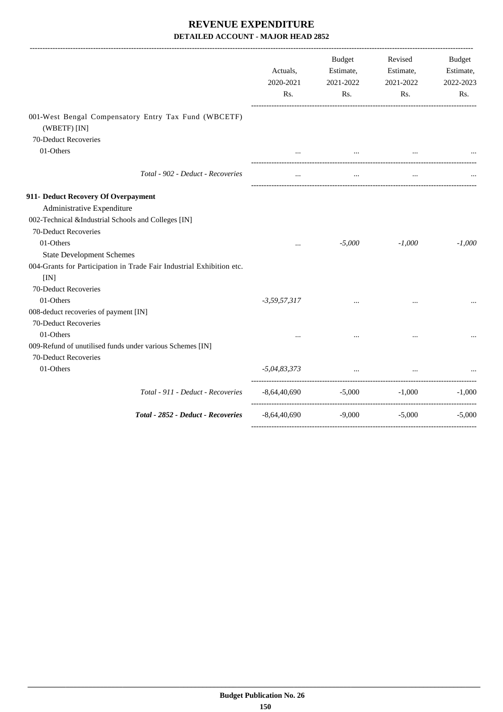|                                                                               | Actuals,<br>2020-2021<br>Rs. | Budget<br>Estimate,<br>2021-2022<br>Rs. | Revised<br>Estimate,<br>2021-2022<br>Rs.  | Budget<br>Estimate,<br>2022-2023<br>Rs. |
|-------------------------------------------------------------------------------|------------------------------|-----------------------------------------|-------------------------------------------|-----------------------------------------|
| 001-West Bengal Compensatory Entry Tax Fund (WBCETF)                          |                              |                                         |                                           |                                         |
| (WBETF) [IN]                                                                  |                              |                                         |                                           |                                         |
| 70-Deduct Recoveries<br>01-Others                                             |                              |                                         |                                           |                                         |
|                                                                               |                              |                                         | the company of the company of<br>$\cdots$ |                                         |
| Total - 902 - Deduct - Recoveries                                             | $\cdots$                     | $\ddotsc$                               | $\ddotsc$                                 |                                         |
| 911- Deduct Recovery Of Overpayment                                           |                              |                                         |                                           |                                         |
| Administrative Expenditure                                                    |                              |                                         |                                           |                                         |
| 002-Technical &Industrial Schools and Colleges [IN]                           |                              |                                         |                                           |                                         |
| 70-Deduct Recoveries                                                          |                              |                                         |                                           |                                         |
| 01-Others                                                                     | $\cdots$                     | $-5,000$                                | $-1,000$                                  | $-1,000$                                |
| <b>State Development Schemes</b>                                              |                              |                                         |                                           |                                         |
| 004-Grants for Participation in Trade Fair Industrial Exhibition etc.<br>[IN] |                              |                                         |                                           |                                         |
| 70-Deduct Recoveries                                                          |                              |                                         |                                           |                                         |
| 01-Others                                                                     | $-3,59,57,317$               |                                         | $\cdots$                                  |                                         |
| 008-deduct recoveries of payment [IN]                                         |                              |                                         |                                           |                                         |
| 70-Deduct Recoveries                                                          |                              |                                         |                                           |                                         |
| 01-Others                                                                     |                              |                                         |                                           |                                         |
| 009-Refund of unutilised funds under various Schemes [IN]                     |                              |                                         |                                           |                                         |
| 70-Deduct Recoveries                                                          |                              |                                         |                                           |                                         |
| 01-Others                                                                     | $-5,04,83,373$               | $\ddotsc$                               |                                           |                                         |
| Total - 911 - Deduct - Recoveries                                             | $-8,64,40,690$               | $-5,000$ $-1,000$                       |                                           | ----------------------<br>$-1,000$      |
| Total - 2852 - Deduct - Recoveries                                            | $-8,64,40,690$               | $-9,000$                                | $-5,000$                                  | $-5,000$                                |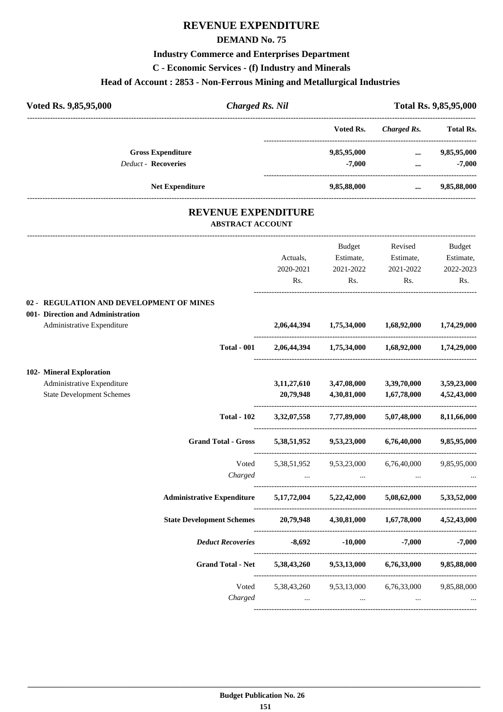# **REVENUE EXPENDITURE**

## **DEMAND No. 75**

# **Industry Commerce and Enterprises Department**

**C - Economic Services - (f) Industry and Minerals**

# **Head of Account : 2853 - Non-Ferrous Mining and Metallurgical Industries**

| Voted Rs. 9,85,95,000                                                         | <b>Charged Rs. Nil</b>                                            |                                            |                                                 | Total Rs. 9,85,95,000 |
|-------------------------------------------------------------------------------|-------------------------------------------------------------------|--------------------------------------------|-------------------------------------------------|-----------------------|
|                                                                               |                                                                   | Voted Rs.                                  | <b>Charged Rs.</b>                              | <b>Total Rs.</b>      |
| <b>Gross Expenditure</b>                                                      |                                                                   | 9,85,95,000                                |                                                 | 9,85,95,000           |
| <b>Deduct - Recoveries</b>                                                    |                                                                   | $-7,000$                                   | $\dddotsc$                                      | $-7,000$              |
| Net Expenditure                                                               |                                                                   | 9,85,88,000                                | $\cdots$                                        | 9,85,88,000           |
| <b>REVENUE EXPENDITURE</b><br><b>ABSTRACT ACCOUNT</b>                         |                                                                   |                                            |                                                 |                       |
|                                                                               |                                                                   | Budget                                     | Revised                                         | <b>Budget</b>         |
|                                                                               | Actuals,                                                          | Estimate,                                  | Estimate,                                       | Estimate,             |
|                                                                               | 2020-2021                                                         | 2021-2022                                  | 2021-2022                                       | 2022-2023             |
|                                                                               | Rs.                                                               | Rs.                                        | Rs.                                             | Rs.                   |
| 02 - REGULATION AND DEVELOPMENT OF MINES<br>001- Direction and Administration |                                                                   |                                            |                                                 |                       |
| Administrative Expenditure                                                    |                                                                   |                                            | 2,06,44,394 1,75,34,000 1,68,92,000 1,74,29,000 |                       |
| <b>Total - 001</b>                                                            |                                                                   |                                            | 2,06,44,394 1,75,34,000 1,68,92,000 1,74,29,000 |                       |
| 102- Mineral Exploration                                                      |                                                                   |                                            |                                                 |                       |
| Administrative Expenditure                                                    | 3,11,27,610                                                       | 3,47,08,000                                | 3,39,70,000                                     | 3,59,23,000           |
| <b>State Development Schemes</b>                                              | 20,79,948                                                         | 4,30,81,000                                | 1,67,78,000                                     | 4,52,43,000           |
| <b>Total - 102</b>                                                            |                                                                   | 3,32,07,558 7,77,89,000                    | 5,07,48,000                                     | 8,11,66,000           |
| <b>Grand Total - Gross</b>                                                    |                                                                   | 5,38,51,952 9,53,23,000                    | 6,76,40,000                                     | 9,85,95,000           |
| Voted                                                                         | 5,38,51,952 9,53,23,000                                           |                                            | 6,76,40,000                                     | 9,85,95,000           |
| Charged                                                                       |                                                                   |                                            |                                                 |                       |
| Administrative Expenditure 5,17,72,004 5,22,42,000 5,08,62,000                |                                                                   |                                            |                                                 | 5,33,52,000           |
| State Development Schemes 20,79,948 4,30,81,000 1,67,78,000 4,52,43,000       |                                                                   |                                            |                                                 |                       |
|                                                                               | <i>Deduct Recoveries</i> -8,692 -10,000 -7,000 -7,000             |                                            |                                                 |                       |
|                                                                               | Grand Total - Net 5,38,43,260 9,53,13,000 6,76,33,000 9,85,88,000 |                                            |                                                 |                       |
|                                                                               | Voted                                                             |                                            | 5,38,43,260 9,53,13,000 6,76,33,000             | 9,85,88,000           |
| Charged                                                                       |                                                                   | <b>The Committee Committee</b><br>$\cdots$ | $\cdots$                                        |                       |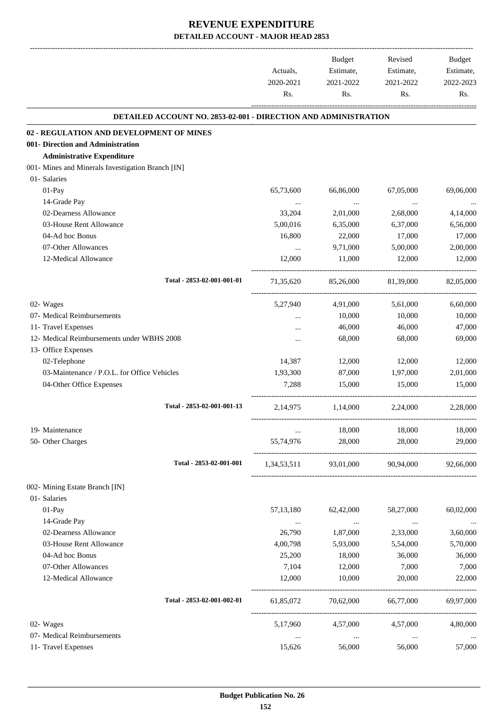-------------------------------------------------------------------------------------------------------------------------------------------------------------------------------

|                                                                 | Actuals,<br>2020-2021<br>Rs. | <b>Budget</b><br>Estimate,<br>2021-2022<br>Rs. | Revised<br>Estimate,<br>2021-2022<br>Rs. | <b>Budget</b><br>Estimate,<br>2022-2023<br>Rs. |
|-----------------------------------------------------------------|------------------------------|------------------------------------------------|------------------------------------------|------------------------------------------------|
| DETAILED ACCOUNT NO. 2853-02-001 - DIRECTION AND ADMINISTRATION |                              |                                                |                                          |                                                |
| 02 - REGULATION AND DEVELOPMENT OF MINES                        |                              |                                                |                                          |                                                |
| 001- Direction and Administration                               |                              |                                                |                                          |                                                |
| <b>Administrative Expenditure</b>                               |                              |                                                |                                          |                                                |
| 001- Mines and Minerals Investigation Branch [IN]               |                              |                                                |                                          |                                                |
| 01- Salaries                                                    |                              |                                                |                                          |                                                |
| $01-Pay$                                                        | 65,73,600                    | 66,86,000                                      | 67,05,000                                | 69,06,000                                      |
| 14-Grade Pay                                                    | $\ldots$                     | $\cdots$                                       | $\cdots$                                 |                                                |
| 02-Dearness Allowance                                           | 33,204                       | 2,01,000                                       | 2,68,000                                 | 4,14,000                                       |
| 03-House Rent Allowance                                         | 5,00,016                     | 6,35,000                                       | 6,37,000                                 | 6,56,000                                       |
| 04-Ad hoc Bonus                                                 | 16,800                       | 22,000                                         | 17,000                                   | 17,000                                         |
| 07-Other Allowances                                             | $\cdots$                     | 9,71,000                                       | 5,00,000                                 | 2,00,000                                       |
| 12-Medical Allowance                                            | 12,000                       | 11,000                                         | 12,000                                   | 12,000                                         |
| Total - 2853-02-001-001-01                                      | 71,35,620                    | 85,26,000                                      | 81,39,000                                | 82,05,000                                      |
| 02- Wages                                                       | 5,27,940                     | 4,91,000                                       | 5,61,000                                 | 6,60,000                                       |
| 07- Medical Reimbursements                                      | $\cdots$                     | 10,000                                         | 10,000                                   | 10,000                                         |
| 11- Travel Expenses                                             |                              | 46,000                                         | 46,000                                   | 47,000                                         |
| 12- Medical Reimbursements under WBHS 2008                      |                              | 68,000                                         | 68,000                                   | 69,000                                         |
| 13- Office Expenses                                             |                              |                                                |                                          |                                                |
| 02-Telephone                                                    | 14,387                       | 12,000                                         | 12,000                                   | 12,000                                         |
| 03-Maintenance / P.O.L. for Office Vehicles                     | 1,93,300                     | 87,000                                         | 1,97,000                                 | 2,01,000                                       |
| 04-Other Office Expenses                                        | 7,288                        | 15,000                                         | 15,000                                   | 15,000                                         |
| Total - 2853-02-001-001-13                                      | 2,14,975                     | 1,14,000                                       | 2,24,000                                 | 2,28,000                                       |
| 19- Maintenance                                                 |                              | 18,000                                         | 18,000                                   | 18,000                                         |
| 50- Other Charges                                               | 55,74,976                    | 28,000                                         | 28,000                                   | 29,000                                         |
| Total - 2853-02-001-001                                         | 1,34,53,511                  | 93,01,000                                      | 90,94,000                                | 92,66,000                                      |
| 002- Mining Estate Branch [IN]                                  |                              |                                                |                                          |                                                |
| 01- Salaries                                                    |                              |                                                |                                          |                                                |
| $01-Pay$                                                        | 57, 13, 180                  | 62,42,000                                      | 58,27,000                                | 60,02,000                                      |
| 14-Grade Pay                                                    | $\ldots$                     | $\ldots$                                       | $\ldots$                                 | $\cdots$                                       |
| 02-Dearness Allowance                                           | 26,790                       | 1,87,000                                       | 2,33,000                                 | 3,60,000                                       |
| 03-House Rent Allowance                                         | 4,00,798                     | 5,93,000                                       | 5,54,000                                 | 5,70,000                                       |
| 04-Ad hoc Bonus                                                 | 25,200                       | 18,000                                         | 36,000                                   | 36,000                                         |
| 07-Other Allowances                                             | 7,104                        | 12,000                                         | 7,000                                    | 7,000                                          |
| 12-Medical Allowance                                            | 12,000                       | 10,000                                         | 20,000                                   | 22,000                                         |
| Total - 2853-02-001-002-01                                      | 61,85,072                    | 70,62,000                                      | 66,77,000                                | 69,97,000                                      |
| 02- Wages                                                       | 5,17,960                     | 4,57,000                                       | 4,57,000                                 | 4,80,000                                       |
| 07- Medical Reimbursements                                      | $\cdots$                     | $\ldots$                                       | $\cdots$                                 |                                                |
| 11- Travel Expenses                                             | 15,626                       | 56,000                                         | 56,000                                   | 57,000                                         |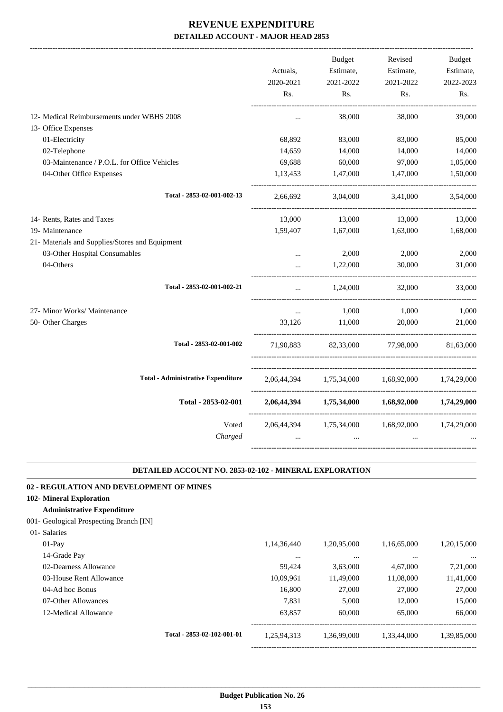|                                                 |           | Budget                              | Revised                                         | <b>Budget</b> |
|-------------------------------------------------|-----------|-------------------------------------|-------------------------------------------------|---------------|
|                                                 | Actuals,  | Estimate,                           | Estimate,                                       | Estimate,     |
|                                                 | 2020-2021 | 2021-2022                           | 2021-2022                                       | 2022-2023     |
|                                                 | Rs.       | Rs.                                 | Rs.                                             | Rs.           |
| 12- Medical Reimbursements under WBHS 2008      |           | 38,000                              | 38,000                                          | 39,000        |
| 13- Office Expenses                             |           |                                     |                                                 |               |
| 01-Electricity                                  | 68,892    | 83,000                              | 83,000                                          | 85,000        |
| 02-Telephone                                    | 14,659    | 14,000                              | 14,000                                          | 14,000        |
| 03-Maintenance / P.O.L. for Office Vehicles     | 69,688    | 60,000                              | 97,000                                          | 1,05,000      |
| 04-Other Office Expenses                        | 1,13,453  | 1,47,000                            | 1,47,000                                        | 1,50,000      |
| Total - 2853-02-001-002-13                      | 2,66,692  | 3,04,000                            | 3,41,000                                        | 3,54,000      |
| 14- Rents, Rates and Taxes                      | 13,000    | 13,000                              | 13,000                                          | 13,000        |
| 19- Maintenance                                 | 1,59,407  | 1,67,000                            | 1,63,000                                        | 1,68,000      |
| 21- Materials and Supplies/Stores and Equipment |           |                                     |                                                 |               |
| 03-Other Hospital Consumables                   | $\cdots$  | 2,000                               | 2,000                                           | 2,000         |
| 04-Others                                       |           | 1,22,000                            | 30,000                                          | 31,000        |
| Total - 2853-02-001-002-21                      | $\ddotsc$ | 1,24,000                            | 32,000                                          | 33,000        |
| 27- Minor Works/ Maintenance                    | $\cdots$  | 1,000                               | 1,000                                           | 1,000         |
| 50- Other Charges                               | 33.126    | 11,000                              | 20,000                                          | 21,000        |
| Total - 2853-02-001-002                         | 71,90,883 | 82,33,000                           | 77,98,000                                       | 81,63,000     |
| <b>Total - Administrative Expenditure</b>       |           |                                     | 2,06,44,394 1,75,34,000 1,68,92,000 1,74,29,000 |               |
| Total - 2853-02-001                             |           | 2,06,44,394 1,75,34,000 1,68,92,000 |                                                 | 1,74,29,000   |
| Voted                                           |           |                                     | 2,06,44,394 1,75,34,000 1,68,92,000 1,74,29,000 |               |
| Charged                                         |           | $\cdots$                            |                                                 |               |
|                                                 |           |                                     |                                                 |               |

#### **DETAILED ACCOUNT NO. 2853-02-102 - MINERAL EXPLORATION .**

.

| 02 - REGULATION AND DEVELOPMENT OF MINES |                            |             |             |             |             |
|------------------------------------------|----------------------------|-------------|-------------|-------------|-------------|
| 102- Mineral Exploration                 |                            |             |             |             |             |
| <b>Administrative Expenditure</b>        |                            |             |             |             |             |
| 001- Geological Prospecting Branch [IN]  |                            |             |             |             |             |
| 01- Salaries                             |                            |             |             |             |             |
| $01-Pav$                                 |                            | 1,14,36,440 | 1,20,95,000 | 1,16,65,000 | 1,20,15,000 |
| 14-Grade Pay                             |                            | $\cdots$    | $\cdots$    | $\cdots$    | $\ddotsc$   |
| 02-Dearness Allowance                    |                            | 59,424      | 3,63,000    | 4,67,000    | 7,21,000    |
| 03-House Rent Allowance                  |                            | 10,09,961   | 11,49,000   | 11,08,000   | 11,41,000   |
| 04-Ad hoc Bonus                          |                            | 16,800      | 27,000      | 27,000      | 27,000      |
| 07-Other Allowances                      |                            | 7.831       | 5.000       | 12,000      | 15,000      |
| 12-Medical Allowance                     |                            | 63,857      | 60,000      | 65,000      | 66,000      |
|                                          | Total - 2853-02-102-001-01 | 1,25,94,313 | 1,36,99,000 | 1,33,44,000 | 1,39,85,000 |

-----------------------------------------------------------------------------------------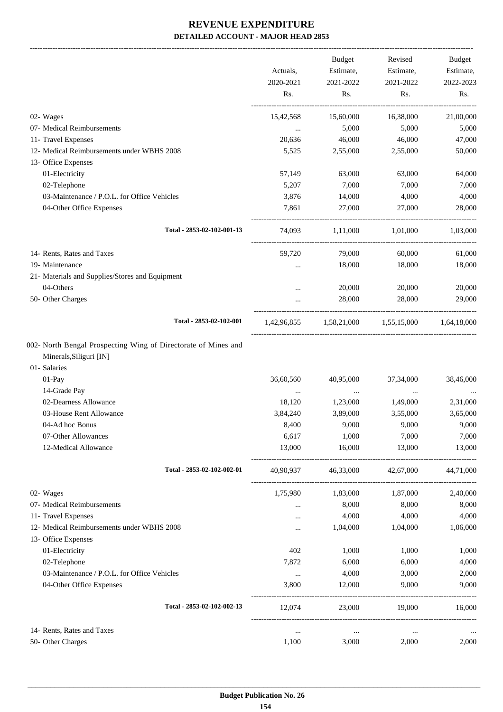-------------------------------------------------------------------------------------------------------------------------------------------------------------------------------

|                                                                                                                     | Actuals,<br>2020-2021<br>Rs. | <b>Budget</b><br>Estimate,<br>2021-2022<br>Rs. | Revised<br>Estimate,<br>2021-2022<br>Rs. | <b>Budget</b><br>Estimate,<br>2022-2023<br>Rs. |
|---------------------------------------------------------------------------------------------------------------------|------------------------------|------------------------------------------------|------------------------------------------|------------------------------------------------|
| 02- Wages                                                                                                           | 15,42,568                    | 15,60,000                                      | 16,38,000                                | 21,00,000                                      |
| 07- Medical Reimbursements                                                                                          | $\cdots$                     | 5,000                                          | 5,000                                    | 5,000                                          |
| 11- Travel Expenses                                                                                                 | 20,636                       | 46,000                                         | 46,000                                   | 47,000                                         |
| 12- Medical Reimbursements under WBHS 2008                                                                          | 5,525                        | 2,55,000                                       | 2,55,000                                 | 50,000                                         |
| 13- Office Expenses                                                                                                 |                              |                                                |                                          |                                                |
| 01-Electricity                                                                                                      | 57,149                       | 63,000                                         | 63,000                                   | 64,000                                         |
| 02-Telephone                                                                                                        | 5,207                        | 7,000                                          | 7,000                                    | 7,000                                          |
| 03-Maintenance / P.O.L. for Office Vehicles                                                                         | 3,876                        | 14,000                                         | 4,000                                    | 4,000                                          |
| 04-Other Office Expenses                                                                                            | 7,861                        | 27,000                                         | 27,000                                   | 28,000                                         |
| Total - 2853-02-102-001-13                                                                                          | 74,093                       | 1,11,000                                       | 1,01,000                                 | 1,03,000                                       |
| 14- Rents, Rates and Taxes                                                                                          | 59,720                       | 79,000                                         | 60,000                                   | 61,000                                         |
| 19- Maintenance                                                                                                     | $\cdots$                     | 18,000                                         | 18,000                                   | 18,000                                         |
| 21- Materials and Supplies/Stores and Equipment                                                                     |                              |                                                |                                          |                                                |
| 04-Others                                                                                                           | $\cdots$                     | 20,000                                         | 20,000                                   | 20,000                                         |
| 50- Other Charges                                                                                                   |                              | 28,000                                         | 28,000                                   | 29,000                                         |
| Total - 2853-02-102-001                                                                                             | 1,42,96,855                  | 1,58,21,000                                    | 1,55,15,000                              | 1,64,18,000                                    |
| 002- North Bengal Prospecting Wing of Directorate of Mines and<br>Minerals, Siliguri [IN]<br>01- Salaries<br>01-Pay | 36,60,560                    | 40,95,000                                      | 37, 34, 000                              | 38,46,000                                      |
| 14-Grade Pay                                                                                                        |                              |                                                |                                          |                                                |
| 02-Dearness Allowance                                                                                               | $\cdots$<br>18,120           | $\ldots$<br>1,23,000                           | $\cdots$<br>1,49,000                     | 2,31,000                                       |
| 03-House Rent Allowance                                                                                             | 3,84,240                     | 3,89,000                                       | 3,55,000                                 | 3,65,000                                       |
| 04-Ad hoc Bonus                                                                                                     | 8,400                        | 9,000                                          | 9,000                                    | 9,000                                          |
| 07-Other Allowances                                                                                                 | 6,617                        | 1,000                                          | 7,000                                    | 7,000                                          |
| 12-Medical Allowance                                                                                                | 13,000                       | 16,000                                         | 13,000                                   | 13,000                                         |
| Total - 2853-02-102-002-01                                                                                          | 40,90,937                    | 46,33,000                                      | 42,67,000                                | 44,71,000                                      |
| 02- Wages                                                                                                           | 1,75,980                     | 1,83,000                                       | 1,87,000                                 | 2,40,000                                       |
| 07- Medical Reimbursements                                                                                          | $\cdots$                     | 8,000                                          | 8,000                                    | 8,000                                          |
| 11- Travel Expenses                                                                                                 | $\cdots$                     | 4,000                                          | 4,000                                    | 4,000                                          |
| 12- Medical Reimbursements under WBHS 2008                                                                          | $\cdots$                     | 1,04,000                                       | 1,04,000                                 | 1,06,000                                       |
| 13- Office Expenses                                                                                                 |                              |                                                |                                          |                                                |
| 01-Electricity                                                                                                      | 402                          | 1,000                                          | 1,000                                    | 1,000                                          |
| 02-Telephone                                                                                                        | 7,872                        | 6,000                                          | 6,000                                    | 4,000                                          |
| 03-Maintenance / P.O.L. for Office Vehicles                                                                         | $\cdots$                     | 4,000                                          | 3,000                                    | 2,000                                          |
| 04-Other Office Expenses                                                                                            | 3,800                        | 12,000                                         | 9,000                                    | 9,000                                          |
| Total - 2853-02-102-002-13                                                                                          | 12,074                       | 23,000                                         | 19,000                                   | 16,000                                         |
| 14- Rents, Rates and Taxes                                                                                          | $\cdots$                     | $\ldots$                                       | $\ldots$                                 |                                                |
| 50- Other Charges                                                                                                   | 1,100                        | 3,000                                          | 2,000                                    | 2,000                                          |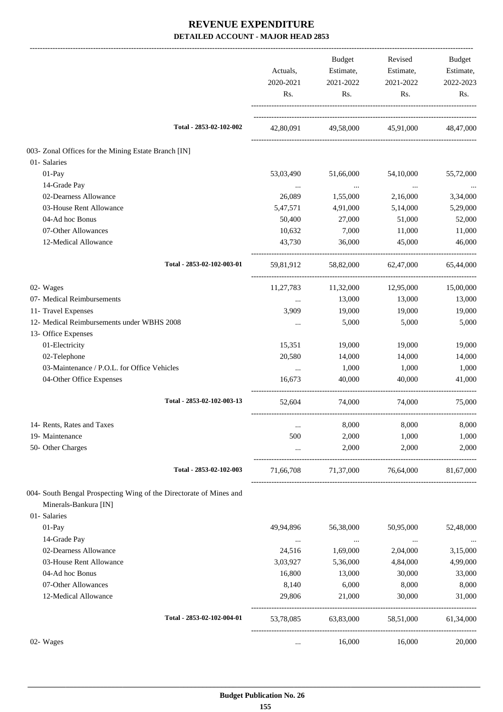|                                                                      | Actuals,<br>2020-2021<br>Rs. | Budget<br>Estimate,<br>2021-2022<br>Rs. | Revised<br>Estimate,<br>2021-2022<br>Rs. | Budget<br>Estimate,<br>2022-2023<br>Rs. |
|----------------------------------------------------------------------|------------------------------|-----------------------------------------|------------------------------------------|-----------------------------------------|
| Total - 2853-02-102-002                                              | 42,80,091                    |                                         | 49,58,000 45,91,000 48,47,000            |                                         |
|                                                                      |                              |                                         |                                          |                                         |
| 003- Zonal Offices for the Mining Estate Branch [IN]<br>01- Salaries |                              |                                         |                                          |                                         |
| $01-Pay$                                                             | 53,03,490                    | 51,66,000                               | 54,10,000                                |                                         |
| 14-Grade Pay                                                         |                              |                                         |                                          | 55,72,000                               |
| 02-Dearness Allowance                                                | $\cdots$<br>26,089           | $\ldots$<br>1,55,000                    | $\cdots$<br>2,16,000                     | $\cdots$<br>3,34,000                    |
| 03-House Rent Allowance                                              | 5,47,571                     | 4,91,000                                | 5,14,000                                 | 5,29,000                                |
| 04-Ad hoc Bonus                                                      |                              |                                         |                                          | 52,000                                  |
|                                                                      | 50,400                       | 27,000                                  | 51,000                                   |                                         |
| 07-Other Allowances<br>12-Medical Allowance                          | 10,632<br>43,730             | 7,000<br>36,000                         | 11,000<br>45,000                         | 11,000<br>46,000                        |
| Total - 2853-02-102-003-01                                           |                              |                                         | 59,81,912 58,82,000 62,47,000            | 65,44,000                               |
| 02- Wages                                                            | 11,27,783                    | 11,32,000                               | 12,95,000                                | 15,00,000                               |
| 07- Medical Reimbursements                                           | $\cdots$                     | 13,000                                  | 13,000                                   | 13,000                                  |
| 11- Travel Expenses                                                  | 3,909                        | 19,000                                  | 19,000                                   | 19,000                                  |
| 12- Medical Reimbursements under WBHS 2008                           | $\cdots$                     | 5,000                                   | 5,000                                    | 5,000                                   |
| 13- Office Expenses                                                  |                              |                                         |                                          |                                         |
| 01-Electricity                                                       | 15,351                       | 19,000                                  | 19,000                                   | 19,000                                  |
| 02-Telephone                                                         | 20,580                       | 14,000                                  | 14,000                                   | 14,000                                  |
| 03-Maintenance / P.O.L. for Office Vehicles                          | $\ddots$                     | 1,000                                   | 1,000                                    | 1,000                                   |
| 04-Other Office Expenses                                             | 16,673                       | 40,000                                  | 40,000                                   | 41,000                                  |
| Total - 2853-02-102-003-13                                           | 52,604                       | 74,000                                  | 74,000                                   | 75,000                                  |
| 14- Rents, Rates and Taxes                                           |                              | 8,000                                   | 8,000                                    | 8,000                                   |
| 19- Maintenance                                                      | 500                          | 2,000                                   | 1,000                                    | 1,000                                   |
| 50- Other Charges                                                    | $\cdots$                     | 2,000                                   | 2,000                                    | 2,000                                   |
| Total - 2853-02-102-003                                              | 71,66,708                    | 71,37,000                               | 76,64,000                                | 81,67,000                               |
| 004- South Bengal Prospecting Wing of the Directorate of Mines and   |                              |                                         |                                          |                                         |
| Minerals-Bankura [IN]                                                |                              |                                         |                                          |                                         |
| 01- Salaries                                                         |                              |                                         |                                          |                                         |
| 01-Pay                                                               | 49,94,896                    | 56,38,000                               | 50,95,000                                | 52,48,000                               |
| 14-Grade Pay                                                         | $\cdots$                     | $\ddots$                                | $\cdots$                                 |                                         |
| 02-Dearness Allowance                                                | 24,516                       | 1,69,000                                | 2,04,000                                 | 3,15,000                                |
| 03-House Rent Allowance                                              | 3,03,927                     | 5,36,000                                | 4,84,000                                 | 4,99,000                                |
| 04-Ad hoc Bonus                                                      | 16,800                       | 13,000                                  | 30,000                                   | 33,000                                  |
| 07-Other Allowances                                                  | 8,140                        | 6,000                                   | 8,000                                    | 8,000                                   |
| 12-Medical Allowance                                                 | 29,806                       | 21,000                                  | 30,000                                   | 31,000                                  |
| Total - 2853-02-102-004-01                                           | 53,78,085                    | 63,83,000                               | 58,51,000                                | 61,34,000                               |
| 02- Wages                                                            | $\cdots$                     | 16,000                                  | 16,000                                   | 20,000                                  |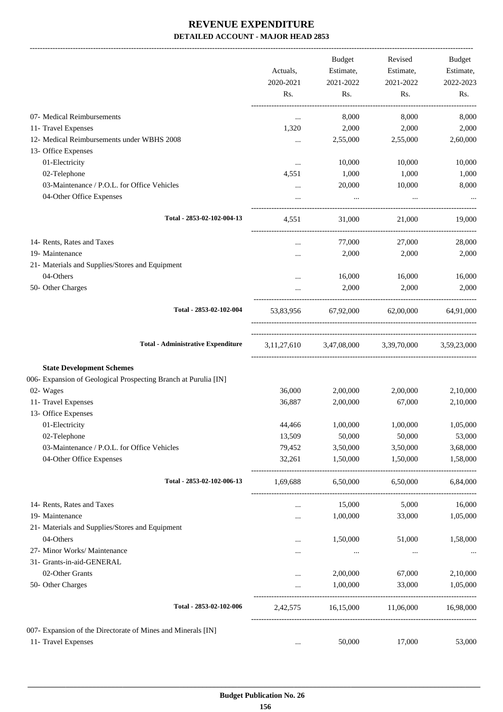|                                                                 | Actuals,         | <b>Budget</b><br>Estimate, | Revised<br>Estimate,                | <b>Budget</b><br>Estimate, |
|-----------------------------------------------------------------|------------------|----------------------------|-------------------------------------|----------------------------|
|                                                                 | 2020-2021<br>Rs. | 2021-2022<br>Rs.           | 2021-2022<br>Rs.                    | 2022-2023<br>Rs.           |
| 07- Medical Reimbursements                                      | $\cdots$         | 8,000                      | 8,000                               | 8,000                      |
| 11- Travel Expenses                                             | 1,320            | 2,000                      | 2,000                               | 2,000                      |
| 12- Medical Reimbursements under WBHS 2008                      | $\cdots$         | 2,55,000                   | 2,55,000                            | 2,60,000                   |
| 13- Office Expenses                                             |                  |                            |                                     |                            |
| 01-Electricity                                                  | $\cdots$         | 10,000                     | 10,000                              | 10,000                     |
| 02-Telephone                                                    | 4,551            | 1,000                      | 1,000                               | 1,000                      |
| 03-Maintenance / P.O.L. for Office Vehicles                     | $\cdots$         | 20,000                     | 10,000                              | 8,000                      |
| 04-Other Office Expenses                                        | $\cdots$         | $\cdots$                   | $\cdots$                            |                            |
| Total - 2853-02-102-004-13                                      | 4,551            | 31,000                     | 21,000                              | 19,000                     |
| 14- Rents, Rates and Taxes                                      | $\cdots$         | 77,000                     | 27,000                              | 28,000                     |
| 19- Maintenance                                                 | .                | 2,000                      | 2,000                               | 2,000                      |
| 21- Materials and Supplies/Stores and Equipment                 |                  |                            |                                     |                            |
| 04-Others                                                       | $\ddotsc$        | 16,000                     | 16,000                              | 16,000                     |
| 50- Other Charges                                               | $\ddotsc$        | 2,000                      | 2,000                               | 2,000                      |
| Total - 2853-02-102-004                                         | 53,83,956        | 67,92,000                  | 62,00,000                           | 64,91,000                  |
| <b>Total - Administrative Expenditure</b>                       |                  |                            | 3,11,27,610 3,47,08,000 3,39,70,000 | 3,59,23,000                |
| <b>State Development Schemes</b>                                |                  |                            |                                     |                            |
| 006- Expansion of Geological Prospecting Branch at Purulia [IN] |                  |                            |                                     |                            |
| 02- Wages                                                       | 36,000           | 2,00,000                   | 2,00,000                            | 2,10,000                   |
| 11- Travel Expenses                                             | 36,887           | 2,00,000                   | 67,000                              | 2,10,000                   |
| 13- Office Expenses                                             |                  |                            |                                     |                            |
| 01-Electricity                                                  | 44,466           | 1,00,000                   | 1,00,000                            | 1,05,000                   |
| 02-Telephone                                                    | 13,509           | 50,000                     | 50,000                              | 53,000                     |
| 03-Maintenance / P.O.L. for Office Vehicles                     | 79,452           | 3,50,000                   | 3,50,000                            | 3,68,000                   |
| 04-Other Office Expenses                                        | 32,261           | 1,50,000                   | 1,50,000                            | 1,58,000                   |
| Total - 2853-02-102-006-13                                      | 1,69,688         | 6,50,000                   | 6,50,000                            | 6,84,000                   |
| 14- Rents, Rates and Taxes                                      |                  | 15,000                     | 5,000                               | 16,000                     |
| 19- Maintenance                                                 |                  | 1,00,000                   | 33,000                              | 1,05,000                   |
| 21- Materials and Supplies/Stores and Equipment                 |                  |                            |                                     |                            |
| 04-Others                                                       | $\ddotsc$        | 1,50,000                   | 51,000                              | 1,58,000                   |
| 27- Minor Works/ Maintenance                                    | .                | $\cdots$                   | $\cdots$                            |                            |
| 31- Grants-in-aid-GENERAL                                       |                  |                            |                                     |                            |
| 02-Other Grants                                                 |                  | 2,00,000                   | 67,000                              | 2,10,000                   |
| 50- Other Charges                                               |                  | 1,00,000                   | 33,000                              | 1,05,000                   |
| Total - 2853-02-102-006                                         | 2,42,575         | 16,15,000                  | 11,06,000                           | 16,98,000                  |
| 007- Expansion of the Directorate of Mines and Minerals [IN]    |                  |                            |                                     |                            |
| 11- Travel Expenses                                             | $\ldots$         | 50,000                     | 17,000                              | 53,000                     |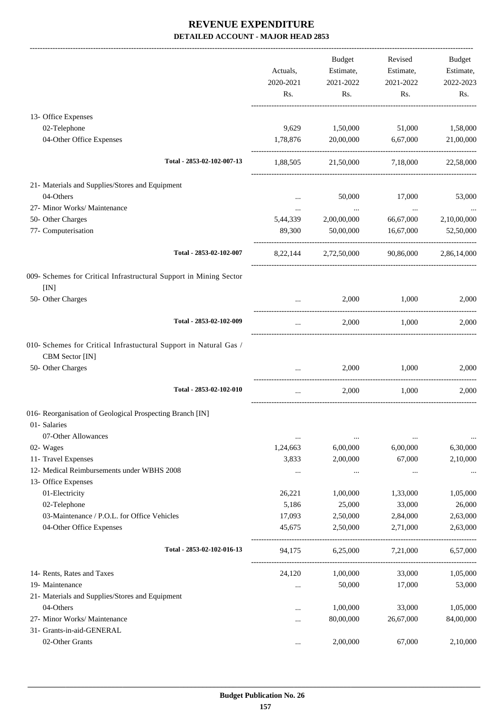-------------------------------------------------------------------------------------------------------------------------------------------------------------------------------

|                                                                                      | Actuals,<br>2020-2021<br>Rs. | <b>Budget</b><br>Estimate,<br>2021-2022<br>Rs. | Revised<br>Estimate,<br>2021-2022<br>Rs. | <b>Budget</b><br>Estimate,<br>2022-2023<br>Rs. |
|--------------------------------------------------------------------------------------|------------------------------|------------------------------------------------|------------------------------------------|------------------------------------------------|
| 13- Office Expenses                                                                  |                              |                                                |                                          |                                                |
| 02-Telephone<br>04-Other Office Expenses                                             | 9,629<br>1,78,876            | 1,50,000<br>20,00,000                          | 51,000<br>6,67,000                       | 1,58,000<br>21,00,000                          |
| Total - 2853-02-102-007-13                                                           | 1,88,505                     | 21,50,000                                      | 7,18,000                                 | 22,58,000                                      |
| 21- Materials and Supplies/Stores and Equipment                                      |                              |                                                |                                          |                                                |
| 04-Others                                                                            | $\cdots$                     | 50,000                                         | 17,000                                   | 53,000                                         |
| 27- Minor Works/ Maintenance                                                         |                              | $\ldots$                                       | $\ldots$                                 |                                                |
| 50- Other Charges                                                                    | 5,44,339                     | 2,00,00,000                                    | 66,67,000                                | 2,10,00,000                                    |
| 77- Computerisation                                                                  | 89,300                       | 50,00,000                                      | 16,67,000                                | 52,50,000                                      |
| Total - 2853-02-102-007                                                              | 8,22,144                     | 2,72,50,000                                    | 90,86,000                                | 2,86,14,000                                    |
| 009- Schemes for Critical Infrastructural Support in Mining Sector                   |                              |                                                |                                          |                                                |
| [IN]<br>50- Other Charges                                                            |                              | 2,000                                          | 1,000                                    | 2,000                                          |
| Total - 2853-02-102-009                                                              | $\cdots$                     | 2,000                                          | 1,000                                    | 2,000                                          |
| 010- Schemes for Critical Infrastuctural Support in Natural Gas /<br>CBM Sector [IN] |                              |                                                |                                          |                                                |
| 50- Other Charges                                                                    |                              | 2,000                                          | 1,000                                    | 2,000                                          |
| Total - 2853-02-102-010                                                              | $\cdots$                     | 2,000                                          | 1,000                                    | 2.000                                          |
| 016- Reorganisation of Geological Prospecting Branch [IN]<br>01- Salaries            |                              |                                                |                                          |                                                |
| 07-Other Allowances                                                                  | $\cdots$                     | $\cdots$                                       | $\cdots$                                 | $\cdots$                                       |
| 02- Wages                                                                            | 1,24,663                     | 6,00,000                                       | 6,00,000                                 | 6,30,000                                       |
| 11- Travel Expenses                                                                  | 3,833                        | 2,00,000                                       | 67,000                                   | 2,10,000                                       |
| 12- Medical Reimbursements under WBHS 2008                                           |                              | $\cdots$                                       | $\cdots$                                 | $\cdots$                                       |
| 13- Office Expenses                                                                  |                              |                                                |                                          |                                                |
| 01-Electricity                                                                       | 26,221                       | 1,00,000                                       | 1,33,000                                 | 1,05,000                                       |
| 02-Telephone                                                                         | 5,186                        | 25,000                                         | 33,000                                   | 26,000                                         |
| 03-Maintenance / P.O.L. for Office Vehicles                                          | 17,093                       | 2,50,000                                       | 2,84,000                                 | 2,63,000                                       |
| 04-Other Office Expenses                                                             | 45,675                       | 2,50,000                                       | 2,71,000                                 | 2,63,000                                       |
| Total - 2853-02-102-016-13                                                           | 94,175                       | 6,25,000                                       | 7,21,000                                 | 6,57,000                                       |
| 14- Rents, Rates and Taxes                                                           | 24,120                       | 1,00,000                                       | 33,000                                   | 1,05,000                                       |
| 19- Maintenance                                                                      |                              | 50,000                                         | 17,000                                   | 53,000                                         |
| 21- Materials and Supplies/Stores and Equipment                                      |                              |                                                |                                          |                                                |
| 04-Others                                                                            |                              | 1,00,000                                       | 33,000                                   | 1,05,000                                       |
| 27- Minor Works/ Maintenance                                                         |                              | 80,00,000                                      | 26,67,000                                | 84,00,000                                      |
| 31- Grants-in-aid-GENERAL                                                            |                              |                                                |                                          |                                                |
| 02-Other Grants                                                                      | $\ldots$                     | 2,00,000                                       | 67,000                                   | 2,10,000                                       |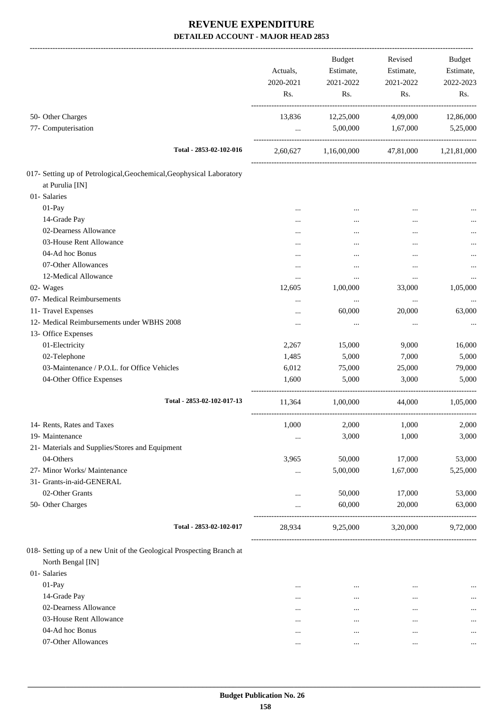| 50- Other Charges<br>12,25,000<br>4,09,000<br>13,836<br>77- Computerisation<br>5,00,000 1,67,000<br>$\cdots$<br>Total - 2853-02-102-016<br>2,60,627 1,16,00,000 47,81,000 1,21,81,000<br>at Purulia [IN]<br>01- Salaries<br>01-Pay<br><br><br>14-Grade Pay<br>$\cdots$<br>02-Dearness Allowance<br>.<br><br><br>03-House Rent Allowance<br><br><br>04-Ad hoc Bonus<br>$\cdots$<br>07-Other Allowances<br><br><br>12-Medical Allowance<br><br>$\cdots$<br>$\cdots$<br>02- Wages<br>12,605<br>1,00,000<br>33,000<br>07- Medical Reimbursements<br>$\ldots$<br>$\cdots$<br><br>11- Travel Expenses<br>60,000<br>20,000<br>$\cdots$<br>12- Medical Reimbursements under WBHS 2008<br>$\cdots$<br>$\cdots$<br>$\cdots$<br>13- Office Expenses<br>01-Electricity<br>9,000<br>2,267<br>15,000<br>02-Telephone<br>5,000<br>1,485<br>7,000<br>03-Maintenance / P.O.L. for Office Vehicles<br>6,012<br>75,000<br>25,000<br>1,600<br>5,000<br>3,000<br>04-Other Office Expenses<br>Total - 2853-02-102-017-13<br>11,364 1,00,000<br>44,000 1,05,000<br>1,000<br>2,000 1,000<br>14- Rents, Rates and Taxes<br>19- Maintenance<br>3,000<br>1,000<br>$\cdots$<br>21- Materials and Supplies/Stores and Equipment<br>04-Others<br>3,965<br>50,000<br>17,000<br>27- Minor Works/ Maintenance<br>5,00,000<br>1,67,000<br>5,25,000<br>$\ldots$<br>31- Grants-in-aid-GENERAL<br>02-Other Grants<br>50,000<br>17,000<br><br>50- Other Charges<br>60,000<br>20,000<br><br>Total - 2853-02-102-017<br>9,25,000<br>3,20,000<br>28,934<br>North Bengal [IN]<br>01- Salaries<br>01-Pay<br>$\cdots$<br>$\cdots$<br><br>14-Grade Pay<br>$\cdots$<br>$\ddotsc$<br>$\cdots$<br>02-Dearness Allowance<br>$\cdots$<br><br><br>03-House Rent Allowance<br>$\cdots$<br>$\cdots$<br>$\cdots$<br>04-Ad hoc Bonus<br>$\cdots$<br>$\cdots$<br>$\cdots$ |                     | Actuals,<br>2020-2021<br>Rs. | Budget<br>Estimate,<br>2021-2022<br>Rs. | Revised<br>Estimate,<br>2021-2022<br>Rs. | Budget<br>Estimate,<br>2022-2023<br>Rs. |
|-------------------------------------------------------------------------------------------------------------------------------------------------------------------------------------------------------------------------------------------------------------------------------------------------------------------------------------------------------------------------------------------------------------------------------------------------------------------------------------------------------------------------------------------------------------------------------------------------------------------------------------------------------------------------------------------------------------------------------------------------------------------------------------------------------------------------------------------------------------------------------------------------------------------------------------------------------------------------------------------------------------------------------------------------------------------------------------------------------------------------------------------------------------------------------------------------------------------------------------------------------------------------------------------------------------------------------------------------------------------------------------------------------------------------------------------------------------------------------------------------------------------------------------------------------------------------------------------------------------------------------------------------------------------------------------------------------------------------------------------------------------------------------------------------------------------|---------------------|------------------------------|-----------------------------------------|------------------------------------------|-----------------------------------------|
|                                                                                                                                                                                                                                                                                                                                                                                                                                                                                                                                                                                                                                                                                                                                                                                                                                                                                                                                                                                                                                                                                                                                                                                                                                                                                                                                                                                                                                                                                                                                                                                                                                                                                                                                                                                                                   |                     |                              |                                         |                                          | 12,86,000                               |
|                                                                                                                                                                                                                                                                                                                                                                                                                                                                                                                                                                                                                                                                                                                                                                                                                                                                                                                                                                                                                                                                                                                                                                                                                                                                                                                                                                                                                                                                                                                                                                                                                                                                                                                                                                                                                   |                     |                              |                                         |                                          | 5,25,000                                |
| 017- Setting up of Petrological, Geochemical, Geophysical Laboratory<br>018- Setting up of a new Unit of the Geological Prospecting Branch at                                                                                                                                                                                                                                                                                                                                                                                                                                                                                                                                                                                                                                                                                                                                                                                                                                                                                                                                                                                                                                                                                                                                                                                                                                                                                                                                                                                                                                                                                                                                                                                                                                                                     |                     |                              |                                         |                                          |                                         |
|                                                                                                                                                                                                                                                                                                                                                                                                                                                                                                                                                                                                                                                                                                                                                                                                                                                                                                                                                                                                                                                                                                                                                                                                                                                                                                                                                                                                                                                                                                                                                                                                                                                                                                                                                                                                                   |                     |                              |                                         |                                          |                                         |
|                                                                                                                                                                                                                                                                                                                                                                                                                                                                                                                                                                                                                                                                                                                                                                                                                                                                                                                                                                                                                                                                                                                                                                                                                                                                                                                                                                                                                                                                                                                                                                                                                                                                                                                                                                                                                   |                     |                              |                                         |                                          |                                         |
|                                                                                                                                                                                                                                                                                                                                                                                                                                                                                                                                                                                                                                                                                                                                                                                                                                                                                                                                                                                                                                                                                                                                                                                                                                                                                                                                                                                                                                                                                                                                                                                                                                                                                                                                                                                                                   |                     |                              |                                         |                                          |                                         |
|                                                                                                                                                                                                                                                                                                                                                                                                                                                                                                                                                                                                                                                                                                                                                                                                                                                                                                                                                                                                                                                                                                                                                                                                                                                                                                                                                                                                                                                                                                                                                                                                                                                                                                                                                                                                                   |                     |                              |                                         |                                          |                                         |
|                                                                                                                                                                                                                                                                                                                                                                                                                                                                                                                                                                                                                                                                                                                                                                                                                                                                                                                                                                                                                                                                                                                                                                                                                                                                                                                                                                                                                                                                                                                                                                                                                                                                                                                                                                                                                   |                     |                              |                                         |                                          |                                         |
|                                                                                                                                                                                                                                                                                                                                                                                                                                                                                                                                                                                                                                                                                                                                                                                                                                                                                                                                                                                                                                                                                                                                                                                                                                                                                                                                                                                                                                                                                                                                                                                                                                                                                                                                                                                                                   |                     |                              |                                         |                                          |                                         |
|                                                                                                                                                                                                                                                                                                                                                                                                                                                                                                                                                                                                                                                                                                                                                                                                                                                                                                                                                                                                                                                                                                                                                                                                                                                                                                                                                                                                                                                                                                                                                                                                                                                                                                                                                                                                                   |                     |                              |                                         |                                          |                                         |
|                                                                                                                                                                                                                                                                                                                                                                                                                                                                                                                                                                                                                                                                                                                                                                                                                                                                                                                                                                                                                                                                                                                                                                                                                                                                                                                                                                                                                                                                                                                                                                                                                                                                                                                                                                                                                   |                     |                              |                                         |                                          |                                         |
|                                                                                                                                                                                                                                                                                                                                                                                                                                                                                                                                                                                                                                                                                                                                                                                                                                                                                                                                                                                                                                                                                                                                                                                                                                                                                                                                                                                                                                                                                                                                                                                                                                                                                                                                                                                                                   |                     |                              |                                         |                                          |                                         |
|                                                                                                                                                                                                                                                                                                                                                                                                                                                                                                                                                                                                                                                                                                                                                                                                                                                                                                                                                                                                                                                                                                                                                                                                                                                                                                                                                                                                                                                                                                                                                                                                                                                                                                                                                                                                                   |                     |                              |                                         |                                          |                                         |
|                                                                                                                                                                                                                                                                                                                                                                                                                                                                                                                                                                                                                                                                                                                                                                                                                                                                                                                                                                                                                                                                                                                                                                                                                                                                                                                                                                                                                                                                                                                                                                                                                                                                                                                                                                                                                   |                     |                              |                                         |                                          | 1,05,000                                |
|                                                                                                                                                                                                                                                                                                                                                                                                                                                                                                                                                                                                                                                                                                                                                                                                                                                                                                                                                                                                                                                                                                                                                                                                                                                                                                                                                                                                                                                                                                                                                                                                                                                                                                                                                                                                                   |                     |                              |                                         |                                          |                                         |
|                                                                                                                                                                                                                                                                                                                                                                                                                                                                                                                                                                                                                                                                                                                                                                                                                                                                                                                                                                                                                                                                                                                                                                                                                                                                                                                                                                                                                                                                                                                                                                                                                                                                                                                                                                                                                   |                     |                              |                                         |                                          | 63,000                                  |
|                                                                                                                                                                                                                                                                                                                                                                                                                                                                                                                                                                                                                                                                                                                                                                                                                                                                                                                                                                                                                                                                                                                                                                                                                                                                                                                                                                                                                                                                                                                                                                                                                                                                                                                                                                                                                   |                     |                              |                                         |                                          | $\cdots$                                |
|                                                                                                                                                                                                                                                                                                                                                                                                                                                                                                                                                                                                                                                                                                                                                                                                                                                                                                                                                                                                                                                                                                                                                                                                                                                                                                                                                                                                                                                                                                                                                                                                                                                                                                                                                                                                                   |                     |                              |                                         |                                          |                                         |
|                                                                                                                                                                                                                                                                                                                                                                                                                                                                                                                                                                                                                                                                                                                                                                                                                                                                                                                                                                                                                                                                                                                                                                                                                                                                                                                                                                                                                                                                                                                                                                                                                                                                                                                                                                                                                   |                     |                              |                                         |                                          | 16,000                                  |
|                                                                                                                                                                                                                                                                                                                                                                                                                                                                                                                                                                                                                                                                                                                                                                                                                                                                                                                                                                                                                                                                                                                                                                                                                                                                                                                                                                                                                                                                                                                                                                                                                                                                                                                                                                                                                   |                     |                              |                                         |                                          | 5,000                                   |
|                                                                                                                                                                                                                                                                                                                                                                                                                                                                                                                                                                                                                                                                                                                                                                                                                                                                                                                                                                                                                                                                                                                                                                                                                                                                                                                                                                                                                                                                                                                                                                                                                                                                                                                                                                                                                   |                     |                              |                                         |                                          | 79,000                                  |
|                                                                                                                                                                                                                                                                                                                                                                                                                                                                                                                                                                                                                                                                                                                                                                                                                                                                                                                                                                                                                                                                                                                                                                                                                                                                                                                                                                                                                                                                                                                                                                                                                                                                                                                                                                                                                   |                     |                              |                                         |                                          | 5,000                                   |
|                                                                                                                                                                                                                                                                                                                                                                                                                                                                                                                                                                                                                                                                                                                                                                                                                                                                                                                                                                                                                                                                                                                                                                                                                                                                                                                                                                                                                                                                                                                                                                                                                                                                                                                                                                                                                   |                     |                              |                                         |                                          |                                         |
|                                                                                                                                                                                                                                                                                                                                                                                                                                                                                                                                                                                                                                                                                                                                                                                                                                                                                                                                                                                                                                                                                                                                                                                                                                                                                                                                                                                                                                                                                                                                                                                                                                                                                                                                                                                                                   |                     |                              |                                         |                                          | 2,000                                   |
|                                                                                                                                                                                                                                                                                                                                                                                                                                                                                                                                                                                                                                                                                                                                                                                                                                                                                                                                                                                                                                                                                                                                                                                                                                                                                                                                                                                                                                                                                                                                                                                                                                                                                                                                                                                                                   |                     |                              |                                         |                                          | 3,000                                   |
|                                                                                                                                                                                                                                                                                                                                                                                                                                                                                                                                                                                                                                                                                                                                                                                                                                                                                                                                                                                                                                                                                                                                                                                                                                                                                                                                                                                                                                                                                                                                                                                                                                                                                                                                                                                                                   |                     |                              |                                         |                                          |                                         |
|                                                                                                                                                                                                                                                                                                                                                                                                                                                                                                                                                                                                                                                                                                                                                                                                                                                                                                                                                                                                                                                                                                                                                                                                                                                                                                                                                                                                                                                                                                                                                                                                                                                                                                                                                                                                                   |                     |                              |                                         |                                          | 53,000                                  |
|                                                                                                                                                                                                                                                                                                                                                                                                                                                                                                                                                                                                                                                                                                                                                                                                                                                                                                                                                                                                                                                                                                                                                                                                                                                                                                                                                                                                                                                                                                                                                                                                                                                                                                                                                                                                                   |                     |                              |                                         |                                          |                                         |
|                                                                                                                                                                                                                                                                                                                                                                                                                                                                                                                                                                                                                                                                                                                                                                                                                                                                                                                                                                                                                                                                                                                                                                                                                                                                                                                                                                                                                                                                                                                                                                                                                                                                                                                                                                                                                   |                     |                              |                                         |                                          |                                         |
|                                                                                                                                                                                                                                                                                                                                                                                                                                                                                                                                                                                                                                                                                                                                                                                                                                                                                                                                                                                                                                                                                                                                                                                                                                                                                                                                                                                                                                                                                                                                                                                                                                                                                                                                                                                                                   |                     |                              |                                         |                                          | 53,000                                  |
|                                                                                                                                                                                                                                                                                                                                                                                                                                                                                                                                                                                                                                                                                                                                                                                                                                                                                                                                                                                                                                                                                                                                                                                                                                                                                                                                                                                                                                                                                                                                                                                                                                                                                                                                                                                                                   |                     |                              |                                         |                                          | 63,000                                  |
|                                                                                                                                                                                                                                                                                                                                                                                                                                                                                                                                                                                                                                                                                                                                                                                                                                                                                                                                                                                                                                                                                                                                                                                                                                                                                                                                                                                                                                                                                                                                                                                                                                                                                                                                                                                                                   |                     |                              |                                         |                                          | 9,72,000                                |
|                                                                                                                                                                                                                                                                                                                                                                                                                                                                                                                                                                                                                                                                                                                                                                                                                                                                                                                                                                                                                                                                                                                                                                                                                                                                                                                                                                                                                                                                                                                                                                                                                                                                                                                                                                                                                   |                     |                              |                                         |                                          |                                         |
|                                                                                                                                                                                                                                                                                                                                                                                                                                                                                                                                                                                                                                                                                                                                                                                                                                                                                                                                                                                                                                                                                                                                                                                                                                                                                                                                                                                                                                                                                                                                                                                                                                                                                                                                                                                                                   |                     |                              |                                         |                                          | $\cdots$                                |
|                                                                                                                                                                                                                                                                                                                                                                                                                                                                                                                                                                                                                                                                                                                                                                                                                                                                                                                                                                                                                                                                                                                                                                                                                                                                                                                                                                                                                                                                                                                                                                                                                                                                                                                                                                                                                   |                     |                              |                                         |                                          | $\cdots$                                |
|                                                                                                                                                                                                                                                                                                                                                                                                                                                                                                                                                                                                                                                                                                                                                                                                                                                                                                                                                                                                                                                                                                                                                                                                                                                                                                                                                                                                                                                                                                                                                                                                                                                                                                                                                                                                                   |                     |                              |                                         |                                          |                                         |
|                                                                                                                                                                                                                                                                                                                                                                                                                                                                                                                                                                                                                                                                                                                                                                                                                                                                                                                                                                                                                                                                                                                                                                                                                                                                                                                                                                                                                                                                                                                                                                                                                                                                                                                                                                                                                   |                     |                              |                                         |                                          |                                         |
|                                                                                                                                                                                                                                                                                                                                                                                                                                                                                                                                                                                                                                                                                                                                                                                                                                                                                                                                                                                                                                                                                                                                                                                                                                                                                                                                                                                                                                                                                                                                                                                                                                                                                                                                                                                                                   |                     |                              |                                         |                                          |                                         |
|                                                                                                                                                                                                                                                                                                                                                                                                                                                                                                                                                                                                                                                                                                                                                                                                                                                                                                                                                                                                                                                                                                                                                                                                                                                                                                                                                                                                                                                                                                                                                                                                                                                                                                                                                                                                                   | 07-Other Allowances | $\cdots$                     | $\cdots$                                | $\cdots$                                 | $\cdots$                                |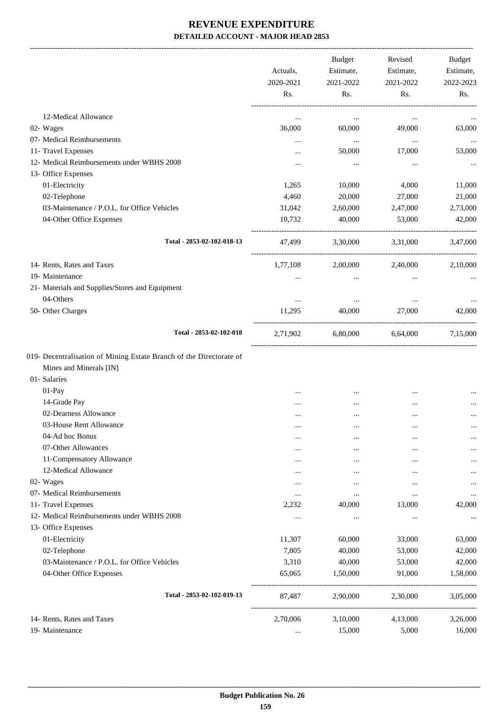|                                                                     | Actuals,<br>2020-2021 | Budget<br>Estimate,<br>2021-2022 | Revised<br>Estimate,<br>2021-2022 | Budget<br>Estimate,<br>2022-2023 |
|---------------------------------------------------------------------|-----------------------|----------------------------------|-----------------------------------|----------------------------------|
|                                                                     | Rs.                   | Rs.                              | Rs.                               | Rs.                              |
| 12-Medical Allowance                                                | $\cdots$              | $\cdots$                         | $\cdots$                          |                                  |
| 02- Wages                                                           | 36,000                | 60,000                           | 49,000                            | 63,000                           |
| 07- Medical Reimbursements                                          |                       | $\ldots$                         | $\cdots$                          | $\cdots$                         |
| 11- Travel Expenses                                                 |                       | 50,000                           | 17,000                            | 53,000                           |
| 12- Medical Reimbursements under WBHS 2008                          |                       | $\ldots$                         | $\cdots$                          |                                  |
| 13- Office Expenses                                                 |                       |                                  |                                   | $\cdots$                         |
| 01-Electricity                                                      | 1,265                 | 10,000                           | 4,000                             | 11,000                           |
| 02-Telephone                                                        | 4,460                 | 20,000                           | 27,000                            | 21,000                           |
| 03-Maintenance / P.O.L. for Office Vehicles                         | 31,042                | 2,60,000                         | 2,47,000                          | 2,73,000                         |
| 04-Other Office Expenses                                            | 10,732                | 40,000                           | 53,000                            | 42,000                           |
|                                                                     |                       |                                  |                                   |                                  |
| Total - 2853-02-102-018-13                                          | 47,499                | 3,30,000                         | 3,31,000                          | 3.47,000                         |
| 14- Rents, Rates and Taxes                                          | 1,77,108              | 2,00,000                         | 2,40,000                          | 2,10,000                         |
| 19- Maintenance                                                     | $\cdots$              | $\cdots$                         | $\cdots$                          |                                  |
| 21- Materials and Supplies/Stores and Equipment                     |                       |                                  |                                   |                                  |
| 04-Others                                                           |                       | $\cdots$                         |                                   |                                  |
| 50- Other Charges                                                   | 11,295                | 40,000                           | 27,000                            | 42,000                           |
| Total - 2853-02-102-018                                             | 2,71,902              |                                  | 6,80,000 6,64,000                 | 7,15,000                         |
| 019- Decentralisation of Mining Estate Branch of the Directorate of |                       |                                  |                                   |                                  |
| Mines and Minerals [IN]                                             |                       |                                  |                                   |                                  |
| 01- Salaries                                                        |                       |                                  |                                   |                                  |
| 01-Pay                                                              |                       |                                  |                                   |                                  |
| 14-Grade Pay                                                        |                       |                                  |                                   |                                  |
| 02-Dearness Allowance                                               | .                     |                                  |                                   | $\cdots$                         |
| 03-House Rent Allowance                                             |                       | $\cdots$                         | $\cdots$                          | $\cdots$                         |
| 04-Ad hoc Bonus                                                     |                       | $\cdots$                         |                                   | $\cdots$                         |
| 07-Other Allowances                                                 | $\cdots$              | $\cdots$                         |                                   |                                  |
| 11-Compensatory Allowance                                           |                       |                                  |                                   |                                  |
| 12-Medical Allowance                                                | $\cdots$              | $\cdots$                         |                                   |                                  |
| 02- Wages                                                           |                       | $\cdots$                         |                                   |                                  |
| 07- Medical Reimbursements                                          |                       |                                  | $\ddotsc$                         |                                  |
| 11- Travel Expenses                                                 | 2,232                 | 40,000                           | 13,000                            | 42,000                           |
| 12- Medical Reimbursements under WBHS 2008                          |                       |                                  |                                   |                                  |
| 13- Office Expenses                                                 |                       |                                  |                                   |                                  |
| 01-Electricity                                                      | 11,307                | 60,000                           | 33,000                            | 63,000                           |
| 02-Telephone                                                        | 7,805                 | 40,000                           | 53,000                            | 42,000                           |
| 03-Maintenance / P.O.L. for Office Vehicles                         | 3,310                 | 40,000                           | 53,000                            | 42,000                           |
| 04-Other Office Expenses                                            | 65,065                | 1,50,000                         | 91,000                            | 1,58,000                         |
| Total - 2853-02-102-019-13                                          | 87,487                | 2,90,000                         | 2,30,000                          | 3,05,000                         |
| 14- Rents, Rates and Taxes                                          | 2,70,006              | 3,10,000                         | 4,13,000                          | 3,26,000                         |
| 19- Maintenance                                                     |                       | 15,000                           | 5,000                             | 16,000                           |
|                                                                     |                       |                                  |                                   |                                  |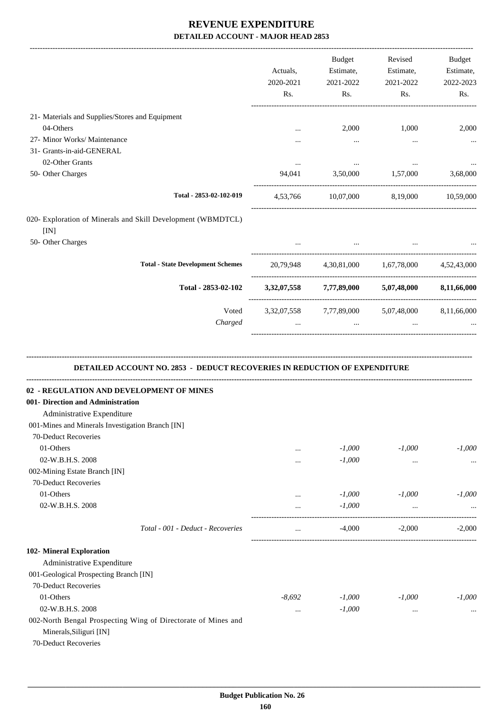|                                                                                                                                                                                          | Actuals,<br>2020-2021<br>Rs. | <b>Budget</b><br>Estimate,<br>2021-2022<br>Rs.                                                     | Revised<br>Estimate,<br>2021-2022<br>Rs. | Budget<br>Estimate,<br>2022-2023<br>Rs. |
|------------------------------------------------------------------------------------------------------------------------------------------------------------------------------------------|------------------------------|----------------------------------------------------------------------------------------------------|------------------------------------------|-----------------------------------------|
| 21- Materials and Supplies/Stores and Equipment                                                                                                                                          |                              |                                                                                                    |                                          |                                         |
| 04-Others                                                                                                                                                                                |                              | 2,000                                                                                              | 1,000                                    | 2,000                                   |
| 27- Minor Works/ Maintenance                                                                                                                                                             |                              | $\cdots$                                                                                           | $\cdots$                                 |                                         |
| 31- Grants-in-aid-GENERAL                                                                                                                                                                |                              |                                                                                                    |                                          |                                         |
| 02-Other Grants                                                                                                                                                                          | $\cdots$                     | $\cdots$                                                                                           | $\cdots$                                 |                                         |
| 50- Other Charges                                                                                                                                                                        |                              | 94,041 3,50,000 1,57,000                                                                           |                                          | 3,68,000                                |
| Total - 2853-02-102-019                                                                                                                                                                  |                              | 4,53,766 10,07,000 8,19,000 10,59,000                                                              |                                          |                                         |
| 020- Exploration of Minerals and Skill Development (WBMDTCL)                                                                                                                             |                              |                                                                                                    |                                          |                                         |
| [IN]<br>50- Other Charges                                                                                                                                                                |                              |                                                                                                    |                                          |                                         |
| <b>Total - State Development Schemes</b>                                                                                                                                                 |                              | 20,79,948 4,30,81,000 1,67,78,000 4,52,43,000                                                      |                                          |                                         |
| Total - 2853-02-102                                                                                                                                                                      |                              | 3,32,07,558 7,77,89,000 5,07,48,000 8,11,66,000                                                    |                                          |                                         |
| Voted<br>Charged                                                                                                                                                                         | $\mathbf{r}$                 | 3,32,07,558 7,77,89,000 5,07,48,000 8,11,66,000<br>the contract of the contract of the contract of | $\cdots$                                 |                                         |
| DETAILED ACCOUNT NO. 2853 - DEDUCT RECOVERIES IN REDUCTION OF EXPENDITURE<br>02 - REGULATION AND DEVELOPMENT OF MINES<br>001- Direction and Administration<br>Administrative Expenditure |                              |                                                                                                    |                                          |                                         |
| 001-Mines and Minerals Investigation Branch [IN]                                                                                                                                         |                              |                                                                                                    |                                          |                                         |
| 70-Deduct Recoveries                                                                                                                                                                     |                              |                                                                                                    |                                          |                                         |
| 01-Others                                                                                                                                                                                |                              | $-1,000$                                                                                           | $-1,000$                                 | $-1,000$                                |
| 02-W.B.H.S. 2008                                                                                                                                                                         |                              | $-1,000$                                                                                           | $\cdots$                                 |                                         |
| 002-Mining Estate Branch [IN]                                                                                                                                                            |                              |                                                                                                    |                                          |                                         |
| 70-Deduct Recoveries                                                                                                                                                                     |                              |                                                                                                    |                                          |                                         |
| 01-Others                                                                                                                                                                                |                              | $-1,000$                                                                                           | $-1,000$                                 | $-1,000$                                |
| 02-W.B.H.S. 2008                                                                                                                                                                         | $\cdots$                     | $-1,000$                                                                                           | $\ldots$                                 |                                         |
| Total - 001 - Deduct - Recoveries                                                                                                                                                        |                              | $-4,000$                                                                                           | $-2,000$                                 | $-2,000$                                |
| 102- Mineral Exploration                                                                                                                                                                 |                              |                                                                                                    |                                          |                                         |
| Administrative Expenditure                                                                                                                                                               |                              |                                                                                                    |                                          |                                         |
| 001-Geological Prospecting Branch [IN]                                                                                                                                                   |                              |                                                                                                    |                                          |                                         |
| 70-Deduct Recoveries                                                                                                                                                                     |                              |                                                                                                    |                                          |                                         |
|                                                                                                                                                                                          |                              |                                                                                                    |                                          |                                         |
| 01-Others                                                                                                                                                                                | $-8,692$                     | $-1,000$                                                                                           | $-1,000$                                 | $-1,000$                                |
| 02-W.B.H.S. 2008                                                                                                                                                                         |                              | $-1,000$                                                                                           | $\cdots$                                 | $\cdots$                                |

Minerals,Siliguri [IN] 70-Deduct Recoveries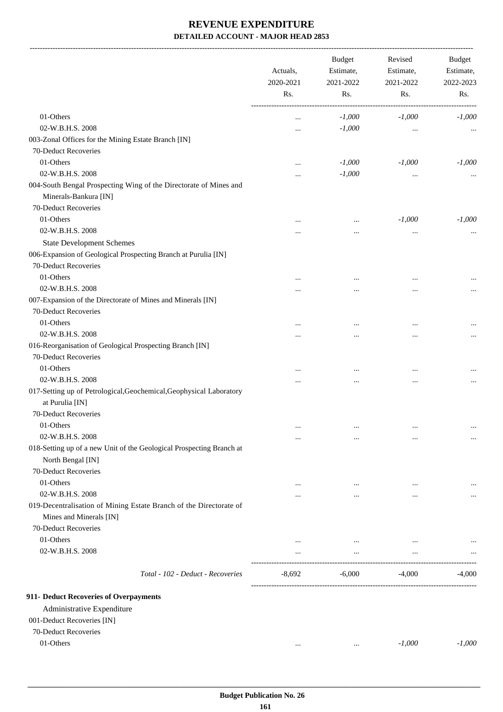-------------------------------------------------------------------------------------------------------------------------------------------------------------------------------

|                                                                                               | Actuals,<br>2020-2021<br>Rs. | <b>Budget</b><br>Estimate,<br>2021-2022<br>Rs. | Revised<br>Estimate,<br>2021-2022<br>Rs. | <b>Budget</b><br>Estimate,<br>2022-2023<br>Rs. |
|-----------------------------------------------------------------------------------------------|------------------------------|------------------------------------------------|------------------------------------------|------------------------------------------------|
| 01-Others                                                                                     |                              | $-1,000$                                       | $-1,000$                                 | $-1,000$                                       |
| 02-W.B.H.S. 2008                                                                              | $\cdots$                     | $-1,000$                                       |                                          |                                                |
| 003-Zonal Offices for the Mining Estate Branch [IN]                                           | $\ddotsc$                    |                                                | $\cdots$                                 |                                                |
| 70-Deduct Recoveries                                                                          |                              |                                                |                                          |                                                |
| 01-Others                                                                                     |                              | $-1,000$                                       | $-1,000$                                 | $-1,000$                                       |
| 02-W.B.H.S. 2008                                                                              | $\cdots$                     | $-1,000$                                       |                                          |                                                |
| 004-South Bengal Prospecting Wing of the Directorate of Mines and<br>Minerals-Bankura [IN]    | $\ddotsc$                    |                                                | $\ddotsc$                                |                                                |
| 70-Deduct Recoveries                                                                          |                              |                                                |                                          |                                                |
| 01-Others                                                                                     | $\ddotsc$                    | $\cdots$                                       | $-1,000$                                 | $-1,000$                                       |
| 02-W.B.H.S. 2008                                                                              | $\ddotsc$                    | $\cdots$                                       | $\ddotsc$                                |                                                |
| <b>State Development Schemes</b>                                                              |                              |                                                |                                          |                                                |
| 006-Expansion of Geological Prospecting Branch at Purulia [IN]<br>70-Deduct Recoveries        |                              |                                                |                                          |                                                |
| 01-Others                                                                                     |                              |                                                |                                          |                                                |
| 02-W.B.H.S. 2008                                                                              |                              | $\ddotsc$                                      | $\ddotsc$                                |                                                |
| 007-Expansion of the Directorate of Mines and Minerals [IN]                                   |                              |                                                |                                          |                                                |
| 70-Deduct Recoveries                                                                          |                              |                                                |                                          |                                                |
| 01-Others                                                                                     |                              | $\ddotsc$                                      | $\ddotsc$                                |                                                |
| 02-W.B.H.S. 2008                                                                              |                              | $\ddotsc$                                      | $\ddotsc$                                |                                                |
| 016-Reorganisation of Geological Prospecting Branch [IN]                                      |                              |                                                |                                          |                                                |
| 70-Deduct Recoveries                                                                          |                              |                                                |                                          |                                                |
| 01-Others                                                                                     |                              | $\ddotsc$                                      | $\ddotsc$                                |                                                |
| 02-W.B.H.S. 2008                                                                              |                              | $\ddotsc$                                      | $\ddotsc$                                |                                                |
| 017-Setting up of Petrological, Geochemical, Geophysical Laboratory<br>at Purulia [IN]        |                              |                                                |                                          |                                                |
| 70-Deduct Recoveries                                                                          |                              |                                                |                                          |                                                |
| 01-Others                                                                                     | $\ddotsc$                    | $\ddotsc$                                      | $\ddotsc$                                |                                                |
| 02-W.B.H.S. 2008                                                                              | $\ddotsc$                    | $\cdots$                                       | $\ddotsc$                                |                                                |
| 018-Setting up of a new Unit of the Geological Prospecting Branch at<br>North Bengal [IN]     |                              |                                                |                                          |                                                |
| 70-Deduct Recoveries                                                                          |                              |                                                |                                          |                                                |
| 01-Others                                                                                     | $\ddotsc$                    | $\cdots$                                       | $\ddotsc$                                |                                                |
| 02-W.B.H.S. 2008                                                                              |                              | $\cdots$                                       | $\cdots$                                 |                                                |
| 019-Decentralisation of Mining Estate Branch of the Directorate of<br>Mines and Minerals [IN] |                              |                                                |                                          |                                                |
| 70-Deduct Recoveries                                                                          |                              |                                                |                                          |                                                |
| 01-Others                                                                                     | $\cdots$                     | $\cdots$                                       | $\cdots$                                 |                                                |
| 02-W.B.H.S. 2008                                                                              | $\cdots$                     | $\cdots$                                       | $\cdots$                                 |                                                |
| Total - 102 - Deduct - Recoveries                                                             | $-8,692$                     | $-6,000$                                       | $-4,000$                                 | $-4,000$                                       |
| 911- Deduct Recoveries of Overpayments                                                        |                              |                                                |                                          |                                                |
| Administrative Expenditure                                                                    |                              |                                                |                                          |                                                |
| 001-Deduct Recoveries [IN]                                                                    |                              |                                                |                                          |                                                |
| 70-Deduct Recoveries                                                                          |                              |                                                |                                          |                                                |
| 01-Others                                                                                     | $\cdots$                     | $\cdots$                                       | $-1,000$                                 | $-1,000$                                       |
|                                                                                               |                              |                                                |                                          |                                                |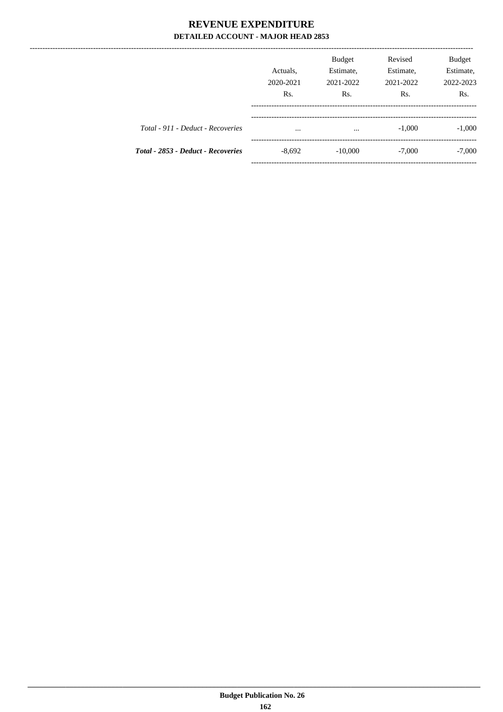----------------

|                                    | Actuals,<br>2020-2021<br>R <sub>s</sub> . | <b>Budget</b><br>Estimate,<br>2021-2022<br>R <sub>s</sub> . | Revised<br>Estimate,<br>2021-2022<br>Rs. | <b>Budget</b><br>Estimate,<br>2022-2023<br>Rs. |
|------------------------------------|-------------------------------------------|-------------------------------------------------------------|------------------------------------------|------------------------------------------------|
| Total - 911 - Deduct - Recoveries  | $\cdots$                                  | $\cdots$                                                    | $-1,000$                                 | $-1,000$                                       |
| Total - 2853 - Deduct - Recoveries | $-8,692$                                  | $-10,000$                                                   | $-7,000$                                 | $-7,000$                                       |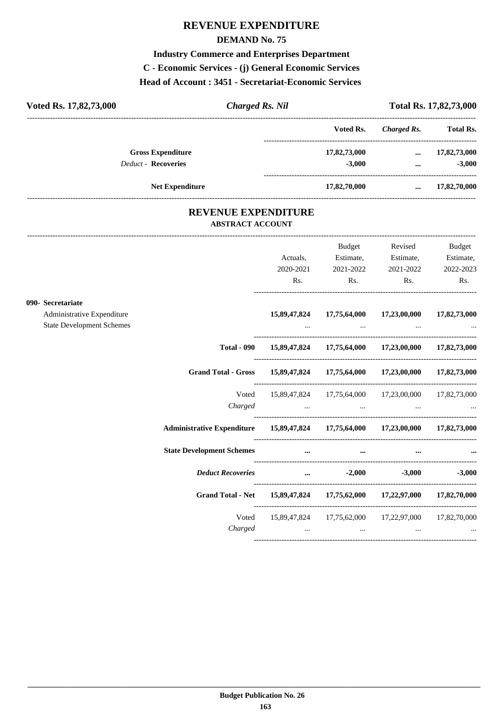# **REVENUE EXPENDITURE**

## **DEMAND No. 75**

## **Industry Commerce and Enterprises Department**

**C - Economic Services - (j) General Economic Services**

**Head of Account : 3451 - Secretariat-Economic Services** 

| Voted Rs. 17,82,73,000     | <b>Charged Rs. Nil</b> |              |             | Total Rs. 17,82,73,000 |
|----------------------------|------------------------|--------------|-------------|------------------------|
|                            |                        | Voted Rs.    | Charged Rs. | <b>Total Rs.</b>       |
| <b>Gross Expenditure</b>   |                        | 17,82,73,000 | $\cdots$    | 17,82,73,000           |
| <b>Deduct - Recoveries</b> |                        | $-3,000$     | $\cdots$    | $-3,000$               |
| <b>Net Expenditure</b>     |                        | 17,82,70,000 |             | 17,82,70,000           |

## **REVENUE EXPENDITURE ABSTRACT ACCOUNT**

---------------------------------------------------------------------------------------------------------------------------------------------------------------------------------

|                                                                |                                                                                |              | Budget         | Revised                                                                                                                                                                                                                                                                                       | Budget       |
|----------------------------------------------------------------|--------------------------------------------------------------------------------|--------------|----------------|-----------------------------------------------------------------------------------------------------------------------------------------------------------------------------------------------------------------------------------------------------------------------------------------------|--------------|
|                                                                |                                                                                | Actuals,     | Estimate,      | Estimate,                                                                                                                                                                                                                                                                                     | Estimate,    |
|                                                                |                                                                                | 2020-2021    | 2021-2022      | 2021-2022                                                                                                                                                                                                                                                                                     | 2022-2023    |
|                                                                |                                                                                | Rs.          | $\mathbf{Rs.}$ | Rs.                                                                                                                                                                                                                                                                                           | Rs.          |
| 090- Secretariate                                              |                                                                                |              |                |                                                                                                                                                                                                                                                                                               |              |
| Administrative Expenditure<br><b>State Development Schemes</b> |                                                                                | 15,89,47,824 | 17,75,64,000   | 17,23,00,000                                                                                                                                                                                                                                                                                  | 17,82,73,000 |
|                                                                |                                                                                |              |                | the contract of the contract of the contract of the contract of the contract of the contract of the                                                                                                                                                                                           |              |
|                                                                |                                                                                |              |                | Total - 090 15,89,47,824 17,75,64,000 17,23,00,000 17,82,73,000                                                                                                                                                                                                                               |              |
|                                                                | Grand Total - Gross 15,89,47,824 17,75,64,000 17,23,00,000 17,82,73,000        |              |                |                                                                                                                                                                                                                                                                                               |              |
|                                                                | Voted                                                                          |              |                | 15,89,47,824 17,75,64,000 17,23,00,000 17,82,73,000                                                                                                                                                                                                                                           |              |
|                                                                |                                                                                |              |                |                                                                                                                                                                                                                                                                                               |              |
|                                                                | Administrative Expenditure 15,89,47,824 17,75,64,000 17,23,00,000 17,82,73,000 |              |                |                                                                                                                                                                                                                                                                                               |              |
|                                                                | <b>State Development Schemes</b>                                               |              |                | $\frac{1}{2}$ and $\frac{1}{2}$ are $\frac{1}{2}$ and $\frac{1}{2}$ are $\frac{1}{2}$ and $\frac{1}{2}$ are $\frac{1}{2}$ and $\frac{1}{2}$ are $\frac{1}{2}$ are $\frac{1}{2}$ and $\frac{1}{2}$ are $\frac{1}{2}$ and $\frac{1}{2}$ are $\frac{1}{2}$ and $\frac{1}{2}$ are $\frac{1}{2}$ a |              |
|                                                                | <i>Deduct Recoveries</i> 2,000 -3,000 -3,000                                   |              |                |                                                                                                                                                                                                                                                                                               |              |
|                                                                | Grand Total - Net 15,89,47,824 17,75,62,000 17,22,97,000 17,82,70,000          |              |                |                                                                                                                                                                                                                                                                                               |              |
|                                                                |                                                                                |              |                | Voted 15,89,47,824 17,75,62,000 17,22,97,000 17,82,70,000                                                                                                                                                                                                                                     |              |
|                                                                |                                                                                |              |                |                                                                                                                                                                                                                                                                                               |              |
|                                                                |                                                                                |              |                |                                                                                                                                                                                                                                                                                               |              |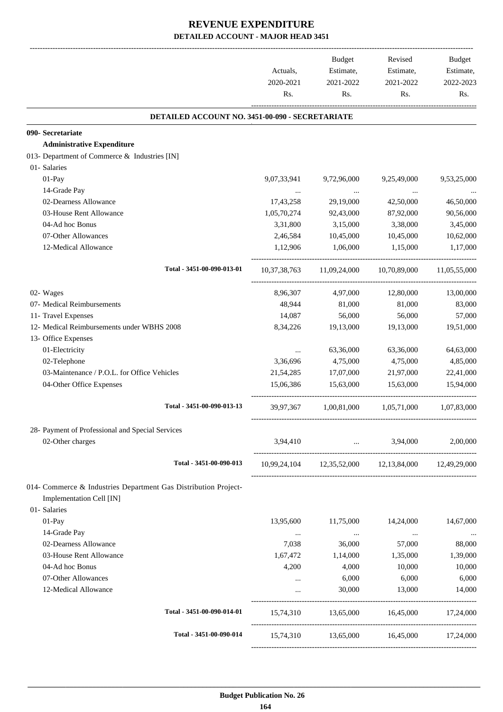|                                                                                             | Actuals,<br>2020-2021<br>Rs. | <b>Budget</b><br>Estimate,<br>2021-2022<br>Rs. | Revised<br>Estimate,<br>2021-2022<br>Rs.               | <b>Budget</b><br>Estimate,<br>2022-2023<br>Rs. |
|---------------------------------------------------------------------------------------------|------------------------------|------------------------------------------------|--------------------------------------------------------|------------------------------------------------|
| DETAILED ACCOUNT NO. 3451-00-090 - SECRETARIATE                                             |                              |                                                |                                                        |                                                |
| 090- Secretariate                                                                           |                              |                                                |                                                        |                                                |
| <b>Administrative Expenditure</b>                                                           |                              |                                                |                                                        |                                                |
| 013- Department of Commerce & Industries [IN]                                               |                              |                                                |                                                        |                                                |
| 01- Salaries                                                                                |                              |                                                |                                                        |                                                |
| 01-Pay                                                                                      | 9,07,33,941                  | 9,72,96,000                                    | 9,25,49,000                                            | 9,53,25,000                                    |
| 14-Grade Pay                                                                                | $\cdots$                     | $\cdots$                                       |                                                        |                                                |
| 02-Dearness Allowance                                                                       | 17,43,258                    | 29,19,000                                      | 42,50,000                                              | 46,50,000                                      |
| 03-House Rent Allowance                                                                     | 1,05,70,274                  | 92,43,000                                      | 87,92,000                                              | 90,56,000                                      |
| 04-Ad hoc Bonus                                                                             | 3,31,800                     | 3,15,000                                       | 3,38,000                                               | 3,45,000                                       |
| 07-Other Allowances                                                                         | 2,46,584                     | 10,45,000                                      | 10,45,000                                              | 10,62,000                                      |
| 12-Medical Allowance                                                                        | 1,12,906                     | 1,06,000                                       | 1,15,000                                               | 1,17,000                                       |
| Total - 3451-00-090-013-01                                                                  |                              |                                                | 10,37,38,763 11,09,24,000 10,70,89,000                 | 11,05,55,000                                   |
| 02- Wages                                                                                   | 8,96,307                     | 4,97,000                                       | 12,80,000                                              | 13,00,000                                      |
| 07- Medical Reimbursements                                                                  | 48,944                       | 81,000                                         | 81,000                                                 | 83,000                                         |
| 11- Travel Expenses                                                                         | 14,087                       | 56,000                                         | 56,000                                                 | 57,000                                         |
| 12- Medical Reimbursements under WBHS 2008                                                  | 8,34,226                     | 19,13,000                                      | 19,13,000                                              | 19,51,000                                      |
| 13- Office Expenses<br>01-Electricity                                                       |                              | 63,36,000                                      | 63,36,000                                              | 64,63,000                                      |
| 02-Telephone                                                                                | $\cdots$<br>3,36,696         | 4,75,000                                       | 4,75,000                                               | 4,85,000                                       |
| 03-Maintenance / P.O.L. for Office Vehicles                                                 | 21,54,285                    | 17,07,000                                      | 21,97,000                                              | 22,41,000                                      |
| 04-Other Office Expenses                                                                    | 15.06.386                    | 15,63,000                                      | 15.63.000                                              | 15,94,000                                      |
| Total - 3451-00-090-013-13                                                                  |                              | 39,97,367 1,00,81,000 1,05,71,000              |                                                        | 1,07,83,000                                    |
| 28- Payment of Professional and Special Services                                            |                              |                                                |                                                        |                                                |
| 02-Other charges                                                                            | 3,94,410                     | $\mathbf{r}$ and $\mathbf{r}$ and $\mathbf{r}$ | 3,94,000                                               | 2,00,000                                       |
|                                                                                             |                              |                                                |                                                        |                                                |
| Total - 3451-00-090-013                                                                     |                              |                                                | 10,99,24,104  12,35,52,000  12,13,84,000  12,49,29,000 |                                                |
| 014- Commerce & Industries Department Gas Distribution Project-<br>Implementation Cell [IN] |                              |                                                |                                                        |                                                |
| 01- Salaries                                                                                |                              |                                                |                                                        |                                                |
| 01-Pay                                                                                      | 13,95,600                    | 11,75,000                                      | 14,24,000                                              | 14,67,000                                      |
| 14-Grade Pay                                                                                | $\ldots$                     | $\cdots$                                       | $\cdots$                                               |                                                |
| 02-Dearness Allowance                                                                       | 7,038                        | 36,000                                         | 57,000                                                 | 88,000                                         |
| 03-House Rent Allowance                                                                     | 1,67,472                     | 1,14,000                                       | 1,35,000                                               | 1,39,000                                       |
| 04-Ad hoc Bonus                                                                             | 4,200                        | 4,000                                          | 10,000                                                 | 10,000                                         |
| 07-Other Allowances                                                                         | $\cdots$                     | 6,000                                          | 6,000                                                  | 6,000                                          |
| 12-Medical Allowance                                                                        | $\cdots$                     | 30,000                                         | 13,000                                                 | 14,000                                         |
| Total - 3451-00-090-014-01                                                                  |                              |                                                | 15,74,310 13,65,000 16,45,000 17,24,000                |                                                |
| Total - 3451-00-090-014                                                                     |                              |                                                | 15,74,310 13,65,000 16,45,000 17,24,000                |                                                |
|                                                                                             |                              |                                                |                                                        |                                                |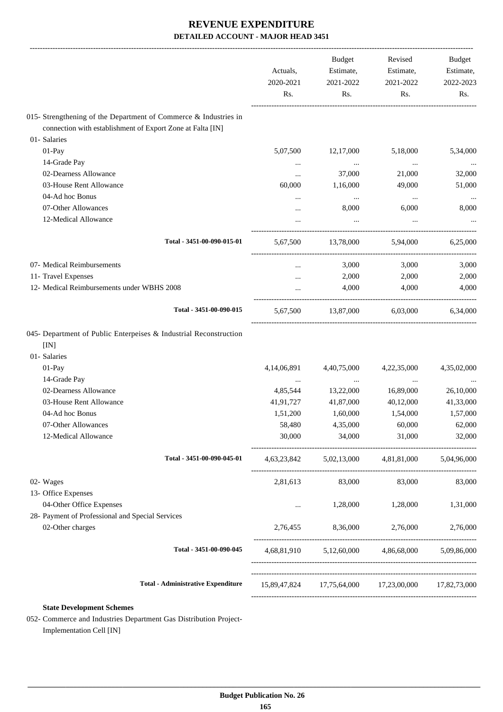|                                                                                                                                | Actuals,<br>2020-2021<br>Rs. | Budget<br>Estimate,<br>2021-2022<br>Rs. | Revised<br>Estimate,<br>2021-2022<br>Rs.        | Budget<br>Estimate,<br>2022-2023<br>Rs. |
|--------------------------------------------------------------------------------------------------------------------------------|------------------------------|-----------------------------------------|-------------------------------------------------|-----------------------------------------|
| 015- Strengthening of the Department of Commerce & Industries in<br>connection with establishment of Export Zone at Falta [IN] |                              |                                         |                                                 |                                         |
| 01- Salaries                                                                                                                   |                              |                                         |                                                 |                                         |
| 01-Pay                                                                                                                         | 5,07,500                     | 12,17,000                               | 5,18,000                                        | 5,34,000                                |
| 14-Grade Pay                                                                                                                   |                              | $\cdots$                                |                                                 |                                         |
| 02-Dearness Allowance                                                                                                          | $\cdots$<br>$\cdots$         | 37,000                                  | $\cdots$<br>21,000                              | 32,000                                  |
| 03-House Rent Allowance                                                                                                        | 60,000                       | 1,16,000                                | 49,000                                          | 51,000                                  |
| 04-Ad hoc Bonus                                                                                                                |                              | $\ldots$                                | $\cdots$                                        | $\ldots$                                |
| 07-Other Allowances                                                                                                            |                              | 8,000                                   | 6,000                                           | 8,000                                   |
| 12-Medical Allowance                                                                                                           |                              |                                         |                                                 |                                         |
| Total - 3451-00-090-015-01                                                                                                     | 5.67.500                     | 13,78,000                               | 5.94.000                                        | 6,25,000                                |
| 07- Medical Reimbursements                                                                                                     | $\cdots$                     | 3,000                                   | 3,000                                           | 3,000                                   |
| 11- Travel Expenses                                                                                                            |                              | 2,000                                   | 2,000                                           | 2,000                                   |
| 12- Medical Reimbursements under WBHS 2008                                                                                     | $\cdots$                     | 4,000                                   | 4,000                                           | 4,000                                   |
| Total - 3451-00-090-015                                                                                                        | 5,67,500                     |                                         | 13,87,000 6,03,000 6,34,000                     |                                         |
|                                                                                                                                |                              |                                         |                                                 |                                         |
| 045- Department of Public Enterpeises & Industrial Reconstruction                                                              |                              |                                         |                                                 |                                         |
| [IN]                                                                                                                           |                              |                                         |                                                 |                                         |
| 01- Salaries                                                                                                                   |                              |                                         |                                                 |                                         |
| 01-Pay                                                                                                                         | 4,14,06,891                  | 4,40,75,000                             | 4,22,35,000                                     |                                         |
| 14-Grade Pay                                                                                                                   | $\cdots$                     | $\cdots$                                | $\cdots$                                        | 4,35,02,000<br>$\cdots$                 |
| 02-Dearness Allowance                                                                                                          | 4,85,544                     | 13,22,000                               | 16,89,000                                       | 26,10,000                               |
| 03-House Rent Allowance                                                                                                        | 41,91,727                    | 41,87,000                               | 40,12,000                                       |                                         |
| 04-Ad hoc Bonus                                                                                                                | 1,51,200                     | 1,60,000                                | 1,54,000                                        | 41,33,000<br>1,57,000                   |
| 07-Other Allowances<br>12-Medical Allowance                                                                                    | 58,480<br>30,000             | 4,35,000<br>34,000                      | 60,000<br>31,000                                | 62,000<br>32,000                        |
| Total - 3451-00-090-045-01                                                                                                     |                              |                                         | 4,63,23,842 5,02,13,000 4,81,81,000 5,04,96,000 |                                         |
|                                                                                                                                |                              |                                         |                                                 |                                         |
| 02- Wages                                                                                                                      | 2,81,613                     | 83,000                                  | 83,000                                          | 83,000                                  |
| 13- Office Expenses                                                                                                            |                              |                                         |                                                 |                                         |
| 04-Other Office Expenses                                                                                                       | $\cdots$                     | 1,28,000                                | 1,28,000                                        | 1,31,000                                |
| 28- Payment of Professional and Special Services<br>02-Other charges                                                           |                              | 2,76,455 8,36,000                       | 2,76,000                                        |                                         |
| Total - 3451-00-090-045                                                                                                        |                              |                                         | 4,68,81,910 5,12,60,000 4,86,68,000 5,09,86,000 | 2,76,000                                |

**State Development Schemes**

052- Commerce and Industries Department Gas Distribution Project-Implementation Cell [IN]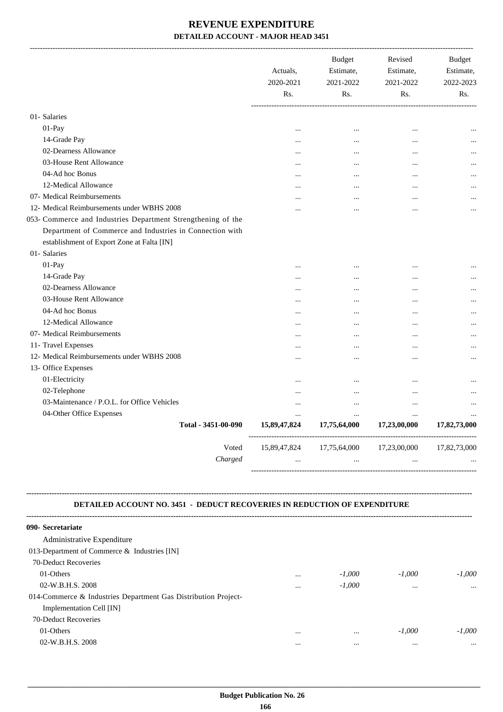|                                                              | Actuals,<br>2020-2021<br>Rs. | <b>Budget</b><br>Estimate,<br>2021-2022<br>Rs. | Revised<br>Estimate,<br>2021-2022<br>Rs. | <b>Budget</b><br>Estimate,<br>2022-2023<br>Rs. |
|--------------------------------------------------------------|------------------------------|------------------------------------------------|------------------------------------------|------------------------------------------------|
| 01-Salaries                                                  |                              |                                                |                                          |                                                |
| 01-Pay                                                       | $\ddotsc$                    | $\ddotsc$                                      | $\ddotsc$                                |                                                |
| 14-Grade Pay                                                 | .                            | $\ddotsc$                                      | $\ddotsc$                                |                                                |
| 02-Dearness Allowance                                        | .                            | $\ddotsc$                                      | $\cdots$                                 |                                                |
| 03-House Rent Allowance                                      |                              |                                                | $\cdots$                                 |                                                |
| 04-Ad hoc Bonus                                              |                              |                                                |                                          |                                                |
| 12-Medical Allowance                                         |                              |                                                |                                          |                                                |
| 07- Medical Reimbursements                                   |                              |                                                | $\ddotsc$                                |                                                |
| 12- Medical Reimbursements under WBHS 2008                   |                              |                                                |                                          |                                                |
| 053- Commerce and Industries Department Strengthening of the |                              |                                                |                                          |                                                |
| Department of Commerce and Industries in Connection with     |                              |                                                |                                          |                                                |
| establishment of Export Zone at Falta [IN]                   |                              |                                                |                                          |                                                |
| 01- Salaries                                                 |                              |                                                |                                          |                                                |
| $01-Pay$                                                     |                              |                                                | $\ddotsc$                                |                                                |
| 14-Grade Pay                                                 |                              |                                                | $\ddotsc$                                |                                                |
| 02-Dearness Allowance                                        | .                            |                                                | $\cdots$                                 |                                                |
| 03-House Rent Allowance                                      | .                            |                                                | $\ddotsc$                                |                                                |
| 04-Ad hoc Bonus                                              |                              | .                                              |                                          |                                                |
| 12-Medical Allowance                                         | .                            | $\cdot \cdot$                                  | $\ddotsc$                                |                                                |
| 07- Medical Reimbursements                                   | .                            | $\cdot \cdot$                                  | $\ddotsc$                                |                                                |
| 11- Travel Expenses                                          |                              | $\cdot \cdot$                                  | $\ddotsc$                                |                                                |
| 12- Medical Reimbursements under WBHS 2008                   | .                            |                                                | $\ddotsc$                                |                                                |
| 13- Office Expenses                                          |                              |                                                |                                          |                                                |
| 01-Electricity                                               |                              | $\ddotsc$                                      |                                          |                                                |
| 02-Telephone                                                 | $\cdot \cdot$                | $\ddotsc$                                      |                                          |                                                |
| 03-Maintenance / P.O.L. for Office Vehicles                  |                              | $\cdots$                                       | $\cdots$                                 |                                                |
| 04-Other Office Expenses                                     | $\cdots$                     | $\cdots$                                       | $\cdots$                                 |                                                |
| Total - 3451-00-090                                          | 15,89,47,824                 | 17,75,64,000                                   | 17,23,00,000                             | 17,82,73,000                                   |
| Voted                                                        | 15,89,47,824                 | 17,75,64,000                                   | 17,23,00,000                             | 17,82,73,000                                   |
| Charged                                                      |                              |                                                |                                          |                                                |

#### **DETAILED ACCOUNT NO. 3451 - DEDUCT RECOVERIES IN REDUCTION OF EXPENDITURE**

**--------------------------------------------------------------------------------------------------------------------------------------------------------------------------------**

| 090- Secretariate                                              |          |          |          |          |
|----------------------------------------------------------------|----------|----------|----------|----------|
| Administrative Expenditure                                     |          |          |          |          |
| 013-Department of Commerce & Industries [IN]                   |          |          |          |          |
| 70-Deduct Recoveries                                           |          |          |          |          |
| 01-Others                                                      | $\cdots$ | $-1,000$ | $-1.000$ | $-1.000$ |
| 02-W.B.H.S. 2008                                               | $\cdots$ | $-1.000$ | $\cdots$ | $\cdots$ |
| 014-Commerce & Industries Department Gas Distribution Project- |          |          |          |          |
| Implementation Cell [IN]                                       |          |          |          |          |
| 70-Deduct Recoveries                                           |          |          |          |          |
| 01-Others                                                      | $\cdots$ |          | $-1,000$ | $-1.000$ |
| 02-W.B.H.S. 2008                                               |          |          | $\cdots$ | $\cdots$ |
|                                                                |          |          |          |          |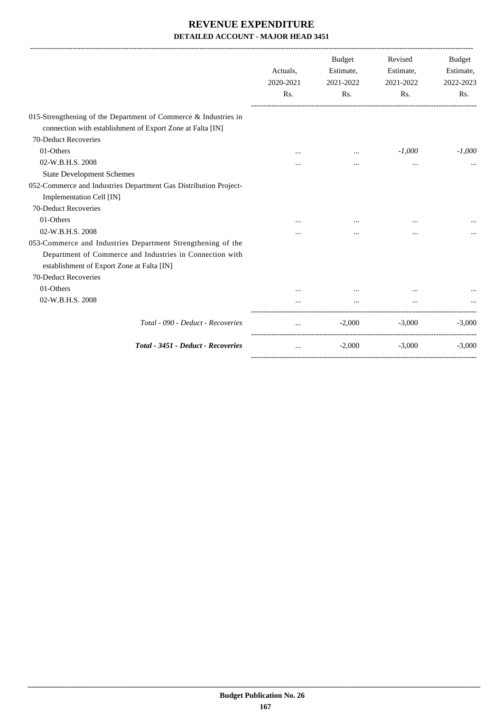|                                                                                                                                                                       | Actuals,<br>2020-2021<br>Rs. | Budget<br>Estimate,<br>2021-2022<br>Rs. | Revised<br>Estimate,<br>2021-2022<br>Rs. | Budget<br>Estimate,<br>2022-2023<br>Rs. |
|-----------------------------------------------------------------------------------------------------------------------------------------------------------------------|------------------------------|-----------------------------------------|------------------------------------------|-----------------------------------------|
| 015-Strengthening of the Department of Commerce & Industries in<br>connection with establishment of Export Zone at Falta [IN]                                         |                              |                                         |                                          |                                         |
| 70-Deduct Recoveries                                                                                                                                                  |                              |                                         |                                          |                                         |
| 01-Others                                                                                                                                                             | $\cdots$                     | $\cdots$                                | $-1,000$                                 | $-1,000$                                |
| 02-W.B.H.S. 2008                                                                                                                                                      |                              |                                         |                                          |                                         |
| <b>State Development Schemes</b>                                                                                                                                      |                              |                                         |                                          |                                         |
| 052-Commerce and Industries Department Gas Distribution Project-<br>Implementation Cell [IN]                                                                          |                              |                                         |                                          |                                         |
| 70-Deduct Recoveries                                                                                                                                                  |                              |                                         |                                          |                                         |
| 01-Others                                                                                                                                                             |                              |                                         |                                          |                                         |
| 02-W.B.H.S. 2008                                                                                                                                                      |                              | $\cdots$                                | $\cdots$                                 |                                         |
| 053-Commerce and Industries Department Strengthening of the<br>Department of Commerce and Industries in Connection with<br>establishment of Export Zone at Falta [IN] |                              |                                         |                                          |                                         |
| 70-Deduct Recoveries                                                                                                                                                  |                              |                                         |                                          |                                         |
| 01-Others                                                                                                                                                             | $\ddotsc$                    | $\cdots$                                |                                          |                                         |
| 02-W.B.H.S. 2008                                                                                                                                                      |                              |                                         |                                          |                                         |
| Total - 090 - Deduct - Recoveries                                                                                                                                     | $\cdots$                     | $-2,000$                                | $-3,000$                                 | $-3,000$                                |
| Total - 3451 - Deduct - Recoveries                                                                                                                                    | $\cdots$                     | $-2,000$                                | $-3,000$                                 | $-3,000$                                |
|                                                                                                                                                                       |                              |                                         |                                          |                                         |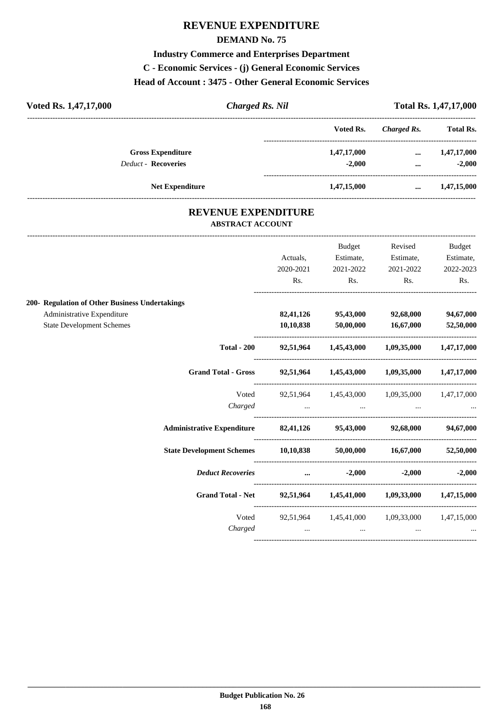## **REVENUE EXPENDITURE**

## **DEMAND No. 75**

**Industry Commerce and Enterprises Department C - Economic Services - (j) General Economic Services Head of Account : 3475 - Other General Economic Services**

| Voted Rs. 1,47,17,000      | Charged Rs. Nil |             |             | <b>Total Rs. 1,47,17,000</b> |  |  |
|----------------------------|-----------------|-------------|-------------|------------------------------|--|--|
|                            |                 | Voted Rs.   | Charged Rs. | <b>Total Rs.</b>             |  |  |
| <b>Gross Expenditure</b>   |                 | 1,47,17,000 | $\cdots$    | 1,47,17,000                  |  |  |
| <b>Deduct - Recoveries</b> |                 | $-2.000$    | $\cdots$    | $-2.000$                     |  |  |
| <b>Net Expenditure</b>     |                 | 1,47,15,000 | $\cdots$    | 1,47,15,000                  |  |  |

## **REVENUE EXPENDITURE ABSTRACT ACCOUNT**

---------------------------------------------------------------------------------------------------------------------------------------------------------------------------------

|                                                                    |           | Budget                                                    | Revised   | Budget    |
|--------------------------------------------------------------------|-----------|-----------------------------------------------------------|-----------|-----------|
|                                                                    | Actuals,  | Estimate,                                                 | Estimate, | Estimate, |
|                                                                    | 2020-2021 | 2021-2022                                                 | 2021-2022 | 2022-2023 |
|                                                                    | Rs.       | $\mathbf{Rs.}$                                            | Rs.       | Rs.       |
| 200- Regulation of Other Business Undertakings                     |           |                                                           |           |           |
| Administrative Expenditure                                         |           | 82,41,126 95,43,000                                       | 92,68,000 | 94,67,000 |
| <b>State Development Schemes</b>                                   |           | $10,10,838$ $50,00,000$                                   | 16,67,000 | 52,50,000 |
|                                                                    |           | Total - 200 92,51,964 1,45,43,000 1,09,35,000 1,47,17,000 |           |           |
| Grand Total - Gross 92,51,964 1,45,43,000 1,09,35,000 1,47,17,000  |           |                                                           |           |           |
| Voted                                                              |           | 92,51,964 1,45,43,000 1,09,35,000 1,47,17,000             |           |           |
|                                                                    |           |                                                           |           |           |
| Administrative Expenditure 82,41,126 95,43,000 92,68,000 94,67,000 |           |                                                           |           |           |
| State Development Schemes 10,10,838 50,00,000 16,67,000 52,50,000  |           |                                                           |           |           |
| Deduct Recoveries  2,000 -2,000 -2,000 -2,000                      |           |                                                           |           |           |
| Grand Total - Net 92,51,964 1,45,41,000 1,09,33,000 1,47,15,000    |           |                                                           |           |           |
|                                                                    |           | Voted 92,51,964 1,45,41,000 1,09,33,000 1,47,15,000       |           |           |
|                                                                    |           |                                                           |           |           |
|                                                                    |           |                                                           |           |           |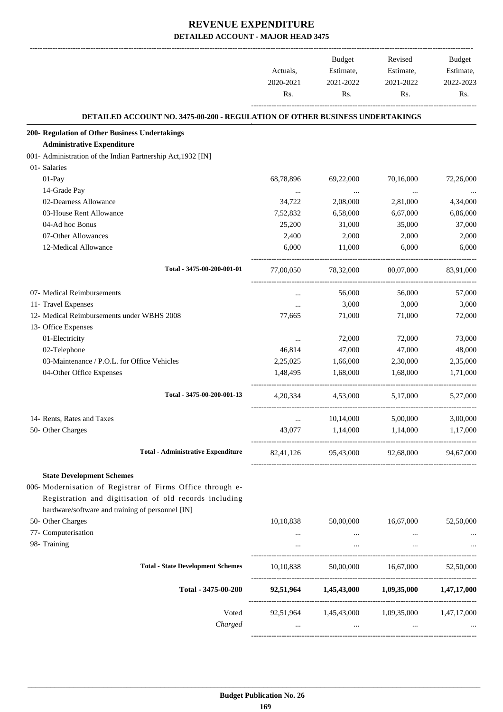|                                                                                                            | Actuals,<br>2020-2021<br>Rs. | Budget<br>Estimate,<br>2021-2022<br>Rs. | Revised<br>Estimate,<br>2021-2022<br>Rs.      | <b>Budget</b><br>Estimate,<br>2022-2023<br>Rs. |
|------------------------------------------------------------------------------------------------------------|------------------------------|-----------------------------------------|-----------------------------------------------|------------------------------------------------|
| <b>DETAILED ACCOUNT NO. 3475-00-200 - REGULATION OF OTHER BUSINESS UNDERTAKINGS</b>                        |                              |                                         |                                               |                                                |
| 200- Regulation of Other Business Undertakings                                                             |                              |                                         |                                               |                                                |
| <b>Administrative Expenditure</b>                                                                          |                              |                                         |                                               |                                                |
| 001- Administration of the Indian Partnership Act, 1932 [IN]                                               |                              |                                         |                                               |                                                |
| 01- Salaries                                                                                               |                              |                                         |                                               |                                                |
| 01-Pay                                                                                                     | 68,78,896                    | 69,22,000                               | 70,16,000                                     | 72,26,000                                      |
| 14-Grade Pay                                                                                               | $\cdots$                     | $\ddotsc$                               | $\ddotsc$                                     |                                                |
| 02-Dearness Allowance                                                                                      | 34,722                       | 2,08,000                                | 2,81,000                                      | 4,34,000                                       |
| 03-House Rent Allowance                                                                                    | 7,52,832                     | 6,58,000                                | 6,67,000                                      | 6,86,000                                       |
| 04-Ad hoc Bonus                                                                                            | 25,200                       | 31,000                                  | 35,000                                        | 37,000                                         |
| 07-Other Allowances                                                                                        | 2,400                        | 2,000                                   | 2,000                                         | 2,000                                          |
| 12-Medical Allowance                                                                                       | 6,000                        | 11,000                                  | 6,000                                         | 6,000                                          |
| Total - 3475-00-200-001-01                                                                                 | 77,00,050                    | 78,32,000                               | 80,07,000                                     | 83.91.000                                      |
| 07- Medical Reimbursements                                                                                 | $\cdots$                     | 56,000                                  | 56,000                                        | 57,000                                         |
| 11- Travel Expenses                                                                                        | $\cdots$                     | 3,000                                   | 3,000                                         | 3,000                                          |
| 12- Medical Reimbursements under WBHS 2008                                                                 | 77,665                       | 71,000                                  | 71,000                                        | 72,000                                         |
| 13- Office Expenses                                                                                        |                              |                                         |                                               |                                                |
| 01-Electricity                                                                                             | $\cdots$                     | 72,000                                  | 72,000                                        | 73,000                                         |
| 02-Telephone                                                                                               | 46,814                       | 47,000                                  | 47,000                                        | 48,000                                         |
| 03-Maintenance / P.O.L. for Office Vehicles                                                                | 2,25,025                     | 1,66,000                                | 2,30,000                                      | 2,35,000                                       |
| 04-Other Office Expenses                                                                                   | 1,48,495                     | 1,68,000                                | 1.68,000                                      | 1,71,000                                       |
| Total - 3475-00-200-001-13                                                                                 | 4, 20, 334                   | 4.53.000                                | 5,17,000                                      | 5,27,000                                       |
| 14- Rents, Rates and Taxes                                                                                 |                              | 10,14,000                               | 5,00,000                                      | 3,00,000                                       |
| 50- Other Charges                                                                                          | $\cdots$<br>43,077           | 1,14,000                                | 1,14,000                                      | 1,17,000                                       |
|                                                                                                            |                              |                                         |                                               |                                                |
| <b>Total - Administrative Expenditure</b>                                                                  |                              |                                         | 82,41,126 95,43,000 92,68,000 94,67,000       |                                                |
| <b>State Development Schemes</b>                                                                           |                              |                                         |                                               |                                                |
| 006-Modernisation of Registrar of Firms Office through e-                                                  |                              |                                         |                                               |                                                |
| Registration and digitisation of old records including<br>hardware/software and training of personnel [IN] |                              |                                         |                                               |                                                |
| 50- Other Charges                                                                                          | 10,10,838                    | 50,00,000                               | 16,67,000                                     | 52,50,000                                      |
| 77- Computerisation                                                                                        |                              |                                         |                                               |                                                |
| 98- Training                                                                                               | $\cdots$                     | $\cdots$<br>$\cdots$                    | $\cdots$<br>$\cdots$                          |                                                |
| <b>Total - State Development Schemes</b>                                                                   |                              |                                         | 10,10,838 50,00,000 16,67,000                 | 52,50,000                                      |
| Total - 3475-00-200                                                                                        |                              |                                         | 92,51,964 1,45,43,000 1,09,35,000 1,47,17,000 |                                                |
|                                                                                                            |                              |                                         |                                               |                                                |
| Voted                                                                                                      |                              |                                         | 92,51,964 1,45,43,000 1,09,35,000 1,47,17,000 |                                                |
| Charged                                                                                                    |                              | and the state of the state              | and the state of the<br>$\ldots$ . $\ldots$   |                                                |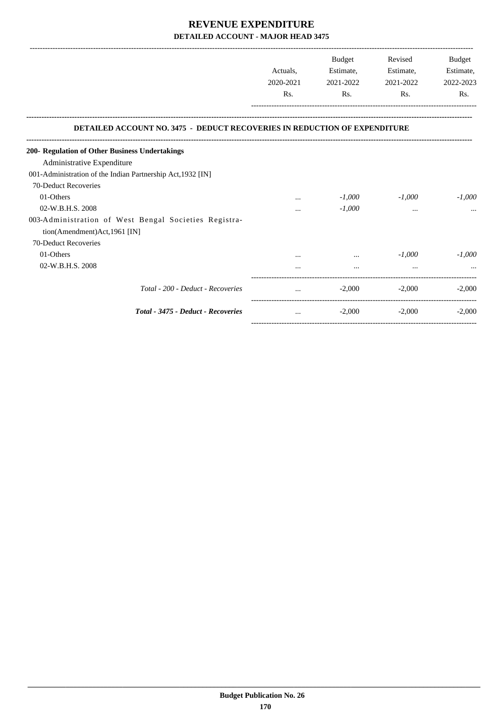|                                                                                       |           | Budget    | Revised   | Budget    |
|---------------------------------------------------------------------------------------|-----------|-----------|-----------|-----------|
|                                                                                       | Actuals.  | Estimate, | Estimate, | Estimate, |
|                                                                                       | 2020-2021 | 2021-2022 | 2021-2022 | 2022-2023 |
|                                                                                       | Rs.       | Rs.       | Rs.       | Rs.       |
| <b>DETAILED ACCOUNT NO. 3475 - DEDUCT RECOVERIES IN REDUCTION OF EXPENDITURE</b>      |           |           |           |           |
| 200- Regulation of Other Business Undertakings                                        |           |           |           |           |
| Administrative Expenditure                                                            |           |           |           |           |
| 001-Administration of the Indian Partnership Act, 1932 [IN]                           |           |           |           |           |
| 70-Deduct Recoveries                                                                  |           |           |           |           |
| 01-Others                                                                             |           | $-1,000$  | $-1,000$  | $-1.000$  |
| 02-W.B.H.S. 2008                                                                      |           | $-1,000$  |           |           |
| 003-Administration of West Bengal Societies Registra-<br>tion(Amendment)Act,1961 [IN] |           |           |           |           |
| 70-Deduct Recoveries                                                                  |           |           |           |           |
| 01-Others                                                                             |           |           | $-1,000$  | $-1,000$  |
| 02-W.B.H.S. 2008                                                                      |           |           |           |           |
| Total - 200 - Deduct - Recoveries                                                     |           | $-2,000$  | $-2,000$  | $-2.000$  |
| Total - 3475 - Deduct - Recoveries                                                    | $\cdots$  | $-2,000$  | $-2,000$  | $-2,000$  |

-----------------------------------------------------------------------------------------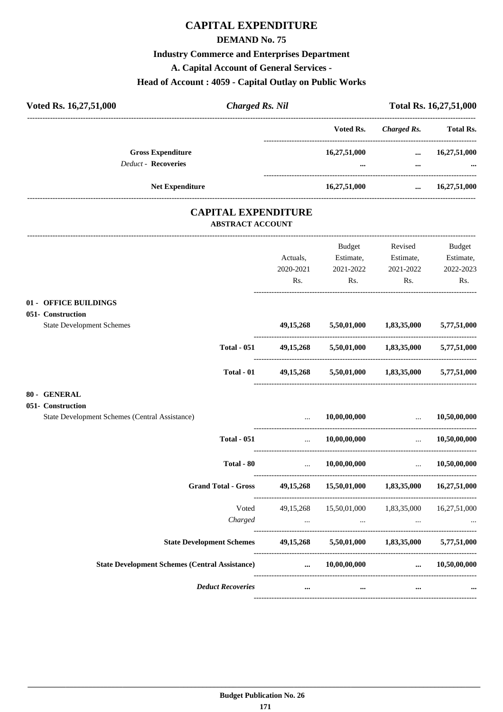# **CAPITAL EXPENDITURE**

### **DEMAND No. 75**

# **Industry Commerce and Enterprises Department**

**A. Capital Account of General Services -**

### **Head of Account : 4059 - Capital Outlay on Public Works**

| Voted Rs. 16,27,51,000<br><b>Charged Rs. Nil</b>                                                                                                                                                                              |           |                                                                                     |                         | Total Rs. 16,27,51,000 |
|-------------------------------------------------------------------------------------------------------------------------------------------------------------------------------------------------------------------------------|-----------|-------------------------------------------------------------------------------------|-------------------------|------------------------|
|                                                                                                                                                                                                                               |           | Voted Rs.                                                                           | <b>Charged Rs.</b>      | <b>Total Rs.</b>       |
| <b>Gross Expenditure</b>                                                                                                                                                                                                      |           | 16,27,51,000                                                                        |                         | $\dots$ 16,27,51,000   |
| Deduct - Recoveries                                                                                                                                                                                                           |           |                                                                                     | $\cdots$                |                        |
| Net Expenditure                                                                                                                                                                                                               |           | 16,27,51,000                                                                        | $\cdots$                | 16,27,51,000           |
| <b>CAPITAL EXPENDITURE</b>                                                                                                                                                                                                    |           |                                                                                     |                         |                        |
| <b>ABSTRACT ACCOUNT</b>                                                                                                                                                                                                       |           |                                                                                     |                         |                        |
|                                                                                                                                                                                                                               |           | Budget                                                                              | Revised                 | Budget                 |
|                                                                                                                                                                                                                               | Actuals,  | Estimate,                                                                           | Estimate,               | Estimate,              |
|                                                                                                                                                                                                                               | 2020-2021 | 2021-2022                                                                           | 2021-2022               | 2022-2023              |
|                                                                                                                                                                                                                               | Rs.       | Rs.                                                                                 | Rs.                     | Rs.                    |
| 01 - OFFICE BUILDINGS                                                                                                                                                                                                         |           |                                                                                     |                         |                        |
| 051- Construction                                                                                                                                                                                                             |           |                                                                                     |                         |                        |
| <b>State Development Schemes</b>                                                                                                                                                                                              | 49,15,268 |                                                                                     | 5,50,01,000 1,83,35,000 | 5,77,51,000            |
| <b>Total - 051</b>                                                                                                                                                                                                            |           | 49,15,268 5,50,01,000 1,83,35,000 5,77,51,000                                       |                         |                        |
| <b>Total - 01</b>                                                                                                                                                                                                             |           | 49,15,268 5,50,01,000 1,83,35,000 5,77,51,000                                       |                         |                        |
| 80 - GENERAL                                                                                                                                                                                                                  |           |                                                                                     |                         |                        |
| 051- Construction                                                                                                                                                                                                             |           |                                                                                     |                         |                        |
| State Development Schemes (Central Assistance)                                                                                                                                                                                |           | 10,00,00,000                                                                        |                         | $\dots$ 10,50,00,000   |
| <b>Total - 051</b>                                                                                                                                                                                                            | $\cdots$  | 10,00,00,000                                                                        | $\sim$                  | 10,50,00,000           |
| Total - 80                                                                                                                                                                                                                    |           | 10,00,00,000                                                                        |                         | 10,50,00,000           |
| <b>Grand Total - Gross</b>                                                                                                                                                                                                    |           | 49,15,268 15,50,01,000 1,83,35,000 16,27,51,000                                     |                         |                        |
| Voted                                                                                                                                                                                                                         |           | 49,15,268 15,50,01,000 1,83,35,000 16,27,51,000                                     |                         |                        |
| Charged                                                                                                                                                                                                                       |           | and the contract of the contract of the contract of the contract of the contract of |                         |                        |
| State Development Schemes 49,15,268 5,50,01,000 1,83,35,000 5,77,51,000                                                                                                                                                       |           |                                                                                     |                         |                        |
| State Development Schemes (Central Assistance) and the manufacture of the manufacture of the manufacture of the manufacture of the manufacture of the manufacture of the manufacture of the manufacture of the manufacture of |           |                                                                                     |                         |                        |
| <b>Deduct Recoveries</b>                                                                                                                                                                                                      | $\cdots$  | $\cdots$                                                                            | $\cdots$                |                        |
|                                                                                                                                                                                                                               |           |                                                                                     |                         |                        |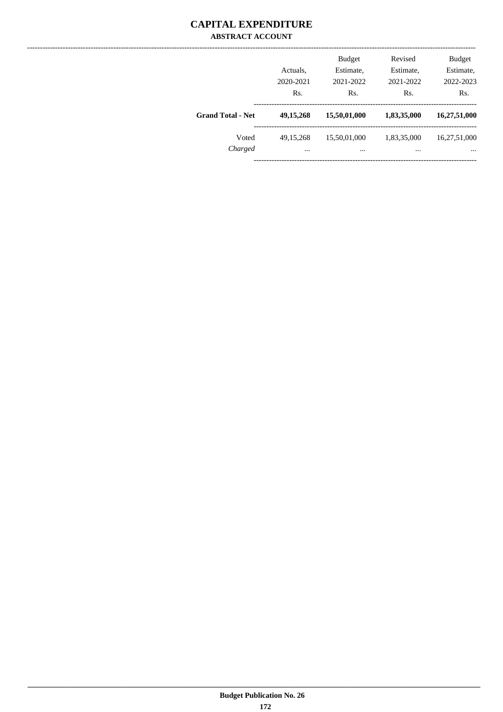## **CAPITAL EXPENDITURE ABSTRACT ACCOUNT**

|                          | Actuals,<br>2020-2021<br>Rs. | <b>Budget</b><br>Estimate,<br>2021-2022<br>Rs. | Revised<br>Estimate,<br>2021-2022<br>Rs. | <b>Budget</b><br>Estimate,<br>2022-2023<br>Rs. |
|--------------------------|------------------------------|------------------------------------------------|------------------------------------------|------------------------------------------------|
| <b>Grand Total - Net</b> | 49, 15, 268                  | 15,50,01,000                                   | 1,83,35,000                              | 16,27,51,000                                   |
| Voted<br>Charged         | 49, 15, 268<br>$\cdots$      | 15,50,01,000<br>$\cdots$                       | 1,83,35,000<br>                          | 16,27,51,000<br>$\cdots$                       |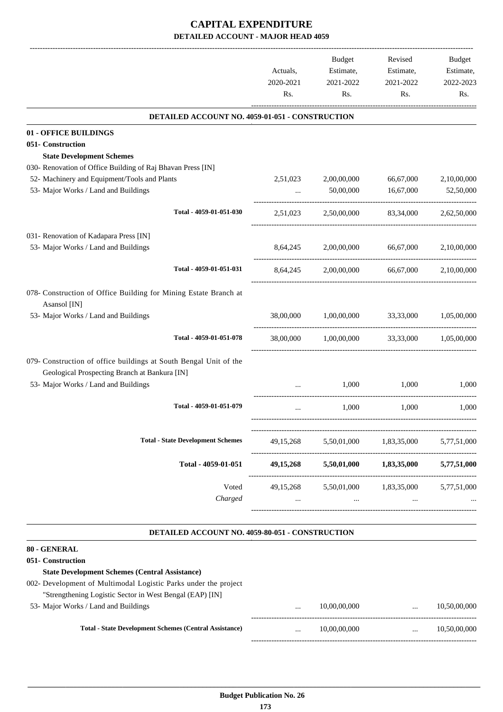# **CAPITAL EXPENDITURE DETAILED ACCOUNT - MAJOR HEAD 4059**

|                                                                                                                    | Actuals,<br>2020-2021<br>Rs. | <b>Budget</b><br>Estimate,<br>2021-2022<br>Rs. | Revised<br>Estimate,<br>2021-2022<br>Rs. | Budget<br>Estimate,<br>2022-2023<br>Rs. |
|--------------------------------------------------------------------------------------------------------------------|------------------------------|------------------------------------------------|------------------------------------------|-----------------------------------------|
| DETAILED ACCOUNT NO. 4059-01-051 - CONSTRUCTION                                                                    |                              |                                                |                                          |                                         |
| 01 - OFFICE BUILDINGS                                                                                              |                              |                                                |                                          |                                         |
| 051- Construction                                                                                                  |                              |                                                |                                          |                                         |
| <b>State Development Schemes</b>                                                                                   |                              |                                                |                                          |                                         |
| 030- Renovation of Office Building of Raj Bhavan Press [IN]                                                        |                              |                                                |                                          |                                         |
| 52- Machinery and Equipment/Tools and Plants<br>53- Major Works / Land and Buildings                               | 2,51,023                     | 2,00,00,000<br>50,00,000                       | 66,67,000<br>16,67,000                   | 2,10,00,000<br>52,50,000                |
|                                                                                                                    | $\cdots$                     |                                                |                                          |                                         |
| Total - 4059-01-051-030                                                                                            | 2,51,023                     | 2,50,00,000                                    | 83,34,000                                | 2,62,50,000                             |
| 031- Renovation of Kadapara Press [IN]                                                                             |                              |                                                |                                          |                                         |
| 53- Major Works / Land and Buildings                                                                               | 8,64,245                     | 2,00,00,000                                    | 66,67,000                                | 2,10,00,000                             |
| Total - 4059-01-051-031                                                                                            | 8,64,245                     | 2,00,00,000                                    | 66,67,000                                | 2,10,00,000                             |
| 078- Construction of Office Building for Mining Estate Branch at<br>Asansol [IN]                                   |                              |                                                |                                          |                                         |
| 53- Major Works / Land and Buildings                                                                               | 38,00,000                    | 1,00,00,000                                    | 33,33,000                                | 1,05,00,000                             |
| Total - 4059-01-051-078                                                                                            | 38,00,000                    | 1,00,00,000                                    | 33,33,000                                | 1,05,00,000                             |
| 079- Construction of office buildings at South Bengal Unit of the<br>Geological Prospecting Branch at Bankura [IN] |                              |                                                |                                          |                                         |
| 53- Major Works / Land and Buildings                                                                               |                              | 1.000                                          | 1.000                                    | 1.000                                   |
| Total - 4059-01-051-079                                                                                            | $\cdots$                     | 1,000                                          | 1,000                                    | 1,000                                   |
| <b>Total - State Development Schemes</b>                                                                           | 49,15,268                    | 5,50,01,000                                    | 1,83,35,000                              | 5,77,51,000                             |
| Total - 4059-01-051                                                                                                | 49, 15, 268                  | 5,50,01,000                                    | 1,83,35,000                              | 5,77,51,000                             |
| Voted                                                                                                              | 49,15,268                    | 5,50,01,000                                    | 1,83,35,000                              | 5,77,51,000                             |
| Charged                                                                                                            | $\cdots$                     | $\cdots$                                       | $\cdots$                                 |                                         |

#### **DETAILED ACCOUNT NO. 4059-80-051 - CONSTRUCTION .**

## **80 - GENERAL**

# **051- Construction State Development Schemes (Central Assistance)** 002- Development of Multimodal Logistic Parks under the project

"Strengthening Logistic Sector in West Bengal (EAP) [IN] 53- Major Works / Land and Buildi

| $\cdots$ | 10.00.00.000 | $\cdots$ | 10.50.00.000 |
|----------|--------------|----------|--------------|
| $\cdots$ | 10.00.00.000 | $\cdots$ | 10.50.00.000 |
|          |              |          |              |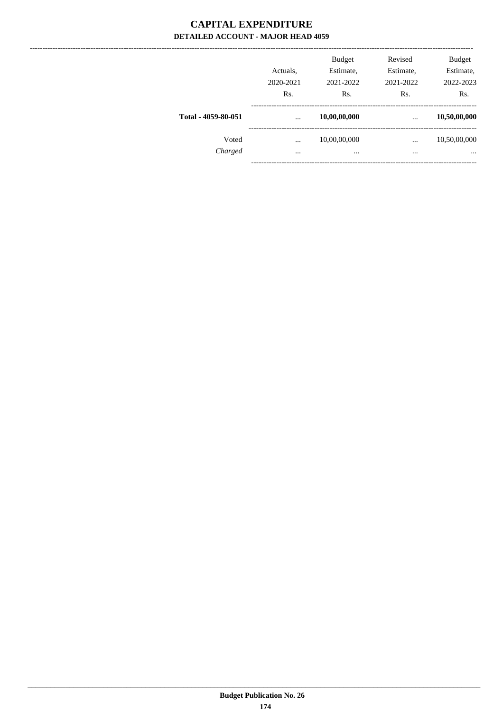## **CAPITAL EXPENDITURE** DETAILED ACCOUNT - MAJOR HEAD 4059

|                     | Actuals,<br>2020-2021<br>Rs. | <b>Budget</b><br>Estimate,<br>2021-2022<br>Rs. | Revised<br>Estimate,<br>2021-2022<br>Rs. | <b>Budget</b><br>Estimate,<br>2022-2023<br>Rs. |
|---------------------|------------------------------|------------------------------------------------|------------------------------------------|------------------------------------------------|
| Total - 4059-80-051 | $\cdots$                     | 10,00,00,000                                   | $\cdots$                                 | 10,50,00,000                                   |
| Voted<br>Charged    | $\cdots$<br>$\cdots$         | 10,00,00,000<br>$\cdots$                       | $\cdots$<br>$\cdots$                     | 10,50,00,000<br>$\cdots$                       |
|                     |                              |                                                |                                          |                                                |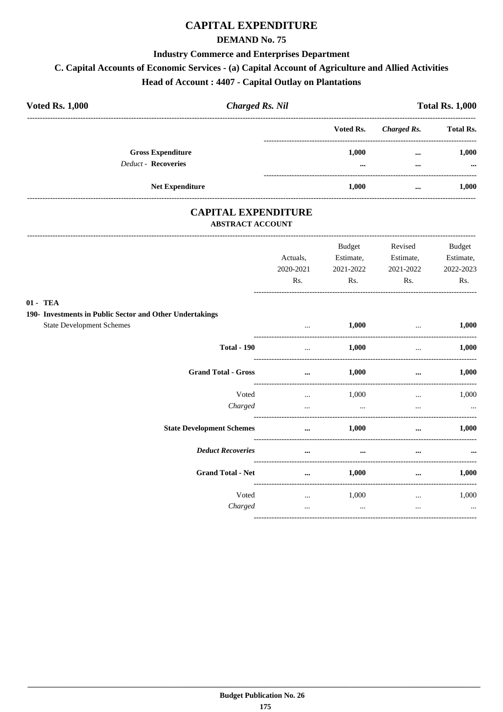# **CAPITAL EXPENDITURE**

## **DEMAND No. 75**

### **Industry Commerce and Enterprises Department**

# C. Capital Accounts of Economic Services - (a) Capital Account of Agriculture and Allied Activities

# Head of Account: 4407 - Capital Outlay on Plantations

| <b>Voted Rs. 1,000</b>                                 | <b>Charged Rs. Nil</b> |                                  |                      | <b>Total Rs. 1,000</b> |  |  |
|--------------------------------------------------------|------------------------|----------------------------------|----------------------|------------------------|--|--|
|                                                        | Voted Rs.              |                                  | Charged Rs.          | <b>Total Rs.</b>       |  |  |
| <b>Gross Expenditure</b><br><b>Deduct - Recoveries</b> |                        | 1.000<br>$\bullet\bullet\bullet$ | $\cdots$<br>$\cdots$ | 1,000<br>$\cdots$      |  |  |
| <b>Net Expenditure</b>                                 |                        | 1.000                            | $\cdots$             | 1,000                  |  |  |

## **CAPITAL EXPENDITURE ABSTRACT ACCOUNT**

|                                                                                              | Actuals,<br>2020-2021<br>Rs. | Budget<br>Estimate,<br>2021-2022<br>Rs. | Revised<br>Estimate,<br>2021-2022<br>Rs. | <b>Budget</b><br>Estimate,<br>2022-2023<br>Rs. |
|----------------------------------------------------------------------------------------------|------------------------------|-----------------------------------------|------------------------------------------|------------------------------------------------|
| 01 - TEA                                                                                     |                              |                                         |                                          |                                                |
| 190- Investments in Public Sector and Other Undertakings<br><b>State Development Schemes</b> | $\cdots$                     | 1,000                                   | $\cdots$                                 | 1,000                                          |
| <b>Total - 190</b>                                                                           | $\cdots$                     | 1,000                                   | $\cdots$                                 | 1,000                                          |
| <b>Grand Total - Gross</b>                                                                   | $\cdots$                     | 1,000                                   | $\cdots$                                 | 1,000                                          |
| Voted<br>Charged                                                                             | $\cdots$<br>$\cdots$         | 1,000<br>$\cdots$                       | $\cdots$<br>$\cdots$                     | 1,000<br>$\cdots$                              |
| <b>State Development Schemes</b>                                                             | $\cdots$                     | 1,000                                   | $\cdots$                                 | 1,000                                          |
| <b>Deduct Recoveries</b>                                                                     | $\ddotsc$                    | $\cdots$                                | $\ddotsc$                                |                                                |
| <b>Grand Total - Net</b>                                                                     | $\cdots$                     | 1,000                                   | $\cdots$                                 | 1,000                                          |
| Voted<br>Charged                                                                             | $\cdots$<br>$\cdots$         | 1,000<br>$\cdots$                       | $\cdots$<br>$\cdots$                     | 1,000<br>$\cdots$                              |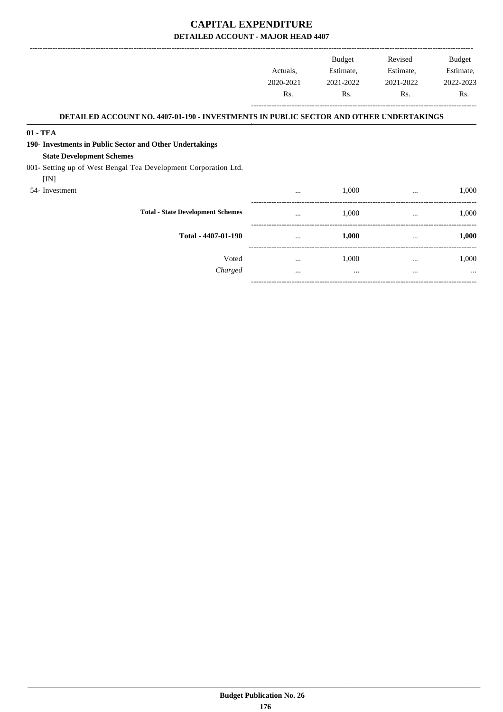## **CAPITAL EXPENDITURE DETAILED ACCOUNT - MAJOR HEAD 4407**

-------------------------------------------------------------------------------------------------------------------------------------------------------------------------------

-----------------------------------------------------------------------------------------

|                                                                                        | Actuals,<br>2020-2021<br>Rs. | <b>Budget</b><br>Estimate,<br>2021-2022<br>Rs. | Revised<br>Estimate,<br>2021-2022<br>Rs. | <b>Budget</b><br>Estimate,<br>2022-2023<br>Rs. |
|----------------------------------------------------------------------------------------|------------------------------|------------------------------------------------|------------------------------------------|------------------------------------------------|
| DETAILED ACCOUNT NO. 4407-01-190 - INVESTMENTS IN PUBLIC SECTOR AND OTHER UNDERTAKINGS |                              |                                                |                                          |                                                |
| 01 - TEA                                                                               |                              |                                                |                                          |                                                |
| 190- Investments in Public Sector and Other Undertakings                               |                              |                                                |                                          |                                                |
| <b>State Development Schemes</b>                                                       |                              |                                                |                                          |                                                |
| 001- Setting up of West Bengal Tea Development Corporation Ltd.                        |                              |                                                |                                          |                                                |
| [IN]                                                                                   |                              |                                                |                                          |                                                |
| 54- Investment                                                                         |                              | 1,000                                          | $\cdots$                                 | 1,000                                          |
| <b>Total - State Development Schemes</b>                                               | $\cdots$                     | 1,000                                          | $\cdots$                                 | 1,000                                          |
| Total - 4407-01-190                                                                    | $\cdots$                     | 1,000                                          | $\cdots$                                 | 1,000                                          |
| Voted                                                                                  | $\cdots$                     | 1,000                                          | $\cdots$                                 | 1,000                                          |
| Charged                                                                                | $\cdots$                     | $\cdots$                                       | $\cdots$                                 | $\cdots$                                       |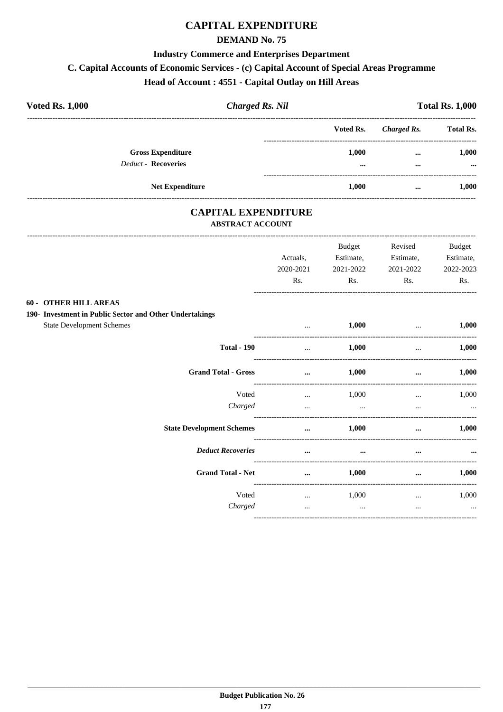# **CAPITAL EXPENDITURE**

## **DEMAND No. 75**

### **Industry Commerce and Enterprises Department**

# C. Capital Accounts of Economic Services - (c) Capital Account of Special Areas Programme

# Head of Account: 4551 - Capital Outlay on Hill Areas

| <b>Voted Rs. 1,000</b>     | <b>Charged Rs. Nil</b>   |  |                   | <b>Total Rs. 1,000</b> |                   |  |
|----------------------------|--------------------------|--|-------------------|------------------------|-------------------|--|
|                            |                          |  | Voted Rs.         | Charged Rs.            | <b>Total Rs.</b>  |  |
| <b>Deduct - Recoveries</b> | <b>Gross Expenditure</b> |  | 1.000<br>$\cdots$ | $\cdots$<br>$\cdots$   | 1.000<br>$\cdots$ |  |
|                            | <b>Net Expenditure</b>   |  | 1.000             | $\cdots$               | 1.000             |  |

## **CAPITAL EXPENDITURE ABSTRACT ACCOUNT**

|                                                         | Actuals,<br>2020-2021<br>Rs. | Budget<br>Estimate,<br>2021-2022<br>Rs. | Revised<br>Estimate,<br>2021-2022<br>Rs. | Budget<br>Estimate,<br>2022-2023<br>Rs. |
|---------------------------------------------------------|------------------------------|-----------------------------------------|------------------------------------------|-----------------------------------------|
| <b>60 - OTHER HILL AREAS</b>                            |                              |                                         |                                          |                                         |
| 190- Investment in Public Sector and Other Undertakings |                              |                                         |                                          |                                         |
| <b>State Development Schemes</b>                        | $\cdots$                     | 1,000                                   | $\cdots$                                 | 1,000                                   |
| <b>Total - 190</b>                                      | $\cdots$                     | 1,000                                   | $\cdots$                                 | 1,000                                   |
| <b>Grand Total - Gross</b>                              | $\ddotsc$                    | 1,000                                   | $\cdots$                                 | 1,000                                   |
| Voted                                                   | $\cdots$                     | 1,000                                   | $\cdots$                                 | 1,000                                   |
| Charged                                                 | $\cdots$                     | $\cdots$                                | $\cdots$                                 | $\cdots$                                |
| <b>State Development Schemes</b>                        | $\cdots$                     | 1,000                                   |                                          | 1,000                                   |
| <b>Deduct Recoveries</b>                                | $\cdots$                     | $\cdots$                                | $\cdots$                                 |                                         |
| <b>Grand Total - Net</b>                                | $\cdots$                     | 1,000                                   | $\cdots$                                 | 1,000                                   |
| Voted                                                   | $\cdots$                     | 1,000                                   | $\cdots$                                 | 1,000                                   |
| Charged                                                 | $\cdots$                     | $\cdots$                                | $\cdots$                                 | $\cdots$                                |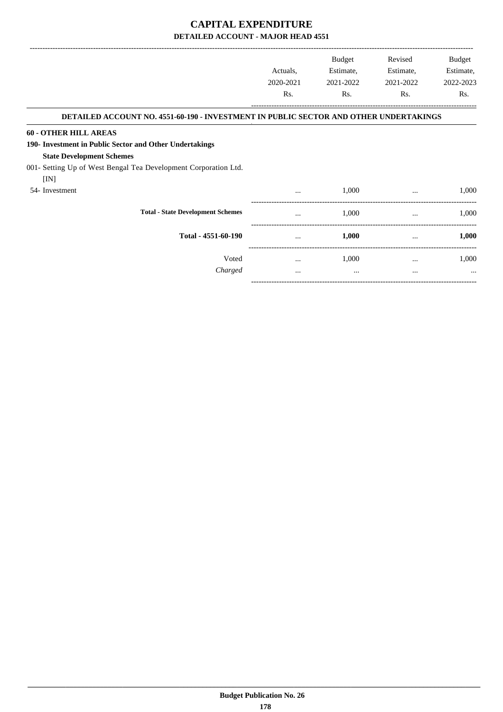-------------------------------------------------------------------------------------------------------------------------------------------------------------------------------

-----------------------------------------------------------------------------------------

|                                                                                       | Actuals,<br>2020-2021 | <b>Budget</b><br>Estimate,<br>2021-2022 | Revised<br>Estimate,<br>2021-2022 | Budget<br>Estimate,<br>2022-2023 |
|---------------------------------------------------------------------------------------|-----------------------|-----------------------------------------|-----------------------------------|----------------------------------|
|                                                                                       | Rs.                   | Rs.                                     | Rs.                               | Rs.                              |
| DETAILED ACCOUNT NO. 4551-60-190 - INVESTMENT IN PUBLIC SECTOR AND OTHER UNDERTAKINGS |                       |                                         |                                   |                                  |
| <b>60 - OTHER HILL AREAS</b>                                                          |                       |                                         |                                   |                                  |
| 190- Investment in Public Sector and Other Undertakings                               |                       |                                         |                                   |                                  |
| <b>State Development Schemes</b>                                                      |                       |                                         |                                   |                                  |
| 001- Setting Up of West Bengal Tea Development Corporation Ltd.                       |                       |                                         |                                   |                                  |
| [IN]                                                                                  |                       |                                         |                                   |                                  |
| 54-Investment                                                                         | $\cdots$              | 1,000                                   | $\cdots$                          | 1,000                            |
| <b>Total - State Development Schemes</b>                                              | $\cdots$              | 1,000                                   | $\cdots$                          | 1,000                            |
| Total - 4551-60-190                                                                   | $\cdots$              | 1,000                                   | $\cdots$                          | 1,000                            |
| Voted                                                                                 | $\cdots$              | 1,000                                   | $\cdots$                          | 1,000                            |
| Charged                                                                               | $\cdots$              | $\cdots$                                | $\cdots$                          | $\cdots$                         |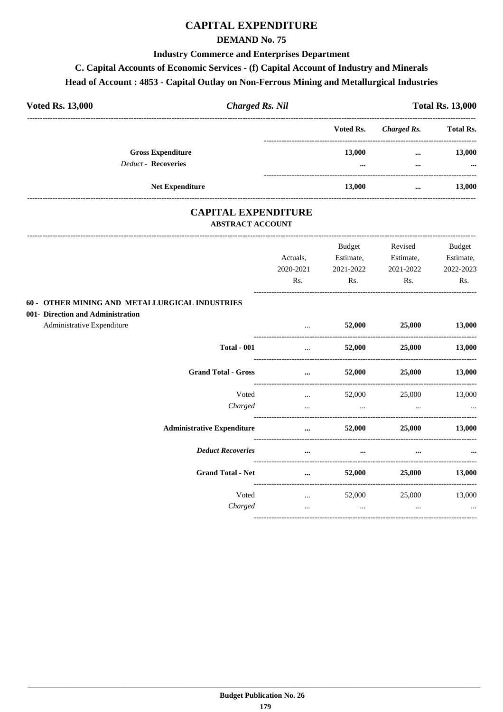# **CAPITAL EXPENDITURE**

### **DEMAND No. 75**

#### **Industry Commerce and Enterprises Department**

# **C. Capital Accounts of Economic Services - (f) Capital Account of Industry and Minerals**

#### **Head of Account : 4853 - Capital Outlay on Non-Ferrous Mining and Metallurgical Industries**

| <b>Voted Rs. 13,000</b>                                | <b>Charged Rs. Nil</b> |                                  | <b>Total Rs. 13,000</b> |  |  |
|--------------------------------------------------------|------------------------|----------------------------------|-------------------------|--|--|
|                                                        | Voted Rs.              | Charged Rs.                      | <b>Total Rs.</b>        |  |  |
| <b>Gross Expenditure</b><br><b>Deduct - Recoveries</b> | 13,000                 | $\cdots$<br>$\cdots$<br>$\cdots$ | 13,000<br>$\cdots$      |  |  |
| <b>Net Expenditure</b>                                 | 13,000                 |                                  | 13,000                  |  |  |

### **CAPITAL EXPENDITURE ABSTRACT ACCOUNT**

|                                                | Actuals,  | Budget<br>Estimate,                 | Revised<br>Estimate, | <b>Budget</b><br>Estimate, |
|------------------------------------------------|-----------|-------------------------------------|----------------------|----------------------------|
|                                                | 2020-2021 | 2021-2022                           | 2021-2022            | 2022-2023                  |
|                                                | Rs.       | Rs.                                 | Rs.                  | Rs.                        |
| 60 - OTHER MINING AND METALLURGICAL INDUSTRIES |           |                                     |                      |                            |
| 001- Direction and Administration              |           |                                     |                      |                            |
| Administrative Expenditure                     | $\cdots$  | 52,000                              | 25,000               | 13,000                     |
| <b>Total - 001</b>                             | $\cdots$  | 52,000                              | 25,000               | 13,000                     |
| <b>Grand Total - Gross</b>                     | $\cdots$  | 52,000                              | 25,000               | 13,000                     |
| Voted                                          | $\cdots$  | 52,000                              | 25,000               | 13,000                     |
| Charged                                        | $\ddotsc$ | and the contract of the contract of | $\cdots$             |                            |
| <b>Administrative Expenditure</b>              | $\cdots$  | 52,000                              | 25,000               | 13,000                     |
| <b>Deduct Recoveries</b>                       | $\cdots$  | $\cdots$                            |                      |                            |
| <b>Grand Total - Net</b>                       | $\cdots$  | 52,000                              | 25,000               | 13,000                     |
| Voted                                          | $\cdots$  | 52,000                              | 25,000               | 13,000                     |
| Charged                                        | $\cdots$  | $\ddotsc$                           | $\cdots$             | $\cdots$                   |
|                                                |           |                                     |                      |                            |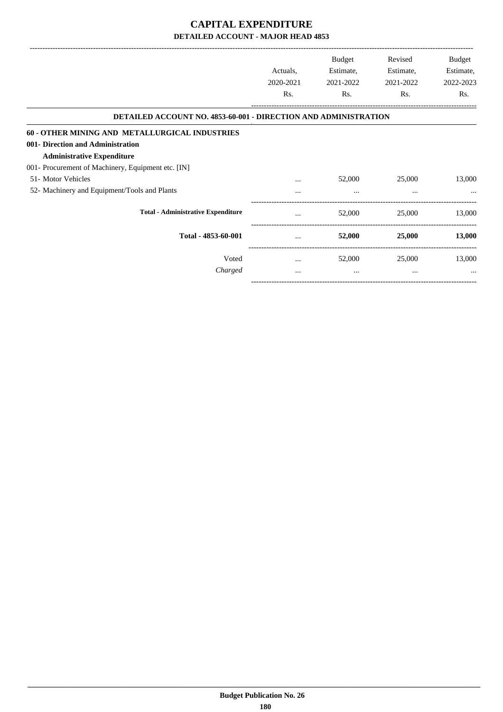|                                                                        |           | Budget    | Revised   | Budget           |
|------------------------------------------------------------------------|-----------|-----------|-----------|------------------|
|                                                                        | Actuals,  | Estimate, | Estimate, | Estimate,        |
|                                                                        | 2020-2021 | 2021-2022 | 2021-2022 | 2022-2023        |
|                                                                        | Rs.       | Rs.       | Rs.       | R <sub>s</sub> . |
| <b>DETAILED ACCOUNT NO. 4853-60-001 - DIRECTION AND ADMINISTRATION</b> |           |           |           |                  |
| 60 - OTHER MINING AND METALLURGICAL INDUSTRIES                         |           |           |           |                  |
| 001- Direction and Administration                                      |           |           |           |                  |
| <b>Administrative Expenditure</b>                                      |           |           |           |                  |
| 001- Procurement of Machinery, Equipment etc. [IN]                     |           |           |           |                  |
| 51- Motor Vehicles                                                     |           | 52,000    | 25,000    | 13,000           |
| 52- Machinery and Equipment/Tools and Plants                           |           |           | $\cdots$  |                  |
| <b>Total - Administrative Expenditure</b>                              |           | 52,000    | 25,000    | 13,000           |
| Total - 4853-60-001                                                    |           | 52,000    | 25,000    | 13,000           |
| Voted                                                                  | $\cdots$  | 52,000    | 25,000    | 13,000           |
| Charged                                                                | $\cdots$  | $\cdots$  | $\cdots$  | $\cdots$         |

-----------------------------------------------------------------------------------------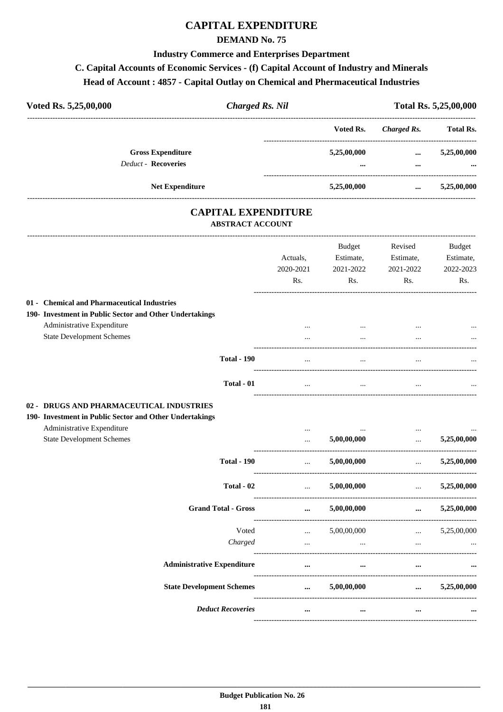## **CAPITAL EXPENDITURE**

### **DEMAND No. 75**

#### **Industry Commerce and Enterprises Department**

#### **C. Capital Accounts of Economic Services - (f) Capital Account of Industry and Minerals**

### **Head of Account : 4857 - Capital Outlay on Chemical and Phermaceutical Industries**

| Voted Rs. 5,25,00,000<br><b>Charged Rs. Nil</b> |                                                        | Total Rs. 5,25,00,000   |                      |                         |
|-------------------------------------------------|--------------------------------------------------------|-------------------------|----------------------|-------------------------|
|                                                 |                                                        | Voted Rs.               | Charged Rs.          | <b>Total Rs.</b>        |
|                                                 | <b>Gross Expenditure</b><br><b>Deduct - Recoveries</b> | 5,25,00,000<br>$\cdots$ | $\cdots$<br>$\cdots$ | 5,25,00,000<br>$\cdots$ |
|                                                 | <b>Net Expenditure</b>                                 | 5,25,00,000             | $\cdots$             | 5,25,00,000             |

### **CAPITAL EXPENDITURE ABSTRACT ACCOUNT**

---------------------------------------------------------------------------------------------------------------------------------------------------------------------------------

|                                                                                                     | Actuals,<br>2020-2021<br>Rs.            | <b>Budget</b><br>Estimate,<br>2021-2022<br>Rs. | Revised<br>Estimate,<br>2021-2022<br>Rs.                  | <b>Budget</b><br>Estimate,<br>2022-2023<br>Rs. |
|-----------------------------------------------------------------------------------------------------|-----------------------------------------|------------------------------------------------|-----------------------------------------------------------|------------------------------------------------|
| 01 - Chemical and Pharmaceutical Industries                                                         |                                         |                                                |                                                           |                                                |
| 190- Investment in Public Sector and Other Undertakings                                             |                                         |                                                |                                                           |                                                |
| Administrative Expenditure                                                                          | $\cdots$                                | $\cdots$                                       |                                                           |                                                |
| <b>State Development Schemes</b>                                                                    | $\cdots$                                | $\cdots$                                       | $\cdots$                                                  |                                                |
| <b>Total - 190</b>                                                                                  |                                         |                                                |                                                           |                                                |
| Total - 01                                                                                          | $\cdots$                                | $\cdots$                                       | $\cdots$                                                  |                                                |
| 02 - DRUGS AND PHARMACEUTICAL INDUSTRIES<br>190- Investment in Public Sector and Other Undertakings |                                         |                                                |                                                           |                                                |
| Administrative Expenditure                                                                          | $\cdots$                                | $\cdots$                                       | $\cdots$                                                  |                                                |
| <b>State Development Schemes</b>                                                                    | $\cdots$<br>--------------------------- | 5,00,00,000                                    | $\mathbf{r}$                                              | 5,25,00,000                                    |
| <b>Total - 190</b>                                                                                  | $\mathbf{1}$                            | 5,00,00,000                                    | $\mathbf{r}$ , $\mathbf{r}$ , $\mathbf{r}$ , $\mathbf{r}$ | 5,25,00,000                                    |
| Total - 02                                                                                          | $\Delta\Delta\sim 10^{-11}$             | 5,00,00,000                                    | $\mathbf{r}$                                              | 5,25,00,000                                    |
| <b>Grand Total - Gross</b>                                                                          | $\cdots$                                | 5,00,00,000                                    | $\cdots$                                                  | 5,25,00,000                                    |
| Voted                                                                                               | $\cdots$                                | 5,00,00,000                                    | <b>Sales Control</b>                                      | 5,25,00,000                                    |
| Charged                                                                                             | $\ddotsc$                               | $\dddot{\phantom{0}}$                          | $\dddot{\phantom{0}}$                                     |                                                |
| <b>Administrative Expenditure</b>                                                                   | $\cdots$                                | $\cdots$                                       |                                                           |                                                |
| <b>State Development Schemes</b>                                                                    | $\cdots$                                | 5,00,00,000                                    | $\cdots$                                                  | 5,25,00,000                                    |
| <b>Deduct Recoveries</b>                                                                            | $\cdots$                                | $\cdots$                                       | $\cdots$                                                  |                                                |
|                                                                                                     |                                         |                                                |                                                           |                                                |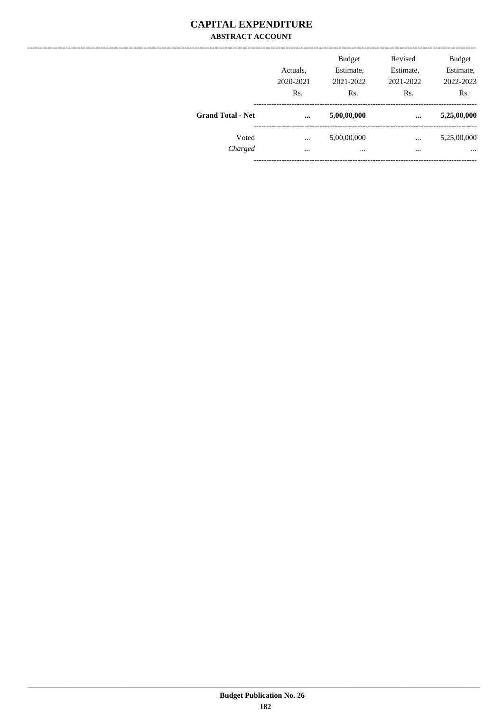### **CAPITAL EXPENDITURE ABSTRACT ACCOUNT**

| Rs.      | 2021-2022<br>Rs. | 2021-2022<br>Rs. | 2022-2023<br>Rs.        |
|----------|------------------|------------------|-------------------------|
| $\cdots$ | 5,00,00,000      | $\ddotsc$        | 5,25,00,000             |
|          | 5,00,00,000      |                  | 5,25,00,000<br>$\cdots$ |
|          | $\cdots$         | $\cdots$         | $\cdots$                |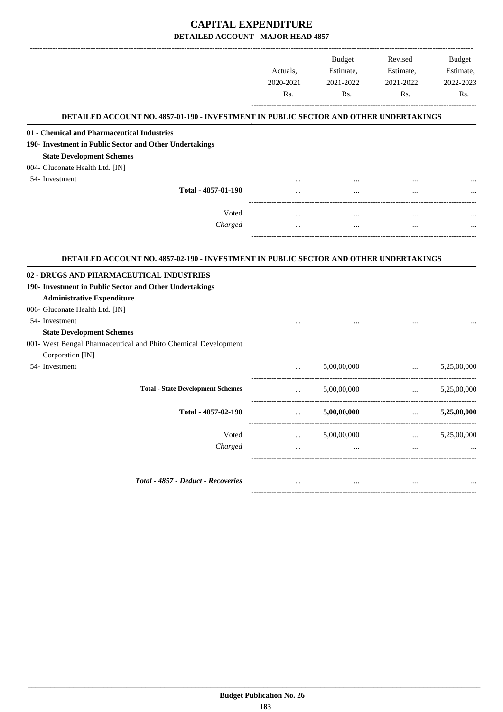|                                                                                                                                                  | Actuals,<br>2020-2021<br>Rs. | Budget<br>Estimate,<br>2021-2022<br>Rs. | Revised<br>Estimate,<br>2021-2022<br>Rs.                                                            | <b>Budget</b><br>Estimate,<br>2022-2023<br>Rs. |
|--------------------------------------------------------------------------------------------------------------------------------------------------|------------------------------|-----------------------------------------|-----------------------------------------------------------------------------------------------------|------------------------------------------------|
| DETAILED ACCOUNT NO. 4857-01-190 - INVESTMENT IN PUBLIC SECTOR AND OTHER UNDERTAKINGS                                                            |                              |                                         |                                                                                                     |                                                |
| 01 - Chemical and Pharmaceutical Industries                                                                                                      |                              |                                         |                                                                                                     |                                                |
| 190- Investment in Public Sector and Other Undertakings                                                                                          |                              |                                         |                                                                                                     |                                                |
| <b>State Development Schemes</b>                                                                                                                 |                              |                                         |                                                                                                     |                                                |
| 004- Gluconate Health Ltd. [IN]                                                                                                                  |                              |                                         |                                                                                                     |                                                |
| 54- Investment                                                                                                                                   |                              |                                         |                                                                                                     |                                                |
| Total - 4857-01-190                                                                                                                              |                              | $\cdots$                                |                                                                                                     |                                                |
| Voted                                                                                                                                            |                              |                                         |                                                                                                     |                                                |
| Charged                                                                                                                                          |                              | $\cdots$                                |                                                                                                     |                                                |
|                                                                                                                                                  |                              |                                         |                                                                                                     |                                                |
| DETAILED ACCOUNT NO. 4857-02-190 - INVESTMENT IN PUBLIC SECTOR AND OTHER UNDERTAKINGS<br>190- Investment in Public Sector and Other Undertakings |                              |                                         |                                                                                                     |                                                |
| 02 - DRUGS AND PHARMACEUTICAL INDUSTRIES<br><b>Administrative Expenditure</b>                                                                    |                              |                                         |                                                                                                     |                                                |
| 006- Gluconate Health Ltd. [IN]                                                                                                                  |                              |                                         |                                                                                                     |                                                |
| 54- Investment                                                                                                                                   |                              |                                         |                                                                                                     |                                                |
| <b>State Development Schemes</b>                                                                                                                 |                              |                                         |                                                                                                     |                                                |
| 001- West Bengal Pharmaceutical and Phito Chemical Development                                                                                   |                              |                                         |                                                                                                     |                                                |
| Corporation [IN]                                                                                                                                 |                              |                                         |                                                                                                     |                                                |
| 54- Investment                                                                                                                                   |                              | 5,00,00,000                             | $\cdots$<br>----------------------------------                                                      | 5,25,00,000                                    |
| <b>Total - State Development Schemes</b>                                                                                                         | $\cdots$                     | 5,00,00,000                             | $\cdots$                                                                                            | 5,25,00,000                                    |
| Total - 4857-02-190                                                                                                                              | $\cdots$                     | 5,00,00,000                             | --------------------------------------<br>$\mathbf{a}$ , $\mathbf{a}$ , $\mathbf{a}$ , $\mathbf{a}$ | 5,25,00,000                                    |
|                                                                                                                                                  |                              |                                         |                                                                                                     |                                                |
| Voted<br>Charged                                                                                                                                 |                              | 5,00,00,000                             |                                                                                                     | 5,25,00,000                                    |
|                                                                                                                                                  |                              |                                         |                                                                                                     |                                                |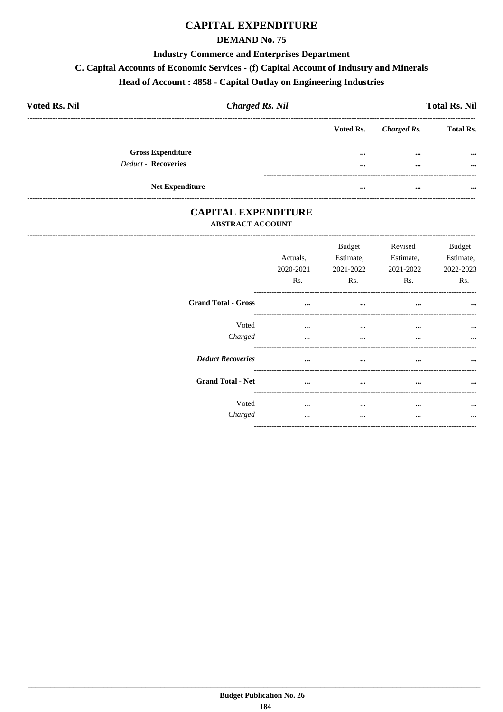### **CAPITAL EXPENDITURE**

### **DEMAND No. 75**

#### **Industry Commerce and Enterprises Department**

#### C. Capital Accounts of Economic Services - (f) Capital Account of Industry and Minerals

### Head of Account: 4858 - Capital Outlay on Engineering Industries

| <b>Voted Rs. Nil</b>     | <b>Charged Rs. Nil</b> |           |             | <b>Total Rs. Nil</b> |
|--------------------------|------------------------|-----------|-------------|----------------------|
|                          |                        | Voted Rs. | Charged Rs. | <b>Total Rs.</b>     |
| <b>Gross Expenditure</b> |                        |           | $\cdots$    | $\cdots$             |
| Deduct - Recoveries      |                        |           | $\cdots$    | $\cdots$             |
| <b>Net Expenditure</b>   |                        | $\cdots$  | $\cdots$    | $\cdots$             |

### **CAPITAL EXPENDITURE ABSTRACT ACCOUNT**

|                            | Actuals,<br>2020-2021<br>Rs. | Budget<br>Estimate,<br>2021-2022<br>Rs. | Revised<br>Estimate,<br>2021-2022<br>Rs. | <b>Budget</b><br>Estimate,<br>2022-2023<br>Rs. |
|----------------------------|------------------------------|-----------------------------------------|------------------------------------------|------------------------------------------------|
| <b>Grand Total - Gross</b> | $\cdots$                     | $\cdots$                                | $\cdots$                                 | $\cdots$                                       |
| Voted<br>Charged           | $\cdots$<br>$\cdots$         | $\cdots$<br>$\cdots$                    | $\cdots$<br>$\cdots$                     |                                                |
| <b>Deduct Recoveries</b>   | $\cdots$                     | $\cdots$                                |                                          | $\cdots$                                       |
| <b>Grand Total - Net</b>   | $\cdots$                     | $\cdots$                                | $\cdots$                                 | $\cdots$                                       |
| Voted<br>Charged           | $\cdots$                     | $\cdots$<br>$\cdots$                    | $\ddotsc$                                |                                                |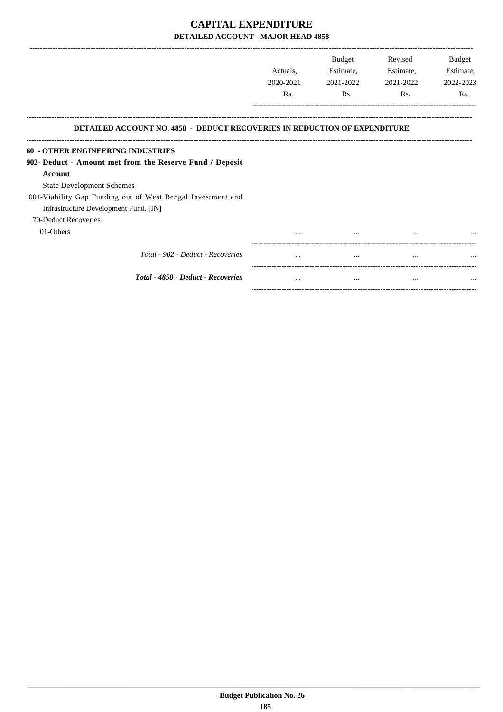-------------------------------------------------------------------------------------------------------------------------------------------------------------------------------

|                                                                                  | Actuals.<br>2020-2021<br>Rs. | <b>Budget</b><br>Estimate,<br>2021-2022<br>Rs. | Revised<br>Estimate,<br>2021-2022<br>Rs. | <b>Budget</b><br>Estimate,<br>2022-2023<br>Rs. |
|----------------------------------------------------------------------------------|------------------------------|------------------------------------------------|------------------------------------------|------------------------------------------------|
| <b>DETAILED ACCOUNT NO. 4858 - DEDUCT RECOVERIES IN REDUCTION OF EXPENDITURE</b> |                              |                                                |                                          |                                                |
| <b>60 - OTHER ENGINEERING INDUSTRIES</b>                                         |                              |                                                |                                          |                                                |
| 902- Deduct - Amount met from the Reserve Fund / Deposit                         |                              |                                                |                                          |                                                |
| <b>Account</b>                                                                   |                              |                                                |                                          |                                                |
| <b>State Development Schemes</b>                                                 |                              |                                                |                                          |                                                |
| 001-Viability Gap Funding out of West Bengal Investment and                      |                              |                                                |                                          |                                                |
| Infrastructure Development Fund. [IN]                                            |                              |                                                |                                          |                                                |
| 70-Deduct Recoveries                                                             |                              |                                                |                                          |                                                |
| 01-Others                                                                        |                              |                                                |                                          |                                                |
| Total - 902 - Deduct - Recoveries                                                |                              |                                                | $\cdots$                                 |                                                |
| Total - 4858 - Deduct - Recoveries                                               | $\cdots$                     | $\cdots$                                       |                                          |                                                |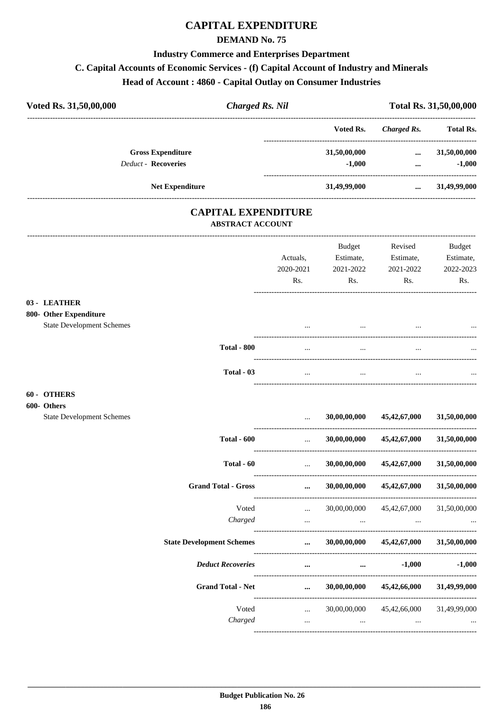# **CAPITAL EXPENDITURE**

### **DEMAND No. 75**

### **Industry Commerce and Enterprises Department**

### C. Capital Accounts of Economic Services - (f) Capital Account of Industry and Minerals

| <b>Charged Rs. Nil</b><br>Voted Rs. 31,50,00,000                           |                                              |                                                     | Total Rs. 31,50,00,000                                     |                                         |
|----------------------------------------------------------------------------|----------------------------------------------|-----------------------------------------------------|------------------------------------------------------------|-----------------------------------------|
|                                                                            |                                              | Voted Rs.                                           | <b>Charged Rs.</b>                                         | <b>Total Rs.</b>                        |
| <b>Gross Expenditure</b><br>Deduct - Recoveries                            |                                              | 31,50,00,000<br>$-1,000$                            | $\cdots$<br>$\cdots$ . The same is a set of $\mathbb{R}^n$ | 31,50,00,000<br>$-1,000$                |
| <b>Net Expenditure</b>                                                     |                                              |                                                     | 31,49,99,000  31,49,99,000                                 |                                         |
| <b>CAPITAL EXPENDITURE</b><br><b>ABSTRACT ACCOUNT</b>                      |                                              |                                                     |                                                            |                                         |
|                                                                            | Actuals,<br>2020-2021<br>Rs.                 | Budget<br>Estimate,<br>2021-2022<br>Rs.             | Revised<br>Estimate,<br>2021-2022<br>Rs.                   | Budget<br>Estimate,<br>2022-2023<br>Rs. |
| 03 - LEATHER<br>800- Other Expenditure<br><b>State Development Schemes</b> |                                              | $\cdots$                                            |                                                            |                                         |
| <b>Total - 800</b>                                                         | $\cdots$                                     | $\ddotsc$                                           | $\cdots$                                                   |                                         |
| Total - 03                                                                 | $\cdots$                                     | $\cdots$                                            | $\cdots$                                                   |                                         |
| 60 - OTHERS<br>600- Others<br><b>State Development Schemes</b>             | $\cdots$                                     | 30,00,00,000                                        | 45,42,67,000                                               | 31,50,00,000                            |
| <b>Total - 600</b>                                                         | ----------------------<br>$\ddotsc$          |                                                     | $30,00,00,000$ $45,42,67,000$                              | 31,50,00,000                            |
| Total - 60                                                                 | $\cdots$                                     | 30,00,00,000                                        | 45, 42, 67, 000                                            | 31,50,00,000                            |
| <b>Grand Total - Gross</b>                                                 | $\cdots$                                     | 30,00,00,000                                        | 45, 42, 67, 000                                            | 31,50,00,000                            |
| Voted<br>Charged                                                           | --------------------<br>$\cdots$<br>$\cdots$ | 30,00,00,000<br>$\cdots$                            | 45, 42, 67, 000<br>$\ldots$                                | 31,50,00,000                            |
| <b>State Development Schemes</b>                                           | $\cdots$                                     | -----------------------------------<br>30,00,00,000 | 45,42,67,000                                               | 31,50,00,000                            |
| <b>Deduct Recoveries</b>                                                   | $\cdots$                                     |                                                     | $-1,000$<br>$\cdots$                                       | $-1,000$                                |
| <b>Grand Total - Net</b>                                                   | $\cdots$                                     | 30,00,00,000                                        | 45,42,66,000                                               | 31,49,99,000                            |

Voted

Charged

 $\ldots$  30,00,00,000 45,42,66,000 31,49,99,000

---------

 $\mathbf{m}$  and  $\mathbf{m}$  are all  $\mathbf{m}$ 

 $\sim$   $\sim$ 

 $\cdots$ ------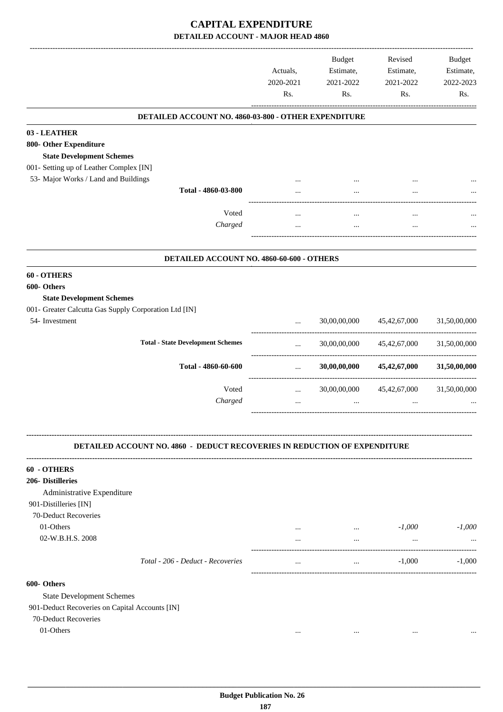|                                                                                  | Actuals,<br>2020-2021<br>Rs. | <b>Budget</b><br>Estimate,<br>2021-2022<br>Rs. | Revised<br>Estimate,<br>2021-2022<br>Rs. | <b>Budget</b><br>Estimate,<br>2022-2023<br>Rs. |
|----------------------------------------------------------------------------------|------------------------------|------------------------------------------------|------------------------------------------|------------------------------------------------|
| DETAILED ACCOUNT NO. 4860-03-800 - OTHER EXPENDITURE                             |                              |                                                |                                          |                                                |
| 03 - LEATHER                                                                     |                              |                                                |                                          |                                                |
| 800- Other Expenditure                                                           |                              |                                                |                                          |                                                |
| <b>State Development Schemes</b>                                                 |                              |                                                |                                          |                                                |
| 001- Setting up of Leather Complex [IN]                                          |                              |                                                |                                          |                                                |
| 53- Major Works / Land and Buildings<br>Total - 4860-03-800                      |                              |                                                |                                          |                                                |
|                                                                                  |                              |                                                |                                          |                                                |
| Voted                                                                            |                              |                                                |                                          |                                                |
| Charged                                                                          |                              | $\cdots$                                       |                                          |                                                |
|                                                                                  |                              |                                                |                                          |                                                |
|                                                                                  |                              |                                                |                                          |                                                |
| DETAILED ACCOUNT NO. 4860-60-600 - OTHERS                                        |                              |                                                |                                          |                                                |
| 60 - OTHERS                                                                      |                              |                                                |                                          |                                                |
| 600- Others                                                                      |                              |                                                |                                          |                                                |
| <b>State Development Schemes</b>                                                 |                              |                                                |                                          |                                                |
| 001- Greater Calcutta Gas Supply Corporation Ltd [IN]                            |                              |                                                |                                          |                                                |
| 54- Investment                                                                   | $\cdots$                     | 30,00,00,000                                   | 45, 42, 67, 000                          | 31,50,00,000                                   |
| <b>Total - State Development Schemes</b>                                         | $\cdots$                     | 30,00,00,000                                   | 45,42,67,000                             | 31,50,00,000                                   |
| Total - 4860-60-600                                                              | .<br>$\cdots$                | 30,00,00,000                                   | 45,42,67,000                             | 31,50,00,000                                   |
| Voted                                                                            |                              | 30,00,00,000                                   |                                          | 31,50,00,000                                   |
| Charged                                                                          | $\cdots$<br>$\cdots$         | $\cdots$                                       | 45,42,67,000<br>$\cdots$                 |                                                |
|                                                                                  |                              |                                                |                                          |                                                |
| <b>DETAILED ACCOUNT NO. 4860 - DEDUCT RECOVERIES IN REDUCTION OF EXPENDITURE</b> |                              |                                                |                                          |                                                |
| 60 - OTHERS                                                                      |                              |                                                |                                          |                                                |
| 206- Distilleries                                                                |                              |                                                |                                          |                                                |
| Administrative Expenditure                                                       |                              |                                                |                                          |                                                |
| 901-Distilleries [IN]                                                            |                              |                                                |                                          |                                                |
| 70-Deduct Recoveries                                                             |                              |                                                |                                          |                                                |
| 01-Others                                                                        | $\cdots$                     | $\cdots$                                       | $-1,000$                                 | $-1,000$                                       |
| 02-W.B.H.S. 2008                                                                 | $\cdots$                     | $\ddotsc$                                      | $\cdots$                                 |                                                |
| Total - 206 - Deduct - Recoveries                                                | $\cdots$                     | $\cdots$                                       | $-1,000$                                 | $-1,000$                                       |
| 600- Others                                                                      |                              |                                                |                                          |                                                |
| <b>State Development Schemes</b>                                                 |                              |                                                |                                          |                                                |
| 901-Deduct Recoveries on Capital Accounts [IN]                                   |                              |                                                |                                          |                                                |
| 70-Deduct Recoveries                                                             |                              |                                                |                                          |                                                |
| 01-Others                                                                        |                              | $\cdots$                                       |                                          |                                                |
|                                                                                  |                              |                                                |                                          |                                                |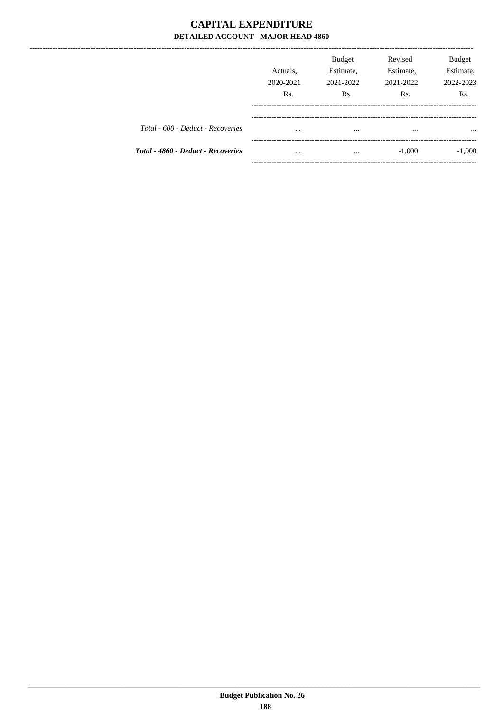|                                    | Actuals,<br>2020-2021<br>Rs. | <b>Budget</b><br>Estimate,<br>2021-2022<br>Rs. | Revised<br>Estimate,<br>2021-2022<br>R <sub>s</sub> . | <b>Budget</b><br>Estimate,<br>2022-2023<br>Rs. |
|------------------------------------|------------------------------|------------------------------------------------|-------------------------------------------------------|------------------------------------------------|
| Total - 600 - Deduct - Recoveries  | $\cdots$                     | $\cdots$                                       | $\cdots$                                              | $\cdots$                                       |
| Total - 4860 - Deduct - Recoveries | $\cdots$                     | $\cdots$                                       | $-1,000$                                              | $-1,000$                                       |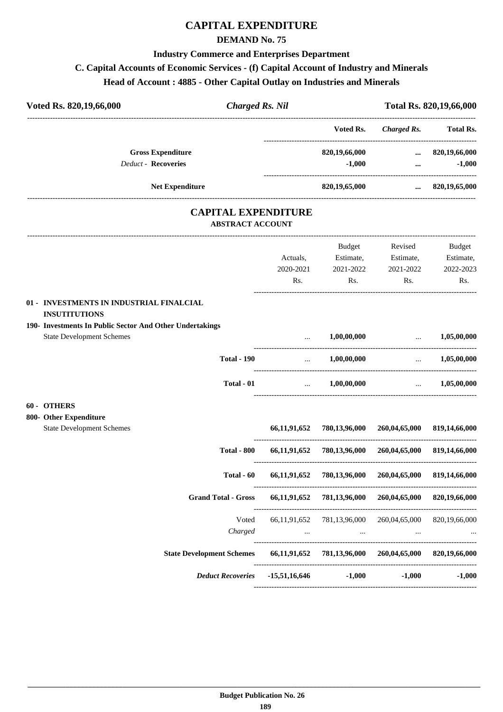# **CAPITAL EXPENDITURE**

#### **DEMAND No. 75**

# **Industry Commerce and Enterprises Department**

### **C. Capital Accounts of Economic Services - (f) Capital Account of Industry and Minerals**

### **Head of Account : 4885 - Other Capital Outlay on Industries and Minerals**

| Voted Rs. 820, 19, 66, 000                                                                                                                                       | <b>Charged Rs. Nil</b> |                                                             |                                                    |                                                        | Total Rs. 820,19,66,000 |
|------------------------------------------------------------------------------------------------------------------------------------------------------------------|------------------------|-------------------------------------------------------------|----------------------------------------------------|--------------------------------------------------------|-------------------------|
|                                                                                                                                                                  |                        |                                                             | Voted Rs.                                          | <b>Charged Rs.</b>                                     | Total Rs.               |
| <b>Gross Expenditure</b>                                                                                                                                         |                        |                                                             | 820,19,66,000                                      |                                                        | $\dots$ 820,19,66,000   |
| <b>Deduct - Recoveries</b>                                                                                                                                       |                        |                                                             | $-1,000$<br>-------------------------------------- | $\cdots$                                               | $-1,000$                |
| Net Expenditure                                                                                                                                                  |                        |                                                             | 820,19,65,000                                      | $\cdots$                                               | 820,19,65,000           |
| <b>CAPITAL EXPENDITURE</b><br><b>ABSTRACT ACCOUNT</b>                                                                                                            |                        |                                                             |                                                    |                                                        |                         |
|                                                                                                                                                                  |                        |                                                             | Budget                                             | Revised                                                | <b>Budget</b>           |
|                                                                                                                                                                  |                        | Actuals,                                                    | Estimate,                                          | Estimate,                                              | Estimate,               |
|                                                                                                                                                                  |                        | 2020-2021                                                   | 2021-2022                                          | 2021-2022                                              | 2022-2023               |
|                                                                                                                                                                  |                        | Rs.                                                         | Rs.                                                | Rs.                                                    | Rs.                     |
| 01 - INVESTMENTS IN INDUSTRIAL FINALCIAL<br><b>INSUTITUTIONS</b><br>190- Investments In Public Sector And Other Undertakings<br><b>State Development Schemes</b> |                        |                                                             | 1,00,00,000                                        | $\ldots$ 1,05,00,000                                   |                         |
| <b>Total - 190</b>                                                                                                                                               |                        |                                                             |                                                    |                                                        |                         |
|                                                                                                                                                                  |                        | $\mathcal{L}_{\text{max}}$ . The $\mathcal{L}_{\text{max}}$ | 1,00,00,000                                        | <b>Section</b> 1997                                    | 1,05,00,000             |
| Total - 01                                                                                                                                                       |                        |                                                             | $\dots$ 1,00,00,000                                |                                                        | $\dots$ 1,05,00,000     |
| 60 - OTHERS<br>800- Other Expenditure                                                                                                                            |                        |                                                             |                                                    |                                                        |                         |
| <b>State Development Schemes</b>                                                                                                                                 |                        |                                                             |                                                    | 66,11,91,652 780,13,96,000 260,04,65,000               | 819,14,66,000           |
| <b>Total - 800</b>                                                                                                                                               |                        |                                                             |                                                    | 66,11,91,652 780,13,96,000 260,04,65,000 819,14,66,000 |                         |
| Total - 60                                                                                                                                                       |                        | 66,11,91,652                                                |                                                    | 780,13,96,000 260,04,65,000 819,14,66,000              |                         |
| <b>Grand Total - Gross</b>                                                                                                                                       |                        | 66,11,91,652                                                | 781,13,96,000                                      | 260,04,65,000                                          | 820,19,66,000           |
|                                                                                                                                                                  | Voted                  | 66, 11, 91, 652                                             | 781,13,96,000                                      | 260,04,65,000                                          | 820,19,66,000           |
| Charged                                                                                                                                                          |                        |                                                             | <b>The Committee Committee</b><br>$\cdots$         | $\cdots$                                               |                         |
| <b>State Development Schemes</b>                                                                                                                                 |                        |                                                             | 66,11,91,652 781,13,96,000                         | 260,04,65,000                                          | 820,19,66,000           |
| <b>Deduct Recoveries</b>                                                                                                                                         |                        | $-15,51,16,646$                                             | $-1,000$                                           | $-1,000$                                               | $-1,000$                |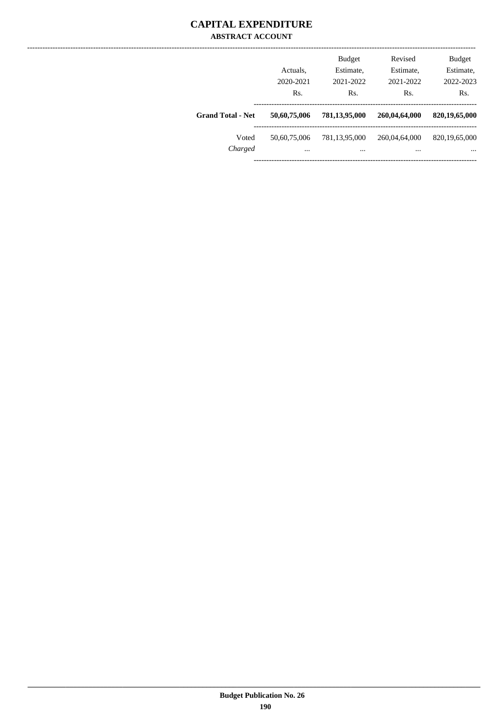### **CAPITAL EXPENDITURE ABSTRACT ACCOUNT**

|                          | Actuals.<br>2020-2021<br>Rs. | <b>Budget</b><br>Estimate,<br>2021-2022<br>Rs. | Revised<br>Estimate,<br>2021-2022<br>Rs. | <b>Budget</b><br>Estimate,<br>2022-2023<br>Rs. |
|--------------------------|------------------------------|------------------------------------------------|------------------------------------------|------------------------------------------------|
| <b>Grand Total - Net</b> | 50,60,75,006                 | 781,13,95,000                                  | 260,04,64,000                            | 820,19,65,000                                  |
| Voted<br>Charged         | 50,60,75,006<br>$\cdots$     | 781,13,95,000<br>                              | 260,04,64,000<br>$\cdots$                | 820, 19, 65, 000<br>$\cdots$                   |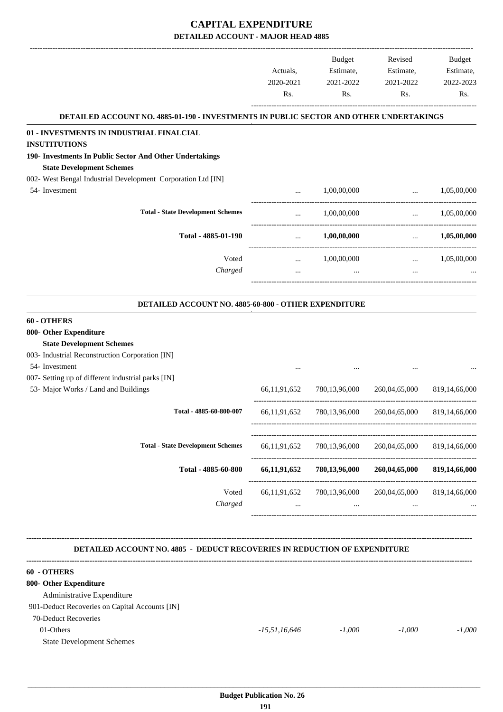|                                                                                              |                 | <b>Budget</b>                          | Revised                                 | Budget               |
|----------------------------------------------------------------------------------------------|-----------------|----------------------------------------|-----------------------------------------|----------------------|
|                                                                                              | Actuals,        | Estimate,                              | Estimate,                               | Estimate,            |
|                                                                                              | 2020-2021       | 2021-2022                              | 2021-2022                               | 2022-2023            |
|                                                                                              | Rs.             | Rs.                                    | Rs.                                     | Rs.                  |
| DETAILED ACCOUNT NO. 4885-01-190 - INVESTMENTS IN PUBLIC SECTOR AND OTHER UNDERTAKINGS       |                 |                                        |                                         |                      |
| 01 - INVESTMENTS IN INDUSTRIAL FINALCIAL                                                     |                 |                                        |                                         |                      |
| <b>INSUTITUTIONS</b>                                                                         |                 |                                        |                                         |                      |
| 190- Investments In Public Sector And Other Undertakings<br><b>State Development Schemes</b> |                 |                                        |                                         |                      |
| 002- West Bengal Industrial Development Corporation Ltd [IN]                                 |                 |                                        |                                         |                      |
| 54- Investment                                                                               | $\cdots$        | 1,00,00,000                            | $\ddots$                                | 1,05,00,000          |
| <b>Total - State Development Schemes</b>                                                     |                 | 1,00,00,000                            | ------------------------------          | $\ldots$ 1,05,00,000 |
|                                                                                              | $\cdots$        |                                        |                                         |                      |
| Total - 4885-01-190                                                                          | $\cdots$        | $1,\!00,\!00,\!000$                    | $\cdots$                                | 1,05,00,000          |
| Voted                                                                                        | $\cdots$        | 1,00,00,000                            | $\cdots$                                | 1,05,00,000          |
| Charged                                                                                      | $\cdots$        | $\cdots$                               | $\cdots$                                |                      |
|                                                                                              |                 |                                        |                                         |                      |
| DETAILED ACCOUNT NO. 4885-60-800 - OTHER EXPENDITURE                                         |                 |                                        |                                         |                      |
| 60 - OTHERS                                                                                  |                 |                                        |                                         |                      |
| 800- Other Expenditure                                                                       |                 |                                        |                                         |                      |
| <b>State Development Schemes</b>                                                             |                 |                                        |                                         |                      |
| 003- Industrial Reconstruction Corporation [IN]                                              |                 |                                        |                                         |                      |
| 54- Investment                                                                               |                 |                                        |                                         |                      |
| 007- Setting up of different industrial parks [IN]                                           |                 |                                        |                                         |                      |
| 53- Major Works / Land and Buildings                                                         | 66, 11, 91, 652 | 780,13,96,000                          | 260,04,65,000                           | 819,14,66,000        |
| Total - 4885-60-800-007                                                                      | 66, 11, 91, 652 | 780,13,96,000                          | 260,04,65,000                           | 819, 14, 66, 000     |
|                                                                                              |                 |                                        |                                         |                      |
| <b>Total - State Development Schemes</b>                                                     | 66, 11, 91, 652 | 780,13,96,000                          | 260,04,65,000                           | 819, 14, 66, 000     |
| Total - 4885-60-800                                                                          | 66,11,91,652    | 780,13,96,000                          | 260,04,65,000                           | 819,14,66,000        |
| Voted<br>Charged                                                                             | $\cdots$        | 66,11,91,652 780,13,96,000<br>$\cdots$ | 260,04,65,000 819,14,66,000<br>$\cdots$ |                      |
|                                                                                              |                 |                                        |                                         |                      |
| <b>DETAILED ACCOUNT NO. 4885 - DEDUCT RECOVERIES IN REDUCTION OF EXPENDITURE</b>             |                 |                                        |                                         |                      |
| 60 - OTHERS                                                                                  |                 |                                        |                                         |                      |
| 800- Other Expenditure                                                                       |                 |                                        |                                         |                      |
| Administrative Expenditure                                                                   |                 |                                        |                                         |                      |
| 901-Deduct Recoveries on Capital Accounts [IN]                                               |                 |                                        |                                         |                      |
| 70-Deduct Recoveries                                                                         |                 |                                        |                                         |                      |

01-Others *-15,51,16,646 -1,000 -1,000 -1,000*

State Development Schemes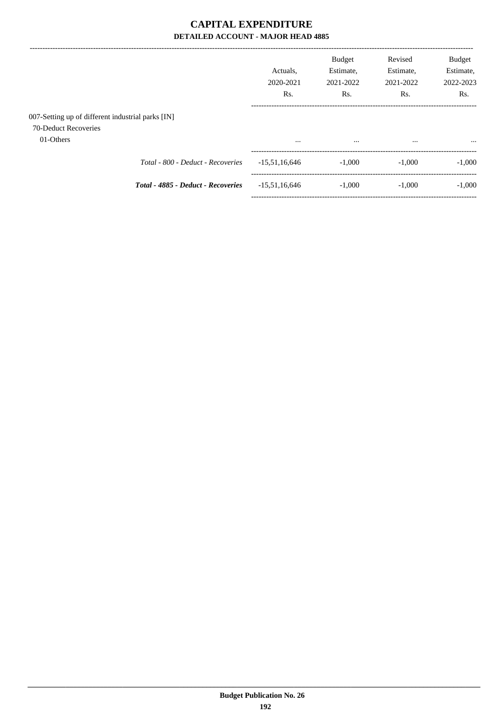|                                                                                        |                                    | Actuals.<br>2020-2021<br>Rs. | <b>Budget</b><br>Estimate,<br>2021-2022<br>Rs. | Revised<br>Estimate,<br>2021-2022<br>Rs. | Budget<br>Estimate,<br>2022-2023<br>Rs. |
|----------------------------------------------------------------------------------------|------------------------------------|------------------------------|------------------------------------------------|------------------------------------------|-----------------------------------------|
| 007-Setting up of different industrial parks [IN]<br>70-Deduct Recoveries<br>01-Others |                                    | $\cdots$                     | $\cdots$                                       | $\cdots$                                 | $\cdots$                                |
|                                                                                        | Total - 800 - Deduct - Recoveries  | $-15,51,16,646$              | $-1.000$                                       | $-1.000$                                 | $-1,000$                                |
|                                                                                        | Total - 4885 - Deduct - Recoveries | $-15,51,16,646$              | $-1.000$                                       | $-1.000$                                 | $-1,000$                                |
|                                                                                        |                                    |                              |                                                |                                          |                                         |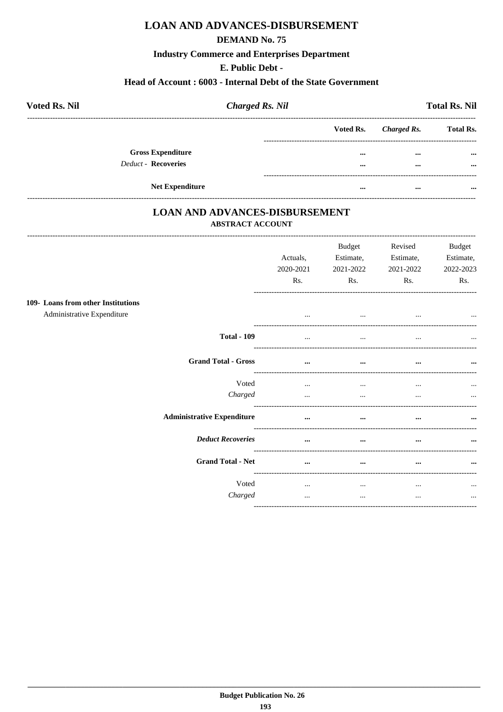# **LOAN AND ADVANCES-DISBURSEMENT**

#### **DEMAND No. 75**

**Industry Commerce and Enterprises Department** 

### E. Public Debt -

#### Head of Account: 6003 - Internal Debt of the State Government

| <b>Voted Rs. Nil</b>     | <b>Charged Rs. Nil</b> |                       | <b>Total Rs. Nil</b> |
|--------------------------|------------------------|-----------------------|----------------------|
|                          |                        | Voted Rs. Charged Rs. | <b>Total Rs.</b>     |
| <b>Gross Expenditure</b> |                        | <br>$\cdots$          | $\cdots$             |
| Deduct - Recoveries      |                        | <br>$\cdots$          | $\cdots$             |
| <b>Net Expenditure</b>   |                        | <br>                  |                      |

### **LOAN AND ADVANCES-DISBURSEMENT ABSTRACT ACCOUNT**

|                                                                  | Actuals,<br>2020-2021<br>Rs. | <b>Budget</b><br>Estimate,<br>2021-2022<br>Rs. | Revised<br>Estimate,<br>2021-2022<br>Rs. | <b>Budget</b><br>Estimate,<br>2022-2023<br>Rs. |
|------------------------------------------------------------------|------------------------------|------------------------------------------------|------------------------------------------|------------------------------------------------|
|                                                                  |                              |                                                |                                          |                                                |
| 109- Loans from other Institutions<br>Administrative Expenditure | $\cdots$                     | $\cdots$                                       | $\cdots$                                 | $\cdots$                                       |
| <b>Total - 109</b>                                               | $\cdots$                     | $\cdots$                                       | $\cdots$                                 | $\ddotsc$                                      |
| <b>Grand Total - Gross</b>                                       | $\cdots$                     | $\cdots$                                       | $\cdots$                                 | $\cdots$                                       |
| Voted                                                            | $\cdots$                     | $\cdots$                                       | $\cdots$                                 | $\cdots$                                       |
| Charged                                                          | $\cdots$                     | $\cdots$                                       | $\cdots$                                 | $\cdots$                                       |
| <b>Administrative Expenditure</b>                                | $\cdots$                     | $\cdots$                                       | $\cdots$                                 | $\cdots$                                       |
| <b>Deduct Recoveries</b>                                         | $\cdots$                     | $\cdots$                                       | $\cdots$                                 | $\cdots$                                       |
| <b>Grand Total - Net</b>                                         | $\cdots$                     | $\cdots$                                       | $\cdots$                                 | $\cdots$                                       |
| Voted                                                            | $\cdots$                     | $\cdots$                                       | $\cdots$                                 | $\cdots$                                       |
| Charged                                                          | $\cdots$                     | $\cdots$                                       | $\cdots$                                 | $\cdots$                                       |
|                                                                  |                              |                                                |                                          |                                                |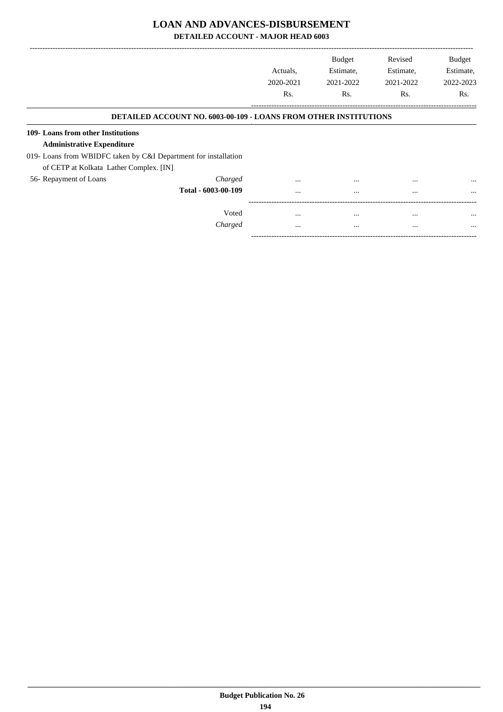### **LOAN AND ADVANCES-DISBURSEMENT**

**DETAILED ACCOUNT - MAJOR HEAD 6003**

|                                                                         |           | <b>Budget</b> | Revised   | <b>Budget</b> |
|-------------------------------------------------------------------------|-----------|---------------|-----------|---------------|
|                                                                         | Actuals.  | Estimate,     | Estimate, | Estimate,     |
|                                                                         | 2020-2021 | 2021-2022     | 2021-2022 | 2022-2023     |
|                                                                         | Rs.       | Rs.           | Rs.       | Rs.           |
| <b>DETAILED ACCOUNT NO. 6003-00-109 - LOANS FROM OTHER INSTITUTIONS</b> |           |               |           |               |
| 109- Loans from other Institutions                                      |           |               |           |               |
| <b>Administrative Expenditure</b>                                       |           |               |           |               |
| 019- Loans from WBIDFC taken by C&I Department for installation         |           |               |           |               |
| of CETP at Kolkata Lather Complex. [IN]                                 |           |               |           |               |
| 56- Repayment of Loans<br>Charged                                       | $\cdots$  |               |           | $\cdots$      |
| Total - 6003-00-109                                                     | $\cdots$  | $\cdots$      | $\cdots$  | $\cdots$      |
| Voted                                                                   | $\cdots$  | $\cdots$      | $\cdots$  | $\cdots$      |
| Charged                                                                 | $\cdots$  | $\cdots$      | $\cdots$  | $\cdots$      |

-----------------------------------------------------------------------------------------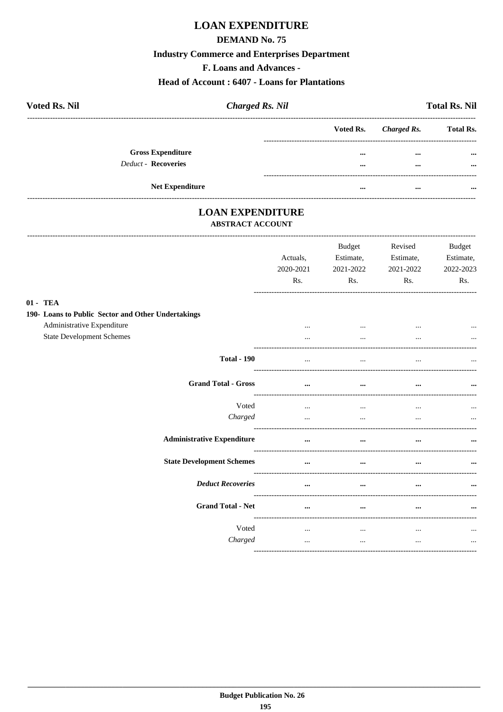# **LOAN EXPENDITURE**

### **DEMAND No. 75**

### **Industry Commerce and Enterprises Department**

F. Loans and Advances -

### **Head of Account: 6407 - Loans for Plantations**

| <b>Voted Rs. Nil</b>       | <b>Charged Rs. Nil</b> |          |                       | <b>Total Rs. Nil</b> |
|----------------------------|------------------------|----------|-----------------------|----------------------|
|                            |                        |          | Voted Rs. Charged Rs. | <b>Total Rs.</b>     |
| <b>Gross Expenditure</b>   |                        | $\cdots$ | $\cdots$              | $\cdots$             |
| <b>Deduct - Recoveries</b> |                        | $\cdots$ | $\cdots$              |                      |
|                            | <b>Net Expenditure</b> |          |                       |                      |
|                            |                        |          | $\cdots$              |                      |

# **LOAN EXPENDITURE**

-----------------------------

#### **ABSTRACT ACCOUNT**

|                                                    | Actuals,<br>2020-2021<br>Rs. | <b>Budget</b><br>Estimate,<br>2021-2022<br>Rs. | Revised<br>Estimate,<br>2021-2022<br>Rs. | <b>Budget</b><br>Estimate,<br>2022-2023<br>Rs. |
|----------------------------------------------------|------------------------------|------------------------------------------------|------------------------------------------|------------------------------------------------|
| 01 - TEA                                           |                              |                                                |                                          |                                                |
| 190- Loans to Public Sector and Other Undertakings |                              |                                                |                                          |                                                |
| Administrative Expenditure                         |                              | $\cdots$                                       |                                          |                                                |
| <b>State Development Schemes</b>                   |                              | $\ddotsc$                                      |                                          |                                                |
| <b>Total - 190</b>                                 | $\ddotsc$                    | $\ddotsc$                                      |                                          |                                                |
| <b>Grand Total - Gross</b>                         | $\cdots$                     | $\cdots$                                       | $\ddotsc$                                | $\ddotsc$                                      |
| Voted                                              | $\cdots$                     | $\cdots$                                       | $\cdots$                                 |                                                |
| Charged                                            | $\ddotsc$                    | $\cdots$                                       |                                          |                                                |
| <b>Administrative Expenditure</b>                  | $\cdots$                     | $\cdots$                                       | $\cdots$                                 |                                                |
| <b>State Development Schemes</b>                   | $\cdots$                     | $\cdots$                                       |                                          |                                                |
| <b>Deduct Recoveries</b>                           |                              | $\cdots$                                       |                                          |                                                |
| <b>Grand Total - Net</b>                           | $\cdots$                     | $\cdots$                                       | $\cdots$                                 | $\cdots$                                       |
| Voted                                              | $\cdots$                     | $\cdots$                                       | $\cdots$                                 |                                                |
| Charged                                            | $\cdots$                     | $\cdots$                                       | $\cdots$                                 | $\cdots$                                       |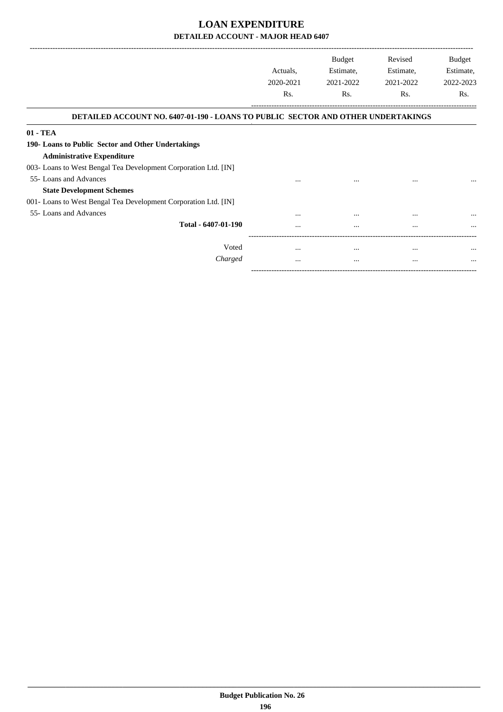-------------------------------------------------------------------------------------------------------------------------------------------------------------------------------

|                                                                                  | Actuals,<br>2020-2021<br>Rs. | <b>Budget</b><br>Estimate,<br>2021-2022<br>Rs. | Revised<br>Estimate,<br>2021-2022<br>Rs. | <b>Budget</b><br>Estimate,<br>2022-2023<br>Rs. |
|----------------------------------------------------------------------------------|------------------------------|------------------------------------------------|------------------------------------------|------------------------------------------------|
| DETAILED ACCOUNT NO. 6407-01-190 - LOANS TO PUBLIC SECTOR AND OTHER UNDERTAKINGS |                              |                                                |                                          |                                                |
| 01 - TEA                                                                         |                              |                                                |                                          |                                                |
| 190- Loans to Public Sector and Other Undertakings                               |                              |                                                |                                          |                                                |
| <b>Administrative Expenditure</b>                                                |                              |                                                |                                          |                                                |
| 003- Loans to West Bengal Tea Development Corporation Ltd. [IN]                  |                              |                                                |                                          |                                                |
| 55- Loans and Advances                                                           | $\cdots$                     | $\cdots$                                       |                                          |                                                |
| <b>State Development Schemes</b>                                                 |                              |                                                |                                          |                                                |
| 001- Loans to West Bengal Tea Development Corporation Ltd. [IN]                  |                              |                                                |                                          |                                                |
| 55- Loans and Advances                                                           |                              |                                                |                                          |                                                |
| Total - 6407-01-190                                                              |                              |                                                |                                          |                                                |
|                                                                                  |                              |                                                |                                          |                                                |
| Voted                                                                            | $\cdots$                     | $\cdots$                                       | $\cdots$                                 |                                                |
| Charged                                                                          | $\cdots$                     | $\cdots$                                       | $\cdots$                                 |                                                |
|                                                                                  |                              |                                                |                                          |                                                |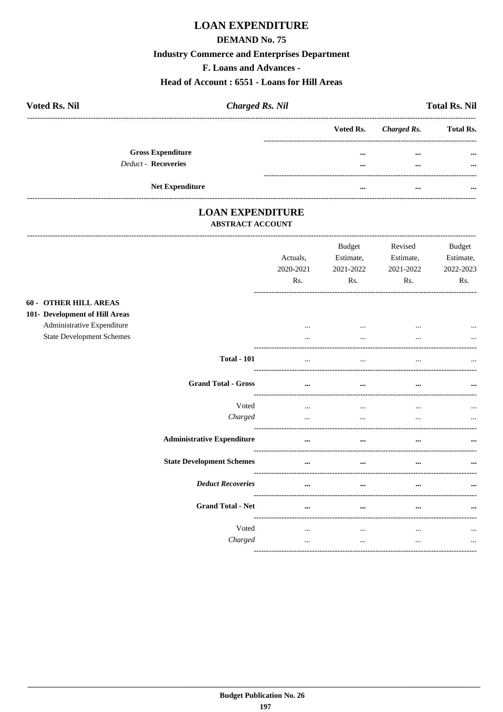# **LOAN EXPENDITURE**

### **DEMAND No. 75**

### **Industry Commerce and Enterprises Department**

F. Loans and Advances -

#### Head of Account: 6551 - Loans for Hill Areas

| <b>Voted Rs. Nil</b>       | <b>Charged Rs. Nil</b> |          |                       | <b>Total Rs. Nil</b> |
|----------------------------|------------------------|----------|-----------------------|----------------------|
|                            |                        |          | Voted Rs. Charged Rs. | <b>Total Rs.</b>     |
| <b>Gross Expenditure</b>   |                        | $\cdots$ | $\cdots$              | $\cdots$             |
| <b>Deduct - Recoveries</b> |                        |          | $\cdots$              | $\cdots$             |
|                            |                        |          |                       |                      |
|                            | <b>Net Expenditure</b> |          | $\cdots$              |                      |

### **LOAN EXPENDITURE** ABSTRACT ACCOUNT

------------------------------

 $60 101 -$ 

|                                                                | Actuals,<br>2020-2021<br>Rs. | <b>Budget</b><br>Estimate,<br>2021-2022<br>Rs. | Revised<br>Estimate,<br>2021-2022<br>Rs. | <b>Budget</b><br>Estimate,<br>2022-2023<br>Rs. |
|----------------------------------------------------------------|------------------------------|------------------------------------------------|------------------------------------------|------------------------------------------------|
| OTHER HILL AREAS<br><b>Development of Hill Areas</b>           |                              |                                                |                                          |                                                |
| Administrative Expenditure<br><b>State Development Schemes</b> | $\cdots$<br>$\cdots$         | $\cdots$<br>                                   | $\cdots$<br>$\cdots$                     | $\cdots$                                       |
| <b>Total - 101</b>                                             | $\cdots$                     |                                                |                                          |                                                |
| <b>Grand Total - Gross</b>                                     | $\cdots$                     | $\cdots$                                       | $\cdots$                                 |                                                |
| Voted<br>Charged                                               | $\cdots$<br>$\cdots$         | <br>$\cdots$                                   | $\cdots$<br>$\cdots$                     | $\cdots$                                       |
| <b>Administrative Expenditure</b>                              | $\cdots$                     | $\cdots$                                       | $\cdots$                                 | $\cdots$                                       |
| <b>State Development Schemes</b>                               | $\ddotsc$                    | $\cdots$                                       | $\ddotsc$                                |                                                |
| <b>Deduct Recoveries</b>                                       | $\cdots$                     | $\cdots$                                       | $\cdots$                                 |                                                |
| <b>Grand Total - Net</b>                                       | $\cdots$                     | $\cdots$                                       | $\cdots$                                 | $\cdots$                                       |
| Voted<br>Charged                                               | $\cdots$<br>$\cdots$         | $\cdots$<br>$\cdots$                           | $\cdots$<br>$\cdots$                     | $\cdots$<br>$\cdots$                           |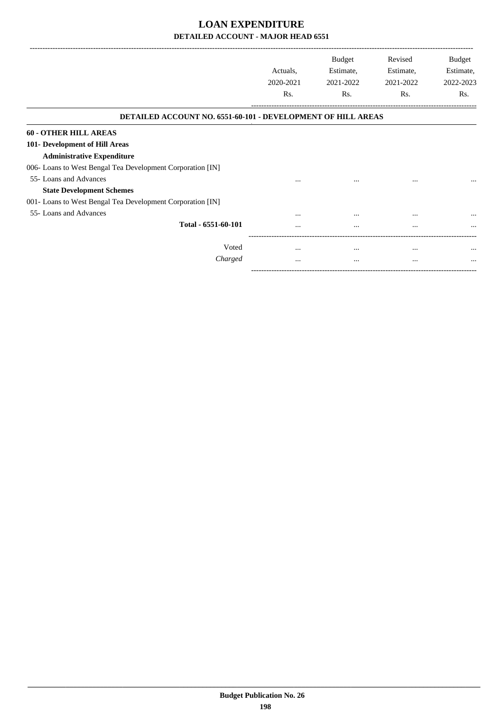|                                                                     |           | <b>Budget</b> | Revised   | Budget    |
|---------------------------------------------------------------------|-----------|---------------|-----------|-----------|
|                                                                     | Actuals,  | Estimate,     | Estimate, | Estimate, |
|                                                                     | 2020-2021 | 2021-2022     | 2021-2022 | 2022-2023 |
|                                                                     | Rs.       | Rs.           | Rs.       | Rs.       |
| <b>DETAILED ACCOUNT NO. 6551-60-101 - DEVELOPMENT OF HILL AREAS</b> |           |               |           |           |
| <b>60 - OTHER HILL AREAS</b>                                        |           |               |           |           |
| 101- Development of Hill Areas                                      |           |               |           |           |
| <b>Administrative Expenditure</b>                                   |           |               |           |           |
| 006- Loans to West Bengal Tea Development Corporation [IN]          |           |               |           |           |
| 55- Loans and Advances                                              |           |               | $\cdots$  | $\cdots$  |
| <b>State Development Schemes</b>                                    |           |               |           |           |
| 001 - Loans to West Bengal Tea Development Corporation [IN]         |           |               |           |           |
| 55- Loans and Advances                                              |           | $\cdots$      | $\cdots$  | $\cdots$  |
| Total - 6551-60-101                                                 | $\cdots$  |               | $\cdots$  |           |
| Voted                                                               | $\cdots$  | $\cdots$      | $\cdots$  |           |
| Charged                                                             | $\cdots$  | $\cdots$      | $\cdots$  | $\cdots$  |

-----------------------------------------------------------------------------------------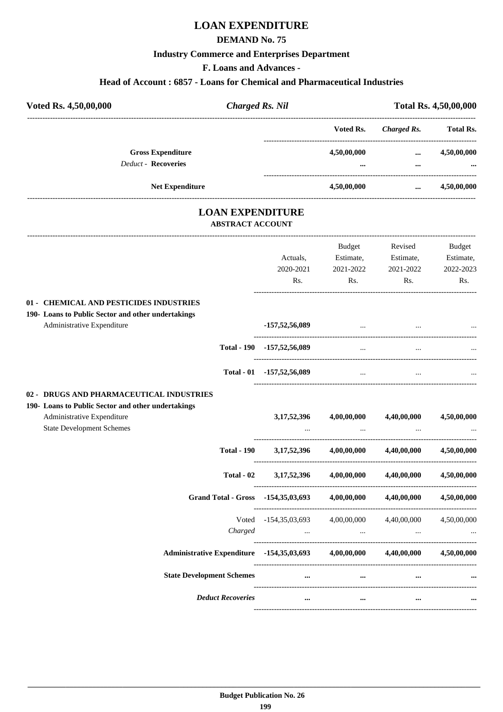# **LOAN EXPENDITURE**

### **DEMAND No. 75**

### **Industry Commerce and Enterprises Department**

**F. Loans and Advances -**

# **Head of Account : 6857 - Loans for Chemical and Pharmaceutical Industries**

| Voted Rs. 4,50,00,000                              | <b>Charged Rs. Nil</b>  |                           |             |                                              | Total Rs. 4,50,00,000 |
|----------------------------------------------------|-------------------------|---------------------------|-------------|----------------------------------------------|-----------------------|
|                                                    |                         |                           | Voted Rs.   | <b>Charged Rs.</b>                           | <b>Total Rs.</b>      |
| <b>Gross Expenditure</b>                           |                         |                           | 4,50,00,000 | $\ddotsc$                                    | 4,50,00,000           |
| <b>Deduct - Recoveries</b>                         |                         |                           |             | $\cdots$                                     |                       |
| <b>Net Expenditure</b>                             |                         |                           | 4,50,00,000 | --------------------------------<br>$\cdots$ | 4,50,00,000           |
|                                                    | <b>ABSTRACT ACCOUNT</b> | <b>LOAN EXPENDITURE</b>   |             |                                              |                       |
|                                                    |                         |                           | Budget      | Revised                                      | <b>Budget</b>         |
|                                                    |                         | Actuals,                  | Estimate,   | Estimate,                                    | Estimate,             |
|                                                    |                         | 2020-2021                 | 2021-2022   | 2021-2022                                    | 2022-2023             |
|                                                    |                         | Rs.                       | Rs.         | Rs.                                          | Rs.                   |
| 01 - CHEMICAL AND PESTICIDES INDUSTRIES            |                         |                           |             |                                              |                       |
| 190- Loans to Public Sector and other undertakings |                         |                           |             |                                              |                       |
| Administrative Expenditure                         |                         | $-157,52,56,089$          | $\ddotsc$   |                                              |                       |
|                                                    | <b>Total - 190</b>      | $-157,52,56,089$          | $\cdots$    | $\ddotsc$                                    |                       |
|                                                    |                         | Total - 01 -157,52,56,089 | $\ddotsc$   |                                              |                       |
| 02 - DRUGS AND PHARMACEUTICAL INDUSTRIES           |                         |                           |             |                                              |                       |
| 190- Loans to Public Sector and other undertakings |                         |                           |             |                                              |                       |
| Administrative Expenditure                         |                         | 3, 17, 52, 396            | 4,00,00,000 | 4,40,00,000                                  | 4,50,00,000           |
| <b>State Development Schemes</b>                   |                         |                           |             |                                              |                       |
|                                                    |                         |                           |             |                                              |                       |

| <b>Total - 190</b>                               | 3, 17, 52, 396             | 4,00,00,000 | 4,40,00,000             | 4,50,00,000 |
|--------------------------------------------------|----------------------------|-------------|-------------------------|-------------|
| Total - 02                                       | 3, 17, 52, 396             | 4,00,00,000 | 4,40,00,000             | 4,50,00,000 |
| <b>Grand Total - Gross</b>                       | $-154,35,03,693$           | 4,00,00,000 | 4,40,00,000             | 4,50,00,000 |
| Voted<br>Charged                                 | -154,35,03,693<br>$\cdots$ | 4,00,00,000 | 4,40,00,000<br>$\cdots$ | 4,50,00,000 |
| <b>Administrative Expenditure</b> -154,35,03,693 |                            | 4,00,00,000 | 4,40,00,000             | 4,50,00,000 |
| <b>State Development Schemes</b>                 |                            | $\cdots$    | $\cdots$                |             |
| <b>Deduct Recoveries</b>                         |                            |             | $\cdots$                | $\cdots$    |
|                                                  |                            |             |                         |             |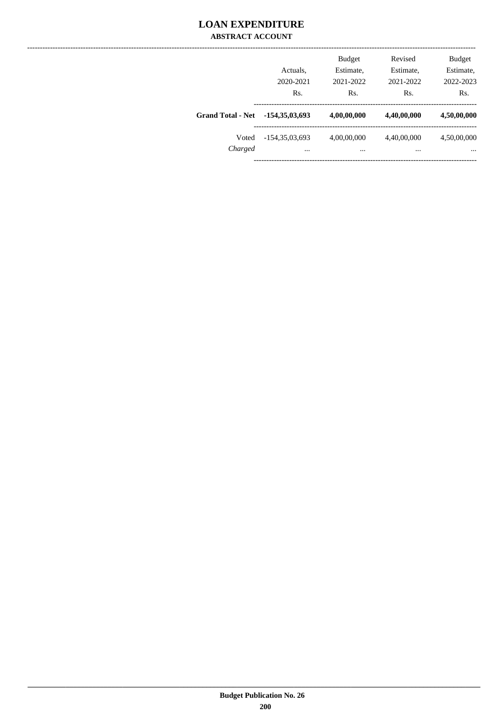### **LOAN EXPENDITURE ABSTRACT ACCOUNT**

|                          | Actuals.<br>2020-2021<br>Rs. | <b>Budget</b><br>Estimate,<br>2021-2022<br>Rs. | Revised<br>Estimate,<br>2021-2022<br>Rs. | <b>Budget</b><br>Estimate,<br>2022-2023<br>Rs. |
|--------------------------|------------------------------|------------------------------------------------|------------------------------------------|------------------------------------------------|
| <b>Grand Total - Net</b> | $-154,35,03,693$             | 4,00,00,000                                    | 4,40,00,000                              | 4,50,00,000                                    |
| Voted<br>Charged         | $-154,35,03,693$<br>$\cdots$ | 4,00,00,000<br>                                | 4,40,00,000<br>$\cdots$                  | 4,50,00,000<br>$\cdots$                        |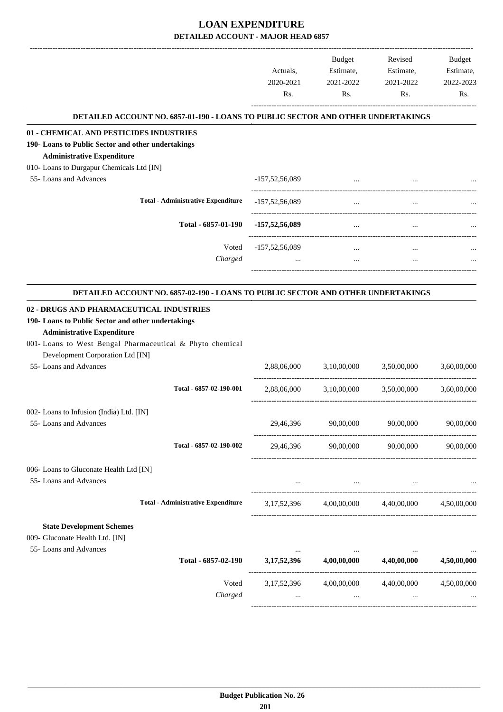|                                                                                                                                                                                                          | Actuals,<br>2020-2021<br>Rs. | Budget<br>Estimate,<br>2021-2022<br>Rs. | Revised<br>Estimate,<br>2021-2022<br>Rs.        | Budget<br>Estimate,<br>2022-2023<br>Rs. |
|----------------------------------------------------------------------------------------------------------------------------------------------------------------------------------------------------------|------------------------------|-----------------------------------------|-------------------------------------------------|-----------------------------------------|
| DETAILED ACCOUNT NO. 6857-01-190 - LOANS TO PUBLIC SECTOR AND OTHER UNDERTAKINGS                                                                                                                         |                              |                                         |                                                 |                                         |
| 01 - CHEMICAL AND PESTICIDES INDUSTRIES                                                                                                                                                                  |                              |                                         |                                                 |                                         |
| 190-Loans to Public Sector and other undertakings                                                                                                                                                        |                              |                                         |                                                 |                                         |
| <b>Administrative Expenditure</b>                                                                                                                                                                        |                              |                                         |                                                 |                                         |
| 010- Loans to Durgapur Chemicals Ltd [IN]<br>55- Loans and Advances                                                                                                                                      | $-157,52,56,089$             |                                         |                                                 |                                         |
|                                                                                                                                                                                                          |                              | $\cdots$                                |                                                 |                                         |
| <b>Total - Administrative Expenditure</b>                                                                                                                                                                | $-157,52,56,089$             | $\cdots$                                | $\cdots$                                        |                                         |
| Total - 6857-01-190                                                                                                                                                                                      | $-157,52,56,089$             | $\cdots$                                |                                                 |                                         |
| Voted                                                                                                                                                                                                    | $-157,52,56,089$             | $\cdots$                                | $\cdots$                                        |                                         |
| Charged                                                                                                                                                                                                  | $\cdots$                     | $\cdots$                                | $\cdots$                                        |                                         |
|                                                                                                                                                                                                          |                              |                                         |                                                 |                                         |
| DETAILED ACCOUNT NO. 6857-02-190 - LOANS TO PUBLIC SECTOR AND OTHER UNDERTAKINGS<br>190-Loans to Public Sector and other undertakings                                                                    |                              |                                         |                                                 |                                         |
| 02 - DRUGS AND PHARMACEUTICAL INDUSTRIES<br><b>Administrative Expenditure</b><br>001- Loans to West Bengal Pharmaceutical & Phyto chemical<br>Development Corporation Ltd [IN]<br>55- Loans and Advances | 2,88,06,000                  | 3,10,00,000                             | 3,50,00,000                                     | 3,60,00,000                             |
| Total - 6857-02-190-001                                                                                                                                                                                  | 2,88,06,000                  | 3,10,00,000                             | 3,50,00,000                                     | 3,60,00,000                             |
| 002- Loans to Infusion (India) Ltd. [IN]<br>55- Loans and Advances                                                                                                                                       | 29.46.396                    | 90,00,000                               | 90,00,000                                       | 90,00,000                               |
| Total - 6857-02-190-002                                                                                                                                                                                  | 29,46,396                    | 90,00,000                               | 90,00,000                                       | 90,00,000                               |
| 006- Loans to Gluconate Health Ltd [IN]<br>55- Loans and Advances                                                                                                                                        |                              |                                         |                                                 |                                         |
| <b>Total - Administrative Expenditure</b>                                                                                                                                                                |                              |                                         | 3,17,52,396 4,00,00,000 4,40,00,000 4,50,00,000 |                                         |
| <b>State Development Schemes</b><br>009- Gluconate Health Ltd. [IN]<br>55- Loans and Advances                                                                                                            |                              | $\cdots$                                |                                                 |                                         |
| Total - 6857-02-190                                                                                                                                                                                      | 3,17,52,396                  | 4,00,00,000                             | 4,40,00,000                                     | $\cdots$<br>4,50,00,000                 |
| Voted                                                                                                                                                                                                    |                              |                                         | 3,17,52,396 4,00,00,000 4,40,00,000 4,50,00,000 |                                         |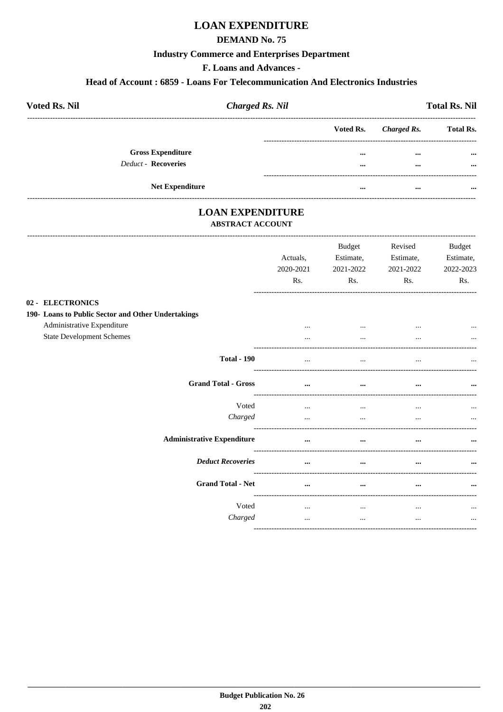# **LOAN EXPENDITURE**

### **DEMAND No. 75**

#### **Industry Commerce and Enterprises Department**

F. Loans and Advances -

#### Head of Account: 6859 - Loans For Telecommunication And Electronics Industries

| <b>Voted Rs. Nil</b>     | <b>Charged Rs. Nil</b> |           |             | <b>Total Rs. Nil</b> |
|--------------------------|------------------------|-----------|-------------|----------------------|
|                          |                        | Voted Rs. | Charged Rs. | <b>Total Rs.</b>     |
| <b>Gross Expenditure</b> |                        | $\cdots$  | $\cdots$    | $\cdots$             |
| Deduct - Recoveries      |                        | $\cdots$  | $\cdots$    | $\cdots$             |
| <b>Net Expenditure</b>   |                        |           |             | $\cdots$             |

# **LOAN EXPENDITURE**

#### **ABSTRACT ACCOUNT**

|                                                                        | Actuals.<br>2020-2021<br>Rs. | <b>Budget</b><br>Estimate,<br>2021-2022<br>Rs. | Revised<br>Estimate,<br>2021-2022<br>Rs. | <b>Budget</b><br>Estimate,<br>2022-2023<br>Rs. |
|------------------------------------------------------------------------|------------------------------|------------------------------------------------|------------------------------------------|------------------------------------------------|
| 02 - ELECTRONICS<br>190- Loans to Public Sector and Other Undertakings |                              |                                                |                                          |                                                |
| Administrative Expenditure<br><b>State Development Schemes</b>         | $\cdots$                     | $\cdots$<br>$\cdots$                           |                                          |                                                |
| <b>Total - 190</b>                                                     | $\cdots$                     | $\cdots$                                       |                                          |                                                |
| <b>Grand Total - Gross</b>                                             | $\cdots$                     | $\cdots$                                       |                                          | $\cdots$                                       |
| Voted<br>Charged                                                       | $\cdots$<br>$\cdots$         | $\cdots$<br>$\cdots$                           | $\cdots$                                 | $\ddotsc$<br>$\cdots$                          |
| <b>Administrative Expenditure</b>                                      | $\cdots$                     | $\cdots$                                       | $\cdots$                                 |                                                |
| <b>Deduct Recoveries</b>                                               | $\cdots$                     | $\ddotsc$                                      | $\cdots$                                 |                                                |
| <b>Grand Total - Net</b>                                               | $\cdots$                     | $\cdots$                                       | $\cdots$                                 | $\cdots$                                       |
| Voted<br>Charged                                                       | $\cdots$<br>$\cdots$         | $\cdots$<br>$\cdots$                           | $\cdots$<br>$\cdots$                     | $\cdots$<br>$\cdots$                           |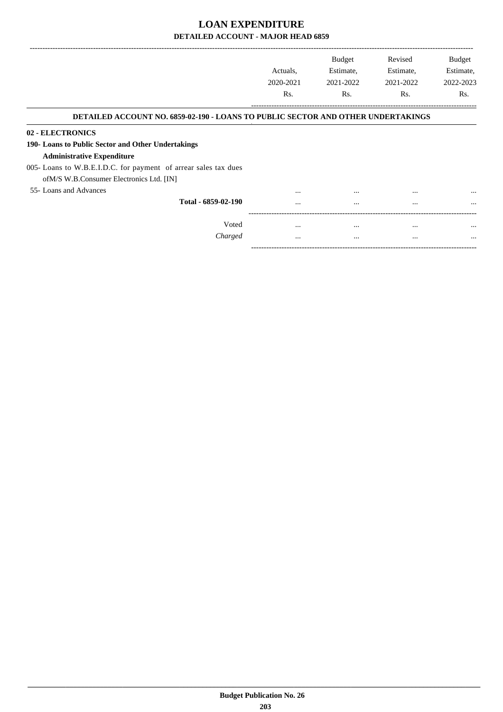|                                                                                         | Actuals,         | <b>Budget</b><br>Estimate, | Revised<br>Estimate, | <b>Budget</b><br>Estimate, |
|-----------------------------------------------------------------------------------------|------------------|----------------------------|----------------------|----------------------------|
|                                                                                         | 2020-2021        | 2021-2022                  | 2021-2022            | 2022-2023                  |
|                                                                                         | R <sub>s</sub> . | R <sub>s</sub> .           | Rs.                  | Rs.                        |
| <b>DETAILED ACCOUNT NO. 6859-02-190 - LOANS TO PUBLIC SECTOR AND OTHER UNDERTAKINGS</b> |                  |                            |                      |                            |
| 02 - ELECTRONICS                                                                        |                  |                            |                      |                            |
| 190- Loans to Public Sector and Other Undertakings                                      |                  |                            |                      |                            |
| <b>Administrative Expenditure</b>                                                       |                  |                            |                      |                            |
| 005- Loans to W.B.E.I.D.C. for payment of arrear sales tax dues                         |                  |                            |                      |                            |
| of M/S W.B. Consumer Electronics Ltd. [IN]                                              |                  |                            |                      |                            |
| 55- Loans and Advances                                                                  |                  | $\cdots$                   | $\cdots$             | $\cdots$                   |
| Total - 6859-02-190                                                                     | $\cdots$         | $\cdots$                   | $\cdots$             | $\cdots$                   |
| Voted                                                                                   | $\cdots$         | $\cdots$                   | $\cdots$             |                            |
| Charged                                                                                 |                  | $\cdots$                   | $\cdots$             | $\cdots$                   |

-----------------------------------------------------------------------------------------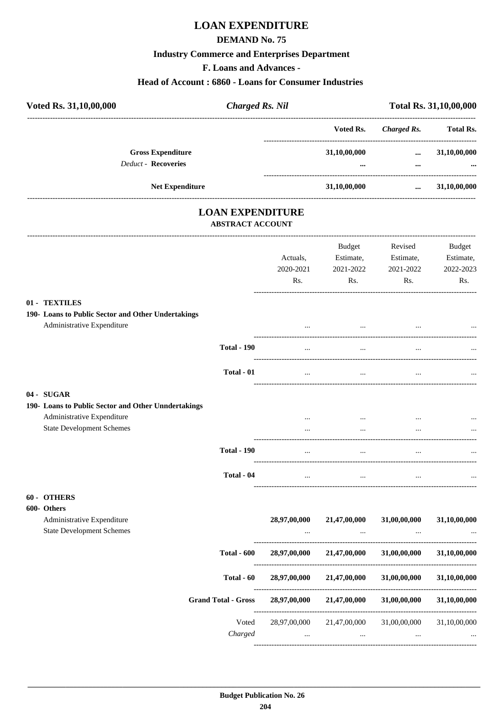# **LOAN EXPENDITURE**

#### **DEMAND No. 75**

#### **Industry Commerce and Enterprises Department**

**F. Loans and Advances -**

#### **Head of Account : 6860 - Loans for Consumer Industries**

| Voted Rs. 31, 10, 00, 000                          | <b>Charged Rs. Nil</b>                             |               |                    | Total Rs. 31,10,00,000 |
|----------------------------------------------------|----------------------------------------------------|---------------|--------------------|------------------------|
|                                                    |                                                    | Voted Rs.     | <b>Charged Rs.</b> | <b>Total Rs.</b>       |
| <b>Gross Expenditure</b>                           |                                                    | 31,10,00,000  | $\cdots$           | 31,10,00,000           |
| <b>Deduct - Recoveries</b>                         |                                                    | $\cdots$      | $\cdots$           |                        |
| <b>Net Expenditure</b>                             | 31,10,00,000                                       |               | $\cdots$           | 31,10,00,000           |
|                                                    | <b>LOAN EXPENDITURE</b><br><b>ABSTRACT ACCOUNT</b> |               |                    |                        |
|                                                    |                                                    | <b>Budget</b> | Revised            | Budget                 |
|                                                    | Actuals,                                           | Estimate,     | Estimate,          | Estimate,              |
|                                                    | 2020-2021                                          | 2021-2022     | 2021-2022          | 2022-2023              |
|                                                    | Rs.                                                | Rs.           | Rs.                | Rs.                    |
| 01 - TEXTILES                                      |                                                    |               |                    |                        |
| 190- Loans to Public Sector and Other Undertakings |                                                    |               |                    |                        |
| Administrative Expenditure                         |                                                    |               |                    |                        |

| Administrative Expenditure                          | $\cdots$ | $\cdots$ | $\cdots$ | $\cdots$ |
|-----------------------------------------------------|----------|----------|----------|----------|
| <b>Total - 190</b>                                  | $\cdots$ | $\cdots$ | $\cdots$ | $\cdots$ |
| Total - 01                                          | $\cdots$ |          |          | $\cdots$ |
| $04 - \text{SUGAR}$                                 |          |          |          |          |
| 190- Loans to Public Sector and Other Unndertakings |          |          |          |          |
| Administrative Expenditure                          |          | $\cdots$ |          | $\cdots$ |
| <b>State Development Schemes</b>                    | $\cdots$ | $\cdots$ | $\cdots$ |          |

----------------------------------------------------------------------------------------

**Total - 190** ... ... ... ...

**Total - 04** ... ... ... ...

----------------------------------------------------------------------------------------

----------------------------------------------------------------------------------------

#### **60 - OTHERS**

| 600- Others                      |                            |              |              |              |              |
|----------------------------------|----------------------------|--------------|--------------|--------------|--------------|
| Administrative Expenditure       |                            | 28,97,00,000 | 21,47,00,000 | 31,00,00,000 | 31,10,00,000 |
| <b>State Development Schemes</b> |                            | $\cdots$     | $\cdots$     | $\cdots$     | $\cdots$     |
|                                  | <b>Total - 600</b>         | 28,97,00,000 | 21,47,00,000 | 31,00,00,000 | 31,10,00,000 |
|                                  | Total - 60                 | 28,97,00,000 | 21,47,00,000 | 31,00,00,000 | 31,10,00,000 |
|                                  | <b>Grand Total - Gross</b> | 28,97,00,000 | 21,47,00,000 | 31,00,00,000 | 31,10,00,000 |
|                                  | Voted                      | 28,97,00,000 | 21,47,00,000 | 31,00,00,000 | 31,10,00,000 |
|                                  | Charged                    | $\cdots$     | $\cdots$     | $\cdots$     | $\cdots$     |
|                                  |                            |              |              |              |              |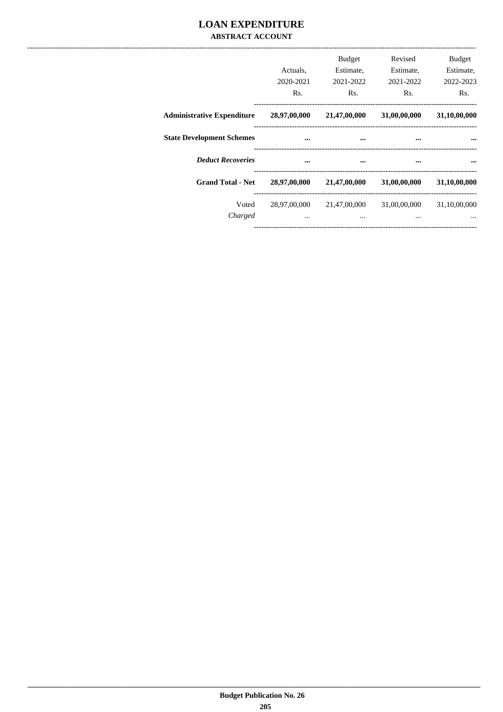### **LOAN EXPENDITURE ABSTRACT ACCOUNT**

|                                   | Actuals,<br>2020-2021<br>Rs. | <b>Budget</b><br>Estimate,<br>2021-2022<br>Rs. | Revised<br>Estimate,<br>2021-2022<br>Rs. | <b>Budget</b><br>Estimate,<br>2022-2023<br>Rs. |
|-----------------------------------|------------------------------|------------------------------------------------|------------------------------------------|------------------------------------------------|
| <b>Administrative Expenditure</b> | 28,97,00,000                 | 21,47,00,000                                   | 31,00,00,000                             | 31,10,00,000                                   |
| <b>State Development Schemes</b>  |                              | $\cdots$                                       | $\cdots$                                 |                                                |
| <b>Deduct Recoveries</b>          | $\cdots$                     | $\cdots$                                       | $\cdots$                                 | $\cdots$                                       |
| <b>Grand Total - Net</b>          | 28,97,00,000                 | 21,47,00,000                                   | 31,00,00,000                             | 31,10,00,000                                   |
| Voted<br>Charged                  | $\cdots$                     | 28,97,00,000 21,47,00,000<br>$\cdots$          | 31,00,00,000<br>$\cdots$                 | 31,10,00,000<br>$\cdots$                       |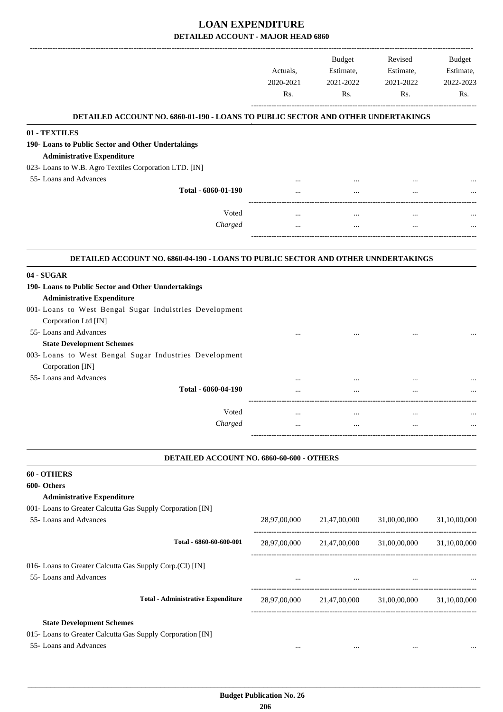|                                                                                   | Actuals,<br>2020-2021<br>Rs. | Budget<br>Estimate,<br>2021-2022<br>Rs.                                                      | Revised<br>Estimate,<br>2021-2022<br>Rs.                      | Budget<br>Estimate,<br>2022-2023<br>Rs. |
|-----------------------------------------------------------------------------------|------------------------------|----------------------------------------------------------------------------------------------|---------------------------------------------------------------|-----------------------------------------|
| DETAILED ACCOUNT NO. 6860-01-190 - LOANS TO PUBLIC SECTOR AND OTHER UNDERTAKINGS  |                              |                                                                                              |                                                               |                                         |
| 01 - TEXTILES                                                                     |                              |                                                                                              |                                                               |                                         |
| 190- Loans to Public Sector and Other Undertakings                                |                              |                                                                                              |                                                               |                                         |
| <b>Administrative Expenditure</b>                                                 |                              |                                                                                              |                                                               |                                         |
| 023- Loans to W.B. Agro Textiles Corporation LTD. [IN]                            |                              |                                                                                              |                                                               |                                         |
| 55- Loans and Advances                                                            |                              |                                                                                              |                                                               |                                         |
| Total - 6860-01-190                                                               |                              |                                                                                              |                                                               |                                         |
|                                                                                   |                              |                                                                                              |                                                               |                                         |
| Voted                                                                             |                              |                                                                                              | $\ddotsc$                                                     |                                         |
| Charged                                                                           |                              |                                                                                              | $\ddotsc$                                                     |                                         |
| DETAILED ACCOUNT NO. 6860-04-190 - LOANS TO PUBLIC SECTOR AND OTHER UNNDERTAKINGS |                              |                                                                                              |                                                               |                                         |
| 04 - SUGAR                                                                        |                              |                                                                                              |                                                               |                                         |
| 190- Loans to Public Sector and Other Unndertakings                               |                              |                                                                                              |                                                               |                                         |
| <b>Administrative Expenditure</b>                                                 |                              |                                                                                              |                                                               |                                         |
| 001- Loans to West Bengal Sugar Induistries Development                           |                              |                                                                                              |                                                               |                                         |
| Corporation Ltd [IN]                                                              |                              |                                                                                              |                                                               |                                         |
| 55- Loans and Advances                                                            |                              |                                                                                              |                                                               |                                         |
| <b>State Development Schemes</b>                                                  |                              |                                                                                              |                                                               |                                         |
| 003- Loans to West Bengal Sugar Industries Development                            |                              |                                                                                              |                                                               |                                         |
| Corporation [IN]                                                                  |                              |                                                                                              |                                                               |                                         |
| 55- Loans and Advances                                                            |                              |                                                                                              |                                                               |                                         |
| Total - 6860-04-190                                                               |                              |                                                                                              |                                                               |                                         |
|                                                                                   |                              |                                                                                              |                                                               |                                         |
| Voted                                                                             | $\ddotsc$                    | $\cdots$                                                                                     | $\ddotsc$                                                     |                                         |
| Charged                                                                           |                              |                                                                                              |                                                               |                                         |
| DETAILED ACCOUNT NO. 6860-60-600 - OTHERS                                         |                              |                                                                                              |                                                               |                                         |
| 60 - OTHERS                                                                       |                              |                                                                                              |                                                               |                                         |
| 600- Others                                                                       |                              |                                                                                              |                                                               |                                         |
| <b>Administrative Expenditure</b>                                                 |                              |                                                                                              |                                                               |                                         |
| 001- Loans to Greater Calcutta Gas Supply Corporation [IN]                        |                              |                                                                                              |                                                               |                                         |
| 55- Loans and Advances                                                            |                              | 28,97,00,000 21,47,00,000 31,00,00,000                                                       |                                                               | 31,10,00,000                            |
|                                                                                   |                              |                                                                                              |                                                               |                                         |
| Total - 6860-60-600-001                                                           |                              | $28,97,00,000 \qquad \quad 21,47,00,000 \qquad \quad 31,00,00,000 \qquad \quad 31,10,00,000$ |                                                               |                                         |
| 016- Loans to Greater Calcutta Gas Supply Corp.(CI) [IN]                          |                              |                                                                                              |                                                               |                                         |
| 55- Loans and Advances                                                            | <b>See College</b>           |                                                                                              | $\sim$ 100 $\sim$ 100 $\sim$ 100 $\sim$ 100 $\sim$ 100 $\sim$ |                                         |
|                                                                                   |                              |                                                                                              |                                                               |                                         |
| <b>Total - Administrative Expenditure</b>                                         |                              | 28,97,00,000 21,47,00,000 31,00,00,000 31,10,00,000                                          |                                                               |                                         |
| <b>State Development Schemes</b>                                                  |                              |                                                                                              |                                                               |                                         |
| 015- Loans to Greater Calcutta Gas Supply Corporation [IN]                        |                              |                                                                                              |                                                               |                                         |
| 55- Loans and Advances                                                            | $\cdots$                     | $\cdots$                                                                                     | $\cdots$                                                      |                                         |
|                                                                                   |                              |                                                                                              |                                                               |                                         |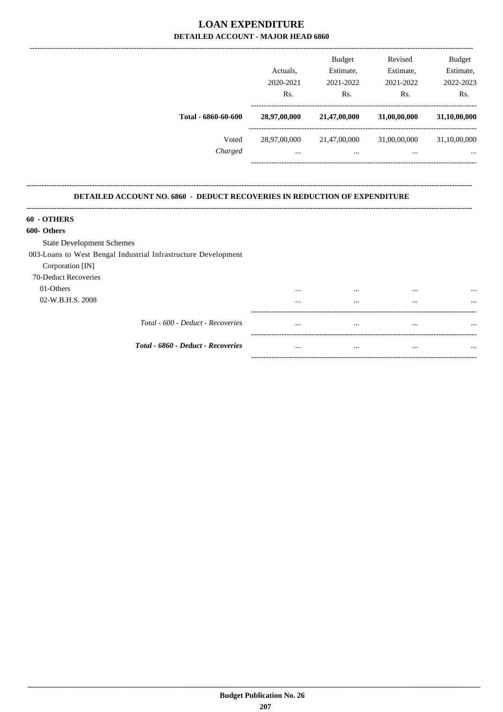|                                                                                  |              | Budget           | Revised                                             | Budget       |
|----------------------------------------------------------------------------------|--------------|------------------|-----------------------------------------------------|--------------|
|                                                                                  | Actuals,     | Estimate,        | Estimate,                                           | Estimate,    |
|                                                                                  | 2020-2021    | 2021-2022        | 2021-2022                                           | 2022-2023    |
|                                                                                  | Rs.          | R <sub>s</sub> . | Rs.                                                 | Rs.          |
| Total - 6860-60-600                                                              | 28,97,00,000 | 21,47,00,000     | 31,00,00,000                                        | 31,10,00,000 |
| Voted                                                                            |              |                  | 28,97,00,000 21,47,00,000 31,00,00,000 31,10,00,000 |              |
| Charged                                                                          | $\cdots$     | $\cdots$         | $\cdots$                                            |              |
| <b>DETAILED ACCOUNT NO. 6860 - DEDUCT RECOVERIES IN REDUCTION OF EXPENDITURE</b> |              |                  |                                                     |              |
| 60 - OTHERS                                                                      |              |                  |                                                     |              |
| 600- Others                                                                      |              |                  |                                                     |              |
| <b>State Development Schemes</b>                                                 |              |                  |                                                     |              |
| 003-Loans to West Bengal Industrial Infrastructure Development                   |              |                  |                                                     |              |
|                                                                                  |              |                  |                                                     |              |

 $\sim$ 

 $\ldots$ 

 $\sim$ 

<u>and a straight and a straight and a straight and a straight and a straight and a straight and a straight and a straight and a straight and a straight and a straight and a straight and a straight and a straight and a strai</u>

 $\langle m_{\rm{max}} \rangle$  and  $\langle m_{\rm{max}} \rangle$ 

 $\sim$ 

 $\sim$ 

 $\mathbb{Z}^{\mathbb{Z}^{\times}}$ 

 $\sim$   $\sim$ 

 $\sim$   $\sim$ 

 $\sim$ 

 $\mathbf{u}$ 

 $\ddotsc$ 

 $\ddotsc$ 

 $\ddotsc$ 

 $\sim$ 

70-Deduct Recoveries 01-Others 02-W.B.H.S. 2008

Total - 6860 - Deduct - Recoveries

Total - 600 - Deduct - Recoveries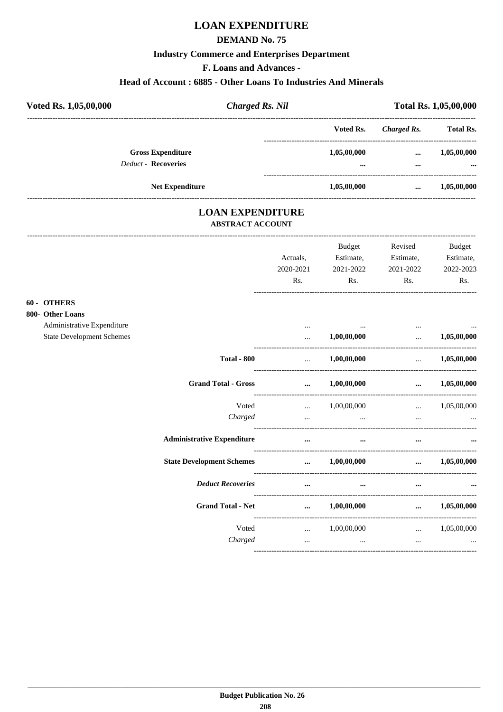# **LOAN EXPENDITURE**

### **DEMAND No. 75**

### **Industry Commerce and Enterprises Department**

F. Loans and Advances -

### Head of Account: 6885 - Other Loans To Industries And Minerals

| Voted Rs. 1,05,00,000 |                                                        | <b>Charged Rs. Nil</b> |                         | Total Rs. 1,05,00,000 |                         |  |
|-----------------------|--------------------------------------------------------|------------------------|-------------------------|-----------------------|-------------------------|--|
|                       |                                                        |                        | Voted Rs.               | Charged Rs.           | <b>Total Rs.</b>        |  |
|                       | <b>Gross Expenditure</b><br><b>Deduct - Recoveries</b> |                        | 1,05,00,000<br>$\cdots$ | $\cdots$<br>          | 1,05,00,000<br>$\cdots$ |  |
|                       | <b>Net Expenditure</b>                                 |                        | 1,05,00,000             | $\cdots$              | 1,05,00,000             |  |

### **LOAN EXPENDITURE ABSTRACT ACCOUNT**

|                                                                |                                        | Actuals,<br>2020-2021<br>Rs. | <b>Budget</b><br>Estimate,<br>2021-2022<br>$\mathbf{Rs.}$                                     | Revised<br>Estimate,<br>2021-2022<br>$\mathbf{Rs.}$ | Budget<br>Estimate,<br>2022-2023<br>Rs.            |
|----------------------------------------------------------------|----------------------------------------|------------------------------|-----------------------------------------------------------------------------------------------|-----------------------------------------------------|----------------------------------------------------|
| 60 - OTHERS<br>800- Other Loans                                |                                        |                              |                                                                                               |                                                     |                                                    |
| Administrative Expenditure<br><b>State Development Schemes</b> |                                        | $\cdots$<br>$\cdots$         | the contract of the con-<br>1,00,00,000                                                       | $\cdots$<br>$\mathbf{r}$ and $\mathbf{r}$           | 1,05,00,000                                        |
|                                                                | <b>Total - 800</b>                     |                              | $\dots$ 1,00,00,000                                                                           | -------------------------------                     | $\ldots$ 1,05,00,000                               |
|                                                                | <b>Grand Total - Gross</b>             |                              | $\dots$ 1,00,00,000                                                                           |                                                     | $\dots$ 1,05,00,000                                |
|                                                                | Voted<br>Charged                       | <b>Section</b> 1997          | 1,00,00,000<br>and the control of the control of the control of the control of the control of |                                                     | $\ldots$ 1,05,00,000<br>and the state of the state |
|                                                                | <b>Administrative Expenditure</b>      | $\cdots$                     | $\cdots$                                                                                      | $\cdots$                                            |                                                    |
|                                                                | State Development Schemes  1,00,00,000 |                              |                                                                                               |                                                     | $\dots$ 1,05,00,000                                |
|                                                                | <b>Deduct Recoveries</b>               | $\cdots$                     | $\cdots$                                                                                      | $\cdots$                                            |                                                    |
|                                                                | <b>Grand Total - Net</b>               |                              | $\dots$ 1,00,00,000                                                                           |                                                     | $\dots$ 1,05,00,000                                |
|                                                                | Voted<br>Charged                       | $\ddotsc$                    | $\ldots$ 1,00,00,000<br>and the state of the state and                                        | $\ddots$                                            | $\ldots$ 1,05,00,000<br>$\cdots$                   |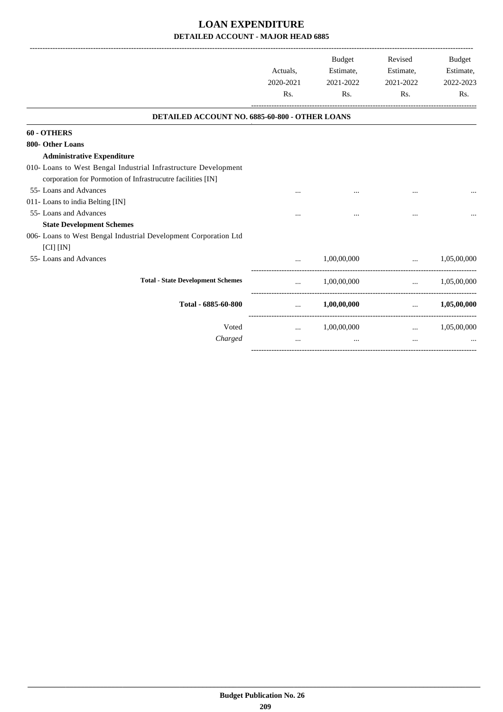|                                                                                                                                |           | Budget                                    | Revised                         | Budget               |
|--------------------------------------------------------------------------------------------------------------------------------|-----------|-------------------------------------------|---------------------------------|----------------------|
|                                                                                                                                | Actuals.  | Estimate,                                 | Estimate,                       | Estimate,            |
|                                                                                                                                | 2020-2021 | 2021-2022                                 | 2021-2022                       | 2022-2023            |
|                                                                                                                                | Rs.       | Rs.                                       | Rs.                             | Rs.                  |
| DETAILED ACCOUNT NO. 6885-60-800 - OTHER LOANS                                                                                 |           |                                           |                                 |                      |
| 60 - OTHERS                                                                                                                    |           |                                           |                                 |                      |
| 800- Other Loans                                                                                                               |           |                                           |                                 |                      |
| <b>Administrative Expenditure</b>                                                                                              |           |                                           |                                 |                      |
| 010- Loans to West Bengal Industrial Infrastructure Development<br>corporation for Pormotion of Infrastrucutre facilities [IN] |           |                                           |                                 |                      |
| 55- Loans and Advances                                                                                                         |           |                                           |                                 |                      |
| 011- Loans to india Belting [IN]                                                                                               |           |                                           |                                 |                      |
| 55- Loans and Advances                                                                                                         |           |                                           |                                 |                      |
| <b>State Development Schemes</b>                                                                                               |           |                                           |                                 |                      |
| 006- Loans to West Bengal Industrial Development Corporation Ltd                                                               |           |                                           |                                 |                      |
| [CI] [IN]                                                                                                                      |           |                                           |                                 |                      |
| 55- Loans and Advances                                                                                                         | $\ddotsc$ |                                           | $1,00,00,000$                   | 1,05,00,000          |
| <b>Total - State Development Schemes</b>                                                                                       | $\cdots$  | 1,00,00,000                               |                                 | $\ldots$ 1,05,00,000 |
| Total - 6885-60-800                                                                                                            |           | $\ldots$ 1,00,00,000 $\ldots$ 1,05,00,000 |                                 |                      |
| Voted                                                                                                                          | $\cdots$  | 1,00,00,000                               | <b>Second Contract Contract</b> | 1,05,00,000          |
| Charged                                                                                                                        | $\cdots$  | $\cdots$                                  | $\cdots$                        |                      |
|                                                                                                                                |           |                                           |                                 |                      |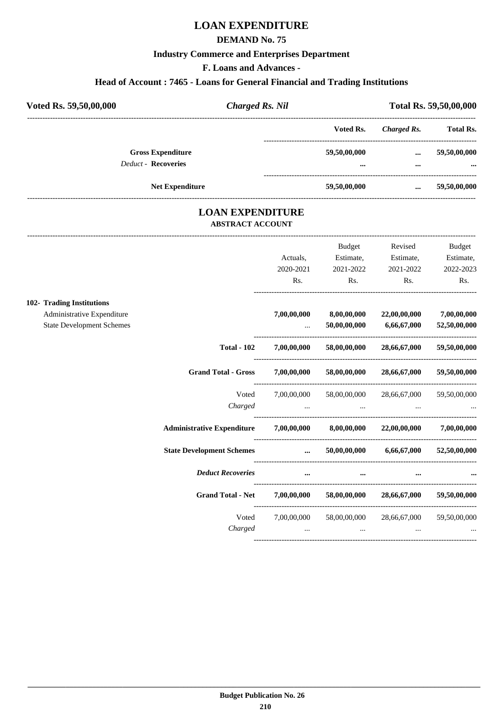# **LOAN EXPENDITURE**

### **DEMAND No. 75**

#### **Industry Commerce and Enterprises Department**

**F. Loans and Advances -**

#### **Head of Account : 7465 - Loans for General Financial and Trading Institutions**

| Voted Rs. 59,50,00,000                                 | <b>Charged Rs. Nil</b> |              |             | Total Rs. 59,50,00,000 |
|--------------------------------------------------------|------------------------|--------------|-------------|------------------------|
|                                                        |                        | Voted Rs.    | Charged Rs. | <b>Total Rs.</b>       |
| <b>Gross Expenditure</b><br><b>Deduct - Recoveries</b> |                        | 59,50,00,000 | $\cdots$    | 59,50,00,000           |
|                                                        |                        |              |             |                        |
| <b>Net Expenditure</b>                                 |                        | 59,50,00,000 | $\cdots$    | 59,50,00,000           |

### **LOAN EXPENDITURE ABSTRACT ACCOUNT**

---------------------------------------------------------------------------------------------------------------------------------------------------------------------------------

|                                                                |                                                                             |                                                           | <b>Budget</b>               | Revised                                     | Budget                      |
|----------------------------------------------------------------|-----------------------------------------------------------------------------|-----------------------------------------------------------|-----------------------------|---------------------------------------------|-----------------------------|
|                                                                |                                                                             | Actuals,                                                  | Estimate,                   | Estimate,                                   | Estimate,                   |
|                                                                |                                                                             | 2020-2021                                                 | 2021-2022                   | 2021-2022                                   | 2022-2023                   |
|                                                                |                                                                             | Rs.                                                       | Rs.                         | Rs.                                         | Rs.                         |
| 102- Trading Institutions                                      |                                                                             |                                                           |                             |                                             |                             |
| Administrative Expenditure<br><b>State Development Schemes</b> |                                                                             | 7,00,00,000<br>$\cdots$                                   | 8,00,00,000<br>50,00,00,000 | 22,00,00,000<br>6,66,67,000                 | 7,00,00,000<br>52,50,00,000 |
|                                                                | <b>Total - 102</b>                                                          | 7,00,00,000                                               | 58,00,00,000                | 28,66,67,000                                | 59,50,00,000                |
|                                                                |                                                                             |                                                           |                             |                                             |                             |
|                                                                | <b>Grand Total - Gross</b>                                                  | 7,00,00,000                                               | 58,00,00,000                | 28,66,67,000                                | 59,50,00,000                |
|                                                                | Voted                                                                       | 7,00,00,000                                               | 58,00,00,000                | 28,66,67,000                                | 59,50,00,000                |
|                                                                | Charged                                                                     |                                                           |                             |                                             |                             |
|                                                                | Administrative Expenditure 7,00,00,000 8,00,00,000 22,00,00,000 7,00,00,000 |                                                           |                             |                                             |                             |
|                                                                | <b>State Development Schemes</b>                                            | $\cdots$                                                  |                             | $50,00,00,000$ $6,66,67,000$                | 52,50,00,000                |
|                                                                | <b>Deduct Recoveries</b>                                                    | $\cdots$                                                  |                             |                                             |                             |
|                                                                | <b>Grand Total - Net</b>                                                    |                                                           |                             | $7,00,00,000$ $58,00,00,000$ $28,66,67,000$ | 59,50,00,000                |
|                                                                | Voted                                                                       |                                                           |                             | 7,00,00,000 58,00,00,000 28,66,67,000       | 59,50,00,000                |
|                                                                | Charged                                                                     | $\mathbf{r}$ and $\mathbf{r}$ are the set of $\mathbf{r}$ | $\cdots$                    |                                             | $\cdots$                    |
|                                                                |                                                                             |                                                           |                             |                                             |                             |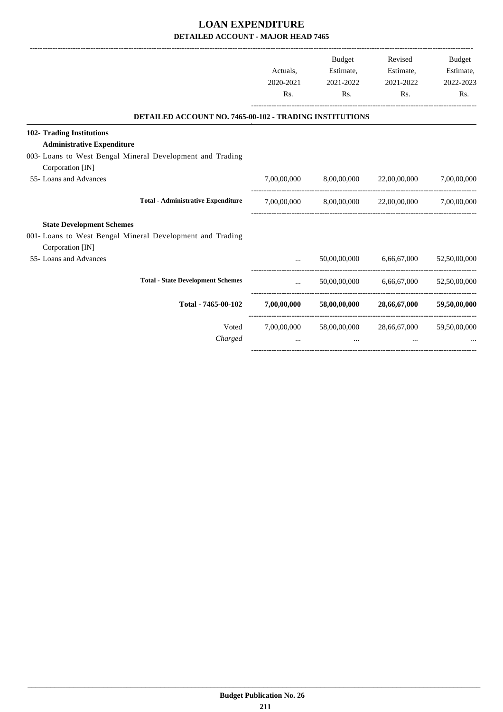|                                                                |                               | Budget    | Revised                                                    | <b>Budget</b> |
|----------------------------------------------------------------|-------------------------------|-----------|------------------------------------------------------------|---------------|
|                                                                | Actuals,                      | Estimate, | Estimate,                                                  | Estimate,     |
|                                                                | 2020-2021                     | 2021-2022 | 2021-2022                                                  | 2022-2023     |
|                                                                | Rs.                           | Rs.       | Rs.                                                        | Rs.           |
| <b>DETAILED ACCOUNT NO. 7465-00-102 - TRADING INSTITUTIONS</b> |                               |           |                                                            |               |
| 102- Trading Institutions                                      |                               |           |                                                            |               |
| <b>Administrative Expenditure</b>                              |                               |           |                                                            |               |
| 003- Loans to West Bengal Mineral Development and Trading      |                               |           |                                                            |               |
| Corporation [IN]                                               |                               |           |                                                            |               |
| 55- Loans and Advances                                         |                               |           | 7,00,00,000 8,00,00,000 22,00,00,000 7,00,00,000           |               |
| <b>Total - Administrative Expenditure</b>                      |                               |           | $7,00,00,000$ $8,00,00,000$ $22,00,00,000$ $7,00,00,000$   |               |
| <b>State Development Schemes</b>                               |                               |           |                                                            |               |
| 001- Loans to West Bengal Mineral Development and Trading      |                               |           |                                                            |               |
| Corporation [IN]                                               |                               |           |                                                            |               |
| 55- Loans and Advances                                         | $\cdots$                      |           | $50,00,00,000$ $6,66,67,000$ $52,50,00,000$                |               |
| <b>Total - State Development Schemes</b>                       | $\mathbf{r}$ and $\mathbf{r}$ |           | 50,00,00,000 6,66,67,000 52,50,00,000                      |               |
| Total - 7465-00-102                                            |                               |           | $7,00,00,000$ $58,00,00,000$ $28,66,67,000$ $59,50,00,000$ |               |
| Voted                                                          |                               |           | 7,00,00,000 58,00,00,000 28,66,67,000                      | 59,50,00,000  |
| Charged                                                        | $\cdots$                      | $\cdots$  | $\cdots$                                                   |               |
|                                                                |                               |           |                                                            |               |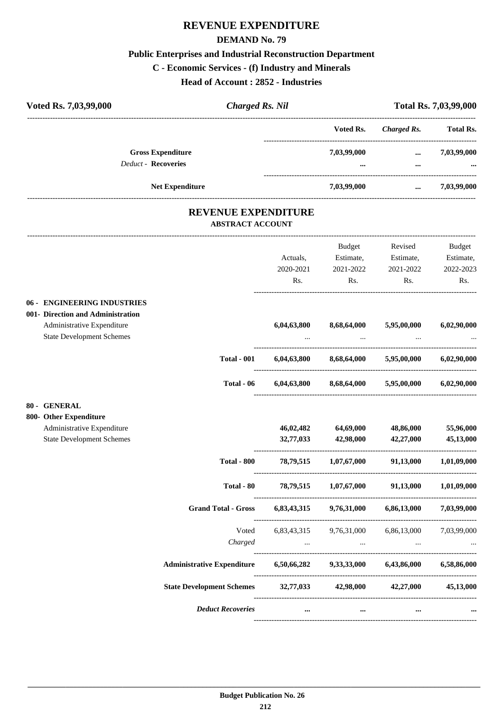### **REVENUE EXPENDITURE**

#### **DEMAND No. 79**

#### **Public Enterprises and Industrial Reconstruction Department**

#### **C - Economic Services - (f) Industry and Minerals**

**Head of Account : 2852 - Industries**

| Head of Account : 2852 - Industries             |                         |                            |                                |                         |                  |  |
|-------------------------------------------------|-------------------------|----------------------------|--------------------------------|-------------------------|------------------|--|
| Voted Rs. 7,03,99,000<br><b>Charged Rs. Nil</b> |                         | Total Rs. 7,03,99,000      |                                |                         |                  |  |
|                                                 |                         |                            | Voted Rs.                      | <b>Charged Rs.</b>      | <b>Total Rs.</b> |  |
| <b>Gross Expenditure</b>                        |                         |                            | 7,03,99,000                    | $\cdots$                | 7,03,99,000      |  |
| <b>Deduct - Recoveries</b>                      |                         |                            | ------------------------------ | $\cdots$                |                  |  |
| <b>Net Expenditure</b>                          |                         |                            | 7,03,99,000                    | $\cdots$                | 7,03,99,000      |  |
|                                                 |                         | <b>REVENUE EXPENDITURE</b> |                                |                         |                  |  |
|                                                 | <b>ABSTRACT ACCOUNT</b> |                            |                                |                         |                  |  |
|                                                 |                         |                            | Budget                         | Revised                 | Budget           |  |
|                                                 |                         | Actuals,                   | Estimate,                      | Estimate,               | Estimate,        |  |
|                                                 |                         | 2020-2021                  | 2021-2022                      | 2021-2022               | 2022-2023        |  |
|                                                 |                         | Rs.                        | Rs.                            | Rs.                     | Rs.              |  |
| 06 - ENGINEERING INDUSTRIES                     |                         |                            |                                |                         |                  |  |
| 001- Direction and Administration               |                         |                            |                                |                         |                  |  |
| Administrative Expenditure                      |                         | 6,04,63,800                | 8,68,64,000                    | 5,95,00,000             | 6,02,90,000      |  |
| <b>State Development Schemes</b>                |                         |                            | $\ddots$                       | $\cdots$                |                  |  |
|                                                 | <b>Total - 001</b>      | 6,04,63,800                |                                | 8,68,64,000 5,95,00,000 | 6,02,90,000      |  |
|                                                 | Total - 06              | 6,04,63,800                |                                | 8,68,64,000 5,95,00,000 | 6,02,90,000      |  |
| 80 - GENERAL                                    |                         |                            |                                |                         |                  |  |
| 800- Other Expenditure                          |                         |                            |                                |                         |                  |  |
| Administrative Expenditure                      |                         | 46,02,482                  | 64,69,000                      | 48,86,000               | 55,96,000        |  |
| <b>State Development Schemes</b>                |                         | 32,77,033                  | 42,98,000                      | 42,27,000               | 45,13,000        |  |
|                                                 | Total - 800             | 78,79,515                  | 1,07,67,000                    | 91,13,000               | 1,01,09,000      |  |
|                                                 | Total - 80              | 78,79,515                  | 1,07,67,000                    | 91,13,000               | 1,01,09,000      |  |
| <b>Grand Total - Gross</b>                      |                         | 6,83,43,315                | 9,76,31,000                    | 6,86,13,000             | 7,03,99,000      |  |
|                                                 | Voted                   | 6,83,43,315                | 9,76,31,000                    | 6,86,13,000             | 7,03,99,000      |  |
|                                                 | Charged                 | $\cdots$                   | $\cdots$                       | $\ldots$                | $\cdots$         |  |

----------------------------------------------------------------------------------------

----------------------------------------------------------------------------------------

----------------------------------------------------------------------------------------

----------------------------------------------------------------------------------------

**Administrative Expenditure 6,50,66,282 9,33,33,000 6,43,86,000 6,58,86,000**

**State Development Schemes 32,77,033 42,98,000 42,27,000 45,13,000**

*Deduct Recoveries* **... ... ... ...**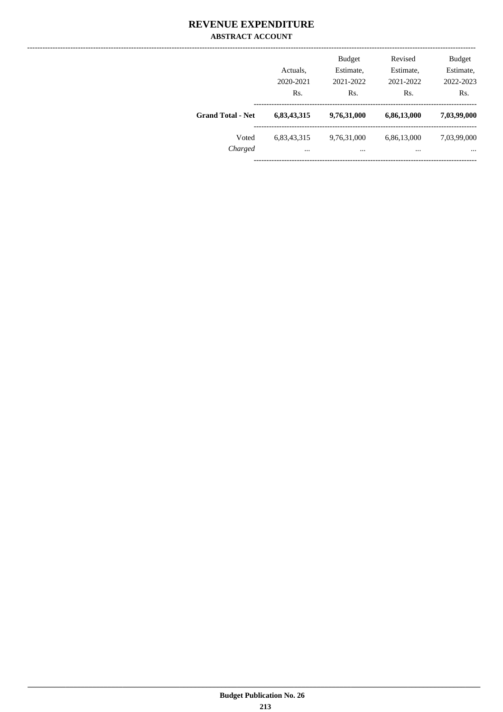### **REVENUE EXPENDITURE ABSTRACT ACCOUNT**

|                          | Actuals.<br>2020-2021<br>Rs. | <b>Budget</b><br>Estimate,<br>2021-2022<br>Rs. | Revised<br>Estimate,<br>2021-2022<br>Rs. | <b>Budget</b><br>Estimate,<br>2022-2023<br>Rs. |
|--------------------------|------------------------------|------------------------------------------------|------------------------------------------|------------------------------------------------|
| <b>Grand Total - Net</b> | 6,83,43,315                  | 9,76,31,000                                    | 6,86,13,000                              | 7,03,99,000                                    |
| Voted<br>Charged         | 6,83,43,315<br>$\cdots$      | 9,76,31,000<br>$\cdots$                        | 6,86,13,000<br>$\cdots$                  | 7,03,99,000<br>$\cdots$                        |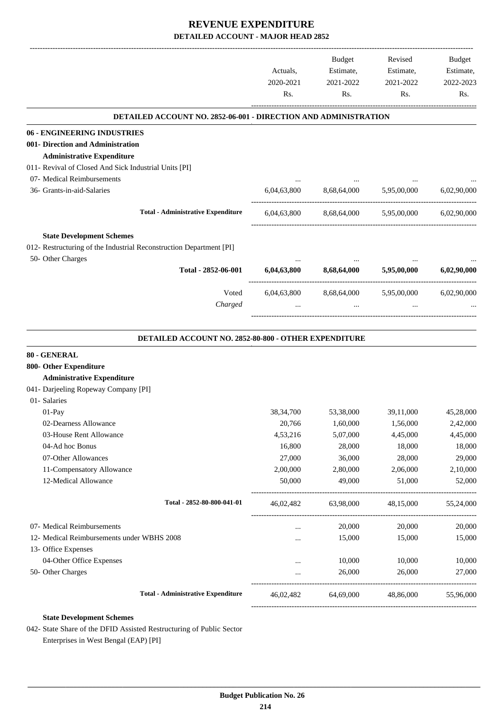|                                                                                                         |             | Budget              | Revised                  | Budget      |
|---------------------------------------------------------------------------------------------------------|-------------|---------------------|--------------------------|-------------|
|                                                                                                         | Actuals,    | Estimate,           | Estimate,                | Estimate,   |
|                                                                                                         | 2020-2021   | 2021-2022           | 2021-2022                | 2022-2023   |
|                                                                                                         | Rs.         | Rs.                 | Rs.                      | Rs.         |
| <b>DETAILED ACCOUNT NO. 2852-06-001 - DIRECTION AND ADMINISTRATION</b>                                  |             |                     |                          |             |
| 06 - ENGINEERING INDUSTRIES                                                                             |             |                     |                          |             |
| 001- Direction and Administration                                                                       |             |                     |                          |             |
| <b>Administrative Expenditure</b>                                                                       |             |                     |                          |             |
| 011- Revival of Closed And Sick Industrial Units [PI]                                                   |             |                     |                          |             |
| 07- Medical Reimbursements                                                                              |             |                     |                          |             |
| 36- Grants-in-aid-Salaries                                                                              | 6,04,63,800 |                     | 8,68,64,000 5,95,00,000  | 6,02,90,000 |
| <b>Total - Administrative Expenditure</b>                                                               | 6,04,63,800 |                     | 8,68,64,000 5,95,00,000  | 6,02,90,000 |
|                                                                                                         |             |                     |                          |             |
| <b>State Development Schemes</b><br>012- Restructuring of the Industrial Reconstruction Department [PI] |             |                     |                          |             |
| 50- Other Charges                                                                                       |             |                     |                          |             |
| Total - 2852-06-001                                                                                     | 6,04,63,800 | 8,68,64,000         | 5,95,00,000              | 6,02,90,000 |
| Voted                                                                                                   | 6,04,63,800 | 8,68,64,000         | 5,95,00,000              | 6,02,90,000 |
| Charged                                                                                                 | $\cdots$    | $\cdots$            |                          |             |
|                                                                                                         |             |                     | ________________________ |             |
| DETAILED ACCOUNT NO. 2852-80-800 - OTHER EXPENDITURE                                                    |             |                     |                          |             |
| 80 - GENERAL                                                                                            |             |                     |                          |             |
| 800- Other Expenditure                                                                                  |             |                     |                          |             |
| <b>Administrative Expenditure</b>                                                                       |             |                     |                          |             |
| 041- Darjeeling Ropeway Company [PI]                                                                    |             |                     |                          |             |
| 01- Salaries                                                                                            |             |                     |                          |             |
| 01-Pay                                                                                                  | 38, 34, 700 | 53,38,000           | 39,11,000                | 45,28,000   |
| 02-Dearness Allowance                                                                                   | 20,766      | 1,60,000            | 1,56,000                 | 2,42,000    |
| 03-House Rent Allowance                                                                                 | 4,53,216    | 5,07,000            | 4,45,000                 | 4,45,000    |
| 04-Ad hoc Bonus                                                                                         | 16,800      | 28,000              | 18,000                   | 18,000      |
| 07-Other Allowances                                                                                     | 27,000      | 36,000              | 28,000                   | 29,000      |
| 11-Compensatory Allowance                                                                               | 2,00,000    | 2,80,000            | 2,06,000                 | 2,10,000    |
| 12-Medical Allowance                                                                                    | 50,000      | 49,000              | 51,000                   | 52,000      |
| Total - 2852-80-800-041-01                                                                              |             | 46,02,482 63,98,000 | 48,15,000                | 55,24,000   |
| 07- Medical Reimbursements                                                                              | $\cdots$    | 20,000              | 20,000                   | 20,000      |
| 12- Medical Reimbursements under WBHS 2008                                                              | $\cdots$    | 15,000              | 15,000                   | 15,000      |
| 13- Office Expenses                                                                                     |             |                     |                          |             |
| 04-Other Office Expenses                                                                                | $\cdots$    | 10,000              | 10,000                   | 10,000      |
| 50- Other Charges                                                                                       |             | 26,000              | 26,000                   | 27,000      |
| <b>Total - Administrative Expenditure</b>                                                               | 46,02,482   | 64,69,000           | 48,86,000                | 55,96,000   |
|                                                                                                         |             |                     |                          |             |
| <b>State Development Schemes</b>                                                                        |             |                     |                          |             |

042- State Share of the DFID Assisted Restructuring of Public Sector Enterprises in West Bengal (EAP) [PI]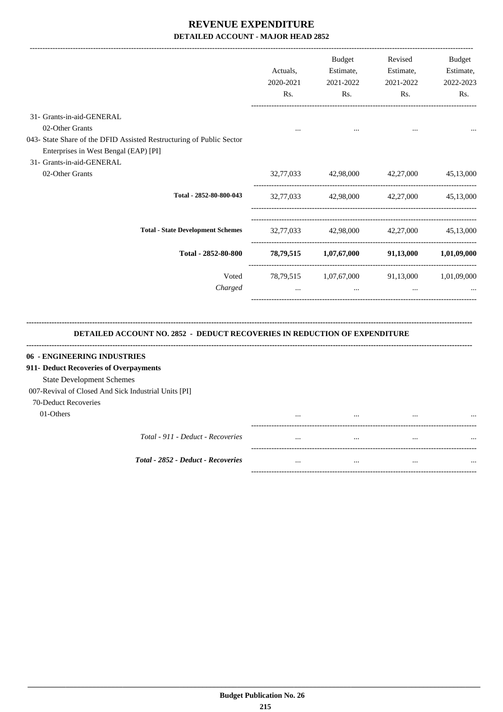|                                                                                                                                            | Actuals,<br>2020-2021<br>Rs. | <b>Budget</b><br>Estimate,<br>2021-2022<br>Rs. | Revised<br>Estimate,<br>2021-2022<br>Rs. | <b>Budget</b><br>Estimate,<br>2022-2023<br>Rs. |
|--------------------------------------------------------------------------------------------------------------------------------------------|------------------------------|------------------------------------------------|------------------------------------------|------------------------------------------------|
| 31- Grants-in-aid-GENERAL                                                                                                                  |                              |                                                |                                          |                                                |
| 02-Other Grants                                                                                                                            |                              |                                                |                                          |                                                |
| 043- State Share of the DFID Assisted Restructuring of Public Sector<br>Enterprises in West Bengal (EAP) [PI]<br>31- Grants-in-aid-GENERAL |                              |                                                |                                          |                                                |
| 02-Other Grants                                                                                                                            |                              | 32,77,033 42,98,000 42,27,000                  |                                          | 45,13,000                                      |
| Total - 2852-80-800-043                                                                                                                    | 32,77,033                    |                                                | 42,98,000 42,27,000                      | 45,13,000                                      |
| <b>Total - State Development Schemes</b>                                                                                                   |                              | 32,77,033 42,98,000 42,27,000 45,13,000        |                                          |                                                |
| Total - 2852-80-800                                                                                                                        |                              | 78,79,515 1,07,67,000                          |                                          | 91,13,000 1,01,09,000                          |
| Voted                                                                                                                                      |                              | 78,79,515 1,07,67,000 91,13,000 1,01,09,000    |                                          |                                                |
| Charged                                                                                                                                    | $\cdots$                     | $\cdots$                                       | $\dddotsc$                               |                                                |
| <b>DETAILED ACCOUNT NO. 2852 - DEDUCT RECOVERIES IN REDUCTION OF EXPENDITURE</b>                                                           |                              |                                                |                                          |                                                |
| 06 - ENGINEERING INDUSTRIES                                                                                                                |                              |                                                |                                          |                                                |
| 911- Deduct Recoveries of Overpayments<br><b>State Development Schemes</b>                                                                 |                              |                                                |                                          |                                                |
| 007-Revival of Closed And Sick Industrial Units [PI]                                                                                       |                              |                                                |                                          |                                                |
|                                                                                                                                            |                              |                                                |                                          |                                                |
| 70-Deduct Recoveries                                                                                                                       |                              |                                                |                                          |                                                |
| 01-Others                                                                                                                                  |                              |                                                |                                          |                                                |
| Total - 911 - Deduct - Recoveries                                                                                                          |                              | $\ddotsc$                                      |                                          |                                                |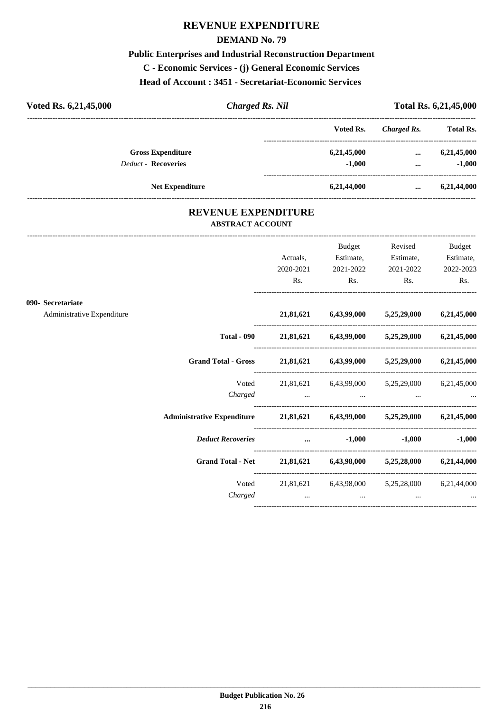### **REVENUE EXPENDITURE**

#### **DEMAND No. 79**

## **Public Enterprises and Industrial Reconstruction Department**

**C - Economic Services - (j) General Economic Services**

**Head of Account : 3451 - Secretariat-Economic Services** 

| Voted Rs. 6,21,45,000      | <b>Charged Rs. Nil</b> |             |             | Total Rs. 6,21,45,000 |  |  |
|----------------------------|------------------------|-------------|-------------|-----------------------|--|--|
|                            |                        | Voted Rs.   | Charged Rs. | <b>Total Rs.</b>      |  |  |
| <b>Gross Expenditure</b>   |                        | 6,21,45,000 | $\cdots$    | 6,21,45,000           |  |  |
| <b>Deduct - Recoveries</b> |                        | $-1.000$    | $\cdots$    | $-1,000$              |  |  |
| <b>Net Expenditure</b>     |                        | 6,21,44,000 |             | 6,21,44,000           |  |  |

### **REVENUE EXPENDITURE ABSTRACT ACCOUNT**

---------------------------------------------------------------------------------------------------------------------------------------------------------------------------------

|                            |                                                                          | Actuals,                     | Budget<br>Estimate,           | Revised<br>Estimate,                                      | Budget<br>Estimate, |
|----------------------------|--------------------------------------------------------------------------|------------------------------|-------------------------------|-----------------------------------------------------------|---------------------|
|                            |                                                                          | 2020-2021<br>Rs.             | 2021-2022<br>Rs.              | 2021-2022<br>$\mathbf{Rs.}$                               | 2022-2023<br>Rs.    |
| 090- Secretariate          |                                                                          |                              |                               |                                                           |                     |
| Administrative Expenditure |                                                                          |                              |                               | 21,81,621 6,43,99,000 5,25,29,000 6,21,45,000             |                     |
|                            |                                                                          |                              |                               | Total - 090 21,81,621 6,43,99,000 5,25,29,000 6,21,45,000 |                     |
|                            | Grand Total - Gross 21,81,621 6,43,99,000 5,25,29,000 6,21,45,000        |                              |                               |                                                           |                     |
|                            | Voted                                                                    |                              |                               | 21,81,621 6,43,99,000 5,25,29,000 6,21,45,000             |                     |
|                            | Administrative Expenditure 21,81,621 6,43,99,000 5,25,29,000 6,21,45,000 |                              |                               |                                                           |                     |
|                            | <b>Deduct Recoveries</b>                                                 |                              | $\dots$ -1,000                |                                                           | $-1,000$ $-1,000$   |
|                            | Grand Total - Net 21,81,621 6,43,98,000 5,25,28,000 6,21,44,000          |                              |                               |                                                           |                     |
|                            |                                                                          |                              |                               | Voted 21,81,621 6,43,98,000 5,25,28,000 6,21,44,000       |                     |
|                            | Charged                                                                  | and the contract of the con- | and the contract of the state | and the control of the control of                         |                     |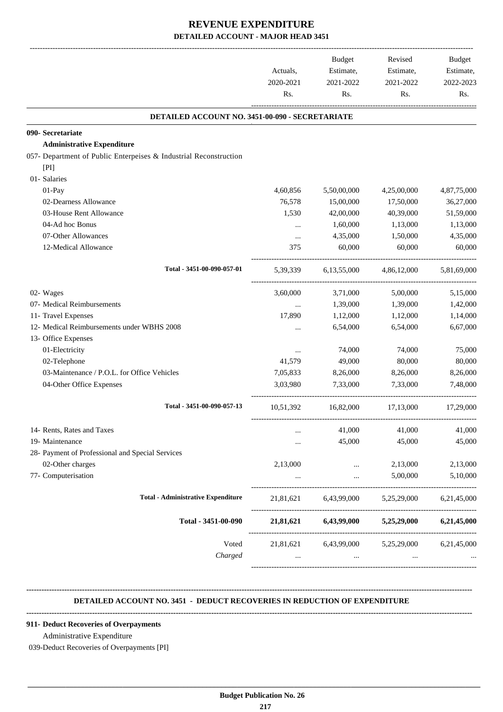| DETAILED ACCOUNT NO. 3451-00-090 - SECRETARIATE<br>5,50,00,000<br>15,00,000<br>42,00,000<br>1,60,000<br>4,35,000<br>60,000<br>6,13,55,000<br>5,39,339<br>3,71,000<br>1,39,000<br>1,12,000<br>6,54,000 | 4,25,00,000<br>17,50,000<br>40,39,000<br>1,13,000<br>1,50,000<br>60,000<br>4,86,12,000<br>5,00,000<br>1,39,000<br>1,12,000<br>6,54,000 | 4,87,75,000<br>36,27,000<br>51,59,000<br>1,13,000<br>4,35,000<br>60,000<br>5,81,69,000<br>5,15,000<br>1,42,000<br>1,14,000<br>6,67,000                                                                 |
|-------------------------------------------------------------------------------------------------------------------------------------------------------------------------------------------------------|----------------------------------------------------------------------------------------------------------------------------------------|--------------------------------------------------------------------------------------------------------------------------------------------------------------------------------------------------------|
|                                                                                                                                                                                                       |                                                                                                                                        |                                                                                                                                                                                                        |
|                                                                                                                                                                                                       |                                                                                                                                        |                                                                                                                                                                                                        |
|                                                                                                                                                                                                       |                                                                                                                                        |                                                                                                                                                                                                        |
|                                                                                                                                                                                                       |                                                                                                                                        |                                                                                                                                                                                                        |
|                                                                                                                                                                                                       |                                                                                                                                        |                                                                                                                                                                                                        |
|                                                                                                                                                                                                       |                                                                                                                                        |                                                                                                                                                                                                        |
|                                                                                                                                                                                                       |                                                                                                                                        |                                                                                                                                                                                                        |
|                                                                                                                                                                                                       |                                                                                                                                        |                                                                                                                                                                                                        |
|                                                                                                                                                                                                       |                                                                                                                                        |                                                                                                                                                                                                        |
|                                                                                                                                                                                                       |                                                                                                                                        |                                                                                                                                                                                                        |
|                                                                                                                                                                                                       |                                                                                                                                        |                                                                                                                                                                                                        |
|                                                                                                                                                                                                       |                                                                                                                                        |                                                                                                                                                                                                        |
|                                                                                                                                                                                                       |                                                                                                                                        |                                                                                                                                                                                                        |
|                                                                                                                                                                                                       |                                                                                                                                        |                                                                                                                                                                                                        |
|                                                                                                                                                                                                       |                                                                                                                                        |                                                                                                                                                                                                        |
|                                                                                                                                                                                                       |                                                                                                                                        |                                                                                                                                                                                                        |
|                                                                                                                                                                                                       |                                                                                                                                        |                                                                                                                                                                                                        |
|                                                                                                                                                                                                       |                                                                                                                                        |                                                                                                                                                                                                        |
| 74,000                                                                                                                                                                                                | 74,000                                                                                                                                 | 75,000                                                                                                                                                                                                 |
| 49,000                                                                                                                                                                                                | 80,000                                                                                                                                 | 80,000                                                                                                                                                                                                 |
| 8,26,000                                                                                                                                                                                              | 8,26,000                                                                                                                               | 8,26,000                                                                                                                                                                                               |
| 7,33,000                                                                                                                                                                                              | 7.33.000                                                                                                                               | 7,48,000                                                                                                                                                                                               |
| 16,82,000                                                                                                                                                                                             | 17,13,000                                                                                                                              | 17,29,000                                                                                                                                                                                              |
| 41,000                                                                                                                                                                                                | 41,000                                                                                                                                 | 41,000                                                                                                                                                                                                 |
| 45,000                                                                                                                                                                                                | 45,000                                                                                                                                 | 45,000                                                                                                                                                                                                 |
|                                                                                                                                                                                                       |                                                                                                                                        |                                                                                                                                                                                                        |
|                                                                                                                                                                                                       | 2,13,000                                                                                                                               | 2,13,000                                                                                                                                                                                               |
| $\cdots$                                                                                                                                                                                              | 5,00,000                                                                                                                               | 5,10,000                                                                                                                                                                                               |
|                                                                                                                                                                                                       |                                                                                                                                        | 6,21,45,000                                                                                                                                                                                            |
|                                                                                                                                                                                                       |                                                                                                                                        |                                                                                                                                                                                                        |
|                                                                                                                                                                                                       |                                                                                                                                        |                                                                                                                                                                                                        |
|                                                                                                                                                                                                       |                                                                                                                                        | ---------------------------------<br>21,81,621 6,43,99,000<br>5,25,29,000<br>21,81,621 6,43,99,000<br>5,25,29,000 6,21,45,000<br>21,81,621 6,43,99,000 5,25,29,000 6,21,45,000<br>$\cdots$<br>$\cdots$ |

#### **DETAILED ACCOUNT NO. 3451 - DEDUCT RECOVERIES IN REDUCTION OF EXPENDITURE**

**--------------------------------------------------------------------------------------------------------------------------------------------------------------------------------**

 **\_\_\_\_\_\_\_\_\_\_\_\_\_\_\_\_\_\_\_\_\_\_\_\_\_\_\_\_\_\_\_\_\_\_\_\_\_\_\_\_\_\_\_\_\_\_\_\_\_\_\_\_\_\_\_\_\_\_\_\_\_\_\_\_\_\_\_\_\_\_\_\_\_\_\_\_\_\_\_\_\_\_\_\_\_\_\_\_\_\_\_\_\_\_\_\_\_\_\_\_\_\_\_\_\_\_\_\_\_\_\_\_\_\_\_\_\_\_\_**

#### **--------------------------------------------------------------------------------------------------------------------------------------------------------------------------------**

#### **911- Deduct Recoveries of Overpayments**

#### Administrative Expenditure

039-Deduct Recoveries of Overpayments [PI]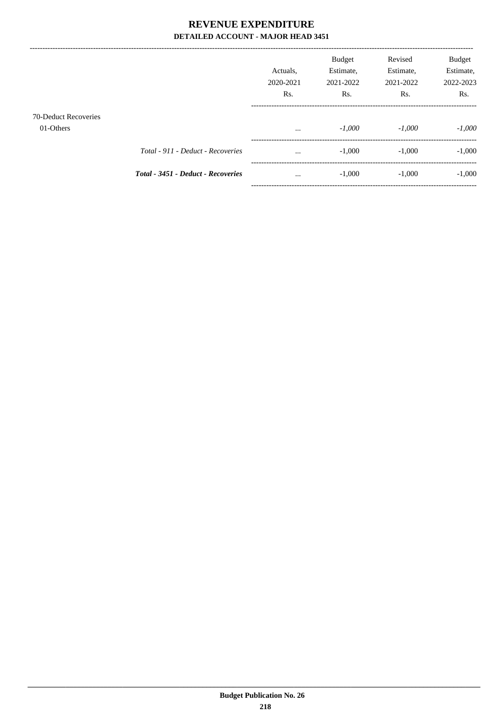|                                   |                                    | Actuals.<br>2020-2021<br>R <sub>s</sub> . | <b>Budget</b><br>Estimate,<br>2021-2022<br>Rs. | Revised<br>Estimate,<br>2021-2022<br>Rs. | Budget<br>Estimate,<br>2022-2023<br>Rs. |
|-----------------------------------|------------------------------------|-------------------------------------------|------------------------------------------------|------------------------------------------|-----------------------------------------|
| 70-Deduct Recoveries<br>01-Others |                                    | $\cdots$                                  | $-1,000$                                       | $-1.000$                                 | $-1,000$                                |
|                                   | Total - 911 - Deduct - Recoveries  | $\cdots$                                  | $-1,000$                                       | $-1,000$                                 | $-1,000$                                |
|                                   | Total - 3451 - Deduct - Recoveries | $\cdots$                                  | $-1,000$                                       | $-1,000$                                 | $-1,000$                                |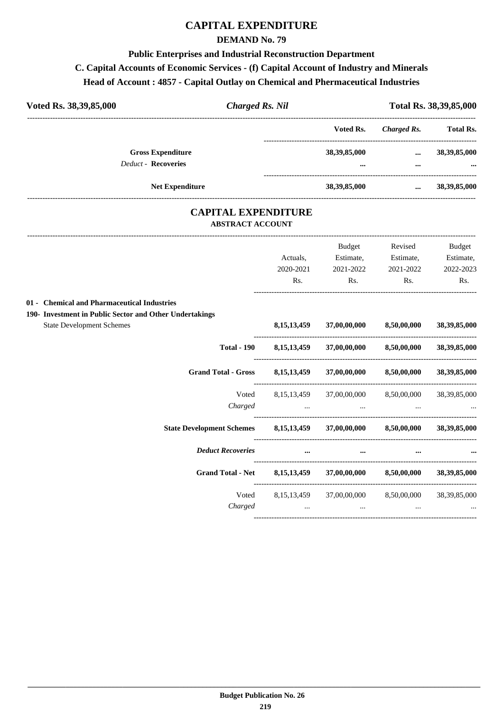#### **DEMAND No. 79**

#### **Public Enterprises and Industrial Reconstruction Department**

### **C. Capital Accounts of Economic Services - (f) Capital Account of Industry and Minerals**

### **Head of Account : 4857 - Capital Outlay on Chemical and Phermaceutical Industries**

| Voted Rs. 38,39,85,000     |                          | Charged Rs. Nil             | Total Rs. 38,39,85,000 |                     |
|----------------------------|--------------------------|-----------------------------|------------------------|---------------------|
|                            |                          | Voted Rs.                   | Charged Rs.            | <b>Total Rs.</b>    |
| <b>Deduct - Recoveries</b> | <b>Gross Expenditure</b> | 38, 39, 85, 000<br>$\cdots$ | $\cdots$<br>$\cdots$   | 38, 39, 85, 000<br> |
|                            | <b>Net Expenditure</b>   | 38, 39, 85, 000             | $\cdots$               | 38, 39, 85, 000     |

### **CAPITAL EXPENDITURE ABSTRACT ACCOUNT**

|                                                         |                                     | <b>Budget</b>                        | Revised                  | <b>Budget</b>   |
|---------------------------------------------------------|-------------------------------------|--------------------------------------|--------------------------|-----------------|
|                                                         | Actuals,                            | Estimate,                            | Estimate,                | Estimate,       |
|                                                         | 2020-2021                           | 2021-2022                            | 2021-2022                | 2022-2023       |
|                                                         | Rs.                                 | Rs.                                  | Rs.                      | Rs.             |
| 01 - Chemical and Pharmaceutical Industries             |                                     |                                      |                          |                 |
| 190- Investment in Public Sector and Other Undertakings |                                     |                                      |                          |                 |
| <b>State Development Schemes</b>                        | 8, 15, 13, 459                      |                                      | 37,00,00,000 8,50,00,000 | 38, 39, 85, 000 |
| <b>Total - 190</b>                                      |                                     | 8,15,13,459 37,00,00,000 8,50,00,000 |                          | 38,39,85,000    |
| <b>Grand Total - Gross</b>                              |                                     | 8,15,13,459 37,00,00,000 8,50,00,000 |                          | 38, 39, 85, 000 |
| Voted                                                   | 8, 15, 13, 459                      |                                      | 37,00,00,000 8,50,00,000 | 38, 39, 85, 000 |
| Charged                                                 | the contract of the contract of the | $\cdots$                             | $\cdots$                 |                 |
| <b>State Development Schemes</b>                        |                                     | 8,15,13,459 37,00,00,000 8,50,00,000 |                          | 38.39.85.000    |
| <b>Deduct Recoveries</b>                                | $\cdots$                            |                                      |                          |                 |
| <b>Grand Total - Net</b>                                | 8, 15, 13, 459                      | 37,00,00,000                         | 8,50,00,000              | 38,39,85,000    |
| Voted                                                   |                                     | 8,15,13,459 37,00,00,000             | 8,50,00,000              | 38, 39, 85, 000 |
| Charged                                                 | $\cdots$                            | $\ddots$                             | $\cdots$                 |                 |
|                                                         |                                     |                                      |                          |                 |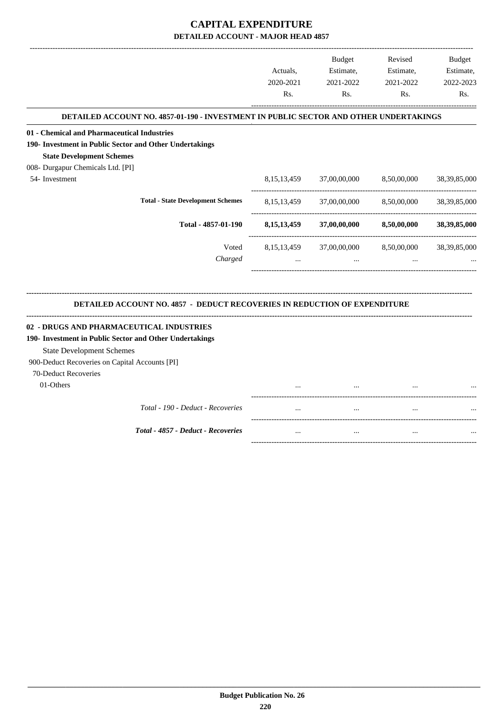-------------------------------------------------------------------------------------------------------------------------------------------------------------------------------

|                                                                                       |                       | <b>Budget</b>          | Revised                | <b>Budget</b>          |
|---------------------------------------------------------------------------------------|-----------------------|------------------------|------------------------|------------------------|
|                                                                                       | Actuals.<br>2020-2021 | Estimate,<br>2021-2022 | Estimate,<br>2021-2022 | Estimate,<br>2022-2023 |
|                                                                                       | Rs.                   | Rs.                    | Rs.                    | Rs.                    |
| DETAILED ACCOUNT NO. 4857-01-190 - INVESTMENT IN PUBLIC SECTOR AND OTHER UNDERTAKINGS |                       |                        |                        |                        |
| 01 - Chemical and Pharmaceutical Industries                                           |                       |                        |                        |                        |
| 190- Investment in Public Sector and Other Undertakings                               |                       |                        |                        |                        |
| <b>State Development Schemes</b>                                                      |                       |                        |                        |                        |
| 008- Durgapur Chemicals Ltd. [PI]                                                     |                       |                        |                        |                        |
| 54- Investment                                                                        | 8, 15, 13, 459        | 37,00,00,000           | 8,50,00,000            | 38, 39, 85, 000        |
| <b>Total - State Development Schemes</b>                                              | 8, 15, 13, 459        | 37,00,00,000           | 8,50,00,000            | 38, 39, 85, 000        |
| Total - 4857-01-190                                                                   | 8, 15, 13, 459        | 37,00,00,000           | 8,50,00,000            | 38, 39, 85, 000        |
| Voted                                                                                 | 8, 15, 13, 459        | 37,00,00,000           | 8,50,00,000            | 38, 39, 85, 000        |
| Charged                                                                               |                       |                        |                        |                        |
| DETAILED ACCOUNT NO. 4857 - DEDUCT RECOVERIES IN REDUCTION OF EXPENDITURE             |                       |                        |                        |                        |
| 02 - DRUGS AND PHARMACEUTICAL INDUSTRIES                                              |                       |                        |                        |                        |
| 190- Investment in Public Sector and Other Undertakings                               |                       |                        |                        |                        |
| <b>State Development Schemes</b>                                                      |                       |                        |                        |                        |
| 900-Deduct Recoveries on Capital Accounts [PI]                                        |                       |                        |                        |                        |
| 70-Deduct Recoveries                                                                  |                       |                        |                        |                        |
| 01-Others                                                                             |                       |                        |                        |                        |
|                                                                                       |                       |                        |                        |                        |
| Total - 190 - Deduct - Recoveries                                                     |                       |                        | $\ddotsc$              |                        |
| Total - 4857 - Deduct - Recoveries                                                    | $\cdots$              | $\cdots$               | $\cdots$               |                        |

-----------------------------------------------------------------------------------------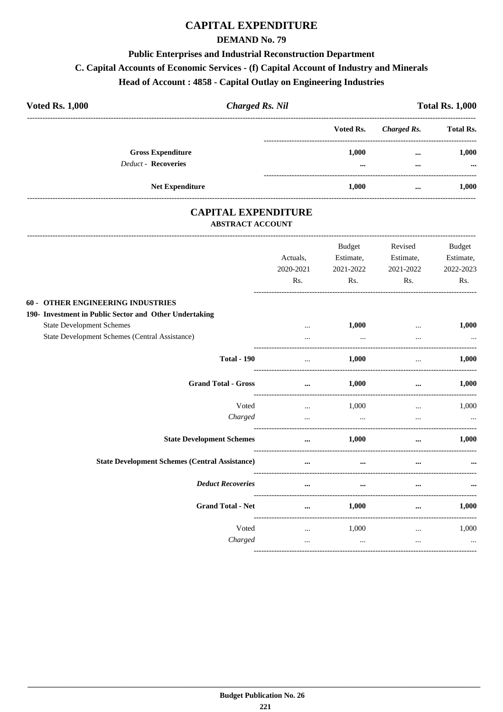### **DEMAND No. 79**

#### **Public Enterprises and Industrial Reconstruction Department**

#### **C. Capital Accounts of Economic Services - (f) Capital Account of Industry and Minerals**

#### **Head of Account : 4858 - Capital Outlay on Engineering Industries**

| <b>Voted Rs. 1,000</b>                                 | <b>Charged Rs. Nil</b> |                   |                      | <b>Total Rs. 1,000</b> |
|--------------------------------------------------------|------------------------|-------------------|----------------------|------------------------|
|                                                        |                        | Voted Rs.         | Charged Rs.          | <b>Total Rs.</b>       |
| <b>Gross Expenditure</b><br><b>Deduct - Recoveries</b> |                        | 1.000<br>$\cdots$ | $\cdots$<br>$\cdots$ | 1.000<br>$\cdots$      |
| <b>Net Expenditure</b>                                 |                        | 1.000             | $\cdots$             | 1.000                  |

### **CAPITAL EXPENDITURE ABSTRACT ACCOUNT**

|                                                        | Actuals,<br>2020-2021 | Budget<br>Estimate,<br>2021-2022 | Revised<br>Estimate,<br>2021-2022 | <b>Budget</b><br>Estimate,<br>2022-2023 |
|--------------------------------------------------------|-----------------------|----------------------------------|-----------------------------------|-----------------------------------------|
|                                                        | Rs.                   | $\mathbf{Rs.}$                   | Rs.                               | Rs.                                     |
| 60 - OTHER ENGINEERING INDUSTRIES                      |                       |                                  |                                   |                                         |
| 190- Investment in Public Sector and Other Undertaking |                       |                                  |                                   |                                         |
| <b>State Development Schemes</b>                       | $\cdots$              | 1,000                            | $\cdots$                          | 1,000                                   |
| State Development Schemes (Central Assistance)         | $\cdots$              | $\cdots$                         | $\cdots$                          |                                         |
| <b>Total - 190</b>                                     |                       | 1,000                            |                                   | 1,000                                   |
| <b>Grand Total - Gross</b>                             | $\cdots$              | 1,000                            | $\cdots$                          | 1,000                                   |
| Voted                                                  | $\cdots$              | 1,000                            | $\cdots$                          | 1,000                                   |
| Charged                                                | $\ddotsc$             | $\sim$ $\sim$                    | $\cdots$                          |                                         |
| <b>State Development Schemes</b>                       | $\cdots$              | 1,000                            | $\cdots$                          | 1,000                                   |
| <b>State Development Schemes (Central Assistance)</b>  | $\cdots$              | $\cdots$                         |                                   |                                         |
| <b>Deduct Recoveries</b>                               | $\cdots$              | $\cdots$                         |                                   |                                         |
| <b>Grand Total - Net</b>                               | $\cdots$              | $1,\!000$                        | $\cdots$                          | 1,000                                   |
| Voted                                                  |                       | $\ldots$ 1,000                   | $\cdots$                          | 1,000                                   |
| Charged                                                | $\cdots$              | $\ddotsc$                        | $\cdots$                          | $\ddotsc$                               |
|                                                        |                       |                                  |                                   |                                         |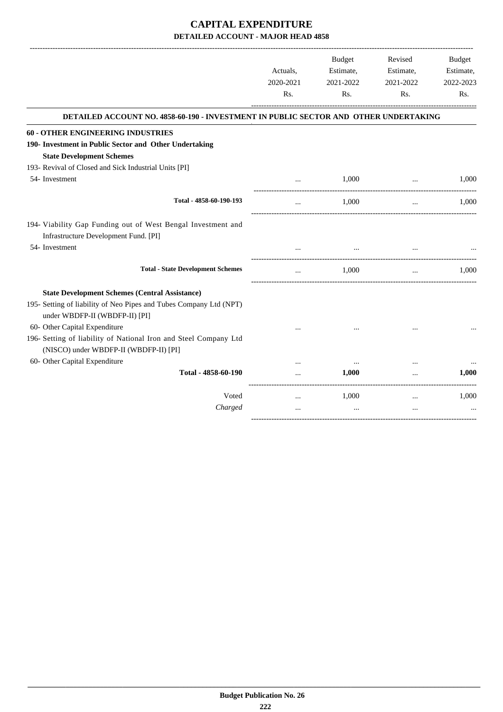|                                                                                                            |           | <b>Budget</b> | Revised   | <b>Budget</b> |
|------------------------------------------------------------------------------------------------------------|-----------|---------------|-----------|---------------|
|                                                                                                            | Actuals,  | Estimate,     | Estimate, | Estimate,     |
|                                                                                                            | 2020-2021 | 2021-2022     | 2021-2022 | 2022-2023     |
|                                                                                                            | Rs.       | Rs.           | Rs.       | Rs.           |
| DETAILED ACCOUNT NO. 4858-60-190 - INVESTMENT IN PUBLIC SECTOR AND OTHER UNDERTAKING                       |           |               |           |               |
| <b>60 - OTHER ENGINEERING INDUSTRIES</b>                                                                   |           |               |           |               |
| 190- Investment in Public Sector and Other Undertaking                                                     |           |               |           |               |
| <b>State Development Schemes</b>                                                                           |           |               |           |               |
| 193- Revival of Closed and Sick Industrial Units [PI]                                                      |           |               |           |               |
| 54- Investment                                                                                             | $\ddotsc$ | 1,000         | $\cdots$  | 1,000         |
| Total - 4858-60-190-193                                                                                    | $\ddotsc$ | 1.000         | $\ddotsc$ | 1.000         |
| 194- Viability Gap Funding out of West Bengal Investment and                                               |           |               |           |               |
| Infrastructure Development Fund. [PI]                                                                      |           |               |           |               |
| 54- Investment                                                                                             |           |               |           |               |
| <b>Total - State Development Schemes</b>                                                                   |           | 1.000         | $\cdots$  | 1.000         |
| <b>State Development Schemes (Central Assistance)</b>                                                      |           |               |           |               |
| 195- Setting of liability of Neo Pipes and Tubes Company Ltd (NPT)<br>under WBDFP-II (WBDFP-II) [PI]       |           |               |           |               |
| 60- Other Capital Expenditure                                                                              |           |               |           |               |
| 196- Setting of liability of National Iron and Steel Company Ltd<br>(NISCO) under WBDFP-II (WBDFP-II) [PI] |           |               |           |               |
| 60- Other Capital Expenditure                                                                              |           |               |           |               |
| Total - 4858-60-190                                                                                        |           | 1.000         |           | 1,000         |
| Voted                                                                                                      | $\cdots$  | 1,000         | $\cdots$  | 1,000         |
| Charged                                                                                                    | $\cdots$  | $\ddotsc$     | $\cdots$  |               |
|                                                                                                            |           |               |           |               |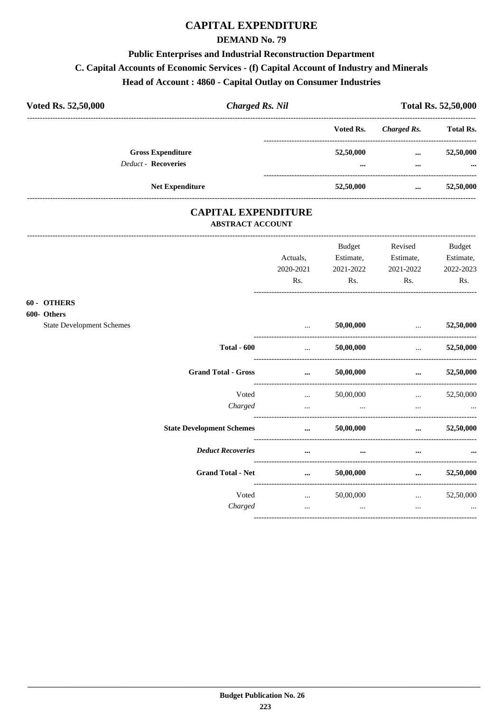#### **DEMAND No. 79**

### **Public Enterprises and Industrial Reconstruction Department**

## C. Capital Accounts of Economic Services - (f) Capital Account of Industry and Minerals

## Head of Account: 4860 - Capital Outlay on Consumer Industries

| Voted Rs. 52,50,000        | <b>Charged Rs. Nil</b>   |               |                      | <b>Total Rs. 52,50,000</b> |  |
|----------------------------|--------------------------|---------------|----------------------|----------------------------|--|
|                            |                          | Voted Rs.     | Charged Rs.          | <b>Total Rs.</b>           |  |
| <b>Deduct - Recoveries</b> | <b>Gross Expenditure</b> | 52,50,000<br> | $\cdots$<br>$\cdots$ | 52,50,000<br>$\cdots$      |  |
|                            | <b>Net Expenditure</b>   | 52,50,000     | $\cdots$             | 52,50,000                  |  |

### **CAPITAL EXPENDITURE ABSTRACT ACCOUNT**

|                                   |                                  | Actuals,<br>2020-2021<br>Rs.                   | Budget<br>Estimate,<br>2021-2022<br>Rs. | Revised<br>Estimate,<br>2021-2022<br>Rs. | Budget<br>Estimate,<br>2022-2023<br>Rs. |
|-----------------------------------|----------------------------------|------------------------------------------------|-----------------------------------------|------------------------------------------|-----------------------------------------|
| <b>60 - OTHERS</b><br>500- Others |                                  |                                                |                                         |                                          |                                         |
| <b>State Development Schemes</b>  |                                  | $\ddotsc$                                      | 50,00,000                               | and the company of the company of        | 52,50,000                               |
|                                   | <b>Total - 600</b>               | $\mathbf{r}$ and $\mathbf{r}$ and $\mathbf{r}$ | 50,00,000                               | <b>Sales Committee</b>                   | 52,50,000                               |
|                                   | <b>Grand Total - Gross</b>       | $\cdots$                                       | 50,00,000                               | $\cdots$                                 | 52,50,000                               |
|                                   | Voted                            |                                                | $\ldots$ 50,00,000                      | $\mathbf{r}$ and $\mathbf{r}$            | 52,50,000                               |
|                                   | Charged                          | $\cdots$                                       | $\cdots$                                | $\cdots$                                 |                                         |
|                                   | <b>State Development Schemes</b> | $\cdots$                                       | 50,00,000                               | $\cdots$                                 | 52,50,000                               |
|                                   | <b>Deduct Recoveries</b>         | $\cdots$                                       | $\cdots$                                | $\cdots$                                 |                                         |
|                                   | <b>Grand Total - Net</b>         | $\cdots$                                       | 50,00,000                               | $\cdots$                                 | 52,50,000                               |
|                                   | Voted                            | <b>Section</b> of the                          | 50,00,000                               | $\cdots$                                 | 52,50,000                               |
|                                   | Charged                          | $\cdots$                                       | $\cdots$                                | $\cdots$                                 | $\cdots$                                |
|                                   |                                  |                                                |                                         |                                          |                                         |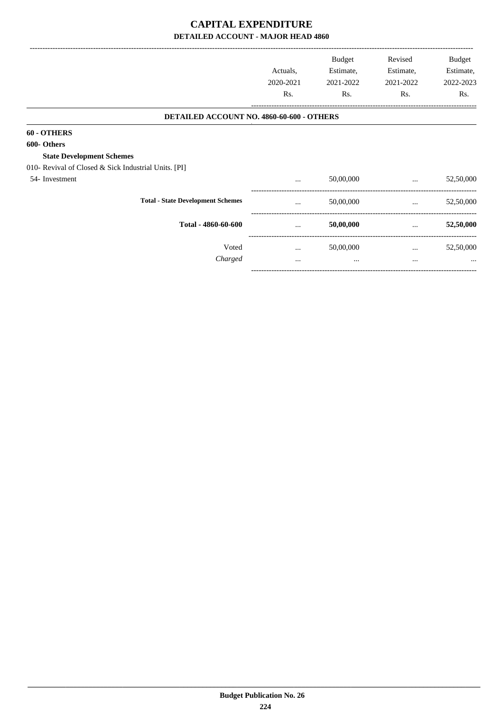|                                                      |                                           |                       | Budget                 | Revised                | Budget    |
|------------------------------------------------------|-------------------------------------------|-----------------------|------------------------|------------------------|-----------|
|                                                      |                                           | Actuals,<br>2020-2021 | Estimate,<br>2021-2022 | Estimate,<br>2021-2022 | Estimate, |
|                                                      |                                           |                       |                        |                        | 2022-2023 |
|                                                      |                                           | Rs.                   | Rs.                    | Rs.                    | Rs.       |
|                                                      | DETAILED ACCOUNT NO. 4860-60-600 - OTHERS |                       |                        |                        |           |
| 60 - OTHERS                                          |                                           |                       |                        |                        |           |
| 600- Others                                          |                                           |                       |                        |                        |           |
| <b>State Development Schemes</b>                     |                                           |                       |                        |                        |           |
| 010- Revival of Closed & Sick Industrial Units. [PI] |                                           |                       |                        |                        |           |
| 54-Investment                                        |                                           | $\cdots$              | 50,00,000              | $\cdots$               | 52,50,000 |
|                                                      | <b>Total - State Development Schemes</b>  | $\cdots$              | 50,00,000              | $\cdots$               | 52,50,000 |
|                                                      | Total - 4860-60-600                       | $\cdots$              | 50,00,000              | $\cdots$               | 52,50,000 |
|                                                      | Voted                                     | $\cdots$              | 50,00,000              | $\cdots$               | 52,50,000 |
|                                                      | Charged                                   | $\cdots$              | $\cdots$               | $\cdots$               | $\cdots$  |
|                                                      |                                           |                       |                        |                        |           |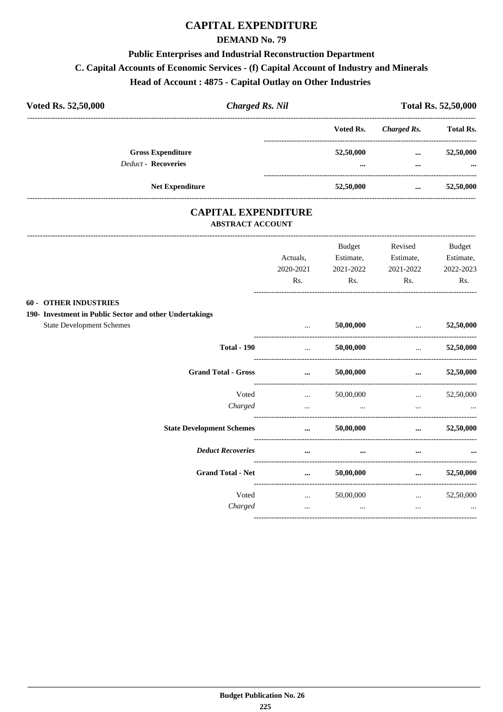#### **DEMAND No. 79**

#### **Public Enterprises and Industrial Reconstruction Department**

#### **C. Capital Accounts of Economic Services - (f) Capital Account of Industry and Minerals**

## **Head of Account : 4875 - Capital Outlay on Other Industries**

| Voted Rs. 52,50,000 | <b>Charged Rs. Nil</b>                                 |  | <b>Total Rs. 52,50,000</b> |                      |                       |
|---------------------|--------------------------------------------------------|--|----------------------------|----------------------|-----------------------|
|                     |                                                        |  | Voted Rs.                  | Charged Rs.          | <b>Total Rs.</b>      |
|                     | <b>Gross Expenditure</b><br><b>Deduct - Recoveries</b> |  | 52,50,000<br>$\cdots$      | $\cdots$<br>$\cdots$ | 52,50,000<br>$\cdots$ |
|                     | <b>Net Expenditure</b>                                 |  | 52,50,000                  | $\cdots$             | 52,50,000             |

### **CAPITAL EXPENDITURE ABSTRACT ACCOUNT**

|                                                         | Actuals,  | Budget<br>Estimate, | Revised<br>Estimate,                                | <b>Budget</b><br>Estimate, |
|---------------------------------------------------------|-----------|---------------------|-----------------------------------------------------|----------------------------|
|                                                         | 2020-2021 | 2021-2022           | 2021-2022                                           | 2022-2023                  |
|                                                         | Rs.       | Rs.                 | Rs.                                                 | Rs.                        |
| <b>60 - OTHER INDUSTRIES</b>                            |           |                     |                                                     |                            |
| 190- Investment in Public Sector and other Undertakings |           |                     |                                                     |                            |
| <b>State Development Schemes</b>                        | $\cdots$  | 50,00,000           | $\mathbf{r}$ and $\mathbf{r}$                       | 52,50,000                  |
| <b>Total - 190</b>                                      | $\ddotsc$ | 50,00,000           | -----------------------------------<br>$\mathbf{r}$ | 52,50,000                  |
| <b>Grand Total - Gross</b>                              | $\cdots$  | 50,00,000           | $\cdots$                                            | 52,50,000                  |
| Voted                                                   | $\cdots$  | 50,00,000           | $\ddots$                                            | 52,50,000                  |
| Charged                                                 | $\cdots$  | $\cdots$            | $\cdots$                                            |                            |
| <b>State Development Schemes</b>                        | $\cdots$  | 50,00,000           | $\cdots$                                            | 52,50,000                  |
| <b>Deduct Recoveries</b>                                | $\cdots$  | $\cdots$            | $\cdots$                                            |                            |
| <b>Grand Total - Net</b>                                | $\cdots$  | 50,00,000           | $\cdots$                                            | 52,50,000                  |
| Voted                                                   | $\cdots$  | 50,00,000           | $\cdots$                                            | 52,50,000                  |
| Charged                                                 | $\cdots$  | $\cdots$            | $\ddotsc$                                           | $\cdots$                   |
|                                                         |           |                     |                                                     |                            |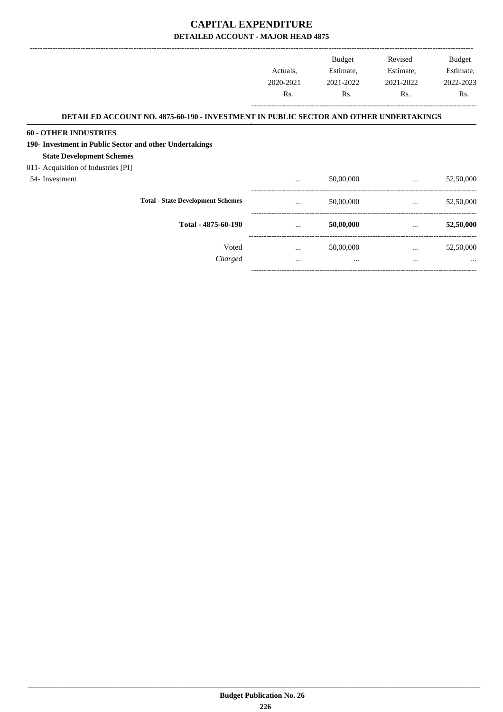|                                                                                       |           | <b>Budget</b> | Revised   | <b>Budget</b> |
|---------------------------------------------------------------------------------------|-----------|---------------|-----------|---------------|
|                                                                                       | Actuals,  | Estimate,     | Estimate, | Estimate,     |
|                                                                                       | 2020-2021 | 2021-2022     | 2021-2022 | 2022-2023     |
|                                                                                       | Rs.       | Rs.           | Rs.       | Rs.           |
| DETAILED ACCOUNT NO. 4875-60-190 - INVESTMENT IN PUBLIC SECTOR AND OTHER UNDERTAKINGS |           |               |           |               |
| <b>60 - OTHER INDUSTRIES</b>                                                          |           |               |           |               |
| 190- Investment in Public Sector and other Undertakings                               |           |               |           |               |
| <b>State Development Schemes</b>                                                      |           |               |           |               |
| 011- Acquisition of Industries [PI]                                                   |           |               |           |               |
| 54-Investment                                                                         | $\cdots$  | 50,00,000     | $\cdots$  | 52,50,000     |
| <b>Total - State Development Schemes</b>                                              |           | 50,00,000     | $\cdots$  | 52,50,000     |
| Total - 4875-60-190                                                                   | $\cdots$  | 50,00,000     | $\cdots$  | 52,50,000     |
| Voted                                                                                 | $\cdots$  | 50,00,000     | $\cdots$  | 52,50,000     |
| Charged                                                                               | $\cdots$  | $\cdots$      | $\cdots$  |               |
|                                                                                       |           |               |           |               |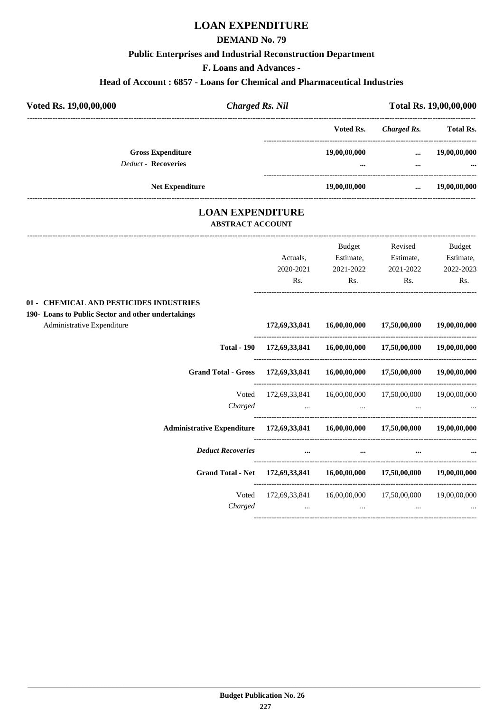## **LOAN EXPENDITURE**

#### **DEMAND No. 79**

#### **Public Enterprises and Industrial Reconstruction Department**

**F. Loans and Advances -**

#### **Head of Account : 6857 - Loans for Chemical and Pharmaceutical Industries**

| Voted Rs. 19,00,00,000                                 | <b>Charged Rs. Nil</b> |                          |                      | Total Rs. 19,00,00,000   |  |
|--------------------------------------------------------|------------------------|--------------------------|----------------------|--------------------------|--|
|                                                        |                        | Voted Rs.                | Charged Rs.          | <b>Total Rs.</b>         |  |
| <b>Gross Expenditure</b><br><b>Deduct - Recoveries</b> |                        | 19,00,00,000<br>$\cdots$ | $\cdots$<br>$\cdots$ | 19,00,00,000<br>$\cdots$ |  |
|                                                        | <b>Net Expenditure</b> | 19,00,00,000             | $\cdots$             | 19,00,00,000             |  |

# **LOAN EXPENDITURE**

#### **ABSTRACT ACCOUNT** ---------------------------------------------------------------------------------------------------------------------------------------------------------------------------------

|                                                                                 |                                                      | <b>Budget</b>                                                                                                   | Revised                                              | <b>Budget</b> |
|---------------------------------------------------------------------------------|------------------------------------------------------|-----------------------------------------------------------------------------------------------------------------|------------------------------------------------------|---------------|
|                                                                                 | Actuals.                                             | Estimate,                                                                                                       | Estimate,                                            | Estimate,     |
|                                                                                 | 2020-2021                                            | 2021-2022                                                                                                       | 2021-2022                                            | 2022-2023     |
|                                                                                 | Rs.                                                  | Rs.                                                                                                             | Rs.                                                  | Rs.           |
| 01 - CHEMICAL AND PESTICIDES INDUSTRIES                                         |                                                      |                                                                                                                 |                                                      |               |
| 190- Loans to Public Sector and other undertakings                              |                                                      |                                                                                                                 |                                                      |               |
| Administrative Expenditure                                                      |                                                      |                                                                                                                 | 172,69,33,841 16,00,00,000 17,50,00,000              | 19,00,00,000  |
| <b>Total - 190</b>                                                              |                                                      |                                                                                                                 | $172,69,33,841$ $16,00,00,000$ $17,50,00,000$        | 19,00,00,000  |
| <b>Grand Total - Gross</b>                                                      | 172,69,33,841 16,00,00,000 17,50,00,000 19,00,00,000 |                                                                                                                 |                                                      |               |
| Voted                                                                           |                                                      |                                                                                                                 | 172,69,33,841 16,00,00,000 17,50,00,000 19,00,00,000 |               |
| Charged                                                                         | the contract of the contract of the contract of      | $\cdots$                                                                                                        |                                                      |               |
| Administrative Expenditure 172,69,33,841 16,00,00,000 17,50,00,000 19,00,00,000 |                                                      |                                                                                                                 |                                                      |               |
| <b>Deduct Recoveries</b>                                                        | $\cdots$                                             | $\cdots$                                                                                                        |                                                      |               |
| Grand Total - Net 172,69,33,841 16,00,00,000 17,50,00,000 19,00,00,000          |                                                      |                                                                                                                 |                                                      |               |
| Voted                                                                           |                                                      |                                                                                                                 | 172,69,33,841 16,00,00,000 17,50,00,000 19,00,00,000 |               |
| Charged                                                                         |                                                      | the contract of the contract of the contract of the contract of the contract of the contract of the contract of |                                                      |               |
|                                                                                 |                                                      |                                                                                                                 |                                                      |               |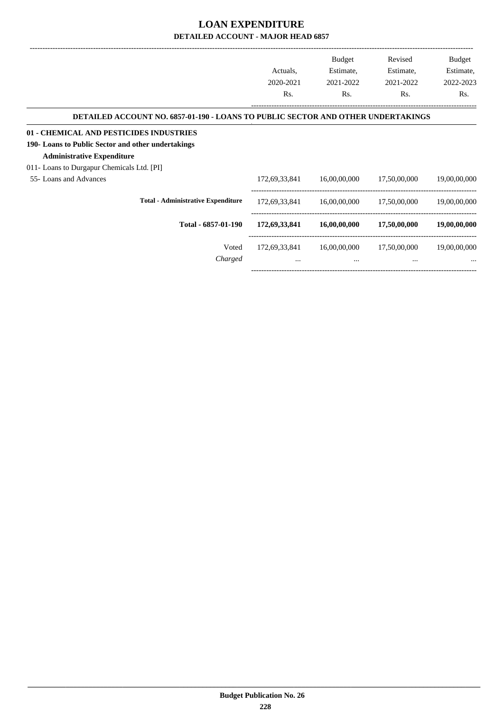|                                                                                  |               | <b>Budget</b> | Revised      | Budget       |
|----------------------------------------------------------------------------------|---------------|---------------|--------------|--------------|
|                                                                                  | Actuals,      | Estimate,     | Estimate,    | Estimate,    |
|                                                                                  | 2020-2021     | 2021-2022     | 2021-2022    | 2022-2023    |
|                                                                                  | Rs.           | Rs.           | Rs.          | Rs.          |
| DETAILED ACCOUNT NO. 6857-01-190 - LOANS TO PUBLIC SECTOR AND OTHER UNDERTAKINGS |               |               |              |              |
| 01 - CHEMICAL AND PESTICIDES INDUSTRIES                                          |               |               |              |              |
| 190- Loans to Public Sector and other undertakings                               |               |               |              |              |
| <b>Administrative Expenditure</b>                                                |               |               |              |              |
| 011- Loans to Durgapur Chemicals Ltd. [PI]                                       |               |               |              |              |
| 55- Loans and Advances                                                           | 172,69,33,841 | 16,00,00,000  | 17,50,00,000 | 19,00,00,000 |
| <b>Total - Administrative Expenditure</b>                                        | 172,69,33,841 | 16,00,00,000  | 17,50,00,000 | 19,00,00,000 |
| Total - 6857-01-190                                                              | 172,69,33,841 | 16,00,00,000  | 17,50,00,000 | 19,00,00,000 |
| Voted                                                                            | 172,69,33,841 | 16,00,00,000  | 17,50,00,000 | 19,00,00,000 |
| Charged                                                                          | $\cdots$      | $\cdots$      | $\cdots$     |              |
|                                                                                  |               |               |              |              |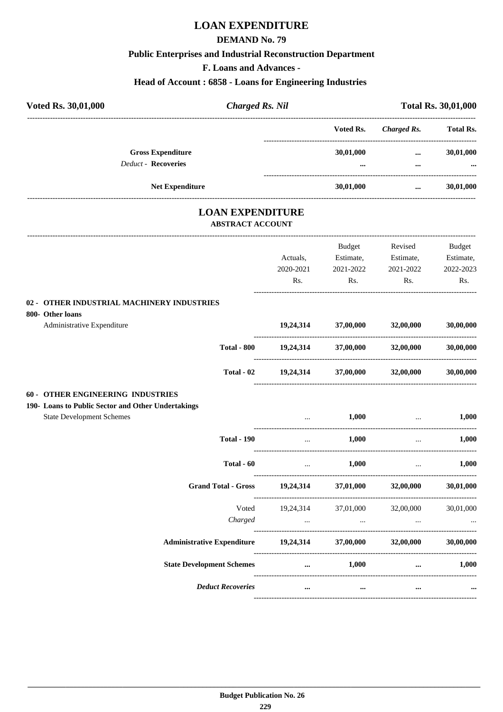## **LOAN EXPENDITURE**

#### **DEMAND No. 79**

#### **Public Enterprises and Industrial Reconstruction Department**

**F. Loans and Advances -**

#### **Head of Account : 6858 - Loans for Engineering Industries**

| Voted Rs. 30,01,000                                    |                        | <b>Charged Rs. Nil</b>               |              | <b>Total Rs. 30,01,000</b> |
|--------------------------------------------------------|------------------------|--------------------------------------|--------------|----------------------------|
|                                                        |                        | Voted Rs.                            | Charged Rs.  | <b>Total Rs.</b>           |
| <b>Gross Expenditure</b><br><b>Deduct - Recoveries</b> |                        | 30,01,000<br>$\bullet\bullet\bullet$ | $\cdots$<br> | 30,01,000<br>$\cdots$      |
|                                                        | <b>Net Expenditure</b> | 30,01,000                            | $\cdots$     | 30,01,000                  |
|                                                        |                        |                                      |              |                            |

# **LOAN EXPENDITURE**

#### **ABSTRACT ACCOUNT**

|                                                                                        |                                                          |                 | Budget                                   | Revised                             | <b>Budget</b>                   |
|----------------------------------------------------------------------------------------|----------------------------------------------------------|-----------------|------------------------------------------|-------------------------------------|---------------------------------|
|                                                                                        |                                                          | Actuals,        | Estimate,                                | Estimate,                           | Estimate,                       |
|                                                                                        |                                                          | 2020-2021       | 2021-2022                                | 2021-2022                           | 2022-2023                       |
|                                                                                        |                                                          | Rs.             | Rs.                                      | Rs.                                 | Rs.                             |
| 02 - OTHER INDUSTRIAL MACHINERY INDUSTRIES<br>800- Other loans                         |                                                          |                 |                                          |                                     |                                 |
| Administrative Expenditure                                                             |                                                          |                 | 19,24,314 37,00,000 32,00,000            |                                     | 30,00,000                       |
|                                                                                        | <b>Total - 800</b>                                       |                 |                                          | $19,24,314$ $37,00,000$ $32,00,000$ | 30,00,000                       |
|                                                                                        | Total - 02                                               |                 |                                          | $19,24,314$ $37,00,000$ $32,00,000$ | 30,00,000                       |
| 60 - OTHER ENGINEERING INDUSTRIES                                                      |                                                          |                 |                                          |                                     |                                 |
| 190- Loans to Public Sector and Other Undertakings<br><b>State Development Schemes</b> |                                                          |                 | 1,000                                    |                                     |                                 |
|                                                                                        |                                                          |                 |                                          |                                     | 1,000                           |
|                                                                                        | <b>Total - 190</b>                                       | $\sim 10^{-10}$ | 1,000                                    | $\sim$                              | 1,000                           |
|                                                                                        | Total - 60                                               | $\mathbf{r}$    | 1,000                                    | $\cdots$                            | 1.000                           |
|                                                                                        | <b>Grand Total - Gross</b>                               |                 |                                          | 19,24,314 37,01,000 32,00,000       | 30,01,000                       |
|                                                                                        | Voted                                                    |                 |                                          | 19,24,314 37,01,000 32,00,000       | 30,01,000                       |
|                                                                                        | Charged                                                  |                 | the contract of the contract of the con- |                                     |                                 |
|                                                                                        | Administrative Expenditure 19,24,314 37,00,000 32,00,000 |                 |                                          |                                     | 30,00,000                       |
|                                                                                        | <b>State Development Schemes</b>                         |                 | $1,000$                                  |                                     | 1,000<br><b>Allen Community</b> |
|                                                                                        | <b>Deduct Recoveries</b>                                 | $\cdots$        | $\cdots$                                 | $\cdots$                            |                                 |
|                                                                                        |                                                          |                 |                                          |                                     |                                 |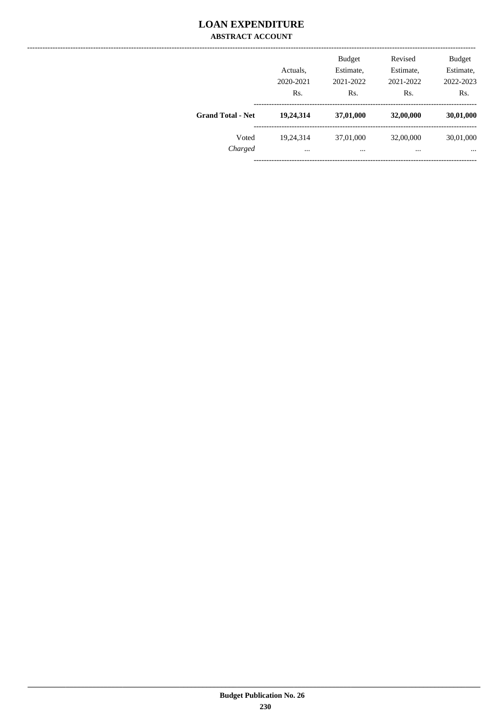### **LOAN EXPENDITURE ABSTRACT ACCOUNT**

|                          | Actuals,<br>2020-2021<br>Rs. | <b>Budget</b><br>Estimate,<br>2021-2022<br>Rs. | Revised<br>Estimate,<br>2021-2022<br>Rs. | <b>Budget</b><br>Estimate,<br>2022-2023<br>Rs. |
|--------------------------|------------------------------|------------------------------------------------|------------------------------------------|------------------------------------------------|
| <b>Grand Total - Net</b> | 19,24,314                    | 37,01,000                                      | 32,00,000                                | 30,01,000                                      |
| Voted<br>Charged         | 19.24.314<br>$\cdots$        | 37,01,000<br>$\cdots$                          | 32,00,000<br>                            | 30,01,000<br>$\cdots$                          |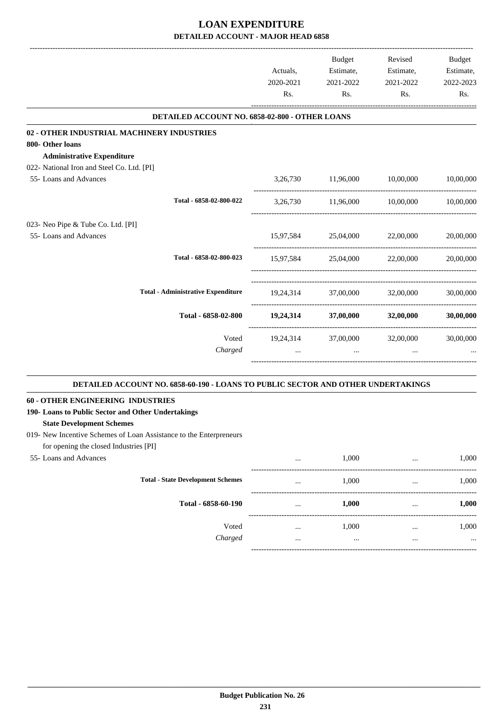|                                                | Actuals,                            | Budget<br>Estimate,           | Revised<br>Estimate,          | <b>Budget</b><br>Estimate, |
|------------------------------------------------|-------------------------------------|-------------------------------|-------------------------------|----------------------------|
|                                                | 2020-2021                           | 2021-2022<br>Rs.<br>Rs.       | 2021-2022<br>Rs.              | 2022-2023<br>Rs.           |
|                                                |                                     |                               |                               |                            |
| DETAILED ACCOUNT NO. 6858-02-800 - OTHER LOANS |                                     |                               |                               |                            |
| 02 - OTHER INDUSTRIAL MACHINERY INDUSTRIES     |                                     |                               |                               |                            |
| 800- Other loans                               |                                     |                               |                               |                            |
| <b>Administrative Expenditure</b>              |                                     |                               |                               |                            |
| 022- National Iron and Steel Co. Ltd. [PI]     |                                     |                               |                               |                            |
| 55- Loans and Advances                         |                                     | 3,26,730 11,96,000 10,00,000  |                               | 10,00,000                  |
| Total - 6858-02-800-022                        |                                     |                               | 3,26,730 11,96,000 10,00,000  | 10,00,000                  |
| 023- Neo Pipe & Tube Co. Ltd. [PI]             |                                     |                               |                               |                            |
| 55- Loans and Advances                         |                                     |                               | 15,97,584 25,04,000 22,00,000 | 20,00,000                  |
| Total - 6858-02-800-023                        | 15,97,584                           | 25,04,000                     | 22,00,000                     | 20,00,000                  |
| <b>Total - Administrative Expenditure</b>      |                                     | 19,24,314 37,00,000 32,00,000 |                               | 30,00,000                  |
| Total - 6858-02-800                            | $19,24,314$ $37,00,000$ $32,00,000$ |                               |                               | 30,00,000                  |
| Voted                                          | 19,24,314                           | 37,00,000                     | 32,00,000                     | 30,00,000                  |
| Charged                                        |                                     | $\cdots$                      | $\cdots$                      |                            |
|                                                |                                     |                               |                               |                            |

#### **DETAILED ACCOUNT NO. 6858-60-190 - LOANS TO PUBLIC SECTOR AND OTHER UNDERTAKINGS .**

#### **60 - OTHER ENGINEERING INDUSTRIES**

#### **190- Loans to Public Sector and Other Undertakings**

#### **State Development Schemes**

019- New Incentive Schemes of Loan Assistance to the Enterpreneurs

| for opening the closed Industries [PI]   |          |       |               |
|------------------------------------------|----------|-------|---------------|
| 55-Loans and Advances                    | $\cdots$ | 1,000 | <br>1,000     |
| <b>Total - State Development Schemes</b> | $\cdots$ | 1,000 | <br>1,000     |
| Total - 6858-60-190                      | $\cdots$ | 1,000 | <br>1,000     |
| Voted<br>Charged                         | $\cdots$ | 1,000 | <br>1,000     |
|                                          | $\cdots$ |       | <br>$\ddotsc$ |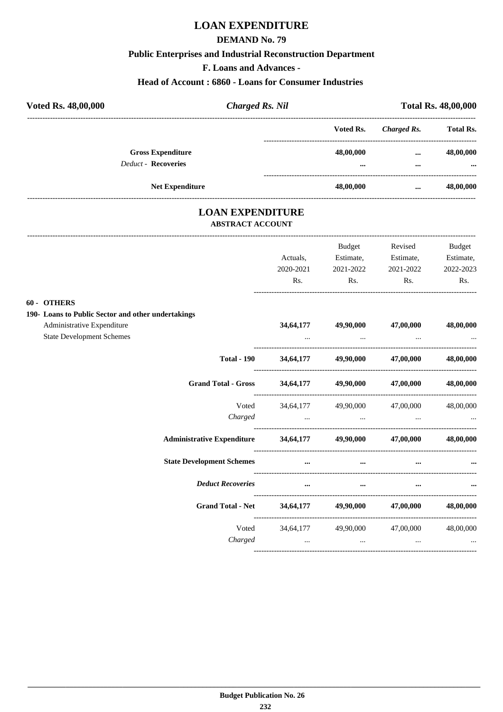## **LOAN EXPENDITURE**

#### **DEMAND No. 79**

#### **Public Enterprises and Industrial Reconstruction Department**

**F. Loans and Advances -**

#### **Head of Account : 6860 - Loans for Consumer Industries**

| Voted Rs. 48,00,000                                    | Charged Rs. Nil        |               | <b>Total Rs. 48,00,000</b> |                       |  |
|--------------------------------------------------------|------------------------|---------------|----------------------------|-----------------------|--|
|                                                        |                        | Voted Rs.     | Charged Rs.                | <b>Total Rs.</b>      |  |
| <b>Gross Expenditure</b><br><b>Deduct - Recoveries</b> |                        | 48,00,000<br> | $\cdots$<br>$\cdots$       | 48,00,000<br>$\cdots$ |  |
|                                                        | <b>Net Expenditure</b> | 48,00,000     | $\cdots$                   | 48,00,000             |  |

### **LOAN EXPENDITURE ABSTRACT ACCOUNT**

|                                                             |           | <b>Budget</b>                                                                                                    | Revised                                                                                 | Budget    |
|-------------------------------------------------------------|-----------|------------------------------------------------------------------------------------------------------------------|-----------------------------------------------------------------------------------------|-----------|
|                                                             | Actuals.  |                                                                                                                  | Estimate, Estimate, Estimate,                                                           |           |
|                                                             | 2020-2021 | 2021-2022                                                                                                        | 2021-2022 2022-2023                                                                     |           |
|                                                             |           | Rs. Rs.                                                                                                          | Rs.                                                                                     | Rs.       |
| 60 - OTHERS                                                 |           |                                                                                                                  |                                                                                         |           |
| 190- Loans to Public Sector and other undertakings          |           |                                                                                                                  |                                                                                         |           |
| Administrative Expenditure                                  |           |                                                                                                                  | 34,64,177 49,90,000 47,00,000 48,00,000                                                 |           |
| <b>State Development Schemes</b>                            |           | and the contract of the contract of the                                                                          |                                                                                         |           |
|                                                             |           |                                                                                                                  | Total - 190 34,64,177 49,90,000 47,00,000 48,00,000                                     |           |
| Grand Total - Gross 34,64,177 49,90,000 47,00,000 48,00,000 |           |                                                                                                                  |                                                                                         |           |
| Voted                                                       |           |                                                                                                                  | 34,64,177 49,90,000 47,00,000 48,00,000                                                 |           |
| Charged                                                     |           |                                                                                                                  |                                                                                         |           |
| Administrative Expenditure 34,64,177 49,90,000 47,00,000    |           |                                                                                                                  |                                                                                         | 48,00,000 |
| <b>State Development Schemes</b>                            |           | and the control of the control of the control of the control of the control of the control of the control of the |                                                                                         |           |
| <b>Deduct Recoveries</b>                                    | $\cdots$  | $\cdots$                                                                                                         |                                                                                         |           |
| Grand Total - Net 34,64,177 49,90,000 47,00,000 48,00,000   |           |                                                                                                                  |                                                                                         |           |
|                                                             |           |                                                                                                                  | Voted 34,64,177 49,90,000 47,00,000 48,00,000                                           |           |
|                                                             | Charged   | $\ddots$                                                                                                         | and the contract of the contract of the contract of the contract of the contract of the |           |
|                                                             |           |                                                                                                                  |                                                                                         |           |